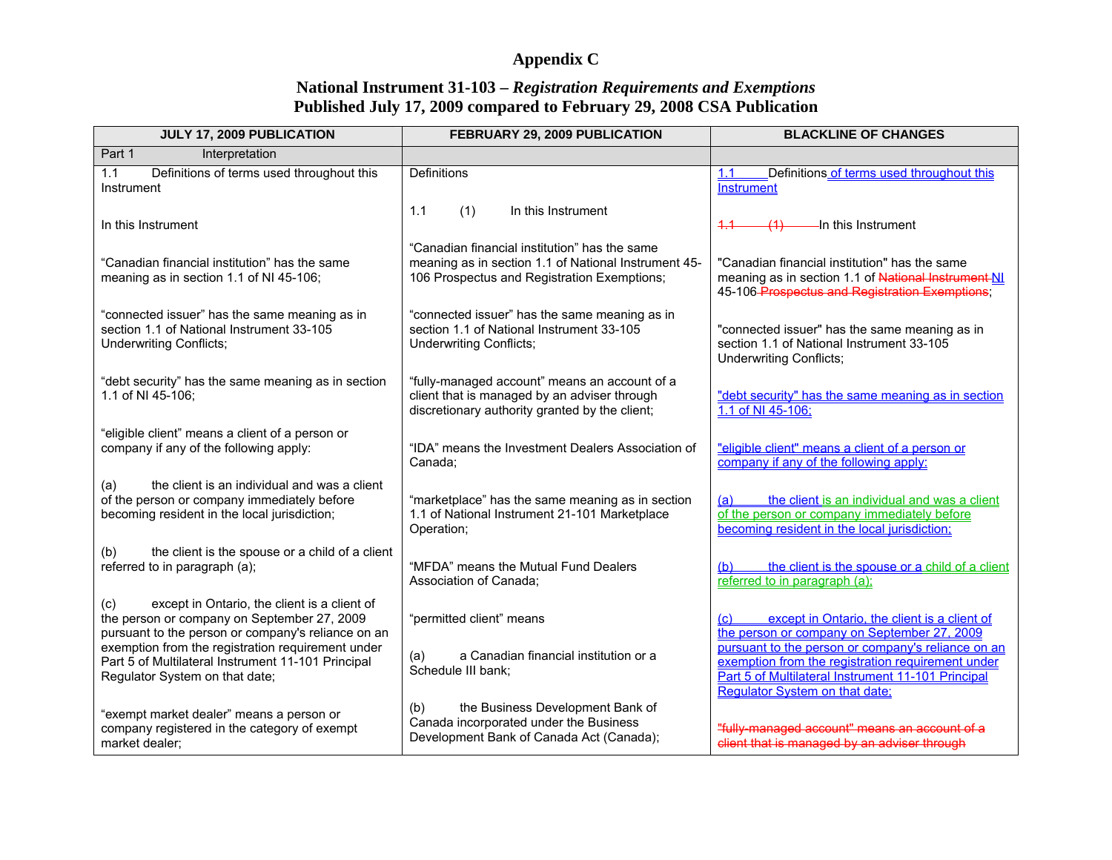| JULY 17, 2009 PUBLICATION                                                                                                                                                                                                                                           | FEBRUARY 29, 2009 PUBLICATION                                                                                                                        | <b>BLACKLINE OF CHANGES</b>                                                                                                                                                                                   |
|---------------------------------------------------------------------------------------------------------------------------------------------------------------------------------------------------------------------------------------------------------------------|------------------------------------------------------------------------------------------------------------------------------------------------------|---------------------------------------------------------------------------------------------------------------------------------------------------------------------------------------------------------------|
| Part 1<br>Interpretation                                                                                                                                                                                                                                            |                                                                                                                                                      |                                                                                                                                                                                                               |
| Definitions of terms used throughout this<br>1.1<br>Instrument                                                                                                                                                                                                      | <b>Definitions</b>                                                                                                                                   | Definitions of terms used throughout this<br>1.1<br><b>Instrument</b>                                                                                                                                         |
| In this Instrument                                                                                                                                                                                                                                                  | (1)<br>1.1<br>In this Instrument                                                                                                                     | (1)<br>-In this Instrument<br>$+1$                                                                                                                                                                            |
| "Canadian financial institution" has the same<br>meaning as in section 1.1 of NI 45-106;                                                                                                                                                                            | "Canadian financial institution" has the same<br>meaning as in section 1.1 of National Instrument 45-<br>106 Prospectus and Registration Exemptions; | "Canadian financial institution" has the same<br>meaning as in section 1.1 of National Instrument NI<br>45-106 Prospectus and Registration Exemptions;                                                        |
| "connected issuer" has the same meaning as in<br>section 1.1 of National Instrument 33-105<br><b>Underwriting Conflicts;</b>                                                                                                                                        | "connected issuer" has the same meaning as in<br>section 1.1 of National Instrument 33-105<br><b>Underwriting Conflicts;</b>                         | "connected issuer" has the same meaning as in<br>section 1.1 of National Instrument 33-105<br><b>Underwriting Conflicts;</b>                                                                                  |
| "debt security" has the same meaning as in section<br>1.1 of NI 45-106;                                                                                                                                                                                             | "fully-managed account" means an account of a<br>client that is managed by an adviser through<br>discretionary authority granted by the client;      | "debt security" has the same meaning as in section<br>1.1 of NI 45-106;                                                                                                                                       |
| "eligible client" means a client of a person or<br>company if any of the following apply:                                                                                                                                                                           | "IDA" means the Investment Dealers Association of<br>Canada;                                                                                         | "eligible client" means a client of a person or<br>company if any of the following apply:                                                                                                                     |
| the client is an individual and was a client<br>(a)<br>of the person or company immediately before<br>becoming resident in the local jurisdiction;                                                                                                                  | "marketplace" has the same meaning as in section<br>1.1 of National Instrument 21-101 Marketplace<br>Operation;                                      | the client is an individual and was a client<br>(a)<br>of the person or company immediately before<br>becoming resident in the local jurisdiction;                                                            |
| the client is the spouse or a child of a client<br>(b)<br>referred to in paragraph (a);                                                                                                                                                                             | "MFDA" means the Mutual Fund Dealers<br>Association of Canada:                                                                                       | the client is the spouse or a child of a client<br>(b)<br>referred to in paragraph (a);                                                                                                                       |
| except in Ontario, the client is a client of<br>(c)<br>the person or company on September 27, 2009<br>pursuant to the person or company's reliance on an<br>exemption from the registration requirement under<br>Part 5 of Multilateral Instrument 11-101 Principal | "permitted client" means<br>a Canadian financial institution or a<br>(a)                                                                             | except in Ontario, the client is a client of<br>(c)<br>the person or company on September 27, 2009<br>pursuant to the person or company's reliance on an<br>exemption from the registration requirement under |
| Regulator System on that date;                                                                                                                                                                                                                                      | Schedule III bank:                                                                                                                                   | Part 5 of Multilateral Instrument 11-101 Principal<br>Regulator System on that date;                                                                                                                          |
| "exempt market dealer" means a person or<br>company registered in the category of exempt<br>market dealer:                                                                                                                                                          | the Business Development Bank of<br>(b)<br>Canada incorporated under the Business<br>Development Bank of Canada Act (Canada);                        | "fully managed account" means an account of a<br>client that is managed by an adviser through                                                                                                                 |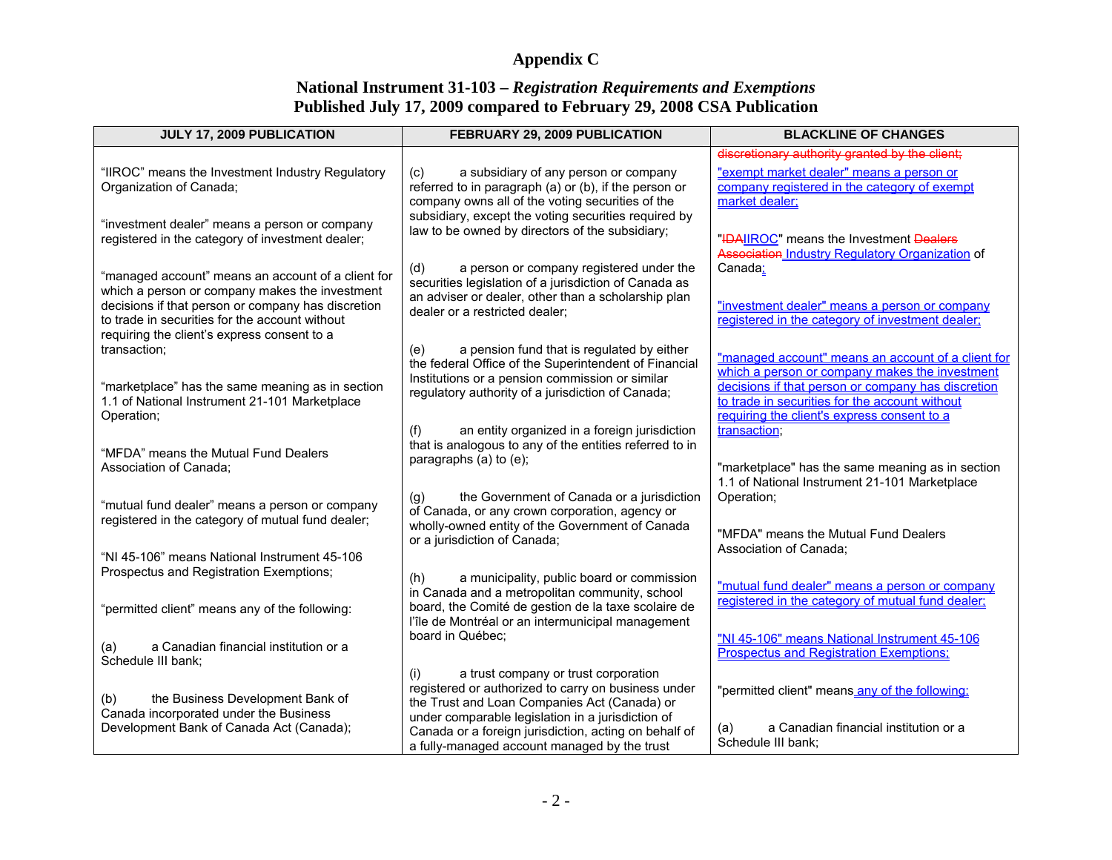| JULY 17, 2009 PUBLICATION                                                                                                                                                                                                                                   | <b>FEBRUARY 29, 2009 PUBLICATION</b>                                                                                                                                                                                                                             | <b>BLACKLINE OF CHANGES</b>                                                                                                                                                                                  |
|-------------------------------------------------------------------------------------------------------------------------------------------------------------------------------------------------------------------------------------------------------------|------------------------------------------------------------------------------------------------------------------------------------------------------------------------------------------------------------------------------------------------------------------|--------------------------------------------------------------------------------------------------------------------------------------------------------------------------------------------------------------|
| "IIROC" means the Investment Industry Regulatory<br>Organization of Canada;                                                                                                                                                                                 | a subsidiary of any person or company<br>(c)<br>referred to in paragraph (a) or (b), if the person or<br>company owns all of the voting securities of the                                                                                                        | discretionary authority granted by the client;<br>"exempt market dealer" means a person or<br>company registered in the category of exempt<br>market dealer:                                                 |
| "investment dealer" means a person or company<br>registered in the category of investment dealer;                                                                                                                                                           | subsidiary, except the voting securities required by<br>law to be owned by directors of the subsidiary;                                                                                                                                                          | "IDAIIROC" means the Investment Dealers<br>Association Industry Regulatory Organization of                                                                                                                   |
| "managed account" means an account of a client for<br>which a person or company makes the investment<br>decisions if that person or company has discretion<br>to trade in securities for the account without<br>requiring the client's express consent to a | a person or company registered under the<br>(d)<br>securities legislation of a jurisdiction of Canada as<br>an adviser or dealer, other than a scholarship plan<br>dealer or a restricted dealer;                                                                | Canada:<br>"investment dealer" means a person or company<br>registered in the category of investment dealer;                                                                                                 |
| transaction;<br>"marketplace" has the same meaning as in section<br>1.1 of National Instrument 21-101 Marketplace                                                                                                                                           | a pension fund that is regulated by either<br>(e)<br>the federal Office of the Superintendent of Financial<br>Institutions or a pension commission or similar<br>regulatory authority of a jurisdiction of Canada;                                               | "managed account" means an account of a client for<br>which a person or company makes the investment<br>decisions if that person or company has discretion<br>to trade in securities for the account without |
| Operation;<br>"MFDA" means the Mutual Fund Dealers<br>Association of Canada;                                                                                                                                                                                | an entity organized in a foreign jurisdiction<br>(f)<br>that is analogous to any of the entities referred to in<br>paragraphs (a) to (e);                                                                                                                        | requiring the client's express consent to a<br>transaction;<br>"marketplace" has the same meaning as in section<br>1.1 of National Instrument 21-101 Marketplace                                             |
| "mutual fund dealer" means a person or company<br>registered in the category of mutual fund dealer;<br>"NI 45-106" means National Instrument 45-106                                                                                                         | the Government of Canada or a jurisdiction<br>(g)<br>of Canada, or any crown corporation, agency or<br>wholly-owned entity of the Government of Canada<br>or a jurisdiction of Canada;                                                                           | Operation;<br>"MFDA" means the Mutual Fund Dealers<br>Association of Canada;                                                                                                                                 |
| Prospectus and Registration Exemptions;<br>"permitted client" means any of the following:                                                                                                                                                                   | a municipality, public board or commission<br>(h)<br>in Canada and a metropolitan community, school<br>board, the Comité de gestion de la taxe scolaire de<br>l'île de Montréal or an intermunicipal management                                                  | "mutual fund dealer" means a person or company<br>registered in the category of mutual fund dealer;                                                                                                          |
| a Canadian financial institution or a<br>(a)<br>Schedule III bank:                                                                                                                                                                                          | board in Québec;                                                                                                                                                                                                                                                 | "NI 45-106" means National Instrument 45-106<br><b>Prospectus and Registration Exemptions;</b>                                                                                                               |
| the Business Development Bank of<br>(b)<br>Canada incorporated under the Business<br>Development Bank of Canada Act (Canada);                                                                                                                               | a trust company or trust corporation<br>(i)<br>registered or authorized to carry on business under<br>the Trust and Loan Companies Act (Canada) or<br>under comparable legislation in a jurisdiction of<br>Canada or a foreign jurisdiction, acting on behalf of | "permitted client" means any of the following:<br>a Canadian financial institution or a<br>(a)                                                                                                               |
|                                                                                                                                                                                                                                                             | a fully-managed account managed by the trust                                                                                                                                                                                                                     | Schedule III bank;                                                                                                                                                                                           |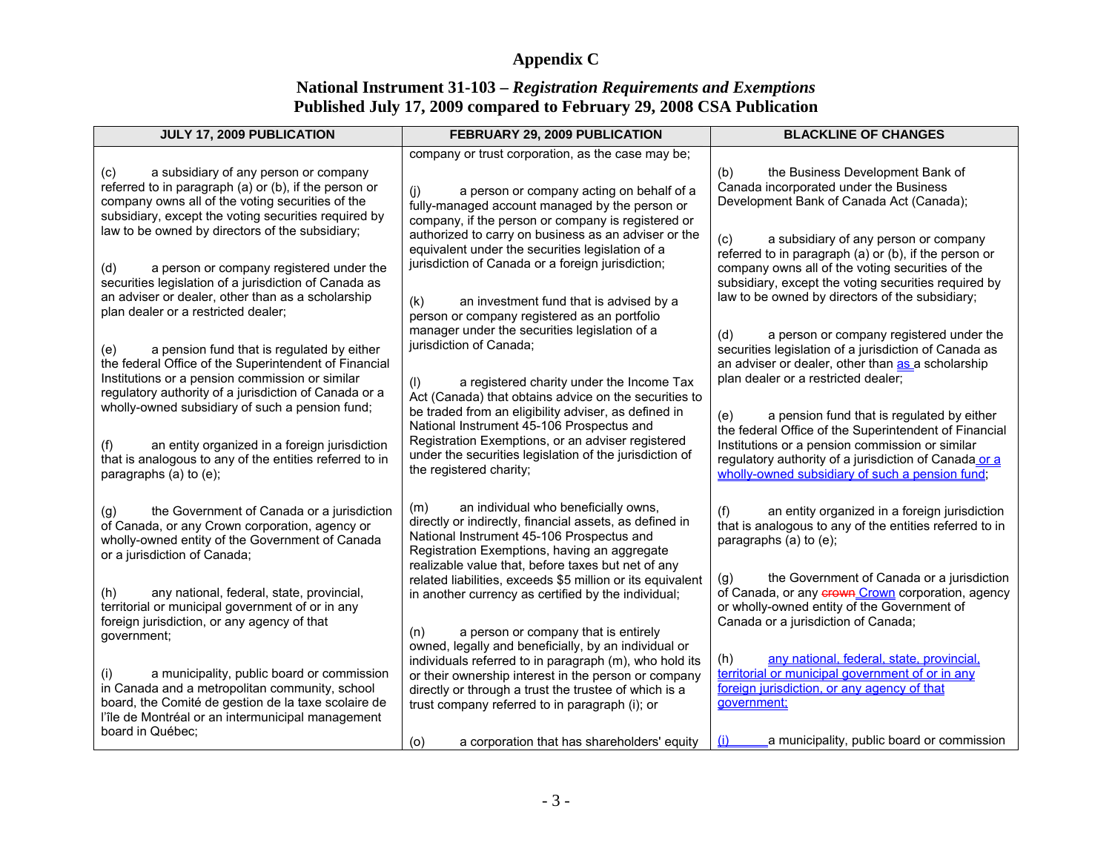| JULY 17, 2009 PUBLICATION                                                                                                                                                                                                                               | <b>FEBRUARY 29, 2009 PUBLICATION</b>                                                                                                                                                                                                                                              | <b>BLACKLINE OF CHANGES</b>                                                                                                                                                                                                                                          |
|---------------------------------------------------------------------------------------------------------------------------------------------------------------------------------------------------------------------------------------------------------|-----------------------------------------------------------------------------------------------------------------------------------------------------------------------------------------------------------------------------------------------------------------------------------|----------------------------------------------------------------------------------------------------------------------------------------------------------------------------------------------------------------------------------------------------------------------|
|                                                                                                                                                                                                                                                         | company or trust corporation, as the case may be;                                                                                                                                                                                                                                 |                                                                                                                                                                                                                                                                      |
| a subsidiary of any person or company<br>(c)<br>referred to in paragraph (a) or (b), if the person or<br>company owns all of the voting securities of the<br>subsidiary, except the voting securities required by                                       | a person or company acting on behalf of a<br>(i)<br>fully-managed account managed by the person or<br>company, if the person or company is registered or                                                                                                                          | the Business Development Bank of<br>(b)<br>Canada incorporated under the Business<br>Development Bank of Canada Act (Canada);                                                                                                                                        |
| law to be owned by directors of the subsidiary;<br>a person or company registered under the<br>(d)<br>securities legislation of a jurisdiction of Canada as<br>an adviser or dealer, other than as a scholarship<br>plan dealer or a restricted dealer; | authorized to carry on business as an adviser or the<br>equivalent under the securities legislation of a<br>jurisdiction of Canada or a foreign jurisdiction;<br>(k)<br>an investment fund that is advised by a<br>person or company registered as an portfolio                   | a subsidiary of any person or company<br>(c)<br>referred to in paragraph (a) or (b), if the person or<br>company owns all of the voting securities of the<br>subsidiary, except the voting securities required by<br>law to be owned by directors of the subsidiary; |
| a pension fund that is regulated by either<br>(e)<br>the federal Office of the Superintendent of Financial<br>Institutions or a pension commission or similar                                                                                           | manager under the securities legislation of a<br>jurisdiction of Canada;<br>(1)<br>a registered charity under the Income Tax                                                                                                                                                      | (d)<br>a person or company registered under the<br>securities legislation of a jurisdiction of Canada as<br>an adviser or dealer, other than as a scholarship<br>plan dealer or a restricted dealer;                                                                 |
| regulatory authority of a jurisdiction of Canada or a<br>wholly-owned subsidiary of such a pension fund;<br>an entity organized in a foreign jurisdiction<br>(f)                                                                                        | Act (Canada) that obtains advice on the securities to<br>be traded from an eligibility adviser, as defined in<br>National Instrument 45-106 Prospectus and<br>Registration Exemptions, or an adviser registered                                                                   | (e)<br>a pension fund that is regulated by either<br>the federal Office of the Superintendent of Financial<br>Institutions or a pension commission or similar                                                                                                        |
| that is analogous to any of the entities referred to in<br>paragraphs (a) to (e);                                                                                                                                                                       | under the securities legislation of the jurisdiction of<br>the registered charity;                                                                                                                                                                                                | regulatory authority of a jurisdiction of Canada or a<br>wholly-owned subsidiary of such a pension fund;                                                                                                                                                             |
| the Government of Canada or a jurisdiction<br>(g)<br>of Canada, or any Crown corporation, agency or<br>wholly-owned entity of the Government of Canada<br>or a jurisdiction of Canada;                                                                  | an individual who beneficially owns,<br>(m)<br>directly or indirectly, financial assets, as defined in<br>National Instrument 45-106 Prospectus and<br>Registration Exemptions, having an aggregate<br>realizable value that, before taxes but net of any                         | an entity organized in a foreign jurisdiction<br>(f)<br>that is analogous to any of the entities referred to in<br>paragraphs (a) to (e);                                                                                                                            |
| any national, federal, state, provincial,<br>(h)<br>territorial or municipal government of or in any<br>foreign jurisdiction, or any agency of that<br>government;                                                                                      | related liabilities, exceeds \$5 million or its equivalent<br>in another currency as certified by the individual;<br>a person or company that is entirely<br>(n)                                                                                                                  | the Government of Canada or a jurisdiction<br>(g)<br>of Canada, or any erown Crown corporation, agency<br>or wholly-owned entity of the Government of<br>Canada or a jurisdiction of Canada;                                                                         |
| a municipality, public board or commission<br>(i)<br>in Canada and a metropolitan community, school<br>board, the Comité de gestion de la taxe scolaire de<br>l'île de Montréal or an intermunicipal management<br>board in Québec;                     | owned, legally and beneficially, by an individual or<br>individuals referred to in paragraph (m), who hold its<br>or their ownership interest in the person or company<br>directly or through a trust the trustee of which is a<br>trust company referred to in paragraph (i); or | (h)<br>any national, federal, state, provincial,<br>territorial or municipal government of or in any<br>foreign jurisdiction, or any agency of that<br>government;                                                                                                   |
|                                                                                                                                                                                                                                                         | a corporation that has shareholders' equity<br>(0)                                                                                                                                                                                                                                | a municipality, public board or commission<br>$\mathbf{u}$                                                                                                                                                                                                           |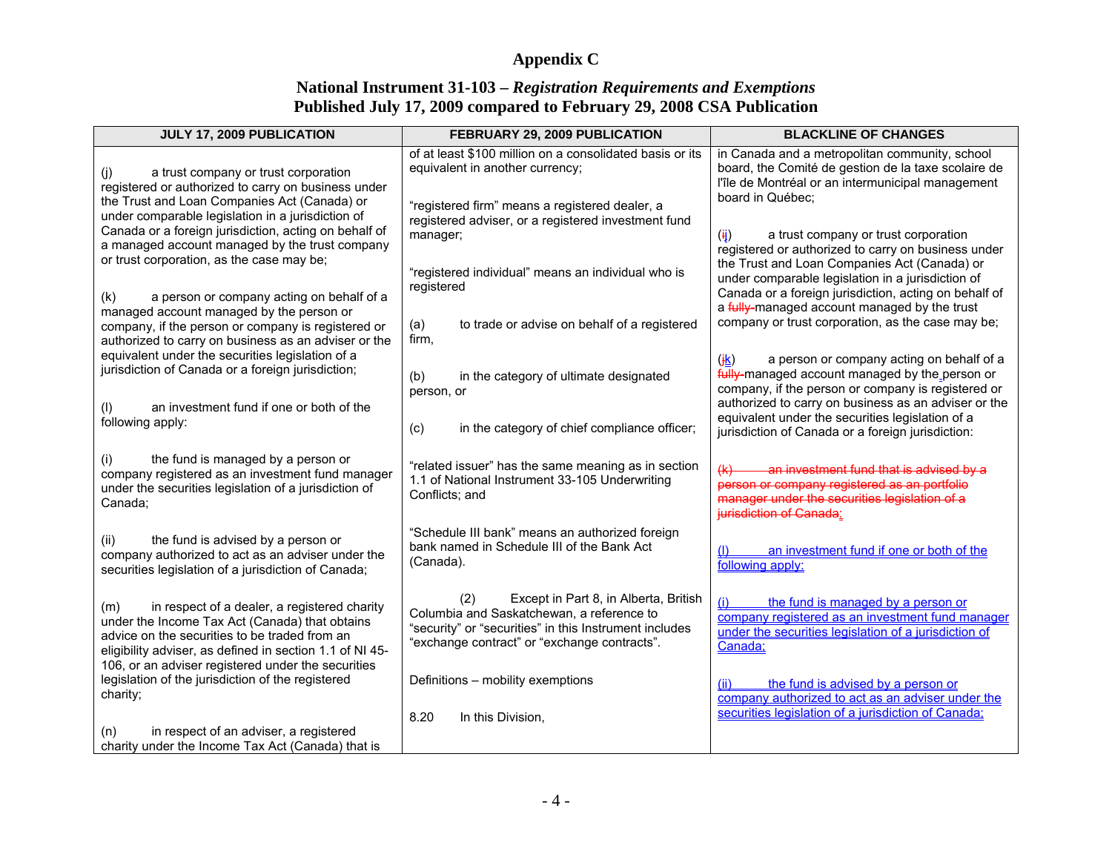| JULY 17, 2009 PUBLICATION                                                                                                                                                                                                                                                | FEBRUARY 29, 2009 PUBLICATION                                                                                                                                                                        | <b>BLACKLINE OF CHANGES</b>                                                                                                                                                                                                                                                        |
|--------------------------------------------------------------------------------------------------------------------------------------------------------------------------------------------------------------------------------------------------------------------------|------------------------------------------------------------------------------------------------------------------------------------------------------------------------------------------------------|------------------------------------------------------------------------------------------------------------------------------------------------------------------------------------------------------------------------------------------------------------------------------------|
| a trust company or trust corporation<br>(j)<br>registered or authorized to carry on business under<br>the Trust and Loan Companies Act (Canada) or<br>under comparable legislation in a jurisdiction of                                                                  | of at least \$100 million on a consolidated basis or its<br>equivalent in another currency;<br>"registered firm" means a registered dealer, a<br>registered adviser, or a registered investment fund | in Canada and a metropolitan community, school<br>board, the Comité de gestion de la taxe scolaire de<br>l'île de Montréal or an intermunicipal management<br>board in Québec;                                                                                                     |
| Canada or a foreign jurisdiction, acting on behalf of<br>a managed account managed by the trust company<br>or trust corporation, as the case may be;                                                                                                                     | manager;<br>"registered individual" means an individual who is<br>registered                                                                                                                         | $(\ddot{\mathbf{H}})$<br>a trust company or trust corporation<br>registered or authorized to carry on business under<br>the Trust and Loan Companies Act (Canada) or<br>under comparable legislation in a jurisdiction of<br>Canada or a foreign jurisdiction, acting on behalf of |
| a person or company acting on behalf of a<br>(k)<br>managed account managed by the person or<br>company, if the person or company is registered or<br>authorized to carry on business as an adviser or the<br>equivalent under the securities legislation of a           | to trade or advise on behalf of a registered<br>(a)<br>firm,                                                                                                                                         | a fully-managed account managed by the trust<br>company or trust corporation, as the case may be;<br>(ik)<br>a person or company acting on behalf of a                                                                                                                             |
| jurisdiction of Canada or a foreign jurisdiction;<br>an investment fund if one or both of the<br>(1)                                                                                                                                                                     | (b)<br>in the category of ultimate designated<br>person, or                                                                                                                                          | fully-managed account managed by the person or<br>company, if the person or company is registered or<br>authorized to carry on business as an adviser or the                                                                                                                       |
| following apply:                                                                                                                                                                                                                                                         | in the category of chief compliance officer;<br>(c)                                                                                                                                                  | equivalent under the securities legislation of a<br>jurisdiction of Canada or a foreign jurisdiction:                                                                                                                                                                              |
| the fund is managed by a person or<br>(i)<br>company registered as an investment fund manager<br>under the securities legislation of a jurisdiction of<br>Canada;                                                                                                        | "related issuer" has the same meaning as in section<br>1.1 of National Instrument 33-105 Underwriting<br>Conflicts; and                                                                              | an investment fund that is advised by a<br>$H +$<br>person or company registered as an portfolio<br>manager under the securities legislation of a<br>jurisdiction of Canada:                                                                                                       |
| the fund is advised by a person or<br>(ii)<br>company authorized to act as an adviser under the<br>securities legislation of a jurisdiction of Canada;                                                                                                                   | "Schedule III bank" means an authorized foreign<br>bank named in Schedule III of the Bank Act<br>(Canada).                                                                                           | an investment fund if one or both of the<br>(1)<br>following apply:                                                                                                                                                                                                                |
| in respect of a dealer, a registered charity<br>(m)<br>under the Income Tax Act (Canada) that obtains<br>advice on the securities to be traded from an<br>eligibility adviser, as defined in section 1.1 of NI 45-<br>106, or an adviser registered under the securities | Except in Part 8, in Alberta, British<br>(2)<br>Columbia and Saskatchewan, a reference to<br>"security" or "securities" in this Instrument includes<br>"exchange contract" or "exchange contracts".  | the fund is managed by a person or<br>(i)<br>company registered as an investment fund manager<br>under the securities legislation of a jurisdiction of<br>Canada;                                                                                                                  |
| legislation of the jurisdiction of the registered<br>charity;                                                                                                                                                                                                            | Definitions - mobility exemptions                                                                                                                                                                    | the fund is advised by a person or<br>(ii)<br>company authorized to act as an adviser under the                                                                                                                                                                                    |
| in respect of an adviser, a registered<br>(n)<br>charity under the Income Tax Act (Canada) that is                                                                                                                                                                       | In this Division,<br>8.20                                                                                                                                                                            | securities legislation of a jurisdiction of Canada;                                                                                                                                                                                                                                |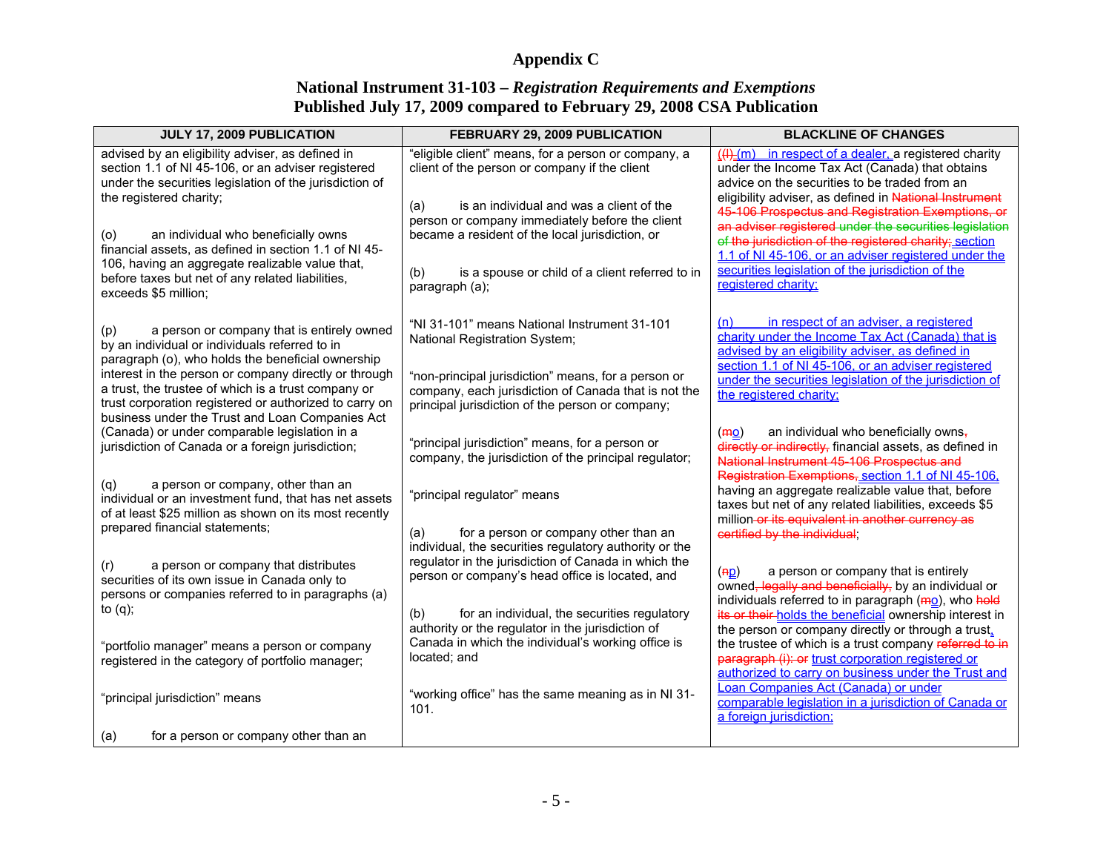| JULY 17, 2009 PUBLICATION                                                                                                                                                                                                 | <b>FEBRUARY 29, 2009 PUBLICATION</b>                                                                                                                            | <b>BLACKLINE OF CHANGES</b>                                                                                                                                                                                                   |
|---------------------------------------------------------------------------------------------------------------------------------------------------------------------------------------------------------------------------|-----------------------------------------------------------------------------------------------------------------------------------------------------------------|-------------------------------------------------------------------------------------------------------------------------------------------------------------------------------------------------------------------------------|
| advised by an eligibility adviser, as defined in<br>section 1.1 of NI 45-106, or an adviser registered<br>under the securities legislation of the jurisdiction of<br>the registered charity;                              | "eligible client" means, for a person or company, a<br>client of the person or company if the client<br>is an individual and was a client of the<br>(a)         | $(4)$ (m) in respect of a dealer, a registered charity<br>under the Income Tax Act (Canada) that obtains<br>advice on the securities to be traded from an<br>eligibility adviser, as defined in National Instrument           |
| an individual who beneficially owns<br>(0)<br>financial assets, as defined in section 1.1 of NI 45-<br>106, having an aggregate realizable value that,                                                                    | person or company immediately before the client<br>became a resident of the local jurisdiction, or                                                              | 45-106 Prospectus and Registration Exemptions, or<br>an adviser registered under the securities legislation<br>of the jurisdiction of the registered charity; section<br>1.1 of NI 45-106, or an adviser registered under the |
| before taxes but net of any related liabilities,<br>exceeds \$5 million;                                                                                                                                                  | is a spouse or child of a client referred to in<br>(b)<br>paragraph (a);                                                                                        | securities legislation of the jurisdiction of the<br>registered charity;                                                                                                                                                      |
| (p)<br>a person or company that is entirely owned<br>by an individual or individuals referred to in<br>paragraph (o), who holds the beneficial ownership                                                                  | "NI 31-101" means National Instrument 31-101<br>National Registration System;                                                                                   | in respect of an adviser, a registered<br>(n)<br>charity under the Income Tax Act (Canada) that is<br>advised by an eligibility adviser, as defined in                                                                        |
| interest in the person or company directly or through<br>a trust, the trustee of which is a trust company or<br>trust corporation registered or authorized to carry on<br>business under the Trust and Loan Companies Act | "non-principal jurisdiction" means, for a person or<br>company, each jurisdiction of Canada that is not the<br>principal jurisdiction of the person or company; | section 1.1 of NI 45-106, or an adviser registered<br>under the securities legislation of the jurisdiction of<br>the registered charity;                                                                                      |
| (Canada) or under comparable legislation in a<br>jurisdiction of Canada or a foreign jurisdiction;                                                                                                                        | "principal jurisdiction" means, for a person or<br>company, the jurisdiction of the principal regulator;                                                        | an individual who beneficially owns-<br>(mac)<br>directly or indirectly, financial assets, as defined in<br>National Instrument 45-106 Prospectus and<br>Registration Exemptions, section 1.1 of NI 45-106,                   |
| a person or company, other than an<br>(q)<br>individual or an investment fund, that has net assets<br>of at least \$25 million as shown on its most recently                                                              | "principal regulator" means                                                                                                                                     | having an aggregate realizable value that, before<br>taxes but net of any related liabilities, exceeds \$5<br>million or its equivalent in another currency as                                                                |
| prepared financial statements;                                                                                                                                                                                            | for a person or company other than an<br>(a)<br>individual, the securities regulatory authority or the                                                          | certified by the individual;                                                                                                                                                                                                  |
| a person or company that distributes<br>(r)<br>securities of its own issue in Canada only to<br>persons or companies referred to in paragraphs (a)                                                                        | regulator in the jurisdiction of Canada in which the<br>person or company's head office is located, and                                                         | a person or company that is entirely<br>(HD)<br>owned, legally and beneficially, by an individual or<br>individuals referred to in paragraph (mo), who hold                                                                   |
| to $(q)$ ;                                                                                                                                                                                                                | for an individual, the securities regulatory<br>(b)<br>authority or the regulator in the jurisdiction of                                                        | its or their holds the beneficial ownership interest in<br>the person or company directly or through a trust.                                                                                                                 |
| "portfolio manager" means a person or company<br>registered in the category of portfolio manager;                                                                                                                         | Canada in which the individual's working office is<br>located; and                                                                                              | the trustee of which is a trust company referred to in<br>paragraph (i): or trust corporation registered or<br>authorized to carry on business under the Trust and                                                            |
| "principal jurisdiction" means                                                                                                                                                                                            | "working office" has the same meaning as in NI 31-<br>101.                                                                                                      | Loan Companies Act (Canada) or under<br>comparable legislation in a jurisdiction of Canada or<br>a foreign jurisdiction;                                                                                                      |
| for a person or company other than an<br>(a)                                                                                                                                                                              |                                                                                                                                                                 |                                                                                                                                                                                                                               |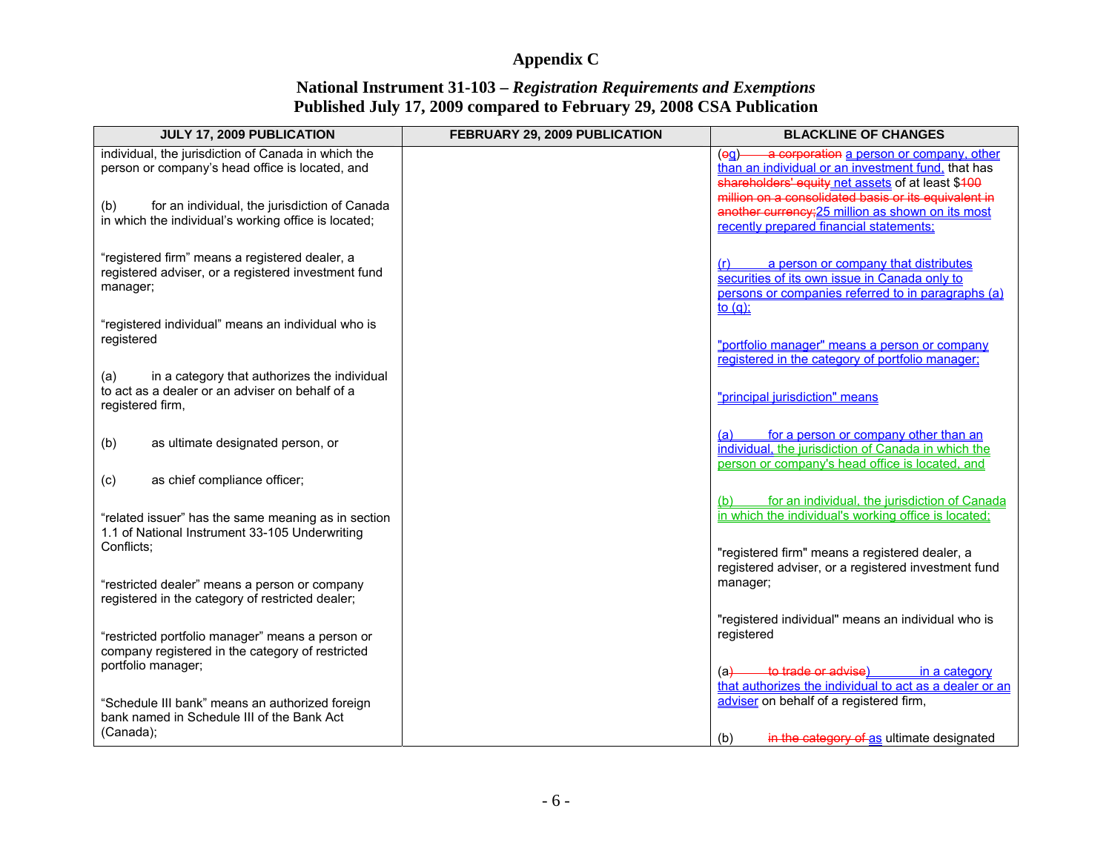| JULY 17, 2009 PUBLICATION                                                                                                  | <b>FEBRUARY 29, 2009 PUBLICATION</b> | <b>BLACKLINE OF CHANGES</b>                                                                                                                                                                                                |
|----------------------------------------------------------------------------------------------------------------------------|--------------------------------------|----------------------------------------------------------------------------------------------------------------------------------------------------------------------------------------------------------------------------|
| individual, the jurisdiction of Canada in which the<br>person or company's head office is located, and                     |                                      | a corporation a person or company, other<br><u>(eg)</u><br>than an individual or an investment fund, that has<br>shareholders' equity net assets of at least \$400<br>million on a consolidated basis or its equivalent in |
| for an individual, the jurisdiction of Canada<br>(b)<br>in which the individual's working office is located;               |                                      | another currency; 25 million as shown on its most<br>recently prepared financial statements;                                                                                                                               |
| "registered firm" means a registered dealer, a<br>registered adviser, or a registered investment fund<br>manager;          |                                      | a person or company that distributes<br><u>(r)</u><br>securities of its own issue in Canada only to<br>persons or companies referred to in paragraphs (a)<br>$to (q)$ ;                                                    |
| "registered individual" means an individual who is<br>registered                                                           |                                      | "portfolio manager" means a person or company<br>registered in the category of portfolio manager;                                                                                                                          |
| in a category that authorizes the individual<br>(a)<br>to act as a dealer or an adviser on behalf of a<br>registered firm, |                                      | "principal jurisdiction" means                                                                                                                                                                                             |
| (b)<br>as ultimate designated person, or                                                                                   |                                      | for a person or company other than an<br><u>(a) </u><br>individual, the jurisdiction of Canada in which the<br>person or company's head office is located, and                                                             |
| as chief compliance officer;<br>(c)                                                                                        |                                      |                                                                                                                                                                                                                            |
| "related issuer" has the same meaning as in section<br>1.1 of National Instrument 33-105 Underwriting                      |                                      | for an individual, the jurisdiction of Canada<br>(b)<br>in which the individual's working office is located;                                                                                                               |
| Conflicts;<br>"restricted dealer" means a person or company                                                                |                                      | "registered firm" means a registered dealer, a<br>registered adviser, or a registered investment fund<br>manager;                                                                                                          |
| registered in the category of restricted dealer;                                                                           |                                      |                                                                                                                                                                                                                            |
| "restricted portfolio manager" means a person or<br>company registered in the category of restricted                       |                                      | "registered individual" means an individual who is<br>registered                                                                                                                                                           |
| portfolio manager;<br>"Schedule III bank" means an authorized foreign                                                      |                                      | to trade or advise)<br>in a category<br>(a <del>)</del><br>that authorizes the individual to act as a dealer or an<br>adviser on behalf of a registered firm,                                                              |
| bank named in Schedule III of the Bank Act<br>(Canada);                                                                    |                                      | in the category of as ultimate designated<br>(b)                                                                                                                                                                           |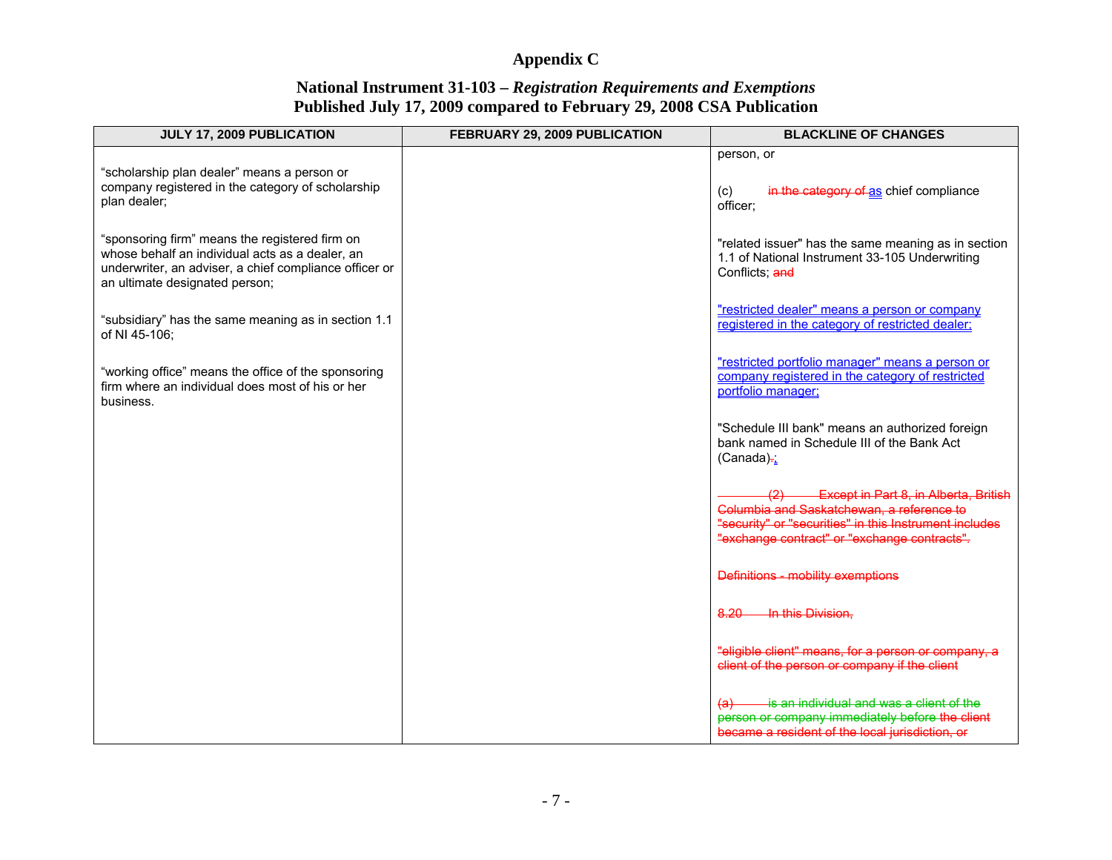| JULY 17, 2009 PUBLICATION                                                                                                                                                                     | <b>FEBRUARY 29, 2009 PUBLICATION</b> | <b>BLACKLINE OF CHANGES</b>                                                                                                                                                                  |
|-----------------------------------------------------------------------------------------------------------------------------------------------------------------------------------------------|--------------------------------------|----------------------------------------------------------------------------------------------------------------------------------------------------------------------------------------------|
| "scholarship plan dealer" means a person or<br>company registered in the category of scholarship<br>plan dealer:                                                                              |                                      | person, or<br>in the category of as chief compliance<br>(c)<br>officer;                                                                                                                      |
| "sponsoring firm" means the registered firm on<br>whose behalf an individual acts as a dealer, an<br>underwriter, an adviser, a chief compliance officer or<br>an ultimate designated person; |                                      | "related issuer" has the same meaning as in section<br>1.1 of National Instrument 33-105 Underwriting<br>Conflicts; and                                                                      |
| "subsidiary" has the same meaning as in section 1.1<br>of NI 45-106;                                                                                                                          |                                      | "restricted dealer" means a person or company<br>registered in the category of restricted dealer;                                                                                            |
| "working office" means the office of the sponsoring<br>firm where an individual does most of his or her<br>business.                                                                          |                                      | "restricted portfolio manager" means a person or<br>company registered in the category of restricted<br>portfolio manager;                                                                   |
|                                                                                                                                                                                               |                                      | "Schedule III bank" means an authorized foreign<br>bank named in Schedule III of the Bank Act<br>(Canada):                                                                                   |
|                                                                                                                                                                                               |                                      | Except in Part 8, in Alberta, British<br>Columbia and Saskatchewan, a reference to<br>"security" or "securities" in this Instrument includes<br>"exchange contract" or "exchange contracts". |
|                                                                                                                                                                                               |                                      | Definitions - mobility exemptions                                                                                                                                                            |
|                                                                                                                                                                                               |                                      | In this Division,<br>8.20                                                                                                                                                                    |
|                                                                                                                                                                                               |                                      | "eligible client" means, for a person or company, a<br>client of the person or company if the client                                                                                         |
|                                                                                                                                                                                               |                                      | is an individual and was a client of the<br>person or company immediately before the client<br>became a resident of the local jurisdiction, or                                               |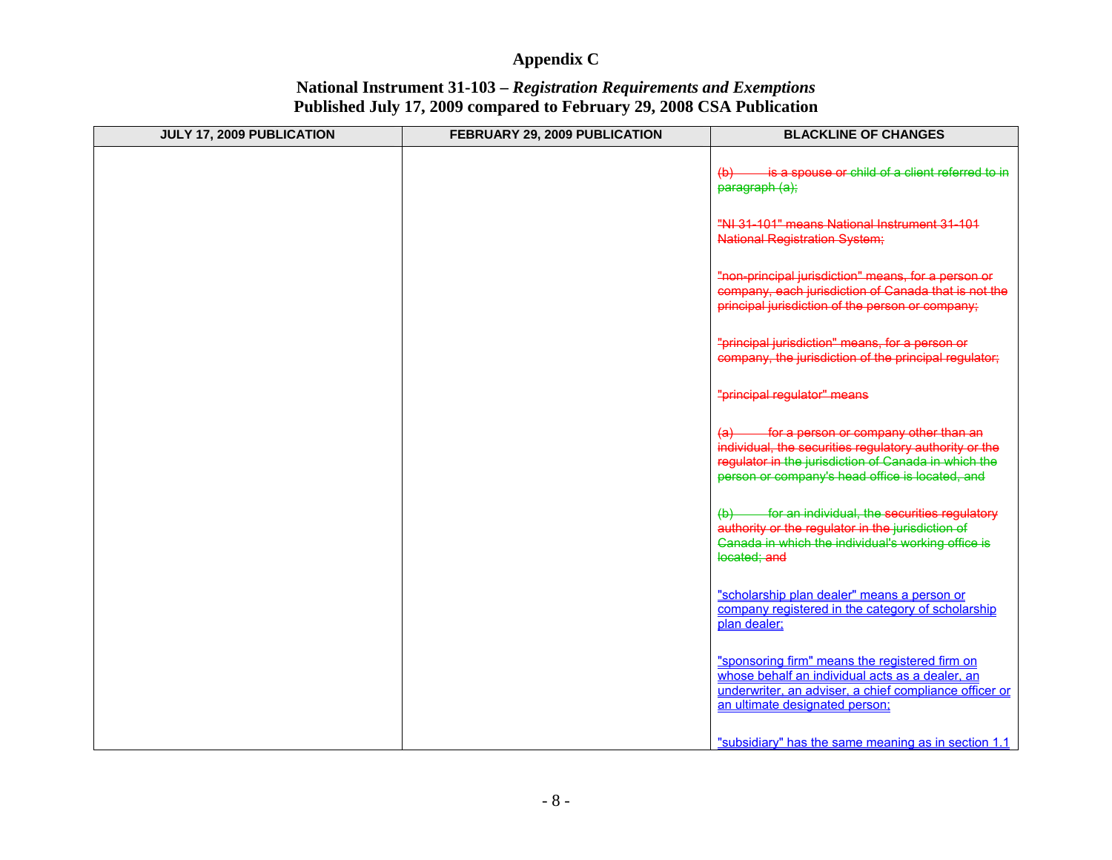| <b>JULY 17, 2009 PUBLICATION</b> | <b>FEBRUARY 29, 2009 PUBLICATION</b> | <b>BLACKLINE OF CHANGES</b>                                                                                                                                                                                |
|----------------------------------|--------------------------------------|------------------------------------------------------------------------------------------------------------------------------------------------------------------------------------------------------------|
|                                  |                                      | is a spouse or child of a client referred to in<br>paragraph (a);                                                                                                                                          |
|                                  |                                      | "NI 31 101" means National Instrument 31 104<br><b>National Registration System;</b>                                                                                                                       |
|                                  |                                      | "non-principal jurisdiction" means, for a person or<br>company, each jurisdiction of Canada that is not the<br>principal jurisdiction of the person or company;                                            |
|                                  |                                      | "principal jurisdiction" means, for a person or<br>company, the jurisdiction of the principal regulator;                                                                                                   |
|                                  |                                      | "principal regulator" means                                                                                                                                                                                |
|                                  |                                      | for a person or company other than an<br>individual, the securities regulatory authority or the<br>regulator in the jurisdiction of Canada in which the<br>person or company's head office is located, and |
|                                  |                                      | for an individual, the securities regulatory<br>$\leftrightarrow$<br>authority or the regulator in the jurisdiction of<br>Canada in which the individual's working office is<br>located; and               |
|                                  |                                      | "scholarship plan dealer" means a person or<br>company registered in the category of scholarship<br>plan dealer;                                                                                           |
|                                  |                                      | "sponsoring firm" means the registered firm on<br>whose behalf an individual acts as a dealer, an<br>underwriter, an adviser, a chief compliance officer or<br>an ultimate designated person;              |
|                                  |                                      | "subsidiary" has the same meaning as in section 1.1                                                                                                                                                        |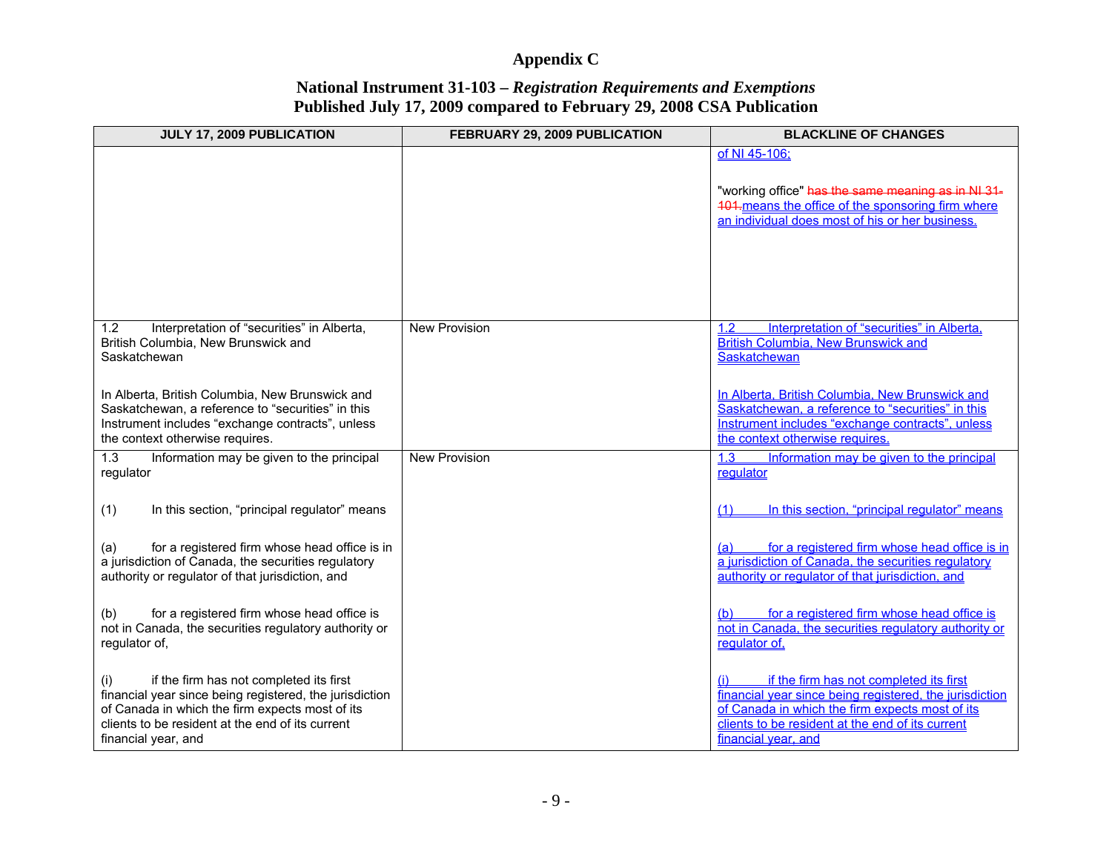| JULY 17, 2009 PUBLICATION                                                                                                                                                                                                               | <b>FEBRUARY 29, 2009 PUBLICATION</b> | <b>BLACKLINE OF CHANGES</b>                                                                                                                                                                                                             |
|-----------------------------------------------------------------------------------------------------------------------------------------------------------------------------------------------------------------------------------------|--------------------------------------|-----------------------------------------------------------------------------------------------------------------------------------------------------------------------------------------------------------------------------------------|
|                                                                                                                                                                                                                                         |                                      | of NI 45-106;<br>"working office" has the same meaning as in NI 31-<br>404-means the office of the sponsoring firm where<br>an individual does most of his or her business.                                                             |
| Interpretation of "securities" in Alberta,<br>1.2<br>British Columbia, New Brunswick and<br>Saskatchewan                                                                                                                                | <b>New Provision</b>                 | Interpretation of "securities" in Alberta,<br>1.2<br><b>British Columbia, New Brunswick and</b><br>Saskatchewan                                                                                                                         |
| In Alberta, British Columbia, New Brunswick and<br>Saskatchewan, a reference to "securities" in this<br>Instrument includes "exchange contracts", unless<br>the context otherwise requires.                                             |                                      | In Alberta, British Columbia, New Brunswick and<br>Saskatchewan, a reference to "securities" in this<br>Instrument includes "exchange contracts", unless<br>the context otherwise requires.                                             |
| 1.3<br>Information may be given to the principal<br>regulator                                                                                                                                                                           | <b>New Provision</b>                 | 1.3<br>Information may be given to the principal<br>regulator                                                                                                                                                                           |
| (1)<br>In this section, "principal regulator" means                                                                                                                                                                                     |                                      | In this section, "principal regulator" means<br>(1)                                                                                                                                                                                     |
| for a registered firm whose head office is in<br>(a)<br>a jurisdiction of Canada, the securities regulatory<br>authority or regulator of that jurisdiction, and                                                                         |                                      | for a registered firm whose head office is in<br>(a)<br>a jurisdiction of Canada, the securities regulatory<br>authority or regulator of that jurisdiction, and                                                                         |
| for a registered firm whose head office is<br>(b)<br>not in Canada, the securities regulatory authority or<br>regulator of,                                                                                                             |                                      | for a registered firm whose head office is<br>(b)<br>not in Canada, the securities regulatory authority or<br>regulator of.                                                                                                             |
| if the firm has not completed its first<br>(i)<br>financial year since being registered, the jurisdiction<br>of Canada in which the firm expects most of its<br>clients to be resident at the end of its current<br>financial year, and |                                      | if the firm has not completed its first<br>(1)<br>financial year since being registered, the jurisdiction<br>of Canada in which the firm expects most of its<br>clients to be resident at the end of its current<br>financial year, and |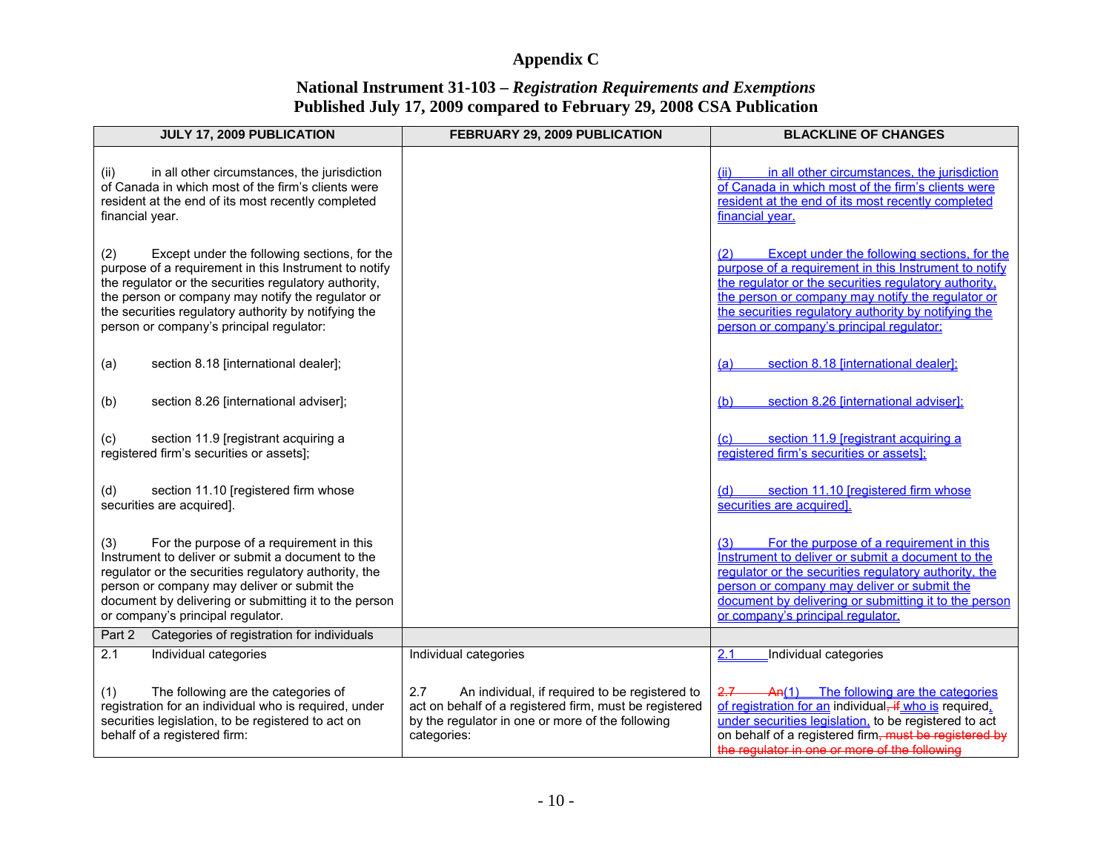| JULY 17, 2009 PUBLICATION                                                                                                                                                                                                                                                                                                      | FEBRUARY 29, 2009 PUBLICATION                                                                                                                                                      | <b>BLACKLINE OF CHANGES</b>                                                                                                                                                                                                                                                                                                           |
|--------------------------------------------------------------------------------------------------------------------------------------------------------------------------------------------------------------------------------------------------------------------------------------------------------------------------------|------------------------------------------------------------------------------------------------------------------------------------------------------------------------------------|---------------------------------------------------------------------------------------------------------------------------------------------------------------------------------------------------------------------------------------------------------------------------------------------------------------------------------------|
| in all other circumstances, the jurisdiction<br>(ii)<br>of Canada in which most of the firm's clients were<br>resident at the end of its most recently completed<br>financial year.                                                                                                                                            |                                                                                                                                                                                    | in all other circumstances, the jurisdiction<br>(ii)<br>of Canada in which most of the firm's clients were<br>resident at the end of its most recently completed<br>financial year.                                                                                                                                                   |
| Except under the following sections, for the<br>(2)<br>purpose of a requirement in this Instrument to notify<br>the regulator or the securities regulatory authority,<br>the person or company may notify the regulator or<br>the securities regulatory authority by notifying the<br>person or company's principal regulator: |                                                                                                                                                                                    | <b>Except under the following sections, for the</b><br>(2)<br>purpose of a requirement in this Instrument to notify<br>the regulator or the securities regulatory authority,<br>the person or company may notify the regulator or<br>the securities regulatory authority by notifying the<br>person or company's principal regulator: |
| section 8.18 [international dealer];<br>(a)                                                                                                                                                                                                                                                                                    |                                                                                                                                                                                    | section 8.18 [international dealer];<br>(a)                                                                                                                                                                                                                                                                                           |
| section 8.26 [international adviser];<br>(b)                                                                                                                                                                                                                                                                                   |                                                                                                                                                                                    | section 8.26 [international adviser];<br>(b)                                                                                                                                                                                                                                                                                          |
| section 11.9 [registrant acquiring a<br>(c)<br>registered firm's securities or assets];                                                                                                                                                                                                                                        |                                                                                                                                                                                    | section 11.9 [registrant acquiring a<br><u>(c)</u><br>registered firm's securities or assets];                                                                                                                                                                                                                                        |
| section 11.10 [registered firm whose<br>(d)<br>securities are acquired].                                                                                                                                                                                                                                                       |                                                                                                                                                                                    | section 11.10 [registered firm whose<br>(d)<br>securities are acquired].                                                                                                                                                                                                                                                              |
| For the purpose of a requirement in this<br>(3)<br>Instrument to deliver or submit a document to the<br>regulator or the securities regulatory authority, the<br>person or company may deliver or submit the<br>document by delivering or submitting it to the person<br>or company's principal regulator.                     |                                                                                                                                                                                    | For the purpose of a requirement in this<br>(3)<br>Instrument to deliver or submit a document to the<br>regulator or the securities regulatory authority, the<br>person or company may deliver or submit the<br>document by delivering or submitting it to the person<br>or company's principal regulator.                            |
| Part 2<br>Categories of registration for individuals                                                                                                                                                                                                                                                                           |                                                                                                                                                                                    |                                                                                                                                                                                                                                                                                                                                       |
| 2.1<br>Individual categories                                                                                                                                                                                                                                                                                                   | Individual categories                                                                                                                                                              | 2.1<br>Individual categories                                                                                                                                                                                                                                                                                                          |
| (1)<br>The following are the categories of<br>registration for an individual who is required, under<br>securities legislation, to be registered to act on<br>behalf of a registered firm:                                                                                                                                      | An individual, if required to be registered to<br>2.7<br>act on behalf of a registered firm, must be registered<br>by the regulator in one or more of the following<br>categories: | An(1) The following are the categories<br>2.7—<br>of registration for an individual, if who is required.<br>under securities legislation, to be registered to act<br>on behalf of a registered firm, must be registered by<br>the regulator in one or more of the following                                                           |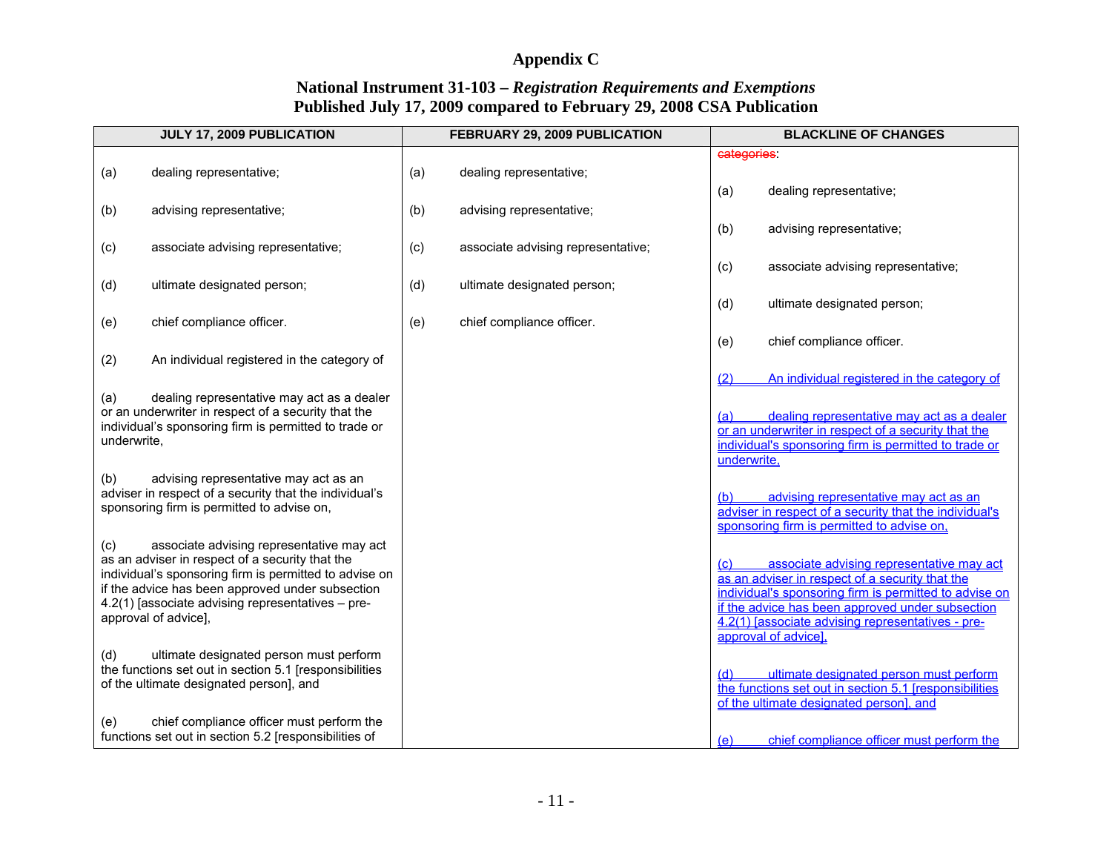| JULY 17, 2009 PUBLICATION                                                                                                                                                                                                                                                                      | <b>FEBRUARY 29, 2009 PUBLICATION</b>      | <b>BLACKLINE OF CHANGES</b>                                                                                                                                                                                                                                                                    |
|------------------------------------------------------------------------------------------------------------------------------------------------------------------------------------------------------------------------------------------------------------------------------------------------|-------------------------------------------|------------------------------------------------------------------------------------------------------------------------------------------------------------------------------------------------------------------------------------------------------------------------------------------------|
| dealing representative;<br>(a)                                                                                                                                                                                                                                                                 | dealing representative;<br>(a)            | categories:                                                                                                                                                                                                                                                                                    |
| advising representative;<br>(b)                                                                                                                                                                                                                                                                | (b)<br>advising representative;           | dealing representative;<br>(a)<br>advising representative;<br>(b)                                                                                                                                                                                                                              |
| associate advising representative;<br>(c)                                                                                                                                                                                                                                                      | (c)<br>associate advising representative; | associate advising representative;<br>(c)                                                                                                                                                                                                                                                      |
| ultimate designated person;<br>(d)                                                                                                                                                                                                                                                             | (d)<br>ultimate designated person;        | (d)<br>ultimate designated person;                                                                                                                                                                                                                                                             |
| chief compliance officer.<br>(e)                                                                                                                                                                                                                                                               | chief compliance officer.<br>(e)          | chief compliance officer.<br>(e)                                                                                                                                                                                                                                                               |
| (2)<br>An individual registered in the category of                                                                                                                                                                                                                                             |                                           | An individual registered in the category of<br>(2)                                                                                                                                                                                                                                             |
| dealing representative may act as a dealer<br>(a)<br>or an underwriter in respect of a security that the<br>individual's sponsoring firm is permitted to trade or<br>underwrite,                                                                                                               |                                           | dealing representative may act as a dealer<br>(a)<br>or an underwriter in respect of a security that the<br>individual's sponsoring firm is permitted to trade or<br>underwrite,                                                                                                               |
| advising representative may act as an<br>(b)<br>adviser in respect of a security that the individual's<br>sponsoring firm is permitted to advise on,                                                                                                                                           |                                           | advising representative may act as an<br>(b)<br>adviser in respect of a security that the individual's<br>sponsoring firm is permitted to advise on,                                                                                                                                           |
| associate advising representative may act<br>(c)<br>as an adviser in respect of a security that the<br>individual's sponsoring firm is permitted to advise on<br>if the advice has been approved under subsection<br>4.2(1) [associate advising representatives - pre-<br>approval of advice], |                                           | associate advising representative may act<br>(c)<br>as an adviser in respect of a security that the<br>individual's sponsoring firm is permitted to advise on<br>if the advice has been approved under subsection<br>4.2(1) [associate advising representatives - pre-<br>approval of advice], |
| ultimate designated person must perform<br>(d)<br>the functions set out in section 5.1 [responsibilities<br>of the ultimate designated person], and                                                                                                                                            |                                           | ultimate designated person must perform<br>(d)<br>the functions set out in section 5.1 [responsibilities]<br>of the ultimate designated person], and                                                                                                                                           |
| chief compliance officer must perform the<br>(e)<br>functions set out in section 5.2 [responsibilities of                                                                                                                                                                                      |                                           | chief compliance officer must perform the<br><u>(e)</u>                                                                                                                                                                                                                                        |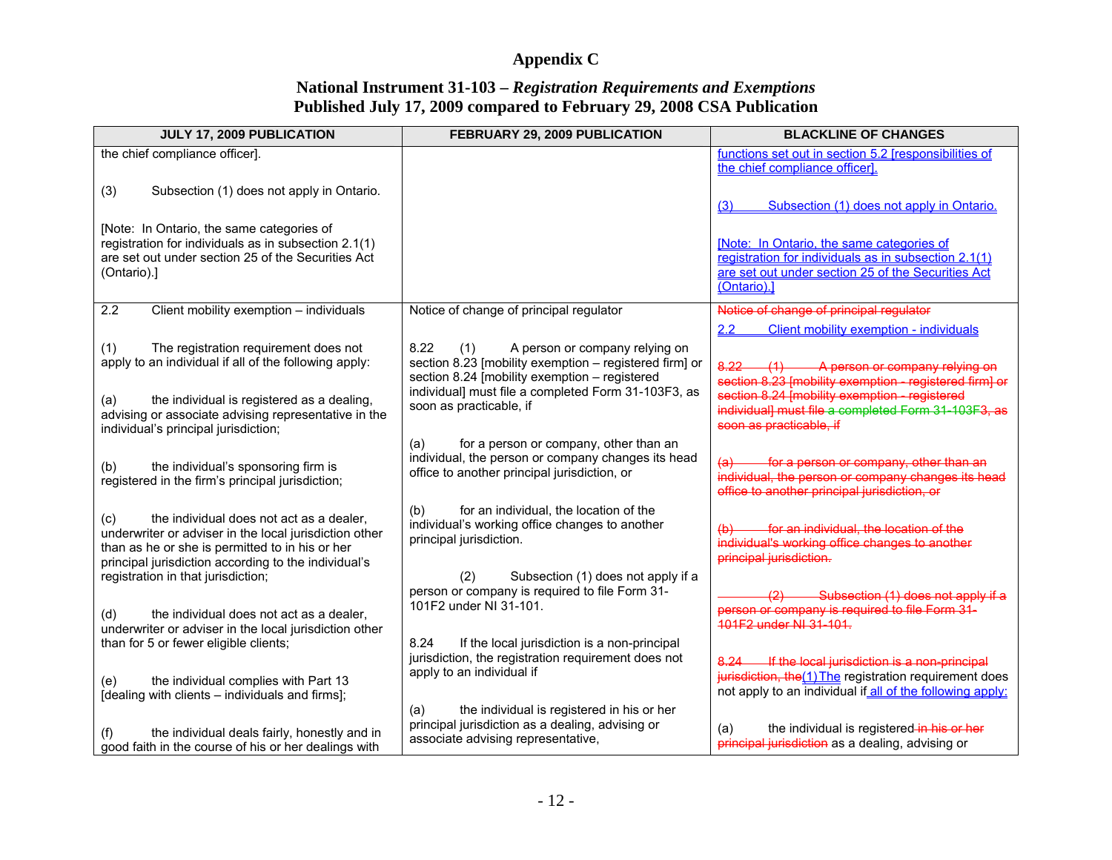| JULY 17, 2009 PUBLICATION                                                                                                                                                                                            | <b>FEBRUARY 29, 2009 PUBLICATION</b>                                                                                                                     | <b>BLACKLINE OF CHANGES</b>                                                                                                                                                 |
|----------------------------------------------------------------------------------------------------------------------------------------------------------------------------------------------------------------------|----------------------------------------------------------------------------------------------------------------------------------------------------------|-----------------------------------------------------------------------------------------------------------------------------------------------------------------------------|
| the chief compliance officer].                                                                                                                                                                                       |                                                                                                                                                          | functions set out in section 5.2 [responsibilities of<br>the chief compliance officer].                                                                                     |
| (3)<br>Subsection (1) does not apply in Ontario.                                                                                                                                                                     |                                                                                                                                                          | Subsection (1) does not apply in Ontario.<br>(3)                                                                                                                            |
| [Note: In Ontario, the same categories of<br>registration for individuals as in subsection 2.1(1)<br>are set out under section 25 of the Securities Act<br>(Ontario).]                                               |                                                                                                                                                          | [Note: In Ontario, the same categories of<br>registration for individuals as in subsection 2.1(1)<br>are set out under section 25 of the Securities Act<br>(Ontario).]      |
| Client mobility exemption - individuals<br>2.2                                                                                                                                                                       | Notice of change of principal regulator                                                                                                                  | Notice of change of principal regulator<br>2.2<br>Client mobility exemption - individuals                                                                                   |
| The registration requirement does not<br>(1)<br>apply to an individual if all of the following apply:                                                                                                                | 8.22<br>(1)<br>A person or company relying on<br>section 8.23 [mobility exemption - registered firm] or<br>section 8.24 [mobility exemption - registered | 8.22<br>- A person or company relying on<br>$\leftrightarrow$<br>section 8.23 [mobility exemption - registered firm] or                                                     |
| the individual is registered as a dealing,<br>(a)<br>advising or associate advising representative in the<br>individual's principal jurisdiction;                                                                    | individual] must file a completed Form 31-103F3, as<br>soon as practicable, if                                                                           | section 8.24 mobility exemption registered<br>individual] must file a completed Form 31-103F3, as<br>soon as practicable, if                                                |
| the individual's sponsoring firm is<br>(b)<br>registered in the firm's principal jurisdiction;                                                                                                                       | for a person or company, other than an<br>(a)<br>individual, the person or company changes its head<br>office to another principal jurisdiction, or      | for a person or company, other than an<br><del>(a)</del><br>individual, the person or company changes its head<br>office to another principal jurisdiction, or              |
| the individual does not act as a dealer,<br>(c)<br>underwriter or adviser in the local jurisdiction other<br>than as he or she is permitted to in his or her<br>principal jurisdiction according to the individual's | for an individual, the location of the<br>(b)<br>individual's working office changes to another<br>principal jurisdiction.                               | for an individual, the location of the<br>(b)<br>individual's working office changes to another<br>principal jurisdiction.                                                  |
| registration in that jurisdiction;<br>the individual does not act as a dealer,<br>(d)<br>underwriter or adviser in the local jurisdiction other                                                                      | Subsection (1) does not apply if a<br>(2)<br>person or company is required to file Form 31-<br>101F2 under NI 31-101.                                    | Subsection (1) does not apply if a<br>person or company is required to file Form 31-<br>101F2 under NI 31-101.                                                              |
| than for 5 or fewer eligible clients;<br>the individual complies with Part 13<br>(e)<br>[dealing with clients - individuals and firms];                                                                              | 8.24<br>If the local jurisdiction is a non-principal<br>jurisdiction, the registration requirement does not<br>apply to an individual if                 | 8.24<br>If the local jurisdiction is a non-principal<br>jurisdiction, the(1) The registration requirement does<br>not apply to an individual if all of the following apply: |
| the individual deals fairly, honestly and in<br>(f)<br>good faith in the course of his or her dealings with                                                                                                          | the individual is registered in his or her<br>(a)<br>principal jurisdiction as a dealing, advising or<br>associate advising representative,              | the individual is registered in his or her<br>(a)<br>principal jurisdiction as a dealing, advising or                                                                       |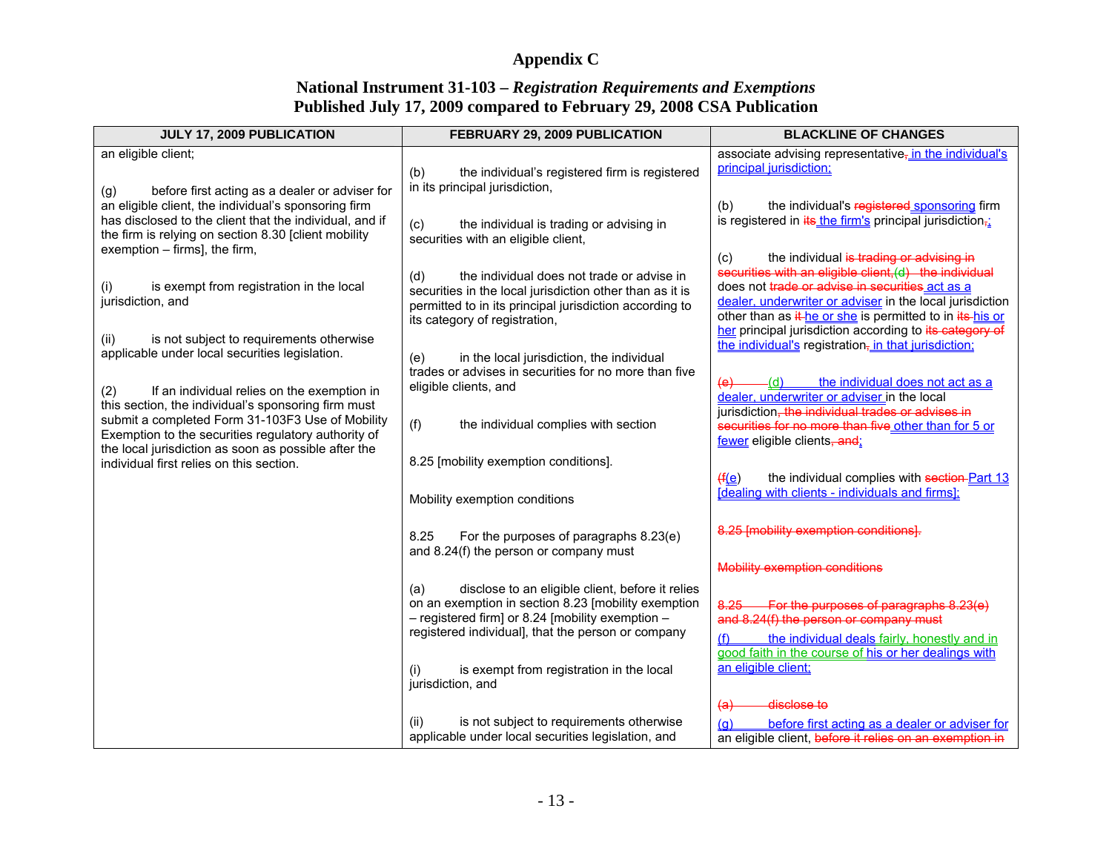| JULY 17, 2009 PUBLICATION                                                                                                                                                                                                                                         | <b>FEBRUARY 29, 2009 PUBLICATION</b>                                                                                                                                                                                     | <b>BLACKLINE OF CHANGES</b>                                                                                                                                                                                                                                                                                                                     |
|-------------------------------------------------------------------------------------------------------------------------------------------------------------------------------------------------------------------------------------------------------------------|--------------------------------------------------------------------------------------------------------------------------------------------------------------------------------------------------------------------------|-------------------------------------------------------------------------------------------------------------------------------------------------------------------------------------------------------------------------------------------------------------------------------------------------------------------------------------------------|
| an eligible client;                                                                                                                                                                                                                                               | the individual's registered firm is registered<br>(b)<br>in its principal jurisdiction,                                                                                                                                  | associate advising representative <sub>z</sub> in the individual's<br>principal jurisdiction;                                                                                                                                                                                                                                                   |
| before first acting as a dealer or adviser for<br>(g)<br>an eligible client, the individual's sponsoring firm<br>has disclosed to the client that the individual, and if<br>the firm is relying on section 8.30 [client mobility<br>exemption - firms], the firm, | the individual is trading or advising in<br>(c)<br>securities with an eligible client,                                                                                                                                   | (b)<br>the individual's registered sponsoring firm<br>is registered in $\frac{1}{15}$ the firm's principal jurisdiction <sub>7</sub> .                                                                                                                                                                                                          |
| is exempt from registration in the local<br>(i)<br>jurisdiction, and<br>is not subject to requirements otherwise                                                                                                                                                  | the individual does not trade or advise in<br>(d)<br>securities in the local jurisdiction other than as it is<br>permitted to in its principal jurisdiction according to<br>its category of registration,                | the individual is trading or advising in<br>(c)<br>securities with an eligible client. (d) the individual<br>does not trade or advise in securities act as a<br>dealer, underwriter or adviser in the local jurisdiction<br>other than as it he or she is permitted to in its his or<br>her principal jurisdiction according to its category of |
| (ii)<br>applicable under local securities legislation.<br>If an individual relies on the exemption in<br>(2)                                                                                                                                                      | in the local jurisdiction, the individual<br>(e)<br>trades or advises in securities for no more than five<br>eligible clients, and                                                                                       | the individual's registration, in that jurisdiction;<br>the individual does not act as a<br><u>-(d) </u><br>dealer, underwriter or adviser in the local                                                                                                                                                                                         |
| this section, the individual's sponsoring firm must<br>submit a completed Form 31-103F3 Use of Mobility<br>Exemption to the securities regulatory authority of<br>the local jurisdiction as soon as possible after the                                            | (f)<br>the individual complies with section                                                                                                                                                                              | jurisdiction, the individual trades or advises in<br>securities for no more than five other than for 5 or<br>fewer eligible clients, and;                                                                                                                                                                                                       |
| individual first relies on this section.                                                                                                                                                                                                                          | 8.25 [mobility exemption conditions].<br>Mobility exemption conditions                                                                                                                                                   | the individual complies with section-Part 13<br>(f(e))<br>[dealing with clients - individuals and firms];                                                                                                                                                                                                                                       |
|                                                                                                                                                                                                                                                                   | 8.25<br>For the purposes of paragraphs 8.23(e)<br>and 8.24(f) the person or company must                                                                                                                                 | 8.25 [mobility exemption conditions].                                                                                                                                                                                                                                                                                                           |
|                                                                                                                                                                                                                                                                   |                                                                                                                                                                                                                          | Mobility exemption conditions                                                                                                                                                                                                                                                                                                                   |
|                                                                                                                                                                                                                                                                   | disclose to an eligible client, before it relies<br>(a)<br>on an exemption in section 8.23 [mobility exemption<br>- registered firm] or 8.24 [mobility exemption -<br>registered individual], that the person or company | 8.25 For the purposes of paragraphs 8.23(e)<br>and 8.24(f) the person or company must<br>the individual deals fairly, honestly and in<br>(f)<br>good faith in the course of his or her dealings with                                                                                                                                            |
|                                                                                                                                                                                                                                                                   | is exempt from registration in the local<br>(i)<br>jurisdiction, and                                                                                                                                                     | an eligible client:                                                                                                                                                                                                                                                                                                                             |
|                                                                                                                                                                                                                                                                   | is not subject to requirements otherwise<br>(ii)<br>applicable under local securities legislation, and                                                                                                                   | disclose to<br>$\left( a\right)$<br>before first acting as a dealer or adviser for<br>(a)<br>an eligible client, before it relies on an exemption in                                                                                                                                                                                            |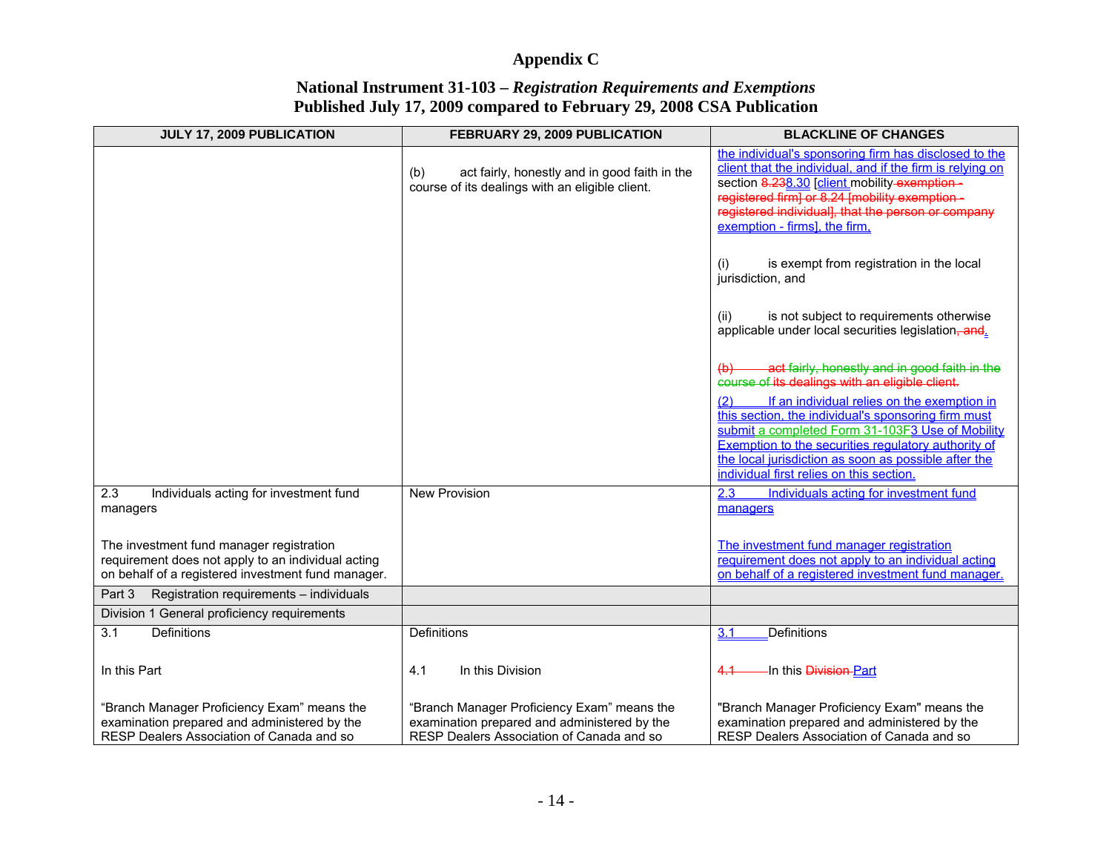| JULY 17, 2009 PUBLICATION                                                                                                                            | <b>FEBRUARY 29, 2009 PUBLICATION</b>                                                                                                     | <b>BLACKLINE OF CHANGES</b>                                                                                                                                                                                                                                                                                              |
|------------------------------------------------------------------------------------------------------------------------------------------------------|------------------------------------------------------------------------------------------------------------------------------------------|--------------------------------------------------------------------------------------------------------------------------------------------------------------------------------------------------------------------------------------------------------------------------------------------------------------------------|
|                                                                                                                                                      | act fairly, honestly and in good faith in the<br>(b)<br>course of its dealings with an eligible client.                                  | the individual's sponsoring firm has disclosed to the<br>client that the individual, and if the firm is relying on<br>section 8.238.30 [client mobility-exemption-<br>registered firm] or 8.24 [mobility exemption -<br>registered individual], that the person or company<br>exemption - firms], the firm,              |
|                                                                                                                                                      |                                                                                                                                          | is exempt from registration in the local<br>(i)<br>jurisdiction, and                                                                                                                                                                                                                                                     |
|                                                                                                                                                      |                                                                                                                                          | is not subject to requirements otherwise<br>(ii)<br>applicable under local securities legislation, and                                                                                                                                                                                                                   |
|                                                                                                                                                      |                                                                                                                                          | act fairly, honestly and in good faith in the<br>course of its dealings with an eligible client.                                                                                                                                                                                                                         |
|                                                                                                                                                      |                                                                                                                                          | If an individual relies on the exemption in<br>this section, the individual's sponsoring firm must<br>submit a completed Form 31-103F3 Use of Mobility<br><b>Exemption to the securities regulatory authority of</b><br>the local jurisdiction as soon as possible after the<br>individual first relies on this section. |
| 2.3<br>Individuals acting for investment fund<br>managers                                                                                            | <b>New Provision</b>                                                                                                                     | 2.3<br>Individuals acting for investment fund<br>managers                                                                                                                                                                                                                                                                |
| The investment fund manager registration<br>requirement does not apply to an individual acting<br>on behalf of a registered investment fund manager. |                                                                                                                                          | The investment fund manager registration<br>requirement does not apply to an individual acting<br>on behalf of a registered investment fund manager.                                                                                                                                                                     |
| Part 3<br>Registration requirements - individuals                                                                                                    |                                                                                                                                          |                                                                                                                                                                                                                                                                                                                          |
| Division 1 General proficiency requirements                                                                                                          |                                                                                                                                          |                                                                                                                                                                                                                                                                                                                          |
| Definitions<br>3.1                                                                                                                                   | Definitions                                                                                                                              | 3.1<br>Definitions                                                                                                                                                                                                                                                                                                       |
| In this Part                                                                                                                                         | In this Division<br>4.1                                                                                                                  | In this Division Part<br>4.1                                                                                                                                                                                                                                                                                             |
| "Branch Manager Proficiency Exam" means the<br>examination prepared and administered by the<br>RESP Dealers Association of Canada and so             | "Branch Manager Proficiency Exam" means the<br>examination prepared and administered by the<br>RESP Dealers Association of Canada and so | "Branch Manager Proficiency Exam" means the<br>examination prepared and administered by the<br>RESP Dealers Association of Canada and so                                                                                                                                                                                 |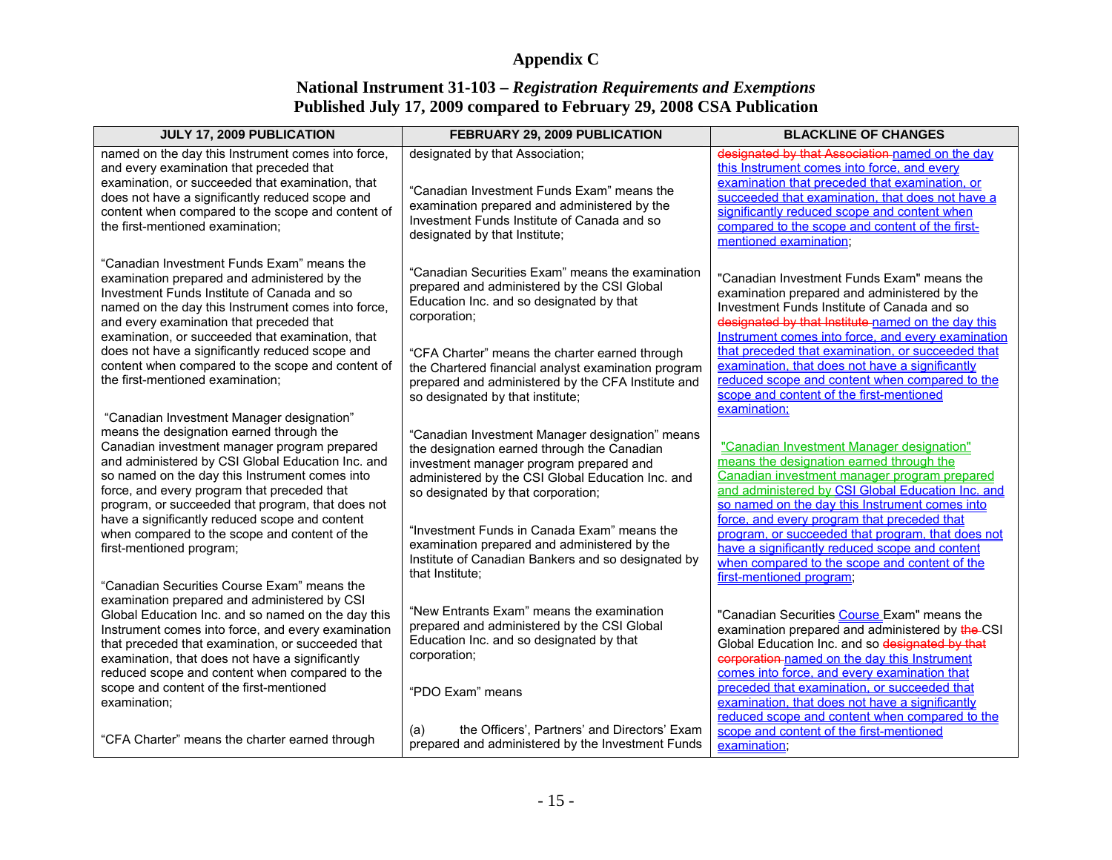| JULY 17, 2009 PUBLICATION                                                                                                                                                                                                                                                                                                                                                                          | FEBRUARY 29, 2009 PUBLICATION                                                                                                                                                                                                        | <b>BLACKLINE OF CHANGES</b>                                                                                                                                                                                                                                                                                                       |
|----------------------------------------------------------------------------------------------------------------------------------------------------------------------------------------------------------------------------------------------------------------------------------------------------------------------------------------------------------------------------------------------------|--------------------------------------------------------------------------------------------------------------------------------------------------------------------------------------------------------------------------------------|-----------------------------------------------------------------------------------------------------------------------------------------------------------------------------------------------------------------------------------------------------------------------------------------------------------------------------------|
| named on the day this Instrument comes into force,<br>and every examination that preceded that<br>examination, or succeeded that examination, that<br>does not have a significantly reduced scope and<br>content when compared to the scope and content of<br>the first-mentioned examination;                                                                                                     | designated by that Association;<br>"Canadian Investment Funds Exam" means the<br>examination prepared and administered by the<br>Investment Funds Institute of Canada and so<br>designated by that Institute;                        | designated by that Association named on the day<br>this Instrument comes into force, and every<br>examination that preceded that examination, or<br>succeeded that examination, that does not have a<br>significantly reduced scope and content when<br>compared to the scope and content of the first-<br>mentioned examination: |
| "Canadian Investment Funds Exam" means the<br>examination prepared and administered by the<br>Investment Funds Institute of Canada and so<br>named on the day this Instrument comes into force,<br>and every examination that preceded that<br>examination, or succeeded that examination, that                                                                                                    | "Canadian Securities Exam" means the examination<br>prepared and administered by the CSI Global<br>Education Inc. and so designated by that<br>corporation;                                                                          | "Canadian Investment Funds Exam" means the<br>examination prepared and administered by the<br>Investment Funds Institute of Canada and so<br>designated by that Institute named on the day this<br>Instrument comes into force, and every examination                                                                             |
| does not have a significantly reduced scope and<br>content when compared to the scope and content of<br>the first-mentioned examination;                                                                                                                                                                                                                                                           | "CFA Charter" means the charter earned through<br>the Chartered financial analyst examination program<br>prepared and administered by the CFA Institute and<br>so designated by that institute;                                      | that preceded that examination, or succeeded that<br>examination, that does not have a significantly<br>reduced scope and content when compared to the<br>scope and content of the first-mentioned<br>examination:                                                                                                                |
| "Canadian Investment Manager designation"<br>means the designation earned through the<br>Canadian investment manager program prepared<br>and administered by CSI Global Education Inc. and<br>so named on the day this Instrument comes into<br>force, and every program that preceded that<br>program, or succeeded that program, that does not<br>have a significantly reduced scope and content | "Canadian Investment Manager designation" means<br>the designation earned through the Canadian<br>investment manager program prepared and<br>administered by the CSI Global Education Inc. and<br>so designated by that corporation; | "Canadian Investment Manager designation"<br>means the designation earned through the<br>Canadian investment manager program prepared<br>and administered by CSI Global Education Inc. and<br>so named on the day this Instrument comes into<br>force, and every program that preceded that                                       |
| when compared to the scope and content of the<br>first-mentioned program;<br>"Canadian Securities Course Exam" means the                                                                                                                                                                                                                                                                           | "Investment Funds in Canada Exam" means the<br>examination prepared and administered by the<br>Institute of Canadian Bankers and so designated by<br>that Institute:                                                                 | program, or succeeded that program, that does not<br>have a significantly reduced scope and content<br>when compared to the scope and content of the<br>first-mentioned program;                                                                                                                                                  |
| examination prepared and administered by CSI<br>Global Education Inc. and so named on the day this<br>Instrument comes into force, and every examination<br>that preceded that examination, or succeeded that<br>examination, that does not have a significantly<br>reduced scope and content when compared to the<br>scope and content of the first-mentioned                                     | "New Entrants Exam" means the examination<br>prepared and administered by the CSI Global<br>Education Inc. and so designated by that<br>corporation;<br>"PDO Exam" means                                                             | "Canadian Securities Course Exam" means the<br>examination prepared and administered by the-CSI<br>Global Education Inc. and so designated by that<br>corporation-named on the day this Instrument<br>comes into force, and every examination that<br>preceded that examination, or succeeded that                                |
| examination;<br>"CFA Charter" means the charter earned through                                                                                                                                                                                                                                                                                                                                     | the Officers', Partners' and Directors' Exam<br>(a)<br>prepared and administered by the Investment Funds                                                                                                                             | examination, that does not have a significantly<br>reduced scope and content when compared to the<br>scope and content of the first-mentioned<br>examination;                                                                                                                                                                     |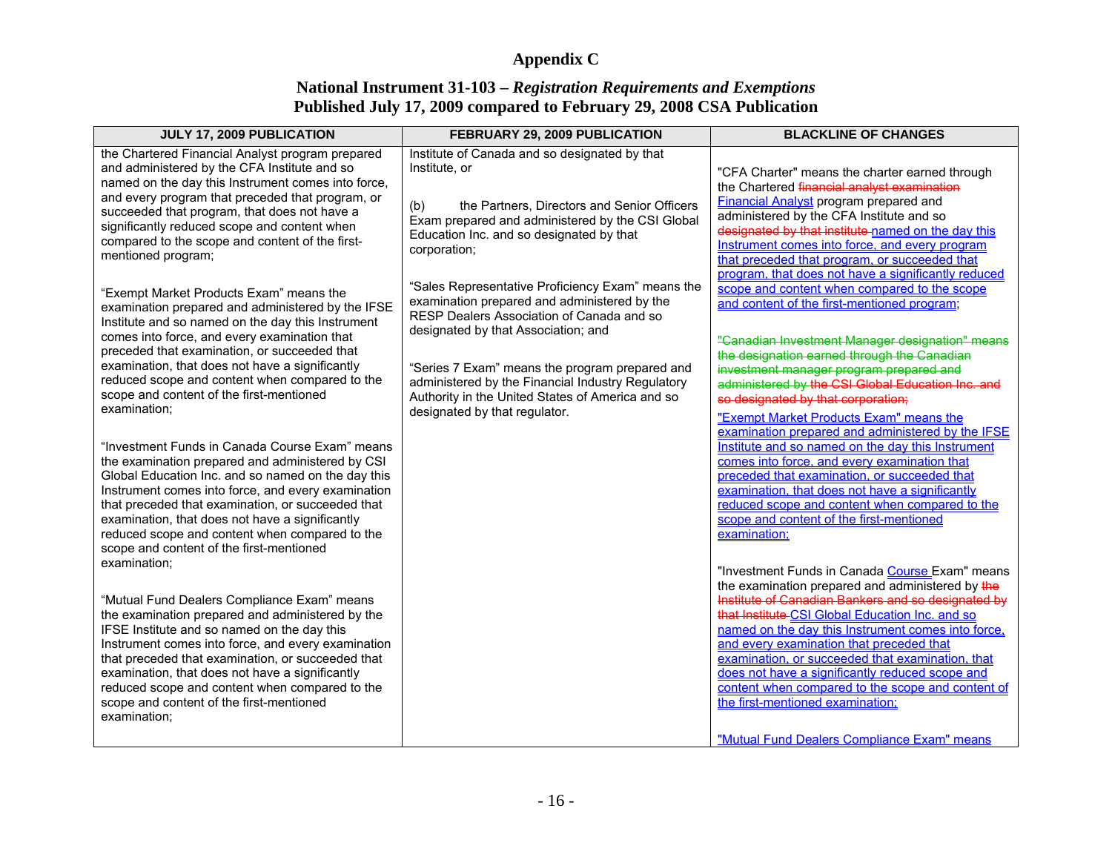| JULY 17, 2009 PUBLICATION                                                                                                                                                                                                                                                                                                                                                                                                            | FEBRUARY 29, 2009 PUBLICATION                                                                                                                                                                                                                                                                                                                                                     | <b>BLACKLINE OF CHANGES</b>                                                                                                                                                                                                                                                                                                                                                                                                                                                                |
|--------------------------------------------------------------------------------------------------------------------------------------------------------------------------------------------------------------------------------------------------------------------------------------------------------------------------------------------------------------------------------------------------------------------------------------|-----------------------------------------------------------------------------------------------------------------------------------------------------------------------------------------------------------------------------------------------------------------------------------------------------------------------------------------------------------------------------------|--------------------------------------------------------------------------------------------------------------------------------------------------------------------------------------------------------------------------------------------------------------------------------------------------------------------------------------------------------------------------------------------------------------------------------------------------------------------------------------------|
| the Chartered Financial Analyst program prepared<br>and administered by the CFA Institute and so<br>named on the day this Instrument comes into force,<br>and every program that preceded that program, or<br>succeeded that program, that does not have a<br>significantly reduced scope and content when<br>compared to the scope and content of the first-<br>mentioned program;                                                  | Institute of Canada and so designated by that<br>Institute, or<br>the Partners, Directors and Senior Officers<br>(b)<br>Exam prepared and administered by the CSI Global<br>Education Inc. and so designated by that<br>corporation;                                                                                                                                              | "CFA Charter" means the charter earned through<br>the Chartered financial analyst examination<br><b>Financial Analyst program prepared and</b><br>administered by the CFA Institute and so<br>designated by that institute named on the day this<br>Instrument comes into force, and every program<br>that preceded that program, or succeeded that                                                                                                                                        |
| "Exempt Market Products Exam" means the<br>examination prepared and administered by the IFSE<br>Institute and so named on the day this Instrument<br>comes into force, and every examination that<br>preceded that examination, or succeeded that<br>examination, that does not have a significantly<br>reduced scope and content when compared to the<br>scope and content of the first-mentioned<br>examination;                   | "Sales Representative Proficiency Exam" means the<br>examination prepared and administered by the<br>RESP Dealers Association of Canada and so<br>designated by that Association; and<br>"Series 7 Exam" means the program prepared and<br>administered by the Financial Industry Regulatory<br>Authority in the United States of America and so<br>designated by that regulator. | program, that does not have a significantly reduced<br>scope and content when compared to the scope<br>and content of the first-mentioned program;<br>"Canadian Investment Manager designation" means<br>the designation earned through the Canadian<br>investment manager program prepared and<br>administered by the CSI Global Education Inc. and<br>so designated by that corporation;<br>"Exempt Market Products Exam" means the<br>examination prepared and administered by the IFSE |
| "Investment Funds in Canada Course Exam" means<br>the examination prepared and administered by CSI<br>Global Education Inc. and so named on the day this<br>Instrument comes into force, and every examination<br>that preceded that examination, or succeeded that<br>examination, that does not have a significantly<br>reduced scope and content when compared to the<br>scope and content of the first-mentioned<br>examination; |                                                                                                                                                                                                                                                                                                                                                                                   | Institute and so named on the day this Instrument<br>comes into force, and every examination that<br>preceded that examination, or succeeded that<br>examination, that does not have a significantly<br>reduced scope and content when compared to the<br>scope and content of the first-mentioned<br>examination;<br>"Investment Funds in Canada Course Exam" means<br>the examination prepared and administered by the                                                                   |
| "Mutual Fund Dealers Compliance Exam" means<br>the examination prepared and administered by the<br>IFSE Institute and so named on the day this<br>Instrument comes into force, and every examination<br>that preceded that examination, or succeeded that<br>examination, that does not have a significantly<br>reduced scope and content when compared to the<br>scope and content of the first-mentioned<br>examination;           |                                                                                                                                                                                                                                                                                                                                                                                   | Institute of Canadian Bankers and so designated by<br>that Institute CSI Global Education Inc. and so<br>named on the day this Instrument comes into force,<br>and every examination that preceded that<br>examination, or succeeded that examination, that<br>does not have a significantly reduced scope and<br>content when compared to the scope and content of<br>the first-mentioned examination;<br>"Mutual Fund Dealers Compliance Exam" means                                     |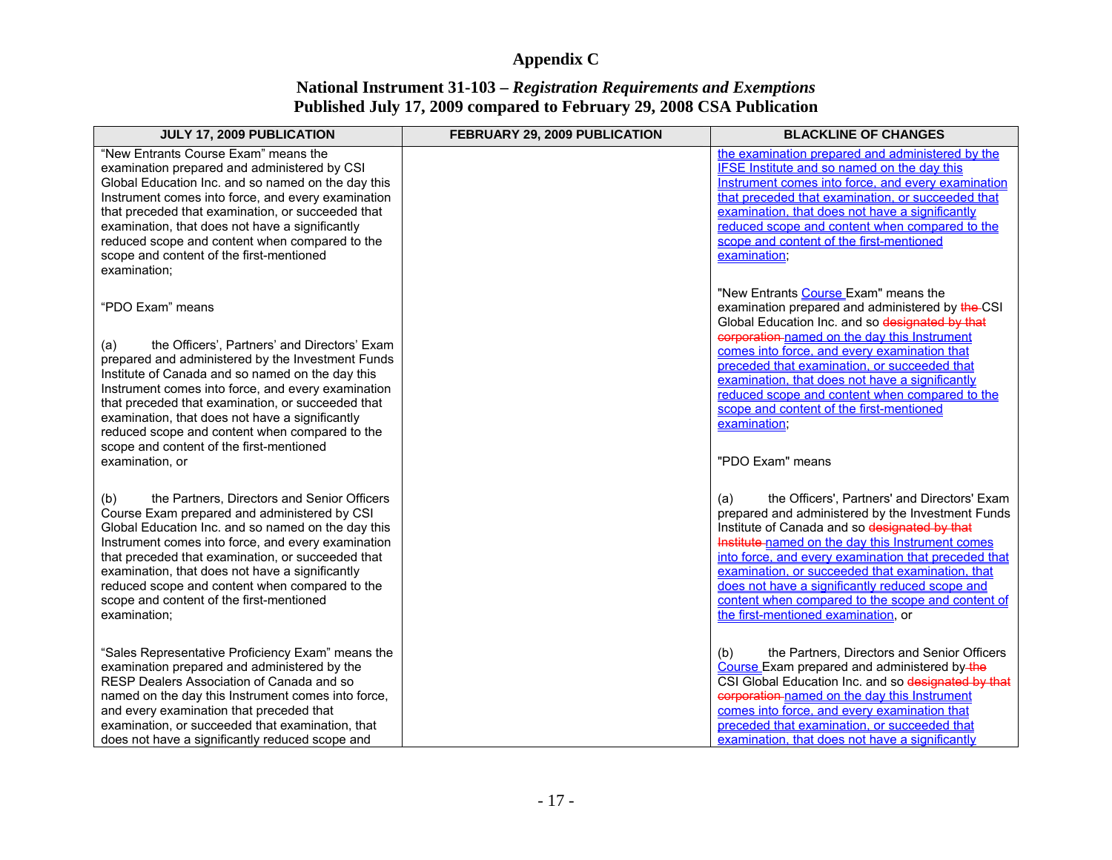| JULY 17, 2009 PUBLICATION                                                                                                                                                                                                                                                                                                                                                                                                            | <b>FEBRUARY 29, 2009 PUBLICATION</b> | <b>BLACKLINE OF CHANGES</b>                                                                                                                                                                                                                                                                                                                                                                                                                                              |
|--------------------------------------------------------------------------------------------------------------------------------------------------------------------------------------------------------------------------------------------------------------------------------------------------------------------------------------------------------------------------------------------------------------------------------------|--------------------------------------|--------------------------------------------------------------------------------------------------------------------------------------------------------------------------------------------------------------------------------------------------------------------------------------------------------------------------------------------------------------------------------------------------------------------------------------------------------------------------|
| "New Entrants Course Exam" means the<br>examination prepared and administered by CSI<br>Global Education Inc. and so named on the day this<br>Instrument comes into force, and every examination<br>that preceded that examination, or succeeded that<br>examination, that does not have a significantly<br>reduced scope and content when compared to the<br>scope and content of the first-mentioned<br>examination;               |                                      | the examination prepared and administered by the<br><b>IFSE Institute and so named on the day this</b><br>Instrument comes into force, and every examination<br>that preceded that examination, or succeeded that<br>examination, that does not have a significantly<br>reduced scope and content when compared to the<br>scope and content of the first-mentioned<br>examination;                                                                                       |
| "PDO Exam" means<br>the Officers', Partners' and Directors' Exam<br>(a)<br>prepared and administered by the Investment Funds                                                                                                                                                                                                                                                                                                         |                                      | "New Entrants Course Exam" means the<br>examination prepared and administered by the CSI<br>Global Education Inc. and so designated by that<br>corporation-named on the day this Instrument<br>comes into force, and every examination that<br>preceded that examination, or succeeded that                                                                                                                                                                              |
| Institute of Canada and so named on the day this<br>Instrument comes into force, and every examination<br>that preceded that examination, or succeeded that<br>examination, that does not have a significantly<br>reduced scope and content when compared to the<br>scope and content of the first-mentioned<br>examination, or                                                                                                      |                                      | examination, that does not have a significantly<br>reduced scope and content when compared to the<br>scope and content of the first-mentioned<br>examination;<br>"PDO Exam" means                                                                                                                                                                                                                                                                                        |
| the Partners, Directors and Senior Officers<br>(b)<br>Course Exam prepared and administered by CSI<br>Global Education Inc. and so named on the day this<br>Instrument comes into force, and every examination<br>that preceded that examination, or succeeded that<br>examination, that does not have a significantly<br>reduced scope and content when compared to the<br>scope and content of the first-mentioned<br>examination; |                                      | the Officers', Partners' and Directors' Exam<br>(a)<br>prepared and administered by the Investment Funds<br>Institute of Canada and so designated by that<br>Institute-named on the day this Instrument comes<br>into force, and every examination that preceded that<br>examination, or succeeded that examination, that<br>does not have a significantly reduced scope and<br>content when compared to the scope and content of<br>the first-mentioned examination, or |
| "Sales Representative Proficiency Exam" means the<br>examination prepared and administered by the<br>RESP Dealers Association of Canada and so<br>named on the day this Instrument comes into force,<br>and every examination that preceded that<br>examination, or succeeded that examination, that<br>does not have a significantly reduced scope and                                                                              |                                      | the Partners, Directors and Senior Officers<br>(b)<br>Course Exam prepared and administered by-the<br>CSI Global Education Inc. and so designated by that<br>corporation-named on the day this Instrument<br>comes into force, and every examination that<br>preceded that examination, or succeeded that<br>examination, that does not have a significantly                                                                                                             |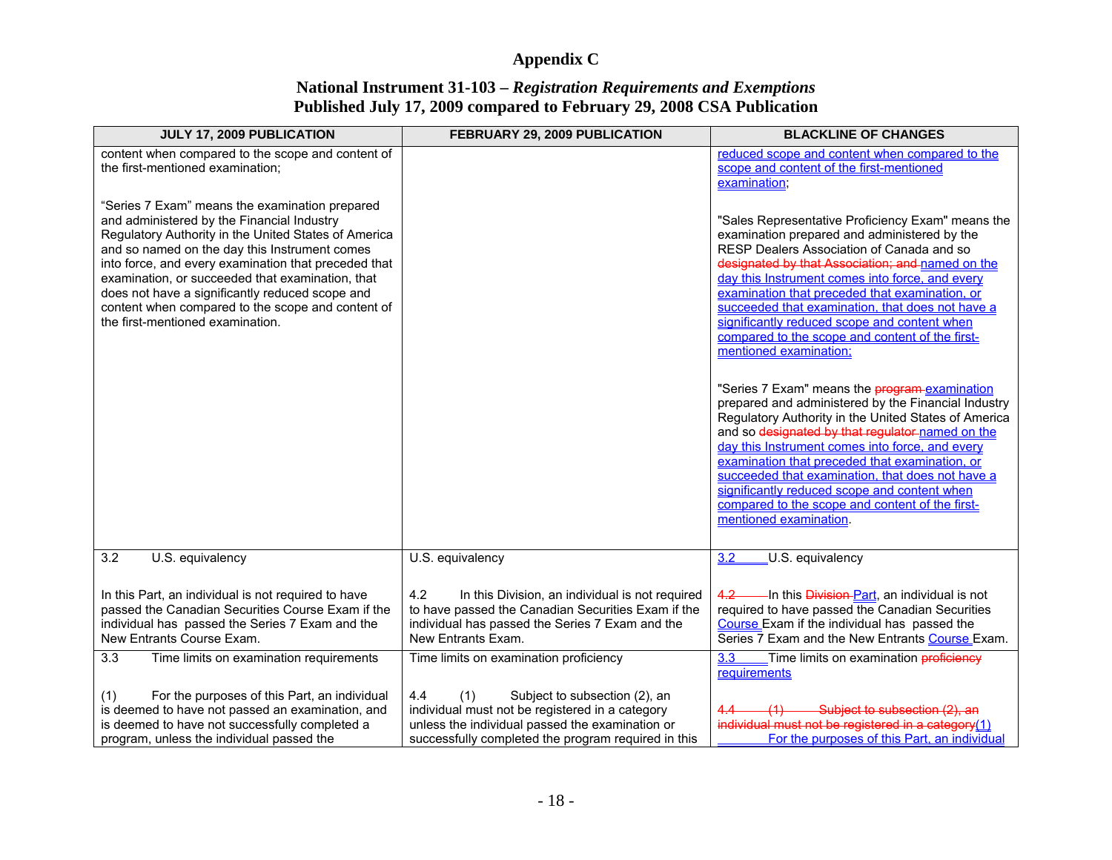| JULY 17, 2009 PUBLICATION                                                                                                                                                                                                                                                                                                                                                                                                                                     | <b>FEBRUARY 29, 2009 PUBLICATION</b>                                                                                                                                                                                                               | <b>BLACKLINE OF CHANGES</b>                                                                                                                                                                                                                                                                                                                                                                                                                                                                            |
|---------------------------------------------------------------------------------------------------------------------------------------------------------------------------------------------------------------------------------------------------------------------------------------------------------------------------------------------------------------------------------------------------------------------------------------------------------------|----------------------------------------------------------------------------------------------------------------------------------------------------------------------------------------------------------------------------------------------------|--------------------------------------------------------------------------------------------------------------------------------------------------------------------------------------------------------------------------------------------------------------------------------------------------------------------------------------------------------------------------------------------------------------------------------------------------------------------------------------------------------|
| content when compared to the scope and content of<br>the first-mentioned examination;                                                                                                                                                                                                                                                                                                                                                                         |                                                                                                                                                                                                                                                    | reduced scope and content when compared to the<br>scope and content of the first-mentioned<br>examination;                                                                                                                                                                                                                                                                                                                                                                                             |
| "Series 7 Exam" means the examination prepared<br>and administered by the Financial Industry<br>Regulatory Authority in the United States of America<br>and so named on the day this Instrument comes<br>into force, and every examination that preceded that<br>examination, or succeeded that examination, that<br>does not have a significantly reduced scope and<br>content when compared to the scope and content of<br>the first-mentioned examination. |                                                                                                                                                                                                                                                    | "Sales Representative Proficiency Exam" means the<br>examination prepared and administered by the<br>RESP Dealers Association of Canada and so<br>designated by that Association; and named on the<br>day this Instrument comes into force, and every<br>examination that preceded that examination, or<br>succeeded that examination, that does not have a<br>significantly reduced scope and content when<br>compared to the scope and content of the first-<br>mentioned examination;               |
|                                                                                                                                                                                                                                                                                                                                                                                                                                                               |                                                                                                                                                                                                                                                    | "Series 7 Exam" means the program-examination<br>prepared and administered by the Financial Industry<br>Regulatory Authority in the United States of America<br>and so designated by that regulator named on the<br>day this Instrument comes into force, and every<br>examination that preceded that examination, or<br>succeeded that examination, that does not have a<br>significantly reduced scope and content when<br>compared to the scope and content of the first-<br>mentioned examination. |
| U.S. equivalency<br>3.2<br>In this Part, an individual is not required to have<br>passed the Canadian Securities Course Exam if the<br>individual has passed the Series 7 Exam and the<br>New Entrants Course Exam.                                                                                                                                                                                                                                           | U.S. equivalency<br>4.2<br>In this Division, an individual is not required<br>to have passed the Canadian Securities Exam if the<br>individual has passed the Series 7 Exam and the<br>New Entrants Exam.                                          | <b>U.S. equivalency</b><br>3.2<br>4.2 - In this Division-Part, an individual is not<br>required to have passed the Canadian Securities<br>Course Exam if the individual has passed the<br>Series 7 Exam and the New Entrants Course Exam.                                                                                                                                                                                                                                                              |
| 3.3<br>Time limits on examination requirements<br>For the purposes of this Part, an individual<br>(1)<br>is deemed to have not passed an examination, and<br>is deemed to have not successfully completed a<br>program, unless the individual passed the                                                                                                                                                                                                      | Time limits on examination proficiency<br>4.4<br>(1)<br>Subject to subsection (2), an<br>individual must not be registered in a category<br>unless the individual passed the examination or<br>successfully completed the program required in this | 3.3<br>Time limits on examination <b>proficiency</b><br>requirements<br>Subject to subsection (2), an<br>(1)<br>individual must not be registered in a category(1)<br>For the purposes of this Part, an individual                                                                                                                                                                                                                                                                                     |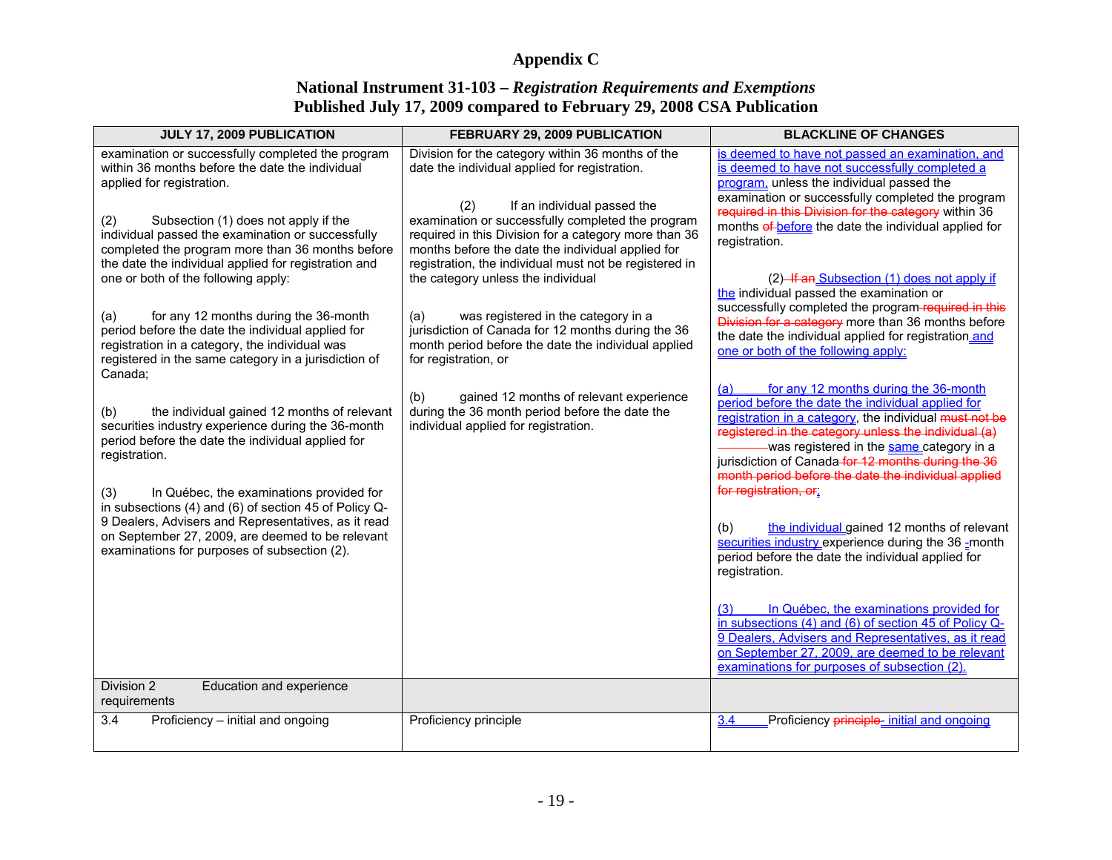| JULY 17, 2009 PUBLICATION                                                                                                                                                                                              | <b>FEBRUARY 29, 2009 PUBLICATION</b>                                                                                                                                                                  | <b>BLACKLINE OF CHANGES</b>                                                                                                                                                                                                                                                                                                                                                   |
|------------------------------------------------------------------------------------------------------------------------------------------------------------------------------------------------------------------------|-------------------------------------------------------------------------------------------------------------------------------------------------------------------------------------------------------|-------------------------------------------------------------------------------------------------------------------------------------------------------------------------------------------------------------------------------------------------------------------------------------------------------------------------------------------------------------------------------|
| examination or successfully completed the program<br>within 36 months before the date the individual<br>applied for registration.                                                                                      | Division for the category within 36 months of the<br>date the individual applied for registration.                                                                                                    | is deemed to have not passed an examination, and<br>is deemed to have not successfully completed a<br>program, unless the individual passed the<br>examination or successfully completed the program                                                                                                                                                                          |
| Subsection (1) does not apply if the<br>(2)<br>individual passed the examination or successfully<br>completed the program more than 36 months before                                                                   | If an individual passed the<br>(2)<br>examination or successfully completed the program<br>required in this Division for a category more than 36<br>months before the date the individual applied for | required in this Division for the category within 36<br>months of before the date the individual applied for<br>registration.                                                                                                                                                                                                                                                 |
| the date the individual applied for registration and<br>one or both of the following apply:                                                                                                                            | registration, the individual must not be registered in<br>the category unless the individual                                                                                                          | (2) If an Subsection (1) does not apply if<br>the individual passed the examination or<br>successfully completed the program-required in this                                                                                                                                                                                                                                 |
| for any 12 months during the 36-month<br>(a)<br>period before the date the individual applied for<br>registration in a category, the individual was<br>registered in the same category in a jurisdiction of<br>Canada; | was registered in the category in a<br>(a)<br>jurisdiction of Canada for 12 months during the 36<br>month period before the date the individual applied<br>for registration, or                       | Division for a category more than 36 months before<br>the date the individual applied for registration and<br>one or both of the following apply:                                                                                                                                                                                                                             |
| the individual gained 12 months of relevant<br>(b)<br>securities industry experience during the 36-month<br>period before the date the individual applied for<br>registration.                                         | gained 12 months of relevant experience<br>(b)<br>during the 36 month period before the date the<br>individual applied for registration.                                                              | for any 12 months during the 36-month<br>(a)<br>period before the date the individual applied for<br>registration in a category, the individual must not be<br>registered in the category unless the individual (a)<br>-was registered in the same category in a<br>jurisdiction of Canada for 12 months during the 36<br>month period before the date the individual applied |
| In Québec, the examinations provided for<br>(3)<br>in subsections (4) and (6) of section 45 of Policy Q-                                                                                                               |                                                                                                                                                                                                       | for registration, or:                                                                                                                                                                                                                                                                                                                                                         |
| 9 Dealers, Advisers and Representatives, as it read<br>on September 27, 2009, are deemed to be relevant<br>examinations for purposes of subsection (2).                                                                |                                                                                                                                                                                                       | the individual gained 12 months of relevant<br>(b)<br>securities industry experience during the 36 -month<br>period before the date the individual applied for<br>registration.                                                                                                                                                                                               |
|                                                                                                                                                                                                                        |                                                                                                                                                                                                       | In Québec, the examinations provided for<br>(3)<br>in subsections (4) and (6) of section 45 of Policy Q-<br>9 Dealers, Advisers and Representatives, as it read<br>on September 27, 2009, are deemed to be relevant<br>examinations for purposes of subsection (2).                                                                                                           |
| Division 2<br>Education and experience<br>requirements                                                                                                                                                                 |                                                                                                                                                                                                       |                                                                                                                                                                                                                                                                                                                                                                               |
| Proficiency - initial and ongoing<br>3.4                                                                                                                                                                               | Proficiency principle                                                                                                                                                                                 | 3.4<br>Proficiency principle- initial and ongoing                                                                                                                                                                                                                                                                                                                             |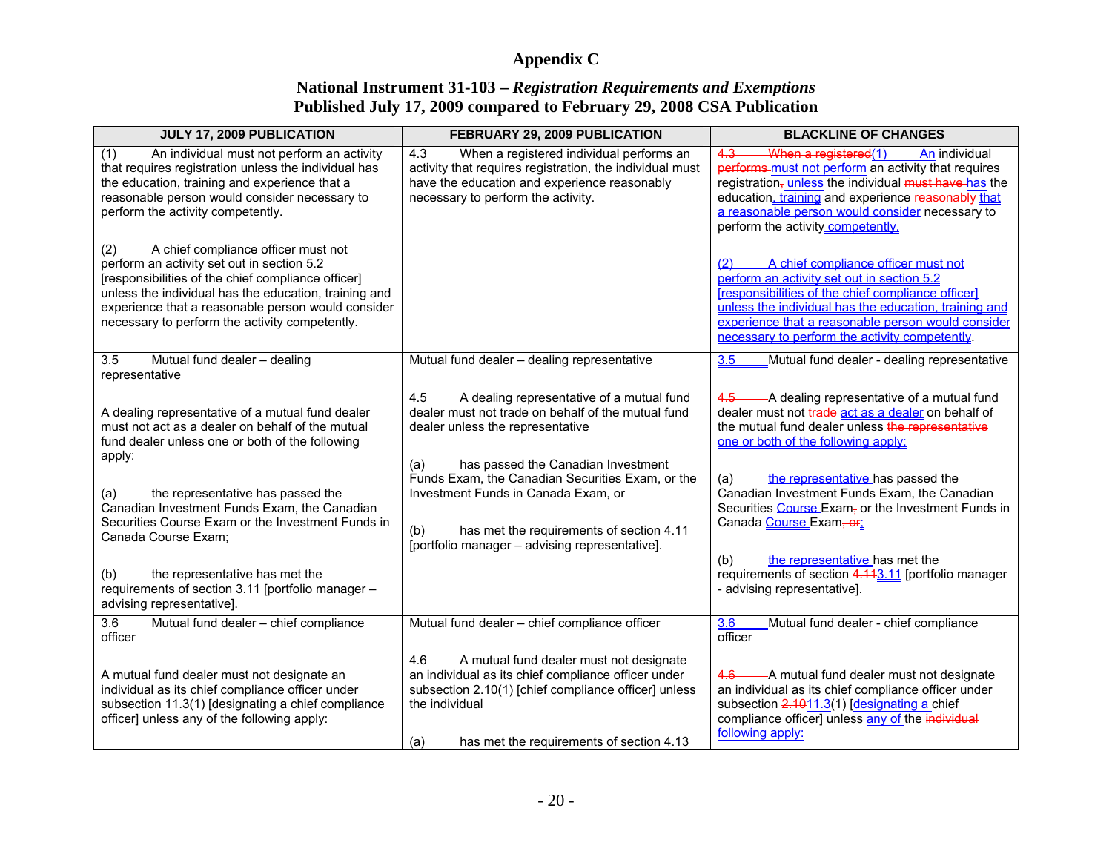| JULY 17, 2009 PUBLICATION                                                                                                                                                                                                                                                                                       | <b>FEBRUARY 29, 2009 PUBLICATION</b>                                                                                                                                                                                               | <b>BLACKLINE OF CHANGES</b>                                                                                                                                                                                                                                                                                                |
|-----------------------------------------------------------------------------------------------------------------------------------------------------------------------------------------------------------------------------------------------------------------------------------------------------------------|------------------------------------------------------------------------------------------------------------------------------------------------------------------------------------------------------------------------------------|----------------------------------------------------------------------------------------------------------------------------------------------------------------------------------------------------------------------------------------------------------------------------------------------------------------------------|
| An individual must not perform an activity<br>(1)<br>that requires registration unless the individual has<br>the education, training and experience that a<br>reasonable person would consider necessary to<br>perform the activity competently.                                                                | 4.3<br>When a registered individual performs an<br>activity that requires registration, the individual must<br>have the education and experience reasonably<br>necessary to perform the activity.                                  | When a registered $(1)$ An individual<br>$4.3 -$<br>performs-must not perform an activity that requires<br>registration <sub>z</sub> unless the individual must have has the<br>education, training and experience reasonably that<br>a reasonable person would consider necessary to<br>perform the activity competently. |
| A chief compliance officer must not<br>(2)<br>perform an activity set out in section 5.2<br>[responsibilities of the chief compliance officer]<br>unless the individual has the education, training and<br>experience that a reasonable person would consider<br>necessary to perform the activity competently. |                                                                                                                                                                                                                                    | A chief compliance officer must not<br>(2)<br>perform an activity set out in section 5.2<br>[responsibilities of the chief compliance officer]<br>unless the individual has the education, training and<br>experience that a reasonable person would consider<br>necessary to perform the activity competently.            |
| 3.5<br>Mutual fund dealer - dealing<br>representative                                                                                                                                                                                                                                                           | Mutual fund dealer - dealing representative                                                                                                                                                                                        | 3.5<br>Mutual fund dealer - dealing representative                                                                                                                                                                                                                                                                         |
| A dealing representative of a mutual fund dealer<br>must not act as a dealer on behalf of the mutual<br>fund dealer unless one or both of the following<br>apply:                                                                                                                                               | 4.5<br>A dealing representative of a mutual fund<br>dealer must not trade on behalf of the mutual fund<br>dealer unless the representative<br>has passed the Canadian Investment<br>(a)                                            | $4.5 -$<br>-A dealing representative of a mutual fund<br>dealer must not trade act as a dealer on behalf of<br>the mutual fund dealer unless the representative<br>one or both of the following apply:                                                                                                                     |
| the representative has passed the<br>(a)<br>Canadian Investment Funds Exam, the Canadian<br>Securities Course Exam or the Investment Funds in<br>Canada Course Exam:                                                                                                                                            | Funds Exam, the Canadian Securities Exam, or the<br>Investment Funds in Canada Exam, or<br>has met the requirements of section 4.11<br>(b)<br>[portfolio manager - advising representative].                                       | the representative has passed the<br>(a)<br>Canadian Investment Funds Exam, the Canadian<br>Securities Course Exam, or the Investment Funds in<br>Canada Course Exam, or:<br>the representative has met the<br>(b)                                                                                                         |
| the representative has met the<br>(b)<br>requirements of section 3.11 [portfolio manager -<br>advising representative].                                                                                                                                                                                         |                                                                                                                                                                                                                                    | requirements of section 4.113.11 [portfolio manager<br>- advising representative].                                                                                                                                                                                                                                         |
| $\overline{3.6}$<br>Mutual fund dealer - chief compliance<br>officer                                                                                                                                                                                                                                            | Mutual fund dealer - chief compliance officer                                                                                                                                                                                      | Mutual fund dealer - chief compliance<br>3.6<br>officer                                                                                                                                                                                                                                                                    |
| A mutual fund dealer must not designate an<br>individual as its chief compliance officer under<br>subsection 11.3(1) [designating a chief compliance<br>officer] unless any of the following apply:                                                                                                             | 4.6<br>A mutual fund dealer must not designate<br>an individual as its chief compliance officer under<br>subsection 2.10(1) [chief compliance officer] unless<br>the individual<br>has met the requirements of section 4.13<br>(a) | 4.6 - A mutual fund dealer must not designate<br>an individual as its chief compliance officer under<br>subsection 2.1011.3(1) [designating a chief<br>compliance officer] unless any of the individual<br>following apply:                                                                                                |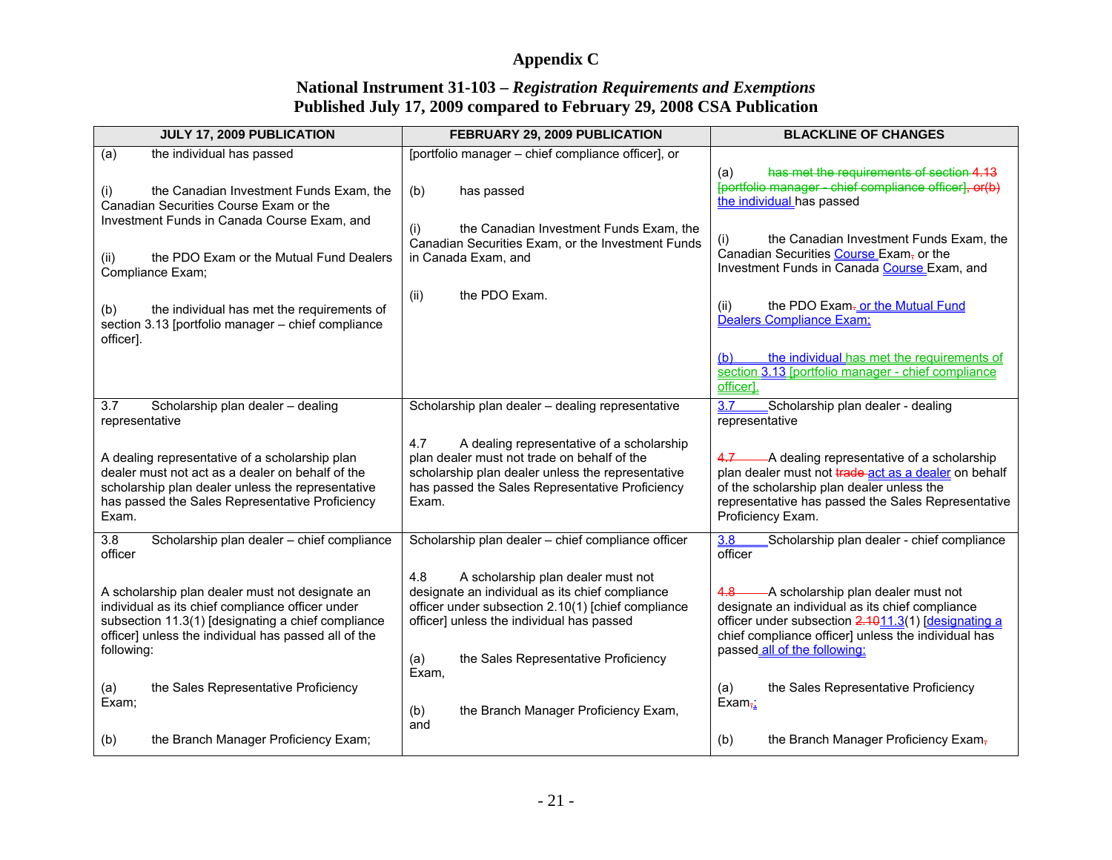| JULY 17, 2009 PUBLICATION                                                                                                                                                                                                       | FEBRUARY 29, 2009 PUBLICATION                                                                                                                                                                                                                  | <b>BLACKLINE OF CHANGES</b>                                                                                                                                                                                                                           |
|---------------------------------------------------------------------------------------------------------------------------------------------------------------------------------------------------------------------------------|------------------------------------------------------------------------------------------------------------------------------------------------------------------------------------------------------------------------------------------------|-------------------------------------------------------------------------------------------------------------------------------------------------------------------------------------------------------------------------------------------------------|
| the individual has passed<br>(a)                                                                                                                                                                                                | [portfolio manager - chief compliance officer], or                                                                                                                                                                                             |                                                                                                                                                                                                                                                       |
| the Canadian Investment Funds Exam, the<br>(i)<br>Canadian Securities Course Exam or the                                                                                                                                        | has passed<br>(b)                                                                                                                                                                                                                              | has met the requirements of section 4.13<br>(a)<br>[portfolio manager - chief compliance officer], or(b)<br>the individual has passed                                                                                                                 |
| Investment Funds in Canada Course Exam, and<br>the PDO Exam or the Mutual Fund Dealers<br>(ii)<br>Compliance Exam;                                                                                                              | the Canadian Investment Funds Exam, the<br>(i)<br>Canadian Securities Exam, or the Investment Funds<br>in Canada Exam, and                                                                                                                     | the Canadian Investment Funds Exam, the<br>(i)<br>Canadian Securities Course Exam, or the<br>Investment Funds in Canada Course Exam, and                                                                                                              |
| the individual has met the requirements of<br>(b)<br>section 3.13 [portfolio manager - chief compliance<br>officer].                                                                                                            | the PDO Exam.<br>(ii)                                                                                                                                                                                                                          | the PDO Exam- or the Mutual Fund<br>(ii)<br>Dealers Compliance Exam;                                                                                                                                                                                  |
|                                                                                                                                                                                                                                 |                                                                                                                                                                                                                                                | the individual has met the requirements of<br>(b)<br>section 3.13 [portfolio manager - chief compliance<br>officerl.                                                                                                                                  |
| 3.7<br>Scholarship plan dealer - dealing<br>representative                                                                                                                                                                      | Scholarship plan dealer - dealing representative                                                                                                                                                                                               | Scholarship plan dealer - dealing<br>3.7<br>representative                                                                                                                                                                                            |
| A dealing representative of a scholarship plan<br>dealer must not act as a dealer on behalf of the<br>scholarship plan dealer unless the representative<br>has passed the Sales Representative Proficiency<br>Exam.             | 4.7<br>A dealing representative of a scholarship<br>plan dealer must not trade on behalf of the<br>scholarship plan dealer unless the representative<br>has passed the Sales Representative Proficiency<br>Exam.                               | 4.7 - A dealing representative of a scholarship<br>plan dealer must not trade act as a dealer on behalf<br>of the scholarship plan dealer unless the<br>representative has passed the Sales Representative<br>Proficiency Exam.                       |
| 3.8<br>Scholarship plan dealer - chief compliance<br>officer                                                                                                                                                                    | Scholarship plan dealer - chief compliance officer                                                                                                                                                                                             | Scholarship plan dealer - chief compliance<br>3.8<br>officer                                                                                                                                                                                          |
| A scholarship plan dealer must not designate an<br>individual as its chief compliance officer under<br>subsection 11.3(1) [designating a chief compliance<br>officer] unless the individual has passed all of the<br>following: | 4.8<br>A scholarship plan dealer must not<br>designate an individual as its chief compliance<br>officer under subsection 2.10(1) [chief compliance<br>officer] unless the individual has passed<br>the Sales Representative Proficiency<br>(a) | -A scholarship plan dealer must not<br><u>4.8 — </u><br>designate an individual as its chief compliance<br>officer under subsection 2.1011.3(1) [designating a<br>chief compliance officer] unless the individual has<br>passed all of the following: |
| the Sales Representative Proficiency<br>(a)<br>Exam;                                                                                                                                                                            | Exam,<br>the Branch Manager Proficiency Exam,<br>(b)<br>and                                                                                                                                                                                    | (a)<br>the Sales Representative Proficiency<br>$Exam_{7}$ :                                                                                                                                                                                           |
| the Branch Manager Proficiency Exam;<br>(b)                                                                                                                                                                                     |                                                                                                                                                                                                                                                | the Branch Manager Proficiency Exam-<br>(b)                                                                                                                                                                                                           |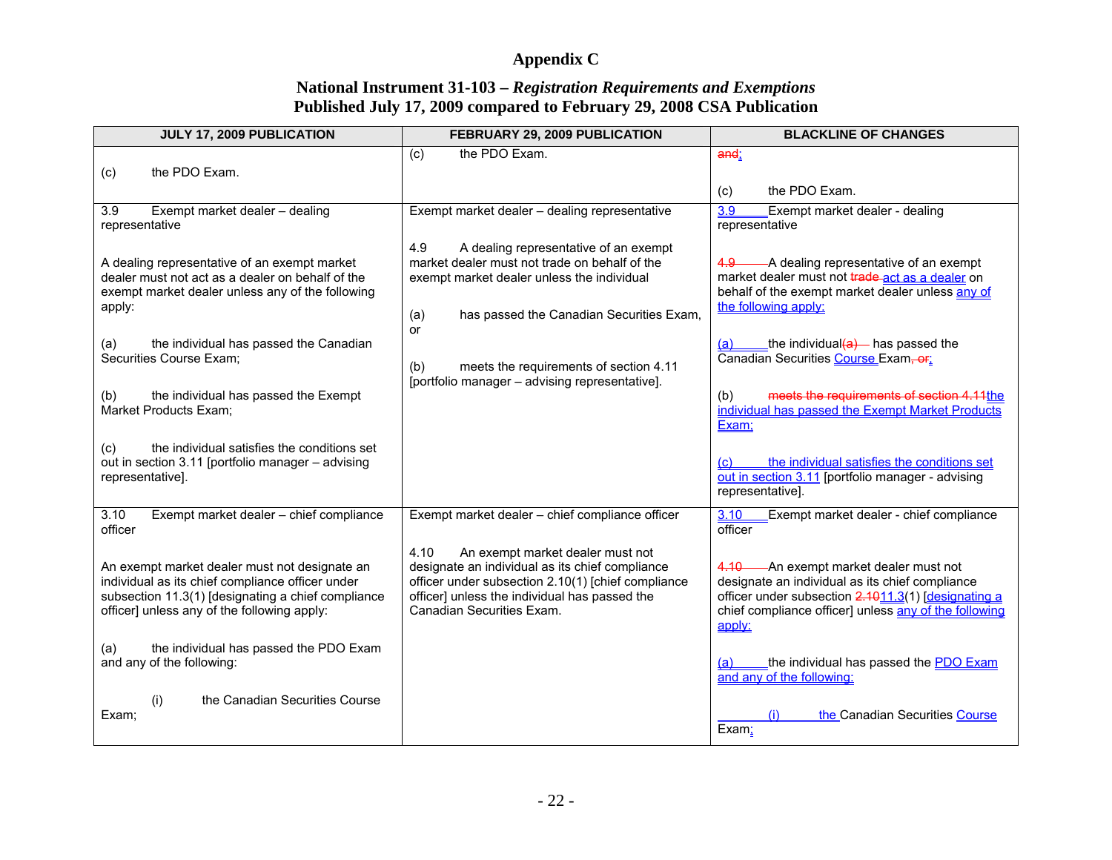| JULY 17, 2009 PUBLICATION                                                                                                                                                                              | <b>FEBRUARY 29, 2009 PUBLICATION</b>                                                                                                                                                                                            | <b>BLACKLINE OF CHANGES</b>                                                                                                                                                                                        |
|--------------------------------------------------------------------------------------------------------------------------------------------------------------------------------------------------------|---------------------------------------------------------------------------------------------------------------------------------------------------------------------------------------------------------------------------------|--------------------------------------------------------------------------------------------------------------------------------------------------------------------------------------------------------------------|
| the PDO Exam.<br>(c)                                                                                                                                                                                   | the PDO Exam.<br>(c)                                                                                                                                                                                                            | and;<br>the PDO Exam.<br>(c)                                                                                                                                                                                       |
| Exempt market dealer - dealing<br>3.9<br>representative                                                                                                                                                | Exempt market dealer - dealing representative                                                                                                                                                                                   | 3.9<br>Exempt market dealer - dealing<br>representative                                                                                                                                                            |
| A dealing representative of an exempt market<br>dealer must not act as a dealer on behalf of the<br>exempt market dealer unless any of the following<br>apply:                                         | 4.9<br>A dealing representative of an exempt<br>market dealer must not trade on behalf of the<br>exempt market dealer unless the individual<br>has passed the Canadian Securities Exam,<br>(a)<br><b>or</b>                     | 4.9 A dealing representative of an exempt<br>market dealer must not trade act as a dealer on<br>behalf of the exempt market dealer unless any of<br>the following apply:                                           |
| the individual has passed the Canadian<br>(a)<br>Securities Course Exam:                                                                                                                               | meets the requirements of section 4.11<br>(b)<br>[portfolio manager - advising representative].                                                                                                                                 | the individual(a) - has passed the<br><u>(a)</u><br>Canadian Securities Course Exam, or:                                                                                                                           |
| the individual has passed the Exempt<br>(b)<br>Market Products Exam;                                                                                                                                   |                                                                                                                                                                                                                                 | meets the requirements of section 4.14the<br>(b)<br>individual has passed the Exempt Market Products<br>Exam;                                                                                                      |
| the individual satisfies the conditions set<br>(c)<br>out in section 3.11 [portfolio manager - advising<br>representative].                                                                            |                                                                                                                                                                                                                                 | the individual satisfies the conditions set<br>(C) =<br>out in section 3.11 [portfolio manager - advising<br>representative].                                                                                      |
| 3.10<br>Exempt market dealer - chief compliance<br>officer                                                                                                                                             | Exempt market dealer - chief compliance officer                                                                                                                                                                                 | 3.10<br>Exempt market dealer - chief compliance<br>officer                                                                                                                                                         |
| An exempt market dealer must not designate an<br>individual as its chief compliance officer under<br>subsection 11.3(1) [designating a chief compliance<br>officer] unless any of the following apply: | 4.10<br>An exempt market dealer must not<br>designate an individual as its chief compliance<br>officer under subsection 2.10(1) [chief compliance<br>officer] unless the individual has passed the<br>Canadian Securities Exam. | 4.10 An exempt market dealer must not<br>designate an individual as its chief compliance<br>officer under subsection 2.1011.3(1) [designating a<br>chief compliance officer] unless any of the following<br>apply: |
| the individual has passed the PDO Exam<br>(a)<br>and any of the following:                                                                                                                             |                                                                                                                                                                                                                                 | the individual has passed the <b>PDO Exam</b><br>(a)<br>and any of the following:                                                                                                                                  |
| the Canadian Securities Course<br>(i)<br>Exam;                                                                                                                                                         |                                                                                                                                                                                                                                 | the Canadian Securities Course<br>Exam;                                                                                                                                                                            |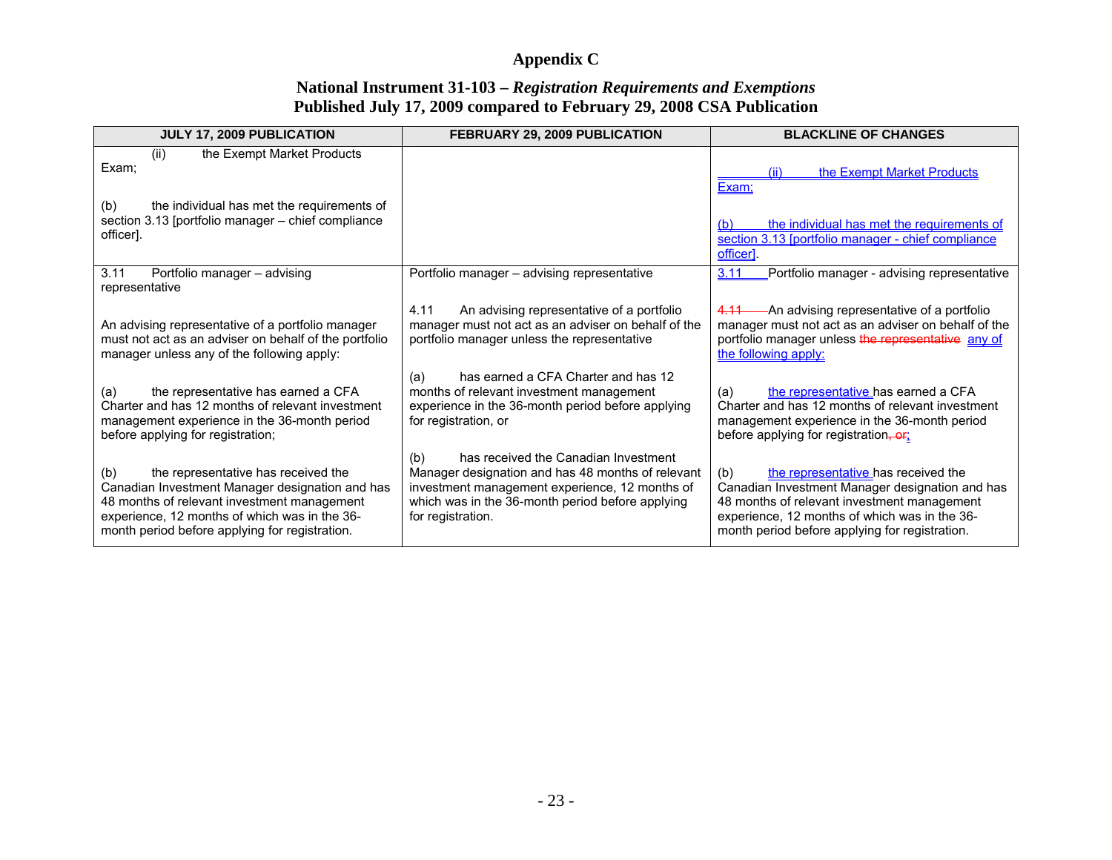| <b>JULY 17, 2009 PUBLICATION</b>                                                                                                                                                                                                                | FEBRUARY 29, 2009 PUBLICATION                                                                                                                                                                                               | <b>BLACKLINE OF CHANGES</b>                                                                                                                                                                                                                     |
|-------------------------------------------------------------------------------------------------------------------------------------------------------------------------------------------------------------------------------------------------|-----------------------------------------------------------------------------------------------------------------------------------------------------------------------------------------------------------------------------|-------------------------------------------------------------------------------------------------------------------------------------------------------------------------------------------------------------------------------------------------|
| the Exempt Market Products<br>(ii)<br>Exam;                                                                                                                                                                                                     |                                                                                                                                                                                                                             | the Exempt Market Products<br>(ii)<br>Exam:                                                                                                                                                                                                     |
| the individual has met the requirements of<br>(b)<br>section 3.13 [portfolio manager - chief compliance<br>officer].                                                                                                                            |                                                                                                                                                                                                                             | the individual has met the requirements of<br>(b)<br>section 3.13 [portfolio manager - chief compliance<br>officer].                                                                                                                            |
| 3.11<br>Portfolio manager - advising<br>representative                                                                                                                                                                                          | Portfolio manager – advising representative                                                                                                                                                                                 | <u>3.11</u><br>Portfolio manager - advising representative                                                                                                                                                                                      |
| An advising representative of a portfolio manager<br>must not act as an adviser on behalf of the portfolio<br>manager unless any of the following apply:                                                                                        | 4.11<br>An advising representative of a portfolio<br>manager must not act as an adviser on behalf of the<br>portfolio manager unless the representative                                                                     | -An advising representative of a portfolio<br>4.11<br>manager must not act as an adviser on behalf of the<br>portfolio manager unless the representative any of<br>the following apply:                                                         |
| the representative has earned a CFA<br>(a)<br>Charter and has 12 months of relevant investment<br>management experience in the 36-month period<br>before applying for registration;                                                             | has earned a CFA Charter and has 12<br>(a)<br>months of relevant investment management<br>experience in the 36-month period before applying<br>for registration, or                                                         | the representative has earned a CFA<br>(a)<br>Charter and has 12 months of relevant investment<br>management experience in the 36-month period<br>before applying for registration, or;                                                         |
| the representative has received the<br>(b)<br>Canadian Investment Manager designation and has<br>48 months of relevant investment management<br>experience, 12 months of which was in the 36-<br>month period before applying for registration. | has received the Canadian Investment<br>(b)<br>Manager designation and has 48 months of relevant<br>investment management experience, 12 months of<br>which was in the 36-month period before applying<br>for registration. | the representative has received the<br>(b)<br>Canadian Investment Manager designation and has<br>48 months of relevant investment management<br>experience, 12 months of which was in the 36-<br>month period before applying for registration. |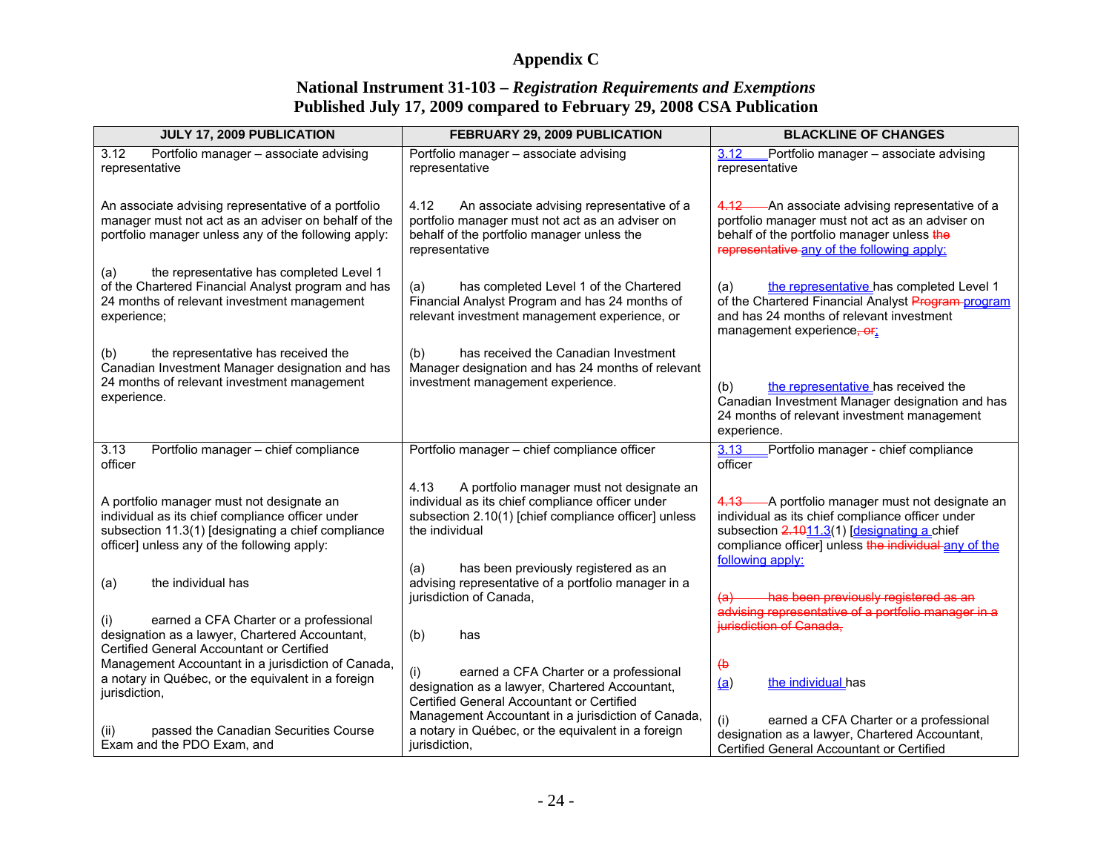| JULY 17, 2009 PUBLICATION                                                                                                                                                                          | FEBRUARY 29, 2009 PUBLICATION                                                                                                                                                   | <b>BLACKLINE OF CHANGES</b>                                                                                                                                                                                                     |
|----------------------------------------------------------------------------------------------------------------------------------------------------------------------------------------------------|---------------------------------------------------------------------------------------------------------------------------------------------------------------------------------|---------------------------------------------------------------------------------------------------------------------------------------------------------------------------------------------------------------------------------|
| 3.12<br>Portfolio manager - associate advising<br>representative                                                                                                                                   | Portfolio manager - associate advising<br>representative                                                                                                                        | 3.12<br>Portfolio manager - associate advising<br>representative                                                                                                                                                                |
| An associate advising representative of a portfolio<br>manager must not act as an adviser on behalf of the<br>portfolio manager unless any of the following apply:                                 | 4.12<br>An associate advising representative of a<br>portfolio manager must not act as an adviser on<br>behalf of the portfolio manager unless the<br>representative            | 4.12 - An associate advising representative of a<br>portfolio manager must not act as an adviser on<br>behalf of the portfolio manager unless the<br>representative-any of the following apply:                                 |
| the representative has completed Level 1<br>(a)<br>of the Chartered Financial Analyst program and has<br>24 months of relevant investment management<br>experience;                                | (a)<br>has completed Level 1 of the Chartered<br>Financial Analyst Program and has 24 months of<br>relevant investment management experience, or                                | the representative has completed Level 1<br>(a)<br>of the Chartered Financial Analyst Program-program<br>and has 24 months of relevant investment<br>management experience, or:                                                 |
| (b)<br>the representative has received the<br>Canadian Investment Manager designation and has<br>24 months of relevant investment management<br>experience.                                        | has received the Canadian Investment<br>(b)<br>Manager designation and has 24 months of relevant<br>investment management experience.                                           | (b)<br>the representative has received the<br>Canadian Investment Manager designation and has<br>24 months of relevant investment management<br>experience.                                                                     |
| 3.13<br>Portfolio manager - chief compliance<br>officer                                                                                                                                            | Portfolio manager - chief compliance officer                                                                                                                                    | 3.13<br>Portfolio manager - chief compliance<br>officer                                                                                                                                                                         |
| A portfolio manager must not designate an<br>individual as its chief compliance officer under<br>subsection 11.3(1) [designating a chief compliance<br>officer] unless any of the following apply: | 4.13<br>A portfolio manager must not designate an<br>individual as its chief compliance officer under<br>subsection 2.10(1) [chief compliance officer] unless<br>the individual | 4.13 - A portfolio manager must not designate an<br>individual as its chief compliance officer under<br>subsection 2.1011.3(1) [designating a chief<br>compliance officer] unless the individual any of the<br>following apply: |
| the individual has<br>(a)                                                                                                                                                                          | has been previously registered as an<br>(a)<br>advising representative of a portfolio manager in a<br>jurisdiction of Canada,                                                   | has been previously registered as an<br><del>(a)</del>                                                                                                                                                                          |
| (i)<br>earned a CFA Charter or a professional<br>designation as a lawyer, Chartered Accountant,<br>Certified General Accountant or Certified                                                       | (b)<br>has                                                                                                                                                                      | advising representative of a portfolio manager in a<br>jurisdiction of Canada,                                                                                                                                                  |
| Management Accountant in a jurisdiction of Canada,<br>a notary in Québec, or the equivalent in a foreign<br>jurisdiction,                                                                          | earned a CFA Charter or a professional<br>(i)<br>designation as a lawyer, Chartered Accountant,<br>Certified General Accountant or Certified                                    | $\bigoplus$<br>(a)<br>the individual has                                                                                                                                                                                        |
| passed the Canadian Securities Course<br>(ii)<br>Exam and the PDO Exam, and                                                                                                                        | Management Accountant in a jurisdiction of Canada,<br>a notary in Québec, or the equivalent in a foreign<br>jurisdiction,                                                       | (i)<br>earned a CFA Charter or a professional<br>designation as a lawyer, Chartered Accountant,<br>Certified General Accountant or Certified                                                                                    |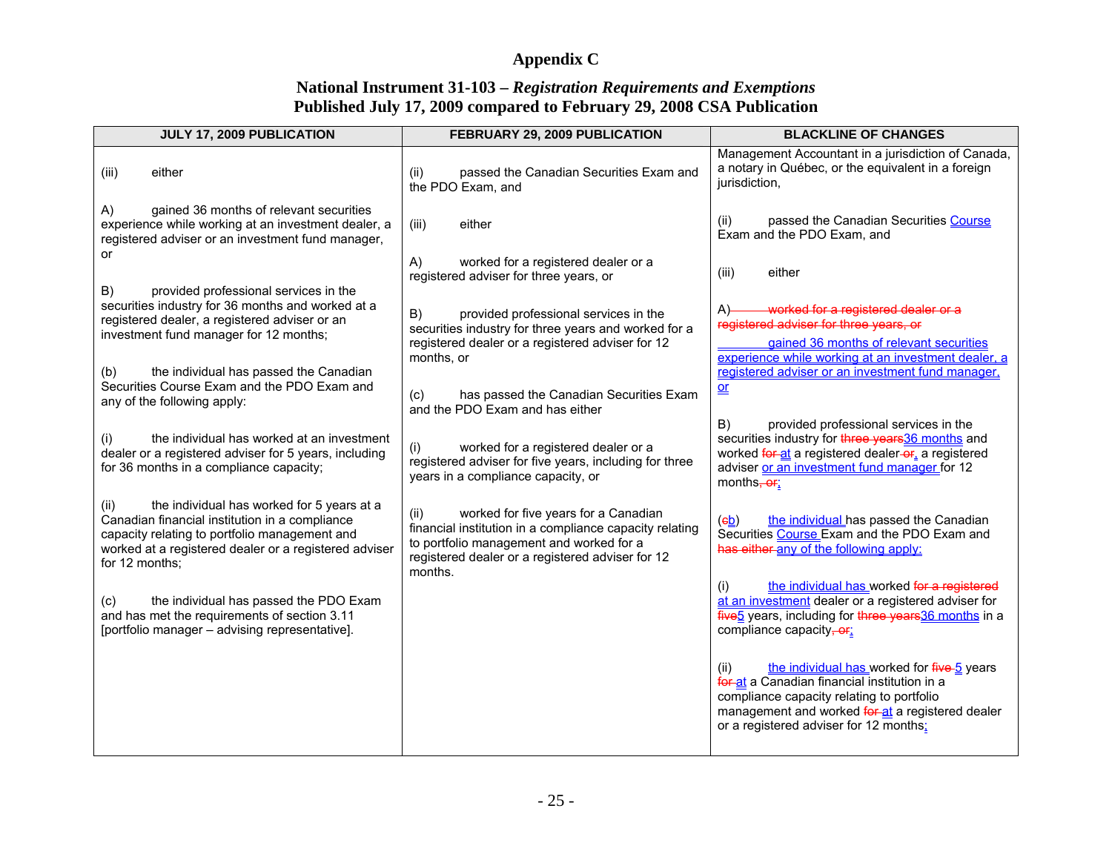| JULY 17, 2009 PUBLICATION                                                                                                                                                                                                        | <b>FEBRUARY 29, 2009 PUBLICATION</b>                                                                                                                                                                               | <b>BLACKLINE OF CHANGES</b>                                                                                                                                                                                                                   |
|----------------------------------------------------------------------------------------------------------------------------------------------------------------------------------------------------------------------------------|--------------------------------------------------------------------------------------------------------------------------------------------------------------------------------------------------------------------|-----------------------------------------------------------------------------------------------------------------------------------------------------------------------------------------------------------------------------------------------|
| (iii)<br>either                                                                                                                                                                                                                  | passed the Canadian Securities Exam and<br>(ii)<br>the PDO Exam, and                                                                                                                                               | Management Accountant in a jurisdiction of Canada,<br>a notary in Québec, or the equivalent in a foreign<br>jurisdiction,                                                                                                                     |
| gained 36 months of relevant securities<br>A)<br>experience while working at an investment dealer, a<br>registered adviser or an investment fund manager,<br>or                                                                  | either<br>(iii)                                                                                                                                                                                                    | passed the Canadian Securities Course<br>(ii)<br>Exam and the PDO Exam, and                                                                                                                                                                   |
| B)<br>provided professional services in the                                                                                                                                                                                      | worked for a registered dealer or a<br>A)<br>registered adviser for three years, or                                                                                                                                | either<br>(iii)                                                                                                                                                                                                                               |
| securities industry for 36 months and worked at a<br>registered dealer, a registered adviser or an<br>investment fund manager for 12 months;                                                                                     | provided professional services in the<br>B)<br>securities industry for three years and worked for a<br>registered dealer or a registered adviser for 12<br>months, or                                              | worked for a registered dealer or a<br>A)–<br>registered adviser for three years, or<br>gained 36 months of relevant securities<br>experience while working at an investment dealer, a                                                        |
| the individual has passed the Canadian<br>(b)<br>Securities Course Exam and the PDO Exam and<br>any of the following apply:                                                                                                      | has passed the Canadian Securities Exam<br>(c)<br>and the PDO Exam and has either                                                                                                                                  | registered adviser or an investment fund manager,<br>Ωr                                                                                                                                                                                       |
| the individual has worked at an investment<br>(i)<br>dealer or a registered adviser for 5 years, including<br>for 36 months in a compliance capacity;                                                                            | worked for a registered dealer or a<br>(i)<br>registered adviser for five years, including for three<br>years in a compliance capacity, or                                                                         | B)<br>provided professional services in the<br>securities industry for three years36 months and<br>worked for at a registered dealer or, a registered<br>adviser or an investment fund manager for 12<br>months, or,                          |
| the individual has worked for 5 years at a<br>(ii)<br>Canadian financial institution in a compliance<br>capacity relating to portfolio management and<br>worked at a registered dealer or a registered adviser<br>for 12 months; | worked for five years for a Canadian<br>(ii)<br>financial institution in a compliance capacity relating<br>to portfolio management and worked for a<br>registered dealer or a registered adviser for 12<br>months. | the individual has passed the Canadian<br>(eb)<br>Securities Course Exam and the PDO Exam and<br>has either any of the following apply:                                                                                                       |
| the individual has passed the PDO Exam<br>(c)<br>and has met the requirements of section 3.11<br>[portfolio manager - advising representative].                                                                                  |                                                                                                                                                                                                                    | (i)<br>the individual has worked for a registered<br>at an investment dealer or a registered adviser for<br>five <sub>5</sub> years, including for three years36 months in a<br>compliance capacity, or                                       |
|                                                                                                                                                                                                                                  |                                                                                                                                                                                                                    | the individual has worked for five-5 years<br>(ii)<br>for-at a Canadian financial institution in a<br>compliance capacity relating to portfolio<br>management and worked for at a registered dealer<br>or a registered adviser for 12 months; |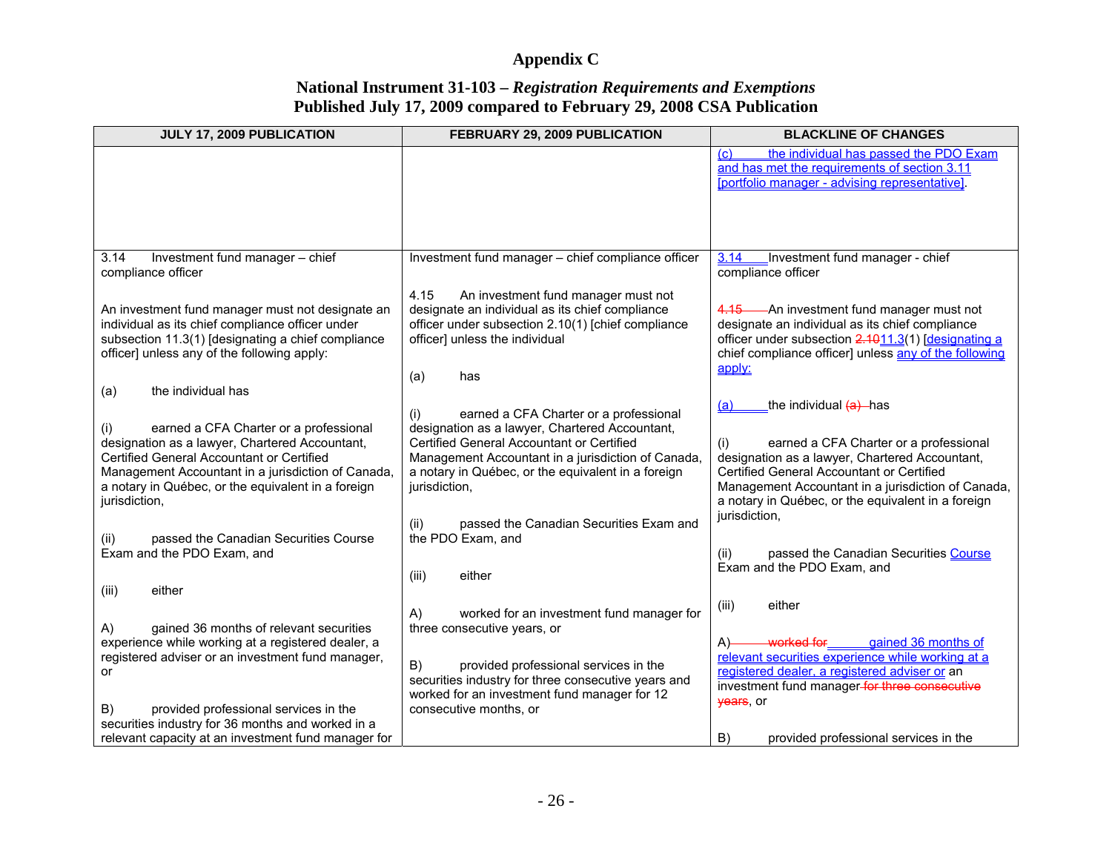| JULY 17, 2009 PUBLICATION                                                                                                                                                                                                                                                                                                 | <b>FEBRUARY 29, 2009 PUBLICATION</b>                                                                                                                                                                                                                                      | <b>BLACKLINE OF CHANGES</b>                                                                                                                                                                                                                                                                                  |
|---------------------------------------------------------------------------------------------------------------------------------------------------------------------------------------------------------------------------------------------------------------------------------------------------------------------------|---------------------------------------------------------------------------------------------------------------------------------------------------------------------------------------------------------------------------------------------------------------------------|--------------------------------------------------------------------------------------------------------------------------------------------------------------------------------------------------------------------------------------------------------------------------------------------------------------|
|                                                                                                                                                                                                                                                                                                                           |                                                                                                                                                                                                                                                                           | the individual has passed the PDO Exam<br>(c)<br>and has met the requirements of section 3.11<br>[portfolio manager - advising representative].                                                                                                                                                              |
| 3.14<br>Investment fund manager - chief<br>compliance officer                                                                                                                                                                                                                                                             | Investment fund manager - chief compliance officer                                                                                                                                                                                                                        | 3.14<br>Investment fund manager - chief<br>compliance officer                                                                                                                                                                                                                                                |
| An investment fund manager must not designate an<br>individual as its chief compliance officer under<br>subsection 11.3(1) [designating a chief compliance<br>officer] unless any of the following apply:                                                                                                                 | 4.15<br>An investment fund manager must not<br>designate an individual as its chief compliance<br>officer under subsection 2.10(1) [chief compliance<br>officer] unless the individual<br>has<br>(a)                                                                      | 4.15 - An investment fund manager must not<br>designate an individual as its chief compliance<br>officer under subsection 2.1011.3(1) [designating a<br>chief compliance officer] unless any of the following<br>apply:                                                                                      |
| the individual has<br>(a)                                                                                                                                                                                                                                                                                                 |                                                                                                                                                                                                                                                                           |                                                                                                                                                                                                                                                                                                              |
| earned a CFA Charter or a professional<br>(i)<br>designation as a lawyer, Chartered Accountant,<br>Certified General Accountant or Certified<br>Management Accountant in a jurisdiction of Canada,<br>a notary in Québec, or the equivalent in a foreign<br>jurisdiction,                                                 | earned a CFA Charter or a professional<br>(i)<br>designation as a lawyer, Chartered Accountant,<br>Certified General Accountant or Certified<br>Management Accountant in a jurisdiction of Canada,<br>a notary in Québec, or the equivalent in a foreign<br>jurisdiction, | the individual <del>(a)</del> –has<br><u>(a)</u><br>earned a CFA Charter or a professional<br>(i)<br>designation as a lawyer, Chartered Accountant,<br>Certified General Accountant or Certified<br>Management Accountant in a jurisdiction of Canada,<br>a notary in Québec, or the equivalent in a foreign |
| passed the Canadian Securities Course<br>(ii)<br>Exam and the PDO Exam, and<br>either                                                                                                                                                                                                                                     | passed the Canadian Securities Exam and<br>(ii)<br>the PDO Exam, and<br>either<br>(iii)                                                                                                                                                                                   | jurisdiction,<br>passed the Canadian Securities Course<br>(ii)<br>Exam and the PDO Exam, and                                                                                                                                                                                                                 |
| (iii)                                                                                                                                                                                                                                                                                                                     |                                                                                                                                                                                                                                                                           | either<br>(iii)                                                                                                                                                                                                                                                                                              |
| A)<br>gained 36 months of relevant securities<br>experience while working at a registered dealer, a<br>registered adviser or an investment fund manager,<br>or<br>B)<br>provided professional services in the<br>securities industry for 36 months and worked in a<br>relevant capacity at an investment fund manager for | worked for an investment fund manager for<br>A)<br>three consecutive years, or<br>B)<br>provided professional services in the<br>securities industry for three consecutive years and<br>worked for an investment fund manager for 12<br>consecutive months, or            | worked for<br>gained 36 months of<br>$A)$ -<br>relevant securities experience while working at a<br>registered dealer, a registered adviser or an<br>investment fund manager-for three consecutive<br>years, or<br>B)<br>provided professional services in the                                               |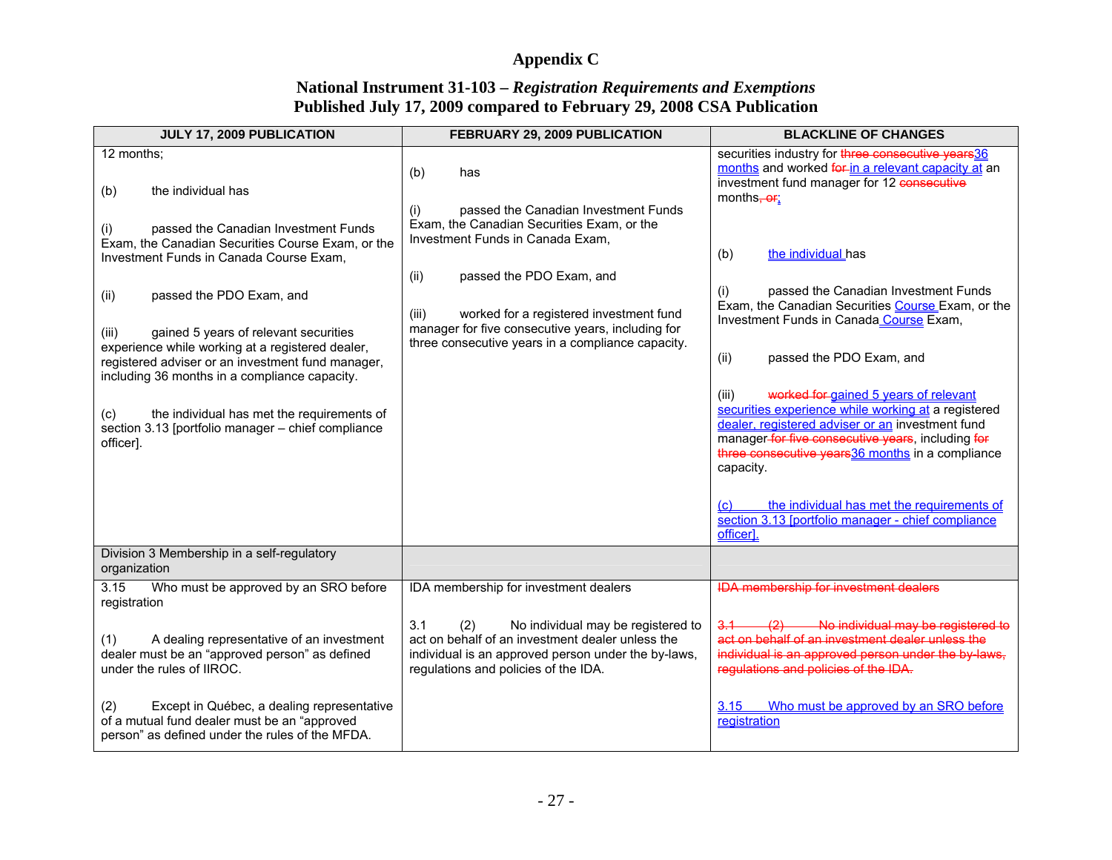| JULY 17, 2009 PUBLICATION                                                                                                                            | <b>FEBRUARY 29, 2009 PUBLICATION</b>                                                                                                                                                                | <b>BLACKLINE OF CHANGES</b>                                                                                                                                                                                                   |
|------------------------------------------------------------------------------------------------------------------------------------------------------|-----------------------------------------------------------------------------------------------------------------------------------------------------------------------------------------------------|-------------------------------------------------------------------------------------------------------------------------------------------------------------------------------------------------------------------------------|
| 12 months;                                                                                                                                           | (b)<br>has                                                                                                                                                                                          | securities industry for three consecutive years36<br>months and worked for-in a relevant capacity at an<br>investment fund manager for 12 consecutive                                                                         |
| the individual has<br>(b)                                                                                                                            | passed the Canadian Investment Funds<br>(i)                                                                                                                                                         | $months, OF$                                                                                                                                                                                                                  |
| passed the Canadian Investment Funds<br>(i)<br>Exam, the Canadian Securities Course Exam, or the<br>Investment Funds in Canada Course Exam,          | Exam, the Canadian Securities Exam, or the<br>Investment Funds in Canada Exam,                                                                                                                      | (b)<br>the individual has                                                                                                                                                                                                     |
| passed the PDO Exam, and<br>(ii)                                                                                                                     | (ii)<br>passed the PDO Exam, and                                                                                                                                                                    | passed the Canadian Investment Funds<br>(i)<br>Exam, the Canadian Securities Course Exam, or the                                                                                                                              |
| gained 5 years of relevant securities<br>(iii)<br>experience while working at a registered dealer,                                                   | worked for a registered investment fund<br>(iii)<br>manager for five consecutive years, including for<br>three consecutive years in a compliance capacity.                                          | Investment Funds in Canada Course Exam,<br>(ii)<br>passed the PDO Exam, and                                                                                                                                                   |
| registered adviser or an investment fund manager,<br>including 36 months in a compliance capacity.                                                   |                                                                                                                                                                                                     | worked for gained 5 years of relevant<br>(iii)                                                                                                                                                                                |
| the individual has met the requirements of<br>(c)<br>section 3.13 [portfolio manager - chief compliance<br>officer].                                 |                                                                                                                                                                                                     | securities experience while working at a registered<br>dealer, registered adviser or an investment fund<br>manager-for five consecutive years, including for<br>three consecutive years36 months in a compliance<br>capacity. |
|                                                                                                                                                      |                                                                                                                                                                                                     | the individual has met the requirements of<br>(C).<br>section 3.13 [portfolio manager - chief compliance<br>officer].                                                                                                         |
| Division 3 Membership in a self-regulatory<br>organization                                                                                           |                                                                                                                                                                                                     |                                                                                                                                                                                                                               |
| 3.15<br>Who must be approved by an SRO before<br>registration                                                                                        | IDA membership for investment dealers                                                                                                                                                               | IDA membership for investment dealers                                                                                                                                                                                         |
| A dealing representative of an investment<br>(1)<br>dealer must be an "approved person" as defined<br>under the rules of IIROC.                      | 3.1<br>No individual may be registered to<br>(2)<br>act on behalf of an investment dealer unless the<br>individual is an approved person under the by-laws,<br>regulations and policies of the IDA. | (2) No individual may be registered to<br>3.1<br>act on behalf of an investment dealer unless the<br>individual is an approved person under the by laws,<br>regulations and policies of the IDA.                              |
| Except in Québec, a dealing representative<br>(2)<br>of a mutual fund dealer must be an "approved<br>person" as defined under the rules of the MFDA. |                                                                                                                                                                                                     | Who must be approved by an SRO before<br>3.15<br>registration                                                                                                                                                                 |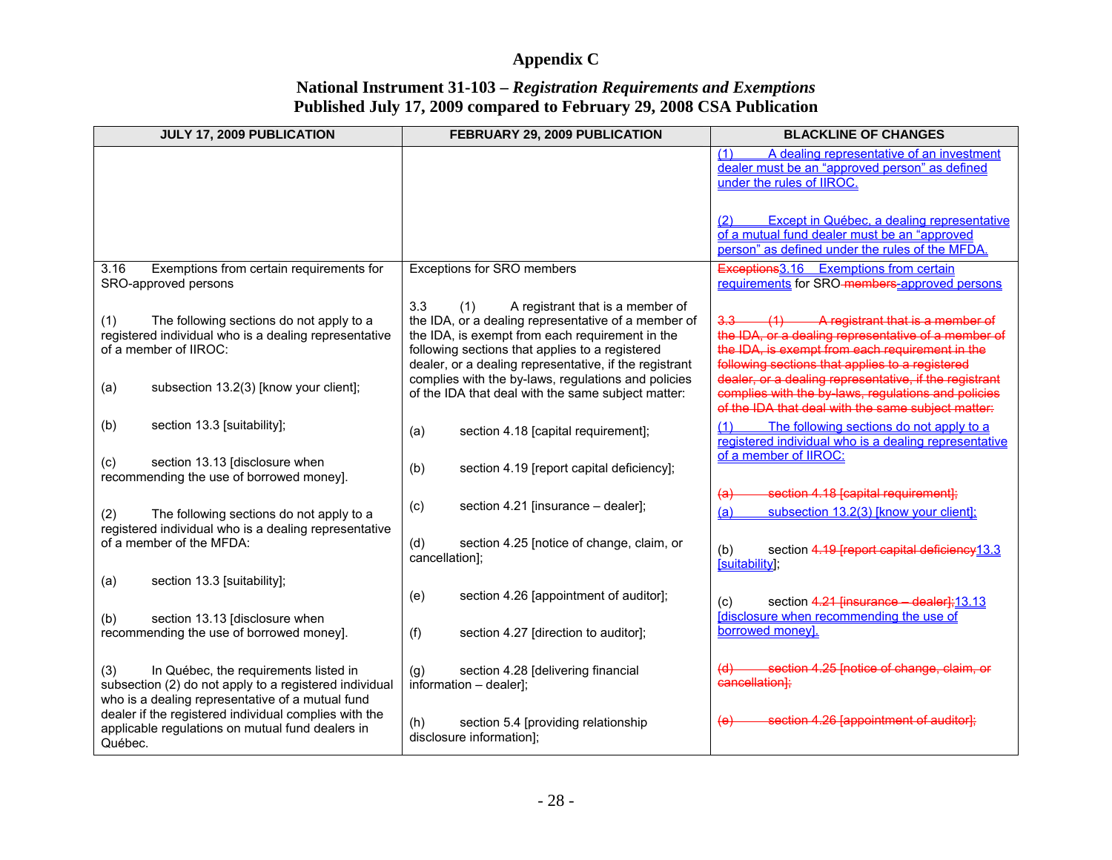| JULY 17, 2009 PUBLICATION                                                                                                                                  | <b>FEBRUARY 29, 2009 PUBLICATION</b>                                                                                                                                                                                                                                  | <b>BLACKLINE OF CHANGES</b>                                                                                                                                                                                               |
|------------------------------------------------------------------------------------------------------------------------------------------------------------|-----------------------------------------------------------------------------------------------------------------------------------------------------------------------------------------------------------------------------------------------------------------------|---------------------------------------------------------------------------------------------------------------------------------------------------------------------------------------------------------------------------|
|                                                                                                                                                            |                                                                                                                                                                                                                                                                       | A dealing representative of an investment<br>(1)<br>dealer must be an "approved person" as defined<br>under the rules of IIROC.                                                                                           |
|                                                                                                                                                            |                                                                                                                                                                                                                                                                       | Except in Québec, a dealing representative<br>(2)<br>of a mutual fund dealer must be an "approved<br>person" as defined under the rules of the MFDA.                                                                      |
| 3.16<br>Exemptions from certain requirements for<br>SRO-approved persons                                                                                   | <b>Exceptions for SRO members</b>                                                                                                                                                                                                                                     | Exceptions3.16 Exemptions from certain<br>requirements for SRO-members-approved persons                                                                                                                                   |
| (1)<br>The following sections do not apply to a<br>registered individual who is a dealing representative<br>of a member of IIROC:                          | 3.3<br>A registrant that is a member of<br>(1)<br>the IDA, or a dealing representative of a member of<br>the IDA, is exempt from each requirement in the<br>following sections that applies to a registered<br>dealer, or a dealing representative, if the registrant | - A registrant that is a member of<br><del>3.3-</del><br>(1)<br>the IDA, or a dealing representative of a member of<br>the IDA, is exempt from each requirement in the<br>following sections that applies to a registered |
| subsection 13.2(3) [know your client];<br>(a)                                                                                                              | complies with the by-laws, regulations and policies<br>of the IDA that deal with the same subject matter:                                                                                                                                                             | dealer, or a dealing representative, if the registrant<br>complies with the by laws, regulations and policies<br>of the IDA that deal with the same subject matter.                                                       |
| section 13.3 [suitability];<br>(b)                                                                                                                         | section 4.18 [capital requirement];<br>(a)                                                                                                                                                                                                                            | The following sections do not apply to a<br>(1)<br>registered individual who is a dealing representative                                                                                                                  |
| section 13.13 [disclosure when<br>(c)<br>recommending the use of borrowed money].                                                                          | (b)<br>section 4.19 [report capital deficiency];                                                                                                                                                                                                                      | of a member of IIROC:                                                                                                                                                                                                     |
| The following sections do not apply to a<br>(2)<br>registered individual who is a dealing representative                                                   | section 4.21 [insurance - dealer];<br>(c)                                                                                                                                                                                                                             | section 4.18 [capital requirement];<br><del>(a)</del><br>subsection 13.2(3) [know your client];<br>(a)                                                                                                                    |
| of a member of the MFDA:                                                                                                                                   | section 4.25 [notice of change, claim, or<br>(d)<br>cancellation];                                                                                                                                                                                                    | section 4.19 [report capital deficiency 13.3<br>(b)<br>[suitability];                                                                                                                                                     |
| section 13.3 [suitability];<br>(a)                                                                                                                         | section 4.26 [appointment of auditor];<br>(e)                                                                                                                                                                                                                         | section 4.21 [insurance dealer]; 13.13<br>(c)                                                                                                                                                                             |
| section 13.13 [disclosure when<br>(b)<br>recommending the use of borrowed money].                                                                          | (f)<br>section 4.27 [direction to auditor];                                                                                                                                                                                                                           | [disclosure when recommending the use of<br>borrowed money].                                                                                                                                                              |
| (3)<br>In Québec, the requirements listed in<br>subsection (2) do not apply to a registered individual<br>who is a dealing representative of a mutual fund | section 4.28 [delivering financial<br>(g)<br>information - dealer];                                                                                                                                                                                                   | section 4.25 Inotice of change, claim, or<br>4 <del>d).</del><br>cancellation];                                                                                                                                           |
| dealer if the registered individual complies with the<br>applicable regulations on mutual fund dealers in<br>Québec.                                       | section 5.4 [providing relationship<br>(h)<br>disclosure information];                                                                                                                                                                                                | section 4.26 [appointment of auditor];<br><del>(e)</del>                                                                                                                                                                  |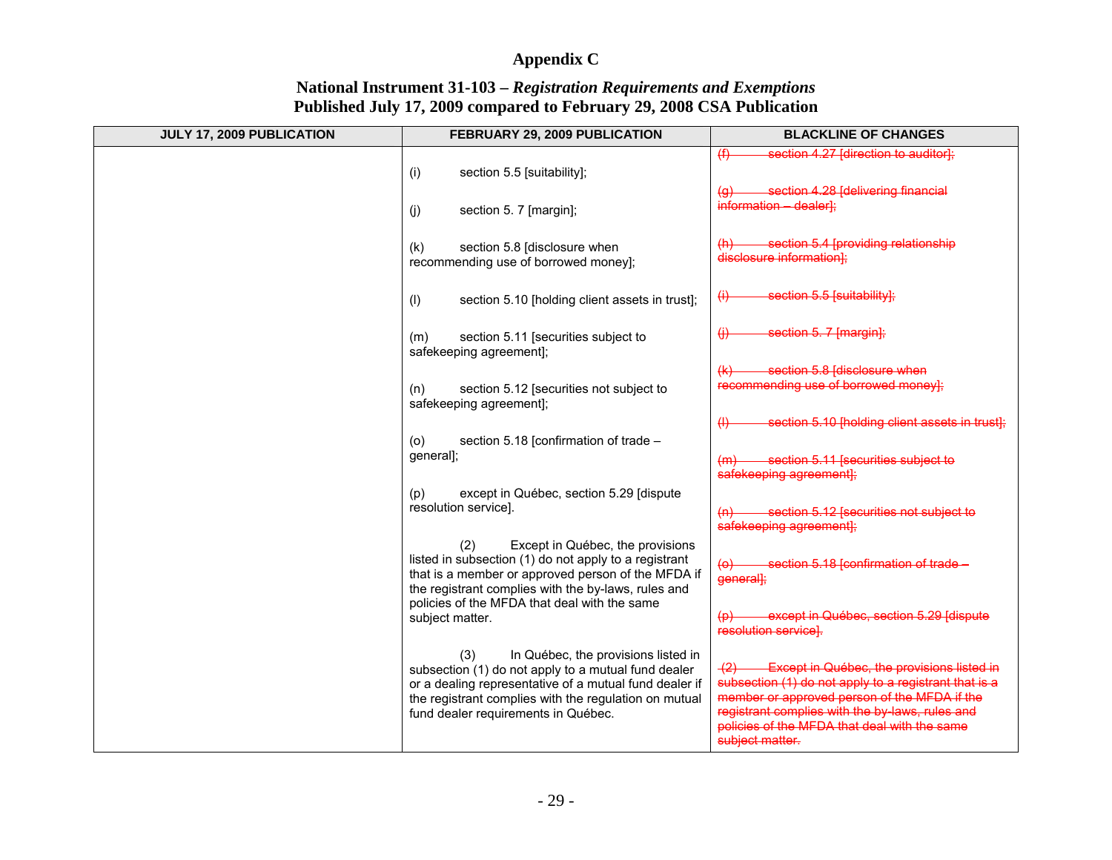| <b>JULY 17, 2009 PUBLICATION</b> | <b>FEBRUARY 29, 2009 PUBLICATION</b>                                                                                                                                                                                                                        | <b>BLACKLINE OF CHANGES</b>                                                                                                                                                                                                                                               |
|----------------------------------|-------------------------------------------------------------------------------------------------------------------------------------------------------------------------------------------------------------------------------------------------------------|---------------------------------------------------------------------------------------------------------------------------------------------------------------------------------------------------------------------------------------------------------------------------|
|                                  | (i)<br>section 5.5 [suitability];<br>section 5. 7 [margin];<br>(j)                                                                                                                                                                                          | section 4.27 [direction to auditor];<br>(4)<br>section 4.28 [delivering financial<br><del>(g)</del><br>information - dealer);                                                                                                                                             |
|                                  | (k)<br>section 5.8 [disclosure when<br>recommending use of borrowed money];                                                                                                                                                                                 | section 5.4 [providing relationship<br>disclosure information];                                                                                                                                                                                                           |
|                                  | (1)<br>section 5.10 [holding client assets in trust];                                                                                                                                                                                                       | section 5.5 [suitability];<br>₩                                                                                                                                                                                                                                           |
|                                  | section 5.11 [securities subject to<br>(m)<br>safekeeping agreement];                                                                                                                                                                                       | section 5. 7 [margin];                                                                                                                                                                                                                                                    |
|                                  | section 5.12 [securities not subject to<br>(n)<br>safekeeping agreement];                                                                                                                                                                                   | section 5.8 [disclosure when<br>$\left(\mathsf{K}\right)$<br>recommending use of borrowed money];                                                                                                                                                                         |
|                                  | section 5.18 [confirmation of trade -<br>(0)<br>general];                                                                                                                                                                                                   | section 5.10 [holding client assets in trust];<br>section 5.11 [securities subject to                                                                                                                                                                                     |
|                                  | except in Québec, section 5.29 [dispute<br>(p)<br>resolution service].                                                                                                                                                                                      | (m)<br>safekeeping agreement);<br>section 5.12 [securities not subject to<br>(m)                                                                                                                                                                                          |
|                                  | Except in Québec, the provisions<br>(2)<br>listed in subsection (1) do not apply to a registrant<br>that is a member or approved person of the MFDA if<br>the registrant complies with the by-laws, rules and                                               | safekeeping agreement];<br>section 5.18 [confirmation of trade -<br>$\Theta$<br>generall;                                                                                                                                                                                 |
|                                  | policies of the MFDA that deal with the same<br>subject matter.                                                                                                                                                                                             | except in Québec, section 5.29 Idispute<br>resolution service].                                                                                                                                                                                                           |
|                                  | In Québec, the provisions listed in<br>(3)<br>subsection (1) do not apply to a mutual fund dealer<br>or a dealing representative of a mutual fund dealer if<br>the registrant complies with the regulation on mutual<br>fund dealer requirements in Québec. | Except in Québec, the provisions listed in<br>subsection (1) do not apply to a registrant that is a<br>member or approved person of the MFDA if the<br>registrant complies with the by laws, rules and<br>policies of the MFDA that deal with the same<br>subject matter. |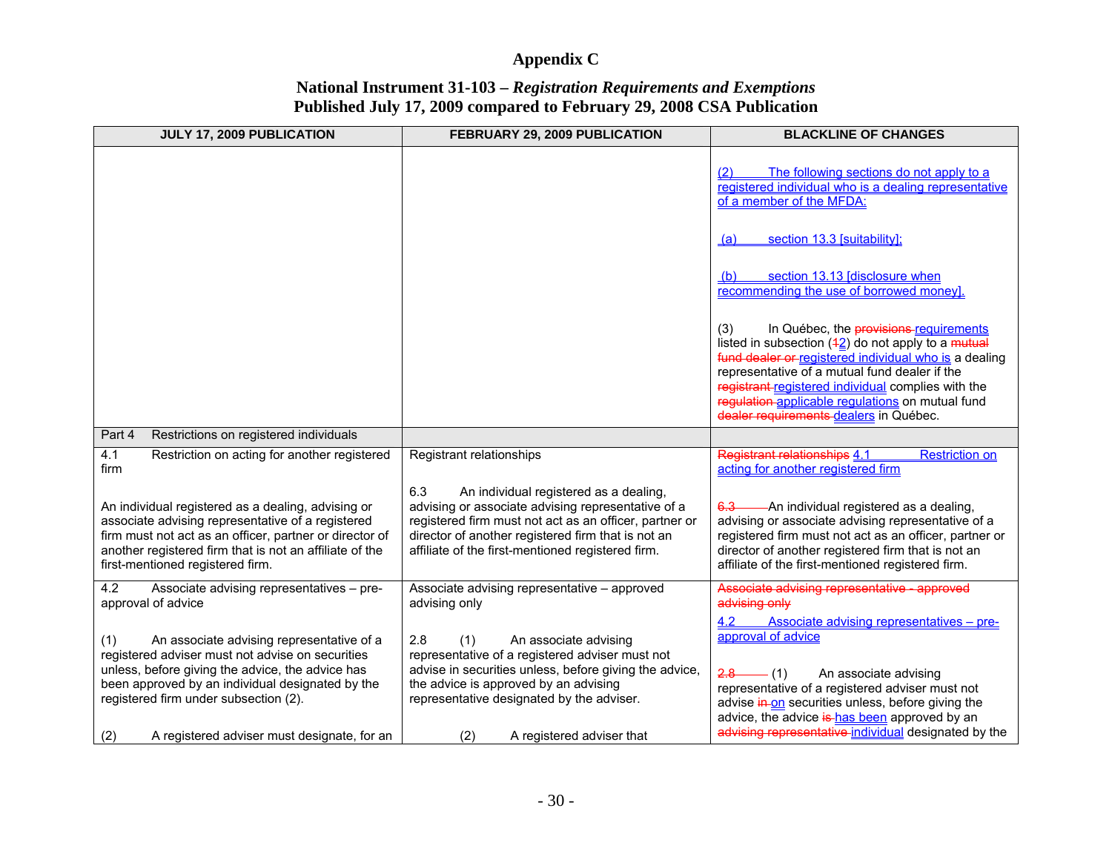| JULY 17, 2009 PUBLICATION                                                                                                                                                                                                                                         | FEBRUARY 29, 2009 PUBLICATION                                                                                                                                                                                                                                            | <b>BLACKLINE OF CHANGES</b>                                                                                                                                                                                                                                                                                                                                                |
|-------------------------------------------------------------------------------------------------------------------------------------------------------------------------------------------------------------------------------------------------------------------|--------------------------------------------------------------------------------------------------------------------------------------------------------------------------------------------------------------------------------------------------------------------------|----------------------------------------------------------------------------------------------------------------------------------------------------------------------------------------------------------------------------------------------------------------------------------------------------------------------------------------------------------------------------|
|                                                                                                                                                                                                                                                                   |                                                                                                                                                                                                                                                                          | The following sections do not apply to a<br>(2)<br>registered individual who is a dealing representative<br>of a member of the MFDA:                                                                                                                                                                                                                                       |
|                                                                                                                                                                                                                                                                   |                                                                                                                                                                                                                                                                          | section 13.3 [suitability];<br>(a)                                                                                                                                                                                                                                                                                                                                         |
|                                                                                                                                                                                                                                                                   |                                                                                                                                                                                                                                                                          | section 13.13 [disclosure when<br>(b)<br>recommending the use of borrowed money].                                                                                                                                                                                                                                                                                          |
|                                                                                                                                                                                                                                                                   |                                                                                                                                                                                                                                                                          | (3)<br>In Québec, the <b>provisions-requirements</b><br>listed in subsection $(42)$ do not apply to a mutual<br>fund dealer or registered individual who is a dealing<br>representative of a mutual fund dealer if the<br>registrant-registered individual complies with the<br>regulation applicable regulations on mutual fund<br>dealer requirements dealers in Québec. |
| Part 4<br>Restrictions on registered individuals                                                                                                                                                                                                                  |                                                                                                                                                                                                                                                                          |                                                                                                                                                                                                                                                                                                                                                                            |
| 4.1<br>Restriction on acting for another registered<br>firm                                                                                                                                                                                                       | Registrant relationships                                                                                                                                                                                                                                                 | Registrant relationships 4.1<br><b>Restriction on</b><br>acting for another registered firm                                                                                                                                                                                                                                                                                |
| An individual registered as a dealing, advising or<br>associate advising representative of a registered<br>firm must not act as an officer, partner or director of<br>another registered firm that is not an affiliate of the<br>first-mentioned registered firm. | 6.3<br>An individual registered as a dealing,<br>advising or associate advising representative of a<br>registered firm must not act as an officer, partner or<br>director of another registered firm that is not an<br>affiliate of the first-mentioned registered firm. | -An individual registered as a dealing,<br><del>6.3 —</del><br>advising or associate advising representative of a<br>registered firm must not act as an officer, partner or<br>director of another registered firm that is not an<br>affiliate of the first-mentioned registered firm.                                                                                     |
| 4.2<br>Associate advising representatives - pre-<br>approval of advice                                                                                                                                                                                            | Associate advising representative - approved<br>advising only                                                                                                                                                                                                            | Associate advising representative approved<br>advising only                                                                                                                                                                                                                                                                                                                |
| (1)<br>An associate advising representative of a<br>registered adviser must not advise on securities                                                                                                                                                              | 2.8<br>(1)<br>An associate advising<br>representative of a registered adviser must not                                                                                                                                                                                   | 4.2<br>Associate advising representatives - pre-<br>approval of advice                                                                                                                                                                                                                                                                                                     |
| unless, before giving the advice, the advice has<br>been approved by an individual designated by the<br>registered firm under subsection (2).                                                                                                                     | advise in securities unless, before giving the advice,<br>the advice is approved by an advising<br>representative designated by the adviser.                                                                                                                             | $- (1)$<br>$2.8 -$<br>An associate advising<br>representative of a registered adviser must not<br>advise in on securities unless, before giving the<br>advice, the advice is has been approved by an                                                                                                                                                                       |
| (2)<br>A registered adviser must designate, for an                                                                                                                                                                                                                | (2)<br>A registered adviser that                                                                                                                                                                                                                                         | advising representative individual designated by the                                                                                                                                                                                                                                                                                                                       |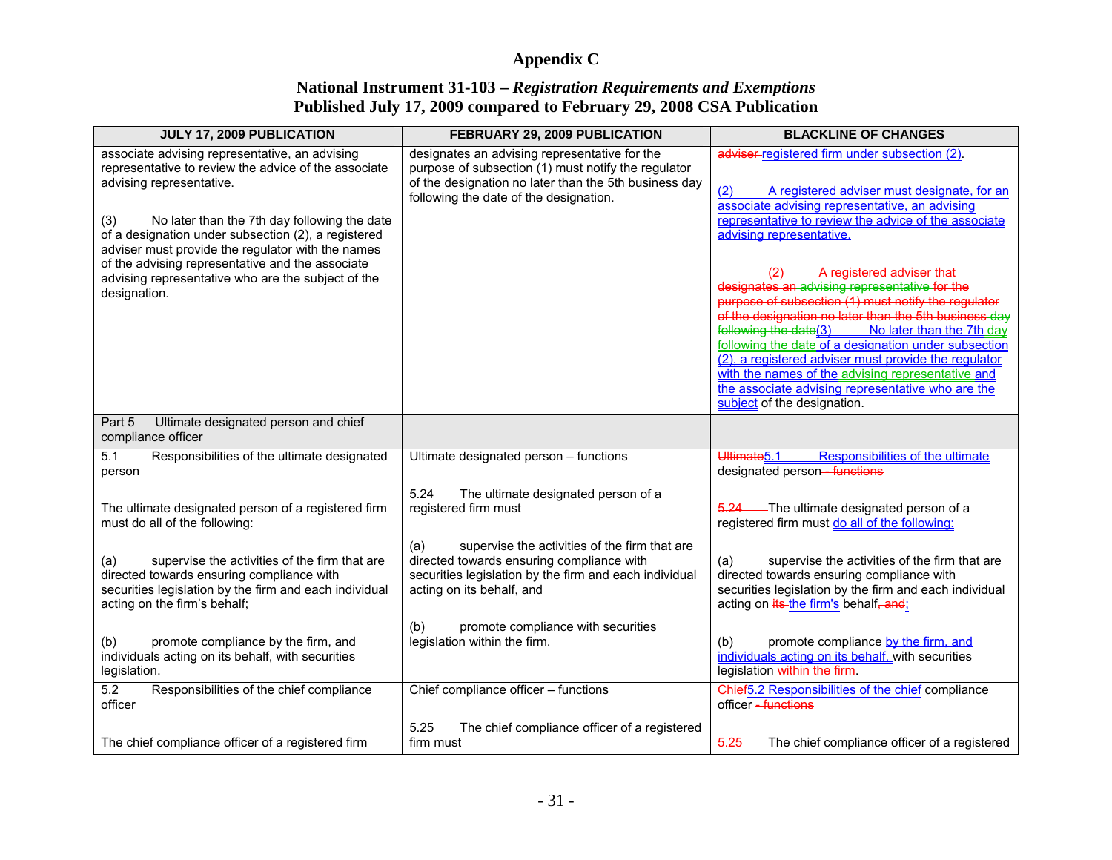| JULY 17, 2009 PUBLICATION                                                                                                                                                                                                                                                                                                                                                                                                       | FEBRUARY 29, 2009 PUBLICATION                                                                                                                                                                           | <b>BLACKLINE OF CHANGES</b>                                                                                                                                                                                                                                                                                                                                                                                                                                                                                                                                                                                                                                                                                                                           |
|---------------------------------------------------------------------------------------------------------------------------------------------------------------------------------------------------------------------------------------------------------------------------------------------------------------------------------------------------------------------------------------------------------------------------------|---------------------------------------------------------------------------------------------------------------------------------------------------------------------------------------------------------|-------------------------------------------------------------------------------------------------------------------------------------------------------------------------------------------------------------------------------------------------------------------------------------------------------------------------------------------------------------------------------------------------------------------------------------------------------------------------------------------------------------------------------------------------------------------------------------------------------------------------------------------------------------------------------------------------------------------------------------------------------|
| associate advising representative, an advising<br>representative to review the advice of the associate<br>advising representative.<br>No later than the 7th day following the date<br>(3)<br>of a designation under subsection (2), a registered<br>adviser must provide the regulator with the names<br>of the advising representative and the associate<br>advising representative who are the subject of the<br>designation. | designates an advising representative for the<br>purpose of subsection (1) must notify the regulator<br>of the designation no later than the 5th business day<br>following the date of the designation. | adviser-registered firm under subsection (2)<br>A registered adviser must designate, for an<br>(2)<br>associate advising representative, an advising<br>representative to review the advice of the associate<br>advising representative.<br>A registered adviser that<br>designates an advising representative for the<br>purpose of subsection (1) must notify the requiator<br>of the designation no later than the 5th business day<br>following the date(3)<br>No later than the 7th day<br>following the date of a designation under subsection<br>(2), a registered adviser must provide the regulator<br>with the names of the advising representative and<br>the associate advising representative who are the<br>subject of the designation. |
| Ultimate designated person and chief<br>Part 5<br>compliance officer                                                                                                                                                                                                                                                                                                                                                            |                                                                                                                                                                                                         |                                                                                                                                                                                                                                                                                                                                                                                                                                                                                                                                                                                                                                                                                                                                                       |
| Responsibilities of the ultimate designated<br>5.1<br>person                                                                                                                                                                                                                                                                                                                                                                    | Ultimate designated person - functions                                                                                                                                                                  | Ultimate <sub>5.1</sub><br>Responsibilities of the ultimate<br>designated person-functions                                                                                                                                                                                                                                                                                                                                                                                                                                                                                                                                                                                                                                                            |
| The ultimate designated person of a registered firm<br>must do all of the following:                                                                                                                                                                                                                                                                                                                                            | 5.24<br>The ultimate designated person of a<br>registered firm must                                                                                                                                     | 5.24 - The ultimate designated person of a<br>registered firm must do all of the following:                                                                                                                                                                                                                                                                                                                                                                                                                                                                                                                                                                                                                                                           |
| supervise the activities of the firm that are<br>(a)<br>directed towards ensuring compliance with<br>securities legislation by the firm and each individual<br>acting on the firm's behalf;                                                                                                                                                                                                                                     | supervise the activities of the firm that are<br>(a)<br>directed towards ensuring compliance with<br>securities legislation by the firm and each individual<br>acting on its behalf, and                | supervise the activities of the firm that are<br>(a)<br>directed towards ensuring compliance with<br>securities legislation by the firm and each individual<br>acting on its the firm's behalf, and;                                                                                                                                                                                                                                                                                                                                                                                                                                                                                                                                                  |
| promote compliance by the firm, and<br>(b)<br>individuals acting on its behalf, with securities<br>legislation.                                                                                                                                                                                                                                                                                                                 | promote compliance with securities<br>(b)<br>legislation within the firm.                                                                                                                               | promote compliance by the firm, and<br>(b)<br>individuals acting on its behalf, with securities<br>legislation-within the firm.                                                                                                                                                                                                                                                                                                                                                                                                                                                                                                                                                                                                                       |
| $\overline{5.2}$<br>Responsibilities of the chief compliance<br>officer                                                                                                                                                                                                                                                                                                                                                         | Chief compliance officer - functions                                                                                                                                                                    | Chief <sub>5.2</sub> Responsibilities of the chief compliance<br>officer - functions                                                                                                                                                                                                                                                                                                                                                                                                                                                                                                                                                                                                                                                                  |
| The chief compliance officer of a registered firm                                                                                                                                                                                                                                                                                                                                                                               | 5.25<br>The chief compliance officer of a registered<br>firm must                                                                                                                                       | -The chief compliance officer of a registered<br>$5.25 -$                                                                                                                                                                                                                                                                                                                                                                                                                                                                                                                                                                                                                                                                                             |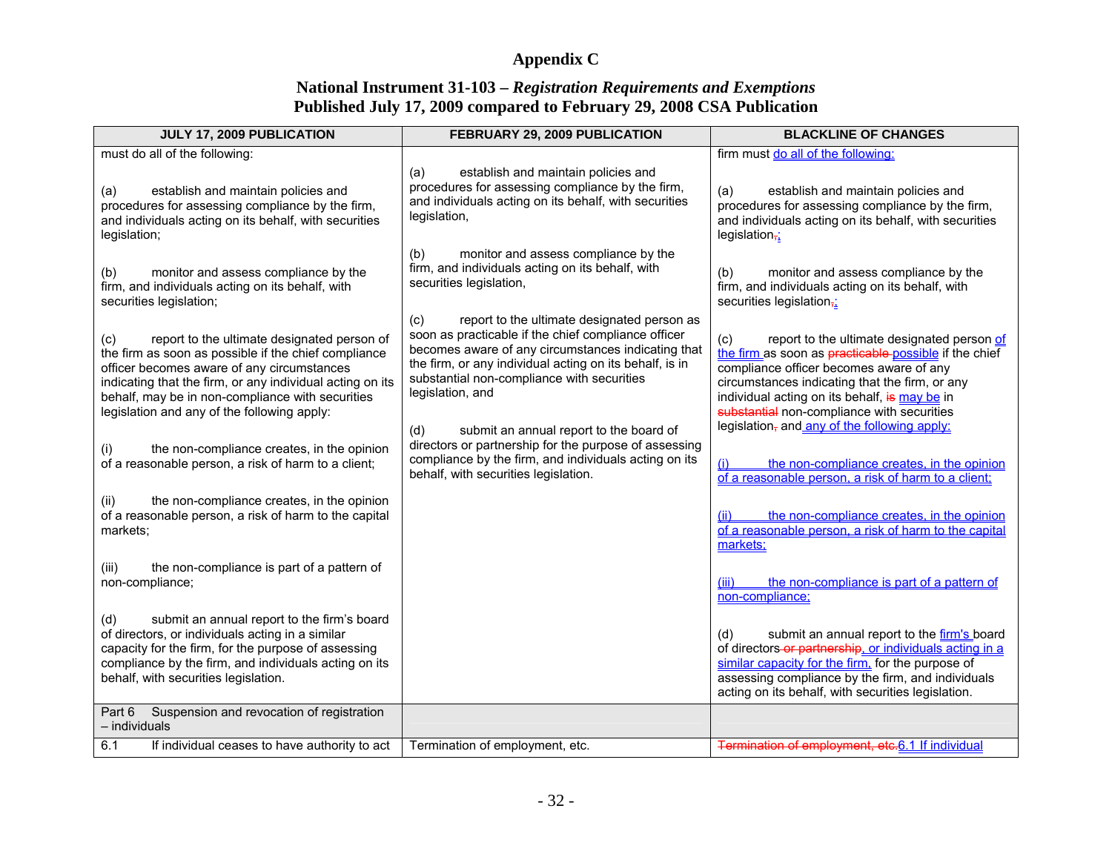| JULY 17, 2009 PUBLICATION                                                                                                                                                                                                                                                                                                | <b>FEBRUARY 29, 2009 PUBLICATION</b>                                                                                                                                                                                                                                                                                                    | <b>BLACKLINE OF CHANGES</b>                                                                                                                                                                                                                                                                                                                             |
|--------------------------------------------------------------------------------------------------------------------------------------------------------------------------------------------------------------------------------------------------------------------------------------------------------------------------|-----------------------------------------------------------------------------------------------------------------------------------------------------------------------------------------------------------------------------------------------------------------------------------------------------------------------------------------|---------------------------------------------------------------------------------------------------------------------------------------------------------------------------------------------------------------------------------------------------------------------------------------------------------------------------------------------------------|
| must do all of the following:                                                                                                                                                                                                                                                                                            |                                                                                                                                                                                                                                                                                                                                         | firm must do all of the following:                                                                                                                                                                                                                                                                                                                      |
| establish and maintain policies and<br>(a)<br>procedures for assessing compliance by the firm,<br>and individuals acting on its behalf, with securities<br>legislation;                                                                                                                                                  | (a)<br>establish and maintain policies and<br>procedures for assessing compliance by the firm,<br>and individuals acting on its behalf, with securities<br>legislation,                                                                                                                                                                 | establish and maintain policies and<br>(a)<br>procedures for assessing compliance by the firm,<br>and individuals acting on its behalf, with securities<br>legislation <sub><math>\vec{u}</math></sub>                                                                                                                                                  |
| monitor and assess compliance by the<br>(b)<br>firm, and individuals acting on its behalf, with<br>securities legislation;                                                                                                                                                                                               | monitor and assess compliance by the<br>(b)<br>firm, and individuals acting on its behalf, with<br>securities legislation,                                                                                                                                                                                                              | monitor and assess compliance by the<br>(b)<br>firm, and individuals acting on its behalf, with<br>securities legislation $\frac{1}{k}$                                                                                                                                                                                                                 |
| report to the ultimate designated person of<br>(c)<br>the firm as soon as possible if the chief compliance<br>officer becomes aware of any circumstances<br>indicating that the firm, or any individual acting on its<br>behalf, may be in non-compliance with securities<br>legislation and any of the following apply: | (c)<br>report to the ultimate designated person as<br>soon as practicable if the chief compliance officer<br>becomes aware of any circumstances indicating that<br>the firm, or any individual acting on its behalf, is in<br>substantial non-compliance with securities<br>legislation, and<br>submit an annual report to the board of | (c)<br>report to the ultimate designated person of<br>the firm as soon as practicable-possible if the chief<br>compliance officer becomes aware of any<br>circumstances indicating that the firm, or any<br>individual acting on its behalf, is may be in<br>substantial non-compliance with securities<br>legislation, and any of the following apply: |
| the non-compliance creates, in the opinion<br>(i)<br>of a reasonable person, a risk of harm to a client;                                                                                                                                                                                                                 | (d)<br>directors or partnership for the purpose of assessing<br>compliance by the firm, and individuals acting on its<br>behalf, with securities legislation.                                                                                                                                                                           | the non-compliance creates, in the opinion<br>(i)<br>of a reasonable person, a risk of harm to a client;                                                                                                                                                                                                                                                |
| the non-compliance creates, in the opinion<br>(ii)<br>of a reasonable person, a risk of harm to the capital<br>markets;                                                                                                                                                                                                  |                                                                                                                                                                                                                                                                                                                                         | the non-compliance creates, in the opinion<br>(ii)<br>of a reasonable person, a risk of harm to the capital<br>markets;                                                                                                                                                                                                                                 |
| the non-compliance is part of a pattern of<br>(iii)<br>non-compliance;                                                                                                                                                                                                                                                   |                                                                                                                                                                                                                                                                                                                                         | the non-compliance is part of a pattern of<br>(iii)<br>non-compliance;                                                                                                                                                                                                                                                                                  |
| submit an annual report to the firm's board<br>(d)<br>of directors, or individuals acting in a similar<br>capacity for the firm, for the purpose of assessing<br>compliance by the firm, and individuals acting on its<br>behalf, with securities legislation.                                                           |                                                                                                                                                                                                                                                                                                                                         | (d)<br>submit an annual report to the firm's board<br>of directors-or partnership, or individuals acting in a<br>similar capacity for the firm, for the purpose of<br>assessing compliance by the firm, and individuals<br>acting on its behalf, with securities legislation.                                                                           |
| Part 6<br>Suspension and revocation of registration<br>- individuals                                                                                                                                                                                                                                                     |                                                                                                                                                                                                                                                                                                                                         |                                                                                                                                                                                                                                                                                                                                                         |
| 6.1<br>If individual ceases to have authority to act                                                                                                                                                                                                                                                                     | Termination of employment, etc.                                                                                                                                                                                                                                                                                                         | Termination of employment, etc.6.1 If individual                                                                                                                                                                                                                                                                                                        |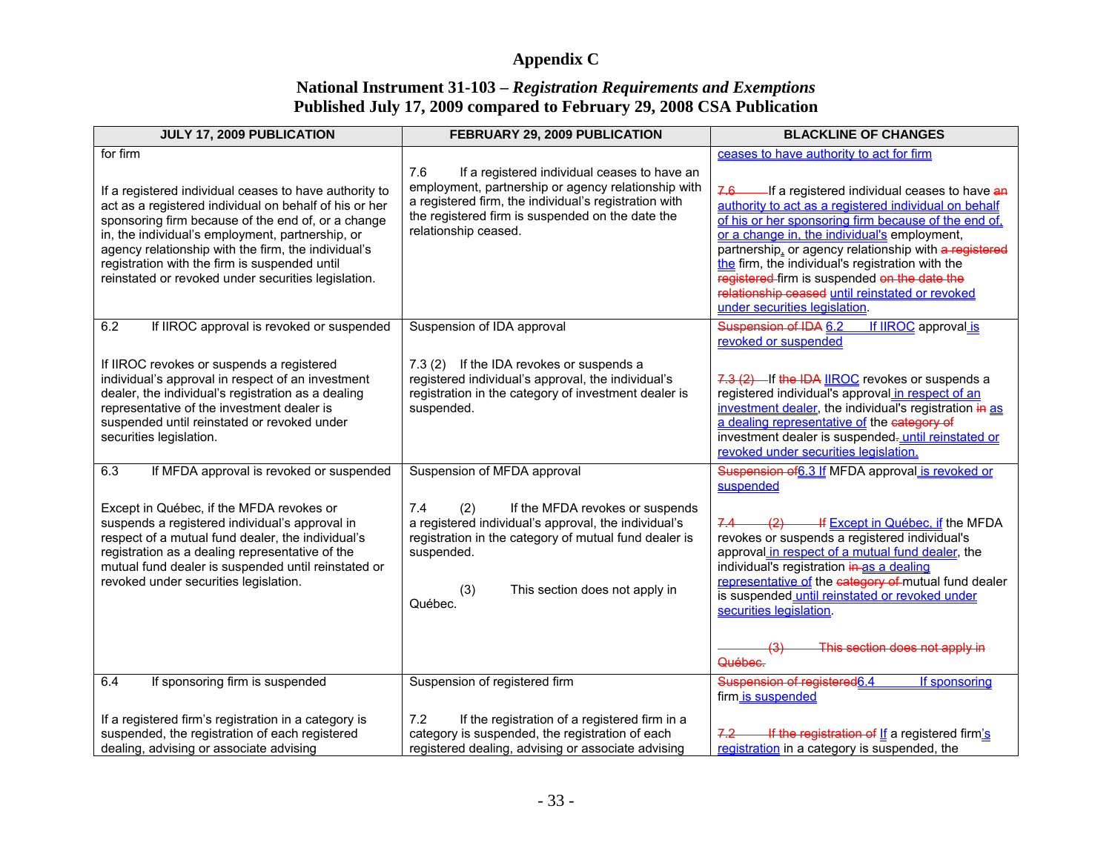| JULY 17, 2009 PUBLICATION                                                                                                                                                                                                                                                                                                                                                                             | <b>FEBRUARY 29, 2009 PUBLICATION</b>                                                                                                                                                                                                            | <b>BLACKLINE OF CHANGES</b>                                                                                                                                                                                                                                                                                                                                                                                                                                                                                            |
|-------------------------------------------------------------------------------------------------------------------------------------------------------------------------------------------------------------------------------------------------------------------------------------------------------------------------------------------------------------------------------------------------------|-------------------------------------------------------------------------------------------------------------------------------------------------------------------------------------------------------------------------------------------------|------------------------------------------------------------------------------------------------------------------------------------------------------------------------------------------------------------------------------------------------------------------------------------------------------------------------------------------------------------------------------------------------------------------------------------------------------------------------------------------------------------------------|
| for firm<br>If a registered individual ceases to have authority to<br>act as a registered individual on behalf of his or her<br>sponsoring firm because of the end of, or a change<br>in, the individual's employment, partnership, or<br>agency relationship with the firm, the individual's<br>registration with the firm is suspended until<br>reinstated or revoked under securities legislation. | 7.6<br>If a registered individual ceases to have an<br>employment, partnership or agency relationship with<br>a registered firm, the individual's registration with<br>the registered firm is suspended on the date the<br>relationship ceased. | ceases to have authority to act for firm<br>$7.6 -$<br>-If a registered individual ceases to have an<br>authority to act as a registered individual on behalf<br>of his or her sponsoring firm because of the end of,<br>or a change in, the individual's employment,<br>partnership, or agency relationship with a registered<br>the firm, the individual's registration with the<br>registered firm is suspended on the date the<br>relationship ceased until reinstated or revoked<br>under securities legislation. |
| 6.2<br>If IIROC approval is revoked or suspended                                                                                                                                                                                                                                                                                                                                                      | Suspension of IDA approval                                                                                                                                                                                                                      | Suspension of IDA 6.2<br>If IIROC approval is<br>revoked or suspended                                                                                                                                                                                                                                                                                                                                                                                                                                                  |
| If IIROC revokes or suspends a registered<br>individual's approval in respect of an investment<br>dealer, the individual's registration as a dealing<br>representative of the investment dealer is<br>suspended until reinstated or revoked under<br>securities legislation.                                                                                                                          | 7.3 (2) If the IDA revokes or suspends a<br>registered individual's approval, the individual's<br>registration in the category of investment dealer is<br>suspended.                                                                            | 7.3 (2) If the IDA IIROC revokes or suspends a<br>registered individual's approval in respect of an<br>investment dealer, the individual's registration in as<br>a dealing representative of the eategory of<br>investment dealer is suspended-until reinstated or<br>revoked under securities legislation.                                                                                                                                                                                                            |
| 6.3<br>If MFDA approval is revoked or suspended                                                                                                                                                                                                                                                                                                                                                       | Suspension of MFDA approval                                                                                                                                                                                                                     | Suspension of 6.3 If MFDA approval is revoked or<br>suspended                                                                                                                                                                                                                                                                                                                                                                                                                                                          |
| Except in Québec, if the MFDA revokes or<br>suspends a registered individual's approval in<br>respect of a mutual fund dealer, the individual's<br>registration as a dealing representative of the<br>mutual fund dealer is suspended until reinstated or<br>revoked under securities legislation.                                                                                                    | If the MFDA revokes or suspends<br>7.4<br>(2)<br>a registered individual's approval, the individual's<br>registration in the category of mutual fund dealer is<br>suspended.<br>This section does not apply in<br>(3)<br>Québec.                | - If Except in Québec, if the MFDA<br>(2)<br><del>7.4 -</del><br>revokes or suspends a registered individual's<br>approval in respect of a mutual fund dealer, the<br>individual's registration in as a dealing<br>representative of the category of mutual fund dealer<br>is suspended until reinstated or revoked under<br>securities legislation.                                                                                                                                                                   |
|                                                                                                                                                                                                                                                                                                                                                                                                       |                                                                                                                                                                                                                                                 | This section does not apply in<br><del>(3)</del><br>Québec.                                                                                                                                                                                                                                                                                                                                                                                                                                                            |
| 6.4<br>If sponsoring firm is suspended                                                                                                                                                                                                                                                                                                                                                                | Suspension of registered firm                                                                                                                                                                                                                   | Suspension of registered6.4<br>If sponsoring<br>firm is suspended                                                                                                                                                                                                                                                                                                                                                                                                                                                      |
| If a registered firm's registration in a category is<br>suspended, the registration of each registered<br>dealing, advising or associate advising                                                                                                                                                                                                                                                     | 7.2<br>If the registration of a registered firm in a<br>category is suspended, the registration of each<br>registered dealing, advising or associate advising                                                                                   | If the registration of If a registered firm's<br>$7.2 -$<br>registration in a category is suspended, the                                                                                                                                                                                                                                                                                                                                                                                                               |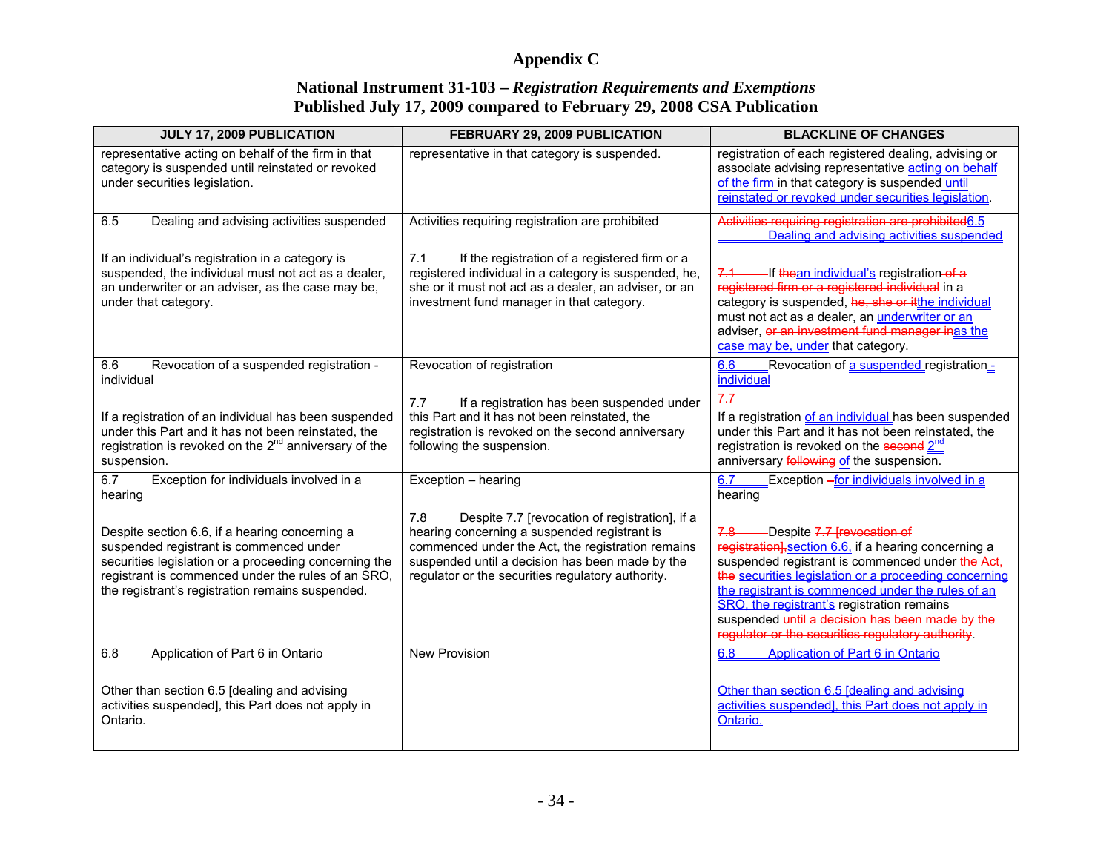| JULY 17, 2009 PUBLICATION                                                                                                                                                                                                                                                                                                 | <b>FEBRUARY 29, 2009 PUBLICATION</b>                                                                                                                                                                                                                                                      | <b>BLACKLINE OF CHANGES</b>                                                                                                                                                                                                                                                                                                                                                                                                                                                           |
|---------------------------------------------------------------------------------------------------------------------------------------------------------------------------------------------------------------------------------------------------------------------------------------------------------------------------|-------------------------------------------------------------------------------------------------------------------------------------------------------------------------------------------------------------------------------------------------------------------------------------------|---------------------------------------------------------------------------------------------------------------------------------------------------------------------------------------------------------------------------------------------------------------------------------------------------------------------------------------------------------------------------------------------------------------------------------------------------------------------------------------|
| representative acting on behalf of the firm in that<br>category is suspended until reinstated or revoked<br>under securities legislation.                                                                                                                                                                                 | representative in that category is suspended.                                                                                                                                                                                                                                             | registration of each registered dealing, advising or<br>associate advising representative acting on behalf<br>of the firm in that category is suspended until<br>reinstated or revoked under securities legislation.                                                                                                                                                                                                                                                                  |
| Dealing and advising activities suspended<br>6.5<br>If an individual's registration in a category is<br>suspended, the individual must not act as a dealer,<br>an underwriter or an adviser, as the case may be,<br>under that category.                                                                                  | Activities requiring registration are prohibited<br>If the registration of a registered firm or a<br>7.1<br>registered individual in a category is suspended, he,<br>she or it must not act as a dealer, an adviser, or an<br>investment fund manager in that category.                   | Activities requiring registration are prohibited6.5<br>Dealing and advising activities suspended<br>$7.1 -$<br>-If thean individual's registration-of a<br>registered firm or a registered individual in a<br>category is suspended, he, she or itthe individual<br>must not act as a dealer, an underwriter or an<br>adviser, or an investment fund manager inas the<br>case may be, under that category.                                                                            |
| 6.6<br>Revocation of a suspended registration -<br>individual<br>If a registration of an individual has been suspended<br>under this Part and it has not been reinstated, the<br>registration is revoked on the $2^{nd}$ anniversary of the<br>suspension.                                                                | Revocation of registration<br>If a registration has been suspended under<br>7.7<br>this Part and it has not been reinstated, the<br>registration is revoked on the second anniversary<br>following the suspension.                                                                        | Revocation of a suspended registration -<br>6.6<br>individual<br>7.7<br>If a registration of an individual has been suspended<br>under this Part and it has not been reinstated, the<br>registration is revoked on the second 2 <sup>nd</sup><br>anniversary following of the suspension.                                                                                                                                                                                             |
| 6.7<br>Exception for individuals involved in a<br>hearing<br>Despite section 6.6, if a hearing concerning a<br>suspended registrant is commenced under<br>securities legislation or a proceeding concerning the<br>registrant is commenced under the rules of an SRO,<br>the registrant's registration remains suspended. | Exception - hearing<br>7.8<br>Despite 7.7 [revocation of registration], if a<br>hearing concerning a suspended registrant is<br>commenced under the Act, the registration remains<br>suspended until a decision has been made by the<br>regulator or the securities regulatory authority. | Exception -for individuals involved in a<br>6.7<br>hearing<br>-Despite 7.7 Frevocation of<br>$7.8 -$<br>registration], section 6.6, if a hearing concerning a<br>suspended registrant is commenced under the Act,<br>the securities legislation or a proceeding concerning<br>the registrant is commenced under the rules of an<br>SRO, the registrant's registration remains<br>suspended-until a decision has been made by the<br>regulator or the securities regulatory authority. |
| 6.8<br>Application of Part 6 in Ontario<br>Other than section 6.5 [dealing and advising<br>activities suspended], this Part does not apply in<br>Ontario.                                                                                                                                                                 | <b>New Provision</b>                                                                                                                                                                                                                                                                      | <b>Application of Part 6 in Ontario</b><br>6.8<br>Other than section 6.5 [dealing and advising<br>activities suspended], this Part does not apply in<br>Ontario.                                                                                                                                                                                                                                                                                                                      |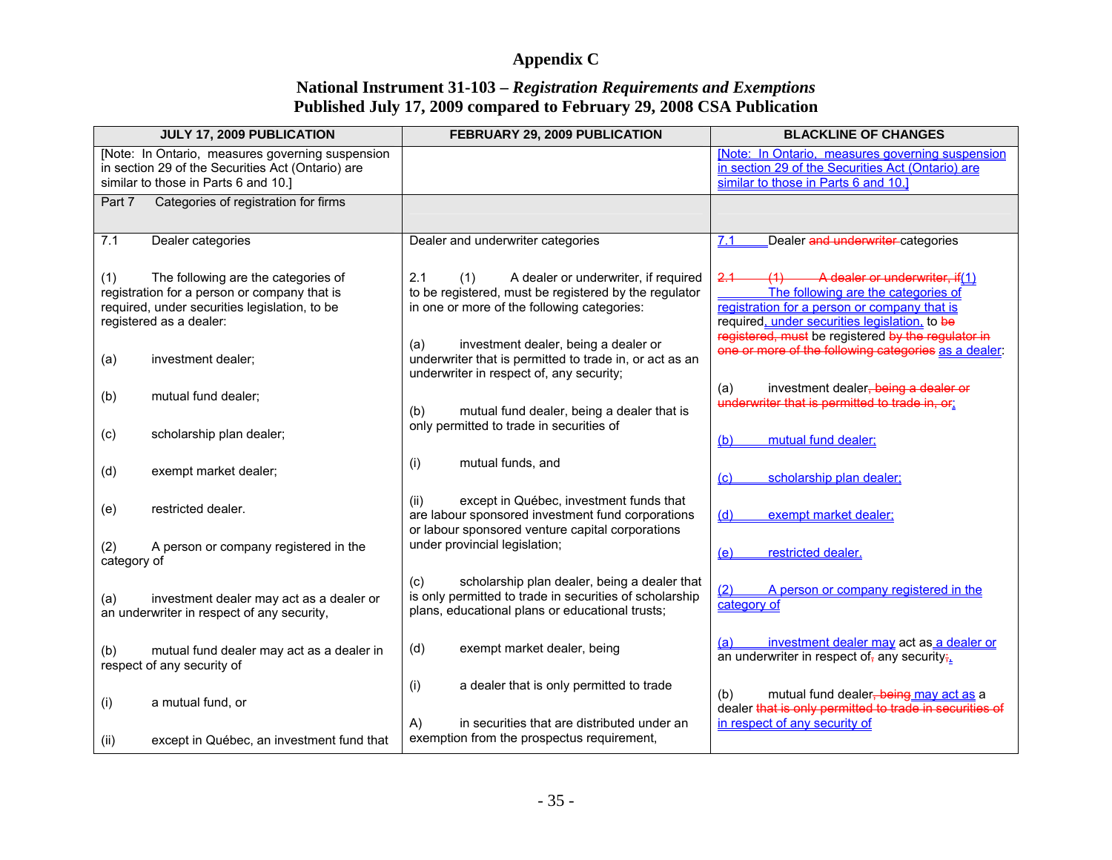| JULY 17, 2009 PUBLICATION                                                                                                                                              | <b>FEBRUARY 29, 2009 PUBLICATION</b>                                                                                                                              | <b>BLACKLINE OF CHANGES</b>                                                                                                                                                   |
|------------------------------------------------------------------------------------------------------------------------------------------------------------------------|-------------------------------------------------------------------------------------------------------------------------------------------------------------------|-------------------------------------------------------------------------------------------------------------------------------------------------------------------------------|
| [Note: In Ontario, measures governing suspension<br>in section 29 of the Securities Act (Ontario) are<br>similar to those in Parts 6 and 10.]                          |                                                                                                                                                                   | [Note: In Ontario, measures governing suspension<br>in section 29 of the Securities Act (Ontario) are<br>similar to those in Parts 6 and 10.]                                 |
| Part 7<br>Categories of registration for firms                                                                                                                         |                                                                                                                                                                   |                                                                                                                                                                               |
| Dealer categories<br>7.1                                                                                                                                               | Dealer and underwriter categories                                                                                                                                 | Dealer and underwriter-categories<br>7.1                                                                                                                                      |
| The following are the categories of<br>(1)<br>registration for a person or company that is<br>required, under securities legislation, to be<br>registered as a dealer: | A dealer or underwriter, if required<br>2.1<br>(1)<br>to be registered, must be registered by the regulator<br>in one or more of the following categories:        | A dealer or underwriter, if(1)<br>2.1<br>The following are the categories of<br>registration for a person or company that is<br>required, under securities legislation, to be |
| (a)<br>investment dealer;                                                                                                                                              | investment dealer, being a dealer or<br>(a)<br>underwriter that is permitted to trade in, or act as an<br>underwriter in respect of, any security;                | registered, must be registered by the regulator in<br>one or more of the following categories as a dealer:                                                                    |
| (b)<br>mutual fund dealer;                                                                                                                                             | mutual fund dealer, being a dealer that is<br>(b)                                                                                                                 | investment dealer, being a dealer or<br>(a)<br>underwriter that is permitted to trade in, or:                                                                                 |
| scholarship plan dealer;<br>(c)                                                                                                                                        | only permitted to trade in securities of                                                                                                                          | mutual fund dealer;<br>(b)                                                                                                                                                    |
| (d)<br>exempt market dealer;                                                                                                                                           | mutual funds, and<br>(i)                                                                                                                                          | scholarship plan dealer;<br>(c)                                                                                                                                               |
| restricted dealer.<br>(e)                                                                                                                                              | except in Québec, investment funds that<br>(ii)<br>are labour sponsored investment fund corporations<br>or labour sponsored venture capital corporations          | exempt market dealer;<br>(d)                                                                                                                                                  |
| A person or company registered in the<br>(2)<br>category of                                                                                                            | under provincial legislation;                                                                                                                                     | restricted dealer.<br>(e)                                                                                                                                                     |
| investment dealer may act as a dealer or<br>(a)<br>an underwriter in respect of any security,                                                                          | scholarship plan dealer, being a dealer that<br>(c)<br>is only permitted to trade in securities of scholarship<br>plans, educational plans or educational trusts; | A person or company registered in the<br>(2)<br>category of                                                                                                                   |
| (b)<br>mutual fund dealer may act as a dealer in<br>respect of any security of                                                                                         | exempt market dealer, being<br>(d)                                                                                                                                | investment dealer may act as a dealer or<br>(a) -<br>an underwriter in respect of, any security;                                                                              |
| a mutual fund, or<br>(i)                                                                                                                                               | a dealer that is only permitted to trade<br>(i)                                                                                                                   | mutual fund dealer, being may act as a<br>(b)<br>dealer that is only permitted to trade in securities of                                                                      |
| (ii)<br>except in Québec, an investment fund that                                                                                                                      | in securities that are distributed under an<br>A)<br>exemption from the prospectus requirement,                                                                   | in respect of any security of                                                                                                                                                 |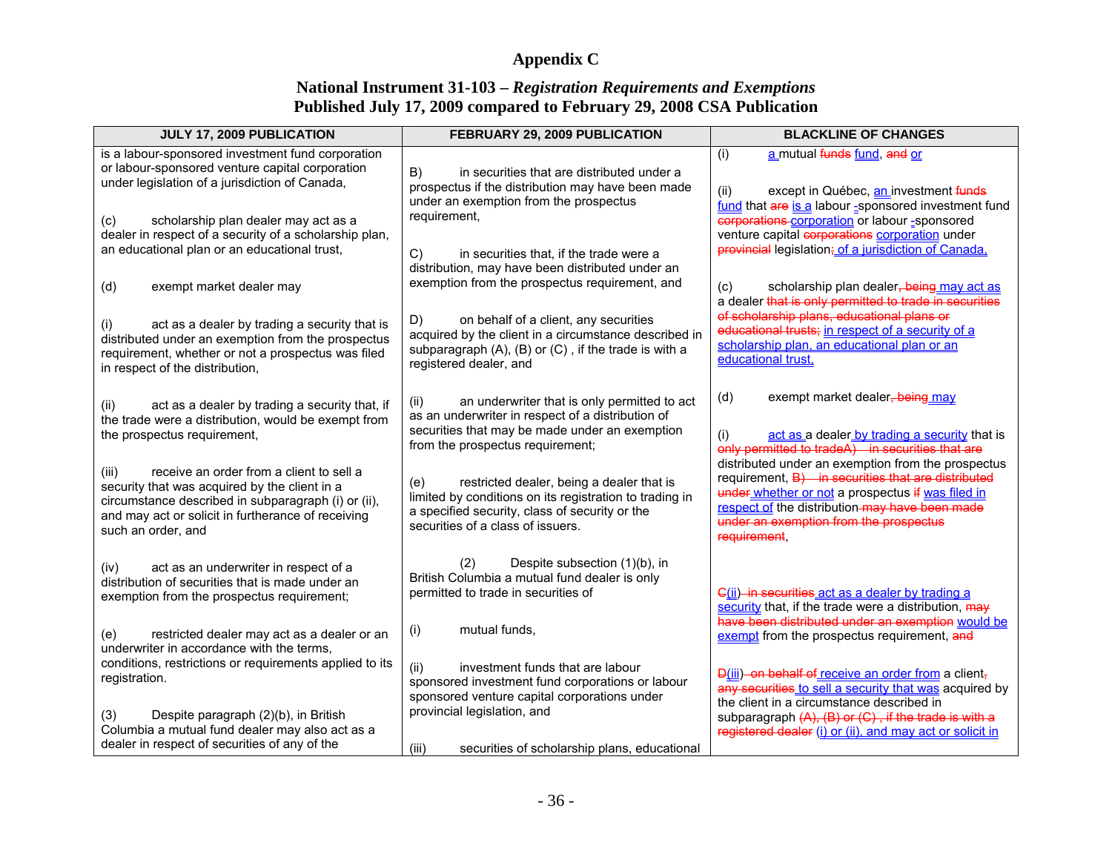| JULY 17, 2009 PUBLICATION                                                                                                                                                                                                             | FEBRUARY 29, 2009 PUBLICATION                                                                                                                                                                      | <b>BLACKLINE OF CHANGES</b>                                                                                                                                                                                                                                               |
|---------------------------------------------------------------------------------------------------------------------------------------------------------------------------------------------------------------------------------------|----------------------------------------------------------------------------------------------------------------------------------------------------------------------------------------------------|---------------------------------------------------------------------------------------------------------------------------------------------------------------------------------------------------------------------------------------------------------------------------|
| is a labour-sponsored investment fund corporation<br>or labour-sponsored venture capital corporation<br>under legislation of a jurisdiction of Canada,                                                                                | B)<br>in securities that are distributed under a<br>prospectus if the distribution may have been made<br>under an exemption from the prospectus                                                    | (i)<br>a mutual funds fund, and or<br>except in Québec, an investment funds<br>(ii)<br>fund that are is a labour -sponsored investment fund                                                                                                                               |
| scholarship plan dealer may act as a<br>(c)<br>dealer in respect of a security of a scholarship plan,<br>an educational plan or an educational trust,                                                                                 | requirement.                                                                                                                                                                                       | corporations-corporation or labour -sponsored<br>venture capital corporations corporation under<br>provincial legislation; of a jurisdiction of Canada,                                                                                                                   |
| (d)<br>exempt market dealer may                                                                                                                                                                                                       | C)<br>in securities that, if the trade were a<br>distribution, may have been distributed under an<br>exemption from the prospectus requirement, and                                                | (c)<br>scholarship plan dealer, being may act as<br>a dealer that is only permitted to trade in securities                                                                                                                                                                |
| act as a dealer by trading a security that is<br>(i)<br>distributed under an exemption from the prospectus<br>requirement, whether or not a prospectus was filed<br>in respect of the distribution,                                   | on behalf of a client, any securities<br>D)<br>acquired by the client in a circumstance described in<br>subparagraph $(A)$ , $(B)$ or $(C)$ , if the trade is with a<br>registered dealer, and     | of scholarship plans, educational plans or<br>educational trusts; in respect of a security of a<br>scholarship plan, an educational plan or an<br>educational trust,                                                                                                      |
| act as a dealer by trading a security that, if<br>(ii)<br>the trade were a distribution, would be exempt from<br>the prospectus requirement,                                                                                          | an underwriter that is only permitted to act<br>(ii)<br>as an underwriter in respect of a distribution of<br>securities that may be made under an exemption<br>from the prospectus requirement;    | exempt market dealer, being may<br>(d)<br>act as a dealer by trading a security that is<br>(i)<br>only permitted to tradeA) in securities that are                                                                                                                        |
| receive an order from a client to sell a<br>(iii)<br>security that was acquired by the client in a<br>circumstance described in subparagraph (i) or (ii),<br>and may act or solicit in furtherance of receiving<br>such an order, and | restricted dealer, being a dealer that is<br>(e)<br>limited by conditions on its registration to trading in<br>a specified security, class of security or the<br>securities of a class of issuers. | distributed under an exemption from the prospectus<br>requirement, B) in securities that are distributed<br>under whether or not a prospectus if was filed in<br>respect of the distribution-may have been made<br>under an exemption from the prospectus<br>requirement, |
| act as an underwriter in respect of a<br>(iv)<br>distribution of securities that is made under an<br>exemption from the prospectus requirement;                                                                                       | Despite subsection (1)(b), in<br>(2)<br>British Columbia a mutual fund dealer is only<br>permitted to trade in securities of                                                                       | G(ii) in securities act as a dealer by trading a<br>security that, if the trade were a distribution, may                                                                                                                                                                  |
| restricted dealer may act as a dealer or an<br>(e)<br>underwriter in accordance with the terms,                                                                                                                                       | mutual funds,<br>(i)                                                                                                                                                                               | have been distributed under an exemption would be<br>exempt from the prospectus requirement, and                                                                                                                                                                          |
| conditions, restrictions or requirements applied to its<br>registration.                                                                                                                                                              | investment funds that are labour<br>(ii)<br>sponsored investment fund corporations or labour<br>sponsored venture capital corporations under                                                       | D(iii) on behalf of receive an order from a client,<br>any securities to sell a security that was acquired by<br>the client in a circumstance described in                                                                                                                |
| Despite paragraph (2)(b), in British<br>(3)<br>Columbia a mutual fund dealer may also act as a<br>dealer in respect of securities of any of the                                                                                       | provincial legislation, and<br>(iii)<br>securities of scholarship plans, educational                                                                                                               | subparagraph (A), (B) or (C), if the trade is with a<br>registered dealer (i) or (ii), and may act or solicit in                                                                                                                                                          |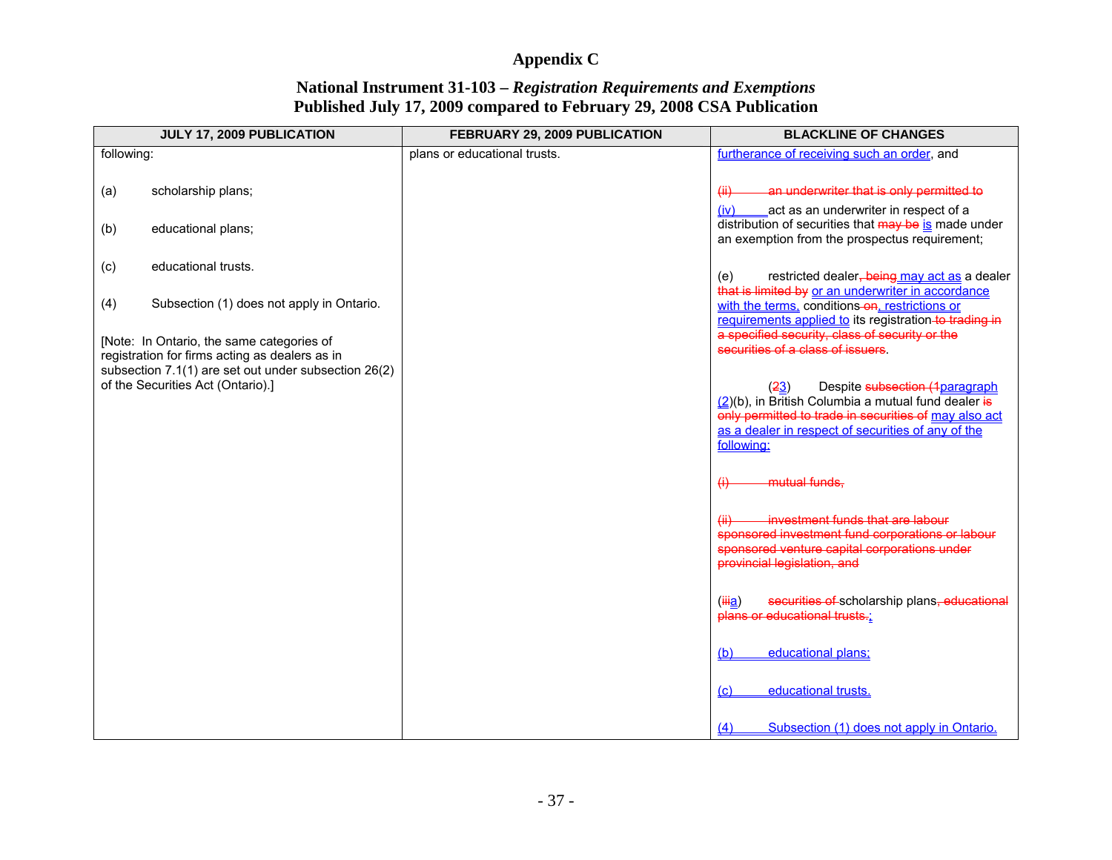|            | JULY 17, 2009 PUBLICATION                                                                                                                           | <b>FEBRUARY 29, 2009 PUBLICATION</b> | <b>BLACKLINE OF CHANGES</b>                                                                                                                                                                                                |
|------------|-----------------------------------------------------------------------------------------------------------------------------------------------------|--------------------------------------|----------------------------------------------------------------------------------------------------------------------------------------------------------------------------------------------------------------------------|
| following: |                                                                                                                                                     | plans or educational trusts.         | furtherance of receiving such an order, and                                                                                                                                                                                |
| (a)        | scholarship plans;                                                                                                                                  |                                      | an underwriter that is only permitted to<br>act as an underwriter in respect of a<br>(iv)                                                                                                                                  |
| (b)        | educational plans;                                                                                                                                  |                                      | distribution of securities that may be is made under<br>an exemption from the prospectus requirement;                                                                                                                      |
| (c)        | educational trusts.                                                                                                                                 |                                      | restricted dealer, being may act as a dealer<br>(e)                                                                                                                                                                        |
| (4)        | Subsection (1) does not apply in Ontario.                                                                                                           |                                      | that is limited by or an underwriter in accordance<br>with the terms, conditions-on, restrictions or<br>requirements applied to its registration to trading in<br>a specified security, class of security or the           |
|            | [Note: In Ontario, the same categories of<br>registration for firms acting as dealers as in<br>subsection 7.1(1) are set out under subsection 26(2) |                                      | securities of a class of issuers.                                                                                                                                                                                          |
|            | of the Securities Act (Ontario).]                                                                                                                   |                                      | (23)<br>Despite subsection (1paragraph<br>(2)(b), in British Columbia a mutual fund dealer is<br>only permitted to trade in securities of may also act<br>as a dealer in respect of securities of any of the<br>following: |
|            |                                                                                                                                                     |                                      | mutual funds.                                                                                                                                                                                                              |
|            |                                                                                                                                                     |                                      | investment funds that are labour<br>sponsored investment fund corporations or labour<br>sponsored venture capital corporations under<br>provincial legislation, and                                                        |
|            |                                                                                                                                                     |                                      | securities of scholarship plans, educational<br>(iiia)<br>plans or educational trusts.                                                                                                                                     |
|            |                                                                                                                                                     |                                      | educational plans;<br>(b)                                                                                                                                                                                                  |
|            |                                                                                                                                                     |                                      | educational trusts.<br>(c)                                                                                                                                                                                                 |
|            |                                                                                                                                                     |                                      | Subsection (1) does not apply in Ontario.<br>(4)                                                                                                                                                                           |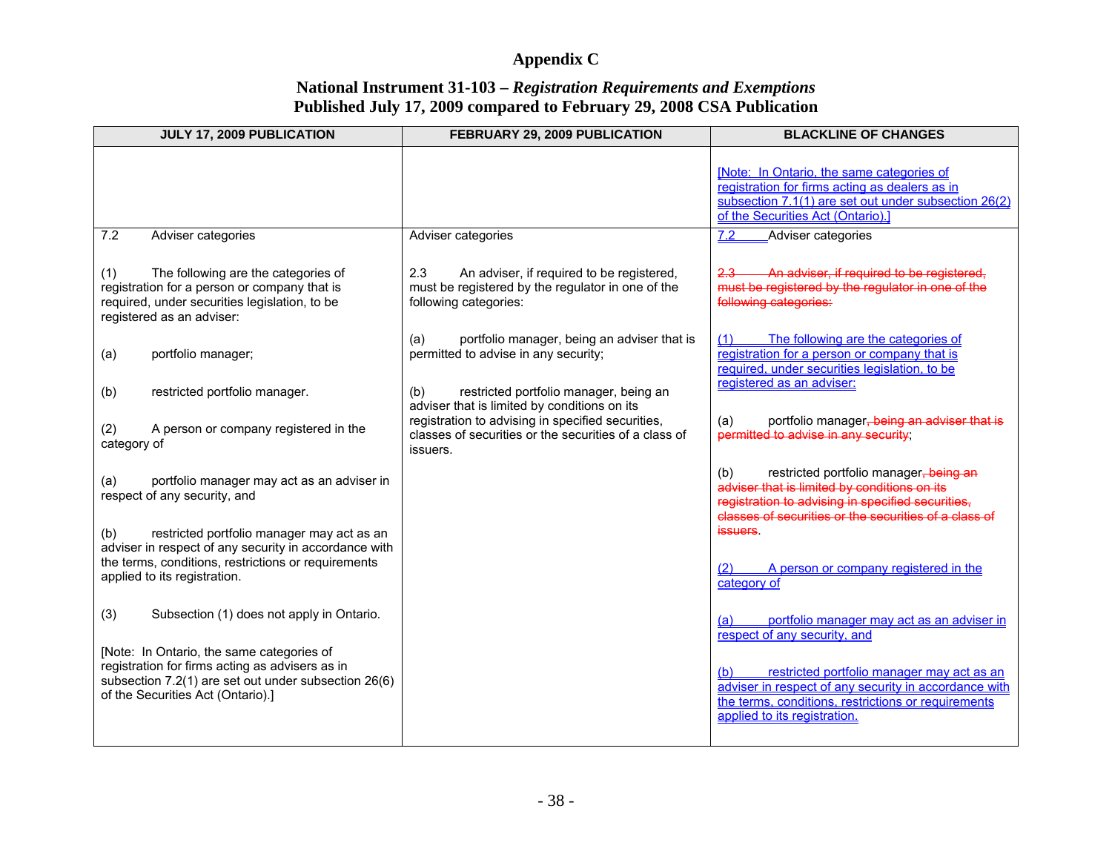| JULY 17, 2009 PUBLICATION                                                                                                                                                                         | <b>FEBRUARY 29, 2009 PUBLICATION</b>                                                                                                                                   | <b>BLACKLINE OF CHANGES</b>                                                                                                                                                                                 |
|---------------------------------------------------------------------------------------------------------------------------------------------------------------------------------------------------|------------------------------------------------------------------------------------------------------------------------------------------------------------------------|-------------------------------------------------------------------------------------------------------------------------------------------------------------------------------------------------------------|
|                                                                                                                                                                                                   |                                                                                                                                                                        | [Note: In Ontario, the same categories of<br>registration for firms acting as dealers as in<br>subsection 7.1(1) are set out under subsection 26(2)<br>of the Securities Act (Ontario).]                    |
| 7.2<br>Adviser categories                                                                                                                                                                         | Adviser categories                                                                                                                                                     | Adviser categories<br><u>7.2</u>                                                                                                                                                                            |
| The following are the categories of<br>(1)<br>registration for a person or company that is<br>required, under securities legislation, to be<br>registered as an adviser:                          | An adviser, if required to be registered,<br>2.3<br>must be registered by the regulator in one of the<br>following categories:                                         | An adviser, if required to be registered,<br>must be registered by the regulator in one of the<br>following categories:                                                                                     |
| portfolio manager;<br>(a)                                                                                                                                                                         | portfolio manager, being an adviser that is<br>(a)<br>permitted to advise in any security;                                                                             | The following are the categories of<br>(1)<br>registration for a person or company that is<br>required, under securities legislation, to be                                                                 |
| restricted portfolio manager.<br>(b)                                                                                                                                                              | restricted portfolio manager, being an<br>(b)                                                                                                                          | registered as an adviser:                                                                                                                                                                                   |
| A person or company registered in the<br>(2)<br>category of                                                                                                                                       | adviser that is limited by conditions on its<br>registration to advising in specified securities,<br>classes of securities or the securities of a class of<br>issuers. | portfolio manager, being an adviser that is<br>(a)<br>permitted to advise in any security;                                                                                                                  |
| portfolio manager may act as an adviser in<br>(a)<br>respect of any security, and                                                                                                                 |                                                                                                                                                                        | (b)<br>restricted portfolio manager, being an<br>adviser that is limited by conditions on its<br>registration to advising in specified securities,<br>classes of securities or the securities of a class of |
| restricted portfolio manager may act as an<br>(b)<br>adviser in respect of any security in accordance with<br>the terms, conditions, restrictions or requirements<br>applied to its registration. |                                                                                                                                                                        | issuers.<br>A person or company registered in the<br>(2)<br>category of                                                                                                                                     |
| Subsection (1) does not apply in Ontario.<br>(3)                                                                                                                                                  |                                                                                                                                                                        | portfolio manager may act as an adviser in<br>(a)<br>respect of any security, and                                                                                                                           |
| [Note: In Ontario, the same categories of<br>registration for firms acting as advisers as in<br>subsection 7.2(1) are set out under subsection 26(6)<br>of the Securities Act (Ontario).]         |                                                                                                                                                                        | restricted portfolio manager may act as an<br>(b)<br>adviser in respect of any security in accordance with<br>the terms, conditions, restrictions or requirements<br>applied to its registration.           |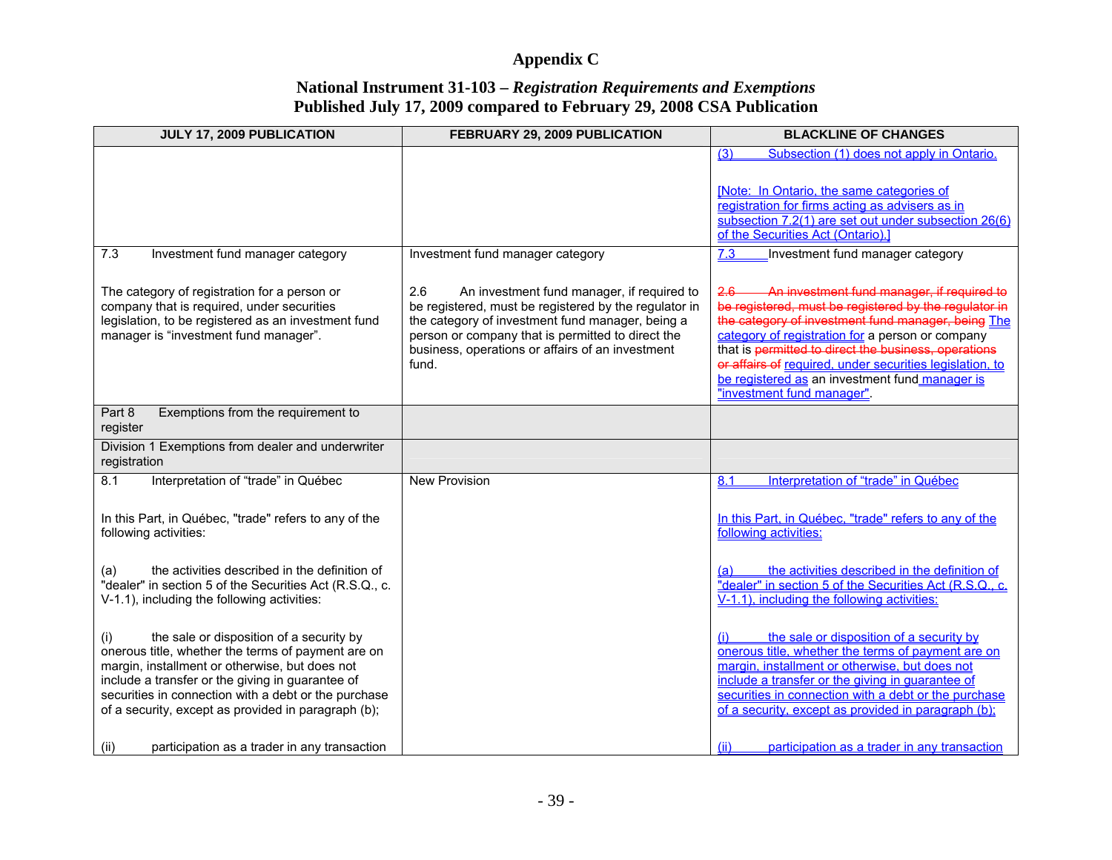| JULY 17, 2009 PUBLICATION                                                                                                                                                                                                                                                                                                  | FEBRUARY 29, 2009 PUBLICATION                                                                                                                                                                                                                                                    | <b>BLACKLINE OF CHANGES</b>                                                                                                                                                                                                                                                                                                                                                                                                 |
|----------------------------------------------------------------------------------------------------------------------------------------------------------------------------------------------------------------------------------------------------------------------------------------------------------------------------|----------------------------------------------------------------------------------------------------------------------------------------------------------------------------------------------------------------------------------------------------------------------------------|-----------------------------------------------------------------------------------------------------------------------------------------------------------------------------------------------------------------------------------------------------------------------------------------------------------------------------------------------------------------------------------------------------------------------------|
|                                                                                                                                                                                                                                                                                                                            |                                                                                                                                                                                                                                                                                  | (3)<br>Subsection (1) does not apply in Ontario.<br>[Note: In Ontario, the same categories of<br>registration for firms acting as advisers as in<br>subsection 7.2(1) are set out under subsection 26(6)<br>of the Securities Act (Ontario).]                                                                                                                                                                               |
| 7.3<br>Investment fund manager category                                                                                                                                                                                                                                                                                    | Investment fund manager category                                                                                                                                                                                                                                                 | Investment fund manager category<br>7.3                                                                                                                                                                                                                                                                                                                                                                                     |
| The category of registration for a person or<br>company that is required, under securities<br>legislation, to be registered as an investment fund<br>manager is "investment fund manager".                                                                                                                                 | 2.6<br>An investment fund manager, if required to<br>be registered, must be registered by the regulator in<br>the category of investment fund manager, being a<br>person or company that is permitted to direct the<br>business, operations or affairs of an investment<br>fund. | An investment fund manager, if required to<br>$26 -$<br>be registered, must be registered by the regulator in<br>the category of investment fund manager, being The<br>category of registration for a person or company<br>that is permitted to direct the business, operations<br>or affairs of required, under securities legislation, to<br>be registered as an investment fund manager is<br>"investment fund manager". |
| Part 8<br>Exemptions from the requirement to<br>register                                                                                                                                                                                                                                                                   |                                                                                                                                                                                                                                                                                  |                                                                                                                                                                                                                                                                                                                                                                                                                             |
| Division 1 Exemptions from dealer and underwriter<br>registration                                                                                                                                                                                                                                                          |                                                                                                                                                                                                                                                                                  |                                                                                                                                                                                                                                                                                                                                                                                                                             |
| Interpretation of "trade" in Québec<br>8.1                                                                                                                                                                                                                                                                                 | <b>New Provision</b>                                                                                                                                                                                                                                                             | Interpretation of "trade" in Québec<br>8.1                                                                                                                                                                                                                                                                                                                                                                                  |
| In this Part, in Québec, "trade" refers to any of the<br>following activities:                                                                                                                                                                                                                                             |                                                                                                                                                                                                                                                                                  | In this Part, in Québec, "trade" refers to any of the<br>following activities:                                                                                                                                                                                                                                                                                                                                              |
| the activities described in the definition of<br>(a)<br>"dealer" in section 5 of the Securities Act (R.S.Q., c.<br>V-1.1), including the following activities:                                                                                                                                                             |                                                                                                                                                                                                                                                                                  | the activities described in the definition of<br>(a)<br>"dealer" in section 5 of the Securities Act (R.S.Q., c.<br>V-1.1), including the following activities:                                                                                                                                                                                                                                                              |
| the sale or disposition of a security by<br>(i)<br>onerous title, whether the terms of payment are on<br>margin, installment or otherwise, but does not<br>include a transfer or the giving in guarantee of<br>securities in connection with a debt or the purchase<br>of a security, except as provided in paragraph (b); |                                                                                                                                                                                                                                                                                  | the sale or disposition of a security by<br>(i)<br>onerous title, whether the terms of payment are on<br>margin, installment or otherwise, but does not<br>include a transfer or the giving in guarantee of<br>securities in connection with a debt or the purchase<br>of a security, except as provided in paragraph (b);                                                                                                  |
| participation as a trader in any transaction<br>(ii)                                                                                                                                                                                                                                                                       |                                                                                                                                                                                                                                                                                  | (ii)<br>participation as a trader in any transaction                                                                                                                                                                                                                                                                                                                                                                        |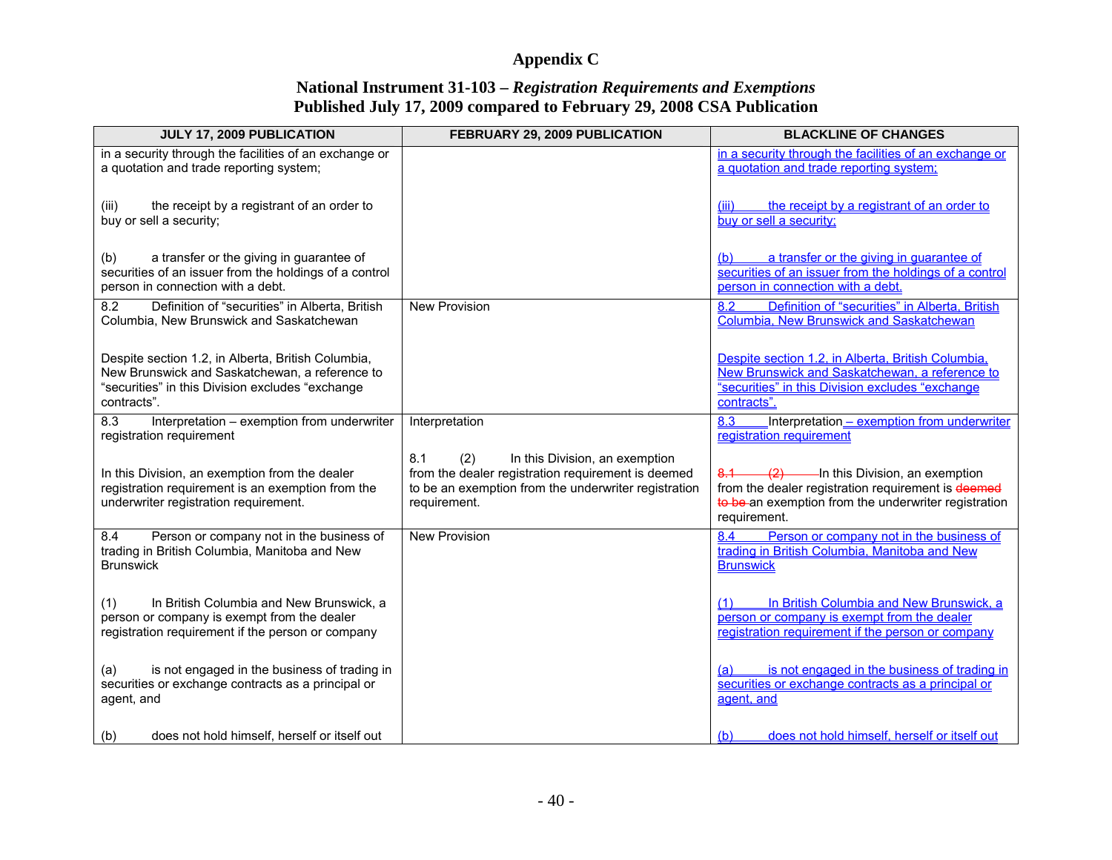| JULY 17, 2009 PUBLICATION                                                                                                                                               | <b>FEBRUARY 29, 2009 PUBLICATION</b>                                                                                                                                       | <b>BLACKLINE OF CHANGES</b>                                                                                                                                                               |
|-------------------------------------------------------------------------------------------------------------------------------------------------------------------------|----------------------------------------------------------------------------------------------------------------------------------------------------------------------------|-------------------------------------------------------------------------------------------------------------------------------------------------------------------------------------------|
| in a security through the facilities of an exchange or<br>a quotation and trade reporting system;                                                                       |                                                                                                                                                                            | in a security through the facilities of an exchange or<br>a quotation and trade reporting system;                                                                                         |
| the receipt by a registrant of an order to<br>(iii)<br>buy or sell a security;                                                                                          |                                                                                                                                                                            | the receipt by a registrant of an order to<br>(iii)<br>buy or sell a security:                                                                                                            |
| a transfer or the giving in guarantee of<br>(b)<br>securities of an issuer from the holdings of a control<br>person in connection with a debt.                          |                                                                                                                                                                            | a transfer or the giving in guarantee of<br>(b)<br>securities of an issuer from the holdings of a control<br>person in connection with a debt.                                            |
| 8.2<br>Definition of "securities" in Alberta, British<br>Columbia, New Brunswick and Saskatchewan                                                                       | <b>New Provision</b>                                                                                                                                                       | 8.2<br>Definition of "securities" in Alberta, British<br>Columbia, New Brunswick and Saskatchewan                                                                                         |
| Despite section 1.2, in Alberta, British Columbia,<br>New Brunswick and Saskatchewan, a reference to<br>"securities" in this Division excludes "exchange<br>contracts". |                                                                                                                                                                            | Despite section 1.2, in Alberta, British Columbia,<br>New Brunswick and Saskatchewan, a reference to<br>"securities" in this Division excludes "exchange<br>contracts".                   |
| 8.3<br>Interpretation - exemption from underwriter<br>registration requirement                                                                                          | Interpretation                                                                                                                                                             | Interpretation - exemption from underwriter<br>8.3<br>registration requirement                                                                                                            |
| In this Division, an exemption from the dealer<br>registration requirement is an exemption from the<br>underwriter registration requirement.                            | 8.1<br>(2)<br>In this Division, an exemption<br>from the dealer registration requirement is deemed<br>to be an exemption from the underwriter registration<br>requirement. | -In this Division, an exemption<br>$\left( 2\right)$<br>8.1<br>from the dealer registration requirement is deemed<br>to be an exemption from the underwriter registration<br>requirement. |
| Person or company not in the business of<br>8.4<br>trading in British Columbia, Manitoba and New<br><b>Brunswick</b>                                                    | <b>New Provision</b>                                                                                                                                                       | Person or company not in the business of<br>8.4<br>trading in British Columbia, Manitoba and New<br><b>Brunswick</b>                                                                      |
| In British Columbia and New Brunswick, a<br>(1)<br>person or company is exempt from the dealer<br>registration requirement if the person or company                     |                                                                                                                                                                            | In British Columbia and New Brunswick, a<br>(1)<br>person or company is exempt from the dealer<br>registration requirement if the person or company                                       |
| is not engaged in the business of trading in<br>(a)<br>securities or exchange contracts as a principal or<br>agent, and                                                 |                                                                                                                                                                            | is not engaged in the business of trading in<br>(a)<br>securities or exchange contracts as a principal or<br>agent, and                                                                   |
| does not hold himself, herself or itself out<br>(b)                                                                                                                     |                                                                                                                                                                            | does not hold himself, herself or itself out<br>(b)                                                                                                                                       |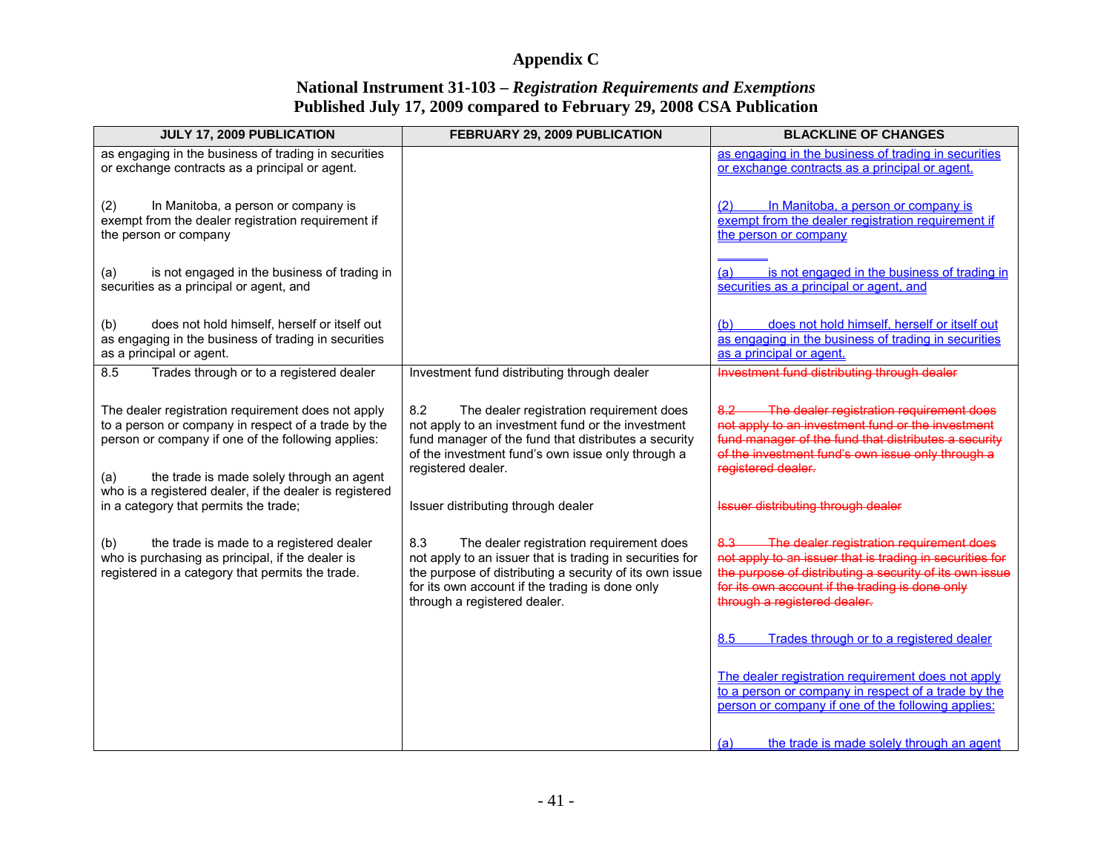| JULY 17, 2009 PUBLICATION                                                                                                                                                                                                                                                                                               | <b>FEBRUARY 29, 2009 PUBLICATION</b>                                                                                                                                                                                                                                          | <b>BLACKLINE OF CHANGES</b>                                                                                                                                                                                                                                                                      |
|-------------------------------------------------------------------------------------------------------------------------------------------------------------------------------------------------------------------------------------------------------------------------------------------------------------------------|-------------------------------------------------------------------------------------------------------------------------------------------------------------------------------------------------------------------------------------------------------------------------------|--------------------------------------------------------------------------------------------------------------------------------------------------------------------------------------------------------------------------------------------------------------------------------------------------|
| as engaging in the business of trading in securities<br>or exchange contracts as a principal or agent.                                                                                                                                                                                                                  |                                                                                                                                                                                                                                                                               | as engaging in the business of trading in securities<br>or exchange contracts as a principal or agent.                                                                                                                                                                                           |
| In Manitoba, a person or company is<br>(2)<br>exempt from the dealer registration requirement if<br>the person or company                                                                                                                                                                                               |                                                                                                                                                                                                                                                                               | In Manitoba, a person or company is<br>(2)<br>exempt from the dealer registration requirement if<br>the person or company                                                                                                                                                                        |
| is not engaged in the business of trading in<br>(a)<br>securities as a principal or agent, and                                                                                                                                                                                                                          |                                                                                                                                                                                                                                                                               | is not engaged in the business of trading in<br>(a)<br>securities as a principal or agent, and                                                                                                                                                                                                   |
| does not hold himself, herself or itself out<br>(b)<br>as engaging in the business of trading in securities<br>as a principal or agent.                                                                                                                                                                                 |                                                                                                                                                                                                                                                                               | does not hold himself, herself or itself out<br>(b)<br>as engaging in the business of trading in securities<br>as a principal or agent.                                                                                                                                                          |
| 8.5<br>Trades through or to a registered dealer                                                                                                                                                                                                                                                                         | Investment fund distributing through dealer                                                                                                                                                                                                                                   | Investment fund distributing through dealer                                                                                                                                                                                                                                                      |
| The dealer registration requirement does not apply<br>to a person or company in respect of a trade by the<br>person or company if one of the following applies:<br>the trade is made solely through an agent<br>(a)<br>who is a registered dealer, if the dealer is registered<br>in a category that permits the trade; | 8.2<br>The dealer registration requirement does<br>not apply to an investment fund or the investment<br>fund manager of the fund that distributes a security<br>of the investment fund's own issue only through a<br>registered dealer.<br>Issuer distributing through dealer | The dealer registration requirement does<br><del>8.2-</del><br>not apply to an investment fund or the investment<br>fund manager of the fund that distributes a security<br>of the investment fund's own issue only through a<br>registered dealer.<br><b>Issuer distributing through dealer</b> |
| the trade is made to a registered dealer<br>(b)<br>who is purchasing as principal, if the dealer is<br>registered in a category that permits the trade.                                                                                                                                                                 | 8.3<br>The dealer registration requirement does<br>not apply to an issuer that is trading in securities for<br>the purpose of distributing a security of its own issue<br>for its own account if the trading is done only<br>through a registered dealer.                     | 8.3 The dealer registration requirement does<br>not apply to an issuer that is trading in securities for<br>the purpose of distributing a security of its own issue<br>for its own account if the trading is done only<br>through a registered dealer.                                           |
|                                                                                                                                                                                                                                                                                                                         |                                                                                                                                                                                                                                                                               | Trades through or to a registered dealer<br>8.5                                                                                                                                                                                                                                                  |
|                                                                                                                                                                                                                                                                                                                         |                                                                                                                                                                                                                                                                               | The dealer registration requirement does not apply<br>to a person or company in respect of a trade by the<br>person or company if one of the following applies:                                                                                                                                  |
|                                                                                                                                                                                                                                                                                                                         |                                                                                                                                                                                                                                                                               | the trade is made solely through an agent<br><u>(a)</u>                                                                                                                                                                                                                                          |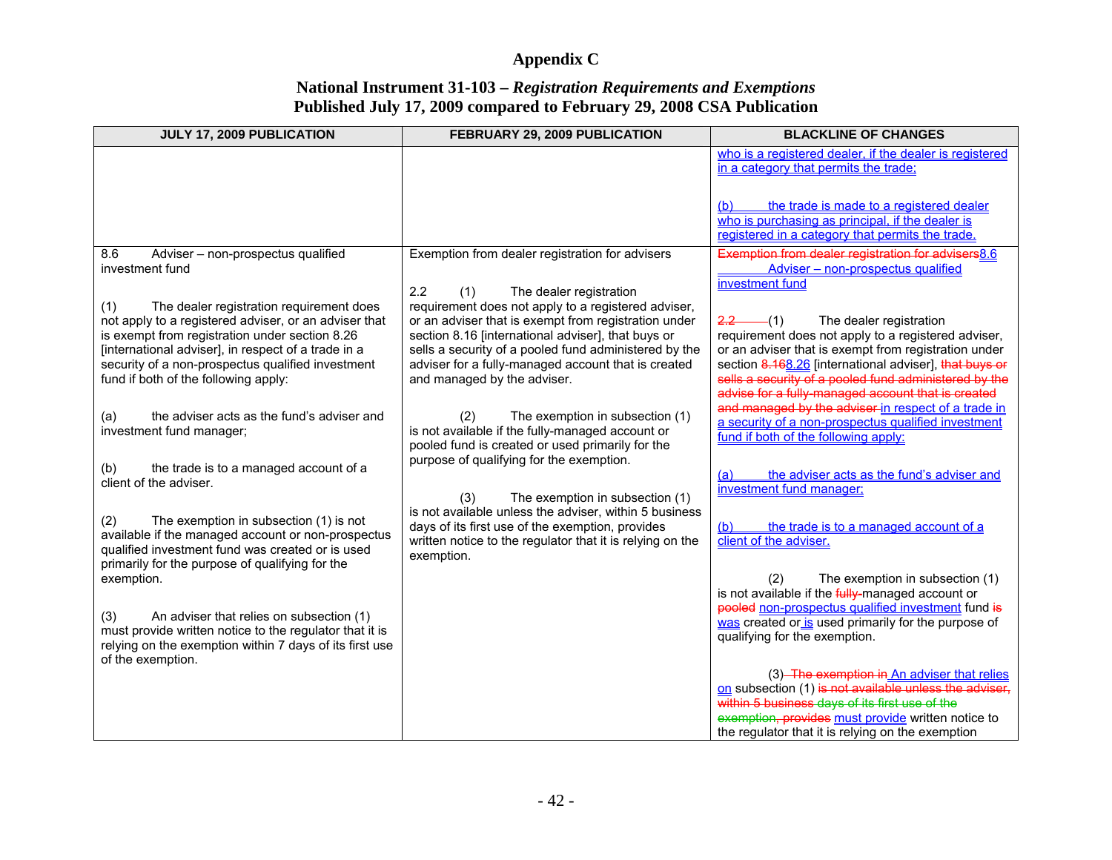| JULY 17, 2009 PUBLICATION                                                                                                                                                                                                                                                                                                                                                                                                                                                                                                                                                                                                                                                                                                                                                                                                                                                                                                                                            | <b>FEBRUARY 29, 2009 PUBLICATION</b>                                                                                                                                                                                                                                                                                                                                                                                                                                                                                                                                                                                                                                                                                                                                                                                                          | <b>BLACKLINE OF CHANGES</b>                                                                                                                                                                                                                                                                                                                                                                                                                                                                                                                                                                                                                                                                                                                                                                                                                                                                                                                                                                                                                                                                                                                                                                                                                       |
|----------------------------------------------------------------------------------------------------------------------------------------------------------------------------------------------------------------------------------------------------------------------------------------------------------------------------------------------------------------------------------------------------------------------------------------------------------------------------------------------------------------------------------------------------------------------------------------------------------------------------------------------------------------------------------------------------------------------------------------------------------------------------------------------------------------------------------------------------------------------------------------------------------------------------------------------------------------------|-----------------------------------------------------------------------------------------------------------------------------------------------------------------------------------------------------------------------------------------------------------------------------------------------------------------------------------------------------------------------------------------------------------------------------------------------------------------------------------------------------------------------------------------------------------------------------------------------------------------------------------------------------------------------------------------------------------------------------------------------------------------------------------------------------------------------------------------------|---------------------------------------------------------------------------------------------------------------------------------------------------------------------------------------------------------------------------------------------------------------------------------------------------------------------------------------------------------------------------------------------------------------------------------------------------------------------------------------------------------------------------------------------------------------------------------------------------------------------------------------------------------------------------------------------------------------------------------------------------------------------------------------------------------------------------------------------------------------------------------------------------------------------------------------------------------------------------------------------------------------------------------------------------------------------------------------------------------------------------------------------------------------------------------------------------------------------------------------------------|
|                                                                                                                                                                                                                                                                                                                                                                                                                                                                                                                                                                                                                                                                                                                                                                                                                                                                                                                                                                      |                                                                                                                                                                                                                                                                                                                                                                                                                                                                                                                                                                                                                                                                                                                                                                                                                                               | who is a registered dealer, if the dealer is registered<br>in a category that permits the trade;<br>the trade is made to a registered dealer<br>(b)<br>who is purchasing as principal, if the dealer is<br>registered in a category that permits the trade.                                                                                                                                                                                                                                                                                                                                                                                                                                                                                                                                                                                                                                                                                                                                                                                                                                                                                                                                                                                       |
| Adviser - non-prospectus qualified<br>8.6<br>investment fund<br>The dealer registration requirement does<br>(1)<br>not apply to a registered adviser, or an adviser that<br>is exempt from registration under section 8.26<br>[international adviser], in respect of a trade in a<br>security of a non-prospectus qualified investment<br>fund if both of the following apply:<br>the adviser acts as the fund's adviser and<br>(a)<br>investment fund manager;<br>the trade is to a managed account of a<br>(b)<br>client of the adviser.<br>The exemption in subsection (1) is not<br>(2)<br>available if the managed account or non-prospectus<br>qualified investment fund was created or is used<br>primarily for the purpose of qualifying for the<br>exemption.<br>An adviser that relies on subsection (1)<br>(3)<br>must provide written notice to the regulator that it is<br>relying on the exemption within 7 days of its first use<br>of the exemption. | Exemption from dealer registration for advisers<br>2.2<br>(1)<br>The dealer registration<br>requirement does not apply to a registered adviser,<br>or an adviser that is exempt from registration under<br>section 8.16 [international adviser], that buys or<br>sells a security of a pooled fund administered by the<br>adviser for a fully-managed account that is created<br>and managed by the adviser.<br>The exemption in subsection (1)<br>(2)<br>is not available if the fully-managed account or<br>pooled fund is created or used primarily for the<br>purpose of qualifying for the exemption.<br>The exemption in subsection (1)<br>(3)<br>is not available unless the adviser, within 5 business<br>days of its first use of the exemption, provides<br>written notice to the regulator that it is relying on the<br>exemption. | <b>Exemption from dealer registration for advisers</b> 8.6<br>Adviser - non-prospectus qualified<br>investment fund<br>$2.2$ (1)<br>The dealer registration<br>requirement does not apply to a registered adviser,<br>or an adviser that is exempt from registration under<br>section 8.168.26 [international adviser], that buys or<br>sells a security of a pooled fund administered by the<br>advise for a fully managed account that is created<br>and managed by the adviser in respect of a trade in<br>a security of a non-prospectus qualified investment<br>fund if both of the following apply:<br>the adviser acts as the fund's adviser and<br><u>(a)</u><br>investment fund manager;<br>(b)<br>the trade is to a managed account of a<br>client of the adviser.<br>The exemption in subsection (1)<br>(2)<br>is not available if the <i>fully</i> -managed account or<br>pooled non-prospectus qualified investment fund is<br>was created or is used primarily for the purpose of<br>qualifying for the exemption.<br>(3) The exemption in An adviser that relies<br>on subsection (1) is not available unless the adviser,<br>within 5 business days of its first use of the<br>exemption, provides must provide written notice to |
|                                                                                                                                                                                                                                                                                                                                                                                                                                                                                                                                                                                                                                                                                                                                                                                                                                                                                                                                                                      |                                                                                                                                                                                                                                                                                                                                                                                                                                                                                                                                                                                                                                                                                                                                                                                                                                               | the regulator that it is relying on the exemption                                                                                                                                                                                                                                                                                                                                                                                                                                                                                                                                                                                                                                                                                                                                                                                                                                                                                                                                                                                                                                                                                                                                                                                                 |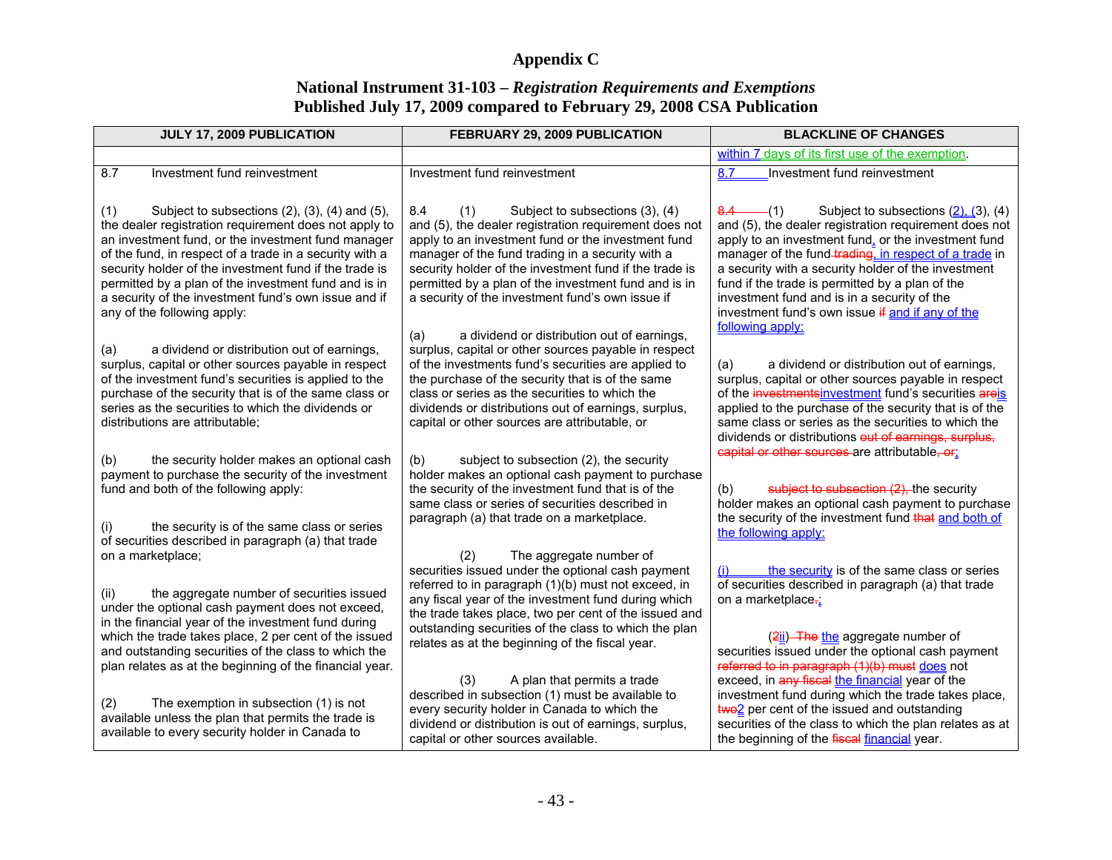| JULY 17, 2009 PUBLICATION                                                                                                                                                                                                                                                                                                                                                                                                               | <b>FEBRUARY 29, 2009 PUBLICATION</b>                                                                                                                                                                                                                                                                                                                                                   | <b>BLACKLINE OF CHANGES</b>                                                                                                                                                                                                                                                                                                                                                                                                                     |
|-----------------------------------------------------------------------------------------------------------------------------------------------------------------------------------------------------------------------------------------------------------------------------------------------------------------------------------------------------------------------------------------------------------------------------------------|----------------------------------------------------------------------------------------------------------------------------------------------------------------------------------------------------------------------------------------------------------------------------------------------------------------------------------------------------------------------------------------|-------------------------------------------------------------------------------------------------------------------------------------------------------------------------------------------------------------------------------------------------------------------------------------------------------------------------------------------------------------------------------------------------------------------------------------------------|
|                                                                                                                                                                                                                                                                                                                                                                                                                                         |                                                                                                                                                                                                                                                                                                                                                                                        | within 7 days of its first use of the exemption.                                                                                                                                                                                                                                                                                                                                                                                                |
| 8.7<br>Investment fund reinvestment                                                                                                                                                                                                                                                                                                                                                                                                     | Investment fund reinvestment                                                                                                                                                                                                                                                                                                                                                           | 8.7<br>Investment fund reinvestment                                                                                                                                                                                                                                                                                                                                                                                                             |
| Subject to subsections (2), (3), (4) and (5),<br>(1)<br>the dealer registration requirement does not apply to<br>an investment fund, or the investment fund manager<br>of the fund, in respect of a trade in a security with a<br>security holder of the investment fund if the trade is<br>permitted by a plan of the investment fund and is in<br>a security of the investment fund's own issue and if<br>any of the following apply: | 8.4<br>Subject to subsections (3), (4)<br>(1)<br>and (5), the dealer registration requirement does not<br>apply to an investment fund or the investment fund<br>manager of the fund trading in a security with a<br>security holder of the investment fund if the trade is<br>permitted by a plan of the investment fund and is in<br>a security of the investment fund's own issue if | Subject to subsections $(2)$ , $(3)$ , $(4)$<br>$8.4$ (1)<br>and (5), the dealer registration requirement does not<br>apply to an investment fund, or the investment fund<br>manager of the fund-trading, in respect of a trade in<br>a security with a security holder of the investment<br>fund if the trade is permitted by a plan of the<br>investment fund and is in a security of the<br>investment fund's own issue if and if any of the |
| a dividend or distribution out of earnings,<br>(a)<br>surplus, capital or other sources payable in respect<br>of the investment fund's securities is applied to the<br>purchase of the security that is of the same class or<br>series as the securities to which the dividends or<br>distributions are attributable;                                                                                                                   | a dividend or distribution out of earnings,<br>(a)<br>surplus, capital or other sources payable in respect<br>of the investments fund's securities are applied to<br>the purchase of the security that is of the same<br>class or series as the securities to which the<br>dividends or distributions out of earnings, surplus,<br>capital or other sources are attributable, or       | following apply:<br>a dividend or distribution out of earnings,<br>(a)<br>surplus, capital or other sources payable in respect<br>of the investments investment fund's securities areis<br>applied to the purchase of the security that is of the<br>same class or series as the securities to which the<br>dividends or distributions out of earnings, surplus,<br>eapital or other sources are attributable, or:                              |
| the security holder makes an optional cash<br>(b)<br>payment to purchase the security of the investment<br>fund and both of the following apply:<br>the security is of the same class or series<br>(i)<br>of securities described in paragraph (a) that trade                                                                                                                                                                           | subject to subsection (2), the security<br>(b)<br>holder makes an optional cash payment to purchase<br>the security of the investment fund that is of the<br>same class or series of securities described in<br>paragraph (a) that trade on a marketplace.                                                                                                                             | subject to subsection (2), the security<br>(b)<br>holder makes an optional cash payment to purchase<br>the security of the investment fund that and both of<br>the following apply:                                                                                                                                                                                                                                                             |
| on a marketplace;<br>the aggregate number of securities issued<br>(ii)<br>under the optional cash payment does not exceed,<br>in the financial year of the investment fund during                                                                                                                                                                                                                                                       | The aggregate number of<br>(2)<br>securities issued under the optional cash payment<br>referred to in paragraph (1)(b) must not exceed, in<br>any fiscal year of the investment fund during which<br>the trade takes place, two per cent of the issued and                                                                                                                             | the security is of the same class or series<br>(i)<br>of securities described in paragraph (a) that trade<br>on a marketplace-;                                                                                                                                                                                                                                                                                                                 |
| which the trade takes place, 2 per cent of the issued<br>and outstanding securities of the class to which the<br>plan relates as at the beginning of the financial year.                                                                                                                                                                                                                                                                | outstanding securities of the class to which the plan<br>relates as at the beginning of the fiscal year.<br>A plan that permits a trade<br>(3)                                                                                                                                                                                                                                         | (2ii)-The the aggregate number of<br>securities issued under the optional cash payment<br>referred to in paragraph (1)(b) must does not<br>exceed, in any fiscal the financial year of the                                                                                                                                                                                                                                                      |
| The exemption in subsection (1) is not<br>(2)<br>available unless the plan that permits the trade is<br>available to every security holder in Canada to                                                                                                                                                                                                                                                                                 | described in subsection (1) must be available to<br>every security holder in Canada to which the<br>dividend or distribution is out of earnings, surplus,<br>capital or other sources available.                                                                                                                                                                                       | investment fund during which the trade takes place,<br>two2 per cent of the issued and outstanding<br>securities of the class to which the plan relates as at<br>the beginning of the fiscal financial year.                                                                                                                                                                                                                                    |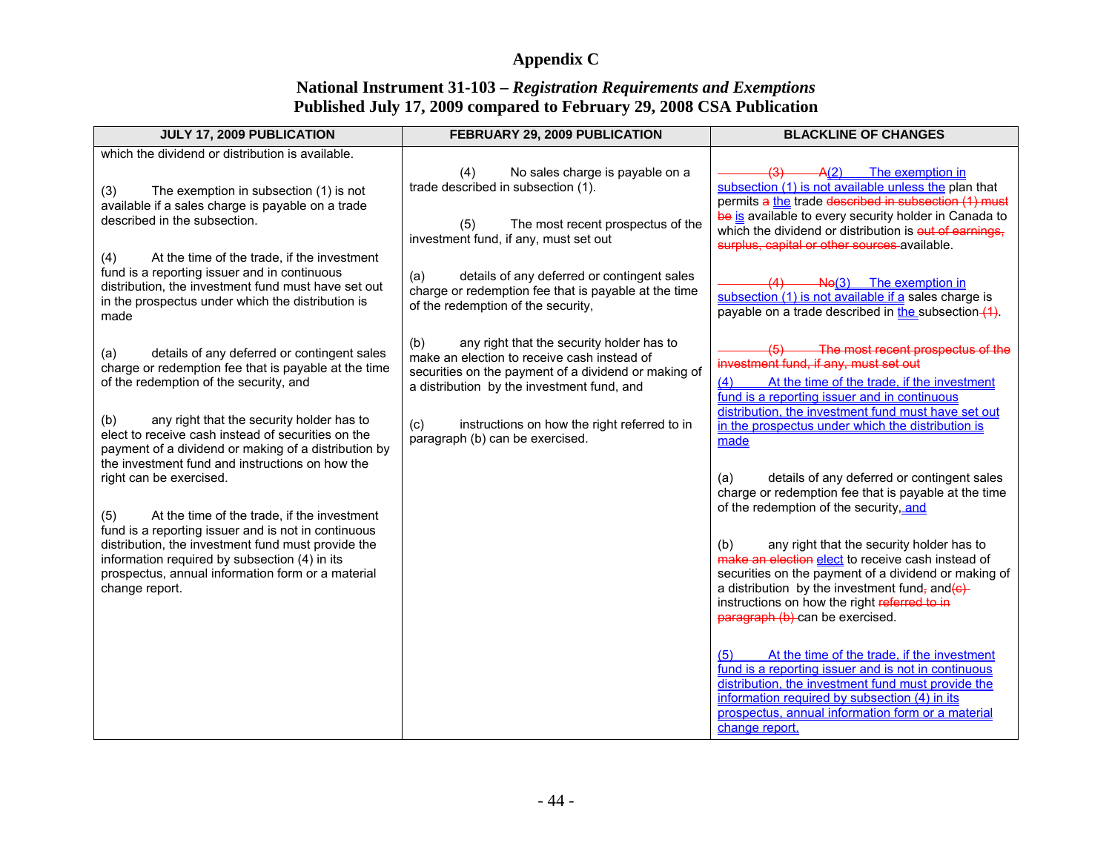| JULY 17, 2009 PUBLICATION                                                                                                                                                                                                                    | <b>FEBRUARY 29, 2009 PUBLICATION</b>                                                                                                                                                                  | <b>BLACKLINE OF CHANGES</b>                                                                                                                                                                                                                                                                                               |
|----------------------------------------------------------------------------------------------------------------------------------------------------------------------------------------------------------------------------------------------|-------------------------------------------------------------------------------------------------------------------------------------------------------------------------------------------------------|---------------------------------------------------------------------------------------------------------------------------------------------------------------------------------------------------------------------------------------------------------------------------------------------------------------------------|
| which the dividend or distribution is available.                                                                                                                                                                                             |                                                                                                                                                                                                       |                                                                                                                                                                                                                                                                                                                           |
| The exemption in subsection (1) is not<br>(3)<br>available if a sales charge is payable on a trade<br>described in the subsection.                                                                                                           | No sales charge is payable on a<br>(4)<br>trade described in subsection (1).<br>The most recent prospectus of the<br>(5)<br>investment fund, if any, must set out                                     | $-A(2)$<br>The exemption in<br>subsection (1) is not available unless the plan that<br>permits a the trade described in subsection (1) must<br>be is available to every security holder in Canada to<br>which the dividend or distribution is out of earnings,<br>surplus, capital or other sources available.            |
| At the time of the trade, if the investment<br>(4)<br>fund is a reporting issuer and in continuous<br>distribution, the investment fund must have set out<br>in the prospectus under which the distribution is<br>made                       | (a)<br>details of any deferred or contingent sales<br>charge or redemption fee that is payable at the time<br>of the redemption of the security,                                                      | -No(3) The exemption in<br>subsection (1) is not available if a sales charge is<br>payable on a trade described in the subsection (1).                                                                                                                                                                                    |
| details of any deferred or contingent sales<br>(a)<br>charge or redemption fee that is payable at the time<br>of the redemption of the security, and                                                                                         | (b)<br>any right that the security holder has to<br>make an election to receive cash instead of<br>securities on the payment of a dividend or making of<br>a distribution by the investment fund, and | The most recent prospectus of the<br>investment fund, if any, must set out<br>At the time of the trade, if the investment<br>(4)<br>fund is a reporting issuer and in continuous                                                                                                                                          |
| any right that the security holder has to<br>(b)<br>elect to receive cash instead of securities on the<br>payment of a dividend or making of a distribution by<br>the investment fund and instructions on how the<br>right can be exercised. | instructions on how the right referred to in<br>(c)<br>paragraph (b) can be exercised.                                                                                                                | distribution, the investment fund must have set out<br>in the prospectus under which the distribution is<br>made<br>(a)                                                                                                                                                                                                   |
| At the time of the trade, if the investment<br>(5)                                                                                                                                                                                           |                                                                                                                                                                                                       | details of any deferred or contingent sales<br>charge or redemption fee that is payable at the time<br>of the redemption of the security, and                                                                                                                                                                             |
| fund is a reporting issuer and is not in continuous<br>distribution, the investment fund must provide the<br>information required by subsection (4) in its<br>prospectus, annual information form or a material<br>change report.            |                                                                                                                                                                                                       | (b)<br>any right that the security holder has to<br>make an election elect to receive cash instead of<br>securities on the payment of a dividend or making of<br>a distribution by the investment fund, and $\left(\frac{c}{c}\right)$<br>instructions on how the right referred to in<br>paragraph (b) can be exercised. |
|                                                                                                                                                                                                                                              |                                                                                                                                                                                                       | At the time of the trade, if the investment<br>(5)<br>fund is a reporting issuer and is not in continuous<br>distribution, the investment fund must provide the<br>information required by subsection (4) in its<br>prospectus, annual information form or a material<br>change report.                                   |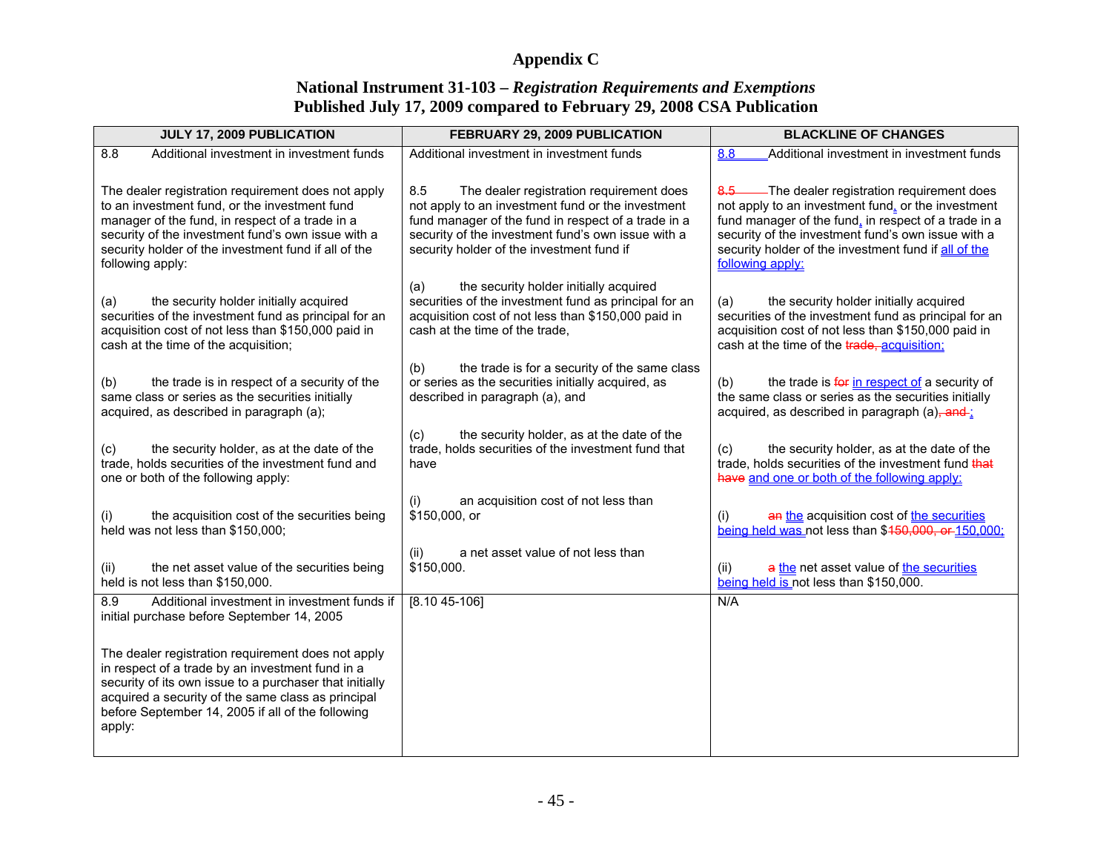| JULY 17, 2009 PUBLICATION                                                                                                                                                                                                                                                              | <b>FEBRUARY 29, 2009 PUBLICATION</b>                  | <b>BLACKLINE OF CHANGES</b>                           |
|----------------------------------------------------------------------------------------------------------------------------------------------------------------------------------------------------------------------------------------------------------------------------------------|-------------------------------------------------------|-------------------------------------------------------|
| 8.8<br>Additional investment in investment funds                                                                                                                                                                                                                                       | Additional investment in investment funds             | Additional investment in investment funds<br>8.8      |
| The dealer registration requirement does not apply                                                                                                                                                                                                                                     | 8.5                                                   | 8.5 - The dealer registration requirement does        |
| to an investment fund, or the investment fund                                                                                                                                                                                                                                          | The dealer registration requirement does              | not apply to an investment fund, or the investment    |
| manager of the fund, in respect of a trade in a                                                                                                                                                                                                                                        | not apply to an investment fund or the investment     | fund manager of the fund, in respect of a trade in a  |
| security of the investment fund's own issue with a                                                                                                                                                                                                                                     | fund manager of the fund in respect of a trade in a   | security of the investment fund's own issue with a    |
| security holder of the investment fund if all of the                                                                                                                                                                                                                                   | security of the investment fund's own issue with a    | security holder of the investment fund if all of the  |
| following apply:                                                                                                                                                                                                                                                                       | security holder of the investment fund if             | following apply:                                      |
| the security holder initially acquired                                                                                                                                                                                                                                                 | (a)                                                   | the security holder initially acquired                |
| (a)                                                                                                                                                                                                                                                                                    | the security holder initially acquired                | (a)                                                   |
| securities of the investment fund as principal for an                                                                                                                                                                                                                                  | securities of the investment fund as principal for an | securities of the investment fund as principal for an |
| acquisition cost of not less than \$150,000 paid in                                                                                                                                                                                                                                    | acquisition cost of not less than \$150,000 paid in   | acquisition cost of not less than \$150,000 paid in   |
| cash at the time of the acquisition;                                                                                                                                                                                                                                                   | cash at the time of the trade,                        | cash at the time of the trade, acquisition;           |
| (b)                                                                                                                                                                                                                                                                                    | the trade is for a security of the same class         | (b)                                                   |
| the trade is in respect of a security of the                                                                                                                                                                                                                                           | (b)                                                   | the trade is for in respect of a security of          |
| same class or series as the securities initially                                                                                                                                                                                                                                       | or series as the securities initially acquired, as    | the same class or series as the securities initially  |
| acquired, as described in paragraph (a);                                                                                                                                                                                                                                               | described in paragraph (a), and                       | acquired, as described in paragraph (a), and:         |
| (c)                                                                                                                                                                                                                                                                                    | the security holder, as at the date of the            | (c)                                                   |
| the security holder, as at the date of the                                                                                                                                                                                                                                             | (c)                                                   | the security holder, as at the date of the            |
| trade, holds securities of the investment fund and                                                                                                                                                                                                                                     | trade, holds securities of the investment fund that   | trade, holds securities of the investment fund that   |
| one or both of the following apply:                                                                                                                                                                                                                                                    | have                                                  | have and one or both of the following apply:          |
| the acquisition cost of the securities being                                                                                                                                                                                                                                           | an acquisition cost of not less than                  | an the acquisition cost of the securities             |
| (i)                                                                                                                                                                                                                                                                                    | (i)                                                   | (i)                                                   |
| held was not less than \$150,000;                                                                                                                                                                                                                                                      | \$150,000, or                                         | being held was not less than \$450,000, or 150,000;   |
| (ii)                                                                                                                                                                                                                                                                                   | a net asset value of not less than                    | a the net asset value of the securities               |
| the net asset value of the securities being                                                                                                                                                                                                                                            | (ii)                                                  | (ii)                                                  |
| held is not less than \$150,000.                                                                                                                                                                                                                                                       | \$150,000.                                            | being held is not less than \$150,000.                |
| Additional investment in investment funds if<br>8.9<br>initial purchase before September 14, 2005                                                                                                                                                                                      | $[8.1045 - 106]$                                      | N/A                                                   |
| The dealer registration requirement does not apply<br>in respect of a trade by an investment fund in a<br>security of its own issue to a purchaser that initially<br>acquired a security of the same class as principal<br>before September 14, 2005 if all of the following<br>apply: |                                                       |                                                       |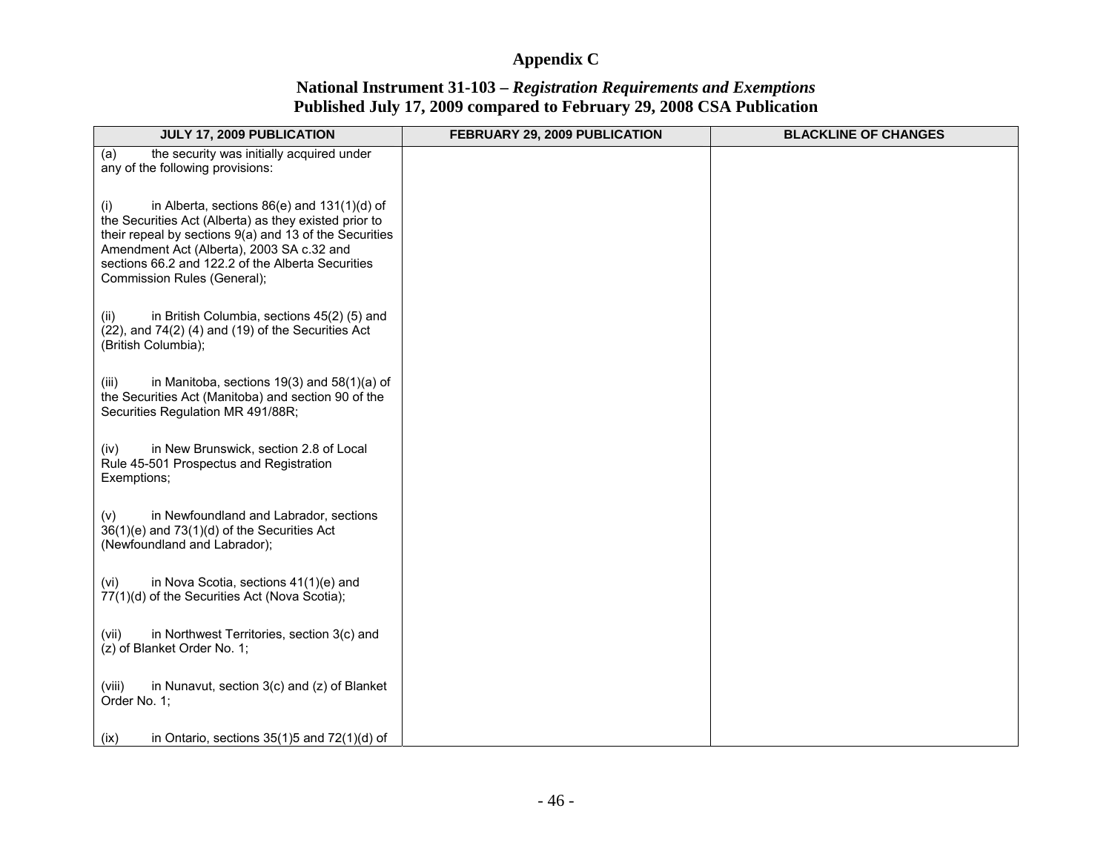| JULY 17, 2009 PUBLICATION                                                                                                                                                                                                                                                                                  | <b>FEBRUARY 29, 2009 PUBLICATION</b> | <b>BLACKLINE OF CHANGES</b> |
|------------------------------------------------------------------------------------------------------------------------------------------------------------------------------------------------------------------------------------------------------------------------------------------------------------|--------------------------------------|-----------------------------|
| the security was initially acquired under<br>(a)<br>any of the following provisions:                                                                                                                                                                                                                       |                                      |                             |
| in Alberta, sections $86(e)$ and $131(1)(d)$ of<br>(i)<br>the Securities Act (Alberta) as they existed prior to<br>their repeal by sections 9(a) and 13 of the Securities<br>Amendment Act (Alberta), 2003 SA c.32 and<br>sections 66.2 and 122.2 of the Alberta Securities<br>Commission Rules (General); |                                      |                             |
| in British Columbia, sections 45(2) (5) and<br>(ii)<br>$(22)$ , and $74(2)$ $(4)$ and $(19)$ of the Securities Act<br>(British Columbia);                                                                                                                                                                  |                                      |                             |
| in Manitoba, sections $19(3)$ and $58(1)(a)$ of<br>(iii)<br>the Securities Act (Manitoba) and section 90 of the<br>Securities Regulation MR 491/88R;                                                                                                                                                       |                                      |                             |
| in New Brunswick, section 2.8 of Local<br>(iv)<br>Rule 45-501 Prospectus and Registration<br>Exemptions;                                                                                                                                                                                                   |                                      |                             |
| in Newfoundland and Labrador, sections<br>(v)<br>36(1)(e) and 73(1)(d) of the Securities Act<br>(Newfoundland and Labrador);                                                                                                                                                                               |                                      |                             |
| in Nova Scotia, sections 41(1)(e) and<br>(vi)<br>77(1)(d) of the Securities Act (Nova Scotia);                                                                                                                                                                                                             |                                      |                             |
| in Northwest Territories, section 3(c) and<br>(vii)<br>(z) of Blanket Order No. 1;                                                                                                                                                                                                                         |                                      |                             |
| in Nunavut, section 3(c) and (z) of Blanket<br>(viii)<br>Order No. 1;                                                                                                                                                                                                                                      |                                      |                             |
| in Ontario, sections $35(1)5$ and $72(1)(d)$ of<br>(ix)                                                                                                                                                                                                                                                    |                                      |                             |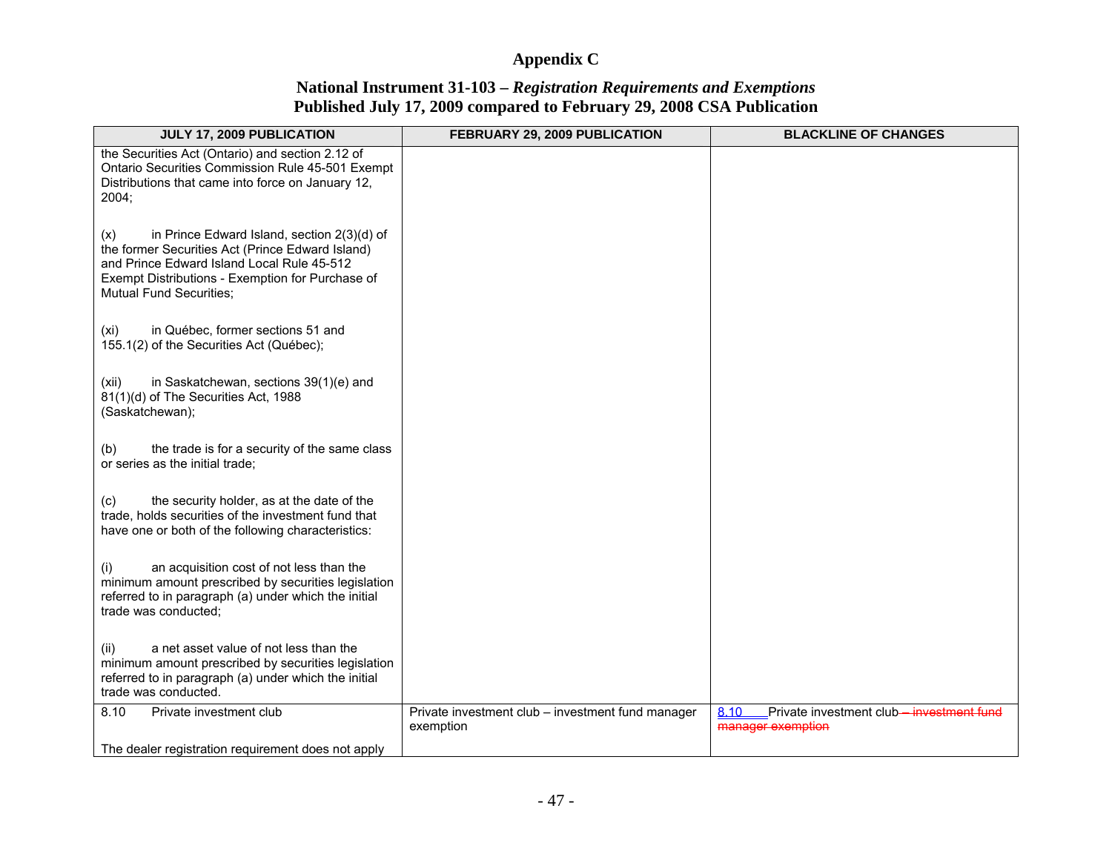| JULY 17, 2009 PUBLICATION                                                                                                                                                                                                                  | FEBRUARY 29, 2009 PUBLICATION                                  | <b>BLACKLINE OF CHANGES</b>                                          |
|--------------------------------------------------------------------------------------------------------------------------------------------------------------------------------------------------------------------------------------------|----------------------------------------------------------------|----------------------------------------------------------------------|
| the Securities Act (Ontario) and section 2.12 of<br>Ontario Securities Commission Rule 45-501 Exempt<br>Distributions that came into force on January 12,<br>2004;                                                                         |                                                                |                                                                      |
| in Prince Edward Island, section 2(3)(d) of<br>(x)<br>the former Securities Act (Prince Edward Island)<br>and Prince Edward Island Local Rule 45-512<br>Exempt Distributions - Exemption for Purchase of<br><b>Mutual Fund Securities;</b> |                                                                |                                                                      |
| in Québec, former sections 51 and<br>(xi)<br>155.1(2) of the Securities Act (Québec);                                                                                                                                                      |                                                                |                                                                      |
| in Saskatchewan, sections 39(1)(e) and<br>(xii)<br>81(1)(d) of The Securities Act, 1988<br>(Saskatchewan);                                                                                                                                 |                                                                |                                                                      |
| the trade is for a security of the same class<br>(b)<br>or series as the initial trade;                                                                                                                                                    |                                                                |                                                                      |
| the security holder, as at the date of the<br>(c)<br>trade, holds securities of the investment fund that<br>have one or both of the following characteristics:                                                                             |                                                                |                                                                      |
| an acquisition cost of not less than the<br>(i)<br>minimum amount prescribed by securities legislation<br>referred to in paragraph (a) under which the initial<br>trade was conducted;                                                     |                                                                |                                                                      |
| a net asset value of not less than the<br>(ii)<br>minimum amount prescribed by securities legislation<br>referred to in paragraph (a) under which the initial<br>trade was conducted.                                                      |                                                                |                                                                      |
| 8.10<br>Private investment club                                                                                                                                                                                                            | Private investment club - investment fund manager<br>exemption | Private investment club-investment fund<br>8.10<br>manager exemption |
| The dealer registration requirement does not apply                                                                                                                                                                                         |                                                                |                                                                      |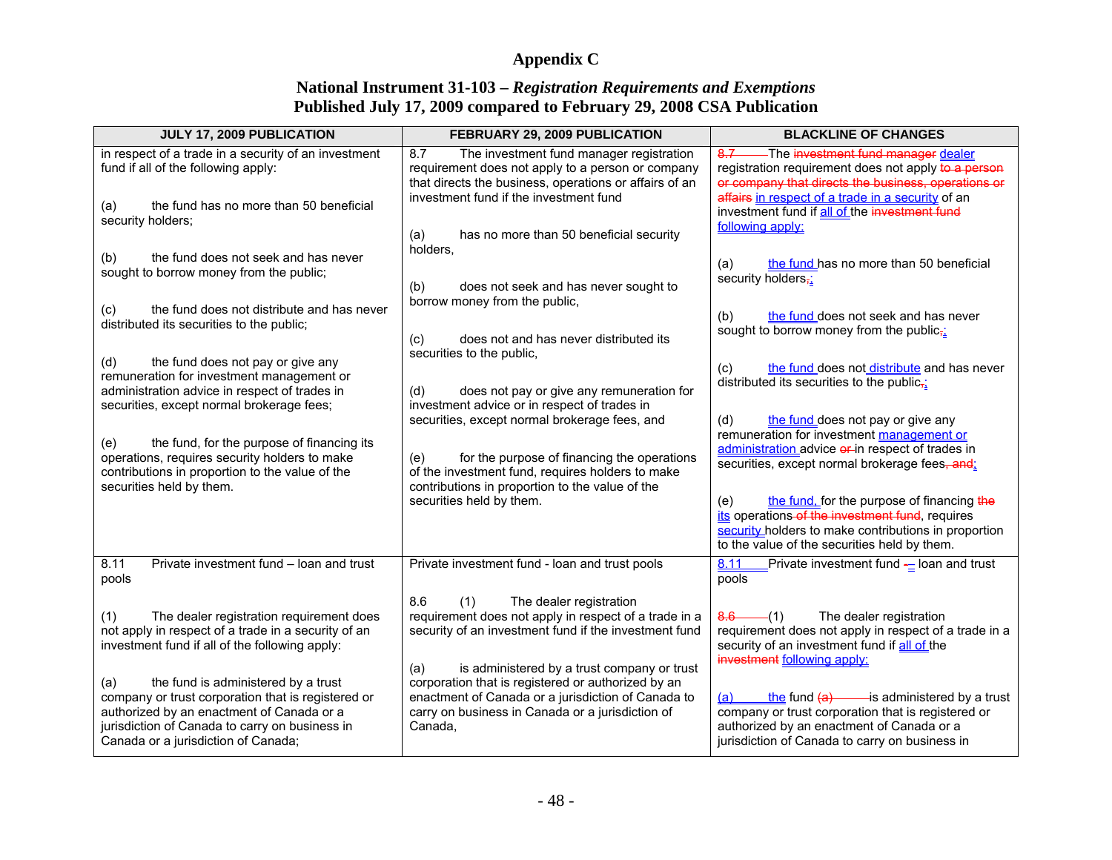| JULY 17, 2009 PUBLICATION                                                                                                                                                                                                              | <b>FEBRUARY 29, 2009 PUBLICATION</b>                                                                                                                                                                                          | <b>BLACKLINE OF CHANGES</b>                                                                                                                                                                                                                               |
|----------------------------------------------------------------------------------------------------------------------------------------------------------------------------------------------------------------------------------------|-------------------------------------------------------------------------------------------------------------------------------------------------------------------------------------------------------------------------------|-----------------------------------------------------------------------------------------------------------------------------------------------------------------------------------------------------------------------------------------------------------|
| in respect of a trade in a security of an investment<br>fund if all of the following apply:                                                                                                                                            | 8.7<br>The investment fund manager registration<br>requirement does not apply to a person or company<br>that directs the business, operations or affairs of an                                                                | The investment fund manager dealer<br>8.7<br>registration requirement does not apply to a person<br>or company that directs the business, operations or                                                                                                   |
| the fund has no more than 50 beneficial<br>(a)<br>security holders;                                                                                                                                                                    | investment fund if the investment fund                                                                                                                                                                                        | affairs in respect of a trade in a security of an<br>investment fund if all of the investment fund<br>following apply:                                                                                                                                    |
| the fund does not seek and has never<br>(b)<br>sought to borrow money from the public;                                                                                                                                                 | (a)<br>has no more than 50 beneficial security<br>holders,<br>(b)<br>does not seek and has never sought to                                                                                                                    | (a)<br>the fund has no more than 50 beneficial<br>security holders;                                                                                                                                                                                       |
| the fund does not distribute and has never<br>(c)<br>distributed its securities to the public;                                                                                                                                         | borrow money from the public,<br>does not and has never distributed its<br>(c)                                                                                                                                                | (b)<br>the fund does not seek and has never<br>sought to borrow money from the public <sub><math>\frac{1}{2}</math></sub>                                                                                                                                 |
| the fund does not pay or give any<br>(d)<br>remuneration for investment management or<br>administration advice in respect of trades in<br>securities, except normal brokerage fees;                                                    | securities to the public,<br>(d)<br>does not pay or give any remuneration for<br>investment advice or in respect of trades in                                                                                                 | the fund does not distribute and has never<br>(c)<br>distributed its securities to the public <sub><math>\frac{1}{2}</math></sub>                                                                                                                         |
| the fund, for the purpose of financing its<br>(e)<br>operations, requires security holders to make<br>contributions in proportion to the value of the<br>securities held by them.                                                      | securities, except normal brokerage fees, and<br>for the purpose of financing the operations<br>(e)<br>of the investment fund, requires holders to make<br>contributions in proportion to the value of the                    | (d)<br>the fund does not pay or give any<br>remuneration for investment management or<br>administration advice or in respect of trades in<br>securities, except normal brokerage fees, and;                                                               |
|                                                                                                                                                                                                                                        | securities held by them.                                                                                                                                                                                                      | the fund, for the purpose of financing the<br>(e)<br>its operations of the investment fund, requires<br>security holders to make contributions in proportion<br>to the value of the securities held by them.                                              |
| Private investment fund - loan and trust<br>8.11<br>pools                                                                                                                                                                              | Private investment fund - loan and trust pools                                                                                                                                                                                | Private investment fund - loan and trust<br>8.11<br>pools                                                                                                                                                                                                 |
| (1)<br>The dealer registration requirement does<br>not apply in respect of a trade in a security of an<br>investment fund if all of the following apply:                                                                               | 8.6<br>The dealer registration<br>(1)<br>requirement does not apply in respect of a trade in a<br>security of an investment fund if the investment fund                                                                       | The dealer registration<br>$8.6$ (1)<br>requirement does not apply in respect of a trade in a<br>security of an investment fund if all of the<br>investment following apply:                                                                              |
| the fund is administered by a trust<br>(a)<br>company or trust corporation that is registered or<br>authorized by an enactment of Canada or a<br>jurisdiction of Canada to carry on business in<br>Canada or a jurisdiction of Canada; | (a)<br>is administered by a trust company or trust<br>corporation that is registered or authorized by an<br>enactment of Canada or a jurisdiction of Canada to<br>carry on business in Canada or a jurisdiction of<br>Canada, | $\frac{\text{the}}{\text{and}}$ (a) $\frac{\text{the}}{\text{in}}$ is administered by a trust<br>(a)<br>company or trust corporation that is registered or<br>authorized by an enactment of Canada or a<br>jurisdiction of Canada to carry on business in |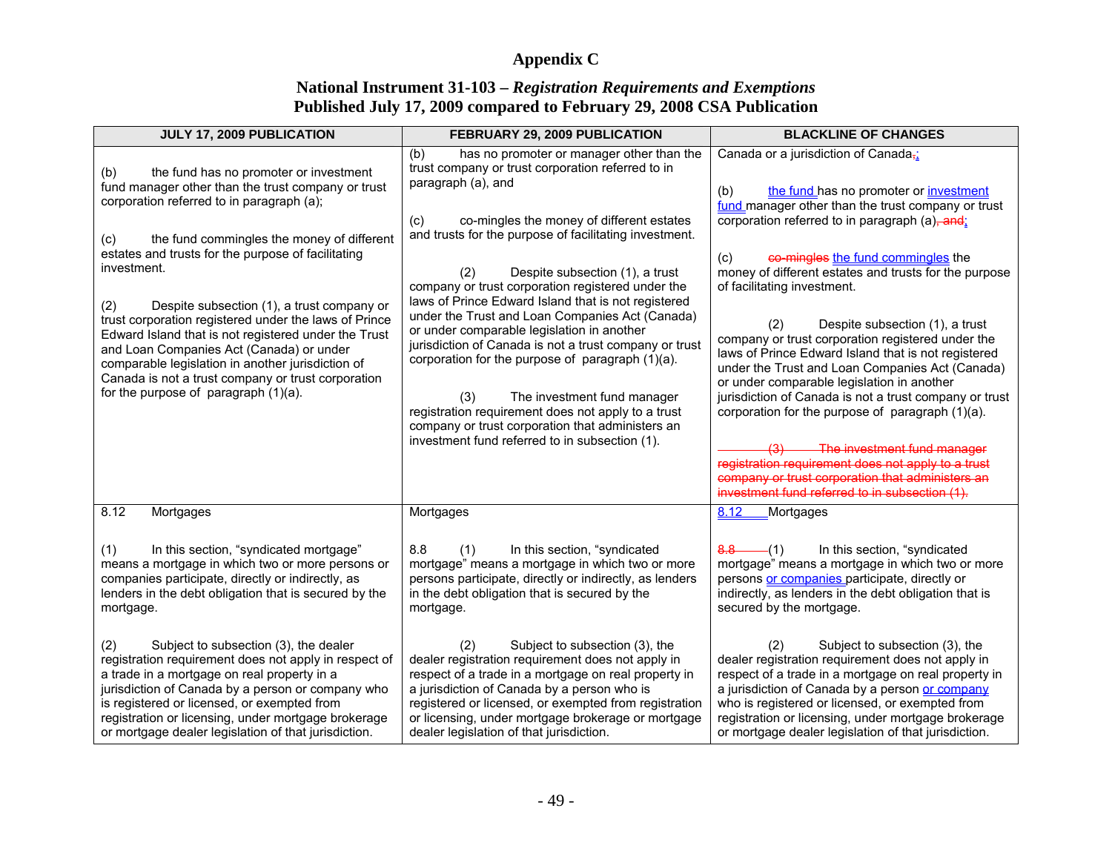| JULY 17, 2009 PUBLICATION                                                                                                                                                                                                                                                                                                                                                                                                                                                                                                                                                                                                                       | <b>FEBRUARY 29, 2009 PUBLICATION</b>                                                                                                                                                                                                                                                                                                                                                                                                                                                                                                                                                                                                                                                                                                                                                                             | <b>BLACKLINE OF CHANGES</b>                                                                                                                                                                                                                                                                                                                                                                                                                                                                                                                                                                                                                                                                                                                                                                                                                                   |
|-------------------------------------------------------------------------------------------------------------------------------------------------------------------------------------------------------------------------------------------------------------------------------------------------------------------------------------------------------------------------------------------------------------------------------------------------------------------------------------------------------------------------------------------------------------------------------------------------------------------------------------------------|------------------------------------------------------------------------------------------------------------------------------------------------------------------------------------------------------------------------------------------------------------------------------------------------------------------------------------------------------------------------------------------------------------------------------------------------------------------------------------------------------------------------------------------------------------------------------------------------------------------------------------------------------------------------------------------------------------------------------------------------------------------------------------------------------------------|---------------------------------------------------------------------------------------------------------------------------------------------------------------------------------------------------------------------------------------------------------------------------------------------------------------------------------------------------------------------------------------------------------------------------------------------------------------------------------------------------------------------------------------------------------------------------------------------------------------------------------------------------------------------------------------------------------------------------------------------------------------------------------------------------------------------------------------------------------------|
| the fund has no promoter or investment<br>(b)<br>fund manager other than the trust company or trust<br>corporation referred to in paragraph (a);<br>the fund commingles the money of different<br>(c)<br>estates and trusts for the purpose of facilitating<br>investment.<br>Despite subsection (1), a trust company or<br>(2)<br>trust corporation registered under the laws of Prince<br>Edward Island that is not registered under the Trust<br>and Loan Companies Act (Canada) or under<br>comparable legislation in another jurisdiction of<br>Canada is not a trust company or trust corporation<br>for the purpose of paragraph (1)(a). | (b)<br>has no promoter or manager other than the<br>trust company or trust corporation referred to in<br>paragraph (a), and<br>co-mingles the money of different estates<br>(c)<br>and trusts for the purpose of facilitating investment.<br>Despite subsection (1), a trust<br>(2)<br>company or trust corporation registered under the<br>laws of Prince Edward Island that is not registered<br>under the Trust and Loan Companies Act (Canada)<br>or under comparable legislation in another<br>jurisdiction of Canada is not a trust company or trust<br>corporation for the purpose of paragraph (1)(a).<br>(3)<br>The investment fund manager<br>registration requirement does not apply to a trust<br>company or trust corporation that administers an<br>investment fund referred to in subsection (1). | Canada or a jurisdiction of Canada <sub>7</sub> :<br>the fund has no promoter or investment<br>(b)<br>fund manager other than the trust company or trust<br>corporation referred to in paragraph (a), and:<br>co-mingles the fund commingles the<br>(c)<br>money of different estates and trusts for the purpose<br>of facilitating investment.<br>(2)<br>Despite subsection (1), a trust<br>company or trust corporation registered under the<br>laws of Prince Edward Island that is not registered<br>under the Trust and Loan Companies Act (Canada)<br>or under comparable legislation in another<br>jurisdiction of Canada is not a trust company or trust<br>corporation for the purpose of paragraph (1)(a).<br>The investment fund manager<br>registration requirement does not apply to a trust<br>company or trust corporation that administers an |
| 8.12<br>Mortgages                                                                                                                                                                                                                                                                                                                                                                                                                                                                                                                                                                                                                               | Mortgages                                                                                                                                                                                                                                                                                                                                                                                                                                                                                                                                                                                                                                                                                                                                                                                                        | investment fund referred to in subsection (1).<br>8.12<br><b>Mortgages</b>                                                                                                                                                                                                                                                                                                                                                                                                                                                                                                                                                                                                                                                                                                                                                                                    |
| In this section, "syndicated mortgage"<br>(1)<br>means a mortgage in which two or more persons or<br>companies participate, directly or indirectly, as<br>lenders in the debt obligation that is secured by the<br>mortgage.                                                                                                                                                                                                                                                                                                                                                                                                                    | 8.8<br>In this section, "syndicated<br>(1)<br>mortgage" means a mortgage in which two or more<br>persons participate, directly or indirectly, as lenders<br>in the debt obligation that is secured by the<br>mortgage.                                                                                                                                                                                                                                                                                                                                                                                                                                                                                                                                                                                           | In this section, "syndicated<br>$8.8$ (1)<br>mortgage" means a mortgage in which two or more<br>persons or companies participate, directly or<br>indirectly, as lenders in the debt obligation that is<br>secured by the mortgage.                                                                                                                                                                                                                                                                                                                                                                                                                                                                                                                                                                                                                            |
| (2)<br>Subject to subsection (3), the dealer<br>registration requirement does not apply in respect of<br>a trade in a mortgage on real property in a<br>jurisdiction of Canada by a person or company who<br>is registered or licensed, or exempted from<br>registration or licensing, under mortgage brokerage<br>or mortgage dealer legislation of that jurisdiction.                                                                                                                                                                                                                                                                         | Subject to subsection (3), the<br>(2)<br>dealer registration requirement does not apply in<br>respect of a trade in a mortgage on real property in<br>a jurisdiction of Canada by a person who is<br>registered or licensed, or exempted from registration<br>or licensing, under mortgage brokerage or mortgage<br>dealer legislation of that jurisdiction.                                                                                                                                                                                                                                                                                                                                                                                                                                                     | Subject to subsection (3), the<br>(2)<br>dealer registration requirement does not apply in<br>respect of a trade in a mortgage on real property in<br>a jurisdiction of Canada by a person or company<br>who is registered or licensed, or exempted from<br>registration or licensing, under mortgage brokerage<br>or mortgage dealer legislation of that jurisdiction.                                                                                                                                                                                                                                                                                                                                                                                                                                                                                       |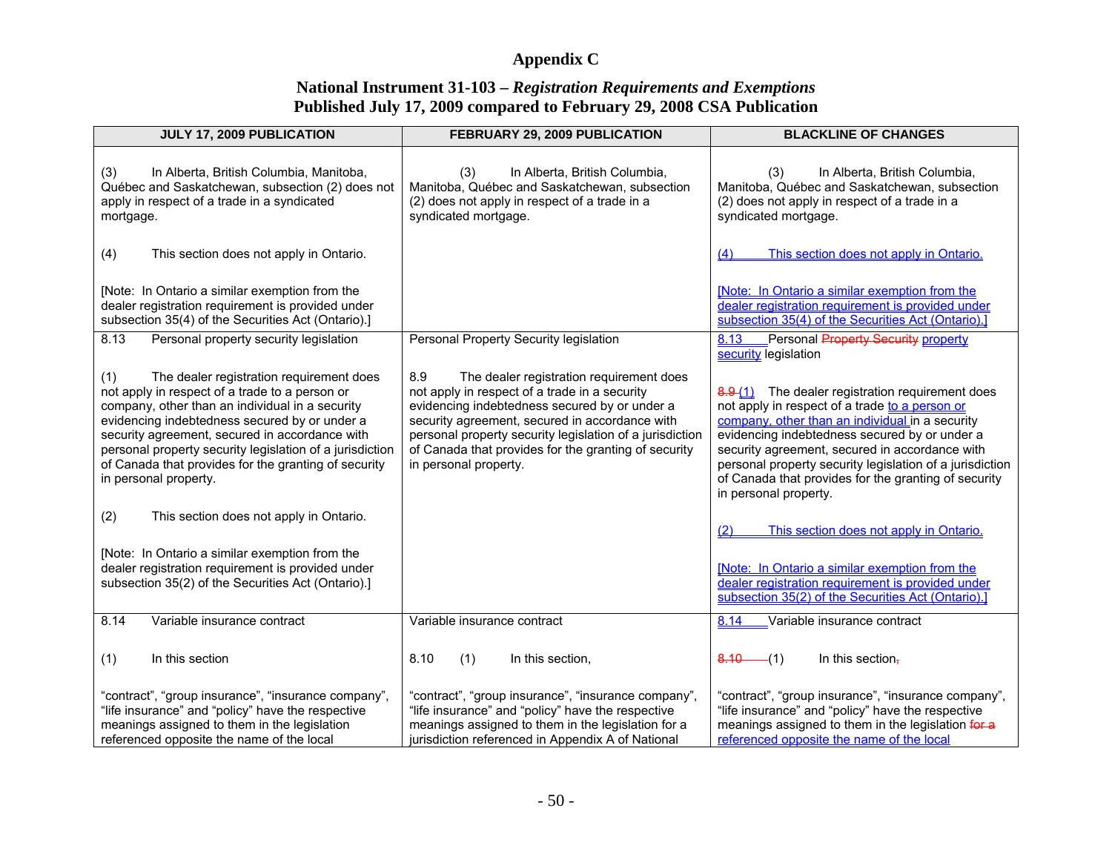| JULY 17, 2009 PUBLICATION                                                                                                                                                                                                                                                                                                                                                                            | <b>FEBRUARY 29, 2009 PUBLICATION</b>                                                                                                                                                                                                                                                                                                             | <b>BLACKLINE OF CHANGES</b>                                                                                                                                                                                                                                                                                                                                                                           |
|------------------------------------------------------------------------------------------------------------------------------------------------------------------------------------------------------------------------------------------------------------------------------------------------------------------------------------------------------------------------------------------------------|--------------------------------------------------------------------------------------------------------------------------------------------------------------------------------------------------------------------------------------------------------------------------------------------------------------------------------------------------|-------------------------------------------------------------------------------------------------------------------------------------------------------------------------------------------------------------------------------------------------------------------------------------------------------------------------------------------------------------------------------------------------------|
| (3)<br>In Alberta, British Columbia, Manitoba,<br>Québec and Saskatchewan, subsection (2) does not<br>apply in respect of a trade in a syndicated<br>mortgage.                                                                                                                                                                                                                                       | In Alberta, British Columbia,<br>(3)<br>Manitoba, Québec and Saskatchewan, subsection<br>(2) does not apply in respect of a trade in a<br>syndicated mortgage.                                                                                                                                                                                   | In Alberta, British Columbia,<br>(3)<br>Manitoba, Québec and Saskatchewan, subsection<br>(2) does not apply in respect of a trade in a<br>syndicated mortgage.                                                                                                                                                                                                                                        |
| (4)<br>This section does not apply in Ontario.                                                                                                                                                                                                                                                                                                                                                       |                                                                                                                                                                                                                                                                                                                                                  | This section does not apply in Ontario.<br>(4)                                                                                                                                                                                                                                                                                                                                                        |
| [Note: In Ontario a similar exemption from the<br>dealer registration requirement is provided under<br>subsection 35(4) of the Securities Act (Ontario).]                                                                                                                                                                                                                                            |                                                                                                                                                                                                                                                                                                                                                  | [Note: In Ontario a similar exemption from the<br>dealer registration requirement is provided under<br>subsection 35(4) of the Securities Act (Ontario).]                                                                                                                                                                                                                                             |
| 8.13<br>Personal property security legislation                                                                                                                                                                                                                                                                                                                                                       | Personal Property Security legislation                                                                                                                                                                                                                                                                                                           | Personal Property Security property<br>8.13<br>security legislation                                                                                                                                                                                                                                                                                                                                   |
| The dealer registration requirement does<br>(1)<br>not apply in respect of a trade to a person or<br>company, other than an individual in a security<br>evidencing indebtedness secured by or under a<br>security agreement, secured in accordance with<br>personal property security legislation of a jurisdiction<br>of Canada that provides for the granting of security<br>in personal property. | 8.9<br>The dealer registration requirement does<br>not apply in respect of a trade in a security<br>evidencing indebtedness secured by or under a<br>security agreement, secured in accordance with<br>personal property security legislation of a jurisdiction<br>of Canada that provides for the granting of security<br>in personal property. | 8.9-(1) The dealer registration requirement does<br>not apply in respect of a trade to a person or<br>company, other than an individual in a security<br>evidencing indebtedness secured by or under a<br>security agreement, secured in accordance with<br>personal property security legislation of a jurisdiction<br>of Canada that provides for the granting of security<br>in personal property. |
| (2)<br>This section does not apply in Ontario.                                                                                                                                                                                                                                                                                                                                                       |                                                                                                                                                                                                                                                                                                                                                  | This section does not apply in Ontario.<br>(2)                                                                                                                                                                                                                                                                                                                                                        |
| [Note: In Ontario a similar exemption from the<br>dealer registration requirement is provided under<br>subsection 35(2) of the Securities Act (Ontario).]                                                                                                                                                                                                                                            |                                                                                                                                                                                                                                                                                                                                                  | [Note: In Ontario a similar exemption from the<br>dealer registration requirement is provided under<br>subsection 35(2) of the Securities Act (Ontario).]                                                                                                                                                                                                                                             |
| 8.14<br>Variable insurance contract                                                                                                                                                                                                                                                                                                                                                                  | Variable insurance contract                                                                                                                                                                                                                                                                                                                      | 8.14<br>Variable insurance contract                                                                                                                                                                                                                                                                                                                                                                   |
| (1)<br>In this section                                                                                                                                                                                                                                                                                                                                                                               | 8.10<br>(1)<br>In this section,                                                                                                                                                                                                                                                                                                                  | 8.10<br>$- (1)$<br>In this section,                                                                                                                                                                                                                                                                                                                                                                   |
| "contract", "group insurance", "insurance company",<br>"life insurance" and "policy" have the respective<br>meanings assigned to them in the legislation<br>referenced opposite the name of the local                                                                                                                                                                                                | "contract", "group insurance", "insurance company",<br>"life insurance" and "policy" have the respective<br>meanings assigned to them in the legislation for a<br>jurisdiction referenced in Appendix A of National                                                                                                                              | "contract", "group insurance", "insurance company",<br>"life insurance" and "policy" have the respective<br>meanings assigned to them in the legislation for a<br>referenced opposite the name of the local                                                                                                                                                                                           |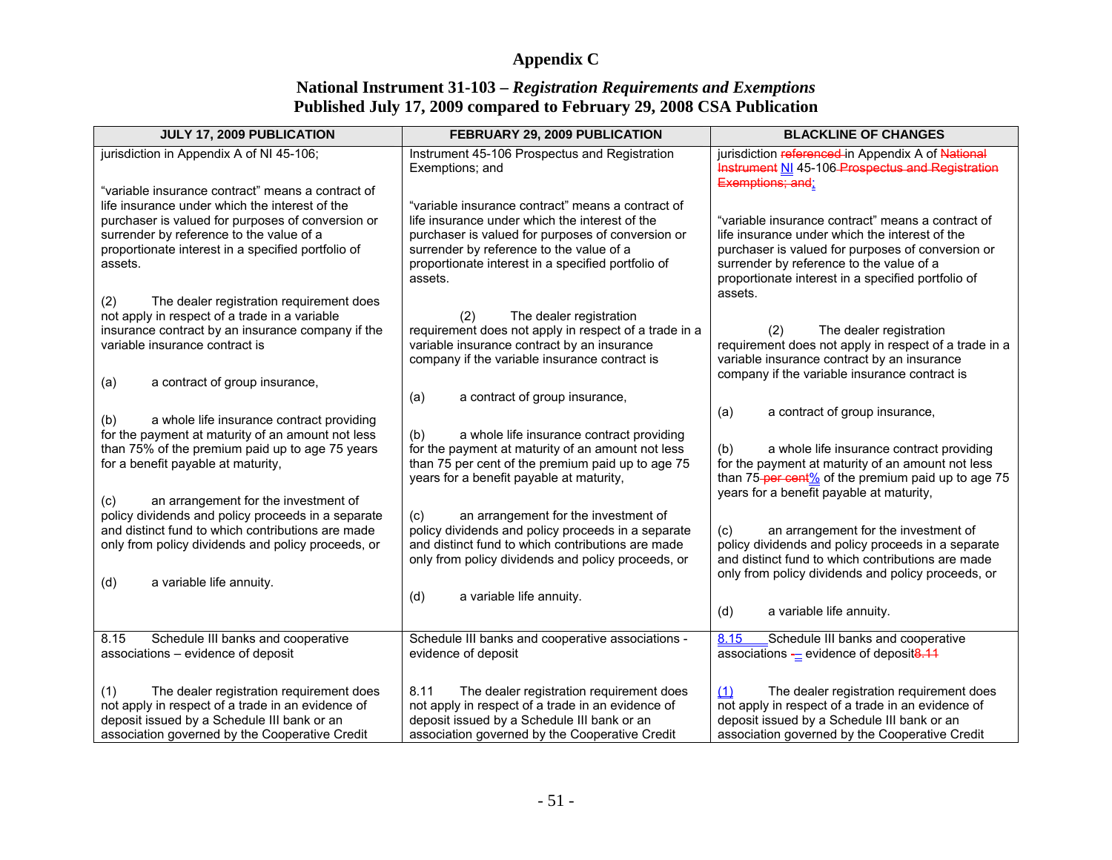| JULY 17, 2009 PUBLICATION                                                                                                                                                                                                                                             | <b>FEBRUARY 29, 2009 PUBLICATION</b>                                                                                                                                                                                                                                  | <b>BLACKLINE OF CHANGES</b>                                                                                                                                                                                                                                           |
|-----------------------------------------------------------------------------------------------------------------------------------------------------------------------------------------------------------------------------------------------------------------------|-----------------------------------------------------------------------------------------------------------------------------------------------------------------------------------------------------------------------------------------------------------------------|-----------------------------------------------------------------------------------------------------------------------------------------------------------------------------------------------------------------------------------------------------------------------|
| jurisdiction in Appendix A of NI 45-106;                                                                                                                                                                                                                              | Instrument 45-106 Prospectus and Registration<br>Exemptions; and                                                                                                                                                                                                      | jurisdiction referenced-in Appendix A of National<br>Instrument NI 45-106-Prospectus and Registration<br>Exemptions; and;                                                                                                                                             |
| "variable insurance contract" means a contract of<br>life insurance under which the interest of the<br>purchaser is valued for purposes of conversion or<br>surrender by reference to the value of a<br>proportionate interest in a specified portfolio of<br>assets. | "variable insurance contract" means a contract of<br>life insurance under which the interest of the<br>purchaser is valued for purposes of conversion or<br>surrender by reference to the value of a<br>proportionate interest in a specified portfolio of<br>assets. | "variable insurance contract" means a contract of<br>life insurance under which the interest of the<br>purchaser is valued for purposes of conversion or<br>surrender by reference to the value of a<br>proportionate interest in a specified portfolio of<br>assets. |
| (2)<br>The dealer registration requirement does<br>not apply in respect of a trade in a variable<br>insurance contract by an insurance company if the<br>variable insurance contract is<br>a contract of group insurance,                                             | The dealer registration<br>(2)<br>requirement does not apply in respect of a trade in a<br>variable insurance contract by an insurance<br>company if the variable insurance contract is                                                                               | The dealer registration<br>(2)<br>requirement does not apply in respect of a trade in a<br>variable insurance contract by an insurance<br>company if the variable insurance contract is                                                                               |
| (a)<br>a whole life insurance contract providing<br>(b)                                                                                                                                                                                                               | a contract of group insurance,<br>(a)                                                                                                                                                                                                                                 | a contract of group insurance,<br>(a)                                                                                                                                                                                                                                 |
| for the payment at maturity of an amount not less<br>than 75% of the premium paid up to age 75 years<br>for a benefit payable at maturity,                                                                                                                            | a whole life insurance contract providing<br>(b)<br>for the payment at maturity of an amount not less<br>than 75 per cent of the premium paid up to age 75<br>years for a benefit payable at maturity,                                                                | (b)<br>a whole life insurance contract providing<br>for the payment at maturity of an amount not less<br>than 75-per cent <sup>%</sup> of the premium paid up to age 75<br>years for a benefit payable at maturity,                                                   |
| an arrangement for the investment of<br>(c)<br>policy dividends and policy proceeds in a separate<br>and distinct fund to which contributions are made<br>only from policy dividends and policy proceeds, or<br>(d)<br>a variable life annuity.                       | (c)<br>an arrangement for the investment of<br>policy dividends and policy proceeds in a separate<br>and distinct fund to which contributions are made<br>only from policy dividends and policy proceeds, or<br>a variable life annuity.<br>(d)                       | (c)<br>an arrangement for the investment of<br>policy dividends and policy proceeds in a separate<br>and distinct fund to which contributions are made<br>only from policy dividends and policy proceeds, or<br>(d)<br>a variable life annuity.                       |
| 8.15<br>Schedule III banks and cooperative<br>associations - evidence of deposit                                                                                                                                                                                      | Schedule III banks and cooperative associations -<br>evidence of deposit                                                                                                                                                                                              | Schedule III banks and cooperative<br>8.15<br>associations - evidence of deposit8.11                                                                                                                                                                                  |
| (1)<br>The dealer registration requirement does<br>not apply in respect of a trade in an evidence of<br>deposit issued by a Schedule III bank or an<br>association governed by the Cooperative Credit                                                                 | 8.11<br>The dealer registration requirement does<br>not apply in respect of a trade in an evidence of<br>deposit issued by a Schedule III bank or an<br>association governed by the Cooperative Credit                                                                | The dealer registration requirement does<br>(1)<br>not apply in respect of a trade in an evidence of<br>deposit issued by a Schedule III bank or an<br>association governed by the Cooperative Credit                                                                 |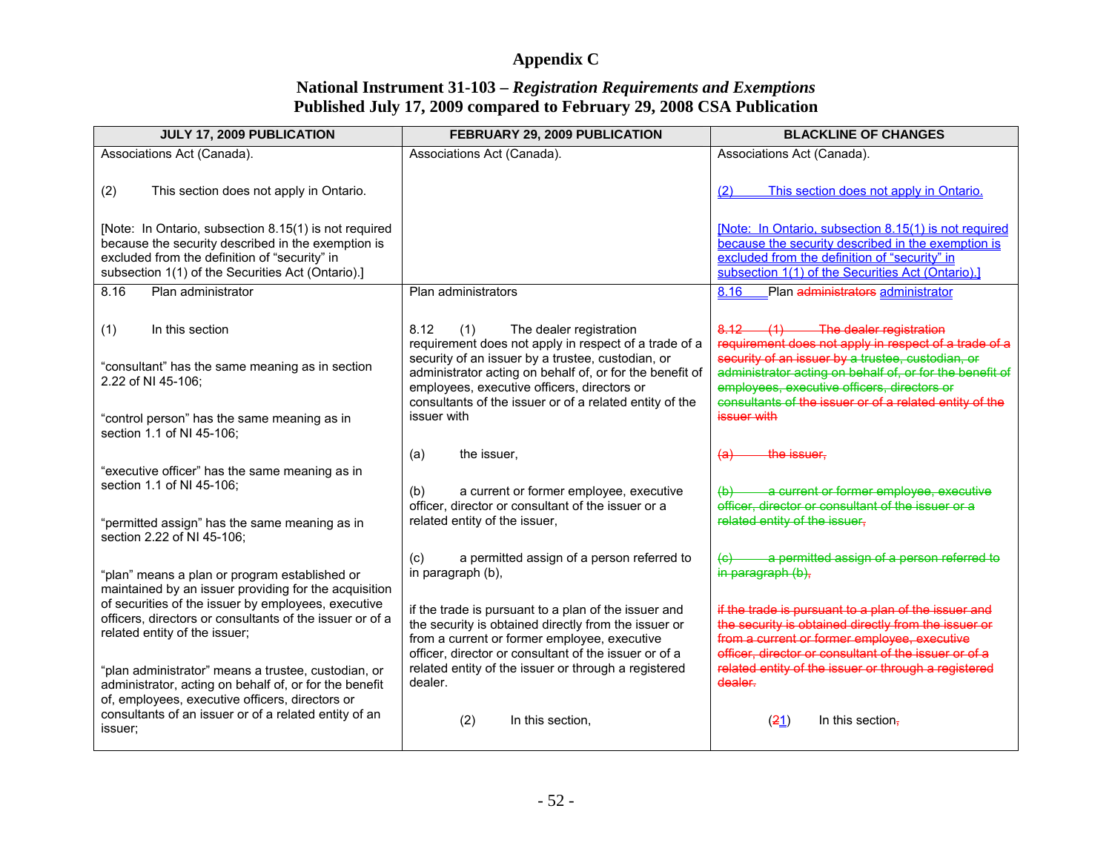| JULY 17, 2009 PUBLICATION                                                                                                                                                                                         | FEBRUARY 29, 2009 PUBLICATION                                                                                                                                                                                         | <b>BLACKLINE OF CHANGES</b>                                                                                                                                                                                           |
|-------------------------------------------------------------------------------------------------------------------------------------------------------------------------------------------------------------------|-----------------------------------------------------------------------------------------------------------------------------------------------------------------------------------------------------------------------|-----------------------------------------------------------------------------------------------------------------------------------------------------------------------------------------------------------------------|
| Associations Act (Canada).                                                                                                                                                                                        | Associations Act (Canada).                                                                                                                                                                                            | Associations Act (Canada).                                                                                                                                                                                            |
| This section does not apply in Ontario.<br>(2)                                                                                                                                                                    |                                                                                                                                                                                                                       | This section does not apply in Ontario.<br><u>(2)</u>                                                                                                                                                                 |
| [Note: In Ontario, subsection 8.15(1) is not required<br>because the security described in the exemption is<br>excluded from the definition of "security" in<br>subsection 1(1) of the Securities Act (Ontario).] |                                                                                                                                                                                                                       | [Note: In Ontario, subsection 8.15(1) is not required<br>because the security described in the exemption is<br>excluded from the definition of "security" in<br>subsection 1(1) of the Securities Act (Ontario).      |
| 8.16<br>Plan administrator                                                                                                                                                                                        | Plan administrators                                                                                                                                                                                                   | 8.16<br>Plan administrators administrator                                                                                                                                                                             |
| (1)<br>In this section<br>"consultant" has the same meaning as in section<br>2.22 of NI 45-106;                                                                                                                   | 8.12<br>(1)<br>The dealer registration<br>requirement does not apply in respect of a trade of a<br>security of an issuer by a trustee, custodian, or<br>administrator acting on behalf of, or for the benefit of      | The dealer registration<br>8.12<br>(1)<br>requirement does not apply in respect of a trade of a<br>security of an issuer by a trustee, custodian, or<br>administrator acting on behalf of, or for the benefit of      |
| "control person" has the same meaning as in<br>section 1.1 of NI 45-106;                                                                                                                                          | employees, executive officers, directors or<br>consultants of the issuer or of a related entity of the<br>issuer with                                                                                                 | employees, executive officers, directors or<br>consultants of the issuer or of a related entity of the<br>issuer with                                                                                                 |
| "executive officer" has the same meaning as in<br>section 1.1 of NI 45-106;                                                                                                                                       | the issuer,<br>(a)<br>a current or former employee, executive<br>(b)<br>officer, director or consultant of the issuer or a                                                                                            | the issuer.<br><del>(a)</del><br>a current or former employee, executive<br><del>(b)</del><br>officer, director or consultant of the issuer or a                                                                      |
| "permitted assign" has the same meaning as in<br>section 2.22 of NI 45-106;                                                                                                                                       | related entity of the issuer,                                                                                                                                                                                         | related entity of the issuer,                                                                                                                                                                                         |
| "plan" means a plan or program established or<br>maintained by an issuer providing for the acquisition                                                                                                            | a permitted assign of a person referred to<br>(c)<br>in paragraph (b),                                                                                                                                                | a permitted assign of a person referred to<br><del>(c)</del><br>in paragraph (b),                                                                                                                                     |
| of securities of the issuer by employees, executive<br>officers, directors or consultants of the issuer or of a<br>related entity of the issuer;                                                                  | if the trade is pursuant to a plan of the issuer and<br>the security is obtained directly from the issuer or<br>from a current or former employee, executive<br>officer, director or consultant of the issuer or of a | if the trade is pursuant to a plan of the issuer and<br>the security is obtained directly from the issuer or<br>from a current or former employee, executive<br>officer, director or consultant of the issuer or of a |
| "plan administrator" means a trustee, custodian, or<br>administrator, acting on behalf of, or for the benefit<br>of, employees, executive officers, directors or                                                  | related entity of the issuer or through a registered<br>dealer.                                                                                                                                                       | related entity of the issuer or through a registered<br>dealer.                                                                                                                                                       |
| consultants of an issuer or of a related entity of an<br>issuer;                                                                                                                                                  | (2)<br>In this section,                                                                                                                                                                                               | In this section,<br>(21)                                                                                                                                                                                              |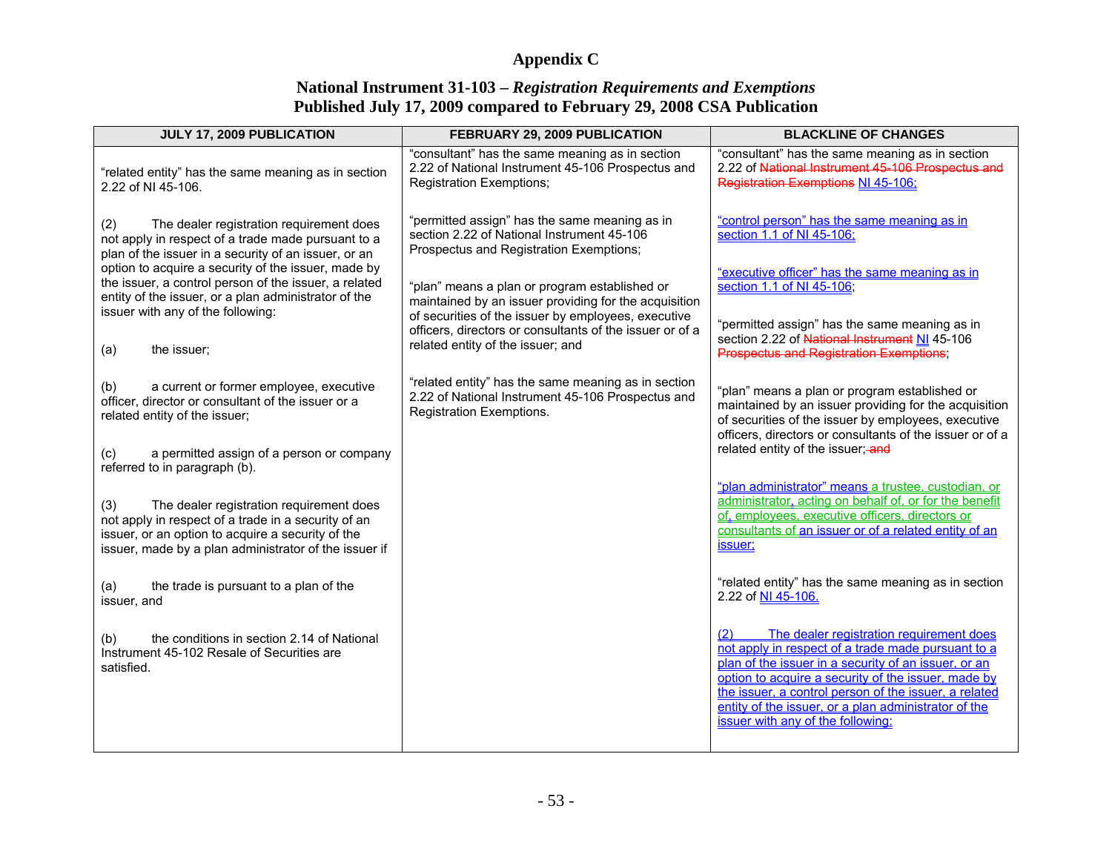| JULY 17, 2009 PUBLICATION                                                                                                                                                                                                                                                                                                                                                  | FEBRUARY 29, 2009 PUBLICATION                                                                                                                                                                                                                                                                           | <b>BLACKLINE OF CHANGES</b>                                                                                                                                                                                                                                                                                                                                                |
|----------------------------------------------------------------------------------------------------------------------------------------------------------------------------------------------------------------------------------------------------------------------------------------------------------------------------------------------------------------------------|---------------------------------------------------------------------------------------------------------------------------------------------------------------------------------------------------------------------------------------------------------------------------------------------------------|----------------------------------------------------------------------------------------------------------------------------------------------------------------------------------------------------------------------------------------------------------------------------------------------------------------------------------------------------------------------------|
| "related entity" has the same meaning as in section<br>2.22 of NI 45-106.                                                                                                                                                                                                                                                                                                  | "consultant" has the same meaning as in section<br>2.22 of National Instrument 45-106 Prospectus and<br><b>Registration Exemptions;</b>                                                                                                                                                                 | "consultant" has the same meaning as in section<br>2.22 of National Instrument 45 106 Prospectus and<br>Registration Exemptions NI 45-106;                                                                                                                                                                                                                                 |
| The dealer registration requirement does<br>(2)<br>not apply in respect of a trade made pursuant to a<br>plan of the issuer in a security of an issuer, or an<br>option to acquire a security of the issuer, made by<br>the issuer, a control person of the issuer, a related<br>entity of the issuer, or a plan administrator of the<br>issuer with any of the following: | "permitted assign" has the same meaning as in<br>section 2.22 of National Instrument 45-106<br>Prospectus and Registration Exemptions;<br>"plan" means a plan or program established or<br>maintained by an issuer providing for the acquisition<br>of securities of the issuer by employees, executive | "control person" has the same meaning as in<br>section 1.1 of NI 45-106;<br>"executive officer" has the same meaning as in<br>section 1.1 of NI 45-106;<br>"permitted assign" has the same meaning as in                                                                                                                                                                   |
| the issuer;<br>(a)                                                                                                                                                                                                                                                                                                                                                         | officers, directors or consultants of the issuer or of a<br>related entity of the issuer; and                                                                                                                                                                                                           | section 2.22 of National Instrument NI 45-106<br><b>Prospectus and Registration Exemptions:</b>                                                                                                                                                                                                                                                                            |
| a current or former employee, executive<br>(b)<br>officer, director or consultant of the issuer or a<br>related entity of the issuer;                                                                                                                                                                                                                                      | "related entity" has the same meaning as in section<br>2.22 of National Instrument 45-106 Prospectus and<br>Registration Exemptions.                                                                                                                                                                    | "plan" means a plan or program established or<br>maintained by an issuer providing for the acquisition<br>of securities of the issuer by employees, executive<br>officers, directors or consultants of the issuer or of a                                                                                                                                                  |
| a permitted assign of a person or company<br>(c)<br>referred to in paragraph (b).                                                                                                                                                                                                                                                                                          |                                                                                                                                                                                                                                                                                                         | related entity of the issuer; and<br>"plan administrator" means a trustee, custodian, or                                                                                                                                                                                                                                                                                   |
| (3)<br>The dealer registration requirement does<br>not apply in respect of a trade in a security of an<br>issuer, or an option to acquire a security of the<br>issuer, made by a plan administrator of the issuer if                                                                                                                                                       |                                                                                                                                                                                                                                                                                                         | administrator, acting on behalf of, or for the benefit<br>of, employees, executive officers, directors or<br>consultants of an issuer or of a related entity of an<br>issuer:                                                                                                                                                                                              |
| the trade is pursuant to a plan of the<br>(a)<br>issuer, and                                                                                                                                                                                                                                                                                                               |                                                                                                                                                                                                                                                                                                         | "related entity" has the same meaning as in section<br>2.22 of NI 45-106.                                                                                                                                                                                                                                                                                                  |
| the conditions in section 2.14 of National<br>(b)<br>Instrument 45-102 Resale of Securities are<br>satisfied.                                                                                                                                                                                                                                                              |                                                                                                                                                                                                                                                                                                         | The dealer registration requirement does<br>(2)<br>not apply in respect of a trade made pursuant to a<br>plan of the issuer in a security of an issuer, or an<br>option to acquire a security of the issuer, made by<br>the issuer, a control person of the issuer, a related<br>entity of the issuer, or a plan administrator of the<br>issuer with any of the following: |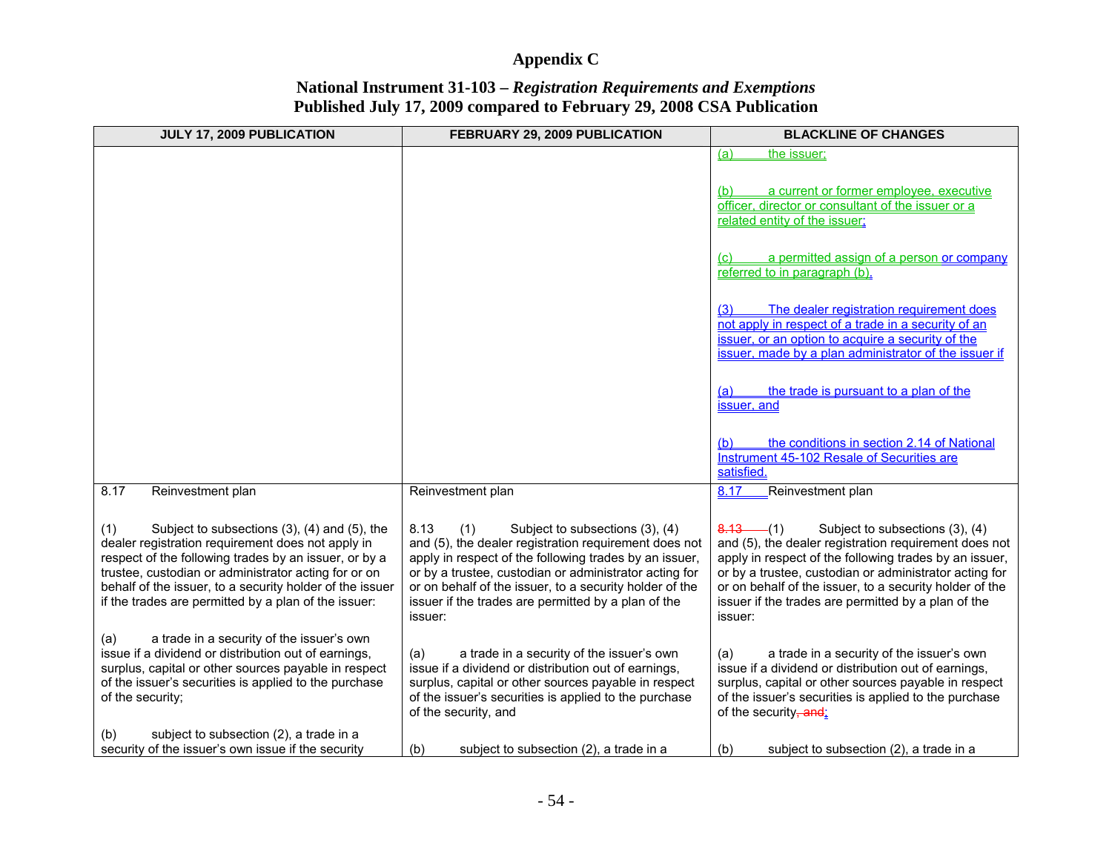| JULY 17, 2009 PUBLICATION                                                                                                                                                                                                                                                                                                                     | FEBRUARY 29, 2009 PUBLICATION                                                                                                                                                                                                                                                                                                                            | <b>BLACKLINE OF CHANGES</b>                                                                                                                                                                                                                                                                                                                             |
|-----------------------------------------------------------------------------------------------------------------------------------------------------------------------------------------------------------------------------------------------------------------------------------------------------------------------------------------------|----------------------------------------------------------------------------------------------------------------------------------------------------------------------------------------------------------------------------------------------------------------------------------------------------------------------------------------------------------|---------------------------------------------------------------------------------------------------------------------------------------------------------------------------------------------------------------------------------------------------------------------------------------------------------------------------------------------------------|
|                                                                                                                                                                                                                                                                                                                                               |                                                                                                                                                                                                                                                                                                                                                          | the issuer:<br>(a)<br>a current or former employee, executive<br><u>(b)</u><br>officer, director or consultant of the issuer or a<br>related entity of the issuer;                                                                                                                                                                                      |
|                                                                                                                                                                                                                                                                                                                                               |                                                                                                                                                                                                                                                                                                                                                          | a permitted assign of a person or company<br>(C) -<br>referred to in paragraph (b).                                                                                                                                                                                                                                                                     |
|                                                                                                                                                                                                                                                                                                                                               |                                                                                                                                                                                                                                                                                                                                                          | The dealer registration requirement does<br>(3)<br>not apply in respect of a trade in a security of an<br>issuer, or an option to acquire a security of the<br>issuer, made by a plan administrator of the issuer if                                                                                                                                    |
|                                                                                                                                                                                                                                                                                                                                               |                                                                                                                                                                                                                                                                                                                                                          | the trade is pursuant to a plan of the<br><u>(a)</u><br>issuer, and                                                                                                                                                                                                                                                                                     |
|                                                                                                                                                                                                                                                                                                                                               |                                                                                                                                                                                                                                                                                                                                                          | the conditions in section 2.14 of National<br>(b)<br><b>Instrument 45-102 Resale of Securities are</b><br>satisfied.                                                                                                                                                                                                                                    |
| 8.17<br>Reinvestment plan                                                                                                                                                                                                                                                                                                                     | Reinvestment plan                                                                                                                                                                                                                                                                                                                                        | 8.17<br>Reinvestment plan                                                                                                                                                                                                                                                                                                                               |
| Subject to subsections (3), (4) and (5), the<br>(1)<br>dealer registration requirement does not apply in<br>respect of the following trades by an issuer, or by a<br>trustee, custodian or administrator acting for or on<br>behalf of the issuer, to a security holder of the issuer<br>if the trades are permitted by a plan of the issuer: | 8.13<br>Subject to subsections (3), (4)<br>(1)<br>and (5), the dealer registration requirement does not<br>apply in respect of the following trades by an issuer,<br>or by a trustee, custodian or administrator acting for<br>or on behalf of the issuer, to a security holder of the<br>issuer if the trades are permitted by a plan of the<br>issuer: | $8.13$ (1)<br>Subject to subsections (3), (4)<br>and (5), the dealer registration requirement does not<br>apply in respect of the following trades by an issuer,<br>or by a trustee, custodian or administrator acting for<br>or on behalf of the issuer, to a security holder of the<br>issuer if the trades are permitted by a plan of the<br>issuer: |
| a trade in a security of the issuer's own<br>(a)<br>issue if a dividend or distribution out of earnings,<br>surplus, capital or other sources payable in respect<br>of the issuer's securities is applied to the purchase<br>of the security;                                                                                                 | a trade in a security of the issuer's own<br>(a)<br>issue if a dividend or distribution out of earnings,<br>surplus, capital or other sources payable in respect<br>of the issuer's securities is applied to the purchase<br>of the security, and                                                                                                        | a trade in a security of the issuer's own<br>(a)<br>issue if a dividend or distribution out of earnings,<br>surplus, capital or other sources payable in respect<br>of the issuer's securities is applied to the purchase<br>of the security, and;                                                                                                      |
| subject to subsection (2), a trade in a<br>(b)<br>security of the issuer's own issue if the security                                                                                                                                                                                                                                          | subject to subsection (2), a trade in a<br>(b)                                                                                                                                                                                                                                                                                                           | subject to subsection (2), a trade in a<br>(b)                                                                                                                                                                                                                                                                                                          |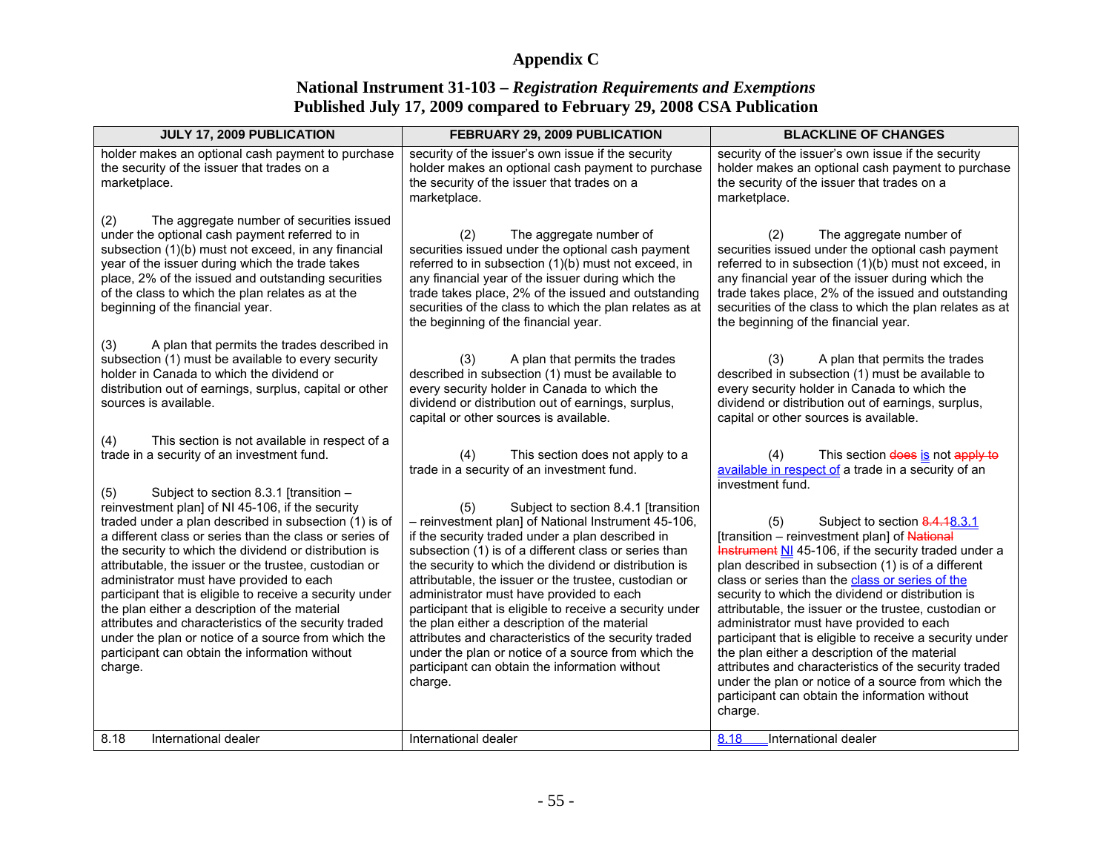| JULY 17, 2009 PUBLICATION                                                                                                                                                                                                                                                                                                                                                                                                                                                                                                                                                | FEBRUARY 29, 2009 PUBLICATION                                                                                                                                                                                                                                                                                                                                                                                                                                                                                                                                                                                            | <b>BLACKLINE OF CHANGES</b>                                                                                                                                                                                                                                                                                                                                                                                                                                                                                                                                                                                                                                                                               |
|--------------------------------------------------------------------------------------------------------------------------------------------------------------------------------------------------------------------------------------------------------------------------------------------------------------------------------------------------------------------------------------------------------------------------------------------------------------------------------------------------------------------------------------------------------------------------|--------------------------------------------------------------------------------------------------------------------------------------------------------------------------------------------------------------------------------------------------------------------------------------------------------------------------------------------------------------------------------------------------------------------------------------------------------------------------------------------------------------------------------------------------------------------------------------------------------------------------|-----------------------------------------------------------------------------------------------------------------------------------------------------------------------------------------------------------------------------------------------------------------------------------------------------------------------------------------------------------------------------------------------------------------------------------------------------------------------------------------------------------------------------------------------------------------------------------------------------------------------------------------------------------------------------------------------------------|
| holder makes an optional cash payment to purchase<br>the security of the issuer that trades on a<br>marketplace.                                                                                                                                                                                                                                                                                                                                                                                                                                                         | security of the issuer's own issue if the security<br>holder makes an optional cash payment to purchase<br>the security of the issuer that trades on a<br>marketplace.                                                                                                                                                                                                                                                                                                                                                                                                                                                   | security of the issuer's own issue if the security<br>holder makes an optional cash payment to purchase<br>the security of the issuer that trades on a<br>marketplace.                                                                                                                                                                                                                                                                                                                                                                                                                                                                                                                                    |
| The aggregate number of securities issued<br>(2)<br>under the optional cash payment referred to in<br>subsection (1)(b) must not exceed, in any financial<br>year of the issuer during which the trade takes<br>place, 2% of the issued and outstanding securities<br>of the class to which the plan relates as at the<br>beginning of the financial year.                                                                                                                                                                                                               | The aggregate number of<br>(2)<br>securities issued under the optional cash payment<br>referred to in subsection (1)(b) must not exceed, in<br>any financial year of the issuer during which the<br>trade takes place, 2% of the issued and outstanding<br>securities of the class to which the plan relates as at<br>the beginning of the financial year.                                                                                                                                                                                                                                                               | The aggregate number of<br>(2)<br>securities issued under the optional cash payment<br>referred to in subsection (1)(b) must not exceed, in<br>any financial year of the issuer during which the<br>trade takes place, 2% of the issued and outstanding<br>securities of the class to which the plan relates as at<br>the beginning of the financial year.                                                                                                                                                                                                                                                                                                                                                |
| A plan that permits the trades described in<br>(3)<br>subsection (1) must be available to every security<br>holder in Canada to which the dividend or<br>distribution out of earnings, surplus, capital or other<br>sources is available.                                                                                                                                                                                                                                                                                                                                | A plan that permits the trades<br>(3)<br>described in subsection (1) must be available to<br>every security holder in Canada to which the<br>dividend or distribution out of earnings, surplus,<br>capital or other sources is available.                                                                                                                                                                                                                                                                                                                                                                                | A plan that permits the trades<br>(3)<br>described in subsection (1) must be available to<br>every security holder in Canada to which the<br>dividend or distribution out of earnings, surplus,<br>capital or other sources is available.                                                                                                                                                                                                                                                                                                                                                                                                                                                                 |
| This section is not available in respect of a<br>(4)<br>trade in a security of an investment fund.<br>(5)<br>Subject to section 8.3.1 [transition -<br>reinvestment plan] of NI 45-106, if the security                                                                                                                                                                                                                                                                                                                                                                  | This section does not apply to a<br>(4)<br>trade in a security of an investment fund.<br>Subject to section 8.4.1 [transition]<br>(5)                                                                                                                                                                                                                                                                                                                                                                                                                                                                                    | This section does is not apply to<br>(4)<br>available in respect of a trade in a security of an<br>investment fund.                                                                                                                                                                                                                                                                                                                                                                                                                                                                                                                                                                                       |
| traded under a plan described in subsection (1) is of<br>a different class or series than the class or series of<br>the security to which the dividend or distribution is<br>attributable, the issuer or the trustee, custodian or<br>administrator must have provided to each<br>participant that is eligible to receive a security under<br>the plan either a description of the material<br>attributes and characteristics of the security traded<br>under the plan or notice of a source from which the<br>participant can obtain the information without<br>charge. | - reinvestment plan] of National Instrument 45-106,<br>if the security traded under a plan described in<br>subsection (1) is of a different class or series than<br>the security to which the dividend or distribution is<br>attributable, the issuer or the trustee, custodian or<br>administrator must have provided to each<br>participant that is eligible to receive a security under<br>the plan either a description of the material<br>attributes and characteristics of the security traded<br>under the plan or notice of a source from which the<br>participant can obtain the information without<br>charge. | Subject to section 8.4.18.3.1<br>(5)<br>[transition - reinvestment plan] of National<br>Instrument NI 45-106, if the security traded under a<br>plan described in subsection (1) is of a different<br>class or series than the class or series of the<br>security to which the dividend or distribution is<br>attributable, the issuer or the trustee, custodian or<br>administrator must have provided to each<br>participant that is eligible to receive a security under<br>the plan either a description of the material<br>attributes and characteristics of the security traded<br>under the plan or notice of a source from which the<br>participant can obtain the information without<br>charge. |
| 8.18<br>International dealer                                                                                                                                                                                                                                                                                                                                                                                                                                                                                                                                             | International dealer                                                                                                                                                                                                                                                                                                                                                                                                                                                                                                                                                                                                     | 8.18<br>International dealer                                                                                                                                                                                                                                                                                                                                                                                                                                                                                                                                                                                                                                                                              |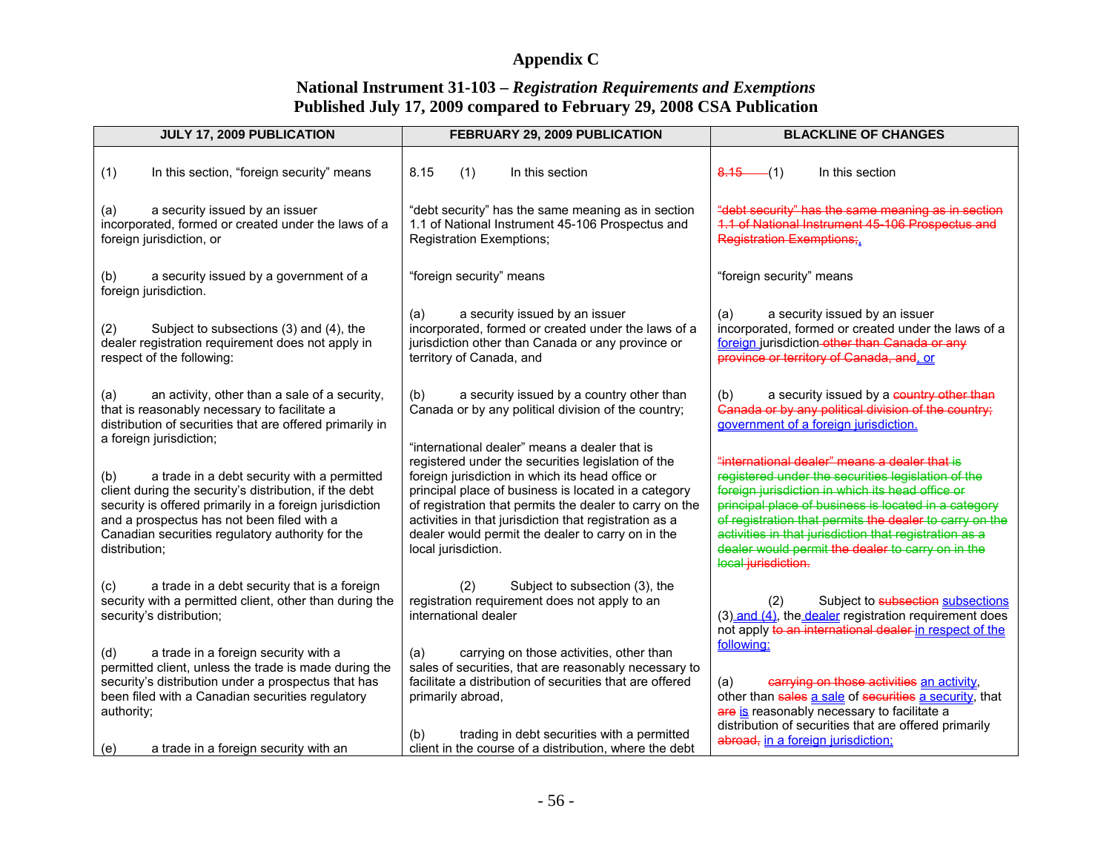| JULY 17, 2009 PUBLICATION                                                                                                                                                                                                                                                                  | <b>FEBRUARY 29, 2009 PUBLICATION</b>                                                                                                                                                                                                                                                                                                                            | <b>BLACKLINE OF CHANGES</b>                                                                                                                                                                                                                                                                                                                                                                                      |
|--------------------------------------------------------------------------------------------------------------------------------------------------------------------------------------------------------------------------------------------------------------------------------------------|-----------------------------------------------------------------------------------------------------------------------------------------------------------------------------------------------------------------------------------------------------------------------------------------------------------------------------------------------------------------|------------------------------------------------------------------------------------------------------------------------------------------------------------------------------------------------------------------------------------------------------------------------------------------------------------------------------------------------------------------------------------------------------------------|
| In this section, "foreign security" means<br>(1)                                                                                                                                                                                                                                           | 8.15<br>(1)<br>In this section                                                                                                                                                                                                                                                                                                                                  | $8.15$ (1)<br>In this section                                                                                                                                                                                                                                                                                                                                                                                    |
| a security issued by an issuer<br>(a)<br>incorporated, formed or created under the laws of a<br>foreign jurisdiction, or                                                                                                                                                                   | "debt security" has the same meaning as in section<br>1.1 of National Instrument 45-106 Prospectus and<br><b>Registration Exemptions;</b>                                                                                                                                                                                                                       | "debt security" has the same meaning as in section<br>1.1 of National Instrument 45-106 Prospectus and<br><b>Registration Exemptions;</b>                                                                                                                                                                                                                                                                        |
| a security issued by a government of a<br>(b)<br>foreign jurisdiction.                                                                                                                                                                                                                     | "foreign security" means                                                                                                                                                                                                                                                                                                                                        | "foreign security" means                                                                                                                                                                                                                                                                                                                                                                                         |
| Subject to subsections (3) and (4), the<br>(2)<br>dealer registration requirement does not apply in<br>respect of the following:                                                                                                                                                           | a security issued by an issuer<br>(a)<br>incorporated, formed or created under the laws of a<br>jurisdiction other than Canada or any province or<br>territory of Canada, and                                                                                                                                                                                   | a security issued by an issuer<br>(a)<br>incorporated, formed or created under the laws of a<br>foreign jurisdiction-other than Canada or any<br>province or territory of Canada, and, or                                                                                                                                                                                                                        |
| an activity, other than a sale of a security,<br>(a)<br>that is reasonably necessary to facilitate a<br>distribution of securities that are offered primarily in<br>a foreign jurisdiction;                                                                                                | a security issued by a country other than<br>(b)<br>Canada or by any political division of the country;<br>"international dealer" means a dealer that is                                                                                                                                                                                                        | a security issued by a country other than<br>(b)<br>Canada or by any political division of the country;<br>government of a foreign jurisdiction.                                                                                                                                                                                                                                                                 |
| a trade in a debt security with a permitted<br>(b)<br>client during the security's distribution, if the debt<br>security is offered primarily in a foreign jurisdiction<br>and a prospectus has not been filed with a<br>Canadian securities regulatory authority for the<br>distribution; | registered under the securities legislation of the<br>foreign jurisdiction in which its head office or<br>principal place of business is located in a category<br>of registration that permits the dealer to carry on the<br>activities in that jurisdiction that registration as a<br>dealer would permit the dealer to carry on in the<br>local jurisdiction. | "international dealer" means a dealer that is<br>registered under the securities legislation of the<br>foreign jurisdiction in which its head office or<br>principal place of business is located in a category<br>of registration that permits the dealer to carry on the<br>activities in that jurisdiction that registration as a<br>dealer would permit the dealer to carry on in the<br>local jurisdiction. |
| a trade in a debt security that is a foreign<br>(c)<br>security with a permitted client, other than during the<br>security's distribution;                                                                                                                                                 | Subject to subsection (3), the<br>(2)<br>registration requirement does not apply to an<br>international dealer                                                                                                                                                                                                                                                  | Subject to subsection subsections<br>(2)<br>$(3)$ and $(4)$ , the dealer registration requirement does<br>not apply to an international dealer in respect of the                                                                                                                                                                                                                                                 |
| a trade in a foreign security with a<br>(d)<br>permitted client, unless the trade is made during the<br>security's distribution under a prospectus that has<br>been filed with a Canadian securities regulatory<br>authority;                                                              | carrying on those activities, other than<br>(a)<br>sales of securities, that are reasonably necessary to<br>facilitate a distribution of securities that are offered<br>primarily abroad,<br>trading in debt securities with a permitted<br>(b)                                                                                                                 | following:<br>carrying on those activities an activity,<br>(a)<br>other than sales a sale of securities a security, that<br>are is reasonably necessary to facilitate a<br>distribution of securities that are offered primarily                                                                                                                                                                                 |
| a trade in a foreign security with an<br>(e)                                                                                                                                                                                                                                               | client in the course of a distribution, where the debt                                                                                                                                                                                                                                                                                                          | abroad, in a foreign jurisdiction;                                                                                                                                                                                                                                                                                                                                                                               |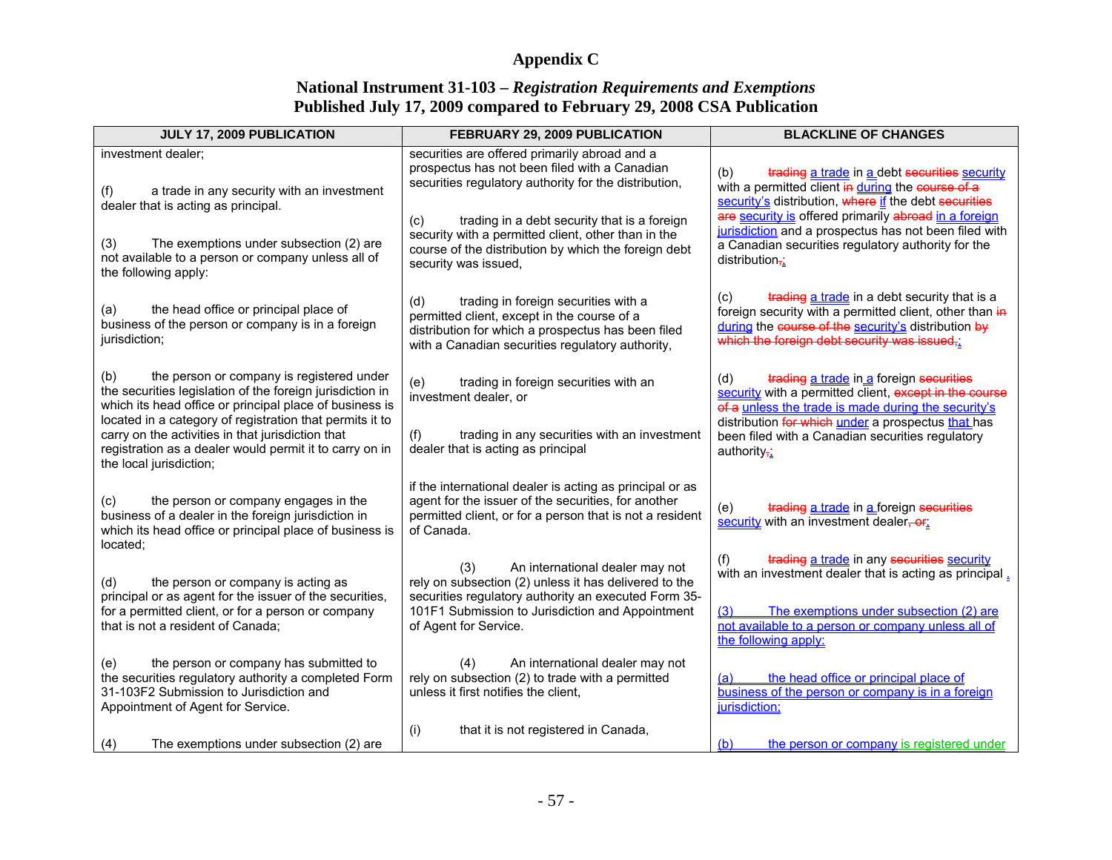| JULY 17, 2009 PUBLICATION                                                                                                                                                                                                                                      | <b>FEBRUARY 29, 2009 PUBLICATION</b>                                                                                                                                                                                                                                                                                          | <b>BLACKLINE OF CHANGES</b>                                                                                                                                                                                                                                                                                                                |
|----------------------------------------------------------------------------------------------------------------------------------------------------------------------------------------------------------------------------------------------------------------|-------------------------------------------------------------------------------------------------------------------------------------------------------------------------------------------------------------------------------------------------------------------------------------------------------------------------------|--------------------------------------------------------------------------------------------------------------------------------------------------------------------------------------------------------------------------------------------------------------------------------------------------------------------------------------------|
| investment dealer;<br>a trade in any security with an investment<br>(f)<br>dealer that is acting as principal.<br>The exemptions under subsection (2) are<br>(3)                                                                                               | securities are offered primarily abroad and a<br>prospectus has not been filed with a Canadian<br>securities regulatory authority for the distribution,<br>(c)<br>trading in a debt security that is a foreign<br>security with a permitted client, other than in the<br>course of the distribution by which the foreign debt | (b)<br>trading a trade in a debt securities security<br>with a permitted client in during the course of a<br>security's distribution, where if the debt securities<br>are security is offered primarily abroad in a foreign<br>jurisdiction and a prospectus has not been filed with<br>a Canadian securities regulatory authority for the |
| not available to a person or company unless all of<br>the following apply:<br>the head office or principal place of<br>(a)<br>business of the person or company is in a foreign                                                                                | security was issued,<br>(d)<br>trading in foreign securities with a<br>permitted client, except in the course of a<br>distribution for which a prospectus has been filed                                                                                                                                                      | distribution $\frac{1}{16}$<br>trading a trade in a debt security that is a<br>(c)<br>foreign security with a permitted client, other than in<br>during the course of the security's distribution by                                                                                                                                       |
| jurisdiction;<br>the person or company is registered under<br>(b)<br>the securities legislation of the foreign jurisdiction in                                                                                                                                 | with a Canadian securities regulatory authority,<br>trading in foreign securities with an<br>(e)<br>investment dealer, or                                                                                                                                                                                                     | which the foreign debt security was issued,;<br>(d)<br>trading a trade in a foreign securities<br>security with a permitted client, except in the course                                                                                                                                                                                   |
| which its head office or principal place of business is<br>located in a category of registration that permits it to<br>carry on the activities in that jurisdiction that<br>registration as a dealer would permit it to carry on in<br>the local jurisdiction; | trading in any securities with an investment<br>(f)<br>dealer that is acting as principal                                                                                                                                                                                                                                     | of a unless the trade is made during the security's<br>distribution for which under a prospectus that has<br>been filed with a Canadian securities regulatory<br>authority <sub>i</sub> :                                                                                                                                                  |
| the person or company engages in the<br>(c)<br>business of a dealer in the foreign jurisdiction in<br>which its head office or principal place of business is<br>located:                                                                                      | if the international dealer is acting as principal or as<br>agent for the issuer of the securities, for another<br>permitted client, or for a person that is not a resident<br>of Canada.                                                                                                                                     | (e)<br>trading a trade in a foreign securities<br>security with an investment dealer, $er_i$                                                                                                                                                                                                                                               |
| (d)<br>the person or company is acting as<br>principal or as agent for the issuer of the securities,<br>for a permitted client, or for a person or company<br>that is not a resident of Canada:                                                                | An international dealer may not<br>(3)<br>rely on subsection (2) unless it has delivered to the<br>securities regulatory authority an executed Form 35-<br>101F1 Submission to Jurisdiction and Appointment<br>of Agent for Service.                                                                                          | trading a trade in any securities security<br>(f)<br>with an investment dealer that is acting as principal.<br>The exemptions under subsection (2) are<br>(3)<br>not available to a person or company unless all of<br>the following apply:                                                                                                |
| the person or company has submitted to<br>(e)<br>the securities regulatory authority a completed Form<br>31-103F2 Submission to Jurisdiction and<br>Appointment of Agent for Service.                                                                          | An international dealer may not<br>(4)<br>rely on subsection (2) to trade with a permitted<br>unless it first notifies the client,                                                                                                                                                                                            | the head office or principal place of<br>(a)<br>business of the person or company is in a foreign<br>jurisdiction;                                                                                                                                                                                                                         |
| (4)<br>The exemptions under subsection (2) are                                                                                                                                                                                                                 | that it is not registered in Canada,<br>(i)                                                                                                                                                                                                                                                                                   | the person or company is registered under<br>(b)                                                                                                                                                                                                                                                                                           |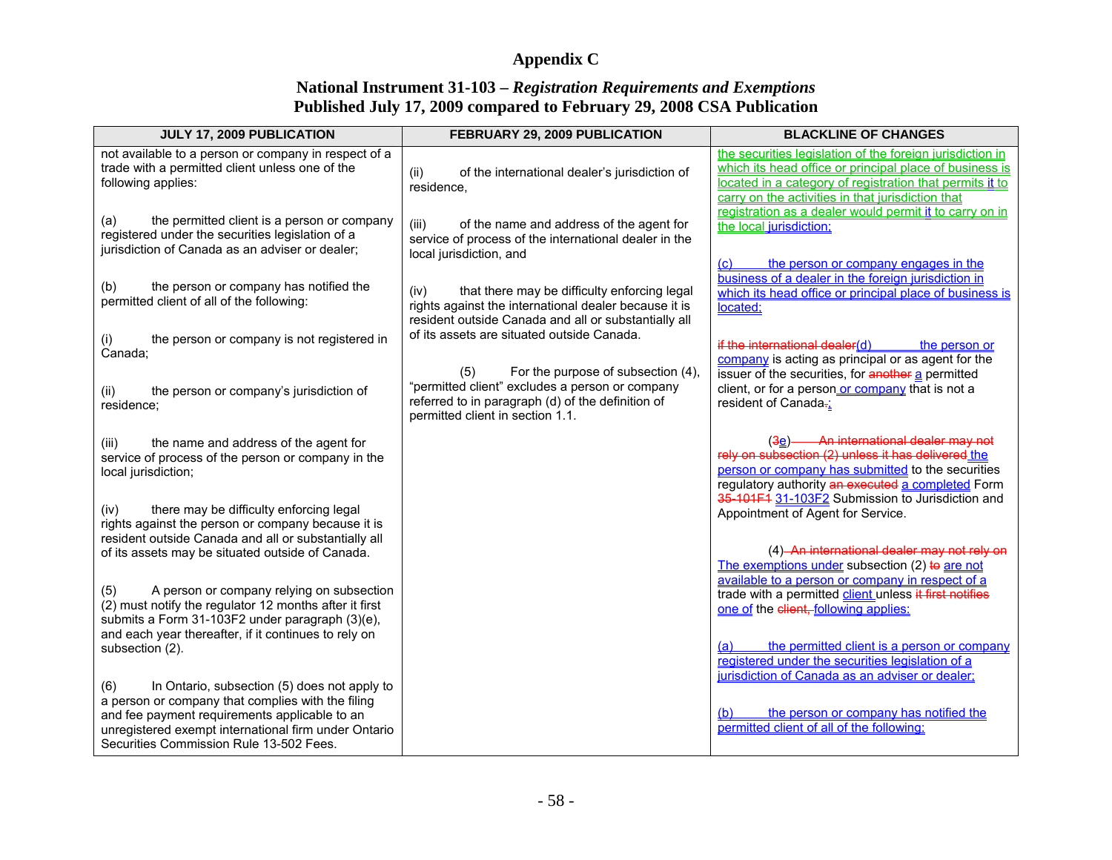| JULY 17, 2009 PUBLICATION                                                                                                                                                                                                                                    | FEBRUARY 29, 2009 PUBLICATION                                                                                                                                                         | <b>BLACKLINE OF CHANGES</b>                                                                                                                                                                                                           |
|--------------------------------------------------------------------------------------------------------------------------------------------------------------------------------------------------------------------------------------------------------------|---------------------------------------------------------------------------------------------------------------------------------------------------------------------------------------|---------------------------------------------------------------------------------------------------------------------------------------------------------------------------------------------------------------------------------------|
| not available to a person or company in respect of a<br>trade with a permitted client unless one of the<br>following applies:                                                                                                                                | (ii)<br>of the international dealer's jurisdiction of<br>residence,                                                                                                                   | the securities legislation of the foreign jurisdiction in<br>which its head office or principal place of business is<br>located in a category of registration that permits it to<br>carry on the activities in that jurisdiction that |
| the permitted client is a person or company<br>(a)<br>registered under the securities legislation of a<br>jurisdiction of Canada as an adviser or dealer;                                                                                                    | of the name and address of the agent for<br>(iii)<br>service of process of the international dealer in the<br>local jurisdiction, and                                                 | registration as a dealer would permit it to carry on in<br>the local jurisdiction;<br>(c)<br>the person or company engages in the                                                                                                     |
| the person or company has notified the<br>(b)<br>permitted client of all of the following:                                                                                                                                                                   | that there may be difficulty enforcing legal<br>(iv)<br>rights against the international dealer because it is<br>resident outside Canada and all or substantially all                 | business of a dealer in the foreign jurisdiction in<br>which its head office or principal place of business is<br>located;                                                                                                            |
| the person or company is not registered in<br>(i)<br>Canada;                                                                                                                                                                                                 | of its assets are situated outside Canada.                                                                                                                                            | if the international dealer(d)<br>the person or<br>company is acting as principal or as agent for the                                                                                                                                 |
| the person or company's jurisdiction of<br>(ii)<br>residence;                                                                                                                                                                                                | For the purpose of subsection (4),<br>(5)<br>"permitted client" excludes a person or company<br>referred to in paragraph (d) of the definition of<br>permitted client in section 1.1. | issuer of the securities, for another a permitted<br>client, or for a person or company that is not a<br>resident of Canada-;                                                                                                         |
| the name and address of the agent for<br>(iii)<br>service of process of the person or company in the<br>local jurisdiction;                                                                                                                                  |                                                                                                                                                                                       | An international dealer may not<br><u>(3e)</u> -<br>rely on subsection (2) unless it has delivered the<br>person or company has submitted to the securities<br>regulatory authority an executed a completed Form                      |
| there may be difficulty enforcing legal<br>(iv)<br>rights against the person or company because it is<br>resident outside Canada and all or substantially all                                                                                                |                                                                                                                                                                                       | 35-101F1 31-103F2 Submission to Jurisdiction and<br>Appointment of Agent for Service.                                                                                                                                                 |
| of its assets may be situated outside of Canada.                                                                                                                                                                                                             |                                                                                                                                                                                       | (4) An international dealer may not rely on<br>The exemptions under subsection (2) to are not                                                                                                                                         |
| A person or company relying on subsection<br>(5)<br>(2) must notify the regulator 12 months after it first<br>submits a Form 31-103F2 under paragraph (3)(e),<br>and each year thereafter, if it continues to rely on                                        |                                                                                                                                                                                       | available to a person or company in respect of a<br>trade with a permitted client unless it first notifies<br>one of the elient, following applies:                                                                                   |
| subsection (2).                                                                                                                                                                                                                                              |                                                                                                                                                                                       | the permitted client is a person or company<br>(a)<br>registered under the securities legislation of a<br>jurisdiction of Canada as an adviser or dealer;                                                                             |
| In Ontario, subsection (5) does not apply to<br>(6)<br>a person or company that complies with the filing<br>and fee payment requirements applicable to an<br>unregistered exempt international firm under Ontario<br>Securities Commission Rule 13-502 Fees. |                                                                                                                                                                                       | the person or company has notified the<br>(b)<br>permitted client of all of the following:                                                                                                                                            |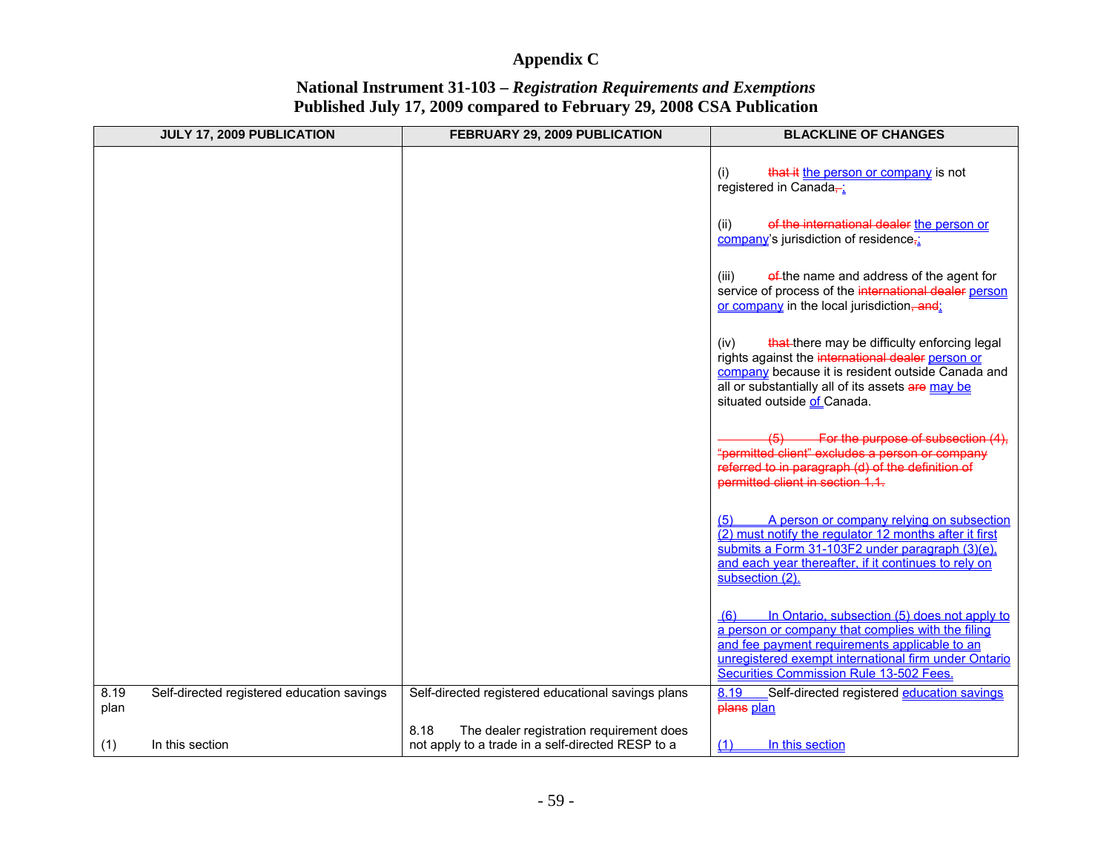|              | JULY 17, 2009 PUBLICATION                  | FEBRUARY 29, 2009 PUBLICATION                                                                         | <b>BLACKLINE OF CHANGES</b>                                                                                                                                                                                                                                  |
|--------------|--------------------------------------------|-------------------------------------------------------------------------------------------------------|--------------------------------------------------------------------------------------------------------------------------------------------------------------------------------------------------------------------------------------------------------------|
|              |                                            |                                                                                                       | (i)<br>that it the person or company is not<br>registered in Canada-;                                                                                                                                                                                        |
|              |                                            |                                                                                                       | of the international dealer the person or<br>(ii)<br>company's jurisdiction of residence,;                                                                                                                                                                   |
|              |                                            |                                                                                                       | of-the name and address of the agent for<br>(iii)<br>service of process of the international dealer person<br>or company in the local jurisdiction, and;                                                                                                     |
|              |                                            |                                                                                                       | (iv)<br>that there may be difficulty enforcing legal<br>rights against the international dealer person or<br>company because it is resident outside Canada and<br>all or substantially all of its assets are may be<br>situated outside of Canada.           |
|              |                                            |                                                                                                       | For the purpose of subsection (4),<br>"permitted client" excludes a person or company<br>referred to in paragraph (d) of the definition of<br>permitted client in section 1.1.                                                                               |
|              |                                            |                                                                                                       | A person or company relying on subsection<br>(2) must notify the regulator 12 months after it first<br>submits a Form 31-103F2 under paragraph (3)(e),<br>and each year thereafter, if it continues to rely on<br>subsection (2).                            |
|              |                                            |                                                                                                       | In Ontario, subsection (5) does not apply to<br>(6)<br>a person or company that complies with the filing<br>and fee payment requirements applicable to an<br>unregistered exempt international firm under Ontario<br>Securities Commission Rule 13-502 Fees. |
| 8.19<br>plan | Self-directed registered education savings | Self-directed registered educational savings plans                                                    | 8.19<br>Self-directed registered education savings<br>plans plan                                                                                                                                                                                             |
| (1)          | In this section                            | 8.18<br>The dealer registration requirement does<br>not apply to a trade in a self-directed RESP to a | In this section<br>(1)                                                                                                                                                                                                                                       |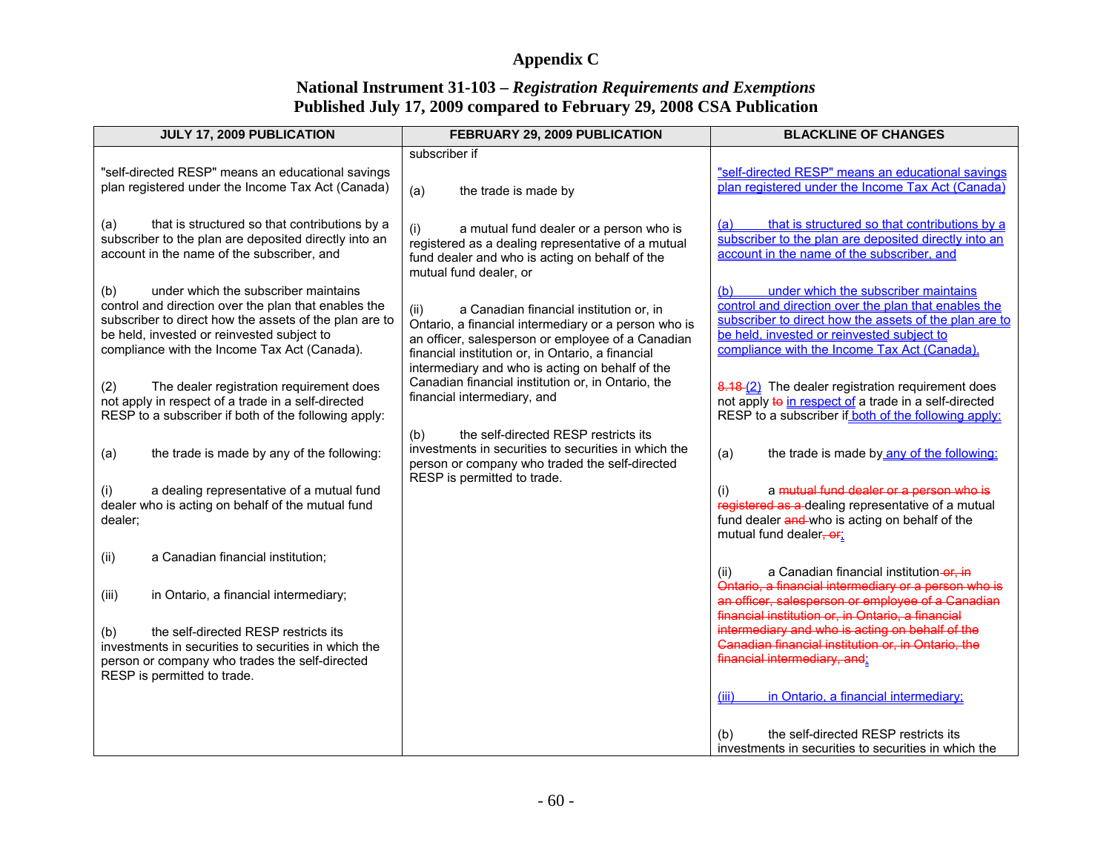| JULY 17, 2009 PUBLICATION                                                                                                                                                                                                                                   | FEBRUARY 29, 2009 PUBLICATION                                                                                                                                                                                                                                        | <b>BLACKLINE OF CHANGES</b>                                                                                                                                                                                                                                 |
|-------------------------------------------------------------------------------------------------------------------------------------------------------------------------------------------------------------------------------------------------------------|----------------------------------------------------------------------------------------------------------------------------------------------------------------------------------------------------------------------------------------------------------------------|-------------------------------------------------------------------------------------------------------------------------------------------------------------------------------------------------------------------------------------------------------------|
| "self-directed RESP" means an educational savings<br>plan registered under the Income Tax Act (Canada)                                                                                                                                                      | subscriber if<br>the trade is made by<br>(a)                                                                                                                                                                                                                         | "self-directed RESP" means an educational savings<br>plan registered under the Income Tax Act (Canada)                                                                                                                                                      |
| that is structured so that contributions by a<br>(a)<br>subscriber to the plan are deposited directly into an<br>account in the name of the subscriber, and                                                                                                 | a mutual fund dealer or a person who is<br>(i)<br>registered as a dealing representative of a mutual<br>fund dealer and who is acting on behalf of the<br>mutual fund dealer, or                                                                                     | that is structured so that contributions by a<br>(a)<br>subscriber to the plan are deposited directly into an<br>account in the name of the subscriber, and                                                                                                 |
| under which the subscriber maintains<br>(b)<br>control and direction over the plan that enables the<br>subscriber to direct how the assets of the plan are to<br>be held, invested or reinvested subject to<br>compliance with the Income Tax Act (Canada). | a Canadian financial institution or, in<br>(ii)<br>Ontario, a financial intermediary or a person who is<br>an officer, salesperson or employee of a Canadian<br>financial institution or, in Ontario, a financial<br>intermediary and who is acting on behalf of the | under which the subscriber maintains<br>(b)<br>control and direction over the plan that enables the<br>subscriber to direct how the assets of the plan are to<br>be held, invested or reinvested subject to<br>compliance with the Income Tax Act (Canada). |
| (2)<br>The dealer registration requirement does<br>not apply in respect of a trade in a self-directed<br>RESP to a subscriber if both of the following apply:                                                                                               | Canadian financial institution or, in Ontario, the<br>financial intermediary, and                                                                                                                                                                                    | 8.18 (2) The dealer registration requirement does<br>not apply to in respect of a trade in a self-directed<br>RESP to a subscriber if both of the following apply:                                                                                          |
| the trade is made by any of the following:<br>(a)                                                                                                                                                                                                           | the self-directed RESP restricts its<br>(b)<br>investments in securities to securities in which the<br>person or company who traded the self-directed<br>RESP is permitted to trade.                                                                                 | (a)<br>the trade is made by any of the following:                                                                                                                                                                                                           |
| a dealing representative of a mutual fund<br>(i)<br>dealer who is acting on behalf of the mutual fund<br>dealer;                                                                                                                                            |                                                                                                                                                                                                                                                                      | a mutual fund dealer or a person who is<br>(i)<br>registered as a dealing representative of a mutual<br>fund dealer and who is acting on behalf of the<br>mutual fund dealer, or;                                                                           |
| a Canadian financial institution;<br>(ii)                                                                                                                                                                                                                   |                                                                                                                                                                                                                                                                      | a Canadian financial institution-or, in<br>(ii)<br>Ontario, a financial intermediary or a person who is                                                                                                                                                     |
| in Ontario, a financial intermediary;<br>(iii)                                                                                                                                                                                                              |                                                                                                                                                                                                                                                                      | an officer, salesperson or employee of a Canadian<br>financial institution or, in Ontario, a financial                                                                                                                                                      |
| the self-directed RESP restricts its<br>(b)<br>investments in securities to securities in which the<br>person or company who trades the self-directed<br>RESP is permitted to trade.                                                                        |                                                                                                                                                                                                                                                                      | intermediary and who is acting on behalf of the<br>Canadian financial institution or, in Ontario, the<br>financial intermediary, and;                                                                                                                       |
|                                                                                                                                                                                                                                                             |                                                                                                                                                                                                                                                                      | in Ontario, a financial intermediary;<br>(iii)                                                                                                                                                                                                              |
|                                                                                                                                                                                                                                                             |                                                                                                                                                                                                                                                                      | the self-directed RESP restricts its<br>(b)<br>investments in securities to securities in which the                                                                                                                                                         |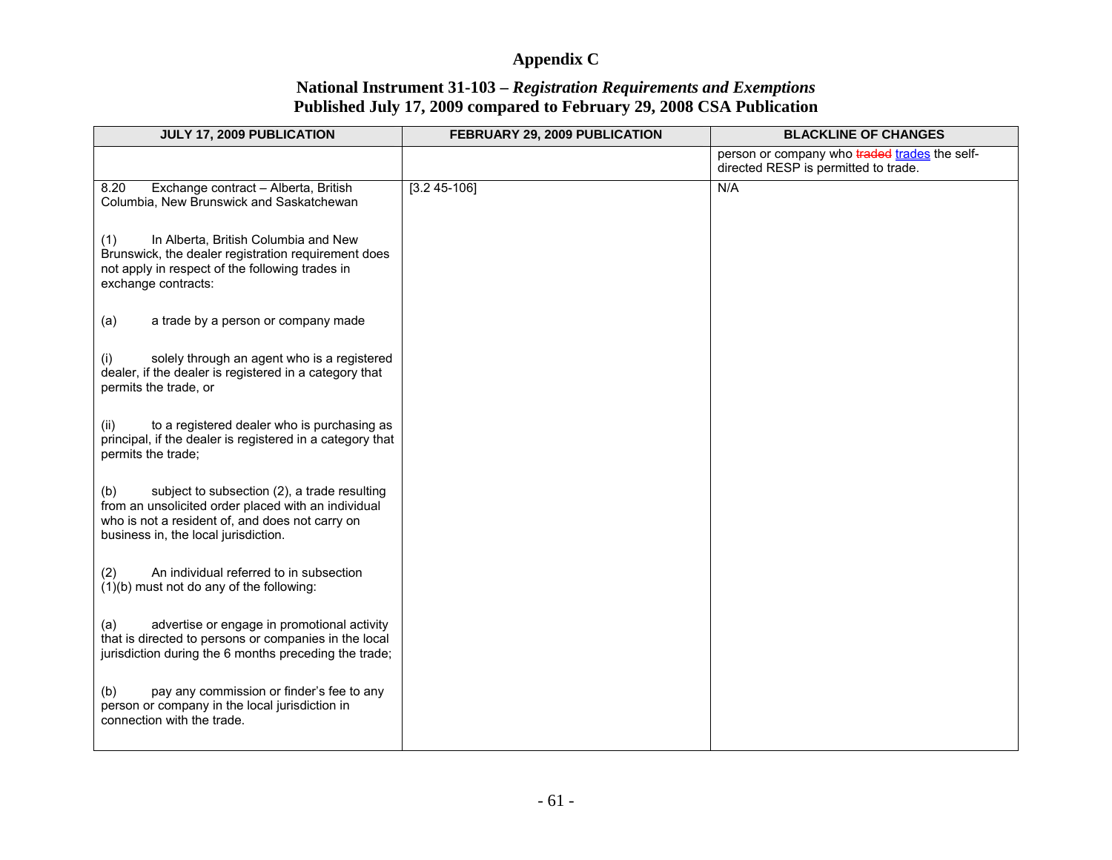| JULY 17, 2009 PUBLICATION                                                                                                                                                                             | <b>FEBRUARY 29, 2009 PUBLICATION</b> | <b>BLACKLINE OF CHANGES</b>                                                           |
|-------------------------------------------------------------------------------------------------------------------------------------------------------------------------------------------------------|--------------------------------------|---------------------------------------------------------------------------------------|
|                                                                                                                                                                                                       |                                      | person or company who traded trades the self-<br>directed RESP is permitted to trade. |
| 8.20<br>Exchange contract - Alberta, British<br>Columbia, New Brunswick and Saskatchewan                                                                                                              | $[3.245 - 106]$                      | N/A                                                                                   |
| (1)<br>In Alberta, British Columbia and New<br>Brunswick, the dealer registration requirement does<br>not apply in respect of the following trades in<br>exchange contracts:                          |                                      |                                                                                       |
| a trade by a person or company made<br>(a)                                                                                                                                                            |                                      |                                                                                       |
| solely through an agent who is a registered<br>(i)<br>dealer, if the dealer is registered in a category that<br>permits the trade, or                                                                 |                                      |                                                                                       |
| to a registered dealer who is purchasing as<br>(ii)<br>principal, if the dealer is registered in a category that<br>permits the trade;                                                                |                                      |                                                                                       |
| subject to subsection (2), a trade resulting<br>(b)<br>from an unsolicited order placed with an individual<br>who is not a resident of, and does not carry on<br>business in, the local jurisdiction. |                                      |                                                                                       |
| An individual referred to in subsection<br>(2)<br>(1)(b) must not do any of the following:                                                                                                            |                                      |                                                                                       |
| advertise or engage in promotional activity<br>(a)<br>that is directed to persons or companies in the local<br>jurisdiction during the 6 months preceding the trade;                                  |                                      |                                                                                       |
| (b)<br>pay any commission or finder's fee to any<br>person or company in the local jurisdiction in<br>connection with the trade.                                                                      |                                      |                                                                                       |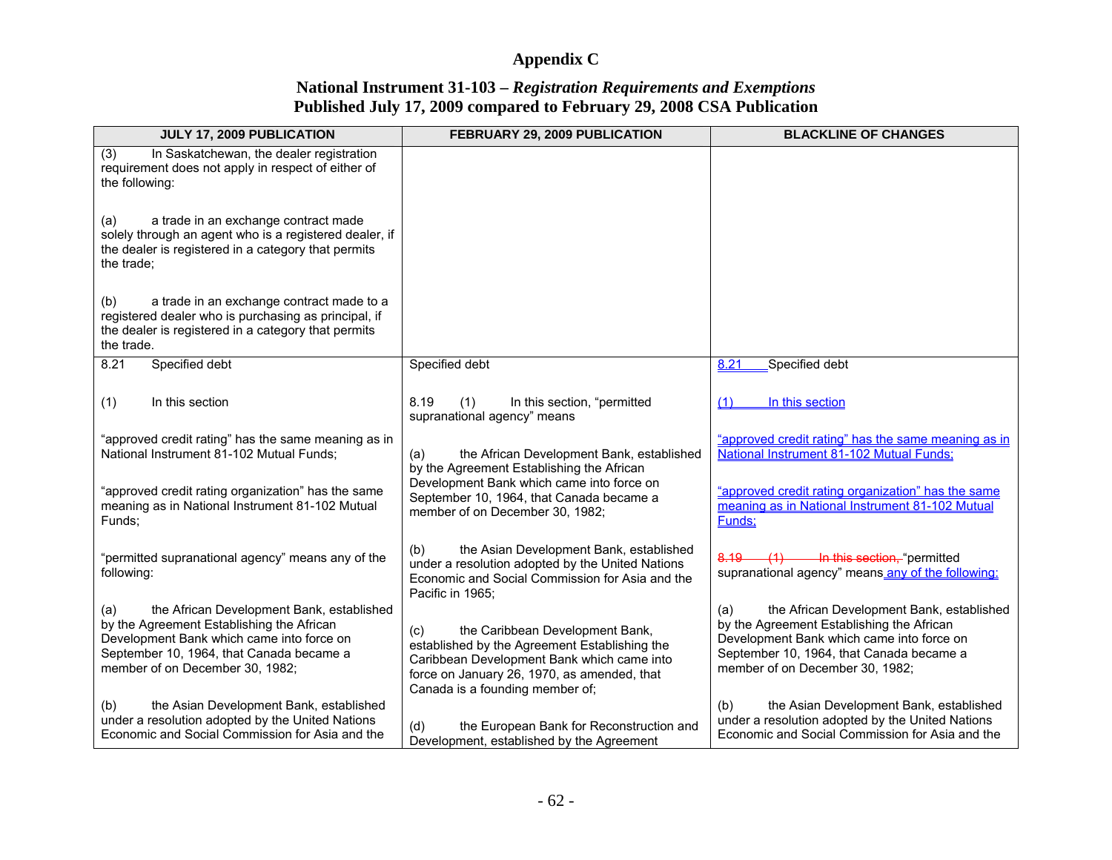| JULY 17, 2009 PUBLICATION                                                                                                                                                                                                 | <b>FEBRUARY 29, 2009 PUBLICATION</b>                                                                                                                                                                                    | <b>BLACKLINE OF CHANGES</b>                                                                                                                                                                                               |
|---------------------------------------------------------------------------------------------------------------------------------------------------------------------------------------------------------------------------|-------------------------------------------------------------------------------------------------------------------------------------------------------------------------------------------------------------------------|---------------------------------------------------------------------------------------------------------------------------------------------------------------------------------------------------------------------------|
| In Saskatchewan, the dealer registration<br>(3)<br>requirement does not apply in respect of either of<br>the following:                                                                                                   |                                                                                                                                                                                                                         |                                                                                                                                                                                                                           |
| a trade in an exchange contract made<br>(a)<br>solely through an agent who is a registered dealer, if<br>the dealer is registered in a category that permits<br>the trade:                                                |                                                                                                                                                                                                                         |                                                                                                                                                                                                                           |
| a trade in an exchange contract made to a<br>(b)<br>registered dealer who is purchasing as principal, if<br>the dealer is registered in a category that permits<br>the trade.                                             |                                                                                                                                                                                                                         |                                                                                                                                                                                                                           |
| Specified debt<br>8.21                                                                                                                                                                                                    | Specified debt                                                                                                                                                                                                          | Specified debt<br>8.21                                                                                                                                                                                                    |
| (1)<br>In this section                                                                                                                                                                                                    | 8.19<br>In this section, "permitted<br>(1)<br>supranational agency" means                                                                                                                                               | In this section<br>(1)                                                                                                                                                                                                    |
| "approved credit rating" has the same meaning as in<br>National Instrument 81-102 Mutual Funds;                                                                                                                           | (a)<br>the African Development Bank, established<br>by the Agreement Establishing the African                                                                                                                           | "approved credit rating" has the same meaning as in<br>National Instrument 81-102 Mutual Funds;                                                                                                                           |
| "approved credit rating organization" has the same<br>meaning as in National Instrument 81-102 Mutual<br>Funds;                                                                                                           | Development Bank which came into force on<br>September 10, 1964, that Canada became a<br>member of on December 30, 1982;                                                                                                | "approved credit rating organization" has the same<br>meaning as in National Instrument 81-102 Mutual<br>Funds:                                                                                                           |
| "permitted supranational agency" means any of the<br>following:                                                                                                                                                           | the Asian Development Bank, established<br>(b)<br>under a resolution adopted by the United Nations<br>Economic and Social Commission for Asia and the<br>Pacific in 1965:                                               | 8.19 (1) In this section, "permitted<br>supranational agency" means any of the following:                                                                                                                                 |
| the African Development Bank, established<br>(a)<br>by the Agreement Establishing the African<br>Development Bank which came into force on<br>September 10, 1964, that Canada became a<br>member of on December 30, 1982; | the Caribbean Development Bank,<br>(c)<br>established by the Agreement Establishing the<br>Caribbean Development Bank which came into<br>force on January 26, 1970, as amended, that<br>Canada is a founding member of; | the African Development Bank, established<br>(a)<br>by the Agreement Establishing the African<br>Development Bank which came into force on<br>September 10, 1964, that Canada became a<br>member of on December 30, 1982; |
| the Asian Development Bank, established<br>(b)<br>under a resolution adopted by the United Nations<br>Economic and Social Commission for Asia and the                                                                     | the European Bank for Reconstruction and<br>(d)<br>Development, established by the Agreement                                                                                                                            | (b)<br>the Asian Development Bank, established<br>under a resolution adopted by the United Nations<br>Economic and Social Commission for Asia and the                                                                     |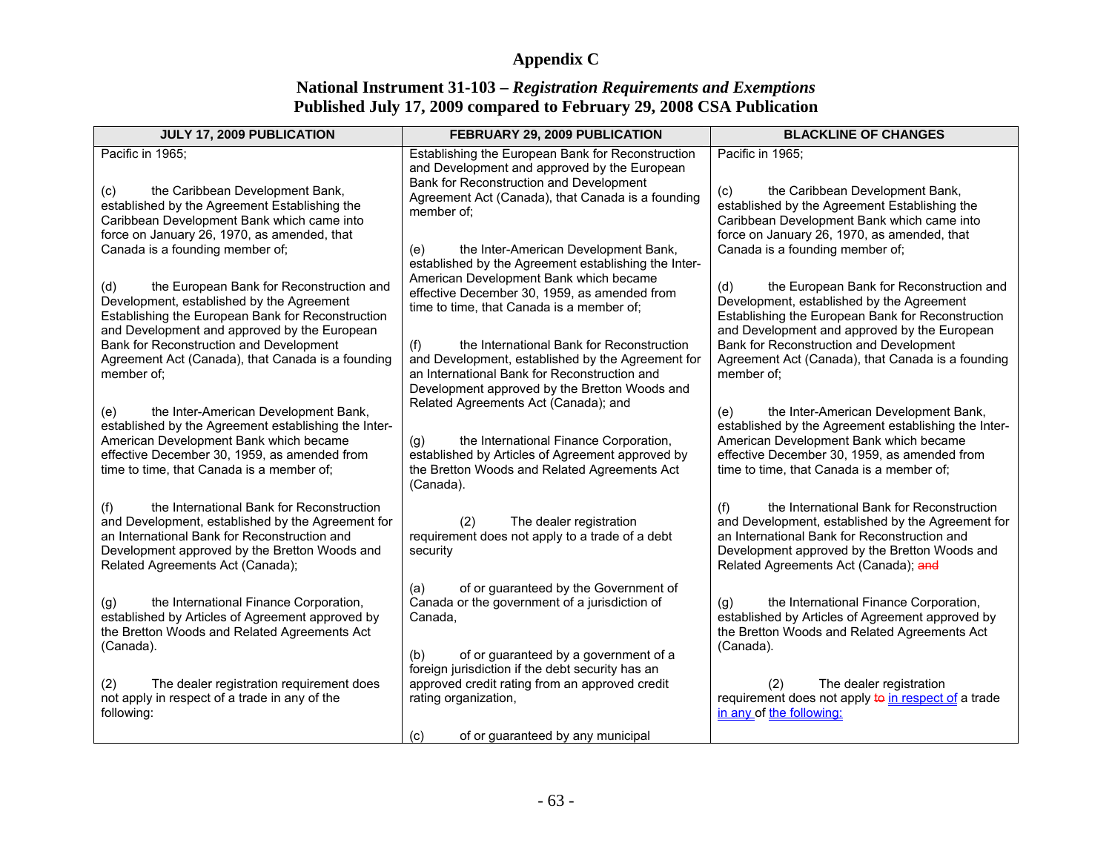| JULY 17, 2009 PUBLICATION                                                                                                                                                                                                                  | <b>FEBRUARY 29, 2009 PUBLICATION</b>                                                                                                                                                                                                           | <b>BLACKLINE OF CHANGES</b>                                                                                                                                                                                                                    |
|--------------------------------------------------------------------------------------------------------------------------------------------------------------------------------------------------------------------------------------------|------------------------------------------------------------------------------------------------------------------------------------------------------------------------------------------------------------------------------------------------|------------------------------------------------------------------------------------------------------------------------------------------------------------------------------------------------------------------------------------------------|
| Pacific in 1965;<br>the Caribbean Development Bank,<br>(c)<br>established by the Agreement Establishing the<br>Caribbean Development Bank which came into<br>force on January 26, 1970, as amended, that                                   | Establishing the European Bank for Reconstruction<br>and Development and approved by the European<br>Bank for Reconstruction and Development<br>Agreement Act (Canada), that Canada is a founding<br>member of:                                | Pacific in 1965;<br>the Caribbean Development Bank,<br>(c)<br>established by the Agreement Establishing the<br>Caribbean Development Bank which came into<br>force on January 26, 1970, as amended, that                                       |
| Canada is a founding member of;                                                                                                                                                                                                            | the Inter-American Development Bank,<br>(e)<br>established by the Agreement establishing the Inter-                                                                                                                                            | Canada is a founding member of;                                                                                                                                                                                                                |
| the European Bank for Reconstruction and<br>(d)<br>Development, established by the Agreement<br>Establishing the European Bank for Reconstruction<br>and Development and approved by the European                                          | American Development Bank which became<br>effective December 30, 1959, as amended from<br>time to time, that Canada is a member of;                                                                                                            | (d)<br>the European Bank for Reconstruction and<br>Development, established by the Agreement<br>Establishing the European Bank for Reconstruction<br>and Development and approved by the European                                              |
| Bank for Reconstruction and Development<br>Agreement Act (Canada), that Canada is a founding<br>member of:                                                                                                                                 | (f)<br>the International Bank for Reconstruction<br>and Development, established by the Agreement for<br>an International Bank for Reconstruction and<br>Development approved by the Bretton Woods and<br>Related Agreements Act (Canada); and | Bank for Reconstruction and Development<br>Agreement Act (Canada), that Canada is a founding<br>member of;                                                                                                                                     |
| the Inter-American Development Bank,<br>(e)<br>established by the Agreement establishing the Inter-<br>American Development Bank which became<br>effective December 30, 1959, as amended from<br>time to time, that Canada is a member of; | the International Finance Corporation,<br>(g)<br>established by Articles of Agreement approved by<br>the Bretton Woods and Related Agreements Act<br>(Canada).                                                                                 | the Inter-American Development Bank,<br>(e)<br>established by the Agreement establishing the Inter-<br>American Development Bank which became<br>effective December 30, 1959, as amended from<br>time to time, that Canada is a member of;     |
| the International Bank for Reconstruction<br>(f)<br>and Development, established by the Agreement for<br>an International Bank for Reconstruction and<br>Development approved by the Bretton Woods and<br>Related Agreements Act (Canada); | The dealer registration<br>(2)<br>requirement does not apply to a trade of a debt<br>security                                                                                                                                                  | the International Bank for Reconstruction<br>(f)<br>and Development, established by the Agreement for<br>an International Bank for Reconstruction and<br>Development approved by the Bretton Woods and<br>Related Agreements Act (Canada); and |
| the International Finance Corporation,<br>(g)<br>established by Articles of Agreement approved by<br>the Bretton Woods and Related Agreements Act<br>(Canada).                                                                             | of or guaranteed by the Government of<br>(a)<br>Canada or the government of a jurisdiction of<br>Canada.                                                                                                                                       | the International Finance Corporation,<br>(q)<br>established by Articles of Agreement approved by<br>the Bretton Woods and Related Agreements Act<br>(Canada).                                                                                 |
| (2)<br>The dealer registration requirement does<br>not apply in respect of a trade in any of the<br>following:                                                                                                                             | (b)<br>of or guaranteed by a government of a<br>foreign jurisdiction if the debt security has an<br>approved credit rating from an approved credit<br>rating organization,                                                                     | The dealer registration<br>(2)<br>requirement does not apply to in respect of a trade<br>in any of the following:                                                                                                                              |
|                                                                                                                                                                                                                                            | of or guaranteed by any municipal<br>(c)                                                                                                                                                                                                       |                                                                                                                                                                                                                                                |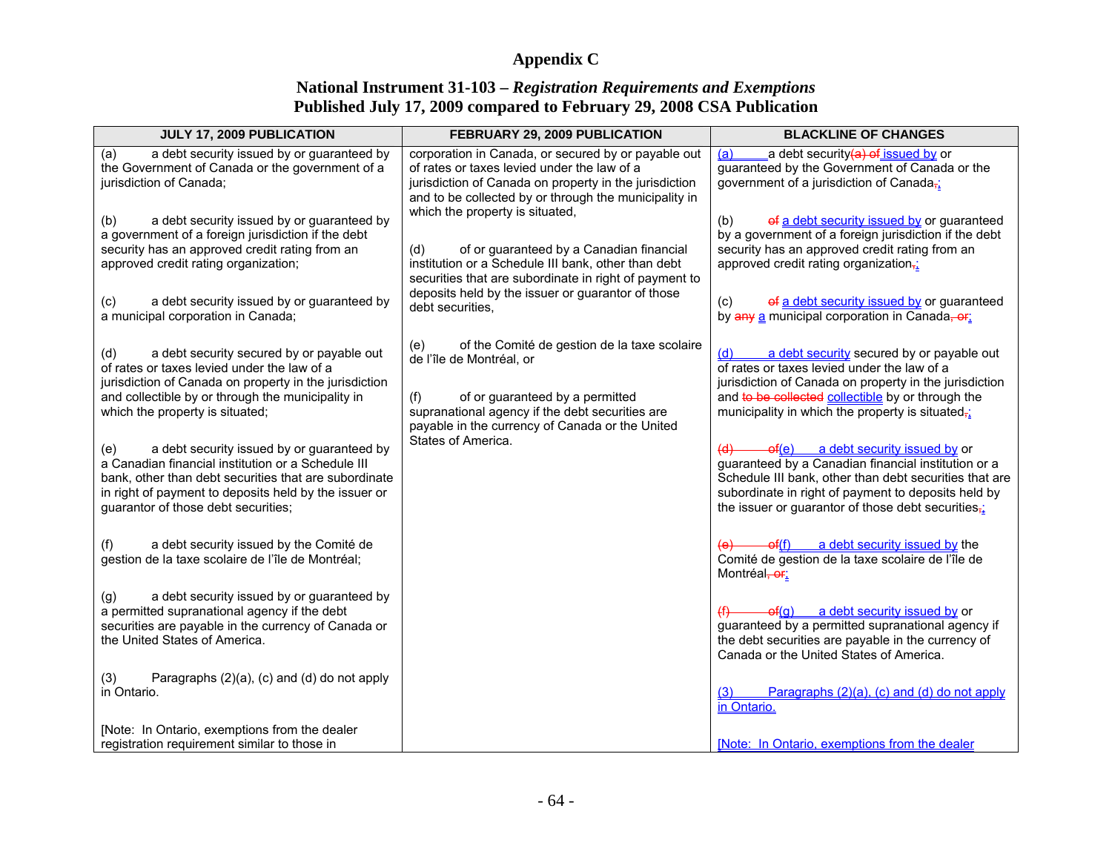| JULY 17, 2009 PUBLICATION                                                                                                                                                                                                                                        | FEBRUARY 29, 2009 PUBLICATION                                                                                                                                                                                         | <b>BLACKLINE OF CHANGES</b>                                                                                                                                                                                                                                                            |
|------------------------------------------------------------------------------------------------------------------------------------------------------------------------------------------------------------------------------------------------------------------|-----------------------------------------------------------------------------------------------------------------------------------------------------------------------------------------------------------------------|----------------------------------------------------------------------------------------------------------------------------------------------------------------------------------------------------------------------------------------------------------------------------------------|
| a debt security issued by or guaranteed by<br>(a)<br>the Government of Canada or the government of a<br>jurisdiction of Canada;                                                                                                                                  | corporation in Canada, or secured by or payable out<br>of rates or taxes levied under the law of a<br>jurisdiction of Canada on property in the jurisdiction<br>and to be collected by or through the municipality in | _a debt security <del>(a) of <u>issued</u> by</del> or<br>(a)<br>guaranteed by the Government of Canada or the<br>government of a jurisdiction of Canada <sub>7</sub> ;                                                                                                                |
| (b)<br>a debt security issued by or guaranteed by<br>a government of a foreign jurisdiction if the debt<br>security has an approved credit rating from an<br>approved credit rating organization;                                                                | which the property is situated,<br>(d)<br>of or guaranteed by a Canadian financial<br>institution or a Schedule III bank, other than debt                                                                             | (b)<br>ef a debt security issued by or guaranteed<br>by a government of a foreign jurisdiction if the debt<br>security has an approved credit rating from an<br>approved credit rating organization <sub>7</sub> ;                                                                     |
| a debt security issued by or guaranteed by<br>(c)<br>a municipal corporation in Canada;                                                                                                                                                                          | securities that are subordinate in right of payment to<br>deposits held by the issuer or guarantor of those<br>debt securities,                                                                                       | of a debt security issued by or guaranteed<br>(c)<br>by any a municipal corporation in Canada, or:                                                                                                                                                                                     |
| a debt security secured by or payable out<br>(d)<br>of rates or taxes levied under the law of a<br>jurisdiction of Canada on property in the jurisdiction<br>and collectible by or through the municipality in<br>which the property is situated;                | of the Comité de gestion de la taxe scolaire<br>(e)<br>de l'île de Montréal, or<br>(f)<br>of or guaranteed by a permitted<br>supranational agency if the debt securities are                                          | a debt security secured by or payable out<br><u>(d)</u><br>of rates or taxes levied under the law of a<br>jurisdiction of Canada on property in the jurisdiction<br>and to be collected collectible by or through the<br>municipality in which the property is situated <sub>7</sub> : |
| a debt security issued by or guaranteed by<br>(e)<br>a Canadian financial institution or a Schedule III<br>bank, other than debt securities that are subordinate<br>in right of payment to deposits held by the issuer or<br>guarantor of those debt securities; | payable in the currency of Canada or the United<br>States of America.                                                                                                                                                 | –of(e)<br>a debt security issued by or<br><del>(d)</del><br>guaranteed by a Canadian financial institution or a<br>Schedule III bank, other than debt securities that are<br>subordinate in right of payment to deposits held by<br>the issuer or guarantor of those debt securities,; |
| a debt security issued by the Comité de<br>(f)<br>gestion de la taxe scolaire de l'île de Montréal;                                                                                                                                                              |                                                                                                                                                                                                                       | - of(f) a debt security issued by the<br>Comité de gestion de la taxe scolaire de l'île de<br>Montréal <del>, or</del> ;                                                                                                                                                               |
| a debt security issued by or guaranteed by<br>(g)<br>a permitted supranational agency if the debt<br>securities are payable in the currency of Canada or<br>the United States of America.                                                                        |                                                                                                                                                                                                                       | - of(g) a debt security issued by or<br>(f)—<br>guaranteed by a permitted supranational agency if<br>the debt securities are payable in the currency of<br>Canada or the United States of America.                                                                                     |
| Paragraphs (2)(a), (c) and (d) do not apply<br>(3)<br>in Ontario.                                                                                                                                                                                                |                                                                                                                                                                                                                       | Paragraphs (2)(a), (c) and (d) do not apply<br>(3)<br>in Ontario.                                                                                                                                                                                                                      |
| [Note: In Ontario, exemptions from the dealer<br>registration requirement similar to those in                                                                                                                                                                    |                                                                                                                                                                                                                       | [Note: In Ontario, exemptions from the dealer                                                                                                                                                                                                                                          |
|                                                                                                                                                                                                                                                                  |                                                                                                                                                                                                                       |                                                                                                                                                                                                                                                                                        |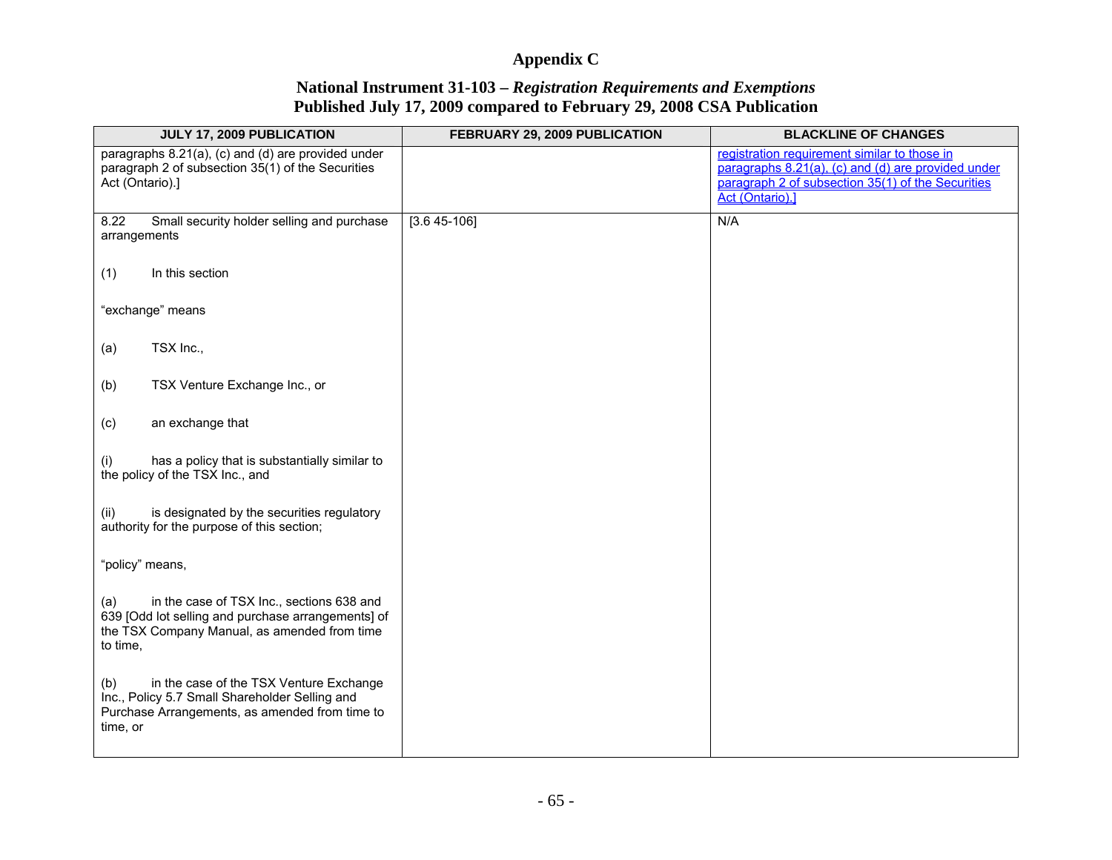| JULY 17, 2009 PUBLICATION                                                                                                                                          | FEBRUARY 29, 2009 PUBLICATION | <b>BLACKLINE OF CHANGES</b>                                                                                                                                                |
|--------------------------------------------------------------------------------------------------------------------------------------------------------------------|-------------------------------|----------------------------------------------------------------------------------------------------------------------------------------------------------------------------|
| paragraphs 8.21(a), (c) and (d) are provided under<br>paragraph 2 of subsection 35(1) of the Securities<br>Act (Ontario).]                                         |                               | registration requirement similar to those in<br>paragraphs 8.21(a), (c) and (d) are provided under<br>paragraph 2 of subsection 35(1) of the Securities<br>Act (Ontario).] |
| 8.22<br>Small security holder selling and purchase<br>arrangements                                                                                                 | $[3.645-106]$                 | N/A                                                                                                                                                                        |
| (1)<br>In this section                                                                                                                                             |                               |                                                                                                                                                                            |
| "exchange" means                                                                                                                                                   |                               |                                                                                                                                                                            |
| TSX Inc.,<br>(a)                                                                                                                                                   |                               |                                                                                                                                                                            |
| (b)<br>TSX Venture Exchange Inc., or                                                                                                                               |                               |                                                                                                                                                                            |
| an exchange that<br>(c)                                                                                                                                            |                               |                                                                                                                                                                            |
| has a policy that is substantially similar to<br>(i)<br>the policy of the TSX Inc., and                                                                            |                               |                                                                                                                                                                            |
| is designated by the securities regulatory<br>(ii)<br>authority for the purpose of this section;                                                                   |                               |                                                                                                                                                                            |
| "policy" means,                                                                                                                                                    |                               |                                                                                                                                                                            |
| in the case of TSX Inc., sections 638 and<br>(a)<br>639 [Odd lot selling and purchase arrangements] of<br>the TSX Company Manual, as amended from time<br>to time, |                               |                                                                                                                                                                            |
| in the case of the TSX Venture Exchange<br>(b)<br>Inc., Policy 5.7 Small Shareholder Selling and<br>Purchase Arrangements, as amended from time to<br>time, or     |                               |                                                                                                                                                                            |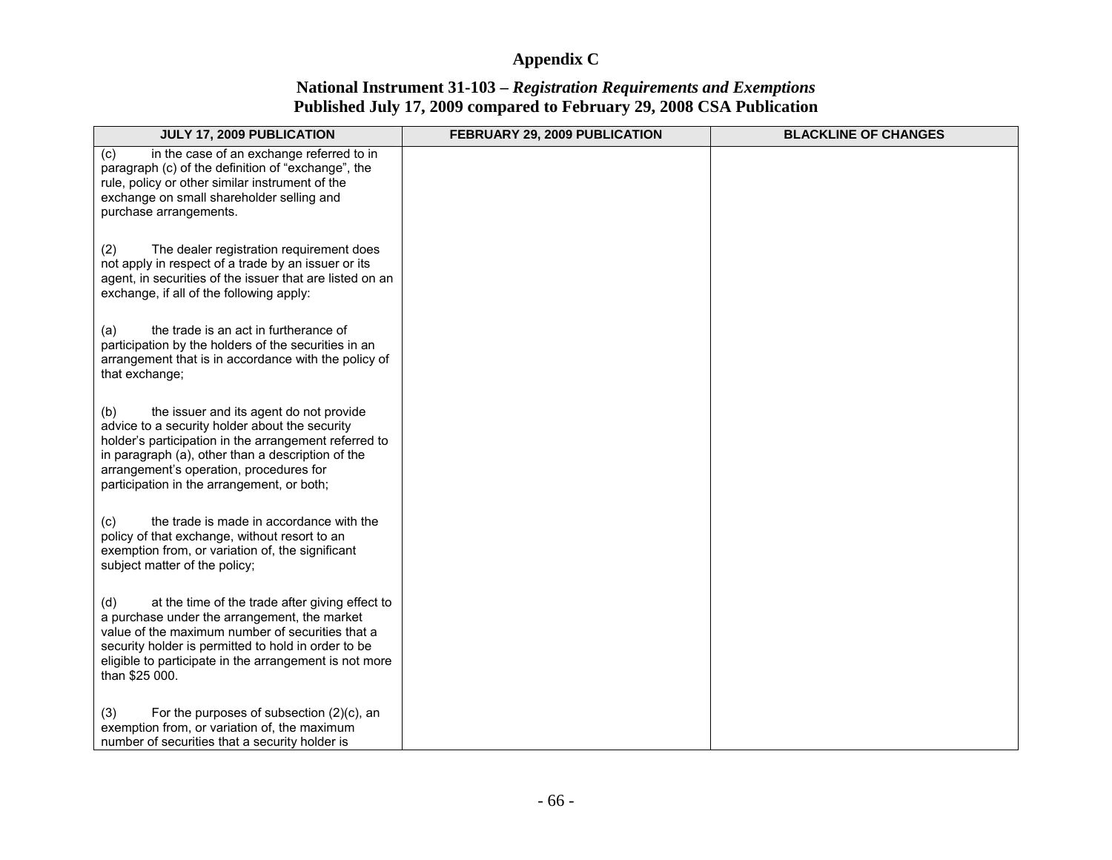| <b>JULY 17, 2009 PUBLICATION</b>                                                                                                                                                                                                                                                                        | <b>FEBRUARY 29, 2009 PUBLICATION</b> | <b>BLACKLINE OF CHANGES</b> |
|---------------------------------------------------------------------------------------------------------------------------------------------------------------------------------------------------------------------------------------------------------------------------------------------------------|--------------------------------------|-----------------------------|
| in the case of an exchange referred to in<br>(c)<br>paragraph (c) of the definition of "exchange", the<br>rule, policy or other similar instrument of the<br>exchange on small shareholder selling and<br>purchase arrangements.                                                                        |                                      |                             |
| (2)<br>The dealer registration requirement does<br>not apply in respect of a trade by an issuer or its<br>agent, in securities of the issuer that are listed on an<br>exchange, if all of the following apply:                                                                                          |                                      |                             |
| the trade is an act in furtherance of<br>(a)<br>participation by the holders of the securities in an<br>arrangement that is in accordance with the policy of<br>that exchange;                                                                                                                          |                                      |                             |
| the issuer and its agent do not provide<br>(b)<br>advice to a security holder about the security<br>holder's participation in the arrangement referred to<br>in paragraph (a), other than a description of the<br>arrangement's operation, procedures for<br>participation in the arrangement, or both; |                                      |                             |
| the trade is made in accordance with the<br>(c)<br>policy of that exchange, without resort to an<br>exemption from, or variation of, the significant<br>subject matter of the policy;                                                                                                                   |                                      |                             |
| at the time of the trade after giving effect to<br>(d)<br>a purchase under the arrangement, the market<br>value of the maximum number of securities that a<br>security holder is permitted to hold in order to be<br>eligible to participate in the arrangement is not more<br>than \$25 000.           |                                      |                             |
| For the purposes of subsection $(2)(c)$ , an<br>(3)<br>exemption from, or variation of, the maximum<br>number of securities that a security holder is                                                                                                                                                   |                                      |                             |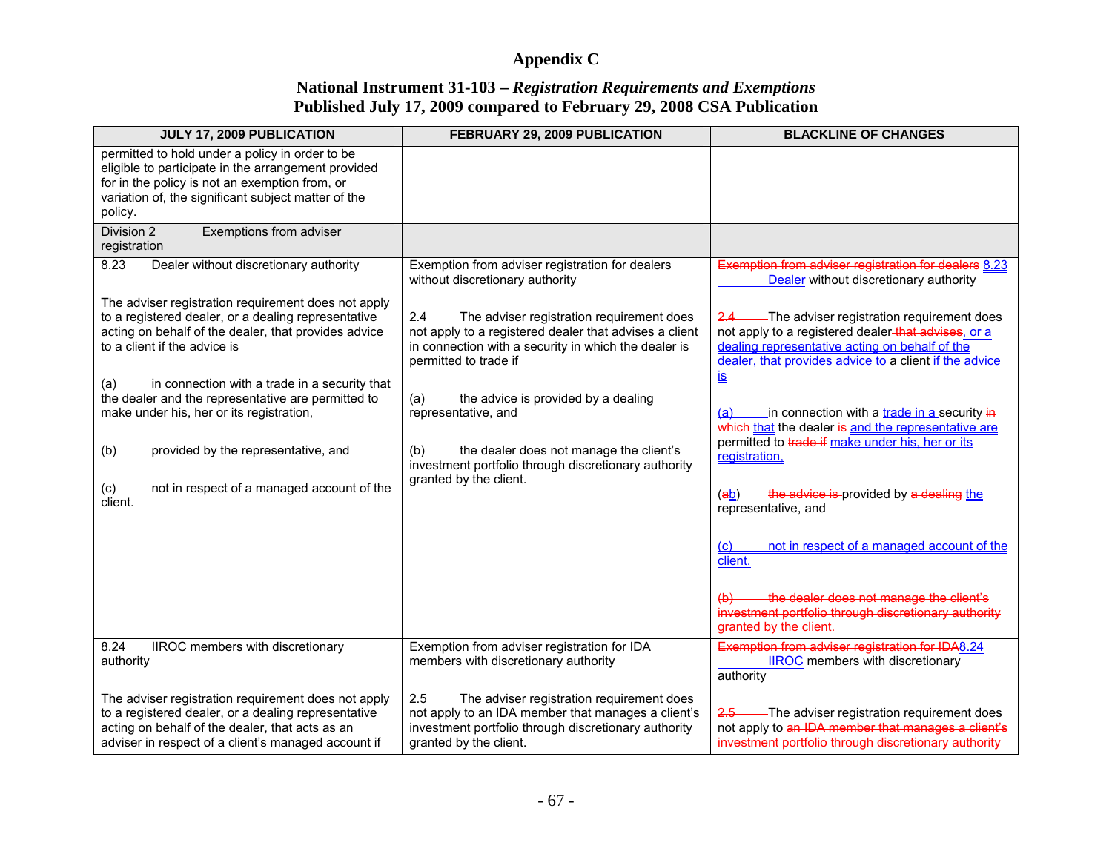| JULY 17, 2009 PUBLICATION                                                                                                                                                                                                  | <b>FEBRUARY 29, 2009 PUBLICATION</b>                                                                                                                                                        | <b>BLACKLINE OF CHANGES</b>                                                                                                                                                                                                        |
|----------------------------------------------------------------------------------------------------------------------------------------------------------------------------------------------------------------------------|---------------------------------------------------------------------------------------------------------------------------------------------------------------------------------------------|------------------------------------------------------------------------------------------------------------------------------------------------------------------------------------------------------------------------------------|
| permitted to hold under a policy in order to be<br>eligible to participate in the arrangement provided<br>for in the policy is not an exemption from, or<br>variation of, the significant subject matter of the<br>policy. |                                                                                                                                                                                             |                                                                                                                                                                                                                                    |
| Division 2<br>Exemptions from adviser<br>registration                                                                                                                                                                      |                                                                                                                                                                                             |                                                                                                                                                                                                                                    |
| Dealer without discretionary authority<br>8.23                                                                                                                                                                             | Exemption from adviser registration for dealers<br>without discretionary authority                                                                                                          | <b>Exemption from adviser registration for dealers 8.23</b><br>Dealer without discretionary authority                                                                                                                              |
| The adviser registration requirement does not apply<br>to a registered dealer, or a dealing representative<br>acting on behalf of the dealer, that provides advice<br>to a client if the advice is                         | 2.4<br>The adviser registration requirement does<br>not apply to a registered dealer that advises a client<br>in connection with a security in which the dealer is<br>permitted to trade if | -The adviser registration requirement does<br>2.4–<br>not apply to a registered dealer-that advises, or a<br>dealing representative acting on behalf of the<br>dealer, that provides advice to a client if the advice<br><u>is</u> |
| in connection with a trade in a security that<br>(a)<br>the dealer and the representative are permitted to<br>make under his, her or its registration,                                                                     | (a)<br>the advice is provided by a dealing<br>representative, and                                                                                                                           | in connection with a trade in a security in<br>(a)<br>which that the dealer is and the representative are<br>permitted to trade if make under his, her or its                                                                      |
| (b)<br>provided by the representative, and                                                                                                                                                                                 | the dealer does not manage the client's<br>(b)<br>investment portfolio through discretionary authority                                                                                      | registration.                                                                                                                                                                                                                      |
| not in respect of a managed account of the<br>(c)<br>client.                                                                                                                                                               | granted by the client.                                                                                                                                                                      | the advice is provided by a dealing the<br>(ab)<br>representative, and                                                                                                                                                             |
|                                                                                                                                                                                                                            |                                                                                                                                                                                             | not in respect of a managed account of the<br>(c)<br>client.                                                                                                                                                                       |
|                                                                                                                                                                                                                            |                                                                                                                                                                                             | the dealer does not manage the client's<br>(b)<br>investment portfolio through discretionary authority<br>granted by the client.                                                                                                   |
| 8.24<br>IIROC members with discretionary<br>authority                                                                                                                                                                      | Exemption from adviser registration for IDA<br>members with discretionary authority                                                                                                         | <b>Exemption from adviser registration for IDA8.24</b><br><b>IROC</b> members with discretionary<br>authority                                                                                                                      |
| The adviser registration requirement does not apply<br>to a registered dealer, or a dealing representative<br>acting on behalf of the dealer, that acts as an<br>adviser in respect of a client's managed account if       | 2.5<br>The adviser registration requirement does<br>not apply to an IDA member that manages a client's<br>investment portfolio through discretionary authority<br>granted by the client.    | -The adviser registration requirement does<br>2.5<br>not apply to an IDA member that manages a client's<br>investment portfolio through discretionary authority                                                                    |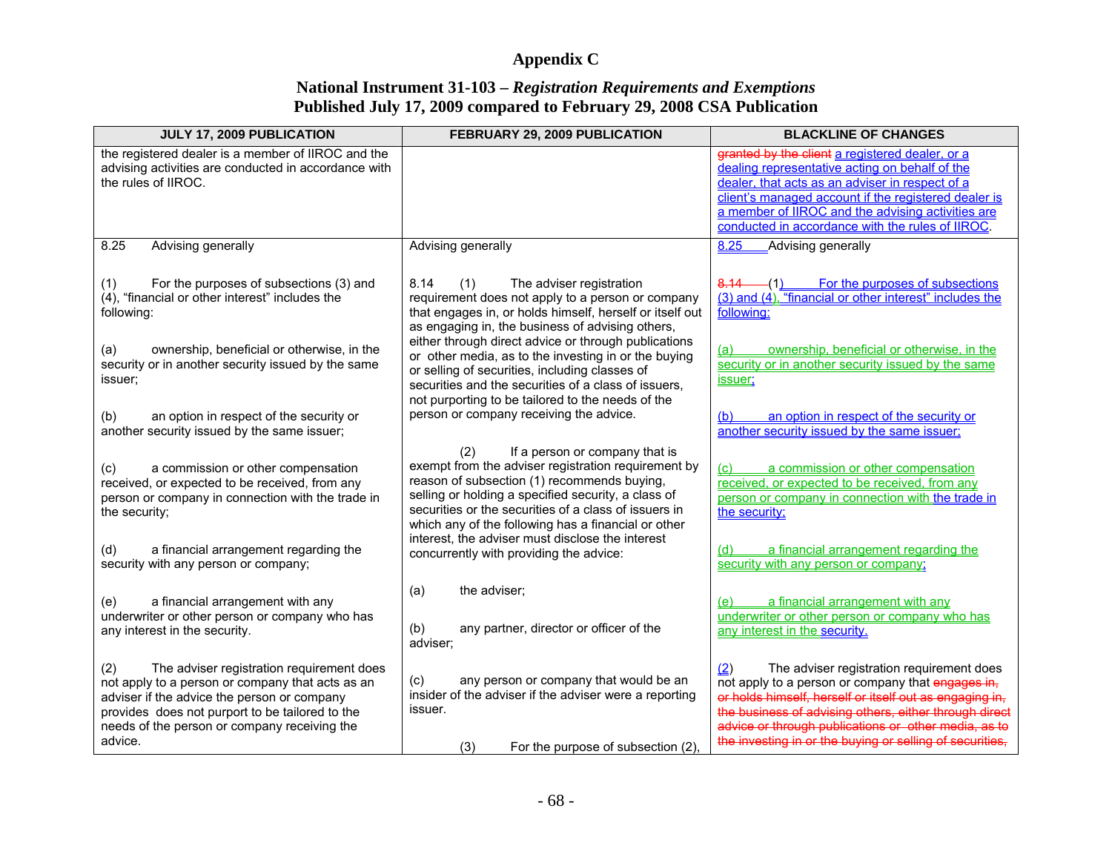| JULY 17, 2009 PUBLICATION                                                                                                                                                                                                                                         | <b>FEBRUARY 29, 2009 PUBLICATION</b>                                                                                                                                                                                                                                                                               | <b>BLACKLINE OF CHANGES</b>                                                                                                                                                                                                                                                                                                                    |
|-------------------------------------------------------------------------------------------------------------------------------------------------------------------------------------------------------------------------------------------------------------------|--------------------------------------------------------------------------------------------------------------------------------------------------------------------------------------------------------------------------------------------------------------------------------------------------------------------|------------------------------------------------------------------------------------------------------------------------------------------------------------------------------------------------------------------------------------------------------------------------------------------------------------------------------------------------|
| the registered dealer is a member of IIROC and the<br>advising activities are conducted in accordance with<br>the rules of IIROC.                                                                                                                                 |                                                                                                                                                                                                                                                                                                                    | granted by the client a registered dealer, or a<br>dealing representative acting on behalf of the<br>dealer, that acts as an adviser in respect of a<br>client's managed account if the registered dealer is<br>a member of IIROC and the advising activities are<br>conducted in accordance with the rules of IIROC.                          |
| 8.25<br>Advising generally                                                                                                                                                                                                                                        | Advising generally                                                                                                                                                                                                                                                                                                 | 8.25<br><b>Advising generally</b>                                                                                                                                                                                                                                                                                                              |
| (1)<br>For the purposes of subsections (3) and<br>(4), "financial or other interest" includes the<br>following:                                                                                                                                                   | 8.14<br>(1)<br>The adviser registration<br>requirement does not apply to a person or company<br>that engages in, or holds himself, herself or itself out<br>as engaging in, the business of advising others,                                                                                                       | $8.14$ (1)<br><b>Example 5 For the purposes of subsections</b><br>(3) and (4), "financial or other interest" includes the<br>following:                                                                                                                                                                                                        |
| ownership, beneficial or otherwise, in the<br>(a)<br>security or in another security issued by the same<br>issuer;                                                                                                                                                | either through direct advice or through publications<br>or other media, as to the investing in or the buying<br>or selling of securities, including classes of<br>securities and the securities of a class of issuers,<br>not purporting to be tailored to the needs of the                                        | ownership, beneficial or otherwise, in the<br>(a)<br>security or in another security issued by the same<br><u>issuer:</u>                                                                                                                                                                                                                      |
| an option in respect of the security or<br>(b)<br>another security issued by the same issuer;                                                                                                                                                                     | person or company receiving the advice.                                                                                                                                                                                                                                                                            | an option in respect of the security or<br>(b)<br>another security issued by the same issuer;                                                                                                                                                                                                                                                  |
| a commission or other compensation<br>(c)<br>received, or expected to be received, from any<br>person or company in connection with the trade in<br>the security;                                                                                                 | If a person or company that is<br>(2)<br>exempt from the adviser registration requirement by<br>reason of subsection (1) recommends buying,<br>selling or holding a specified security, a class of<br>securities or the securities of a class of issuers in<br>which any of the following has a financial or other | a commission or other compensation<br>$\left( c\right)$<br>received, or expected to be received, from any<br>person or company in connection with the trade in<br>the security;                                                                                                                                                                |
| a financial arrangement regarding the<br>(d)<br>security with any person or company;                                                                                                                                                                              | interest, the adviser must disclose the interest<br>concurrently with providing the advice:                                                                                                                                                                                                                        | a financial arrangement regarding the<br><u>(d)</u><br>security with any person or company;                                                                                                                                                                                                                                                    |
| a financial arrangement with any<br>(e)<br>underwriter or other person or company who has<br>any interest in the security.                                                                                                                                        | the adviser;<br>(a)<br>any partner, director or officer of the<br>(b)<br>adviser:                                                                                                                                                                                                                                  | a financial arrangement with any<br><u>(e)</u><br>underwriter or other person or company who has<br>any interest in the security.                                                                                                                                                                                                              |
| The adviser registration requirement does<br>(2)<br>not apply to a person or company that acts as an<br>adviser if the advice the person or company<br>provides does not purport to be tailored to the<br>needs of the person or company receiving the<br>advice. | any person or company that would be an<br>(c)<br>insider of the adviser if the adviser were a reporting<br>issuer.<br>(3)<br>For the purpose of subsection (2),                                                                                                                                                    | The adviser registration requirement does<br>(2)<br>not apply to a person or company that engages in,<br>or holds himself, herself or itself out as engaging in,<br>the business of advising others, either through direct<br>advice or through publications or other media, as to<br>the investing in or the buying or selling of securities, |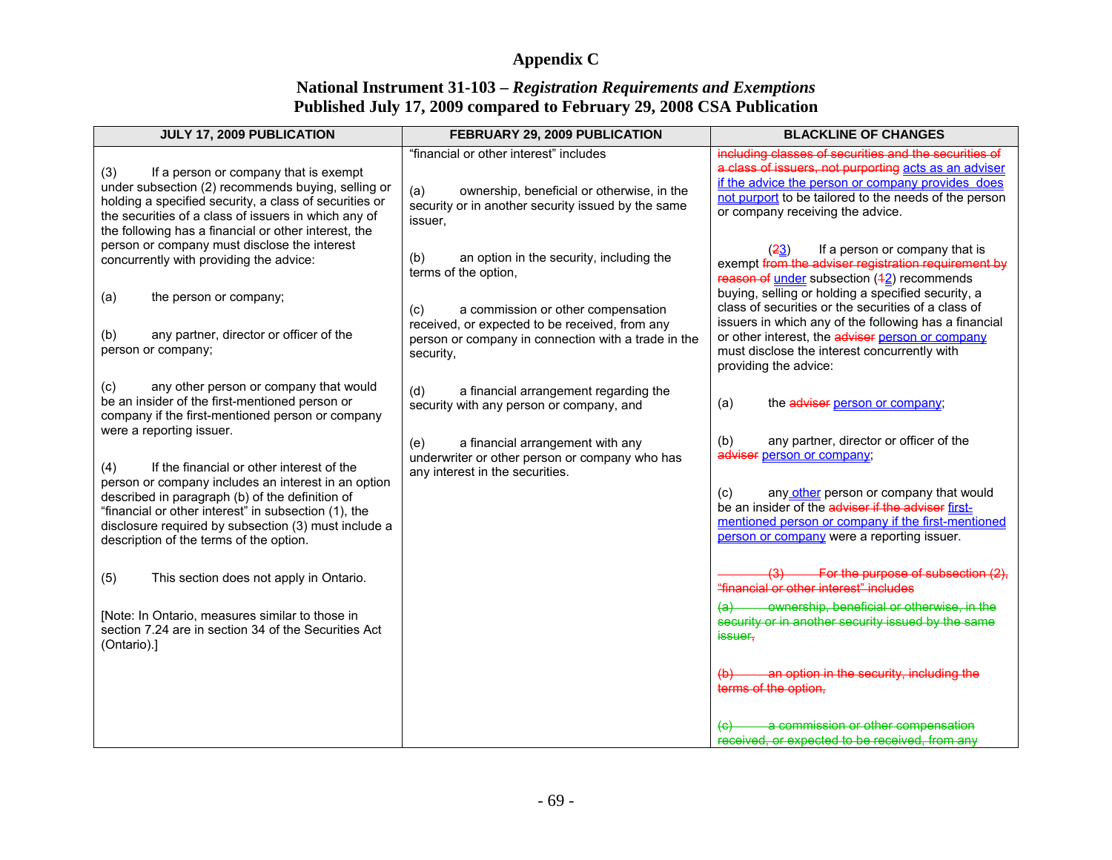| JULY 17, 2009 PUBLICATION                                                                                                                                                                                                                                                                                             | <b>FEBRUARY 29, 2009 PUBLICATION</b>                                                                                                                         | <b>BLACKLINE OF CHANGES</b>                                                                                                                                                                                                                                                             |
|-----------------------------------------------------------------------------------------------------------------------------------------------------------------------------------------------------------------------------------------------------------------------------------------------------------------------|--------------------------------------------------------------------------------------------------------------------------------------------------------------|-----------------------------------------------------------------------------------------------------------------------------------------------------------------------------------------------------------------------------------------------------------------------------------------|
| (3)<br>If a person or company that is exempt<br>under subsection (2) recommends buying, selling or<br>holding a specified security, a class of securities or<br>the securities of a class of issuers in which any of<br>the following has a financial or other interest, the                                          | "financial or other interest" includes<br>ownership, beneficial or otherwise, in the<br>(a)<br>security or in another security issued by the same<br>issuer, | including classes of securities and the securities of<br>a class of issuers, not purporting acts as an adviser<br>if the advice the person or company provides does<br>not purport to be tailored to the needs of the person<br>or company receiving the advice.                        |
| person or company must disclose the interest<br>concurrently with providing the advice:                                                                                                                                                                                                                               | an option in the security, including the<br>(b)<br>terms of the option,                                                                                      | (23)<br>If a person or company that is<br>exempt from the adviser registration requirement by<br>reason of under subsection $(42)$ recommends                                                                                                                                           |
| (a)<br>the person or company;                                                                                                                                                                                                                                                                                         | a commission or other compensation<br>(c)<br>received, or expected to be received, from any                                                                  | buying, selling or holding a specified security, a<br>class of securities or the securities of a class of<br>issuers in which any of the following has a financial                                                                                                                      |
| any partner, director or officer of the<br>(b)<br>person or company;                                                                                                                                                                                                                                                  | person or company in connection with a trade in the<br>security,                                                                                             | or other interest, the adviser person or company<br>must disclose the interest concurrently with<br>providing the advice:                                                                                                                                                               |
| any other person or company that would<br>(c)<br>be an insider of the first-mentioned person or<br>company if the first-mentioned person or company<br>were a reporting issuer.                                                                                                                                       | a financial arrangement regarding the<br>(d)<br>security with any person or company, and                                                                     | the adviser person or company;<br>(a)                                                                                                                                                                                                                                                   |
| If the financial or other interest of the<br>(4)<br>person or company includes an interest in an option<br>described in paragraph (b) of the definition of<br>"financial or other interest" in subsection (1), the<br>disclosure required by subsection (3) must include a<br>description of the terms of the option. | a financial arrangement with any<br>(e)<br>underwriter or other person or company who has<br>any interest in the securities.                                 | any partner, director or officer of the<br>(b)<br>adviser person or company;<br>any other person or company that would<br>(c)<br>be an insider of the adviser if the adviser first-<br>mentioned person or company if the first-mentioned<br>person or company were a reporting issuer. |
| (5)<br>This section does not apply in Ontario.                                                                                                                                                                                                                                                                        |                                                                                                                                                              | For the purpose of subsection (2).<br>"financial or other interest" includes                                                                                                                                                                                                            |
| [Note: In Ontario, measures similar to those in<br>section 7.24 are in section 34 of the Securities Act<br>(Ontario).]                                                                                                                                                                                                |                                                                                                                                                              | ownership, beneficial or otherwise, in the<br>$\left( a\right)$<br>security or in another security issued by the same<br>issuer.                                                                                                                                                        |
|                                                                                                                                                                                                                                                                                                                       |                                                                                                                                                              | an option in the security, including the<br>terms of the option.                                                                                                                                                                                                                        |
|                                                                                                                                                                                                                                                                                                                       |                                                                                                                                                              | a commission or other compensation<br><del>(c)</del><br>received, or expected to be received, from any                                                                                                                                                                                  |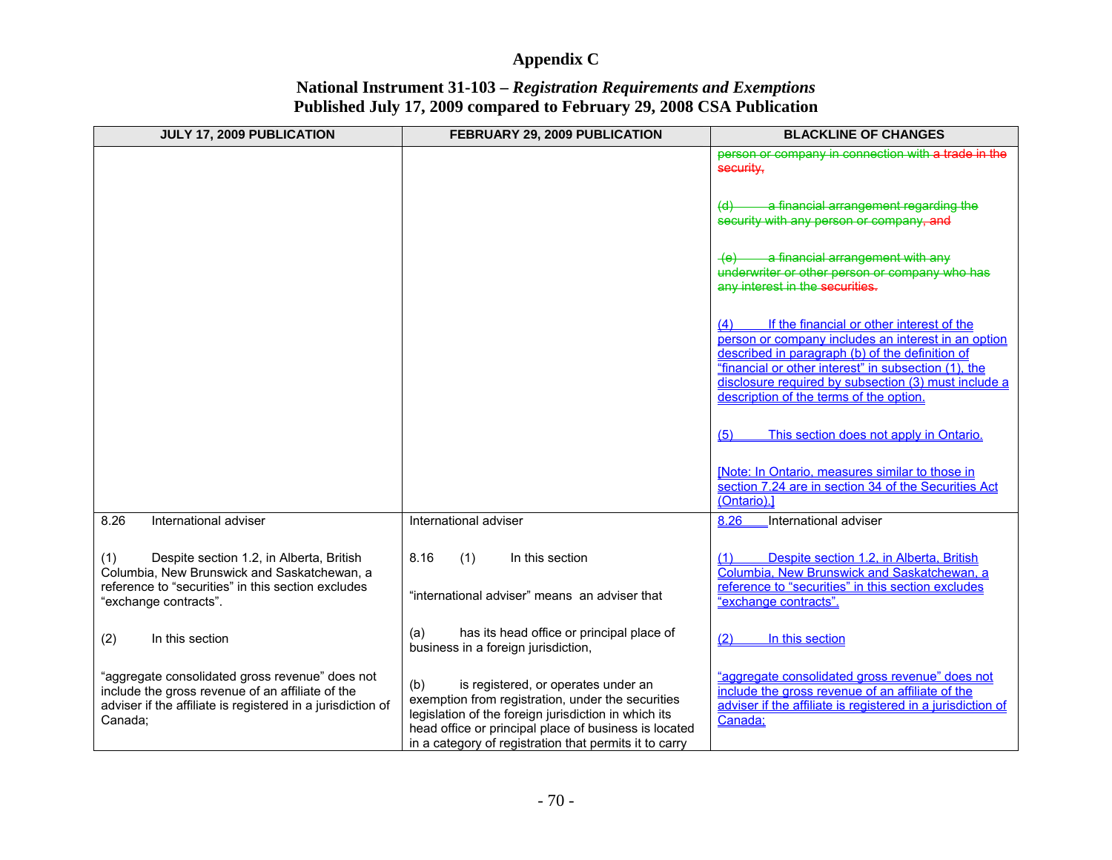| JULY 17, 2009 PUBLICATION                                                                                                                                                     | <b>FEBRUARY 29, 2009 PUBLICATION</b>                                                                                                                                                                                                                                       | <b>BLACKLINE OF CHANGES</b>                                                                                                                                                                                                                                                                                           |
|-------------------------------------------------------------------------------------------------------------------------------------------------------------------------------|----------------------------------------------------------------------------------------------------------------------------------------------------------------------------------------------------------------------------------------------------------------------------|-----------------------------------------------------------------------------------------------------------------------------------------------------------------------------------------------------------------------------------------------------------------------------------------------------------------------|
|                                                                                                                                                                               |                                                                                                                                                                                                                                                                            | person or company in connection with a trade in the<br>security,                                                                                                                                                                                                                                                      |
|                                                                                                                                                                               |                                                                                                                                                                                                                                                                            | a financial arrangement regarding the<br>$\overline{44}$<br>security with any person or company, and                                                                                                                                                                                                                  |
|                                                                                                                                                                               |                                                                                                                                                                                                                                                                            | a financial arrangement with any<br>underwriter or other person or company who has<br>any interest in the securities.                                                                                                                                                                                                 |
|                                                                                                                                                                               |                                                                                                                                                                                                                                                                            | If the financial or other interest of the<br>(4)<br>person or company includes an interest in an option<br>described in paragraph (b) of the definition of<br>"financial or other interest" in subsection (1), the<br>disclosure required by subsection (3) must include a<br>description of the terms of the option. |
|                                                                                                                                                                               |                                                                                                                                                                                                                                                                            | This section does not apply in Ontario.<br>(5)                                                                                                                                                                                                                                                                        |
|                                                                                                                                                                               |                                                                                                                                                                                                                                                                            | [Note: In Ontario, measures similar to those in<br>section 7.24 are in section 34 of the Securities Act<br>(Ontario).]                                                                                                                                                                                                |
| 8.26<br>International adviser                                                                                                                                                 | International adviser                                                                                                                                                                                                                                                      | 8.26<br>International adviser                                                                                                                                                                                                                                                                                         |
| Despite section 1.2, in Alberta, British<br>(1)<br>Columbia, New Brunswick and Saskatchewan, a<br>reference to "securities" in this section excludes<br>"exchange contracts". | 8.16<br>(1)<br>In this section<br>"international adviser" means an adviser that                                                                                                                                                                                            | Despite section 1.2, in Alberta, British<br>(1)<br>Columbia, New Brunswick and Saskatchewan, a<br>reference to "securities" in this section excludes<br>"exchange contracts"                                                                                                                                          |
| (2)<br>In this section                                                                                                                                                        | has its head office or principal place of<br>(a)<br>business in a foreign jurisdiction,                                                                                                                                                                                    | In this section<br>(2)                                                                                                                                                                                                                                                                                                |
| "aggregate consolidated gross revenue" does not<br>include the gross revenue of an affiliate of the<br>adviser if the affiliate is registered in a jurisdiction of<br>Canada; | (b)<br>is registered, or operates under an<br>exemption from registration, under the securities<br>legislation of the foreign jurisdiction in which its<br>head office or principal place of business is located<br>in a category of registration that permits it to carry | "aggregate consolidated gross revenue" does not<br>include the gross revenue of an affiliate of the<br>adviser if the affiliate is registered in a jurisdiction of<br>Canada;                                                                                                                                         |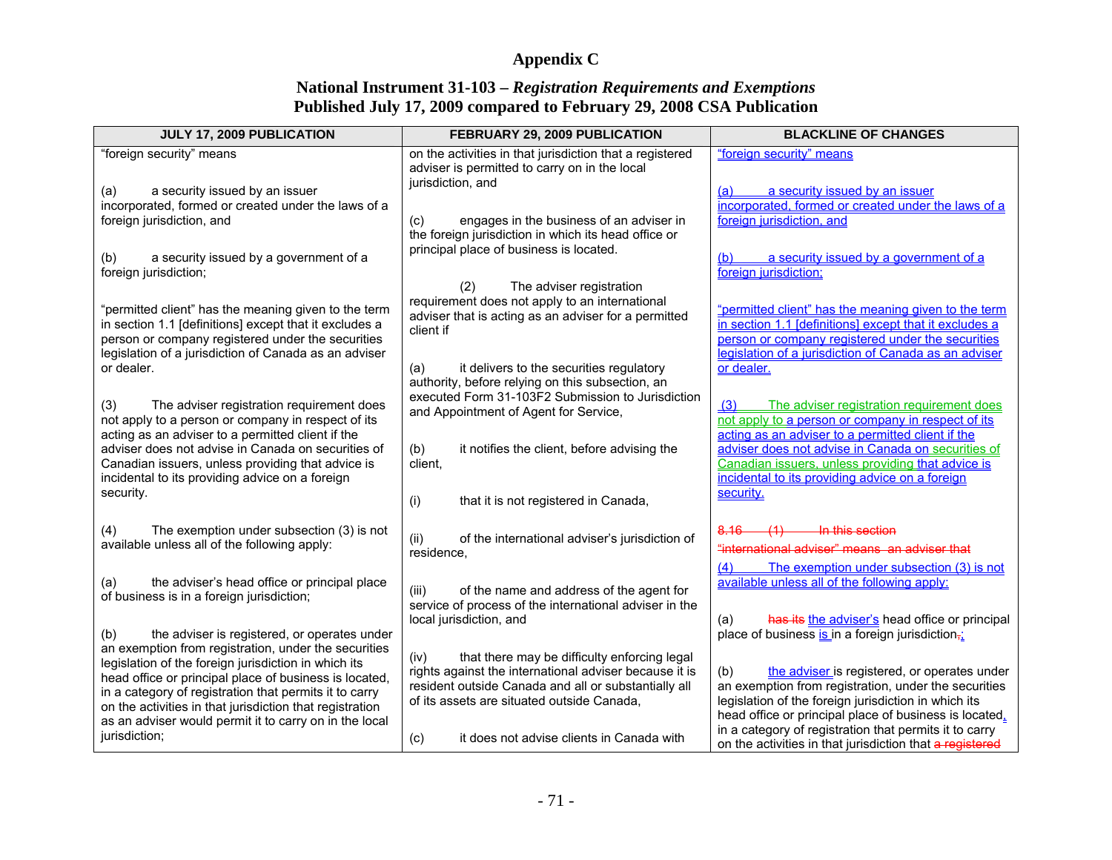| JULY 17, 2009 PUBLICATION                                                                                                                                                                                                                                                                      | <b>FEBRUARY 29, 2009 PUBLICATION</b>                                                                                                                         | <b>BLACKLINE OF CHANGES</b>                                                                                                                                                                                                                                                             |
|------------------------------------------------------------------------------------------------------------------------------------------------------------------------------------------------------------------------------------------------------------------------------------------------|--------------------------------------------------------------------------------------------------------------------------------------------------------------|-----------------------------------------------------------------------------------------------------------------------------------------------------------------------------------------------------------------------------------------------------------------------------------------|
| "foreign security" means                                                                                                                                                                                                                                                                       | on the activities in that jurisdiction that a registered<br>adviser is permitted to carry on in the local                                                    | "foreign security" means                                                                                                                                                                                                                                                                |
| a security issued by an issuer<br>(a)<br>incorporated, formed or created under the laws of a<br>foreign jurisdiction, and                                                                                                                                                                      | jurisdiction, and<br>engages in the business of an adviser in<br>(c)<br>the foreign jurisdiction in which its head office or                                 | a security issued by an issuer<br>(a)<br>incorporated, formed or created under the laws of a<br>foreign jurisdiction, and                                                                                                                                                               |
| a security issued by a government of a<br>(b)<br>foreign jurisdiction;                                                                                                                                                                                                                         | principal place of business is located.                                                                                                                      | a security issued by a government of a<br>(b)<br>foreign jurisdiction;                                                                                                                                                                                                                  |
| "permitted client" has the meaning given to the term<br>in section 1.1 [definitions] except that it excludes a<br>person or company registered under the securities<br>legislation of a jurisdiction of Canada as an adviser                                                                   | The adviser registration<br>(2)<br>requirement does not apply to an international<br>adviser that is acting as an adviser for a permitted<br>client if       | "permitted client" has the meaning given to the term<br>in section 1.1 [definitions] except that it excludes a<br>person or company registered under the securities<br>legislation of a jurisdiction of Canada as an adviser                                                            |
| or dealer.<br>The adviser registration requirement does<br>(3)                                                                                                                                                                                                                                 | it delivers to the securities regulatory<br>(a)<br>authority, before relying on this subsection, an<br>executed Form 31-103F2 Submission to Jurisdiction     | or dealer.<br>The adviser registration requirement does<br>(3)                                                                                                                                                                                                                          |
| not apply to a person or company in respect of its<br>acting as an adviser to a permitted client if the<br>adviser does not advise in Canada on securities of<br>Canadian issuers, unless providing that advice is                                                                             | and Appointment of Agent for Service,<br>it notifies the client, before advising the<br>(b)<br>client,                                                       | not apply to a person or company in respect of its<br>acting as an adviser to a permitted client if the<br>adviser does not advise in Canada on securities of<br>Canadian issuers, unless providing that advice is                                                                      |
| incidental to its providing advice on a foreign<br>security.                                                                                                                                                                                                                                   | (i)<br>that it is not registered in Canada,                                                                                                                  | incidental to its providing advice on a foreign<br>security.                                                                                                                                                                                                                            |
| The exemption under subsection (3) is not<br>(4)<br>available unless all of the following apply:                                                                                                                                                                                               | of the international adviser's jurisdiction of<br>(ii)<br>residence,                                                                                         | $8.16 -$<br>In this section<br>$+4+$<br>"international adviser" means an adviser that                                                                                                                                                                                                   |
| the adviser's head office or principal place<br>(a)<br>of business is in a foreign jurisdiction;                                                                                                                                                                                               | of the name and address of the agent for<br>(iii)<br>service of process of the international adviser in the<br>local jurisdiction, and                       | (4)<br>The exemption under subsection (3) is not<br>available unless all of the following apply:<br>has its the adviser's head office or principal<br>(a)                                                                                                                               |
| (b)<br>the adviser is registered, or operates under<br>an exemption from registration, under the securities                                                                                                                                                                                    | that there may be difficulty enforcing legal<br>(iv)                                                                                                         | place of business is in a foreign jurisdiction $\frac{1}{2}$                                                                                                                                                                                                                            |
| legislation of the foreign jurisdiction in which its<br>head office or principal place of business is located,<br>in a category of registration that permits it to carry<br>on the activities in that jurisdiction that registration<br>as an adviser would permit it to carry on in the local | rights against the international adviser because it is<br>resident outside Canada and all or substantially all<br>of its assets are situated outside Canada, | (b)<br>the adviser is registered, or operates under<br>an exemption from registration, under the securities<br>legislation of the foreign jurisdiction in which its<br>head office or principal place of business is located.<br>in a category of registration that permits it to carry |
| jurisdiction;                                                                                                                                                                                                                                                                                  | (c)<br>it does not advise clients in Canada with                                                                                                             | on the activities in that jurisdiction that a registered                                                                                                                                                                                                                                |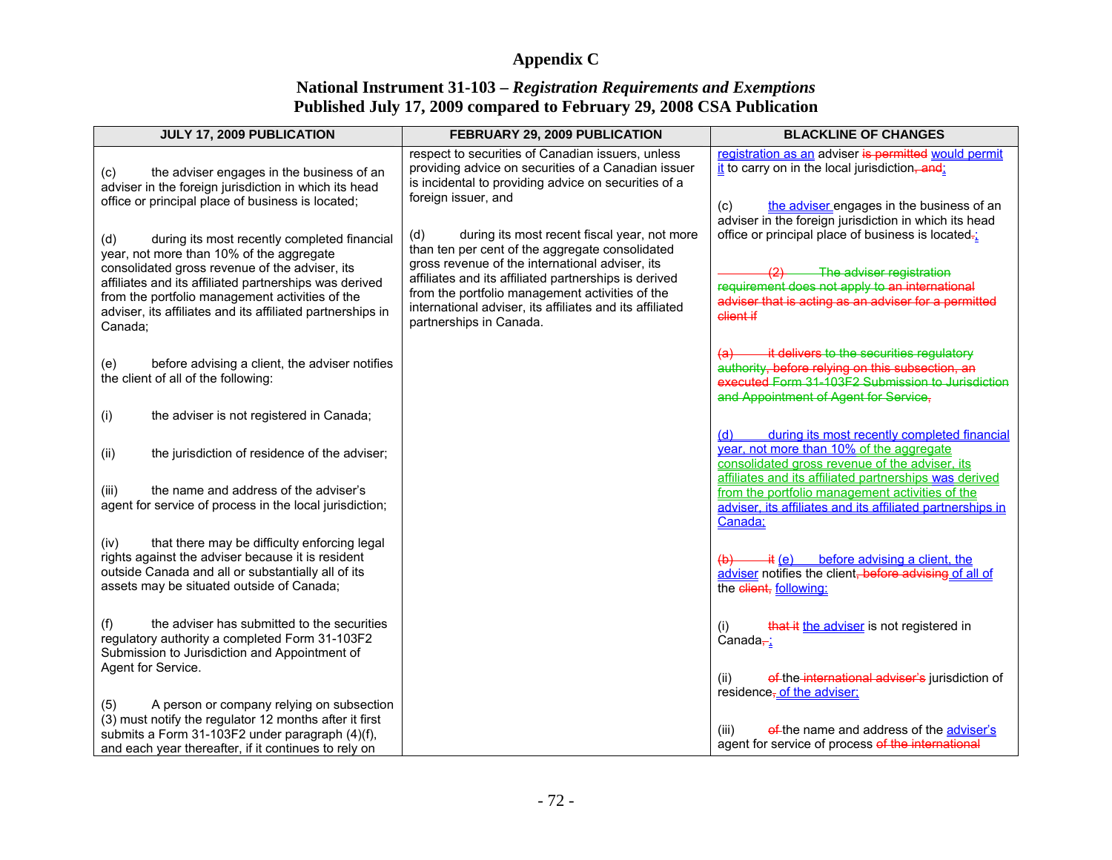| JULY 17, 2009 PUBLICATION                                                                                                                                                                                                                                                                                                               | FEBRUARY 29, 2009 PUBLICATION                                                                                                                                                                                                                                                                                                                                | <b>BLACKLINE OF CHANGES</b>                                                                                                                                                                                                                                                                                                             |
|-----------------------------------------------------------------------------------------------------------------------------------------------------------------------------------------------------------------------------------------------------------------------------------------------------------------------------------------|--------------------------------------------------------------------------------------------------------------------------------------------------------------------------------------------------------------------------------------------------------------------------------------------------------------------------------------------------------------|-----------------------------------------------------------------------------------------------------------------------------------------------------------------------------------------------------------------------------------------------------------------------------------------------------------------------------------------|
| the adviser engages in the business of an<br>(c)<br>adviser in the foreign jurisdiction in which its head<br>office or principal place of business is located;                                                                                                                                                                          | respect to securities of Canadian issuers, unless<br>providing advice on securities of a Canadian issuer<br>is incidental to providing advice on securities of a<br>foreign issuer, and                                                                                                                                                                      | registration as an adviser is permitted would permit<br>$\frac{it}{dt}$ to carry on in the local jurisdiction, and:<br>(c)<br>the adviser engages in the business of an<br>adviser in the foreign jurisdiction in which its head                                                                                                        |
| during its most recently completed financial<br>(d)<br>year, not more than 10% of the aggregate<br>consolidated gross revenue of the adviser, its<br>affiliates and its affiliated partnerships was derived<br>from the portfolio management activities of the<br>adviser, its affiliates and its affiliated partnerships in<br>Canada: | (d)<br>during its most recent fiscal year, not more<br>than ten per cent of the aggregate consolidated<br>gross revenue of the international adviser, its<br>affiliates and its affiliated partnerships is derived<br>from the portfolio management activities of the<br>international adviser, its affiliates and its affiliated<br>partnerships in Canada. | office or principal place of business is located-;<br>The adviser registration<br>requirement does not apply to an international<br>adviser that is acting as an adviser for a permitted<br>client if                                                                                                                                   |
| before advising a client, the adviser notifies<br>(e)<br>the client of all of the following:                                                                                                                                                                                                                                            |                                                                                                                                                                                                                                                                                                                                                              | it delivers to the securities regulatory<br>authority, before relying on this subsection, an<br>executed Form 31-103F2 Submission to Jurisdiction<br>and Appointment of Agent for Service,                                                                                                                                              |
| (i)<br>the adviser is not registered in Canada;                                                                                                                                                                                                                                                                                         |                                                                                                                                                                                                                                                                                                                                                              |                                                                                                                                                                                                                                                                                                                                         |
| the jurisdiction of residence of the adviser;<br>(ii)<br>the name and address of the adviser's<br>(iii)<br>agent for service of process in the local jurisdiction;                                                                                                                                                                      |                                                                                                                                                                                                                                                                                                                                                              | during its most recently completed financial<br>(d)<br>year, not more than 10% of the aggregate<br>consolidated gross revenue of the adviser, its<br>affiliates and its affiliated partnerships was derived<br>from the portfolio management activities of the<br>adviser, its affiliates and its affiliated partnerships in<br>Canada: |
| that there may be difficulty enforcing legal<br>(iv)<br>rights against the adviser because it is resident<br>outside Canada and all or substantially all of its<br>assets may be situated outside of Canada;                                                                                                                            |                                                                                                                                                                                                                                                                                                                                                              | before advising a client, the<br>—it (e).<br>$\leftrightarrow$<br>adviser notifies the client, before advising of all of<br>the client, following:                                                                                                                                                                                      |
| the adviser has submitted to the securities<br>(f)<br>regulatory authority a completed Form 31-103F2<br>Submission to Jurisdiction and Appointment of                                                                                                                                                                                   |                                                                                                                                                                                                                                                                                                                                                              | that it the adviser is not registered in<br>(i)<br>Canada <sub><math>\pm</math></sub>                                                                                                                                                                                                                                                   |
| Agent for Service.<br>(5)<br>A person or company relying on subsection                                                                                                                                                                                                                                                                  |                                                                                                                                                                                                                                                                                                                                                              | of the international adviser's jurisdiction of<br>(ii)<br>residence, of the adviser;                                                                                                                                                                                                                                                    |
| (3) must notify the regulator 12 months after it first<br>submits a Form 31-103F2 under paragraph (4)(f),<br>and each year thereafter, if it continues to rely on                                                                                                                                                                       |                                                                                                                                                                                                                                                                                                                                                              | of the name and address of the adviser's<br>(iii)<br>agent for service of process of the international                                                                                                                                                                                                                                  |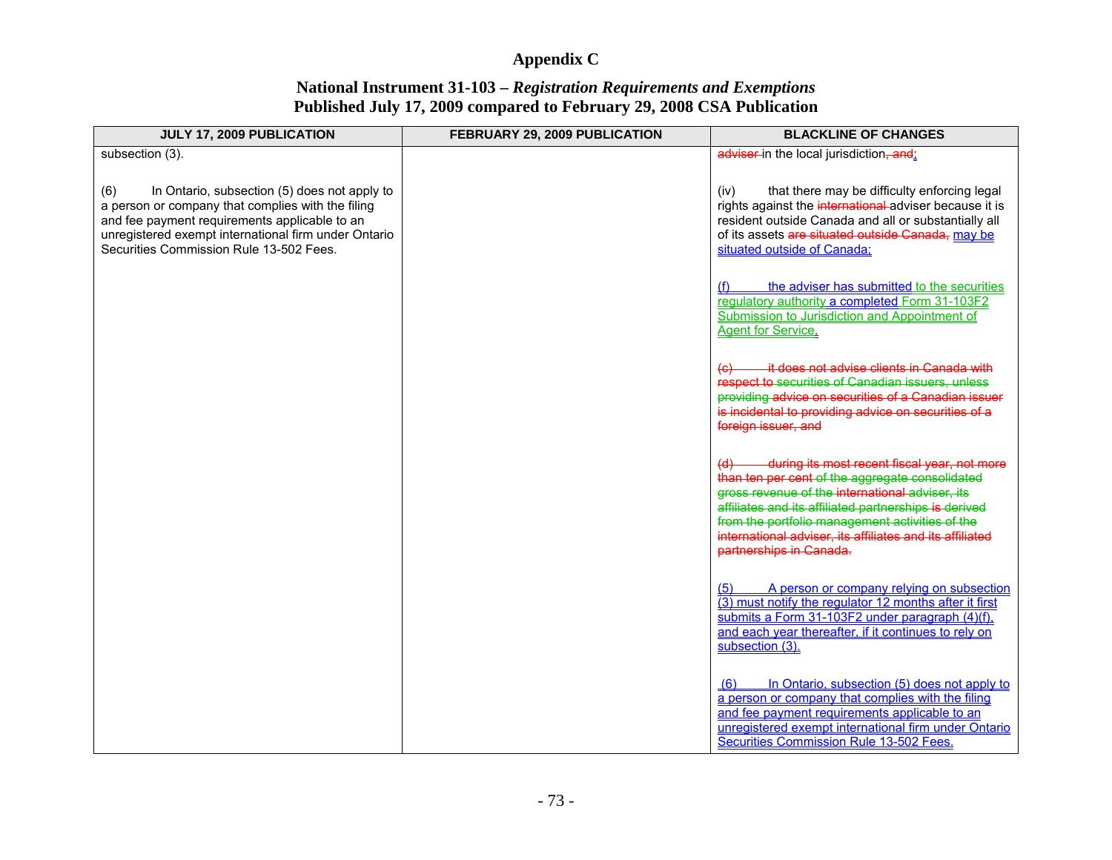| JULY 17, 2009 PUBLICATION                                                                                                                                                                                                                                    | <b>FEBRUARY 29, 2009 PUBLICATION</b> | <b>BLACKLINE OF CHANGES</b>                                                                                                                                                                                                                                                                                                                           |
|--------------------------------------------------------------------------------------------------------------------------------------------------------------------------------------------------------------------------------------------------------------|--------------------------------------|-------------------------------------------------------------------------------------------------------------------------------------------------------------------------------------------------------------------------------------------------------------------------------------------------------------------------------------------------------|
| subsection (3).                                                                                                                                                                                                                                              |                                      | adviser-in the local jurisdiction, and;                                                                                                                                                                                                                                                                                                               |
| (6)<br>In Ontario, subsection (5) does not apply to<br>a person or company that complies with the filing<br>and fee payment requirements applicable to an<br>unregistered exempt international firm under Ontario<br>Securities Commission Rule 13-502 Fees. |                                      | (iv)<br>that there may be difficulty enforcing legal<br>rights against the international adviser because it is<br>resident outside Canada and all or substantially all<br>of its assets are situated outside Canada, may be<br>situated outside of Canada;                                                                                            |
|                                                                                                                                                                                                                                                              |                                      | the adviser has submitted to the securities<br>(f)<br>regulatory authority a completed Form 31-103F2<br>Submission to Jurisdiction and Appointment of<br><b>Agent for Service.</b>                                                                                                                                                                    |
|                                                                                                                                                                                                                                                              |                                      | it does not advise clients in Canada with<br>respect to securities of Canadian issuers, unless<br>providing advice on securities of a Canadian issuer<br>is incidental to providing advice on securities of a<br>foreign issuer, and                                                                                                                  |
|                                                                                                                                                                                                                                                              |                                      | during its most recent fiscal year, not more<br>than ten per cent of the aggregate consolidated<br>gross revenue of the international adviser, its<br>affiliates and its affiliated partnerships is derived<br>from the portfolio management activities of the<br>international adviser, its affiliates and its affiliated<br>partnerships in Canada. |
|                                                                                                                                                                                                                                                              |                                      | A person or company relying on subsection<br>(5)<br>(3) must notify the regulator 12 months after it first<br>submits a Form 31-103F2 under paragraph (4)(f).<br>and each year thereafter, if it continues to rely on<br>subsection (3).                                                                                                              |
|                                                                                                                                                                                                                                                              |                                      | In Ontario, subsection (5) does not apply to<br>(6)<br>a person or company that complies with the filing<br>and fee payment requirements applicable to an<br>unregistered exempt international firm under Ontario<br>Securities Commission Rule 13-502 Fees.                                                                                          |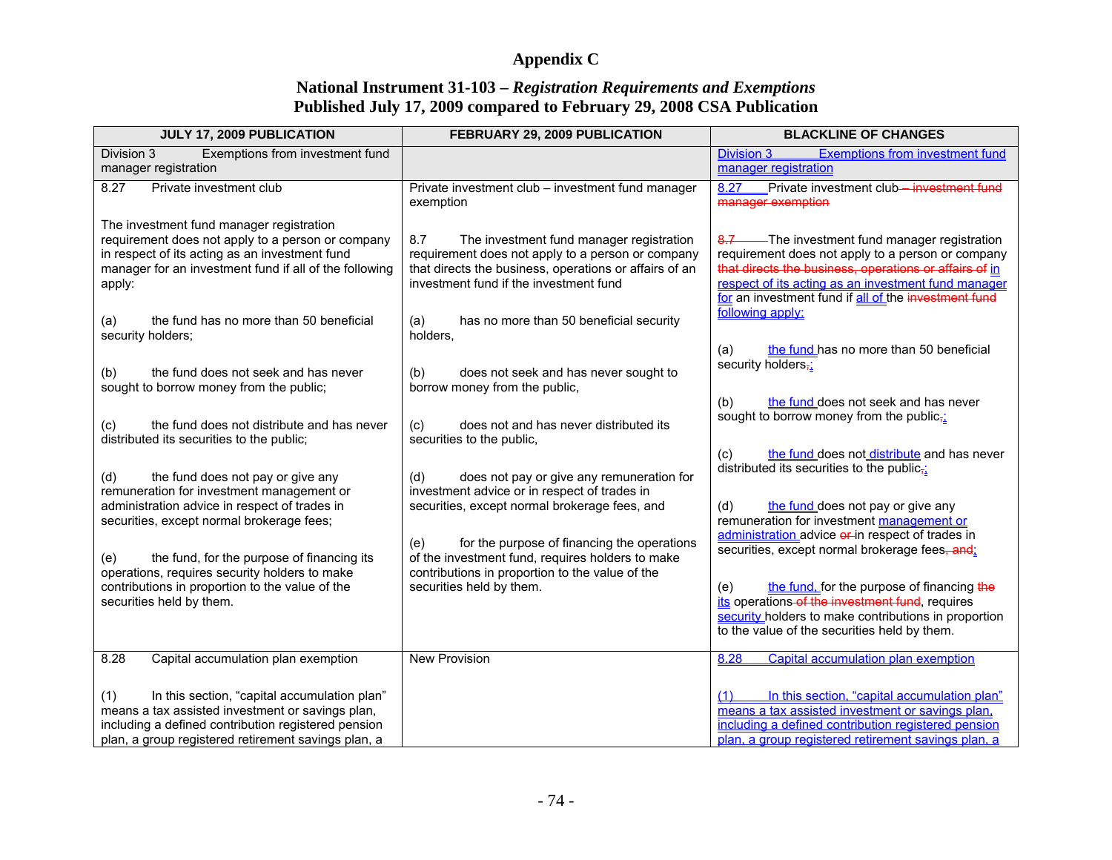| JULY 17, 2009 PUBLICATION                                                                                                    | <b>FEBRUARY 29, 2009 PUBLICATION</b>                                                                        | <b>BLACKLINE OF CHANGES</b>                                                                                                               |
|------------------------------------------------------------------------------------------------------------------------------|-------------------------------------------------------------------------------------------------------------|-------------------------------------------------------------------------------------------------------------------------------------------|
| Division 3<br>Exemptions from investment fund                                                                                |                                                                                                             | <b>Division 3</b><br><b>Exemptions from investment fund</b>                                                                               |
| manager registration                                                                                                         |                                                                                                             | manager registration                                                                                                                      |
| 8.27<br>Private investment club                                                                                              | Private investment club - investment fund manager<br>exemption                                              | Private investment club-investment fund<br>8.27<br>manager exemption                                                                      |
| The investment fund manager registration<br>requirement does not apply to a person or company                                | 8.7<br>The investment fund manager registration                                                             |                                                                                                                                           |
| in respect of its acting as an investment fund<br>manager for an investment fund if all of the following                     | requirement does not apply to a person or company<br>that directs the business, operations or affairs of an | requirement does not apply to a person or company<br>that directs the business, operations or affairs of in                               |
| apply:                                                                                                                       | investment fund if the investment fund                                                                      | respect of its acting as an investment fund manager<br>for an investment fund if all of the investment fund                               |
| the fund has no more than 50 beneficial<br>(a)<br>security holders;                                                          | has no more than 50 beneficial security<br>(a)<br>holders.                                                  | following apply:                                                                                                                          |
| the fund does not seek and has never                                                                                         |                                                                                                             | the fund has no more than 50 beneficial<br>(a)<br>security holders <sub>7</sub> :                                                         |
| (b)<br>sought to borrow money from the public;                                                                               | does not seek and has never sought to<br>(b)<br>borrow money from the public,                               | the fund does not seek and has never<br>(b)                                                                                               |
| the fund does not distribute and has never<br>(c)                                                                            | does not and has never distributed its<br>(c)                                                               | sought to borrow money from the public <sub><math>\frac{1}{2}</math></sub>                                                                |
| distributed its securities to the public;                                                                                    | securities to the public,                                                                                   | the fund does not distribute and has never<br>(c)<br>distributed its securities to the public <sub><math>\overline{5}</math></sub> :      |
| (d)<br>the fund does not pay or give any<br>remuneration for investment management or                                        | does not pay or give any remuneration for<br>(d)<br>investment advice or in respect of trades in            |                                                                                                                                           |
| administration advice in respect of trades in<br>securities, except normal brokerage fees;                                   | securities, except normal brokerage fees, and                                                               | the fund does not pay or give any<br>(d)<br>remuneration for investment management or<br>administration advice or in respect of trades in |
| the fund, for the purpose of financing its<br>(e)                                                                            | for the purpose of financing the operations<br>(e)<br>of the investment fund, requires holders to make      | securities, except normal brokerage fees, and:                                                                                            |
| operations, requires security holders to make<br>contributions in proportion to the value of the<br>securities held by them. | contributions in proportion to the value of the<br>securities held by them.                                 | the fund, for the purpose of financing the<br>(e)<br>its operations of the investment fund, requires                                      |
|                                                                                                                              |                                                                                                             | security holders to make contributions in proportion<br>to the value of the securities held by them.                                      |
| Capital accumulation plan exemption<br>8.28                                                                                  | <b>New Provision</b>                                                                                        | 8.28<br>Capital accumulation plan exemption                                                                                               |
| In this section, "capital accumulation plan"<br>(1)                                                                          |                                                                                                             | In this section, "capital accumulation plan"<br>(1)                                                                                       |
| means a tax assisted investment or savings plan,<br>including a defined contribution registered pension                      |                                                                                                             | means a tax assisted investment or savings plan,<br>including a defined contribution registered pension                                   |
| plan, a group registered retirement savings plan, a                                                                          |                                                                                                             | plan, a group registered retirement savings plan, a                                                                                       |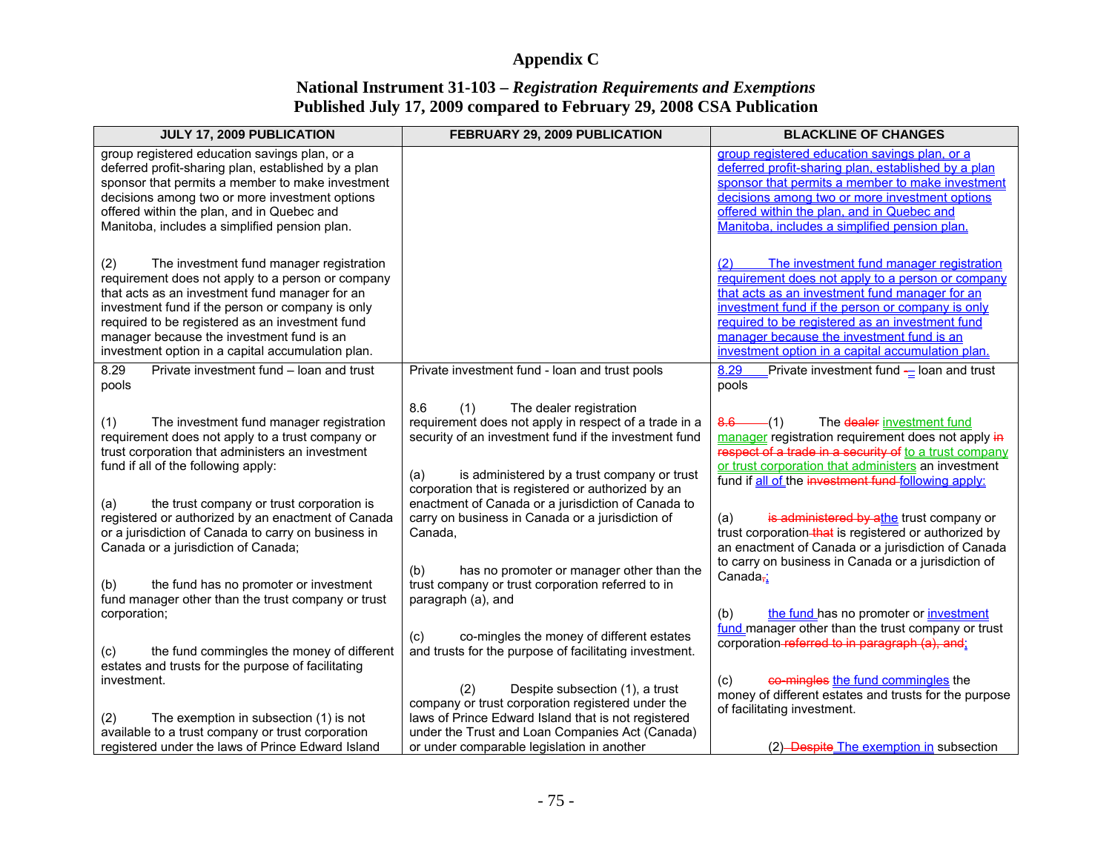| JULY 17, 2009 PUBLICATION                                                                                                                                                                                                                                                                                                                                       | FEBRUARY 29, 2009 PUBLICATION                                                                                                                                                                                                                                                                                             | <b>BLACKLINE OF CHANGES</b>                                                                                                                                                                                                                                                                                                                                     |
|-----------------------------------------------------------------------------------------------------------------------------------------------------------------------------------------------------------------------------------------------------------------------------------------------------------------------------------------------------------------|---------------------------------------------------------------------------------------------------------------------------------------------------------------------------------------------------------------------------------------------------------------------------------------------------------------------------|-----------------------------------------------------------------------------------------------------------------------------------------------------------------------------------------------------------------------------------------------------------------------------------------------------------------------------------------------------------------|
| group registered education savings plan, or a<br>deferred profit-sharing plan, established by a plan<br>sponsor that permits a member to make investment<br>decisions among two or more investment options<br>offered within the plan, and in Quebec and<br>Manitoba, includes a simplified pension plan.                                                       |                                                                                                                                                                                                                                                                                                                           | group registered education savings plan, or a<br>deferred profit-sharing plan, established by a plan<br>sponsor that permits a member to make investment<br>decisions among two or more investment options<br>offered within the plan, and in Quebec and<br>Manitoba, includes a simplified pension plan.                                                       |
| (2)<br>The investment fund manager registration<br>requirement does not apply to a person or company<br>that acts as an investment fund manager for an<br>investment fund if the person or company is only<br>required to be registered as an investment fund<br>manager because the investment fund is an<br>investment option in a capital accumulation plan. |                                                                                                                                                                                                                                                                                                                           | The investment fund manager registration<br>(2)<br>requirement does not apply to a person or company<br>that acts as an investment fund manager for an<br>investment fund if the person or company is only<br>required to be registered as an investment fund<br>manager because the investment fund is an<br>investment option in a capital accumulation plan. |
| Private investment fund - loan and trust<br>8.29<br>pools                                                                                                                                                                                                                                                                                                       | Private investment fund - loan and trust pools                                                                                                                                                                                                                                                                            | Private investment fund - loan and trust<br>8.29<br>pools                                                                                                                                                                                                                                                                                                       |
| The investment fund manager registration<br>(1)<br>requirement does not apply to a trust company or<br>trust corporation that administers an investment<br>fund if all of the following apply:<br>(a)<br>the trust company or trust corporation is                                                                                                              | 8.6<br>The dealer registration<br>(1)<br>requirement does not apply in respect of a trade in a<br>security of an investment fund if the investment fund<br>is administered by a trust company or trust<br>(a)<br>corporation that is registered or authorized by an<br>enactment of Canada or a jurisdiction of Canada to | $8.6 -$<br>The dealer investment fund<br>-(1)<br>manager registration requirement does not apply in<br>respect of a trade in a security of to a trust company<br>or trust corporation that administers an investment<br>fund if all of the investment fund following apply:                                                                                     |
| registered or authorized by an enactment of Canada<br>or a jurisdiction of Canada to carry on business in<br>Canada or a jurisdiction of Canada;<br>the fund has no promoter or investment<br>(b)                                                                                                                                                               | carry on business in Canada or a jurisdiction of<br>Canada,<br>(b)<br>has no promoter or manager other than the<br>trust company or trust corporation referred to in                                                                                                                                                      | (a)<br>is administered by athe trust company or<br>trust corporation-that is registered or authorized by<br>an enactment of Canada or a jurisdiction of Canada<br>to carry on business in Canada or a jurisdiction of<br>Canada <sub>7</sub>                                                                                                                    |
| fund manager other than the trust company or trust<br>corporation;<br>the fund commingles the money of different<br>(c)<br>estates and trusts for the purpose of facilitating                                                                                                                                                                                   | paragraph (a), and<br>co-mingles the money of different estates<br>(c)<br>and trusts for the purpose of facilitating investment.                                                                                                                                                                                          | the fund has no promoter or investment<br>(b)<br>fund manager other than the trust company or trust<br>corporation-referred to in paragraph (a), and;                                                                                                                                                                                                           |
| investment.<br>The exemption in subsection (1) is not<br>(2)<br>available to a trust company or trust corporation                                                                                                                                                                                                                                               | (2)<br>Despite subsection (1), a trust<br>company or trust corporation registered under the<br>laws of Prince Edward Island that is not registered<br>under the Trust and Loan Companies Act (Canada)                                                                                                                     | co-mingles the fund commingles the<br>(c)<br>money of different estates and trusts for the purpose<br>of facilitating investment.                                                                                                                                                                                                                               |
| registered under the laws of Prince Edward Island                                                                                                                                                                                                                                                                                                               | or under comparable legislation in another                                                                                                                                                                                                                                                                                | (2) Despite The exemption in subsection                                                                                                                                                                                                                                                                                                                         |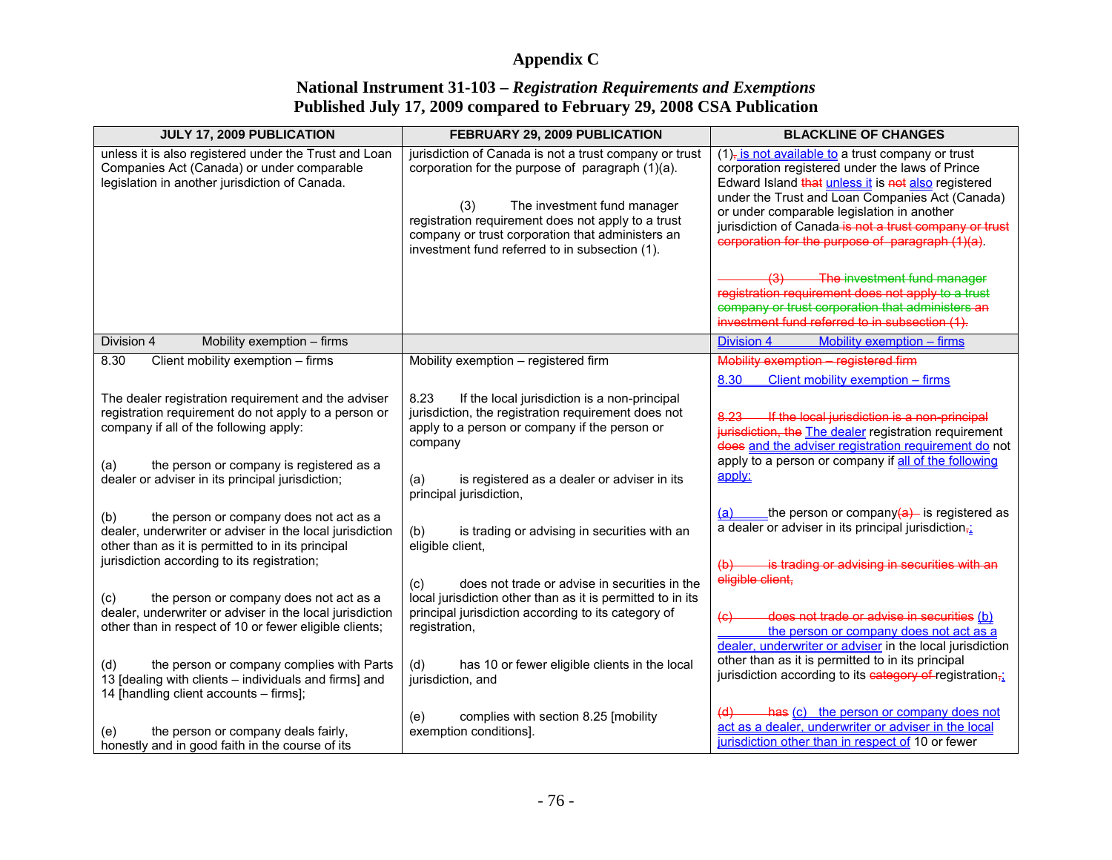| JULY 17, 2009 PUBLICATION                                                                                                                                       | FEBRUARY 29, 2009 PUBLICATION                                                                                                                                                                                                                                                                                | <b>BLACKLINE OF CHANGES</b>                                                                                                                                                                                                                                                                                                                                                            |
|-----------------------------------------------------------------------------------------------------------------------------------------------------------------|--------------------------------------------------------------------------------------------------------------------------------------------------------------------------------------------------------------------------------------------------------------------------------------------------------------|----------------------------------------------------------------------------------------------------------------------------------------------------------------------------------------------------------------------------------------------------------------------------------------------------------------------------------------------------------------------------------------|
| unless it is also registered under the Trust and Loan<br>Companies Act (Canada) or under comparable<br>legislation in another jurisdiction of Canada.           | jurisdiction of Canada is not a trust company or trust<br>corporation for the purpose of paragraph (1)(a).<br>The investment fund manager<br>(3)<br>registration requirement does not apply to a trust<br>company or trust corporation that administers an<br>investment fund referred to in subsection (1). | (1) <sub>7</sub> is not available to a trust company or trust<br>corporation registered under the laws of Prince<br>Edward Island that unless it is not also registered<br>under the Trust and Loan Companies Act (Canada)<br>or under comparable legislation in another<br>jurisdiction of Canada is not a trust company or trust<br>corporation for the purpose of paragraph (1)(a). |
|                                                                                                                                                                 |                                                                                                                                                                                                                                                                                                              | The investment fund manager<br>registration requirement does not apply to a trust<br>company or trust corporation that administers an<br>investment fund referred to in subsection (1).                                                                                                                                                                                                |
| Division 4<br>Mobility exemption - firms                                                                                                                        |                                                                                                                                                                                                                                                                                                              | Division 4<br>Mobility exemption - firms                                                                                                                                                                                                                                                                                                                                               |
| 8.30<br>Client mobility exemption - firms                                                                                                                       | Mobility exemption - registered firm                                                                                                                                                                                                                                                                         | Mobility exemption registered firm<br>Client mobility exemption - firms<br>8.30                                                                                                                                                                                                                                                                                                        |
| The dealer registration requirement and the adviser<br>registration requirement do not apply to a person or<br>company if all of the following apply:           | 8.23<br>If the local jurisdiction is a non-principal<br>jurisdiction, the registration requirement does not<br>apply to a person or company if the person or<br>company                                                                                                                                      | 8.23 If the local jurisdiction is a non-principal<br>jurisdiction, the The dealer registration requirement<br>does and the adviser registration requirement do not                                                                                                                                                                                                                     |
| the person or company is registered as a<br>(a)<br>dealer or adviser in its principal jurisdiction;                                                             | is registered as a dealer or adviser in its<br>(a)<br>principal jurisdiction,                                                                                                                                                                                                                                | apply to a person or company if all of the following<br>apply:                                                                                                                                                                                                                                                                                                                         |
| (b)<br>the person or company does not act as a<br>dealer, underwriter or adviser in the local jurisdiction<br>other than as it is permitted to in its principal | is trading or advising in securities with an<br>(b)<br>eligible client,                                                                                                                                                                                                                                      | the person or company <del>(a)</del> is registered as<br><u>(a)</u><br>a dealer or adviser in its principal jurisdiction <sub>7</sub> :                                                                                                                                                                                                                                                |
| jurisdiction according to its registration;<br>the person or company does not act as a<br>(c)                                                                   | does not trade or advise in securities in the<br>(c)<br>local jurisdiction other than as it is permitted to in its                                                                                                                                                                                           | is trading or advising in securities with an<br>$\Theta$<br>eligible client,                                                                                                                                                                                                                                                                                                           |
| dealer, underwriter or adviser in the local jurisdiction<br>other than in respect of 10 or fewer eligible clients;                                              | principal jurisdiction according to its category of<br>registration,                                                                                                                                                                                                                                         | does not trade or advise in securities (b)<br>$\left(\frac{e}{e}\right)$<br>the person or company does not act as a<br>dealer, underwriter or adviser in the local jurisdiction                                                                                                                                                                                                        |
| the person or company complies with Parts<br>(d)<br>13 [dealing with clients - individuals and firms] and<br>14 [handling client accounts - firms];             | has 10 or fewer eligible clients in the local<br>(d)<br>jurisdiction, and                                                                                                                                                                                                                                    | other than as it is permitted to in its principal<br>jurisdiction according to its category of registration,;                                                                                                                                                                                                                                                                          |
| the person or company deals fairly,<br>(e)<br>honestly and in good faith in the course of its                                                                   | complies with section 8.25 [mobility<br>(e)<br>exemption conditions].                                                                                                                                                                                                                                        | has (c) the person or company does not<br>$\overline{a}$<br>act as a dealer, underwriter or adviser in the local<br>jurisdiction other than in respect of 10 or fewer                                                                                                                                                                                                                  |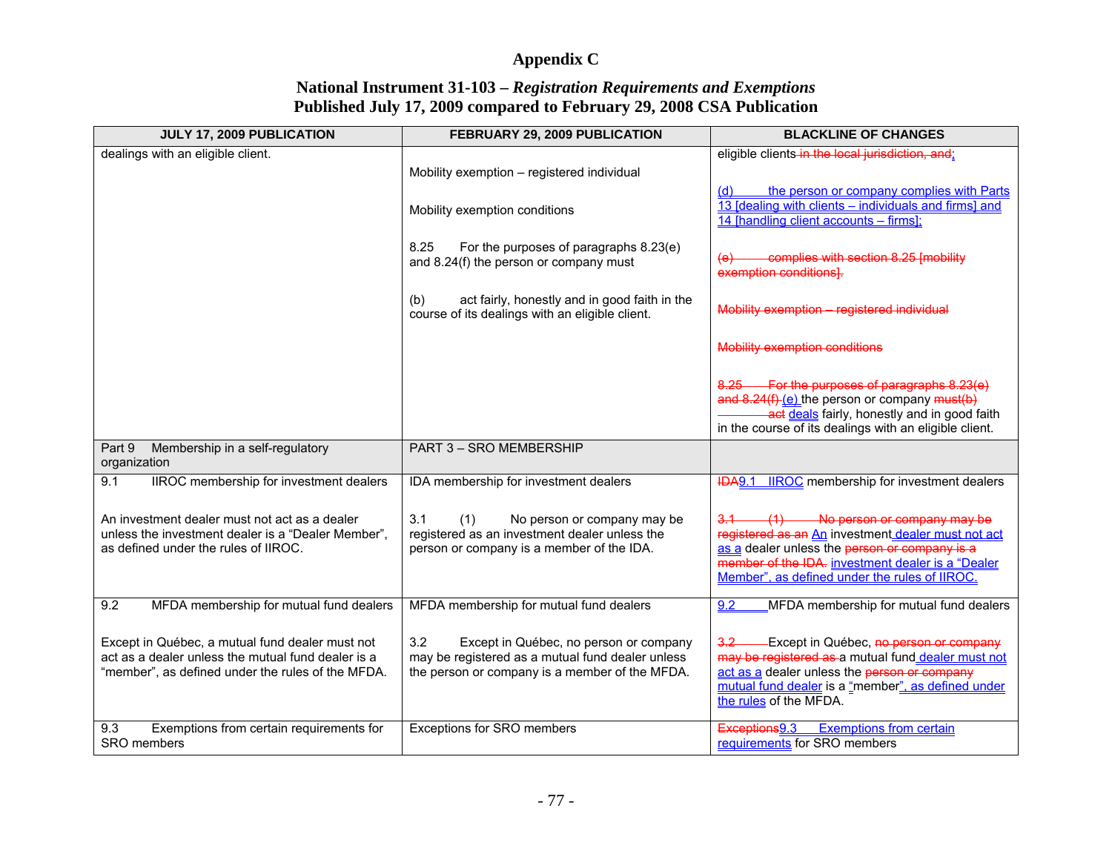| JULY 17, 2009 PUBLICATION                                                                                                                                  | <b>FEBRUARY 29, 2009 PUBLICATION</b>                                                                                                                | <b>BLACKLINE OF CHANGES</b>                                                                                                                                                                                                                          |
|------------------------------------------------------------------------------------------------------------------------------------------------------------|-----------------------------------------------------------------------------------------------------------------------------------------------------|------------------------------------------------------------------------------------------------------------------------------------------------------------------------------------------------------------------------------------------------------|
| dealings with an eligible client.                                                                                                                          |                                                                                                                                                     | eligible clients-in the local jurisdiction, and;                                                                                                                                                                                                     |
|                                                                                                                                                            | Mobility exemption - registered individual                                                                                                          |                                                                                                                                                                                                                                                      |
|                                                                                                                                                            | Mobility exemption conditions                                                                                                                       | the person or company complies with Parts<br>(d)<br>13 [dealing with clients – individuals and firms] and<br>14 [handling client accounts - firms];                                                                                                  |
|                                                                                                                                                            | For the purposes of paragraphs 8.23(e)<br>8.25<br>and 8.24(f) the person or company must                                                            | complies with section 8.25 [mobility<br>exemption conditions).                                                                                                                                                                                       |
|                                                                                                                                                            | act fairly, honestly and in good faith in the<br>(b)<br>course of its dealings with an eligible client.                                             | Mobility exemption registered individual                                                                                                                                                                                                             |
|                                                                                                                                                            |                                                                                                                                                     | <b>Mobility exemption conditions</b>                                                                                                                                                                                                                 |
|                                                                                                                                                            |                                                                                                                                                     | 8.25<br>For the purposes of paragraphs 8.23(e)<br>and $8.24(f)(e)$ the person or company $must(b)$<br>act deals fairly, honestly and in good faith<br>in the course of its dealings with an eligible client.                                         |
| Part 9<br>Membership in a self-regulatory<br>organization                                                                                                  | <b>PART 3 - SRO MEMBERSHIP</b>                                                                                                                      |                                                                                                                                                                                                                                                      |
| IIROC membership for investment dealers<br>9.1                                                                                                             | IDA membership for investment dealers                                                                                                               | <b>IROC</b> membership for investment dealers<br><b>IDA9.1</b>                                                                                                                                                                                       |
| An investment dealer must not act as a dealer<br>unless the investment dealer is a "Dealer Member",<br>as defined under the rules of IIROC.                | 3.1<br>(1)<br>No person or company may be<br>registered as an investment dealer unless the<br>person or company is a member of the IDA.             | No person or company may be<br>$^{(4)}$<br>registered as an An investment dealer must not act<br>as a dealer unless the person or company is a<br>member of the IDA. investment dealer is a "Dealer<br>Member", as defined under the rules of IIROC. |
| MFDA membership for mutual fund dealers<br>9.2                                                                                                             | MFDA membership for mutual fund dealers                                                                                                             | 9.2<br>MFDA membership for mutual fund dealers                                                                                                                                                                                                       |
| Except in Québec, a mutual fund dealer must not<br>act as a dealer unless the mutual fund dealer is a<br>"member", as defined under the rules of the MFDA. | 3.2<br>Except in Québec, no person or company<br>may be registered as a mutual fund dealer unless<br>the person or company is a member of the MFDA. | -Except in Québec, no person or company<br><u>3.2 —</u><br>may be registered as a mutual fund dealer must not<br>act as a dealer unless the person or company<br>mutual fund dealer is a "member", as defined under<br>the rules of the MFDA.        |
| 9.3<br>Exemptions from certain requirements for<br>SRO members                                                                                             | <b>Exceptions for SRO members</b>                                                                                                                   | Exceptions9.3<br><b>Exemptions from certain</b><br>requirements for SRO members                                                                                                                                                                      |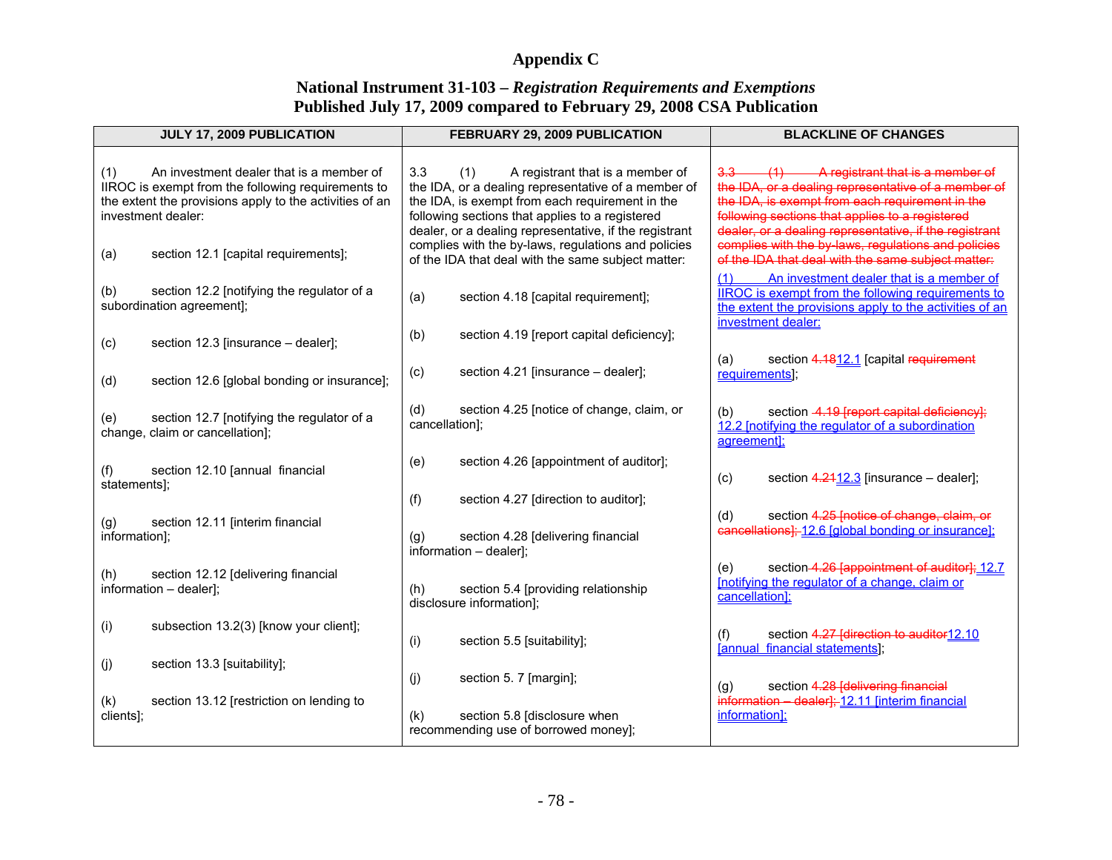| <b>JULY 17, 2009 PUBLICATION</b>                                                                                                                                                       | <b>FEBRUARY 29, 2009 PUBLICATION</b>                                                                                                                                                                                                                                  | <b>BLACKLINE OF CHANGES</b>                                                                                                                                                                                                                                                  |
|----------------------------------------------------------------------------------------------------------------------------------------------------------------------------------------|-----------------------------------------------------------------------------------------------------------------------------------------------------------------------------------------------------------------------------------------------------------------------|------------------------------------------------------------------------------------------------------------------------------------------------------------------------------------------------------------------------------------------------------------------------------|
| (1)<br>An investment dealer that is a member of<br>IIROC is exempt from the following requirements to<br>the extent the provisions apply to the activities of an<br>investment dealer: | 3.3<br>A registrant that is a member of<br>(1)<br>the IDA, or a dealing representative of a member of<br>the IDA, is exempt from each requirement in the<br>following sections that applies to a registered<br>dealer, or a dealing representative, if the registrant | - A registrant that is a member of<br><del>3.3-</del><br>the IDA, or a dealing representative of a member of<br>the IDA, is exempt from each requirement in the<br>following sections that applies to a registered<br>dealer, or a dealing representative, if the registrant |
| (a)<br>section 12.1 [capital requirements];                                                                                                                                            | complies with the by-laws, regulations and policies<br>of the IDA that deal with the same subject matter:                                                                                                                                                             | complies with the by laws, regulations and policies<br>of the IDA that deal with the same subject matter:                                                                                                                                                                    |
| section 12.2 [notifying the regulator of a<br>(b)<br>subordination agreement];                                                                                                         | section 4.18 [capital requirement];<br>(a)                                                                                                                                                                                                                            | An investment dealer that is a member of<br>(1)<br>IIROC is exempt from the following requirements to<br>the extent the provisions apply to the activities of an<br>investment dealer:                                                                                       |
| section 12.3 [insurance - dealer];<br>(c)                                                                                                                                              | section 4.19 [report capital deficiency];<br>(b)                                                                                                                                                                                                                      |                                                                                                                                                                                                                                                                              |
| section 12.6 [global bonding or insurance];<br>(d)                                                                                                                                     | (c)<br>section 4.21 [insurance - dealer];                                                                                                                                                                                                                             | section 4.1812.1 [capital requirement<br>(a)<br>requirements];                                                                                                                                                                                                               |
| section 12.7 [notifying the regulator of a<br>(e)<br>change, claim or cancellation];                                                                                                   | (d)<br>section 4.25 [notice of change, claim, or<br>cancellation];                                                                                                                                                                                                    | section -4.19 [report capital deficiency];<br>(b)<br>12.2 Inotifying the regulator of a subordination<br>agreement];                                                                                                                                                         |
| section 12.10 [annual financial<br>(f)<br>statements];                                                                                                                                 | section 4.26 [appointment of auditor];<br>(e)<br>(f)<br>section 4.27 [direction to auditor];                                                                                                                                                                          | section $4.2112.3$ [insurance – dealer];<br>(c)                                                                                                                                                                                                                              |
| section 12.11 [interim financial<br>(g)<br>information];                                                                                                                               | section 4.28 [delivering financial<br>(g)<br>information - dealer];                                                                                                                                                                                                   | section 4.25 [notice of change, claim, or<br>(d)<br>cancellations]; 12.6 [global bonding or insurance];                                                                                                                                                                      |
| section 12.12 [delivering financial<br>(h)<br>information - dealer];                                                                                                                   | section 5.4 [providing relationship<br>(h)<br>disclosure information];                                                                                                                                                                                                | section 4.26 [appointment of auditor]; 12.7<br>(e)<br>Inotifying the regulator of a change, claim or<br>cancellation];                                                                                                                                                       |
| subsection 13.2(3) [know your client];<br>(i)                                                                                                                                          | (i)<br>section 5.5 [suitability];                                                                                                                                                                                                                                     | section 4.27 [direction to auditor12.10<br>(f)<br>[annual financial statements];                                                                                                                                                                                             |
| (j)<br>section 13.3 [suitability];                                                                                                                                                     | (j)<br>section 5. 7 [margin];                                                                                                                                                                                                                                         | section 4.28 [delivering financial<br>(g)                                                                                                                                                                                                                                    |
| (k)<br>section 13.12 [restriction on lending to<br>clients];                                                                                                                           | section 5.8 [disclosure when<br>(k)<br>recommending use of borrowed money];                                                                                                                                                                                           | information - dealer]; 12.11 [interim financial<br>information];                                                                                                                                                                                                             |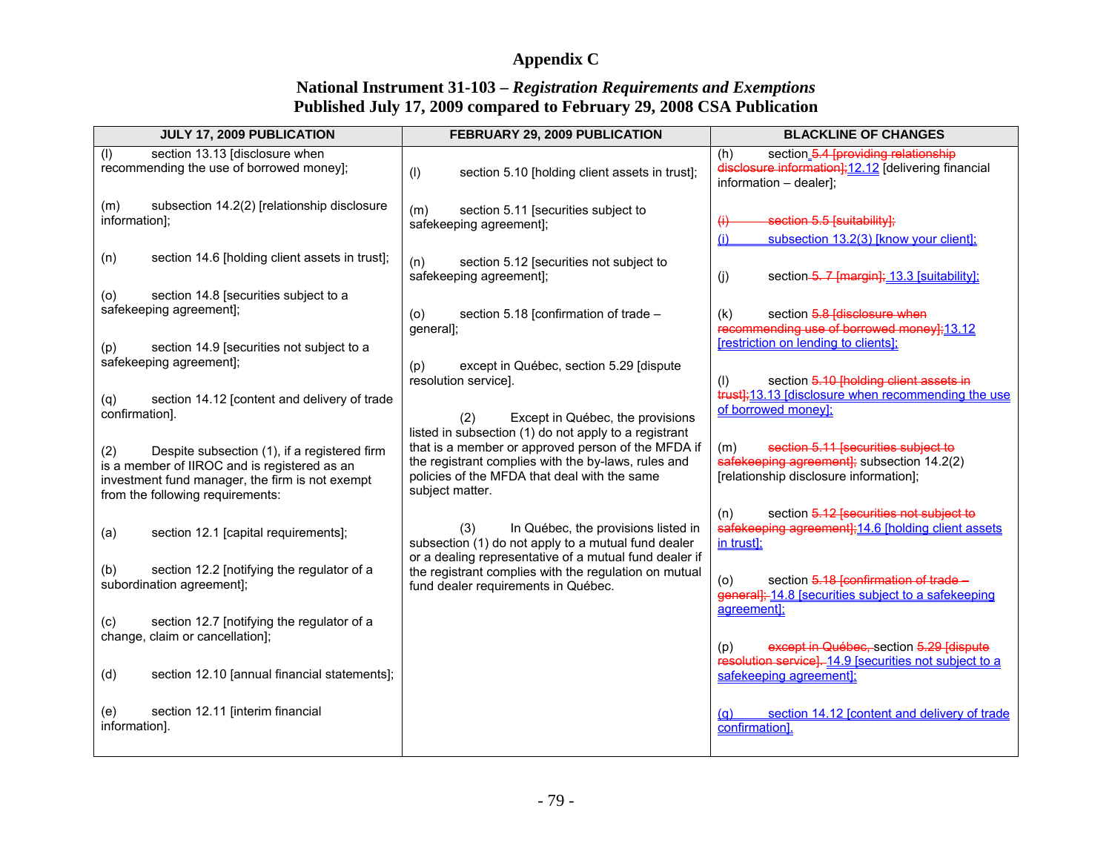| JULY 17, 2009 PUBLICATION                                                                                                                                                                  | <b>FEBRUARY 29, 2009 PUBLICATION</b>                                                                                                                                         | <b>BLACKLINE OF CHANGES</b>                                                                                                        |
|--------------------------------------------------------------------------------------------------------------------------------------------------------------------------------------------|------------------------------------------------------------------------------------------------------------------------------------------------------------------------------|------------------------------------------------------------------------------------------------------------------------------------|
| section 13.13 [disclosure when<br>(1)<br>recommending the use of borrowed money];                                                                                                          | (1)<br>section 5.10 [holding client assets in trust];                                                                                                                        | section_5.4 [providing relationship<br>(h)<br>disclosure information];12.12 [delivering financial<br>information - dealer];        |
| subsection 14.2(2) [relationship disclosure<br>(m)<br>information];                                                                                                                        | section 5.11 [securities subject to<br>(m)<br>safekeeping agreement];                                                                                                        | section 5.5 [suitability];<br>$\leftrightarrow$<br>subsection 13.2(3) [know your client];<br>(i)                                   |
| section 14.6 [holding client assets in trust];<br>(n)                                                                                                                                      | section 5.12 [securities not subject to<br>(n)<br>safekeeping agreement];                                                                                                    | section-5. 7 [margin]; 13.3 [suitability];<br>(j)                                                                                  |
| section 14.8 [securities subject to a<br>(0)<br>safekeeping agreement];<br>section 14.9 [securities not subject to a                                                                       | section 5.18 [confirmation of trade -<br>(0)<br>general];                                                                                                                    | section 5.8 [disclosure when<br>(k)<br>recommending use of borrowed money];13.12<br>[restriction on lending to clients];           |
| (p)<br>safekeeping agreement];                                                                                                                                                             | except in Québec, section 5.29 [dispute<br>(p)<br>resolution service].                                                                                                       | section 5.10 [holding client assets in<br>(1)                                                                                      |
| section 14.12 [content and delivery of trade<br>(q)<br>confirmation].                                                                                                                      | (2)<br>Except in Québec, the provisions<br>listed in subsection (1) do not apply to a registrant                                                                             | trust];13.13 [disclosure when recommending the use<br>of borrowed money];                                                          |
| (2)<br>Despite subsection (1), if a registered firm<br>is a member of IIROC and is registered as an<br>investment fund manager, the firm is not exempt<br>from the following requirements: | that is a member or approved person of the MFDA if<br>the registrant complies with the by-laws, rules and<br>policies of the MFDA that deal with the same<br>subject matter. | section 5.11 [securities subject to<br>(m)<br>safekeeping agreement]; subsection 14.2(2)<br>[relationship disclosure information]; |
| section 12.1 [capital requirements];<br>(a)                                                                                                                                                | In Québec, the provisions listed in<br>(3)<br>subsection (1) do not apply to a mutual fund dealer<br>or a dealing representative of a mutual fund dealer if                  | section 5.12 [securities not subject to<br>(n)<br>safekeeping agreement];14.6 [holding client assets<br>in trust];                 |
| section 12.2 [notifying the regulator of a<br>(b)<br>subordination agreement];                                                                                                             | the registrant complies with the regulation on mutual<br>fund dealer requirements in Québec.                                                                                 | section 5.18 [confirmation of trade -<br>(0)<br>general]; 14.8 [securities subject to a safekeeping<br>agreement];                 |
| section 12.7 [notifying the regulator of a<br>(c)<br>change, claim or cancellation];                                                                                                       |                                                                                                                                                                              | except in Québec, section 5.29 [dispute]<br>(p)                                                                                    |
| section 12.10 [annual financial statements];<br>(d)                                                                                                                                        |                                                                                                                                                                              | resolution service]. 14.9 [securities not subject to a<br>safekeeping agreement];                                                  |
| section 12.11 [interim financial<br>(e)<br>information].                                                                                                                                   |                                                                                                                                                                              | section 14.12 [content and delivery of trade<br>(a)<br>confirmation].                                                              |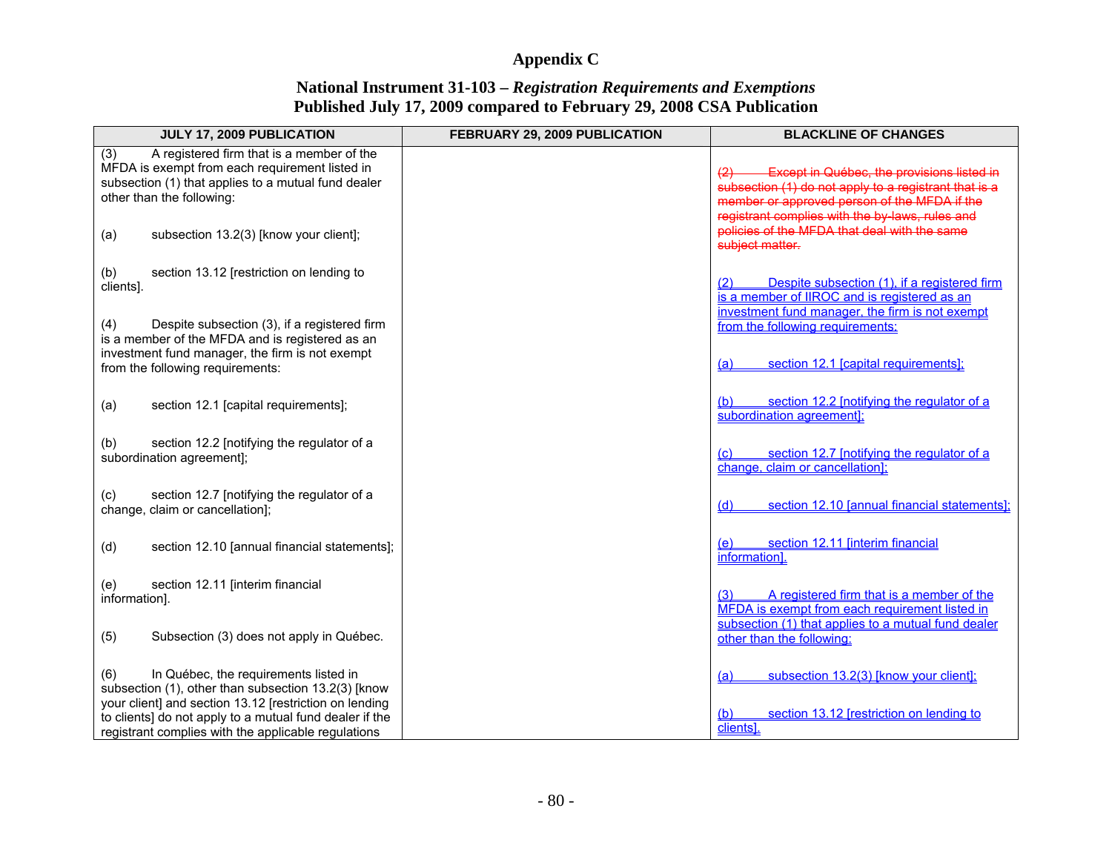| JULY 17, 2009 PUBLICATION                                                                                                                                                                                                               | <b>FEBRUARY 29, 2009 PUBLICATION</b> | <b>BLACKLINE OF CHANGES</b>                                                                                                                                                                                                                            |
|-----------------------------------------------------------------------------------------------------------------------------------------------------------------------------------------------------------------------------------------|--------------------------------------|--------------------------------------------------------------------------------------------------------------------------------------------------------------------------------------------------------------------------------------------------------|
| A registered firm that is a member of the<br>(3)<br>MFDA is exempt from each requirement listed in<br>subsection (1) that applies to a mutual fund dealer<br>other than the following:<br>subsection 13.2(3) [know your client];<br>(a) |                                      | Except in Québec, the provisions listed in<br>subsection (1) do not apply to a registrant that is a<br>member or approved person of the MFDA if the<br>registrant complies with the by laws, rules and<br>policies of the MFDA that deal with the same |
|                                                                                                                                                                                                                                         |                                      | subject matter.                                                                                                                                                                                                                                        |
| (b)<br>section 13.12 [restriction on lending to<br>clients].                                                                                                                                                                            |                                      | Despite subsection (1), if a registered firm<br>(2)<br>is a member of IIROC and is registered as an<br>investment fund manager, the firm is not exempt                                                                                                 |
| Despite subsection (3), if a registered firm<br>(4)<br>is a member of the MFDA and is registered as an<br>investment fund manager, the firm is not exempt                                                                               |                                      | from the following requirements:<br>section 12.1 [capital requirements];<br>(a)                                                                                                                                                                        |
| from the following requirements:                                                                                                                                                                                                        |                                      |                                                                                                                                                                                                                                                        |
| section 12.1 [capital requirements];<br>(a)                                                                                                                                                                                             |                                      | section 12.2 [notifying the regulator of a<br>(b)<br>subordination agreement];                                                                                                                                                                         |
| section 12.2 [notifying the regulator of a<br>(b)<br>subordination agreement];                                                                                                                                                          |                                      | section 12.7 [notifying the regulator of a<br>(c)  <br>change, claim or cancellation];                                                                                                                                                                 |
| (c)<br>section 12.7 [notifying the regulator of a<br>change, claim or cancellation];                                                                                                                                                    |                                      | section 12.10 [annual financial statements];<br>(d)                                                                                                                                                                                                    |
| section 12.10 [annual financial statements];<br>(d)                                                                                                                                                                                     |                                      | section 12.11 [interim financial<br><u>(e)</u><br>information].                                                                                                                                                                                        |
| section 12.11 [interim financial<br>(e)<br>information].                                                                                                                                                                                |                                      | A registered firm that is a member of the<br>(3)<br>MFDA is exempt from each requirement listed in                                                                                                                                                     |
| (5)<br>Subsection (3) does not apply in Québec.                                                                                                                                                                                         |                                      | subsection (1) that applies to a mutual fund dealer<br>other than the following:                                                                                                                                                                       |
| In Québec, the requirements listed in<br>(6)<br>subsection (1), other than subsection 13.2(3) [know<br>your client] and section 13.12 [restriction on lending                                                                           |                                      | subsection 13.2(3) [know your client];<br><u>(a)</u>                                                                                                                                                                                                   |
| to clients] do not apply to a mutual fund dealer if the<br>registrant complies with the applicable regulations                                                                                                                          |                                      | section 13.12 [restriction on lending to<br>(b)<br>clients].                                                                                                                                                                                           |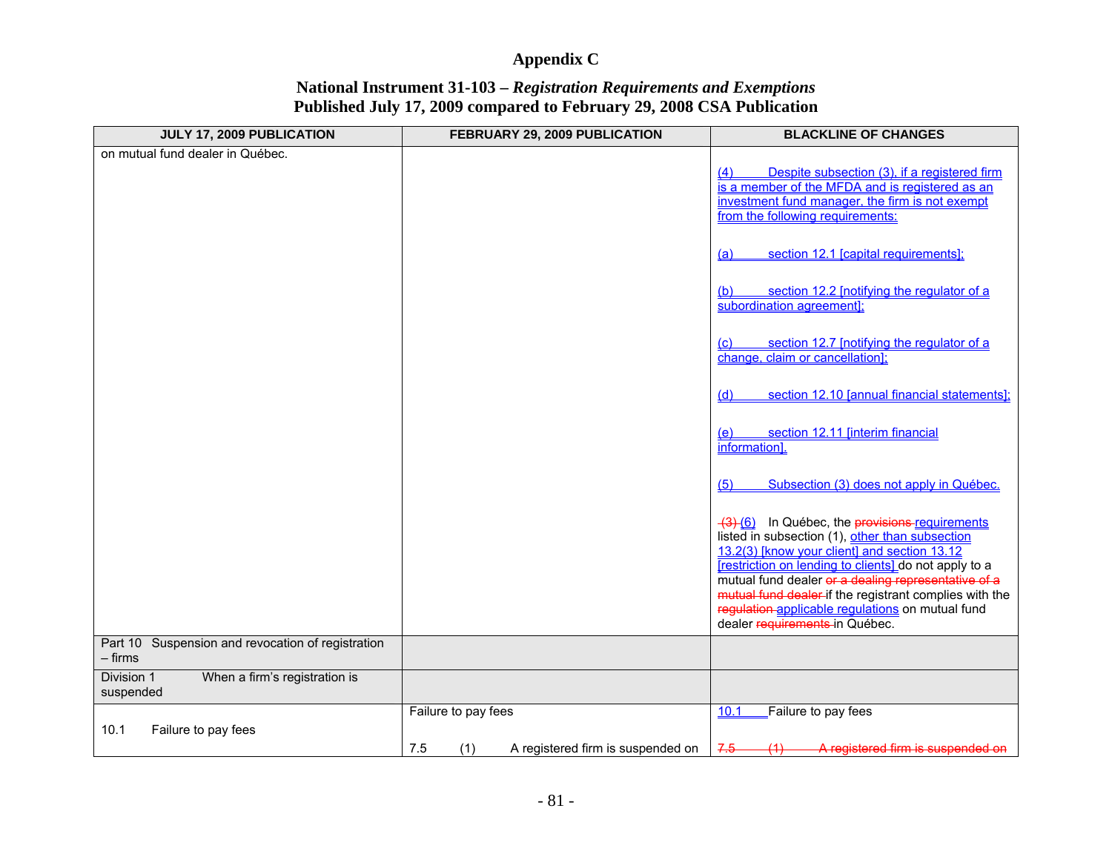| JULY 17, 2009 PUBLICATION                                | FEBRUARY 29, 2009 PUBLICATION                   | <b>BLACKLINE OF CHANGES</b>                                                                                                                              |
|----------------------------------------------------------|-------------------------------------------------|----------------------------------------------------------------------------------------------------------------------------------------------------------|
| on mutual fund dealer in Québec.                         |                                                 |                                                                                                                                                          |
|                                                          |                                                 | Despite subsection (3), if a registered firm<br>(4)                                                                                                      |
|                                                          |                                                 | is a member of the MFDA and is registered as an<br>investment fund manager, the firm is not exempt                                                       |
|                                                          |                                                 | from the following requirements:                                                                                                                         |
|                                                          |                                                 |                                                                                                                                                          |
|                                                          |                                                 | section 12.1 [capital requirements];<br>(a)                                                                                                              |
|                                                          |                                                 | section 12.2 [notifying the regulator of a<br>(b)<br>subordination agreement];                                                                           |
|                                                          |                                                 | section 12.7 [notifying the regulator of a<br>(C)<br>change, claim or cancellation];                                                                     |
|                                                          |                                                 | section 12.10 [annual financial statements];<br>(d)                                                                                                      |
|                                                          |                                                 | section 12.11 [interim financial<br>(e)<br>information].                                                                                                 |
|                                                          |                                                 | Subsection (3) does not apply in Québec.<br>(5)                                                                                                          |
|                                                          |                                                 | (3) (6) In Québec, the <b>provisions</b> requirements<br>listed in subsection (1), other than subsection<br>13.2(3) [know your client] and section 13.12 |
|                                                          |                                                 | [restriction on lending to clients] do not apply to a                                                                                                    |
|                                                          |                                                 | mutual fund dealer or a dealing representative of a                                                                                                      |
|                                                          |                                                 | mutual fund dealer if the registrant complies with the                                                                                                   |
|                                                          |                                                 | regulation applicable regulations on mutual fund<br>dealer requirements-in Québec.                                                                       |
| Suspension and revocation of registration<br>Part 10     |                                                 |                                                                                                                                                          |
| $-$ firms                                                |                                                 |                                                                                                                                                          |
| Division 1<br>When a firm's registration is<br>suspended |                                                 |                                                                                                                                                          |
|                                                          | Failure to pay fees                             | 10.1<br>Failure to pay fees                                                                                                                              |
| 10.1<br>Failure to pay fees                              |                                                 |                                                                                                                                                          |
|                                                          | 7.5<br>(1)<br>A registered firm is suspended on | -A registered firm is suspended on<br>$7.5 -$<br>$-$ (1)                                                                                                 |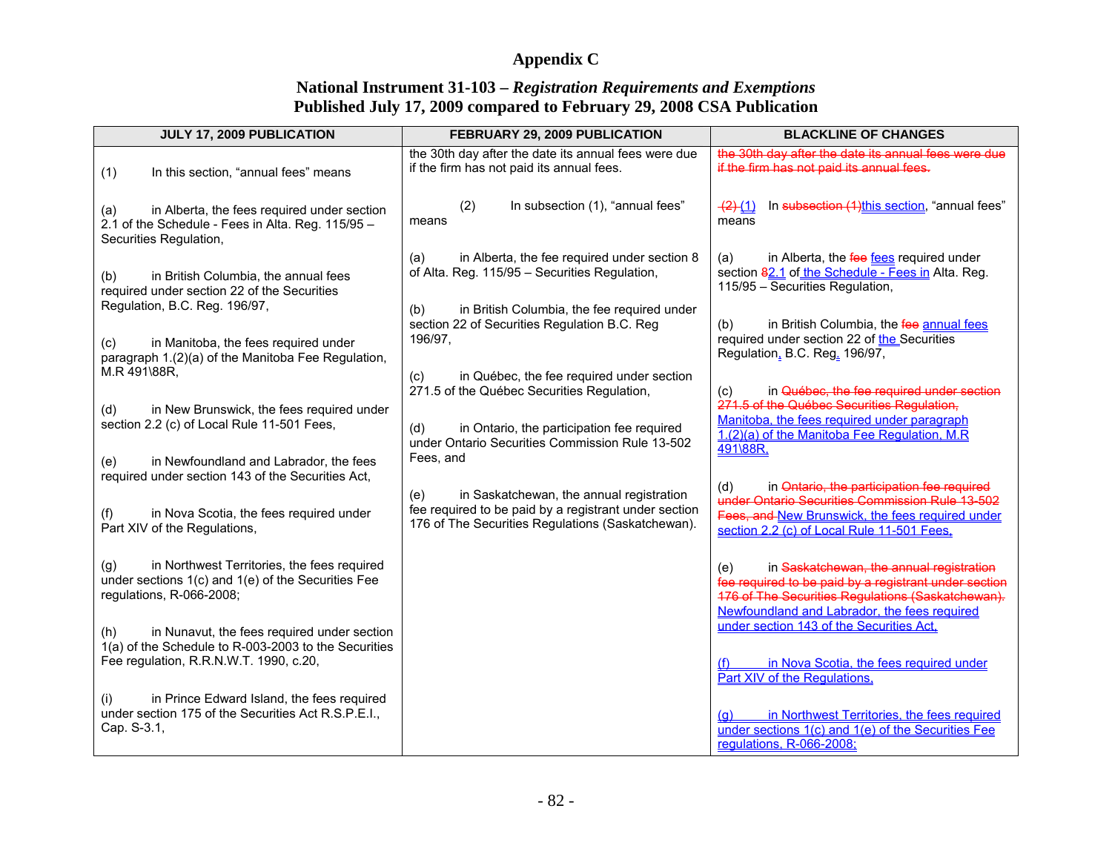| JULY 17, 2009 PUBLICATION                                                                                                                            | FEBRUARY 29, 2009 PUBLICATION                                                                                     | <b>BLACKLINE OF CHANGES</b>                                                                                                                                                                                   |
|------------------------------------------------------------------------------------------------------------------------------------------------------|-------------------------------------------------------------------------------------------------------------------|---------------------------------------------------------------------------------------------------------------------------------------------------------------------------------------------------------------|
| (1)<br>In this section, "annual fees" means                                                                                                          | the 30th day after the date its annual fees were due<br>if the firm has not paid its annual fees.                 | the 30th day after the date its annual fees were due<br>if the firm has not paid its annual fees.                                                                                                             |
| in Alberta, the fees required under section<br>(a)<br>2.1 of the Schedule - Fees in Alta. Reg. 115/95 -<br>Securities Regulation,                    | In subsection (1), "annual fees"<br>(2)<br>means                                                                  | In subsection (1)this section, "annual fees"<br>(2)(1)<br>means                                                                                                                                               |
| in British Columbia, the annual fees<br>(b)<br>required under section 22 of the Securities                                                           | in Alberta, the fee required under section 8<br>(a)<br>of Alta. Reg. 115/95 - Securities Regulation,              | in Alberta, the fee fees required under<br>(a)<br>section 82.1 of the Schedule - Fees in Alta. Reg.<br>115/95 - Securities Regulation,                                                                        |
| Regulation, B.C. Reg. 196/97,<br>in Manitoba, the fees required under<br>(c)<br>paragraph 1.(2)(a) of the Manitoba Fee Regulation,                   | in British Columbia, the fee required under<br>(b)<br>section 22 of Securities Regulation B.C. Reg<br>196/97.     | (b)<br>in British Columbia, the fee annual fees<br>required under section 22 of the Securities<br>Regulation, B.C. Reg. 196/97,                                                                               |
| M.R 491\88R,                                                                                                                                         | in Québec, the fee required under section<br>(c)<br>271.5 of the Québec Securities Regulation,                    | in Québec, the fee required under section<br>(C)<br>271.5 of the Québec Securities Regulation,                                                                                                                |
| in New Brunswick, the fees required under<br>(d)<br>section 2.2 (c) of Local Rule 11-501 Fees,                                                       | in Ontario, the participation fee required<br>(d)<br>under Ontario Securities Commission Rule 13-502<br>Fees, and | Manitoba, the fees required under paragraph<br>1.(2)(a) of the Manitoba Fee Regulation, M.R.<br>491\88R,                                                                                                      |
| in Newfoundland and Labrador, the fees<br>(e)<br>required under section 143 of the Securities Act,                                                   | in Saskatchewan, the annual registration<br>(e)                                                                   | in Ontario, the participation fee required<br>(d)<br>under Ontario Securities Commission Rule 13 502                                                                                                          |
| in Nova Scotia, the fees required under<br>(f)<br>Part XIV of the Regulations,                                                                       | fee required to be paid by a registrant under section<br>176 of The Securities Regulations (Saskatchewan).        | Fees, and New Brunswick, the fees required under<br>section 2.2 (c) of Local Rule 11-501 Fees,                                                                                                                |
| in Northwest Territories, the fees required<br>(g)<br>under sections 1(c) and 1(e) of the Securities Fee<br>regulations, R-066-2008;                 |                                                                                                                   | in Saskatchewan, the annual registration<br>(e)<br>fee required to be paid by a registrant under section<br>176 of The Securities Regulations (Saskatchewan).<br>Newfoundland and Labrador, the fees required |
| in Nunavut, the fees required under section<br>(h)<br>1(a) of the Schedule to R-003-2003 to the Securities<br>Fee regulation, R.R.N.W.T. 1990, c.20, |                                                                                                                   | under section 143 of the Securities Act,                                                                                                                                                                      |
| in Prince Edward Island, the fees required<br>(i)                                                                                                    |                                                                                                                   | in Nova Scotia, the fees required under<br>(f)<br>Part XIV of the Regulations,                                                                                                                                |
| under section 175 of the Securities Act R.S.P.E.I.,<br>Cap. S-3.1,                                                                                   |                                                                                                                   | in Northwest Territories, the fees required<br>(a)<br>under sections 1(c) and 1(e) of the Securities Fee<br>regulations, R-066-2008;                                                                          |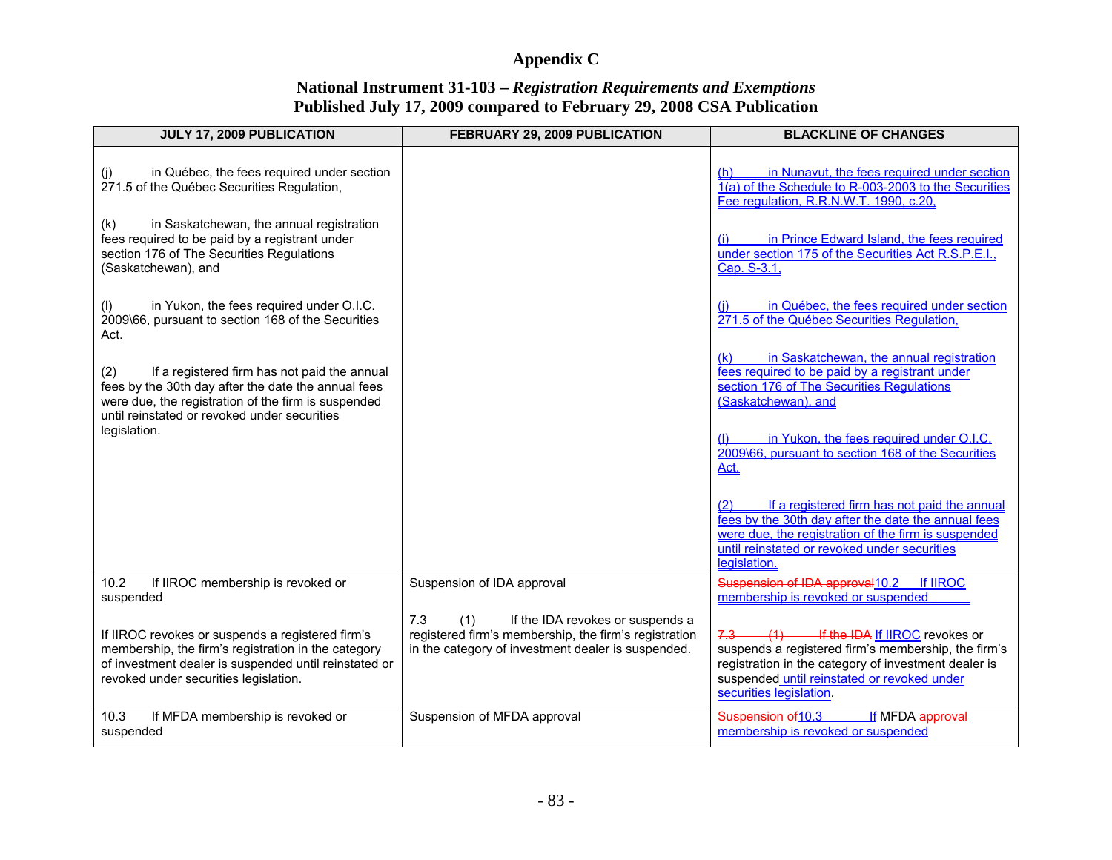| JULY 17, 2009 PUBLICATION                                                                                                                                                                                         | <b>FEBRUARY 29, 2009 PUBLICATION</b>                                                                                                                          | <b>BLACKLINE OF CHANGES</b>                                                                                                                                                                                                                      |
|-------------------------------------------------------------------------------------------------------------------------------------------------------------------------------------------------------------------|---------------------------------------------------------------------------------------------------------------------------------------------------------------|--------------------------------------------------------------------------------------------------------------------------------------------------------------------------------------------------------------------------------------------------|
| in Québec, the fees required under section<br>(j)<br>271.5 of the Québec Securities Regulation,                                                                                                                   |                                                                                                                                                               | in Nunavut, the fees required under section<br>(h)<br>1(a) of the Schedule to R-003-2003 to the Securities<br>Fee regulation, R.R.N.W.T. 1990, c.20,                                                                                             |
| in Saskatchewan, the annual registration<br>(k)<br>fees required to be paid by a registrant under<br>section 176 of The Securities Regulations<br>(Saskatchewan), and                                             |                                                                                                                                                               | in Prince Edward Island, the fees required<br>(i)<br>under section 175 of the Securities Act R.S.P.E.I.,<br>Cap. S-3.1,                                                                                                                          |
| in Yukon, the fees required under O.I.C.<br>(1)<br>2009\66, pursuant to section 168 of the Securities<br>Act.                                                                                                     |                                                                                                                                                               | in Québec, the fees required under section<br>$\mathbf{U}$<br>271.5 of the Québec Securities Regulation,                                                                                                                                         |
| If a registered firm has not paid the annual<br>(2)<br>fees by the 30th day after the date the annual fees<br>were due, the registration of the firm is suspended<br>until reinstated or revoked under securities |                                                                                                                                                               | in Saskatchewan, the annual registration<br>(k)<br>fees required to be paid by a registrant under<br>section 176 of The Securities Regulations<br>(Saskatchewan), and                                                                            |
| legislation.                                                                                                                                                                                                      |                                                                                                                                                               | in Yukon, the fees required under O.I.C.<br><u>(I)</u><br>2009\66, pursuant to section 168 of the Securities<br>Act.                                                                                                                             |
|                                                                                                                                                                                                                   |                                                                                                                                                               | If a registered firm has not paid the annual<br>(2)<br>fees by the 30th day after the date the annual fees<br>were due, the registration of the firm is suspended<br>until reinstated or revoked under securities<br>legislation.                |
| 10.2<br>If IIROC membership is revoked or<br>suspended                                                                                                                                                            | Suspension of IDA approval                                                                                                                                    | Suspension of IDA approval10.2<br><b>If IIROC</b><br>membership is revoked or suspended                                                                                                                                                          |
| If IIROC revokes or suspends a registered firm's<br>membership, the firm's registration in the category<br>of investment dealer is suspended until reinstated or<br>revoked under securities legislation.         | 7.3<br>If the IDA revokes or suspends a<br>(1)<br>registered firm's membership, the firm's registration<br>in the category of investment dealer is suspended. | - If the IDA If IIROC revokes or<br>$7.3 -$<br>$^{(4)}$<br>suspends a registered firm's membership, the firm's<br>registration in the category of investment dealer is<br>suspended until reinstated or revoked under<br>securities legislation. |
| 10.3<br>If MFDA membership is revoked or<br>suspended                                                                                                                                                             | Suspension of MFDA approval                                                                                                                                   | Suspension of 10.3<br>If MFDA approval<br>membership is revoked or suspended                                                                                                                                                                     |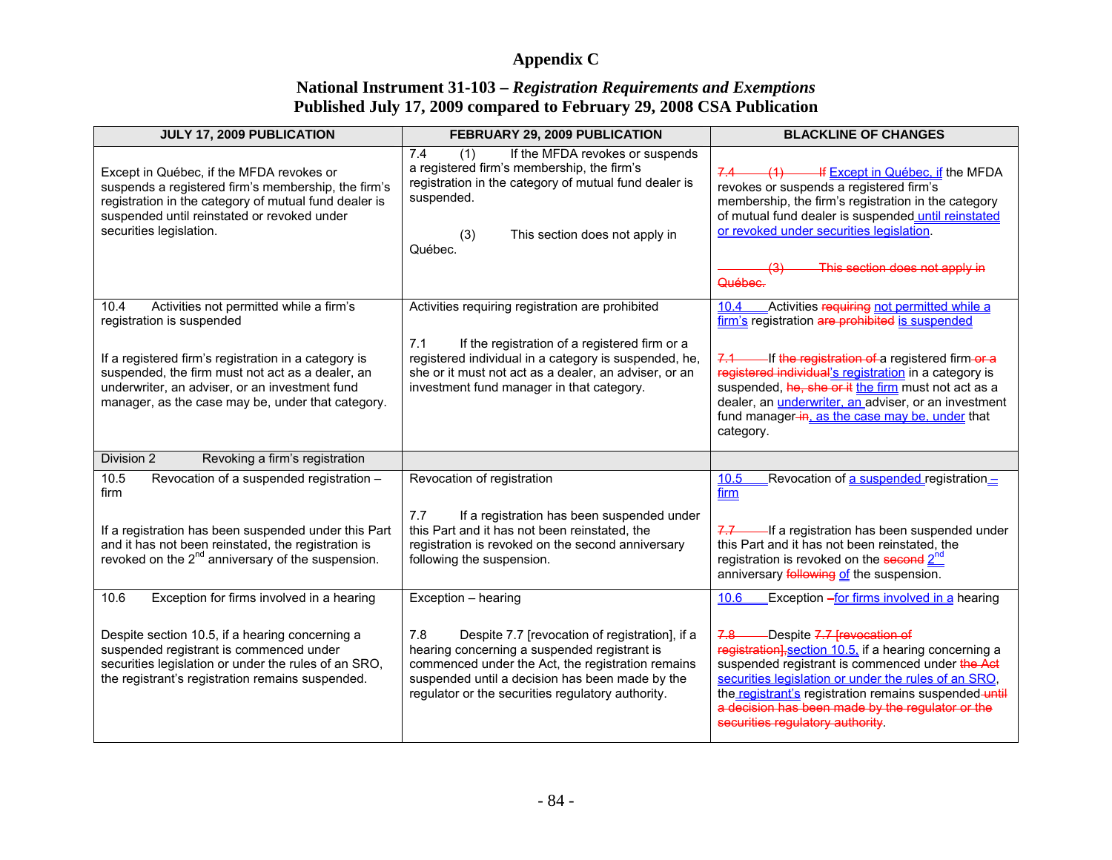| JULY 17, 2009 PUBLICATION                                                                                                                                                                                                          | <b>FEBRUARY 29, 2009 PUBLICATION</b>                                                                                                                                                                                                                               | <b>BLACKLINE OF CHANGES</b>                                                                                                                                                                                                                                                                                                                                  |
|------------------------------------------------------------------------------------------------------------------------------------------------------------------------------------------------------------------------------------|--------------------------------------------------------------------------------------------------------------------------------------------------------------------------------------------------------------------------------------------------------------------|--------------------------------------------------------------------------------------------------------------------------------------------------------------------------------------------------------------------------------------------------------------------------------------------------------------------------------------------------------------|
| Except in Québec, if the MFDA revokes or<br>suspends a registered firm's membership, the firm's<br>registration in the category of mutual fund dealer is<br>suspended until reinstated or revoked under<br>securities legislation. | 7.4<br>If the MFDA revokes or suspends<br>(1)<br>a registered firm's membership, the firm's<br>registration in the category of mutual fund dealer is<br>suspended.<br>This section does not apply in<br>(3)<br>Québec.                                             | (1) If Except in Québec, if the MFDA<br>revokes or suspends a registered firm's<br>membership, the firm's registration in the category<br>of mutual fund dealer is suspended until reinstated<br>or revoked under securities legislation.<br>This section does not apply in<br>Québec.                                                                       |
| 10.4<br>Activities not permitted while a firm's<br>registration is suspended                                                                                                                                                       | Activities requiring registration are prohibited                                                                                                                                                                                                                   | Activities requiring not permitted while a<br>10.4<br>firm's registration are prohibited is suspended                                                                                                                                                                                                                                                        |
| If a registered firm's registration in a category is<br>suspended, the firm must not act as a dealer, an<br>underwriter, an adviser, or an investment fund<br>manager, as the case may be, under that category.                    | 7.1<br>If the registration of a registered firm or a<br>registered individual in a category is suspended, he,<br>she or it must not act as a dealer, an adviser, or an<br>investment fund manager in that category.                                                | -If the registration of a registered firm or a<br>$7.1 -$<br>registered individual's registration in a category is<br>suspended, he, she or it the firm must not act as a<br>dealer, an <i>underwriter</i> , an adviser, or an investment<br>fund manager-in, as the case may be, under that<br>category.                                                    |
| Division 2<br>Revoking a firm's registration                                                                                                                                                                                       |                                                                                                                                                                                                                                                                    |                                                                                                                                                                                                                                                                                                                                                              |
| 10.5<br>Revocation of a suspended registration -<br>firm                                                                                                                                                                           | Revocation of registration                                                                                                                                                                                                                                         | 10.5<br>Revocation of a suspended registration -<br>firm                                                                                                                                                                                                                                                                                                     |
| If a registration has been suspended under this Part<br>and it has not been reinstated, the registration is<br>revoked on the 2 <sup>nd</sup> anniversary of the suspension.                                                       | If a registration has been suspended under<br>7.7<br>this Part and it has not been reinstated, the<br>registration is revoked on the second anniversary<br>following the suspension.                                                                               | -If a registration has been suspended under<br><del>7.7 -</del><br>this Part and it has not been reinstated, the<br>registration is revoked on the second 2 <sup>nd</sup><br>anniversary following of the suspension.                                                                                                                                        |
| 10.6<br>Exception for firms involved in a hearing                                                                                                                                                                                  | Exception - hearing                                                                                                                                                                                                                                                | 10.6<br>Exception -for firms involved in a hearing                                                                                                                                                                                                                                                                                                           |
| Despite section 10.5, if a hearing concerning a<br>suspended registrant is commenced under<br>securities legislation or under the rules of an SRO,<br>the registrant's registration remains suspended.                             | 7.8<br>Despite 7.7 [revocation of registration], if a<br>hearing concerning a suspended registrant is<br>commenced under the Act, the registration remains<br>suspended until a decision has been made by the<br>regulator or the securities regulatory authority. | -Despite 7.7 Frevocation of<br>$7.8 -$<br>registration], section 10.5, if a hearing concerning a<br>suspended registrant is commenced under the Act<br>securities legislation or under the rules of an SRO,<br>the registrant's registration remains suspended-until<br>a decision has been made by the requlator or the<br>securities regulatory authority. |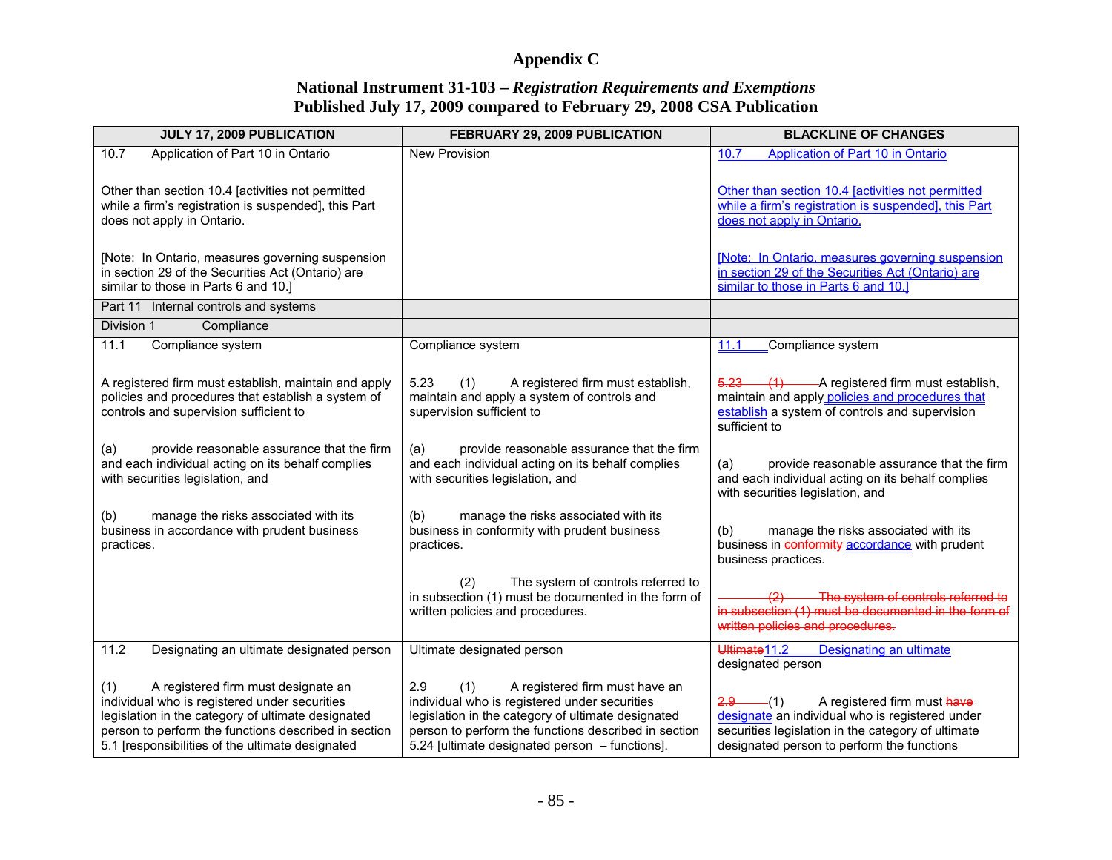| JULY 17, 2009 PUBLICATION                                                                                                                                                                                                                                     | FEBRUARY 29, 2009 PUBLICATION                                                                                                                                                                                                                                 | <b>BLACKLINE OF CHANGES</b>                                                                                                                                                                     |
|---------------------------------------------------------------------------------------------------------------------------------------------------------------------------------------------------------------------------------------------------------------|---------------------------------------------------------------------------------------------------------------------------------------------------------------------------------------------------------------------------------------------------------------|-------------------------------------------------------------------------------------------------------------------------------------------------------------------------------------------------|
| Application of Part 10 in Ontario<br>10.7                                                                                                                                                                                                                     | New Provision                                                                                                                                                                                                                                                 | <b>Application of Part 10 in Ontario</b><br>10.7                                                                                                                                                |
| Other than section 10.4 [activities not permitted<br>while a firm's registration is suspended], this Part<br>does not apply in Ontario.                                                                                                                       |                                                                                                                                                                                                                                                               | Other than section 10.4 [activities not permitted<br>while a firm's registration is suspended], this Part<br>does not apply in Ontario.                                                         |
| [Note: In Ontario, measures governing suspension<br>in section 29 of the Securities Act (Ontario) are<br>similar to those in Parts 6 and 10.]                                                                                                                 |                                                                                                                                                                                                                                                               | [Note: In Ontario, measures governing suspension<br>in section 29 of the Securities Act (Ontario) are<br>similar to those in Parts 6 and 10.]                                                   |
| Part 11 Internal controls and systems                                                                                                                                                                                                                         |                                                                                                                                                                                                                                                               |                                                                                                                                                                                                 |
| Division 1<br>Compliance                                                                                                                                                                                                                                      |                                                                                                                                                                                                                                                               |                                                                                                                                                                                                 |
| 11.1<br>Compliance system                                                                                                                                                                                                                                     | Compliance system                                                                                                                                                                                                                                             | Compliance system<br>11.1                                                                                                                                                                       |
| A registered firm must establish, maintain and apply<br>policies and procedures that establish a system of<br>controls and supervision sufficient to                                                                                                          | 5.23<br>(1)<br>A registered firm must establish,<br>maintain and apply a system of controls and<br>supervision sufficient to                                                                                                                                  | 5.23 (1) A registered firm must establish,<br>maintain and apply policies and procedures that<br>establish a system of controls and supervision<br>sufficient to                                |
| provide reasonable assurance that the firm<br>(a)<br>and each individual acting on its behalf complies<br>with securities legislation, and                                                                                                                    | provide reasonable assurance that the firm<br>(a)<br>and each individual acting on its behalf complies<br>with securities legislation, and                                                                                                                    | provide reasonable assurance that the firm<br>(a)<br>and each individual acting on its behalf complies<br>with securities legislation, and                                                      |
| manage the risks associated with its<br>(b)<br>business in accordance with prudent business<br>practices.                                                                                                                                                     | manage the risks associated with its<br>(b)<br>business in conformity with prudent business<br>practices.                                                                                                                                                     | manage the risks associated with its<br>(b)<br>business in conformity accordance with prudent<br>business practices.                                                                            |
|                                                                                                                                                                                                                                                               | The system of controls referred to<br>(2)<br>in subsection (1) must be documented in the form of<br>written policies and procedures.                                                                                                                          | (2) The system of controls referred to<br>in subsection (1) must be documented in the form of<br>written policies and procedures.                                                               |
| 11.2<br>Designating an ultimate designated person                                                                                                                                                                                                             | Ultimate designated person                                                                                                                                                                                                                                    | Ultimate 11.2<br>Designating an ultimate<br>designated person                                                                                                                                   |
| (1)<br>A registered firm must designate an<br>individual who is registered under securities<br>legislation in the category of ultimate designated<br>person to perform the functions described in section<br>5.1 [responsibilities of the ultimate designated | 2.9<br>(1)<br>A registered firm must have an<br>individual who is registered under securities<br>legislation in the category of ultimate designated<br>person to perform the functions described in section<br>5.24 [ultimate designated person - functions]. | $2.9$ (1)<br>A registered firm must have<br>designate an individual who is registered under<br>securities legislation in the category of ultimate<br>designated person to perform the functions |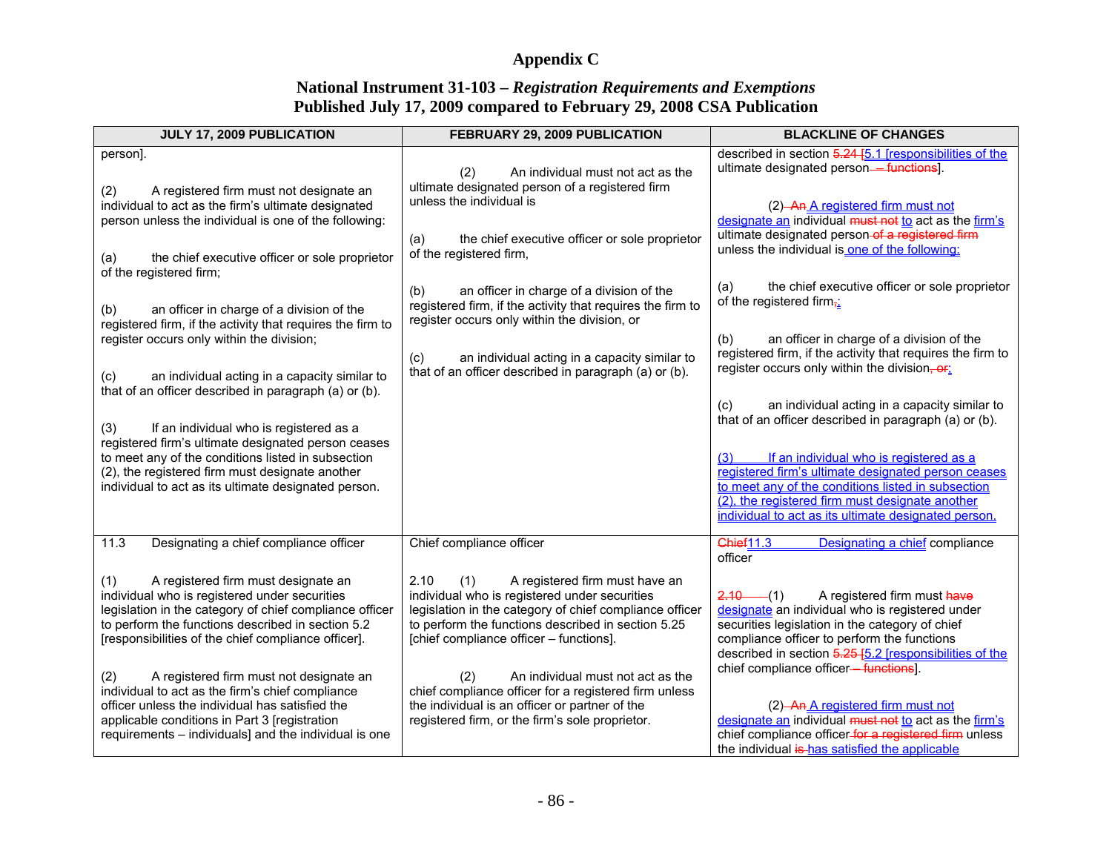| JULY 17, 2009 PUBLICATION                                                                                                                                                                                                                                          | FEBRUARY 29, 2009 PUBLICATION                                                                                                                                                                                                                              | <b>BLACKLINE OF CHANGES</b>                                                                                                                                                                                                                                |
|--------------------------------------------------------------------------------------------------------------------------------------------------------------------------------------------------------------------------------------------------------------------|------------------------------------------------------------------------------------------------------------------------------------------------------------------------------------------------------------------------------------------------------------|------------------------------------------------------------------------------------------------------------------------------------------------------------------------------------------------------------------------------------------------------------|
| person].                                                                                                                                                                                                                                                           | An individual must not act as the<br>(2)                                                                                                                                                                                                                   | described in section 5.24 [5.1] [responsibilities of the<br>ultimate designated person-functions].                                                                                                                                                         |
| A registered firm must not designate an<br>(2)<br>individual to act as the firm's ultimate designated<br>person unless the individual is one of the following:                                                                                                     | ultimate designated person of a registered firm<br>unless the individual is                                                                                                                                                                                | (2) An A registered firm must not<br>designate an individual must not to act as the firm's                                                                                                                                                                 |
| the chief executive officer or sole proprietor<br>(a)<br>of the registered firm;                                                                                                                                                                                   | the chief executive officer or sole proprietor<br>(a)<br>of the registered firm,                                                                                                                                                                           | ultimate designated person-of a registered firm<br>unless the individual is one of the following:                                                                                                                                                          |
| an officer in charge of a division of the<br>(b)<br>registered firm, if the activity that requires the firm to                                                                                                                                                     | an officer in charge of a division of the<br>(b)<br>registered firm, if the activity that requires the firm to<br>register occurs only within the division, or                                                                                             | the chief executive officer or sole proprietor<br>(a)<br>of the registered firm,:                                                                                                                                                                          |
| register occurs only within the division;<br>an individual acting in a capacity similar to<br>(c)                                                                                                                                                                  | an individual acting in a capacity similar to<br>(c)<br>that of an officer described in paragraph (a) or (b).                                                                                                                                              | (b)<br>an officer in charge of a division of the<br>registered firm, if the activity that requires the firm to<br>register occurs only within the division, or:                                                                                            |
| that of an officer described in paragraph (a) or (b).                                                                                                                                                                                                              |                                                                                                                                                                                                                                                            | an individual acting in a capacity similar to<br>(C)                                                                                                                                                                                                       |
| If an individual who is registered as a<br>(3)<br>registered firm's ultimate designated person ceases                                                                                                                                                              |                                                                                                                                                                                                                                                            | that of an officer described in paragraph (a) or (b).                                                                                                                                                                                                      |
| to meet any of the conditions listed in subsection<br>(2), the registered firm must designate another<br>individual to act as its ultimate designated person.                                                                                                      |                                                                                                                                                                                                                                                            | If an individual who is registered as a<br>(3)<br>registered firm's ultimate designated person ceases<br>to meet any of the conditions listed in subsection<br>(2), the registered firm must designate another                                             |
|                                                                                                                                                                                                                                                                    |                                                                                                                                                                                                                                                            | individual to act as its ultimate designated person.                                                                                                                                                                                                       |
| 11.3<br>Designating a chief compliance officer                                                                                                                                                                                                                     | Chief compliance officer                                                                                                                                                                                                                                   | <b>Chief11.3</b><br>Designating a chief compliance<br>officer                                                                                                                                                                                              |
| A registered firm must designate an<br>(1)<br>individual who is registered under securities<br>legislation in the category of chief compliance officer<br>to perform the functions described in section 5.2<br>[responsibilities of the chief compliance officer]. | 2.10<br>A registered firm must have an<br>(1)<br>individual who is registered under securities<br>legislation in the category of chief compliance officer<br>to perform the functions described in section 5.25<br>[chief compliance officer - functions]. | $2.10$ (1)<br>A registered firm must have<br>designate an individual who is registered under<br>securities legislation in the category of chief<br>compliance officer to perform the functions<br>described in section 5.25 [5.2] [responsibilities of the |
| A registered firm must not designate an<br>(2)<br>individual to act as the firm's chief compliance<br>officer unless the individual has satisfied the<br>applicable conditions in Part 3 [registration<br>requirements - individuals] and the individual is one    | An individual must not act as the<br>(2)<br>chief compliance officer for a registered firm unless<br>the individual is an officer or partner of the<br>registered firm, or the firm's sole proprietor.                                                     | chief compliance officer-functions].<br>(2) An A registered firm must not<br>designate an individual must not to act as the firm's<br>chief compliance officer-for a registered firm unless<br>the individual is has satisfied the applicable              |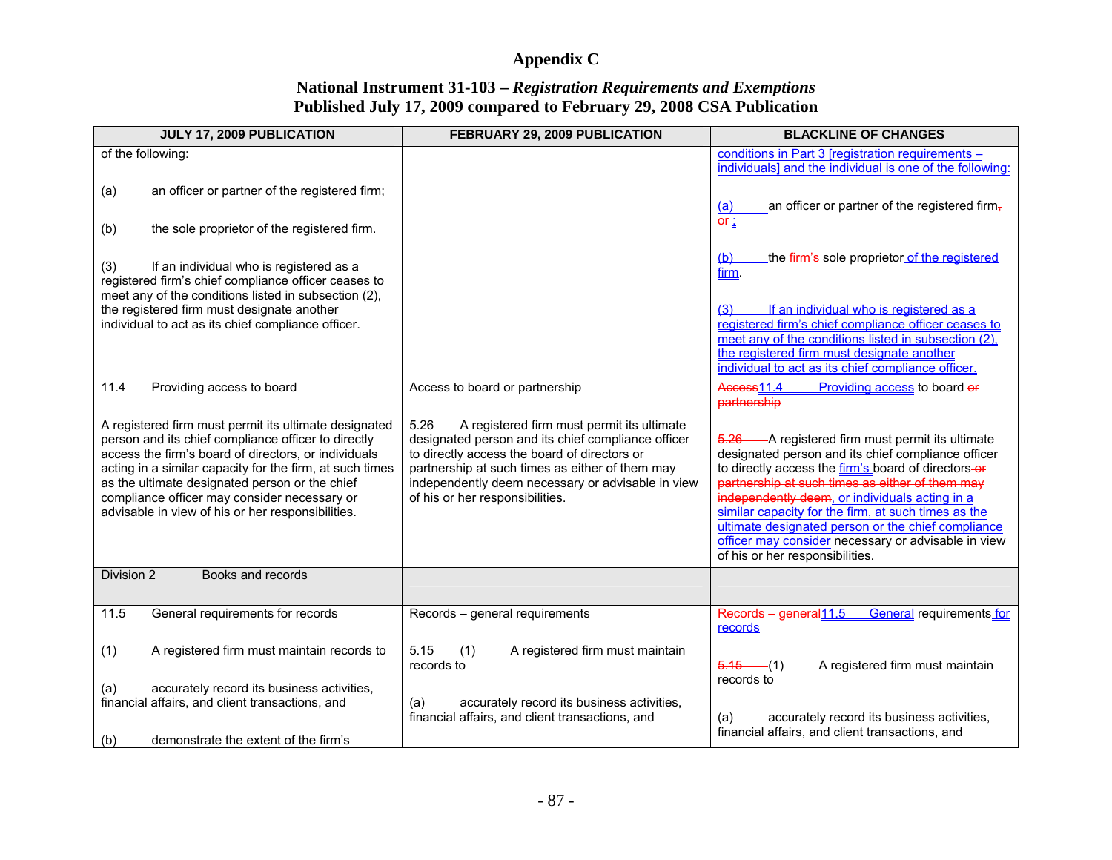| JULY 17, 2009 PUBLICATION                                                                                                                                                                                                                                                                                                                                                               | <b>FEBRUARY 29, 2009 PUBLICATION</b>                                                                                                                                                                                                                                                                | <b>BLACKLINE OF CHANGES</b>                                                                                                                                                                                                                                                                                                                                                                                                                                                |
|-----------------------------------------------------------------------------------------------------------------------------------------------------------------------------------------------------------------------------------------------------------------------------------------------------------------------------------------------------------------------------------------|-----------------------------------------------------------------------------------------------------------------------------------------------------------------------------------------------------------------------------------------------------------------------------------------------------|----------------------------------------------------------------------------------------------------------------------------------------------------------------------------------------------------------------------------------------------------------------------------------------------------------------------------------------------------------------------------------------------------------------------------------------------------------------------------|
| of the following:                                                                                                                                                                                                                                                                                                                                                                       |                                                                                                                                                                                                                                                                                                     | conditions in Part 3 [registration requirements -<br>individuals] and the individual is one of the following:                                                                                                                                                                                                                                                                                                                                                              |
| an officer or partner of the registered firm;<br>(a)                                                                                                                                                                                                                                                                                                                                    |                                                                                                                                                                                                                                                                                                     | an officer or partner of the registered firm-<br><u>(a)</u>                                                                                                                                                                                                                                                                                                                                                                                                                |
| the sole proprietor of the registered firm.<br>(b)                                                                                                                                                                                                                                                                                                                                      |                                                                                                                                                                                                                                                                                                     | $\theta$ <sup><math>\vdash</math></sup> $\vdots$                                                                                                                                                                                                                                                                                                                                                                                                                           |
| (3)<br>If an individual who is registered as a<br>registered firm's chief compliance officer ceases to<br>meet any of the conditions listed in subsection (2),                                                                                                                                                                                                                          |                                                                                                                                                                                                                                                                                                     | the firm's sole proprietor of the registered<br><u>(b)</u><br>firm.                                                                                                                                                                                                                                                                                                                                                                                                        |
| the registered firm must designate another<br>individual to act as its chief compliance officer.                                                                                                                                                                                                                                                                                        |                                                                                                                                                                                                                                                                                                     | If an individual who is registered as a<br>(3)<br>registered firm's chief compliance officer ceases to<br>meet any of the conditions listed in subsection (2),                                                                                                                                                                                                                                                                                                             |
|                                                                                                                                                                                                                                                                                                                                                                                         |                                                                                                                                                                                                                                                                                                     | the registered firm must designate another<br>individual to act as its chief compliance officer.                                                                                                                                                                                                                                                                                                                                                                           |
| 11.4<br>Providing access to board                                                                                                                                                                                                                                                                                                                                                       | Access to board or partnership                                                                                                                                                                                                                                                                      | Access <sub>11.4</sub><br>Providing access to board or<br>partnership                                                                                                                                                                                                                                                                                                                                                                                                      |
| A registered firm must permit its ultimate designated<br>person and its chief compliance officer to directly<br>access the firm's board of directors, or individuals<br>acting in a similar capacity for the firm, at such times<br>as the ultimate designated person or the chief<br>compliance officer may consider necessary or<br>advisable in view of his or her responsibilities. | 5.26<br>A registered firm must permit its ultimate<br>designated person and its chief compliance officer<br>to directly access the board of directors or<br>partnership at such times as either of them may<br>independently deem necessary or advisable in view<br>of his or her responsibilities. | 5.26 - A registered firm must permit its ultimate<br>designated person and its chief compliance officer<br>to directly access the firm's board of directors-or<br>partnership at such times as either of them may<br>independently deem, or individuals acting in a<br>similar capacity for the firm, at such times as the<br>ultimate designated person or the chief compliance<br>officer may consider necessary or advisable in view<br>of his or her responsibilities. |
| Division 2<br>Books and records                                                                                                                                                                                                                                                                                                                                                         |                                                                                                                                                                                                                                                                                                     |                                                                                                                                                                                                                                                                                                                                                                                                                                                                            |
| 11.5<br>General requirements for records                                                                                                                                                                                                                                                                                                                                                | Records - general requirements                                                                                                                                                                                                                                                                      | Records-<br>general <sub>11.5</sub><br><b>General</b> requirements for<br>records                                                                                                                                                                                                                                                                                                                                                                                          |
| A registered firm must maintain records to<br>(1)                                                                                                                                                                                                                                                                                                                                       | 5.15<br>(1)<br>A registered firm must maintain<br>records to                                                                                                                                                                                                                                        | A registered firm must maintain<br>$6.15$ (1)<br>records to                                                                                                                                                                                                                                                                                                                                                                                                                |
| accurately record its business activities.<br>(a)<br>financial affairs, and client transactions, and                                                                                                                                                                                                                                                                                    | accurately record its business activities,<br>(a)<br>financial affairs, and client transactions, and                                                                                                                                                                                                | accurately record its business activities,<br>(a)                                                                                                                                                                                                                                                                                                                                                                                                                          |
| demonstrate the extent of the firm's<br>(b)                                                                                                                                                                                                                                                                                                                                             |                                                                                                                                                                                                                                                                                                     | financial affairs, and client transactions, and                                                                                                                                                                                                                                                                                                                                                                                                                            |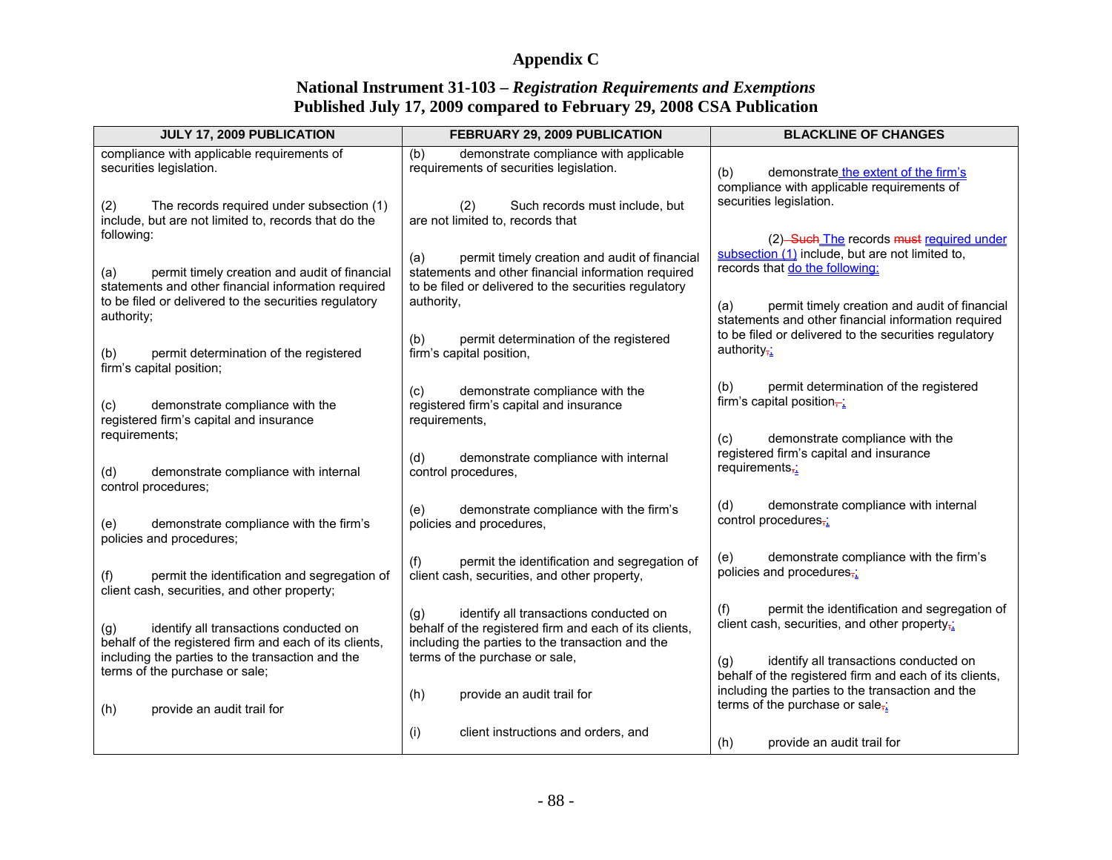| JULY 17, 2009 PUBLICATION                                                                                              | FEBRUARY 29, 2009 PUBLICATION                                                                                                                                        | <b>BLACKLINE OF CHANGES</b>                                                                                                                                          |
|------------------------------------------------------------------------------------------------------------------------|----------------------------------------------------------------------------------------------------------------------------------------------------------------------|----------------------------------------------------------------------------------------------------------------------------------------------------------------------|
| compliance with applicable requirements of<br>securities legislation.                                                  | (b)<br>demonstrate compliance with applicable<br>requirements of securities legislation.                                                                             | (b)<br>demonstrate the extent of the firm's<br>compliance with applicable requirements of                                                                            |
| The records required under subsection (1)<br>(2)<br>include, but are not limited to, records that do the<br>following: | Such records must include, but<br>(2)<br>are not limited to, records that                                                                                            | securities legislation.<br>(2) Such The records must required under                                                                                                  |
| permit timely creation and audit of financial<br>(a)<br>statements and other financial information required            | permit timely creation and audit of financial<br>(a)<br>statements and other financial information required<br>to be filed or delivered to the securities regulatory | subsection (1) include, but are not limited to,<br>records that do the following:                                                                                    |
| to be filed or delivered to the securities regulatory<br>authority;                                                    | authority,                                                                                                                                                           | permit timely creation and audit of financial<br>(a)<br>statements and other financial information required<br>to be filed or delivered to the securities regulatory |
| permit determination of the registered<br>(b)<br>firm's capital position;                                              | permit determination of the registered<br>(b)<br>firm's capital position,                                                                                            | authority <sub>7</sub> :                                                                                                                                             |
| demonstrate compliance with the<br>(c)<br>registered firm's capital and insurance                                      | demonstrate compliance with the<br>(c)<br>registered firm's capital and insurance<br>requirements,                                                                   | permit determination of the registered<br>(b)<br>firm's capital position $\frac{1}{r+1}$                                                                             |
| requirements;<br>demonstrate compliance with internal<br>(d)                                                           | demonstrate compliance with internal<br>(d)<br>control procedures,                                                                                                   | demonstrate compliance with the<br>(c)<br>registered firm's capital and insurance<br>requirements;                                                                   |
| control procedures;                                                                                                    | demonstrate compliance with the firm's<br>(e)                                                                                                                        | demonstrate compliance with internal<br>(d)                                                                                                                          |
| demonstrate compliance with the firm's<br>(e)<br>policies and procedures;                                              | policies and procedures,                                                                                                                                             | control procedures $\frac{1}{2}$                                                                                                                                     |
| permit the identification and segregation of<br>(f)<br>client cash, securities, and other property;                    | permit the identification and segregation of<br>(f)<br>client cash, securities, and other property,                                                                  | demonstrate compliance with the firm's<br>(e)<br>policies and procedures,;                                                                                           |
| identify all transactions conducted on<br>(g)<br>behalf of the registered firm and each of its clients,                | identify all transactions conducted on<br>(g)<br>behalf of the registered firm and each of its clients,<br>including the parties to the transaction and the          | permit the identification and segregation of<br>(f)<br>client cash, securities, and other property <sub>7</sub> :                                                    |
| including the parties to the transaction and the<br>terms of the purchase or sale;                                     | terms of the purchase or sale,                                                                                                                                       | identify all transactions conducted on<br>(g)<br>behalf of the registered firm and each of its clients,                                                              |
| (h)<br>provide an audit trail for                                                                                      | (h)<br>provide an audit trail for                                                                                                                                    | including the parties to the transaction and the<br>terms of the purchase or sale <sub><math>\vec{i}</math></sub>                                                    |
|                                                                                                                        | (i)<br>client instructions and orders, and                                                                                                                           | provide an audit trail for<br>(h)                                                                                                                                    |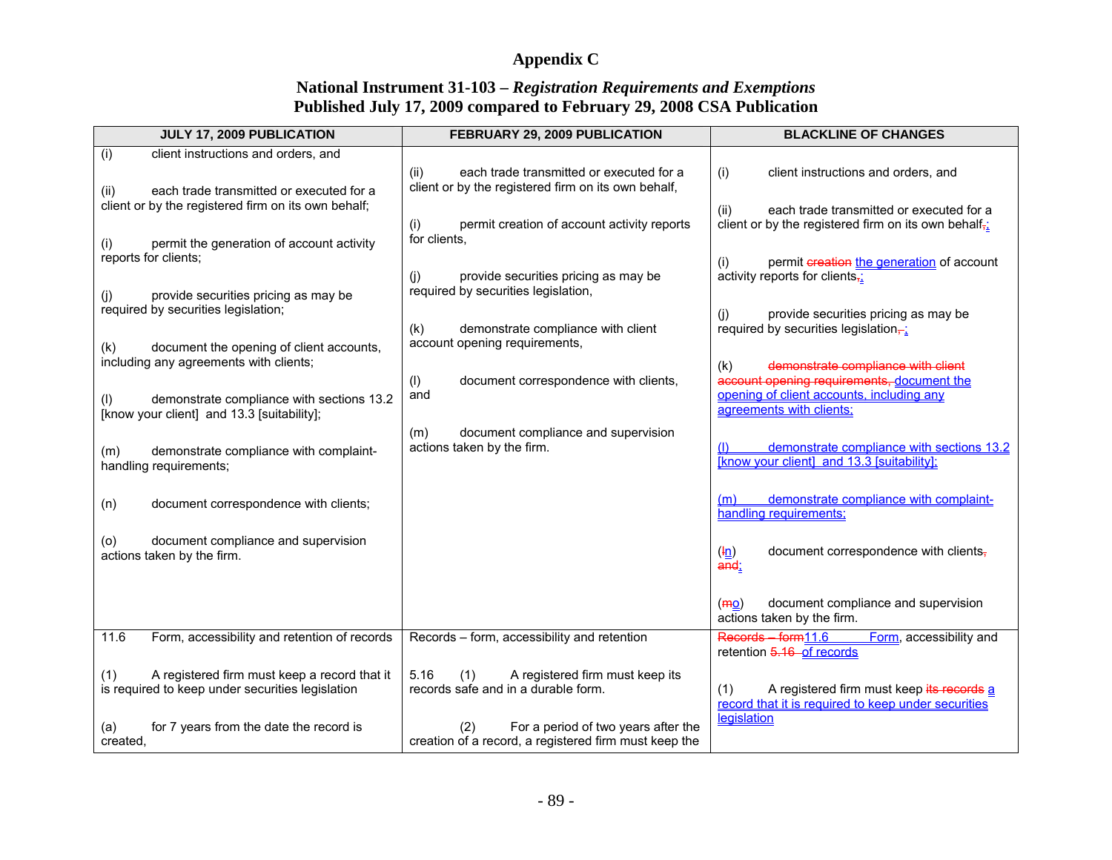| JULY 17, 2009 PUBLICATION                                                | <b>FEBRUARY 29, 2009 PUBLICATION</b>                                                                    | <b>BLACKLINE OF CHANGES</b>                                                                       |
|--------------------------------------------------------------------------|---------------------------------------------------------------------------------------------------------|---------------------------------------------------------------------------------------------------|
| (i)<br>client instructions and orders, and                               |                                                                                                         |                                                                                                   |
| each trade transmitted or executed for a<br>(ii)                         | (ii)<br>each trade transmitted or executed for a<br>client or by the registered firm on its own behalf, | (i)<br>client instructions and orders, and                                                        |
| client or by the registered firm on its own behalf;                      |                                                                                                         | each trade transmitted or executed for a<br>(ii)                                                  |
| permit the generation of account activity<br>(i)                         | permit creation of account activity reports<br>(i)<br>for clients.                                      | client or by the registered firm on its own behalf <sub><math>\frac{1}{2}</math></sub>            |
| reports for clients;                                                     | provide securities pricing as may be<br>(i)                                                             | permit creation the generation of account<br>(i)<br>activity reports for clients-:                |
| provide securities pricing as may be<br>(j)                              | required by securities legislation,                                                                     |                                                                                                   |
| required by securities legislation;                                      | demonstrate compliance with client<br>(k)                                                               | provide securities pricing as may be<br>(j)<br>required by securities legislation $\frac{1}{r}$ : |
| document the opening of client accounts,<br>(k)                          | account opening requirements,                                                                           |                                                                                                   |
| including any agreements with clients;                                   |                                                                                                         | demonstrate compliance with client<br>(k)<br>account opening requirements, document the           |
| demonstrate compliance with sections 13.2<br>(1)                         | (1)<br>document correspondence with clients,<br>and                                                     | opening of client accounts, including any                                                         |
| [know your client] and 13.3 [suitability];                               |                                                                                                         | agreements with clients;                                                                          |
| demonstrate compliance with complaint-<br>(m)                            | (m)<br>document compliance and supervision<br>actions taken by the firm.                                | demonstrate compliance with sections 13.2<br>(1)                                                  |
| handling requirements;                                                   |                                                                                                         | [know your client] and 13.3 [suitability];                                                        |
| document correspondence with clients;<br>(n)                             |                                                                                                         | demonstrate compliance with complaint-<br>(m)                                                     |
|                                                                          |                                                                                                         | handling requirements;                                                                            |
| document compliance and supervision<br>(0)<br>actions taken by the firm. |                                                                                                         | $(\ln)$<br>document correspondence with clients,                                                  |
|                                                                          |                                                                                                         | and;                                                                                              |
|                                                                          |                                                                                                         | document compliance and supervision<br>(m <sub>0</sub> )                                          |
|                                                                          |                                                                                                         | actions taken by the firm.                                                                        |
| 11.6<br>Form, accessibility and retention of records                     | Records - form, accessibility and retention                                                             | Records form11.6<br>Form, accessibility and<br>retention 5.16 of records                          |
| A registered firm must keep a record that it<br>(1)                      | 5.16<br>A registered firm must keep its<br>(1)                                                          |                                                                                                   |
| is required to keep under securities legislation                         | records safe and in a durable form.                                                                     | A registered firm must keep its records a<br>(1)                                                  |
|                                                                          |                                                                                                         | record that it is required to keep under securities<br>legislation                                |
| for 7 years from the date the record is<br>(a)<br>created,               | For a period of two years after the<br>(2)<br>creation of a record, a registered firm must keep the     |                                                                                                   |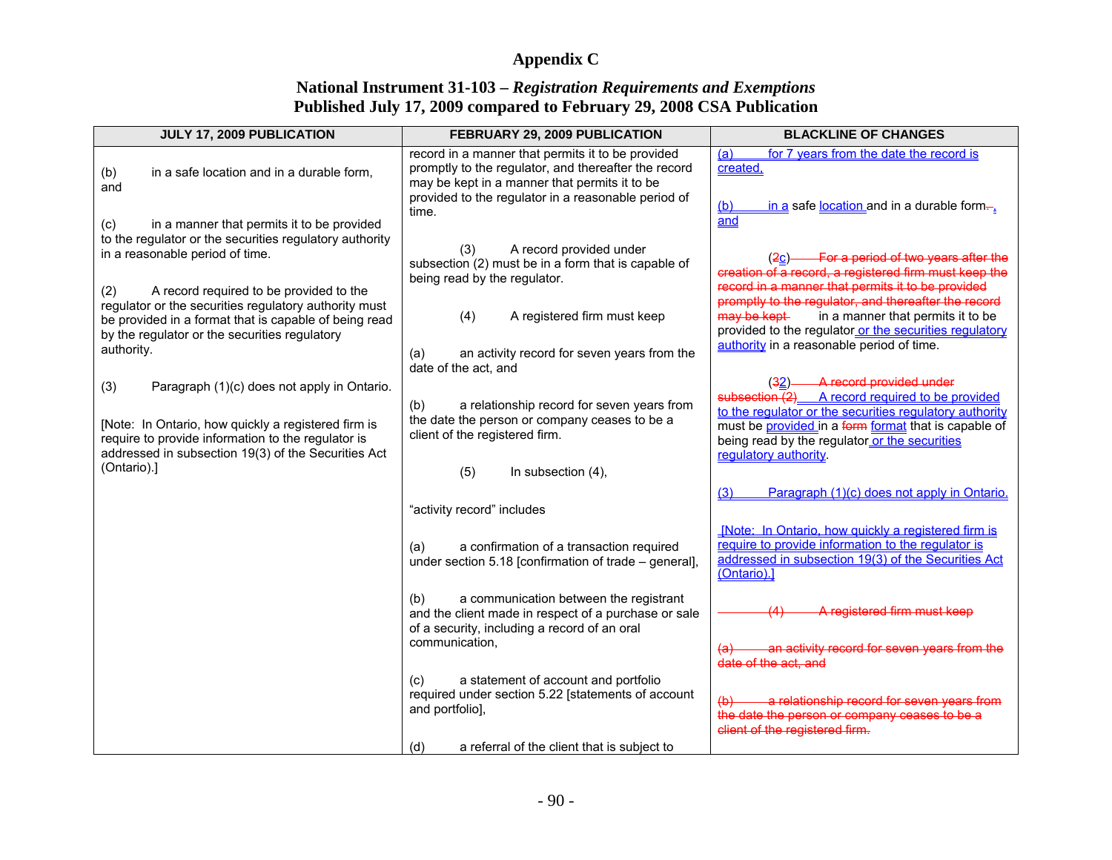| JULY 17, 2009 PUBLICATION                                                                                                                                                                                                             | FEBRUARY 29, 2009 PUBLICATION                                                                                                                                                                                              | <b>BLACKLINE OF CHANGES</b>                                                                                                                                                                                                                                                          |
|---------------------------------------------------------------------------------------------------------------------------------------------------------------------------------------------------------------------------------------|----------------------------------------------------------------------------------------------------------------------------------------------------------------------------------------------------------------------------|--------------------------------------------------------------------------------------------------------------------------------------------------------------------------------------------------------------------------------------------------------------------------------------|
| (b)<br>in a safe location and in a durable form,<br>and                                                                                                                                                                               | record in a manner that permits it to be provided<br>promptly to the regulator, and thereafter the record<br>may be kept in a manner that permits it to be<br>provided to the regulator in a reasonable period of<br>time. | for 7 years from the date the record is<br>(a)<br>created<br>in a safe location and in a durable form $_{\leftarrow\ast}$<br><u>(b)</u>                                                                                                                                              |
| in a manner that permits it to be provided<br>(c)<br>to the regulator or the securities regulatory authority<br>in a reasonable period of time.                                                                                       | A record provided under<br>(3)<br>subsection (2) must be in a form that is capable of<br>being read by the regulator.                                                                                                      | and<br>For a period of two years after the<br>(2c)<br>creation of a record, a registered firm must keep the                                                                                                                                                                          |
| (2)<br>A record required to be provided to the<br>regulator or the securities regulatory authority must<br>be provided in a format that is capable of being read<br>by the regulator or the securities regulatory<br>authority.       | A registered firm must keep<br>(4)<br>an activity record for seven years from the<br>(a)<br>date of the act, and                                                                                                           | record in a manner that permits it to be provided<br>promptly to the requlator, and thereafter the record<br>may be kept<br>in a manner that permits it to be<br>provided to the regulator or the securities regulatory<br>authority in a reasonable period of time.                 |
| (3)<br>Paragraph (1)(c) does not apply in Ontario.<br>[Note: In Ontario, how quickly a registered firm is<br>require to provide information to the regulator is<br>addressed in subsection 19(3) of the Securities Act<br>(Ontario).] | a relationship record for seven years from<br>(b)<br>the date the person or company ceases to be a<br>client of the registered firm.                                                                                       | A record provided under<br>(32)<br>subsection $(2)$<br>A record required to be provided<br>to the regulator or the securities regulatory authority<br>must be provided in a form format that is capable of<br>being read by the regulator or the securities<br>regulatory authority. |
|                                                                                                                                                                                                                                       | (5)<br>In subsection (4),                                                                                                                                                                                                  |                                                                                                                                                                                                                                                                                      |
|                                                                                                                                                                                                                                       | "activity record" includes                                                                                                                                                                                                 | Paragraph (1)(c) does not apply in Ontario.<br>(3)                                                                                                                                                                                                                                   |
|                                                                                                                                                                                                                                       | a confirmation of a transaction required<br>(a)<br>under section 5.18 [confirmation of trade - general],                                                                                                                   | [Note: In Ontario, how quickly a registered firm is<br>require to provide information to the regulator is<br>addressed in subsection 19(3) of the Securities Act<br>(Ontario).]                                                                                                      |
|                                                                                                                                                                                                                                       | a communication between the registrant<br>(b)<br>and the client made in respect of a purchase or sale<br>of a security, including a record of an oral                                                                      | A registered firm must keep<br>(4)                                                                                                                                                                                                                                                   |
|                                                                                                                                                                                                                                       | communication,                                                                                                                                                                                                             | an activity record for seven years from the<br>date of the act, and                                                                                                                                                                                                                  |
|                                                                                                                                                                                                                                       | a statement of account and portfolio<br>(c)<br>required under section 5.22 [statements of account<br>and portfolio],                                                                                                       | a relationship record for seven years from<br>the date the person or company ceases to be a<br>client of the registered firm.                                                                                                                                                        |
|                                                                                                                                                                                                                                       | a referral of the client that is subject to<br>(d)                                                                                                                                                                         |                                                                                                                                                                                                                                                                                      |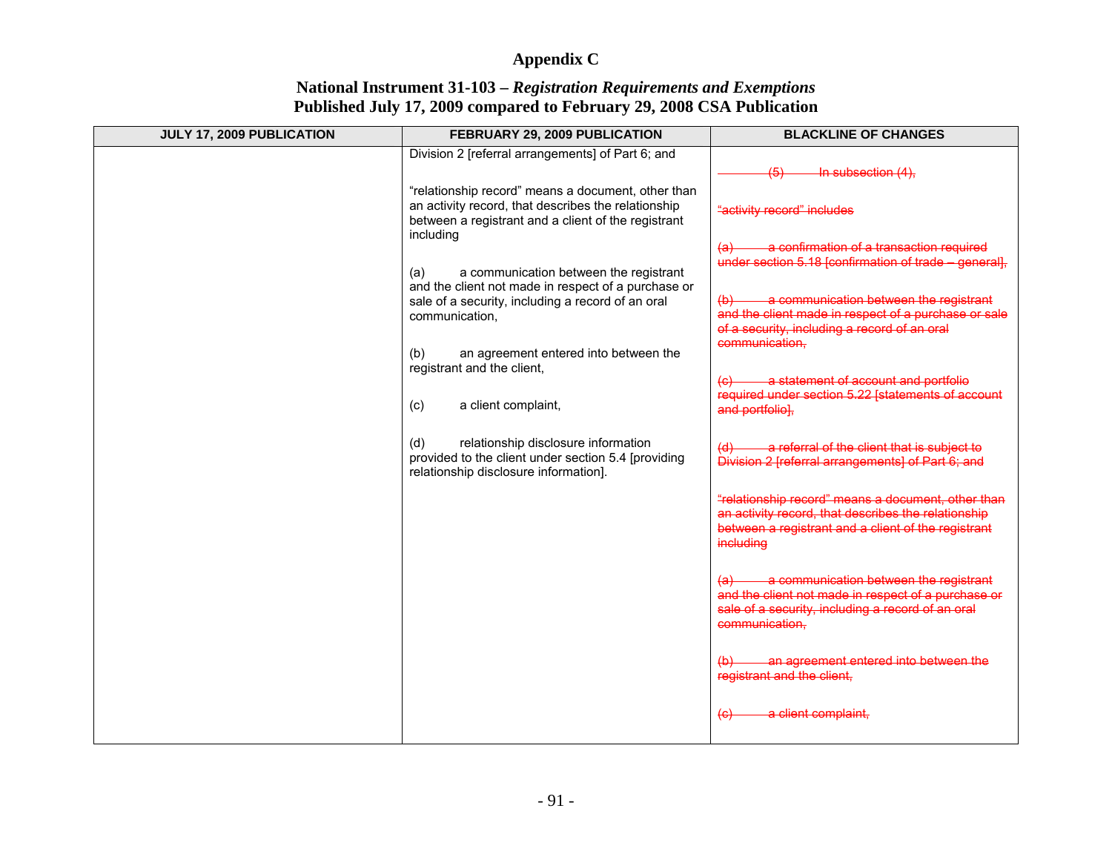| JULY 17, 2009 PUBLICATION | <b>FEBRUARY 29, 2009 PUBLICATION</b>                                                                                                                                          | <b>BLACKLINE OF CHANGES</b>                                                                                                                                                                                |
|---------------------------|-------------------------------------------------------------------------------------------------------------------------------------------------------------------------------|------------------------------------------------------------------------------------------------------------------------------------------------------------------------------------------------------------|
|                           | Division 2 [referral arrangements] of Part 6; and                                                                                                                             |                                                                                                                                                                                                            |
|                           |                                                                                                                                                                               | In subsection (4),                                                                                                                                                                                         |
|                           | "relationship record" means a document, other than<br>an activity record, that describes the relationship<br>between a registrant and a client of the registrant<br>including | "activity record" includes                                                                                                                                                                                 |
|                           | a communication between the registrant<br>(a)<br>and the client not made in respect of a purchase or                                                                          | a confirmation of a transaction required<br>$\overline{a}$<br>under section 5.18 [confirmation of trade general],                                                                                          |
|                           | sale of a security, including a record of an oral<br>communication.                                                                                                           | a communication between the registrant<br>$\left( \downarrow \downarrow \right)$<br>and the client made in respect of a purchase or sale<br>of a security, including a record of an oral<br>communication. |
|                           | (b)<br>an agreement entered into between the<br>registrant and the client,                                                                                                    |                                                                                                                                                                                                            |
|                           | a client complaint,<br>(c)                                                                                                                                                    | a statement of account and portfolio<br>$\left( \Theta \right)$<br>required under section 5.22 Istatements of account<br>and portfolio],                                                                   |
|                           | relationship disclosure information<br>(d)<br>provided to the client under section 5.4 [providing<br>relationship disclosure information].                                    | a referral of the client that is subject to<br>$\overline{d}$<br>Division 2 [referral arrangements] of Part 6; and                                                                                         |
|                           |                                                                                                                                                                               | "relationship record" means a document, other than<br>an activity record, that describes the relationship<br>between a registrant and a client of the registrant<br>including                              |
|                           |                                                                                                                                                                               | a communication between the registrant<br>and the client not made in respect of a purchase or<br>sale of a security, including a record of an oral<br>communication,                                       |
|                           |                                                                                                                                                                               | an agreement entered into between the<br>registrant and the client.                                                                                                                                        |
|                           |                                                                                                                                                                               | a client complaint.<br>$\left( \Theta \right)$                                                                                                                                                             |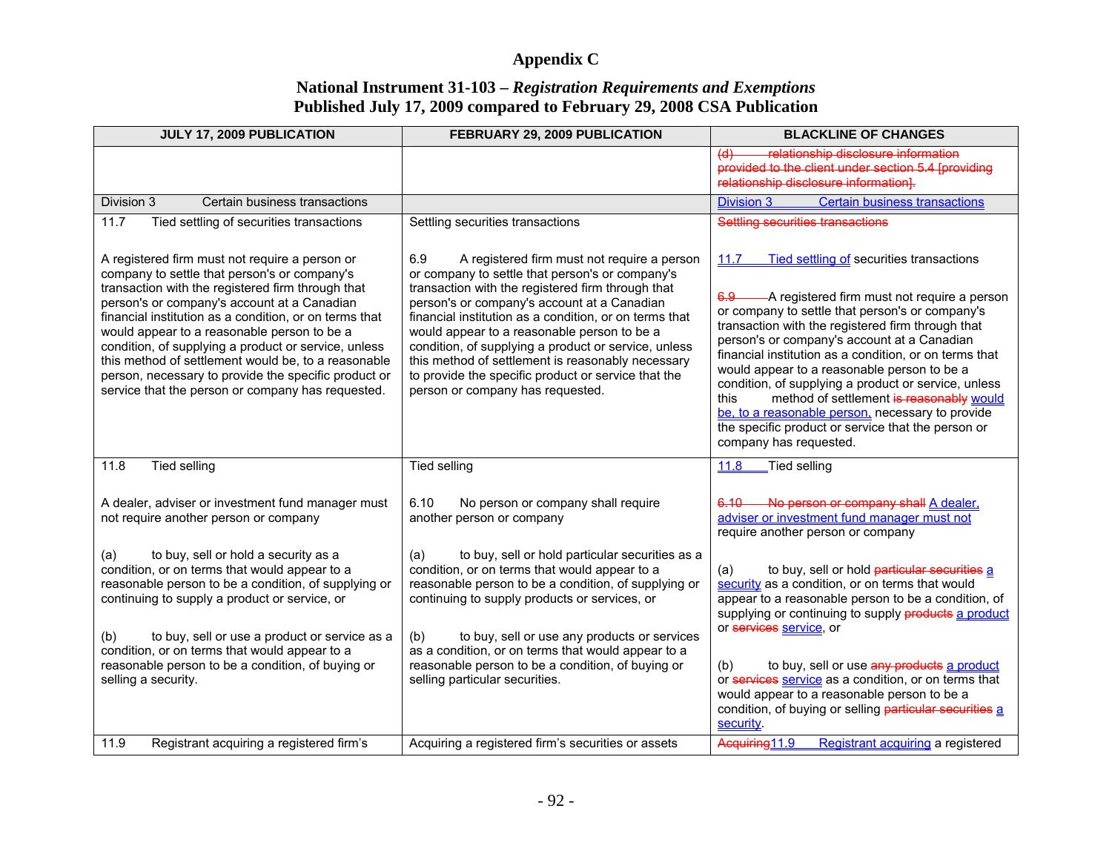| JULY 17, 2009 PUBLICATION                                                                                                                                                                                                                                                                                                                                                                                                                                                      | <b>FEBRUARY 29, 2009 PUBLICATION</b>                                                                                                                                                                                                                                                                                                                                                                                                                                | <b>BLACKLINE OF CHANGES</b>                                                                                                                                                                                                                                                                                                                                      |
|--------------------------------------------------------------------------------------------------------------------------------------------------------------------------------------------------------------------------------------------------------------------------------------------------------------------------------------------------------------------------------------------------------------------------------------------------------------------------------|---------------------------------------------------------------------------------------------------------------------------------------------------------------------------------------------------------------------------------------------------------------------------------------------------------------------------------------------------------------------------------------------------------------------------------------------------------------------|------------------------------------------------------------------------------------------------------------------------------------------------------------------------------------------------------------------------------------------------------------------------------------------------------------------------------------------------------------------|
|                                                                                                                                                                                                                                                                                                                                                                                                                                                                                |                                                                                                                                                                                                                                                                                                                                                                                                                                                                     | relationship disclosure information<br>(d)<br>provided to the client under section 5.4 [providing<br>relationship disclosure information].                                                                                                                                                                                                                       |
| Division 3<br>Certain business transactions                                                                                                                                                                                                                                                                                                                                                                                                                                    |                                                                                                                                                                                                                                                                                                                                                                                                                                                                     | Division 3<br><b>Certain business transactions</b>                                                                                                                                                                                                                                                                                                               |
| 11.7<br>Tied settling of securities transactions<br>A registered firm must not require a person or<br>company to settle that person's or company's<br>transaction with the registered firm through that<br>person's or company's account at a Canadian<br>financial institution as a condition, or on terms that<br>would appear to a reasonable person to be a<br>condition, of supplying a product or service, unless<br>this method of settlement would be, to a reasonable | Settling securities transactions<br>6.9<br>A registered firm must not require a person<br>or company to settle that person's or company's<br>transaction with the registered firm through that<br>person's or company's account at a Canadian<br>financial institution as a condition, or on terms that<br>would appear to a reasonable person to be a<br>condition, of supplying a product or service, unless<br>this method of settlement is reasonably necessary | Settling securities transactions<br>Tied settling of securities transactions<br>11.7<br>-A registered firm must not require a person<br>$6.9 -$<br>or company to settle that person's or company's<br>transaction with the registered firm through that<br>person's or company's account at a Canadian<br>financial institution as a condition, or on terms that |
| person, necessary to provide the specific product or<br>service that the person or company has requested.                                                                                                                                                                                                                                                                                                                                                                      | to provide the specific product or service that the<br>person or company has requested.                                                                                                                                                                                                                                                                                                                                                                             | would appear to a reasonable person to be a<br>condition, of supplying a product or service, unless<br>method of settlement is reasonably would<br>this<br>be, to a reasonable person, necessary to provide<br>the specific product or service that the person or<br>company has requested.                                                                      |
| 11.8<br><b>Tied selling</b>                                                                                                                                                                                                                                                                                                                                                                                                                                                    | Tied selling                                                                                                                                                                                                                                                                                                                                                                                                                                                        | 11.8<br>Tied selling                                                                                                                                                                                                                                                                                                                                             |
| A dealer, adviser or investment fund manager must<br>not require another person or company                                                                                                                                                                                                                                                                                                                                                                                     | 6.10<br>No person or company shall require<br>another person or company                                                                                                                                                                                                                                                                                                                                                                                             | No person or company shall A dealer,<br><del>6.10 -</del><br>adviser or investment fund manager must not<br>require another person or company                                                                                                                                                                                                                    |
| to buy, sell or hold a security as a<br>(a)<br>condition, or on terms that would appear to a<br>reasonable person to be a condition, of supplying or<br>continuing to supply a product or service, or<br>to buy, sell or use a product or service as a<br>(b)<br>condition, or on terms that would appear to a                                                                                                                                                                 | to buy, sell or hold particular securities as a<br>(a)<br>condition, or on terms that would appear to a<br>reasonable person to be a condition, of supplying or<br>continuing to supply products or services, or<br>(b)<br>to buy, sell or use any products or services<br>as a condition, or on terms that would appear to a                                                                                                                                       | (a)<br>to buy, sell or hold particular securities a<br>security as a condition, or on terms that would<br>appear to a reasonable person to be a condition, of<br>supplying or continuing to supply products a product<br>or services service, or                                                                                                                 |
| reasonable person to be a condition, of buying or<br>selling a security.                                                                                                                                                                                                                                                                                                                                                                                                       | reasonable person to be a condition, of buying or<br>selling particular securities.                                                                                                                                                                                                                                                                                                                                                                                 | (b)<br>to buy, sell or use any products a product<br>or services service as a condition, or on terms that<br>would appear to a reasonable person to be a<br>condition, of buying or selling particular securities a<br>security.                                                                                                                                 |
| 11.9<br>Registrant acquiring a registered firm's                                                                                                                                                                                                                                                                                                                                                                                                                               | Acquiring a registered firm's securities or assets                                                                                                                                                                                                                                                                                                                                                                                                                  | Acquiring 11.9<br>Registrant acquiring a registered                                                                                                                                                                                                                                                                                                              |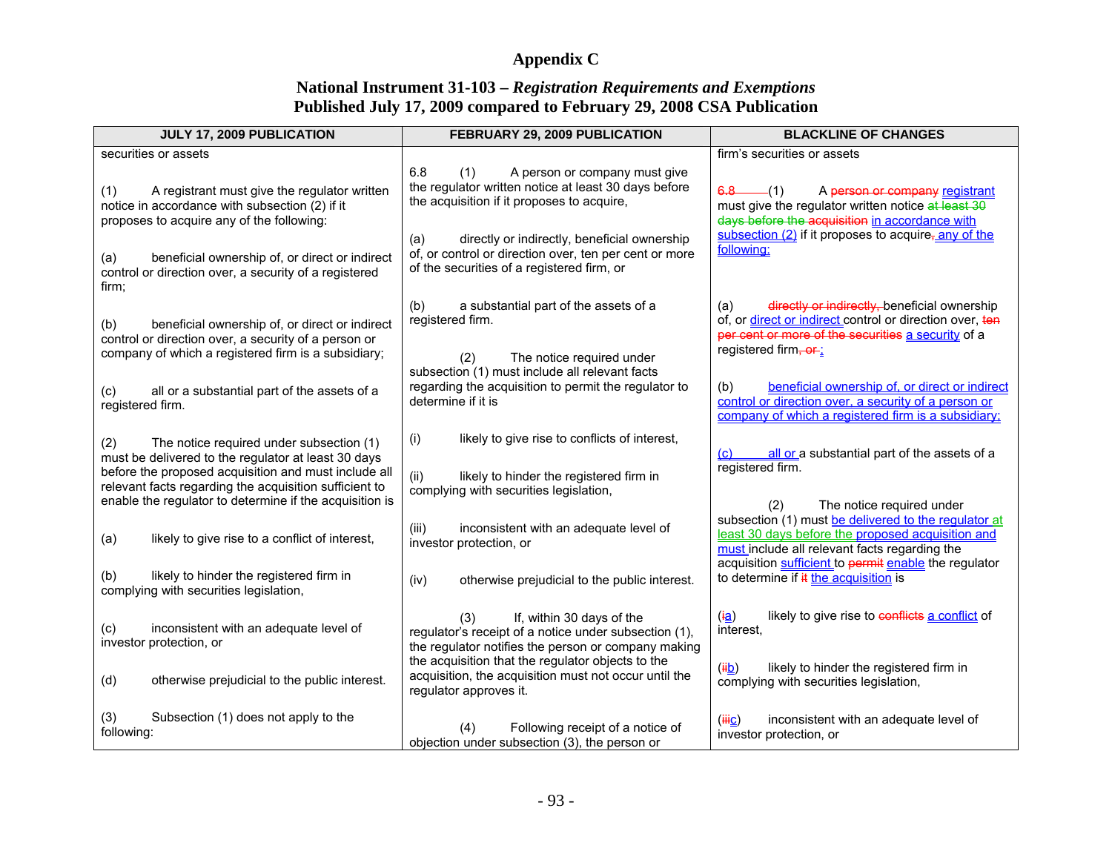| JULY 17, 2009 PUBLICATION                                                                                                                                                                                                                                                           | <b>FEBRUARY 29, 2009 PUBLICATION</b>                                                                                                                                                                                                                                                                             | <b>BLACKLINE OF CHANGES</b>                                                                                                                                                                                                         |
|-------------------------------------------------------------------------------------------------------------------------------------------------------------------------------------------------------------------------------------------------------------------------------------|------------------------------------------------------------------------------------------------------------------------------------------------------------------------------------------------------------------------------------------------------------------------------------------------------------------|-------------------------------------------------------------------------------------------------------------------------------------------------------------------------------------------------------------------------------------|
| securities or assets                                                                                                                                                                                                                                                                |                                                                                                                                                                                                                                                                                                                  | firm's securities or assets                                                                                                                                                                                                         |
| A registrant must give the regulator written<br>(1)<br>notice in accordance with subsection (2) if it<br>proposes to acquire any of the following:<br>beneficial ownership of, or direct or indirect<br>(a)<br>control or direction over, a security of a registered<br>firm;       | 6.8<br>A person or company must give<br>(1)<br>the regulator written notice at least 30 days before<br>the acquisition if it proposes to acquire,<br>directly or indirectly, beneficial ownership<br>(a)<br>of, or control or direction over, ten per cent or more<br>of the securities of a registered firm, or | $6.8 -$<br>$-(1)$<br>A person or company registrant<br>must give the regulator written notice at least 30<br>days before the acquisition in accordance with<br>subsection $(2)$ if it proposes to acquire, any of the<br>following: |
| beneficial ownership of, or direct or indirect<br>(b)<br>control or direction over, a security of a person or<br>company of which a registered firm is a subsidiary;                                                                                                                | (b)<br>a substantial part of the assets of a<br>registered firm.<br>The notice required under<br>(2)<br>subsection (1) must include all relevant facts                                                                                                                                                           | directly or indirectly, beneficial ownership<br>(a)<br>of, or direct or indirect control or direction over, ten<br>per cent or more of the securities a security of a<br>registered firm, or;                                       |
| all or a substantial part of the assets of a<br>(c)<br>registered firm.                                                                                                                                                                                                             | regarding the acquisition to permit the regulator to<br>determine if it is                                                                                                                                                                                                                                       | beneficial ownership of, or direct or indirect<br>(b)<br>control or direction over, a security of a person or<br>company of which a registered firm is a subsidiary;                                                                |
| The notice required under subsection (1)<br>(2)<br>must be delivered to the regulator at least 30 days<br>before the proposed acquisition and must include all<br>relevant facts regarding the acquisition sufficient to<br>enable the regulator to determine if the acquisition is | (i)<br>likely to give rise to conflicts of interest,<br>likely to hinder the registered firm in<br>(ii)<br>complying with securities legislation,                                                                                                                                                                | all or a substantial part of the assets of a<br>(C)<br>registered firm.<br>The notice required under<br>(2)                                                                                                                         |
| likely to give rise to a conflict of interest,<br>(a)                                                                                                                                                                                                                               | inconsistent with an adequate level of<br>(iii)<br>investor protection, or                                                                                                                                                                                                                                       | subsection (1) must be delivered to the regulator at<br>least 30 days before the proposed acquisition and<br>must include all relevant facts regarding the<br>acquisition sufficient to permit enable the regulator                 |
| likely to hinder the registered firm in<br>(b)<br>complying with securities legislation,                                                                                                                                                                                            | (iv)<br>otherwise prejudicial to the public interest.                                                                                                                                                                                                                                                            | to determine if it the acquisition is                                                                                                                                                                                               |
| inconsistent with an adequate level of<br>(c)<br>investor protection, or                                                                                                                                                                                                            | If, within 30 days of the<br>(3)<br>regulator's receipt of a notice under subsection (1),<br>the regulator notifies the person or company making                                                                                                                                                                 | (i <u>a</u> )<br>likely to give rise to conflicts a conflict of<br>interest.                                                                                                                                                        |
| otherwise prejudicial to the public interest.<br>(d)                                                                                                                                                                                                                                | the acquisition that the regulator objects to the<br>acquisition, the acquisition must not occur until the<br>regulator approves it.                                                                                                                                                                             | (iib)<br>likely to hinder the registered firm in<br>complying with securities legislation,                                                                                                                                          |
| Subsection (1) does not apply to the<br>(3)<br>following:                                                                                                                                                                                                                           | Following receipt of a notice of<br>(4)<br>objection under subsection (3), the person or                                                                                                                                                                                                                         | inconsistent with an adequate level of<br>$(\overline{HIC})$<br>investor protection, or                                                                                                                                             |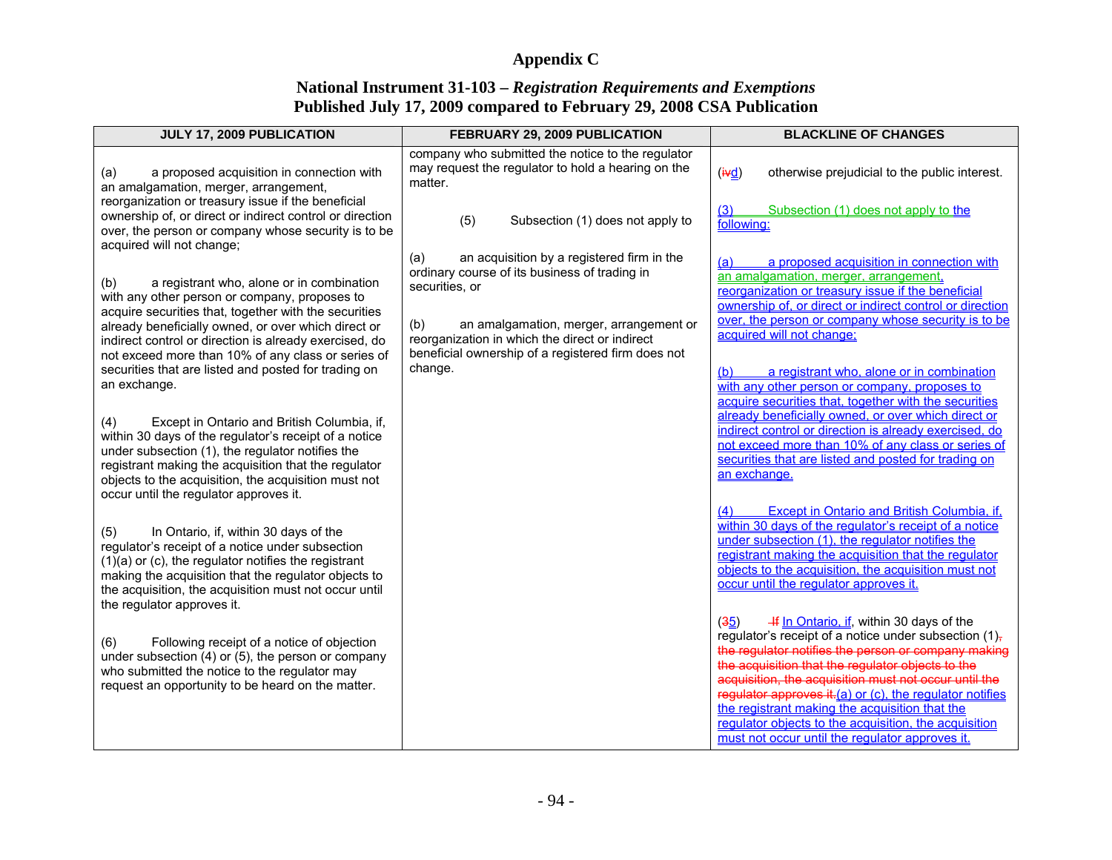| JULY 17, 2009 PUBLICATION                                                                                                                                                                                                                                                                                                 | <b>FEBRUARY 29, 2009 PUBLICATION</b>                                                                                                                   | <b>BLACKLINE OF CHANGES</b>                                                                                                                                                                                                                                                                                                                                                                                                                                        |
|---------------------------------------------------------------------------------------------------------------------------------------------------------------------------------------------------------------------------------------------------------------------------------------------------------------------------|--------------------------------------------------------------------------------------------------------------------------------------------------------|--------------------------------------------------------------------------------------------------------------------------------------------------------------------------------------------------------------------------------------------------------------------------------------------------------------------------------------------------------------------------------------------------------------------------------------------------------------------|
| a proposed acquisition in connection with<br>(a)<br>an amalgamation, merger, arrangement,<br>reorganization or treasury issue if the beneficial                                                                                                                                                                           | company who submitted the notice to the regulator<br>may request the regulator to hold a hearing on the<br>matter.                                     | $(\frac{ivd}{v})$<br>otherwise prejudicial to the public interest.                                                                                                                                                                                                                                                                                                                                                                                                 |
| ownership of, or direct or indirect control or direction<br>over, the person or company whose security is to be<br>acquired will not change;                                                                                                                                                                              | (5)<br>Subsection (1) does not apply to                                                                                                                | Subsection (1) does not apply to the<br>(3)<br>following:                                                                                                                                                                                                                                                                                                                                                                                                          |
| a registrant who, alone or in combination<br>(b)<br>with any other person or company, proposes to                                                                                                                                                                                                                         | an acquisition by a registered firm in the<br>(a)<br>ordinary course of its business of trading in<br>securities, or                                   | a proposed acquisition in connection with<br>(a)<br>an amalgamation, merger, arrangement,<br>reorganization or treasury issue if the beneficial<br>ownership of, or direct or indirect control or direction                                                                                                                                                                                                                                                        |
| acquire securities that, together with the securities<br>already beneficially owned, or over which direct or<br>indirect control or direction is already exercised, do<br>not exceed more than 10% of any class or series of                                                                                              | an amalgamation, merger, arrangement or<br>(b)<br>reorganization in which the direct or indirect<br>beneficial ownership of a registered firm does not | over, the person or company whose security is to be<br>acquired will not change;                                                                                                                                                                                                                                                                                                                                                                                   |
| securities that are listed and posted for trading on<br>an exchange.                                                                                                                                                                                                                                                      | change.                                                                                                                                                | a registrant who, alone or in combination<br>(b)<br>with any other person or company, proposes to<br>acquire securities that, together with the securities<br>already beneficially owned, or over which direct or                                                                                                                                                                                                                                                  |
| Except in Ontario and British Columbia, if,<br>(4)<br>within 30 days of the regulator's receipt of a notice<br>under subsection (1), the regulator notifies the<br>registrant making the acquisition that the regulator<br>objects to the acquisition, the acquisition must not<br>occur until the regulator approves it. |                                                                                                                                                        | indirect control or direction is already exercised, do<br>not exceed more than 10% of any class or series of<br>securities that are listed and posted for trading on<br>an exchange.                                                                                                                                                                                                                                                                               |
| (5)<br>In Ontario, if, within 30 days of the<br>regulator's receipt of a notice under subsection<br>$(1)(a)$ or $(c)$ , the regulator notifies the registrant<br>making the acquisition that the regulator objects to<br>the acquisition, the acquisition must not occur until<br>the regulator approves it.              |                                                                                                                                                        | <b>Except in Ontario and British Columbia, if,</b><br>(4)<br>within 30 days of the regulator's receipt of a notice<br>under subsection (1), the regulator notifies the<br>registrant making the acquisition that the regulator<br>objects to the acquisition, the acquisition must not<br>occur until the regulator approves it.                                                                                                                                   |
| Following receipt of a notice of objection<br>(6)<br>under subsection (4) or (5), the person or company<br>who submitted the notice to the regulator may<br>request an opportunity to be heard on the matter.                                                                                                             |                                                                                                                                                        | <sup>4</sup> In Ontario, if, within 30 days of the<br>(35)<br>regulator's receipt of a notice under subsection $(1)$ ,<br>the regulator notifies the person or company making<br>the acquisition that the regulator objects to the<br>acquisition, the acquisition must not occur until the<br>regulator approves it (a) or (c), the regulator notifies<br>the registrant making the acquisition that the<br>regulator objects to the acquisition, the acquisition |
|                                                                                                                                                                                                                                                                                                                           |                                                                                                                                                        | must not occur until the regulator approves it.                                                                                                                                                                                                                                                                                                                                                                                                                    |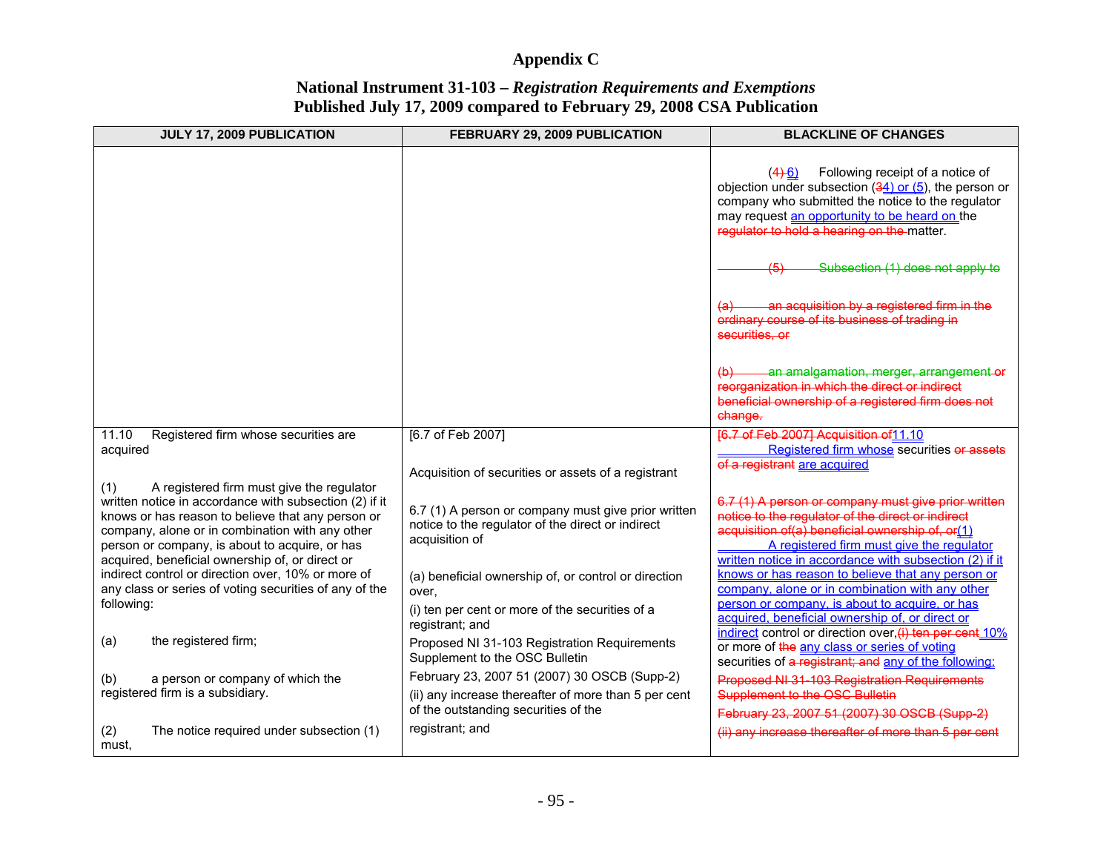| JULY 17, 2009 PUBLICATION                                                                                                                                                                                                                                                                                               | FEBRUARY 29, 2009 PUBLICATION                                                                                                                | <b>BLACKLINE OF CHANGES</b>                                                                                                                                                                                                                                         |
|-------------------------------------------------------------------------------------------------------------------------------------------------------------------------------------------------------------------------------------------------------------------------------------------------------------------------|----------------------------------------------------------------------------------------------------------------------------------------------|---------------------------------------------------------------------------------------------------------------------------------------------------------------------------------------------------------------------------------------------------------------------|
|                                                                                                                                                                                                                                                                                                                         |                                                                                                                                              | Following receipt of a notice of<br>(4)6<br>objection under subsection $(34)$ or $(5)$ , the person or<br>company who submitted the notice to the regulator<br>may request an opportunity to be heard on the<br>regulator to hold a hearing on the matter.          |
|                                                                                                                                                                                                                                                                                                                         |                                                                                                                                              | Subsection (1) does not apply to                                                                                                                                                                                                                                    |
|                                                                                                                                                                                                                                                                                                                         |                                                                                                                                              | an acquisition by a registered firm in the<br><del>(a)</del><br>ordinary course of its business of trading in<br>securities, or                                                                                                                                     |
|                                                                                                                                                                                                                                                                                                                         |                                                                                                                                              | an amalgamation, merger, arrangement-or-<br>$\Theta$<br>reorganization in which the direct or indirect<br>beneficial ownership of a registered firm does not<br>change.                                                                                             |
| 11.10<br>Registered firm whose securities are<br>acquired                                                                                                                                                                                                                                                               | [6.7 of Feb 2007]<br>Acquisition of securities or assets of a registrant                                                                     | [6.7 of Feb 2007] Acquisition of 11.10<br>Registered firm whose securities or assets<br>of a registrant are acquired                                                                                                                                                |
| A registered firm must give the regulator<br>(1)<br>written notice in accordance with subsection (2) if it<br>knows or has reason to believe that any person or<br>company, alone or in combination with any other<br>person or company, is about to acquire, or has<br>acquired, beneficial ownership of, or direct or | 6.7 (1) A person or company must give prior written<br>notice to the regulator of the direct or indirect<br>acquisition of                   | 6.7 (1) A person or company must give prior written<br>notice to the regulator of the direct or indirect<br>acquisition of(a) beneficial ownership of, or(1)<br>A registered firm must give the regulator<br>written notice in accordance with subsection (2) if it |
| indirect control or direction over, 10% or more of<br>any class or series of voting securities of any of the<br>following:                                                                                                                                                                                              | (a) beneficial ownership of, or control or direction<br>over.<br>(i) ten per cent or more of the securities of a                             | knows or has reason to believe that any person or<br>company, alone or in combination with any other<br>person or company, is about to acquire, or has                                                                                                              |
| the registered firm;<br>(a)                                                                                                                                                                                                                                                                                             | registrant; and<br>Proposed NI 31-103 Registration Requirements<br>Supplement to the OSC Bulletin                                            | acquired, beneficial ownership of, or direct or<br>indirect control or direction over, (i) ten per cent 10%<br>or more of the any class or series of voting<br>securities of a registrant; and any of the following:                                                |
| a person or company of which the<br>(b)<br>registered firm is a subsidiary.                                                                                                                                                                                                                                             | February 23, 2007 51 (2007) 30 OSCB (Supp-2)<br>(ii) any increase thereafter of more than 5 per cent<br>of the outstanding securities of the | Proposed NI 31-103 Registration Requirements<br>Supplement to the OSC Bulletin<br>February 23, 2007 51 (2007) 30 OSCB (Supp 2)                                                                                                                                      |
| (2)<br>The notice required under subsection (1)<br>must.                                                                                                                                                                                                                                                                | registrant; and                                                                                                                              | (ii) any increase thereafter of more than 5 per cent                                                                                                                                                                                                                |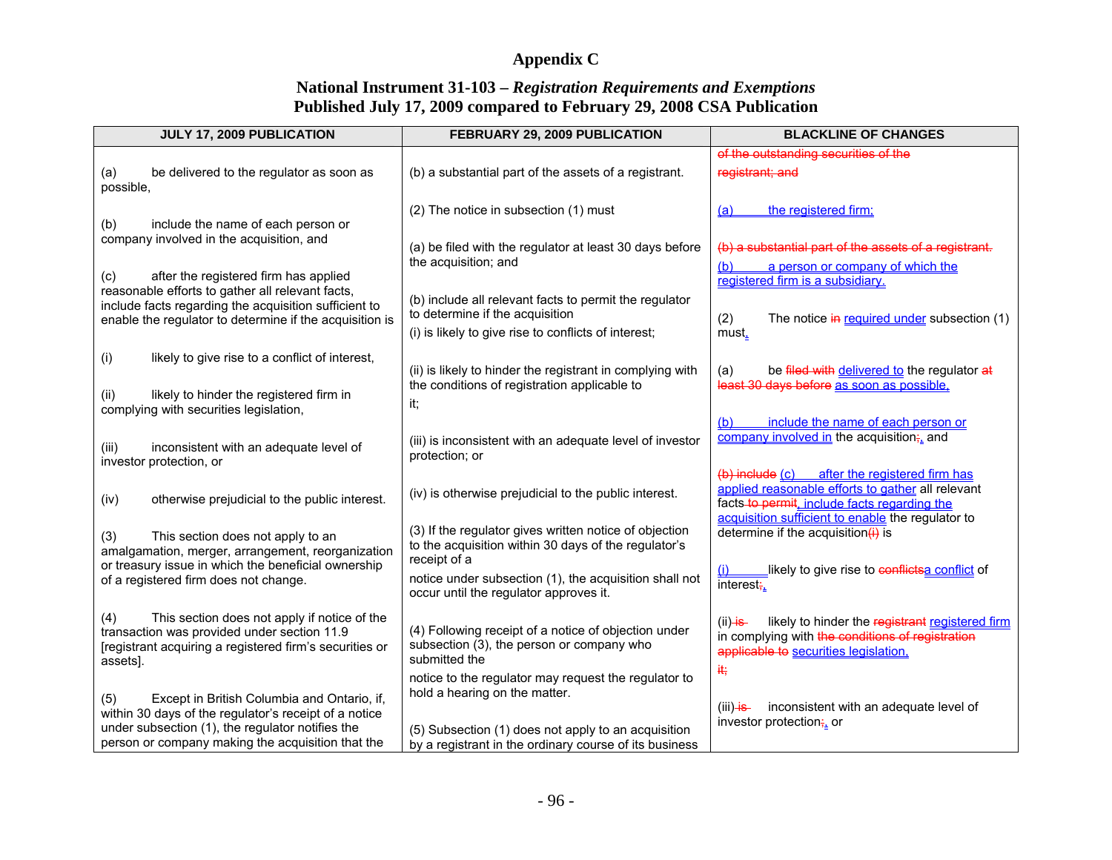| <b>JULY 17, 2009 PUBLICATION</b>                                                                                                                                          | <b>FEBRUARY 29, 2009 PUBLICATION</b>                                                                                                              | <b>BLACKLINE OF CHANGES</b>                                                                                                                                                                                 |
|---------------------------------------------------------------------------------------------------------------------------------------------------------------------------|---------------------------------------------------------------------------------------------------------------------------------------------------|-------------------------------------------------------------------------------------------------------------------------------------------------------------------------------------------------------------|
| be delivered to the regulator as soon as<br>(a)<br>possible,                                                                                                              | (b) a substantial part of the assets of a registrant.                                                                                             | of the outstanding securities of the<br>registrant; and                                                                                                                                                     |
| include the name of each person or<br>(b)<br>company involved in the acquisition, and                                                                                     | (2) The notice in subsection (1) must                                                                                                             | the registered firm;<br>(a)                                                                                                                                                                                 |
| after the registered firm has applied<br>(c)                                                                                                                              | (a) be filed with the regulator at least 30 days before<br>the acquisition; and                                                                   | (b) a substantial part of the assets of a registrant.<br>a person or company of which the<br>(b)<br>registered firm is a subsidiary.                                                                        |
| reasonable efforts to gather all relevant facts,<br>include facts regarding the acquisition sufficient to<br>enable the regulator to determine if the acquisition is      | (b) include all relevant facts to permit the regulator<br>to determine if the acquisition<br>(i) is likely to give rise to conflicts of interest; | (2)<br>The notice in required under subsection (1)<br>must,                                                                                                                                                 |
| likely to give rise to a conflict of interest,<br>(i)                                                                                                                     | (ii) is likely to hinder the registrant in complying with                                                                                         | be filed with delivered to the regulator at<br>(a)                                                                                                                                                          |
| likely to hinder the registered firm in<br>(ii)<br>complying with securities legislation,                                                                                 | the conditions of registration applicable to<br>it;                                                                                               | least 30 days before as soon as possible,                                                                                                                                                                   |
| inconsistent with an adequate level of<br>(iii)<br>investor protection, or                                                                                                | (iii) is inconsistent with an adequate level of investor<br>protection; or                                                                        | include the name of each person or<br><u>(b)</u><br>company involved in the acquisition; and                                                                                                                |
| otherwise prejudicial to the public interest.<br>(iv)                                                                                                                     | (iv) is otherwise prejudicial to the public interest.                                                                                             | $(b)$ include $(c)$ after the registered firm has<br>applied reasonable efforts to gather all relevant<br>facts-to-permit, include facts regarding the<br>acquisition sufficient to enable the regulator to |
| This section does not apply to an<br>(3)<br>amalgamation, merger, arrangement, reorganization                                                                             | (3) If the regulator gives written notice of objection<br>to the acquisition within 30 days of the regulator's<br>receipt of a                    | determine if the acquisition(i) is                                                                                                                                                                          |
| or treasury issue in which the beneficial ownership<br>of a registered firm does not change.                                                                              | notice under subsection (1), the acquisition shall not<br>occur until the regulator approves it.                                                  | likely to give rise to conflictsa conflict of<br>$\omega$<br>interest;                                                                                                                                      |
| This section does not apply if notice of the<br>(4)<br>transaction was provided under section 11.9<br>[registrant acquiring a registered firm's securities or<br>assets]. | (4) Following receipt of a notice of objection under<br>subsection (3), the person or company who<br>submitted the                                | likely to hinder the registrant registered firm<br><del>si</del> (ii)<br>in complying with the conditions of registration<br>applicable to securities legislation,                                          |
| Except in British Columbia and Ontario, if,<br>(5)                                                                                                                        | notice to the regulator may request the regulator to<br>hold a hearing on the matter.                                                             | iŧ,                                                                                                                                                                                                         |
| within 30 days of the regulator's receipt of a notice<br>under subsection (1), the regulator notifies the<br>person or company making the acquisition that the            | (5) Subsection (1) does not apply to an acquisition<br>by a registrant in the ordinary course of its business                                     | <del>i</del> ii) <del>is</del><br>inconsistent with an adequate level of<br>investor protection; or                                                                                                         |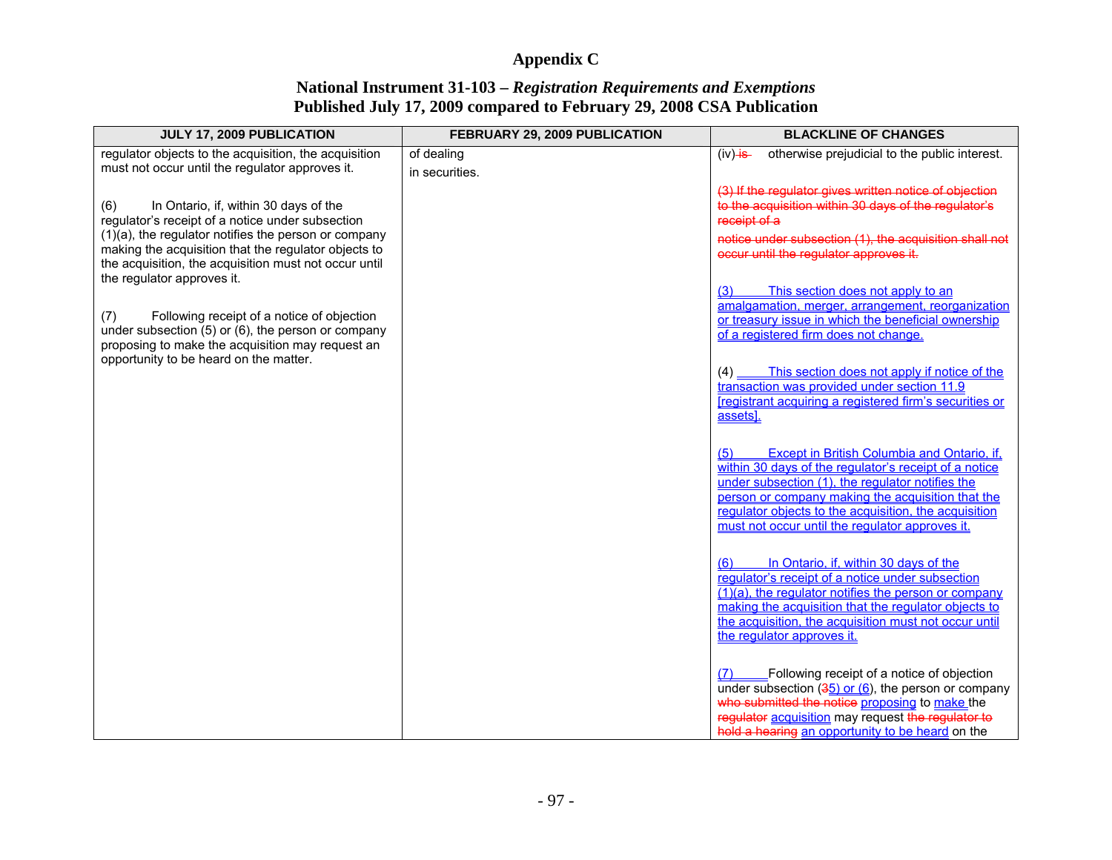| JULY 17, 2009 PUBLICATION                                                                        | <b>FEBRUARY 29, 2009 PUBLICATION</b> | <b>BLACKLINE OF CHANGES</b>                                                                                   |
|--------------------------------------------------------------------------------------------------|--------------------------------------|---------------------------------------------------------------------------------------------------------------|
| regulator objects to the acquisition, the acquisition                                            | of dealing                           | otherwise prejudicial to the public interest.<br>$(iv)$ -is-                                                  |
| must not occur until the regulator approves it.                                                  | in securities.                       |                                                                                                               |
|                                                                                                  |                                      | (3) If the regulator gives written notice of objection                                                        |
| In Ontario, if, within 30 days of the<br>(6)<br>regulator's receipt of a notice under subsection |                                      | to the acquisition within 30 days of the requiator's<br>receipt of a                                          |
| $(1)(a)$ , the regulator notifies the person or company                                          |                                      | notice under subsection (1), the acquisition shall not                                                        |
| making the acquisition that the regulator objects to                                             |                                      | occur until the requlator approves it.                                                                        |
| the acquisition, the acquisition must not occur until<br>the regulator approves it.              |                                      |                                                                                                               |
|                                                                                                  |                                      | This section does not apply to an<br>(3)                                                                      |
| (7)<br>Following receipt of a notice of objection                                                |                                      | amalgamation, merger, arrangement, reorganization<br>or treasury issue in which the beneficial ownership      |
| under subsection (5) or (6), the person or company                                               |                                      | of a registered firm does not change.                                                                         |
| proposing to make the acquisition may request an<br>opportunity to be heard on the matter.       |                                      |                                                                                                               |
|                                                                                                  |                                      | This section does not apply if notice of the<br>(4)                                                           |
|                                                                                                  |                                      | transaction was provided under section 11.9<br>registrant acquiring a registered firm's securities or         |
|                                                                                                  |                                      | assets].                                                                                                      |
|                                                                                                  |                                      |                                                                                                               |
|                                                                                                  |                                      | <b>Except in British Columbia and Ontario, if,</b><br>(5)                                                     |
|                                                                                                  |                                      | within 30 days of the regulator's receipt of a notice<br>under subsection (1), the regulator notifies the     |
|                                                                                                  |                                      | person or company making the acquisition that the                                                             |
|                                                                                                  |                                      | regulator objects to the acquisition, the acquisition                                                         |
|                                                                                                  |                                      | must not occur until the regulator approves it.                                                               |
|                                                                                                  |                                      | In Ontario, if, within 30 days of the<br>(6)                                                                  |
|                                                                                                  |                                      | regulator's receipt of a notice under subsection                                                              |
|                                                                                                  |                                      | $(1)(a)$ , the regulator notifies the person or company                                                       |
|                                                                                                  |                                      | making the acquisition that the regulator objects to<br>the acquisition, the acquisition must not occur until |
|                                                                                                  |                                      | the regulator approves it.                                                                                    |
|                                                                                                  |                                      |                                                                                                               |
|                                                                                                  |                                      | Following receipt of a notice of objection<br>(7)                                                             |
|                                                                                                  |                                      | under subsection $(35)$ or $(6)$ , the person or company<br>who submitted the notice proposing to make the    |
|                                                                                                  |                                      | regulator acquisition may request the regulator to                                                            |
|                                                                                                  |                                      | hold a hearing an opportunity to be heard on the                                                              |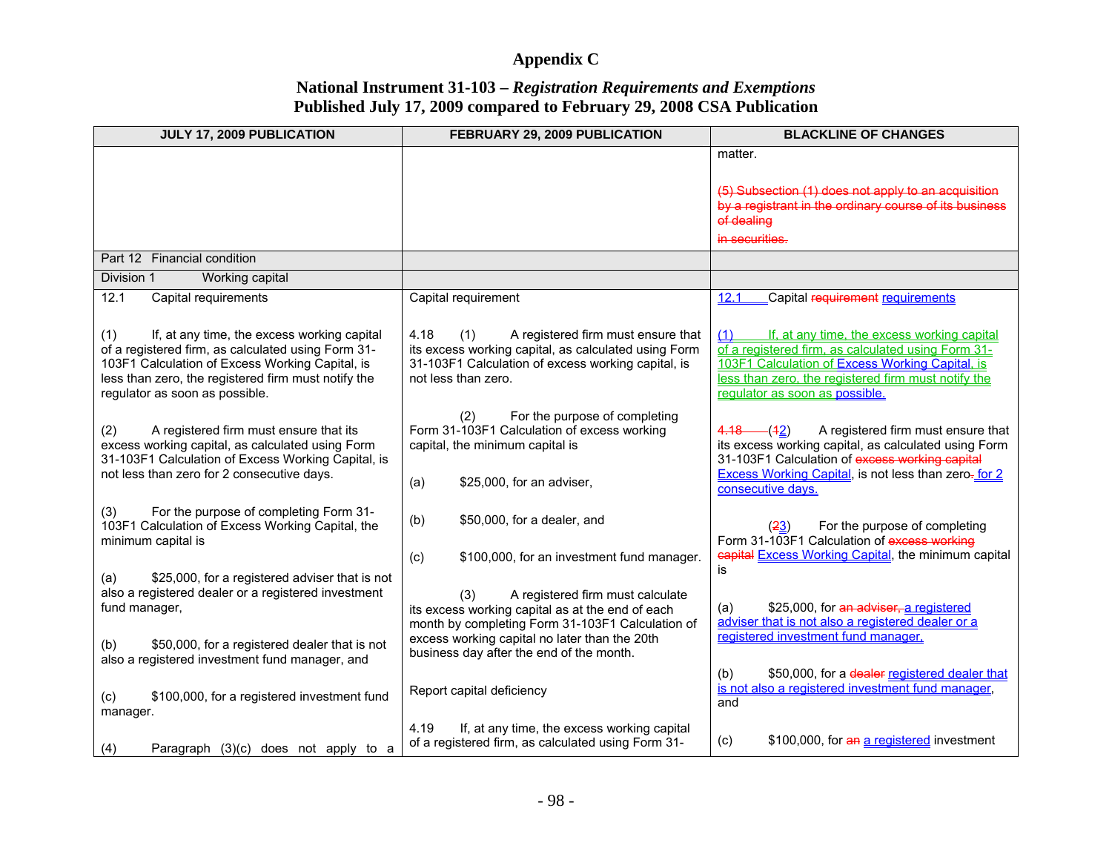| JULY 17, 2009 PUBLICATION                                                                                                                                                                                                                            | <b>FEBRUARY 29, 2009 PUBLICATION</b>                                                                                                                                                             | <b>BLACKLINE OF CHANGES</b>                                                                                                                                                                                                                          |
|------------------------------------------------------------------------------------------------------------------------------------------------------------------------------------------------------------------------------------------------------|--------------------------------------------------------------------------------------------------------------------------------------------------------------------------------------------------|------------------------------------------------------------------------------------------------------------------------------------------------------------------------------------------------------------------------------------------------------|
|                                                                                                                                                                                                                                                      |                                                                                                                                                                                                  | matter.                                                                                                                                                                                                                                              |
|                                                                                                                                                                                                                                                      |                                                                                                                                                                                                  | (5) Subsection (1) does not apply to an acquisition<br>by a registrant in the ordinary course of its business<br>of dealing                                                                                                                          |
|                                                                                                                                                                                                                                                      |                                                                                                                                                                                                  | in securities.                                                                                                                                                                                                                                       |
| Part 12 Financial condition                                                                                                                                                                                                                          |                                                                                                                                                                                                  |                                                                                                                                                                                                                                                      |
| Division 1<br>Working capital                                                                                                                                                                                                                        |                                                                                                                                                                                                  |                                                                                                                                                                                                                                                      |
| 12.1<br>Capital requirements                                                                                                                                                                                                                         | Capital requirement                                                                                                                                                                              | 12.1<br>Capital requirement requirements                                                                                                                                                                                                             |
| If, at any time, the excess working capital<br>(1)<br>of a registered firm, as calculated using Form 31-<br>103F1 Calculation of Excess Working Capital, is<br>less than zero, the registered firm must notify the<br>regulator as soon as possible. | 4.18<br>A registered firm must ensure that<br>(1)<br>its excess working capital, as calculated using Form<br>31-103F1 Calculation of excess working capital, is<br>not less than zero.           | If, at any time, the excess working capital<br>(1)<br>of a registered firm, as calculated using Form 31-<br>103F1 Calculation of Excess Working Capital, is<br>less than zero, the registered firm must notify the<br>regulator as soon as possible. |
| A registered firm must ensure that its<br>(2)<br>excess working capital, as calculated using Form<br>31-103F1 Calculation of Excess Working Capital, is<br>not less than zero for 2 consecutive days.                                                | For the purpose of completing<br>(2)<br>Form 31-103F1 Calculation of excess working<br>capital, the minimum capital is<br>\$25,000, for an adviser,<br>(a)                                       | A registered firm must ensure that<br>$4.18$ $(12)$<br>its excess working capital, as calculated using Form<br>31-103F1 Calculation of excess working capital<br>Excess Working Capital, is not less than zero-for 2<br>consecutive days.            |
| For the purpose of completing Form 31-<br>(3)<br>103F1 Calculation of Excess Working Capital, the<br>minimum capital is                                                                                                                              | \$50,000, for a dealer, and<br>(b)<br>\$100,000, for an investment fund manager.<br>(c)                                                                                                          | For the purpose of completing<br>(23)<br>Form 31-103F1 Calculation of excess working<br>eapital Excess Working Capital, the minimum capital                                                                                                          |
| \$25,000, for a registered adviser that is not<br>(a)<br>also a registered dealer or a registered investment<br>fund manager,                                                                                                                        | A registered firm must calculate<br>(3)<br>its excess working capital as at the end of each<br>month by completing Form 31-103F1 Calculation of<br>excess working capital no later than the 20th | is<br>\$25,000, for an adviser, a registered<br>(a)<br>adviser that is not also a registered dealer or a<br>registered investment fund manager,                                                                                                      |
| \$50,000, for a registered dealer that is not<br>(b)<br>also a registered investment fund manager, and                                                                                                                                               | business day after the end of the month.                                                                                                                                                         |                                                                                                                                                                                                                                                      |
| \$100,000, for a registered investment fund<br>(c)<br>manager.                                                                                                                                                                                       | Report capital deficiency                                                                                                                                                                        | \$50,000, for a dealer registered dealer that<br>(b)<br>is not also a registered investment fund manager,<br>and                                                                                                                                     |
| Paragraph (3)(c) does not apply to a<br>(4)                                                                                                                                                                                                          | 4.19<br>If, at any time, the excess working capital<br>of a registered firm, as calculated using Form 31-                                                                                        | \$100,000, for an a registered investment<br>(c)                                                                                                                                                                                                     |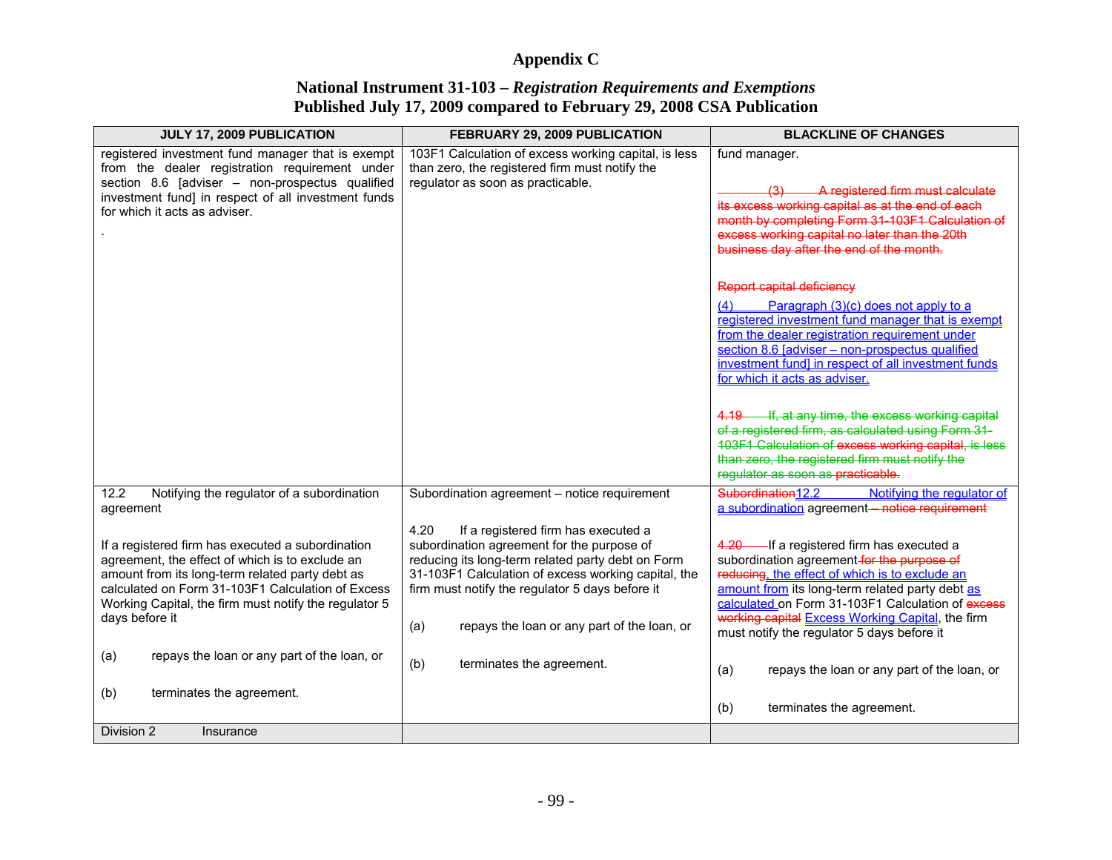| JULY 17, 2009 PUBLICATION                                                                                                                                                                                                                                                               | <b>FEBRUARY 29, 2009 PUBLICATION</b>                                                                                                                                                                                                                                                                           | <b>BLACKLINE OF CHANGES</b>                                                                                                                                                                                                                                                                                                                                                                                                                                                                                                                                                                                                                                                                                                                                                                                                              |
|-----------------------------------------------------------------------------------------------------------------------------------------------------------------------------------------------------------------------------------------------------------------------------------------|----------------------------------------------------------------------------------------------------------------------------------------------------------------------------------------------------------------------------------------------------------------------------------------------------------------|------------------------------------------------------------------------------------------------------------------------------------------------------------------------------------------------------------------------------------------------------------------------------------------------------------------------------------------------------------------------------------------------------------------------------------------------------------------------------------------------------------------------------------------------------------------------------------------------------------------------------------------------------------------------------------------------------------------------------------------------------------------------------------------------------------------------------------------|
| registered investment fund manager that is exempt<br>from the dealer registration requirement under<br>section 8.6 [adviser - non-prospectus qualified<br>investment fund] in respect of all investment funds<br>for which it acts as adviser.                                          | 103F1 Calculation of excess working capital, is less<br>than zero, the registered firm must notify the<br>regulator as soon as practicable.                                                                                                                                                                    | fund manager.<br>A registered firm must calculate<br>its excess working capital as at the end of each<br>month by completing Form 31-103F1 Calculation of<br>excess working capital no later than the 20th<br>business day after the end of the month.<br>Report capital deficiency<br>Paragraph (3)(c) does not apply to a<br>(4)<br>registered investment fund manager that is exempt<br>from the dealer registration requirement under<br>section 8.6 [adviser - non-prospectus qualified<br>investment fund] in respect of all investment funds<br>for which it acts as adviser.<br>If, at any time, the excess working capital<br>of a registered firm, as calculated using Form 31-<br>103F1 Calculation of excess working capital, is less<br>than zero, the registered firm must notify the<br>regulator as soon as practicable. |
| 12.2<br>Notifying the regulator of a subordination<br>agreement                                                                                                                                                                                                                         | Subordination agreement - notice requirement                                                                                                                                                                                                                                                                   | Subordination 12.2<br>Notifying the regulator of<br>a subordination agreement-notice requirement                                                                                                                                                                                                                                                                                                                                                                                                                                                                                                                                                                                                                                                                                                                                         |
| If a registered firm has executed a subordination<br>agreement, the effect of which is to exclude an<br>amount from its long-term related party debt as<br>calculated on Form 31-103F1 Calculation of Excess<br>Working Capital, the firm must notify the regulator 5<br>days before it | 4.20<br>If a registered firm has executed a<br>subordination agreement for the purpose of<br>reducing its long-term related party debt on Form<br>31-103F1 Calculation of excess working capital, the<br>firm must notify the regulator 5 days before it<br>repays the loan or any part of the loan, or<br>(a) | 4.20 - If a registered firm has executed a<br>subordination agreement-for the purpose of<br>reducing, the effect of which is to exclude an<br>amount from its long-term related party debt as<br>calculated on Form 31-103F1 Calculation of excess<br>working capital Excess Working Capital, the firm<br>must notify the regulator 5 days before it                                                                                                                                                                                                                                                                                                                                                                                                                                                                                     |
| repays the loan or any part of the loan, or<br>(a)                                                                                                                                                                                                                                      | (b)<br>terminates the agreement.                                                                                                                                                                                                                                                                               | repays the loan or any part of the loan, or<br>(a)                                                                                                                                                                                                                                                                                                                                                                                                                                                                                                                                                                                                                                                                                                                                                                                       |
| terminates the agreement.<br>(b)                                                                                                                                                                                                                                                        |                                                                                                                                                                                                                                                                                                                | terminates the agreement.<br>(b)                                                                                                                                                                                                                                                                                                                                                                                                                                                                                                                                                                                                                                                                                                                                                                                                         |
| Division 2<br>Insurance                                                                                                                                                                                                                                                                 |                                                                                                                                                                                                                                                                                                                |                                                                                                                                                                                                                                                                                                                                                                                                                                                                                                                                                                                                                                                                                                                                                                                                                                          |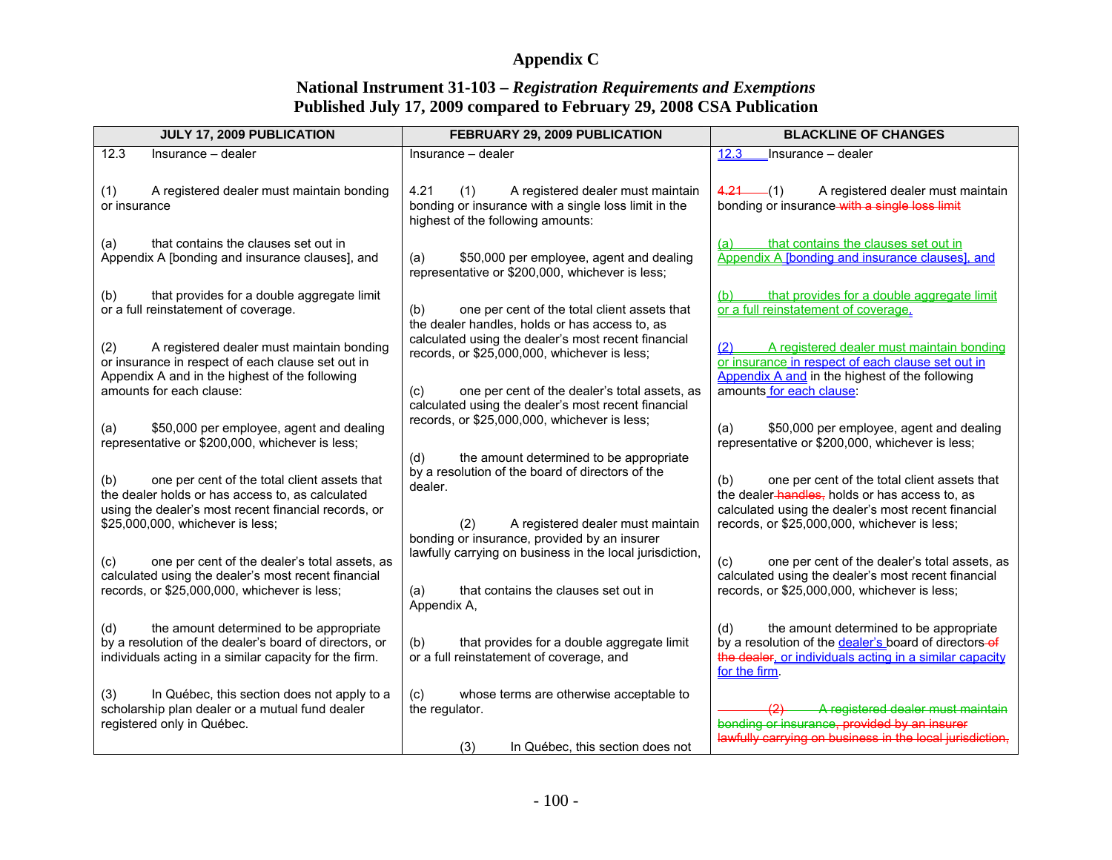| JULY 17, 2009 PUBLICATION                                                                                                                                          | FEBRUARY 29, 2009 PUBLICATION                                                                                                                               | <b>BLACKLINE OF CHANGES</b>                                                                                                                                                         |
|--------------------------------------------------------------------------------------------------------------------------------------------------------------------|-------------------------------------------------------------------------------------------------------------------------------------------------------------|-------------------------------------------------------------------------------------------------------------------------------------------------------------------------------------|
| 12.3<br>Insurance - dealer                                                                                                                                         | Insurance - dealer                                                                                                                                          | 12.3<br>Insurance - dealer                                                                                                                                                          |
| A registered dealer must maintain bonding<br>(1)<br>or insurance                                                                                                   | 4.21<br>(1)<br>A registered dealer must maintain<br>bonding or insurance with a single loss limit in the<br>highest of the following amounts:               | $4.21$ (1)<br>A registered dealer must maintain<br>bonding or insurance with a single loss limit                                                                                    |
| that contains the clauses set out in<br>(a)<br>Appendix A [bonding and insurance clauses], and                                                                     | \$50,000 per employee, agent and dealing<br>(a)<br>representative or \$200,000, whichever is less;                                                          | that contains the clauses set out in<br>(a)<br>Appendix A [bonding and insurance clauses], and                                                                                      |
| that provides for a double aggregate limit<br>(b)<br>or a full reinstatement of coverage.                                                                          | one per cent of the total client assets that<br>(b)<br>the dealer handles, holds or has access to, as                                                       | that provides for a double aggregate limit<br>(b)<br>or a full reinstatement of coverage.                                                                                           |
| A registered dealer must maintain bonding<br>(2)<br>or insurance in respect of each clause set out in<br>Appendix A and in the highest of the following            | calculated using the dealer's most recent financial<br>records, or \$25,000,000, whichever is less;                                                         | A registered dealer must maintain bonding<br>(2)<br>or insurance in respect of each clause set out in<br>Appendix A and in the highest of the following                             |
| amounts for each clause:                                                                                                                                           | one per cent of the dealer's total assets, as<br>(c)<br>calculated using the dealer's most recent financial<br>records, or \$25,000,000, whichever is less; | amounts for each clause:                                                                                                                                                            |
| \$50,000 per employee, agent and dealing<br>(a)<br>representative or \$200,000, whichever is less;                                                                 | the amount determined to be appropriate<br>(d)                                                                                                              | \$50,000 per employee, agent and dealing<br>(a)<br>representative or \$200,000, whichever is less;                                                                                  |
| one per cent of the total client assets that<br>(b)<br>the dealer holds or has access to, as calculated<br>using the dealer's most recent financial records, or    | by a resolution of the board of directors of the<br>dealer.                                                                                                 | (b)<br>one per cent of the total client assets that<br>the dealer-handles, holds or has access to, as<br>calculated using the dealer's most recent financial                        |
| \$25,000,000, whichever is less;                                                                                                                                   | A registered dealer must maintain<br>(2)<br>bonding or insurance, provided by an insurer<br>lawfully carrying on business in the local jurisdiction,        | records, or \$25,000,000, whichever is less;                                                                                                                                        |
| one per cent of the dealer's total assets, as<br>(c)<br>calculated using the dealer's most recent financial<br>records, or \$25,000,000, whichever is less;        | that contains the clauses set out in<br>(a)                                                                                                                 | (c)<br>one per cent of the dealer's total assets, as<br>calculated using the dealer's most recent financial<br>records, or \$25,000,000, whichever is less;                         |
|                                                                                                                                                                    | Appendix A,                                                                                                                                                 |                                                                                                                                                                                     |
| the amount determined to be appropriate<br>(d)<br>by a resolution of the dealer's board of directors, or<br>individuals acting in a similar capacity for the firm. | that provides for a double aggregate limit<br>(b)<br>or a full reinstatement of coverage, and                                                               | the amount determined to be appropriate<br>(d)<br>by a resolution of the dealer's board of directors-of<br>the dealer, or individuals acting in a similar capacity<br>for the firm. |
| In Québec, this section does not apply to a<br>(3)<br>scholarship plan dealer or a mutual fund dealer<br>registered only in Québec.                                | whose terms are otherwise acceptable to<br>(c)<br>the regulator.                                                                                            | A registered dealer must maintain<br>bonding or insurance, provided by an insurer<br>lawfully carrying on business in the local jurisdiction,                                       |
|                                                                                                                                                                    | In Québec, this section does not<br>(3)                                                                                                                     |                                                                                                                                                                                     |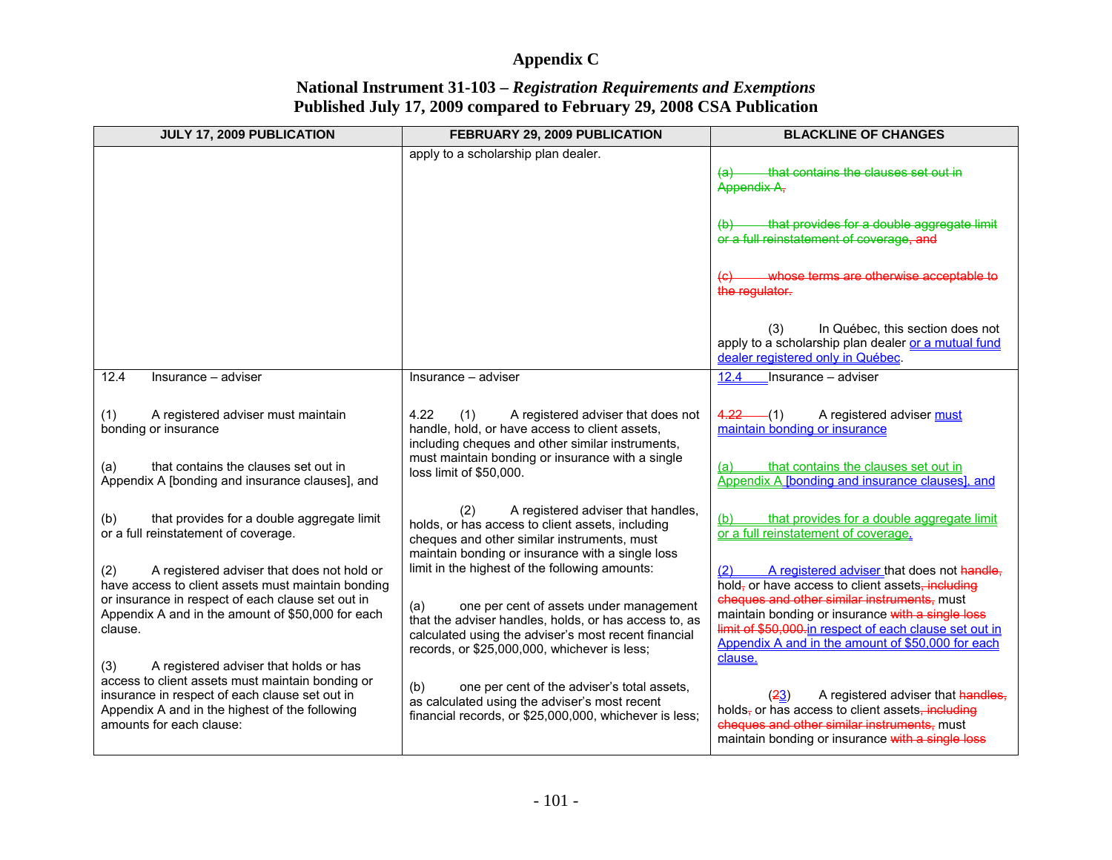| JULY 17, 2009 PUBLICATION                                                                                                                                                                                                    | <b>FEBRUARY 29, 2009 PUBLICATION</b>                                                                                                                                                                              | <b>BLACKLINE OF CHANGES</b>                                                                                                                                                                                                                                               |
|------------------------------------------------------------------------------------------------------------------------------------------------------------------------------------------------------------------------------|-------------------------------------------------------------------------------------------------------------------------------------------------------------------------------------------------------------------|---------------------------------------------------------------------------------------------------------------------------------------------------------------------------------------------------------------------------------------------------------------------------|
|                                                                                                                                                                                                                              | apply to a scholarship plan dealer.                                                                                                                                                                               | that contains the clauses set out in<br><del>(a)</del><br>Appendix A,                                                                                                                                                                                                     |
|                                                                                                                                                                                                                              |                                                                                                                                                                                                                   | that provides for a double aggregate limit<br>(b)<br>or a full reinstatement of coverage, and                                                                                                                                                                             |
|                                                                                                                                                                                                                              |                                                                                                                                                                                                                   | whose terms are otherwise acceptable to<br><del>(c)</del><br>the regulator.                                                                                                                                                                                               |
|                                                                                                                                                                                                                              |                                                                                                                                                                                                                   | In Québec, this section does not<br>(3)<br>apply to a scholarship plan dealer or a mutual fund<br>dealer registered only in Québec.                                                                                                                                       |
| 12.4<br>Insurance - adviser                                                                                                                                                                                                  | Insurance - adviser                                                                                                                                                                                               | 12.4<br>Insurance - adviser                                                                                                                                                                                                                                               |
| A registered adviser must maintain<br>(1)<br>bonding or insurance                                                                                                                                                            | 4.22<br>(1)<br>A registered adviser that does not<br>handle, hold, or have access to client assets,<br>including cheques and other similar instruments,                                                           | $4.22 -$<br>$-(1)$<br>A registered adviser must<br>maintain bonding or insurance                                                                                                                                                                                          |
| that contains the clauses set out in<br>(a)<br>Appendix A [bonding and insurance clauses], and                                                                                                                               | must maintain bonding or insurance with a single<br>loss limit of \$50,000.                                                                                                                                       | that contains the clauses set out in<br>(a)<br>Appendix A [bonding and insurance clauses], and                                                                                                                                                                            |
| that provides for a double aggregate limit<br>(b)<br>or a full reinstatement of coverage.                                                                                                                                    | A registered adviser that handles,<br>(2)<br>holds, or has access to client assets, including<br>cheques and other similar instruments, must<br>maintain bonding or insurance with a single loss                  | that provides for a double aggregate limit<br>(b)<br>or a full reinstatement of coverage.                                                                                                                                                                                 |
| (2)<br>A registered adviser that does not hold or<br>have access to client assets must maintain bonding<br>or insurance in respect of each clause set out in<br>Appendix A and in the amount of \$50,000 for each<br>clause. | limit in the highest of the following amounts:<br>(a)<br>one per cent of assets under management<br>that the adviser handles, holds, or has access to, as<br>calculated using the adviser's most recent financial | A registered adviser that does not handle,<br><u>(2)</u><br>hold, or have access to client assets, including<br>cheques and other similar instruments, must<br>maintain bonding or insurance with a single loss<br>limit of \$50,000 in respect of each clause set out in |
| A registered adviser that holds or has<br>(3)<br>access to client assets must maintain bonding or<br>insurance in respect of each clause set out in<br>Appendix A and in the highest of the following                        | records, or \$25,000,000, whichever is less;<br>(b)<br>one per cent of the adviser's total assets,<br>as calculated using the adviser's most recent<br>financial records, or \$25,000,000, whichever is less;     | Appendix A and in the amount of \$50,000 for each<br>clause.<br>A registered adviser that handles,<br>(23)<br>holds, or has access to client assets, including                                                                                                            |
| amounts for each clause:                                                                                                                                                                                                     |                                                                                                                                                                                                                   | cheques and other similar instruments, must<br>maintain bonding or insurance with a single loss                                                                                                                                                                           |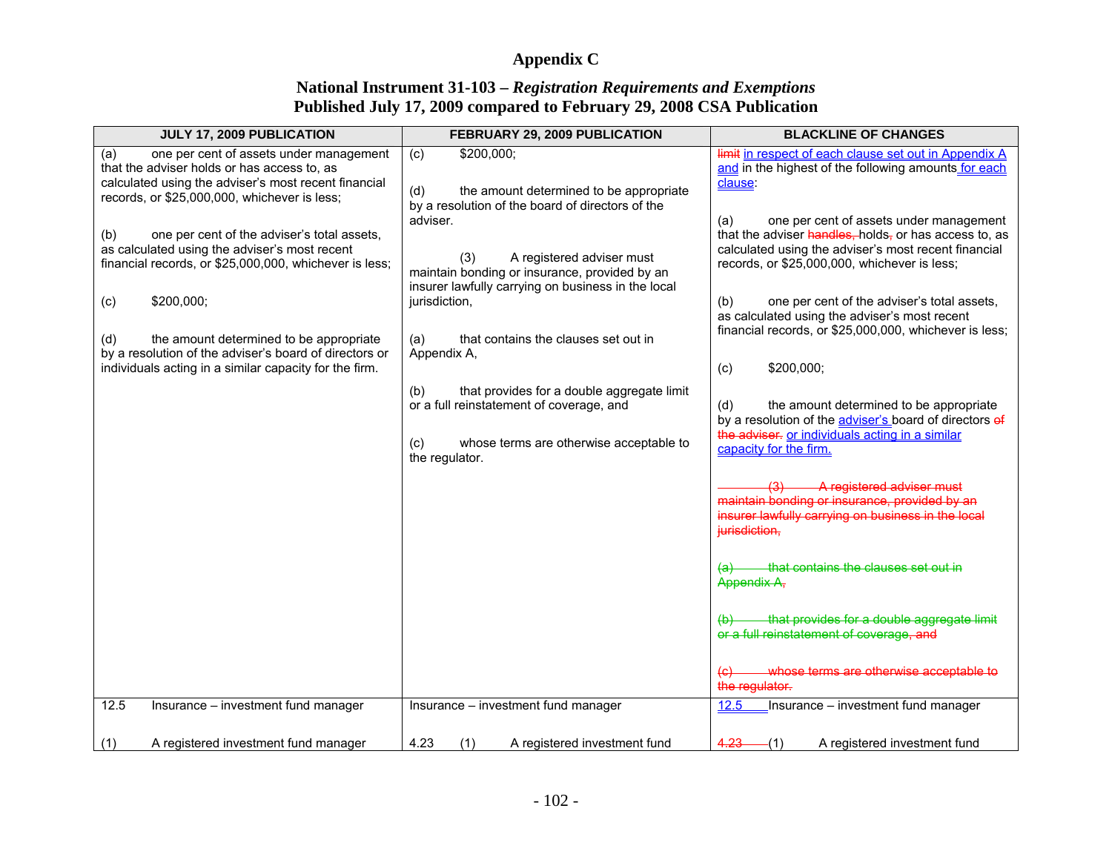| JULY 17, 2009 PUBLICATION                                                                                                                                                                             | <b>FEBRUARY 29, 2009 PUBLICATION</b>                                                                                                                | <b>BLACKLINE OF CHANGES</b>                                                                                                                                                                                     |
|-------------------------------------------------------------------------------------------------------------------------------------------------------------------------------------------------------|-----------------------------------------------------------------------------------------------------------------------------------------------------|-----------------------------------------------------------------------------------------------------------------------------------------------------------------------------------------------------------------|
| one per cent of assets under management<br>(a)<br>that the adviser holds or has access to, as<br>calculated using the adviser's most recent financial<br>records, or \$25,000,000, whichever is less; | \$200,000;<br>(c)<br>the amount determined to be appropriate<br>(d)<br>by a resolution of the board of directors of the                             | limit in respect of each clause set out in Appendix A<br>and in the highest of the following amounts for each<br>clause:                                                                                        |
| (b)<br>one per cent of the adviser's total assets,<br>as calculated using the adviser's most recent<br>financial records, or \$25,000,000, whichever is less;                                         | adviser.<br>A registered adviser must<br>(3)<br>maintain bonding or insurance, provided by an<br>insurer lawfully carrying on business in the local | one per cent of assets under management<br>(a)<br>that the adviser handles, holds, or has access to, as<br>calculated using the adviser's most recent financial<br>records, or \$25,000,000, whichever is less; |
| \$200,000;<br>(c)<br>(d)<br>the amount determined to be appropriate                                                                                                                                   | jurisdiction,<br>that contains the clauses set out in<br>(a)                                                                                        | one per cent of the adviser's total assets,<br>(b)<br>as calculated using the adviser's most recent<br>financial records, or \$25,000,000, whichever is less;                                                   |
| by a resolution of the adviser's board of directors or<br>individuals acting in a similar capacity for the firm.                                                                                      | Appendix A,<br>that provides for a double aggregate limit<br>(b)                                                                                    | \$200,000;<br>(c)                                                                                                                                                                                               |
|                                                                                                                                                                                                       | or a full reinstatement of coverage, and<br>whose terms are otherwise acceptable to<br>(c)<br>the regulator.                                        | the amount determined to be appropriate<br>(d)<br>by a resolution of the adviser's board of directors of<br>the adviser. or individuals acting in a similar<br>capacity for the firm.                           |
|                                                                                                                                                                                                       |                                                                                                                                                     | A registered adviser must<br>43)<br>maintain bonding or insurance, provided by an<br>insurer lawfully carrying on business in the local<br>jurisdiction.                                                        |
|                                                                                                                                                                                                       |                                                                                                                                                     | that contains the clauses set out in<br>$\left( a\right)$<br>Appendix A,                                                                                                                                        |
|                                                                                                                                                                                                       |                                                                                                                                                     | that provides for a double aggregate limit<br>$\Theta$<br>or a full reinstatement of coverage, and                                                                                                              |
|                                                                                                                                                                                                       |                                                                                                                                                     | whose terms are otherwise acceptable to<br>$\left(\mathbf{e}\right)$<br>the regulator.                                                                                                                          |
| 12.5<br>Insurance - investment fund manager                                                                                                                                                           | Insurance - investment fund manager                                                                                                                 | 12.5<br>Insurance - investment fund manager                                                                                                                                                                     |
| A registered investment fund manager<br>(1)                                                                                                                                                           | 4.23<br>(1)<br>A registered investment fund                                                                                                         | 4.23<br>$- (1)$<br>A registered investment fund                                                                                                                                                                 |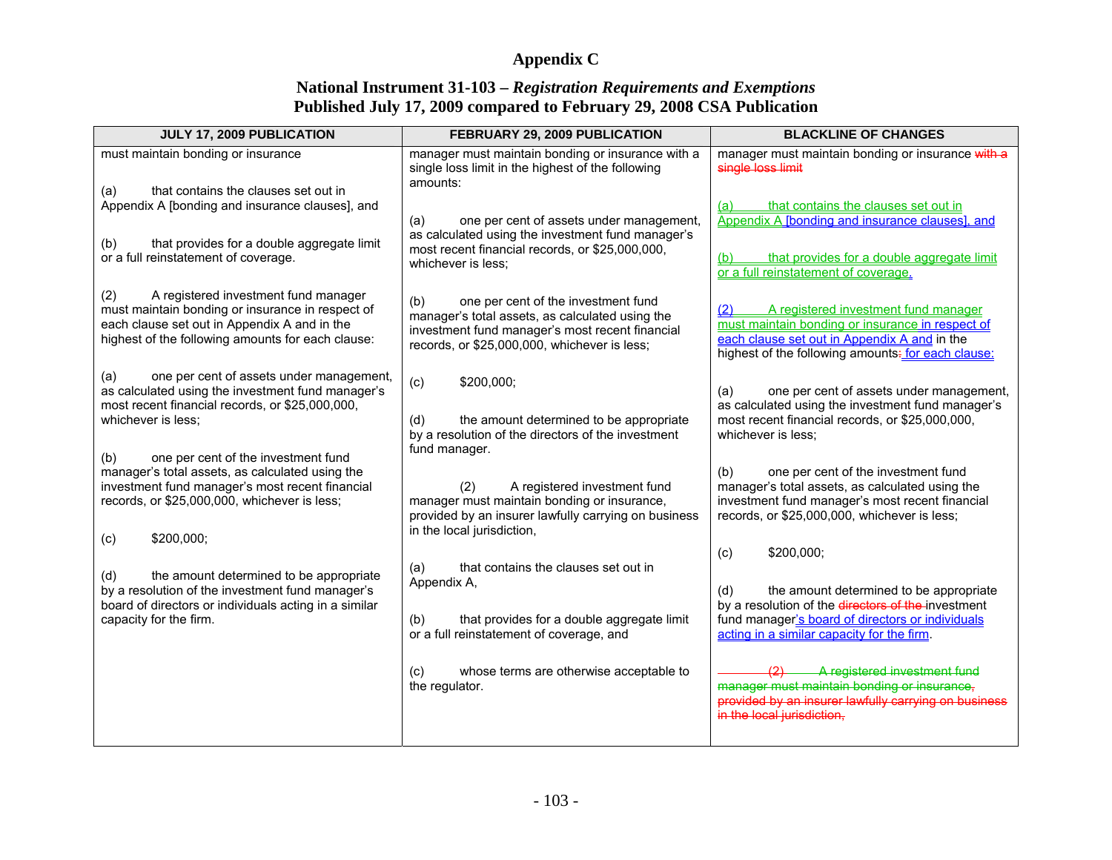| JULY 17, 2009 PUBLICATION                                                                                                                                                                            | <b>FEBRUARY 29, 2009 PUBLICATION</b>                                                                                                                                                             | <b>BLACKLINE OF CHANGES</b>                                                                                                                                                                           |
|------------------------------------------------------------------------------------------------------------------------------------------------------------------------------------------------------|--------------------------------------------------------------------------------------------------------------------------------------------------------------------------------------------------|-------------------------------------------------------------------------------------------------------------------------------------------------------------------------------------------------------|
| must maintain bonding or insurance<br>that contains the clauses set out in<br>(a)                                                                                                                    | manager must maintain bonding or insurance with a<br>single loss limit in the highest of the following<br>amounts:                                                                               | manager must maintain bonding or insurance with a<br>single loss limit                                                                                                                                |
| Appendix A [bonding and insurance clauses], and                                                                                                                                                      | one per cent of assets under management,<br>(a)<br>as calculated using the investment fund manager's                                                                                             | that contains the clauses set out in<br>(a)<br>Appendix A [bonding and insurance clauses], and                                                                                                        |
| that provides for a double aggregate limit<br>(b)<br>or a full reinstatement of coverage.                                                                                                            | most recent financial records, or \$25,000,000,<br>whichever is less;                                                                                                                            | that provides for a double aggregate limit<br>(b)<br>or a full reinstatement of coverage.                                                                                                             |
| A registered investment fund manager<br>(2)<br>must maintain bonding or insurance in respect of<br>each clause set out in Appendix A and in the<br>highest of the following amounts for each clause: | (b)<br>one per cent of the investment fund<br>manager's total assets, as calculated using the<br>investment fund manager's most recent financial<br>records, or \$25,000,000, whichever is less; | A registered investment fund manager<br>(2)<br>must maintain bonding or insurance in respect of<br>each clause set out in Appendix A and in the<br>highest of the following amounts: for each clause: |
| one per cent of assets under management,<br>(a)<br>as calculated using the investment fund manager's<br>most recent financial records, or \$25,000,000,<br>whichever is less;                        | (c)<br>\$200,000;<br>(d)<br>the amount determined to be appropriate                                                                                                                              | one per cent of assets under management,<br>(a)<br>as calculated using the investment fund manager's<br>most recent financial records, or \$25,000,000,                                               |
| one per cent of the investment fund<br>(b)                                                                                                                                                           | by a resolution of the directors of the investment<br>fund manager.                                                                                                                              | whichever is less:                                                                                                                                                                                    |
| manager's total assets, as calculated using the<br>investment fund manager's most recent financial<br>records, or \$25,000,000, whichever is less;                                                   | A registered investment fund<br>(2)<br>manager must maintain bonding or insurance,<br>provided by an insurer lawfully carrying on business                                                       | (b)<br>one per cent of the investment fund<br>manager's total assets, as calculated using the<br>investment fund manager's most recent financial<br>records, or \$25,000,000, whichever is less;      |
| \$200,000;<br>(c)                                                                                                                                                                                    | in the local jurisdiction,                                                                                                                                                                       | \$200,000;<br>(c)                                                                                                                                                                                     |
| the amount determined to be appropriate<br>(d)<br>by a resolution of the investment fund manager's                                                                                                   | that contains the clauses set out in<br>(a)<br>Appendix A,                                                                                                                                       | (d)<br>the amount determined to be appropriate                                                                                                                                                        |
| board of directors or individuals acting in a similar<br>capacity for the firm.                                                                                                                      | that provides for a double aggregate limit<br>(b)<br>or a full reinstatement of coverage, and                                                                                                    | by a resolution of the directors of the investment<br>fund manager's board of directors or individuals<br>acting in a similar capacity for the firm.                                                  |
|                                                                                                                                                                                                      | whose terms are otherwise acceptable to<br>(c)<br>the regulator.                                                                                                                                 | A registered investment fund<br><del>(2)</del><br>manager must maintain bonding or insurance,<br>provided by an insurer lawfully carrying on business<br>in the local jurisdiction,                   |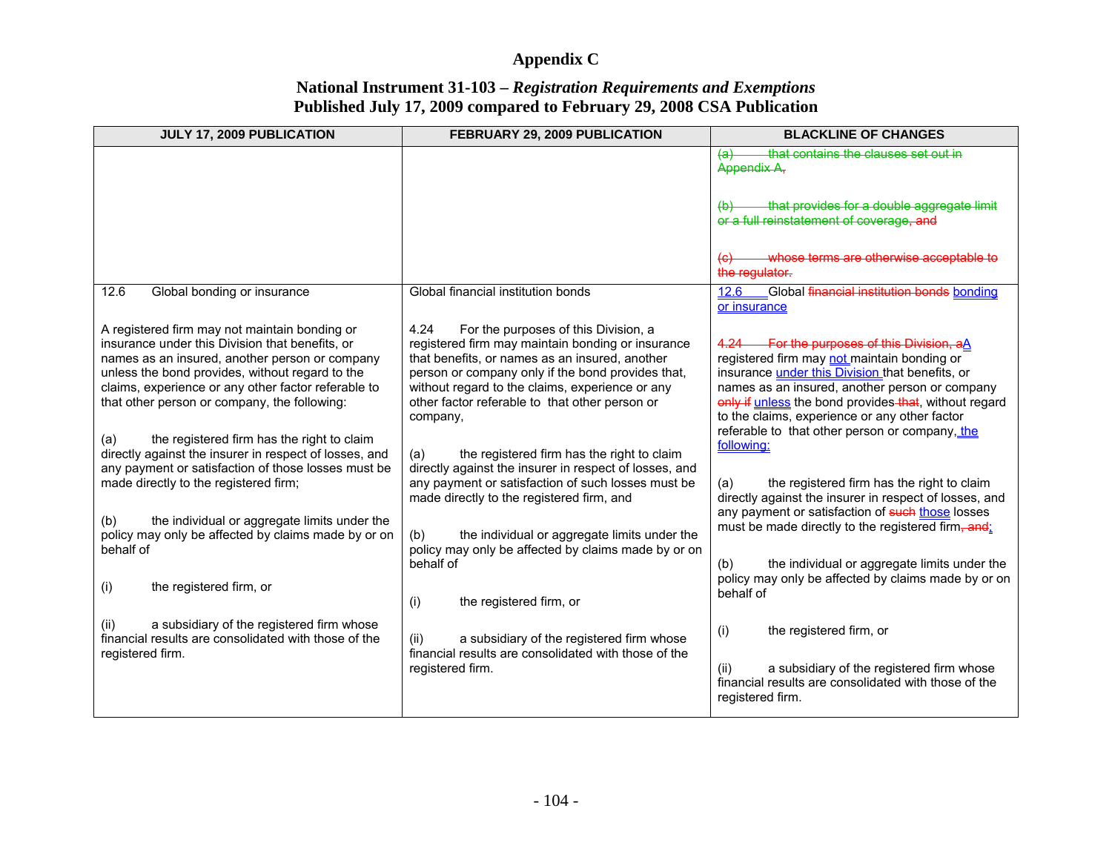| JULY 17, 2009 PUBLICATION                                                                                                                                                                                                                                                                                    | <b>FEBRUARY 29, 2009 PUBLICATION</b>                                                                                                                                                                                                                                                                                      | <b>BLACKLINE OF CHANGES</b>                                                                                                                                                                                                                                                                                     |
|--------------------------------------------------------------------------------------------------------------------------------------------------------------------------------------------------------------------------------------------------------------------------------------------------------------|---------------------------------------------------------------------------------------------------------------------------------------------------------------------------------------------------------------------------------------------------------------------------------------------------------------------------|-----------------------------------------------------------------------------------------------------------------------------------------------------------------------------------------------------------------------------------------------------------------------------------------------------------------|
|                                                                                                                                                                                                                                                                                                              |                                                                                                                                                                                                                                                                                                                           | that contains the clauses set out in<br>$\left( a\right)$<br>Appendix A,                                                                                                                                                                                                                                        |
|                                                                                                                                                                                                                                                                                                              |                                                                                                                                                                                                                                                                                                                           | that provides for a double aggregate limit<br>$\leftrightarrow$<br>or a full reinstatement of coverage, and                                                                                                                                                                                                     |
|                                                                                                                                                                                                                                                                                                              |                                                                                                                                                                                                                                                                                                                           | whose terms are otherwise acceptable to<br>$\left( \theta \right)$<br>the regulator.                                                                                                                                                                                                                            |
| 12.6<br>Global bonding or insurance                                                                                                                                                                                                                                                                          | Global financial institution bonds                                                                                                                                                                                                                                                                                        | Global financial institution bonds bonding<br>12.6<br>or insurance                                                                                                                                                                                                                                              |
| A registered firm may not maintain bonding or<br>insurance under this Division that benefits, or<br>names as an insured, another person or company<br>unless the bond provides, without regard to the<br>claims, experience or any other factor referable to<br>that other person or company, the following: | 4.24<br>For the purposes of this Division, a<br>registered firm may maintain bonding or insurance<br>that benefits, or names as an insured, another<br>person or company only if the bond provides that,<br>without regard to the claims, experience or any<br>other factor referable to that other person or<br>company, | 4.24 For the purposes of this Division, aA<br>registered firm may not maintain bonding or<br>insurance <i>under this Division</i> that benefits, or<br>names as an insured, another person or company<br>only if unless the bond provides-that, without regard<br>to the claims, experience or any other factor |
| the registered firm has the right to claim<br>(a)<br>directly against the insurer in respect of losses, and<br>any payment or satisfaction of those losses must be<br>made directly to the registered firm;                                                                                                  | the registered firm has the right to claim<br>(a)<br>directly against the insurer in respect of losses, and<br>any payment or satisfaction of such losses must be<br>made directly to the registered firm, and                                                                                                            | referable to that other person or company, the<br>following:<br>the registered firm has the right to claim<br>(a)<br>directly against the insurer in respect of losses, and                                                                                                                                     |
| the individual or aggregate limits under the<br>(b)<br>policy may only be affected by claims made by or on<br>behalf of                                                                                                                                                                                      | the individual or aggregate limits under the<br>(b)<br>policy may only be affected by claims made by or on<br>behalf of                                                                                                                                                                                                   | any payment or satisfaction of such those losses<br>must be made directly to the registered firm, and:<br>the individual or aggregate limits under the<br>(b)                                                                                                                                                   |
| the registered firm, or<br>(i)                                                                                                                                                                                                                                                                               | (i)<br>the registered firm, or                                                                                                                                                                                                                                                                                            | policy may only be affected by claims made by or on<br>behalf of                                                                                                                                                                                                                                                |
| a subsidiary of the registered firm whose<br>(ii)<br>financial results are consolidated with those of the<br>registered firm.                                                                                                                                                                                | a subsidiary of the registered firm whose<br>(ii)<br>financial results are consolidated with those of the                                                                                                                                                                                                                 | the registered firm, or<br>(i)                                                                                                                                                                                                                                                                                  |
|                                                                                                                                                                                                                                                                                                              | registered firm.                                                                                                                                                                                                                                                                                                          | a subsidiary of the registered firm whose<br>(ii)<br>financial results are consolidated with those of the<br>registered firm.                                                                                                                                                                                   |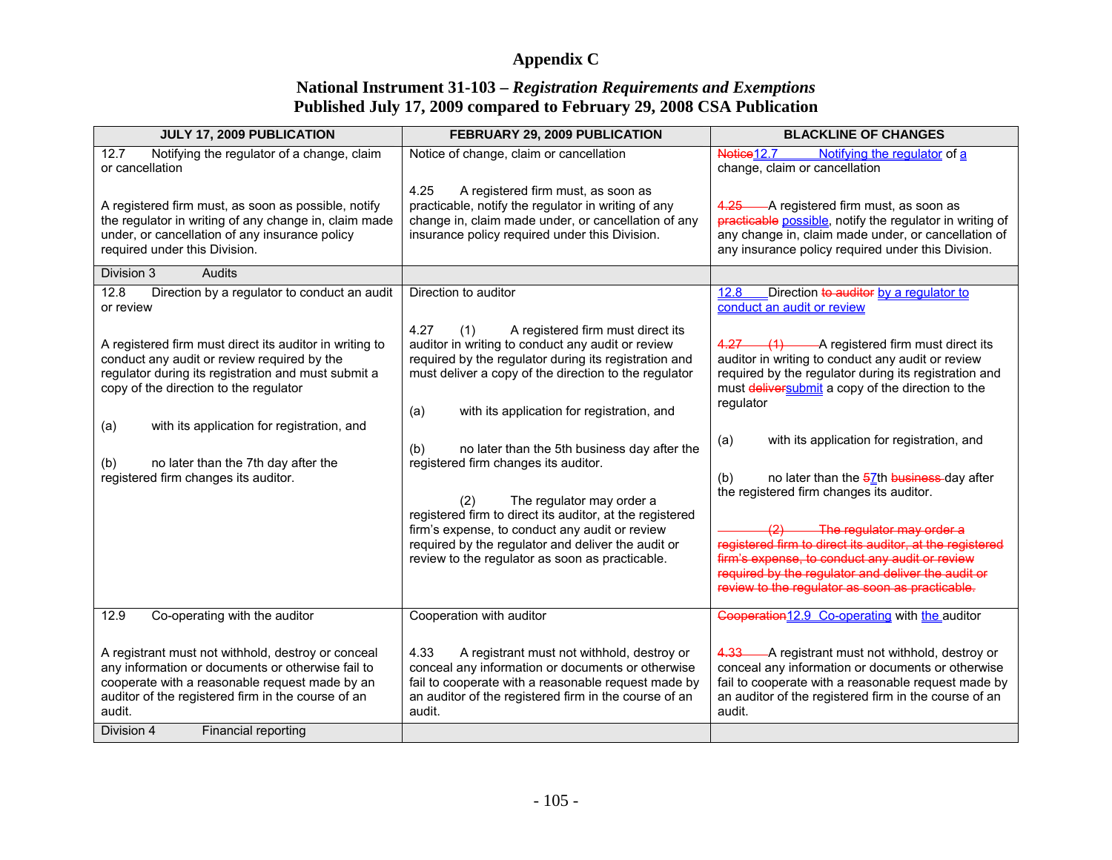| JULY 17, 2009 PUBLICATION                                                                                                                                                                                                                                                                                                                          | <b>FEBRUARY 29, 2009 PUBLICATION</b>                                                                                                                                                                                                                                                                                                                                                                                                                                                                                                                                                                                                   | <b>BLACKLINE OF CHANGES</b>                                                                                                                                                                                                                                                                                                                                                                                                                                                                                                                                                                                                         |
|----------------------------------------------------------------------------------------------------------------------------------------------------------------------------------------------------------------------------------------------------------------------------------------------------------------------------------------------------|----------------------------------------------------------------------------------------------------------------------------------------------------------------------------------------------------------------------------------------------------------------------------------------------------------------------------------------------------------------------------------------------------------------------------------------------------------------------------------------------------------------------------------------------------------------------------------------------------------------------------------------|-------------------------------------------------------------------------------------------------------------------------------------------------------------------------------------------------------------------------------------------------------------------------------------------------------------------------------------------------------------------------------------------------------------------------------------------------------------------------------------------------------------------------------------------------------------------------------------------------------------------------------------|
| Notifying the regulator of a change, claim<br>12.7<br>or cancellation                                                                                                                                                                                                                                                                              | Notice of change, claim or cancellation                                                                                                                                                                                                                                                                                                                                                                                                                                                                                                                                                                                                | Notifying the regulator of a<br>Notice <sub>12.7</sub><br>change, claim or cancellation                                                                                                                                                                                                                                                                                                                                                                                                                                                                                                                                             |
| A registered firm must, as soon as possible, notify<br>the regulator in writing of any change in, claim made<br>under, or cancellation of any insurance policy<br>required under this Division.                                                                                                                                                    | 4.25<br>A registered firm must, as soon as<br>practicable, notify the regulator in writing of any<br>change in, claim made under, or cancellation of any<br>insurance policy required under this Division.                                                                                                                                                                                                                                                                                                                                                                                                                             | 4.25 - A registered firm must, as soon as<br>practicable possible, notify the regulator in writing of<br>any change in, claim made under, or cancellation of<br>any insurance policy required under this Division.                                                                                                                                                                                                                                                                                                                                                                                                                  |
| Division 3<br>Audits                                                                                                                                                                                                                                                                                                                               |                                                                                                                                                                                                                                                                                                                                                                                                                                                                                                                                                                                                                                        |                                                                                                                                                                                                                                                                                                                                                                                                                                                                                                                                                                                                                                     |
| 12.8<br>Direction by a regulator to conduct an audit<br>or review                                                                                                                                                                                                                                                                                  | Direction to auditor                                                                                                                                                                                                                                                                                                                                                                                                                                                                                                                                                                                                                   | 12.8<br>Direction to auditor by a regulator to<br>conduct an audit or review                                                                                                                                                                                                                                                                                                                                                                                                                                                                                                                                                        |
| A registered firm must direct its auditor in writing to<br>conduct any audit or review required by the<br>regulator during its registration and must submit a<br>copy of the direction to the regulator<br>with its application for registration, and<br>(a)<br>no later than the 7th day after the<br>(b)<br>registered firm changes its auditor. | 4.27<br>(1)<br>A registered firm must direct its<br>auditor in writing to conduct any audit or review<br>required by the regulator during its registration and<br>must deliver a copy of the direction to the regulator<br>with its application for registration, and<br>(a)<br>no later than the 5th business day after the<br>(b)<br>registered firm changes its auditor.<br>The regulator may order a<br>(2)<br>registered firm to direct its auditor, at the registered<br>firm's expense, to conduct any audit or review<br>required by the regulator and deliver the audit or<br>review to the regulator as soon as practicable. | 4.27 (1) A registered firm must direct its<br>auditor in writing to conduct any audit or review<br>required by the regulator during its registration and<br>must deliversubmit a copy of the direction to the<br>regulator<br>with its application for registration, and<br>(a)<br>(b)<br>no later than the 57th business-day after<br>the registered firm changes its auditor.<br>The regulator may order a<br>registered firm to direct its auditor, at the registered<br>firm's expense, to conduct any audit or review<br>required by the regulator and deliver the audit or<br>review to the regulator as soon as practicable. |
| 12.9<br>Co-operating with the auditor                                                                                                                                                                                                                                                                                                              | Cooperation with auditor                                                                                                                                                                                                                                                                                                                                                                                                                                                                                                                                                                                                               | Cooperation12.9 Co-operating with the auditor                                                                                                                                                                                                                                                                                                                                                                                                                                                                                                                                                                                       |
| A registrant must not withhold, destroy or conceal<br>any information or documents or otherwise fail to<br>cooperate with a reasonable request made by an<br>auditor of the registered firm in the course of an<br>audit.<br>Division 4<br>Financial reporting                                                                                     | 4.33<br>A registrant must not withhold, destroy or<br>conceal any information or documents or otherwise<br>fail to cooperate with a reasonable request made by<br>an auditor of the registered firm in the course of an<br>audit.                                                                                                                                                                                                                                                                                                                                                                                                      | 4.33 - A registrant must not withhold, destroy or<br>conceal any information or documents or otherwise<br>fail to cooperate with a reasonable request made by<br>an auditor of the registered firm in the course of an<br>audit.                                                                                                                                                                                                                                                                                                                                                                                                    |
|                                                                                                                                                                                                                                                                                                                                                    |                                                                                                                                                                                                                                                                                                                                                                                                                                                                                                                                                                                                                                        |                                                                                                                                                                                                                                                                                                                                                                                                                                                                                                                                                                                                                                     |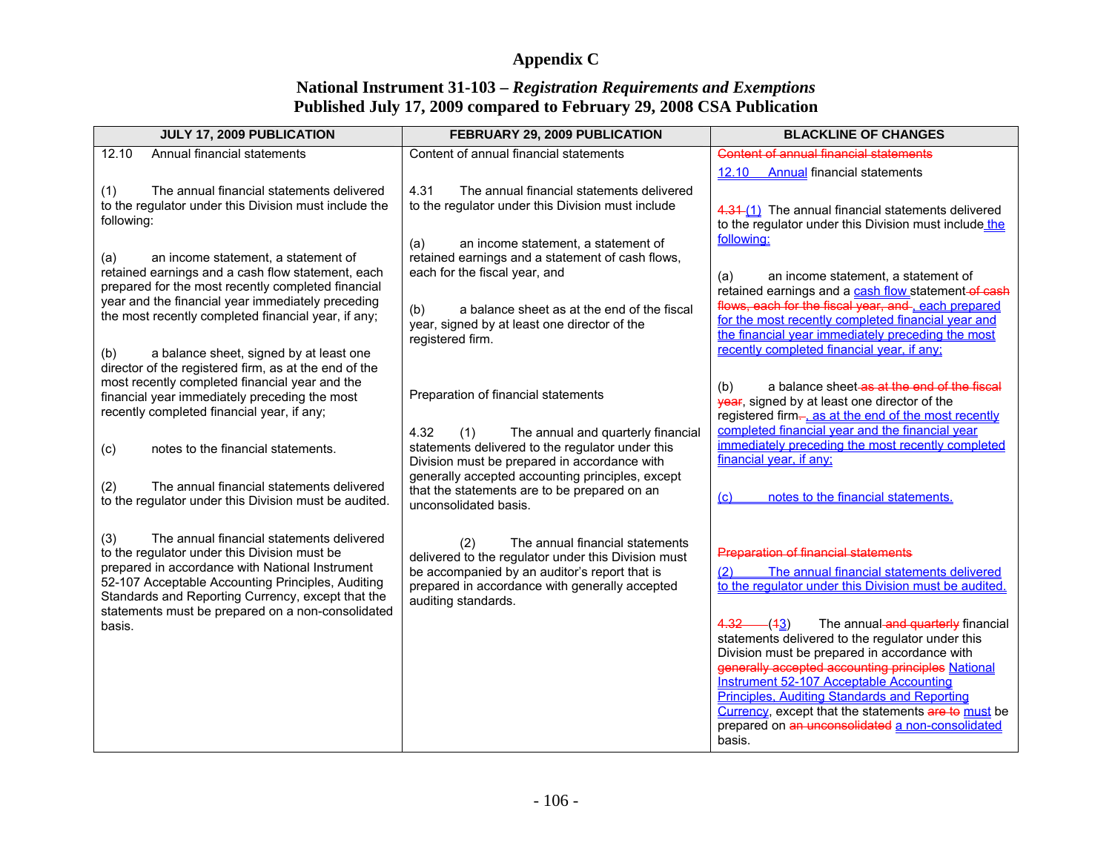| 12.10<br>Annual financial statements                                                                                                                                                                                                                                                                               | Content of annual financial statements                                                                                                                                                                                                                    |                                                                                                                                                                                                                                                                                                                                                                                                                                                   |
|--------------------------------------------------------------------------------------------------------------------------------------------------------------------------------------------------------------------------------------------------------------------------------------------------------------------|-----------------------------------------------------------------------------------------------------------------------------------------------------------------------------------------------------------------------------------------------------------|---------------------------------------------------------------------------------------------------------------------------------------------------------------------------------------------------------------------------------------------------------------------------------------------------------------------------------------------------------------------------------------------------------------------------------------------------|
|                                                                                                                                                                                                                                                                                                                    |                                                                                                                                                                                                                                                           | Content of annual financial statements                                                                                                                                                                                                                                                                                                                                                                                                            |
|                                                                                                                                                                                                                                                                                                                    |                                                                                                                                                                                                                                                           | 12.10 Annual financial statements                                                                                                                                                                                                                                                                                                                                                                                                                 |
| The annual financial statements delivered<br>(1)<br>to the regulator under this Division must include the<br>following:                                                                                                                                                                                            | 4.31<br>The annual financial statements delivered<br>to the regulator under this Division must include                                                                                                                                                    | 4.31 (1) The annual financial statements delivered<br>to the regulator under this Division must include the                                                                                                                                                                                                                                                                                                                                       |
| an income statement, a statement of<br>(a)<br>retained earnings and a cash flow statement, each<br>prepared for the most recently completed financial<br>year and the financial year immediately preceding<br>the most recently completed financial year, if any;<br>a balance sheet, signed by at least one       | an income statement, a statement of<br>(a)<br>retained earnings and a statement of cash flows,<br>each for the fiscal year, and<br>a balance sheet as at the end of the fiscal<br>(b)<br>year, signed by at least one director of the<br>registered firm. | following:<br>an income statement, a statement of<br>(a)<br>retained earnings and a cash flow statement of cash<br>flows, each for the fiscal year, and, each prepared<br>for the most recently completed financial year and<br>the financial year immediately preceding the most<br>recently completed financial year, if any;                                                                                                                   |
| (b)<br>director of the registered firm, as at the end of the<br>most recently completed financial year and the<br>financial year immediately preceding the most<br>recently completed financial year, if any;                                                                                                      | Preparation of financial statements<br>4.32<br>(1)<br>The annual and quarterly financial                                                                                                                                                                  | a balance sheet as at the end of the fiscal<br>(b)<br>year, signed by at least one director of the<br>registered firm-, as at the end of the most recently<br>completed financial year and the financial year                                                                                                                                                                                                                                     |
| notes to the financial statements.<br>(c)                                                                                                                                                                                                                                                                          | statements delivered to the regulator under this<br>Division must be prepared in accordance with<br>generally accepted accounting principles, except                                                                                                      | immediately preceding the most recently completed<br>financial year, if any;                                                                                                                                                                                                                                                                                                                                                                      |
| The annual financial statements delivered<br>(2)<br>to the regulator under this Division must be audited.                                                                                                                                                                                                          | that the statements are to be prepared on an<br>unconsolidated basis.                                                                                                                                                                                     | notes to the financial statements.<br>(c)                                                                                                                                                                                                                                                                                                                                                                                                         |
| The annual financial statements delivered<br>(3)<br>to the regulator under this Division must be<br>prepared in accordance with National Instrument<br>52-107 Acceptable Accounting Principles, Auditing<br>Standards and Reporting Currency, except that the<br>statements must be prepared on a non-consolidated | The annual financial statements<br>(2)<br>delivered to the regulator under this Division must<br>be accompanied by an auditor's report that is<br>prepared in accordance with generally accepted<br>auditing standards.                                   | <b>Preparation of financial statements</b><br>The annual financial statements delivered<br>(2)<br>to the regulator under this Division must be audited.                                                                                                                                                                                                                                                                                           |
| basis.                                                                                                                                                                                                                                                                                                             |                                                                                                                                                                                                                                                           | $-(43)$<br>The annual-and quarterly financial<br><del>4.32-</del><br>statements delivered to the regulator under this<br>Division must be prepared in accordance with<br>generally accepted accounting principles National<br>Instrument 52-107 Acceptable Accounting<br><b>Principles, Auditing Standards and Reporting</b><br>Currency, except that the statements are to must be<br>prepared on an unconsolidated a non-consolidated<br>basis. |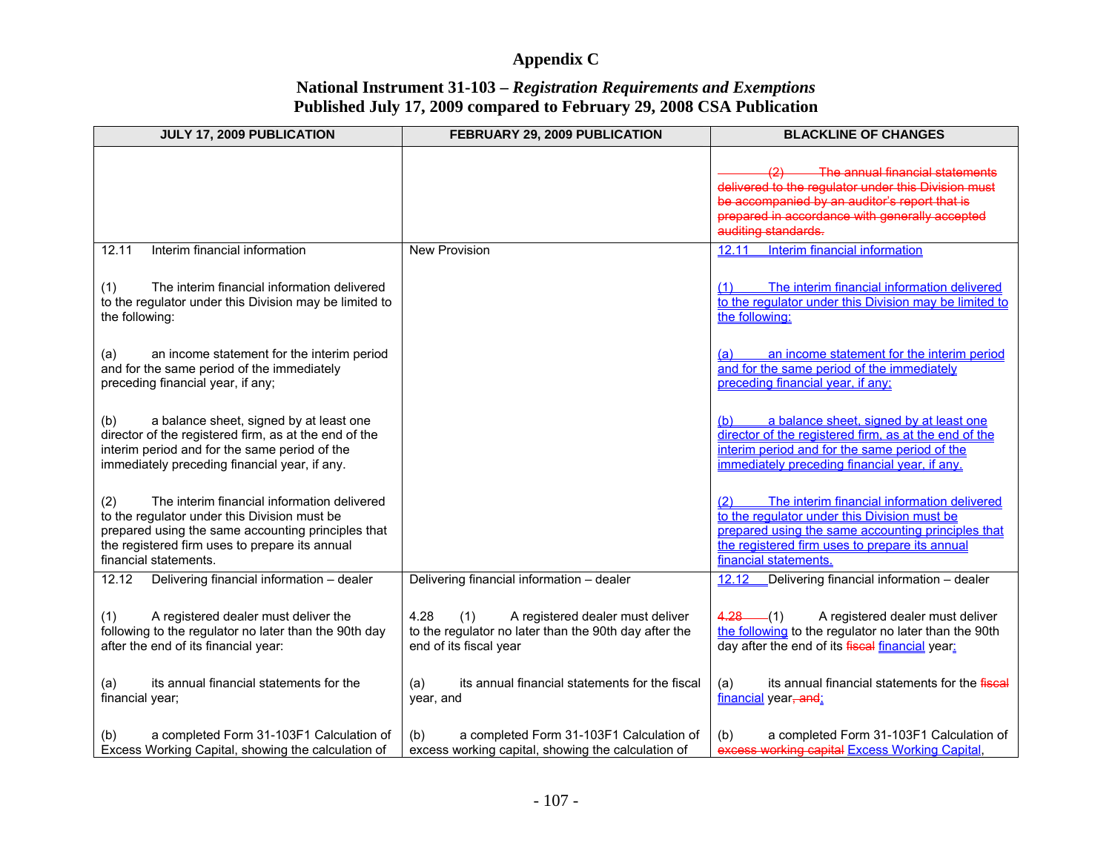| JULY 17, 2009 PUBLICATION                                                                                                                                                                                                           | FEBRUARY 29, 2009 PUBLICATION                                                                                                      | <b>BLACKLINE OF CHANGES</b>                                                                                                                                                                                                         |
|-------------------------------------------------------------------------------------------------------------------------------------------------------------------------------------------------------------------------------------|------------------------------------------------------------------------------------------------------------------------------------|-------------------------------------------------------------------------------------------------------------------------------------------------------------------------------------------------------------------------------------|
|                                                                                                                                                                                                                                     |                                                                                                                                    | The annual financial statements<br>delivered to the requlator under this Division must<br>be accompanied by an auditor's report that is<br>prepared in accordance with generally accepted<br>auditing standards.                    |
| Interim financial information<br>12.11                                                                                                                                                                                              | <b>New Provision</b>                                                                                                               | 12.11 Interim financial information                                                                                                                                                                                                 |
| The interim financial information delivered<br>(1)<br>to the regulator under this Division may be limited to<br>the following:                                                                                                      |                                                                                                                                    | The interim financial information delivered<br>(1)<br>to the regulator under this Division may be limited to<br>the following:                                                                                                      |
| an income statement for the interim period<br>(a)<br>and for the same period of the immediately<br>preceding financial year, if any;                                                                                                |                                                                                                                                    | an income statement for the interim period<br>(a)<br>and for the same period of the immediately<br>preceding financial year, if any;                                                                                                |
| a balance sheet, signed by at least one<br>(b)<br>director of the registered firm, as at the end of the<br>interim period and for the same period of the<br>immediately preceding financial year, if any.                           |                                                                                                                                    | a balance sheet, signed by at least one<br>(b)<br>director of the registered firm, as at the end of the<br>interim period and for the same period of the<br>immediately preceding financial year, if any.                           |
| The interim financial information delivered<br>(2)<br>to the regulator under this Division must be<br>prepared using the same accounting principles that<br>the registered firm uses to prepare its annual<br>financial statements. |                                                                                                                                    | The interim financial information delivered<br>(2)<br>to the regulator under this Division must be<br>prepared using the same accounting principles that<br>the registered firm uses to prepare its annual<br>financial statements. |
| 12.12<br>Delivering financial information - dealer                                                                                                                                                                                  | Delivering financial information - dealer                                                                                          | 12.12 Delivering financial information - dealer                                                                                                                                                                                     |
| A registered dealer must deliver the<br>(1)<br>following to the regulator no later than the 90th day<br>after the end of its financial year:                                                                                        | 4.28<br>A registered dealer must deliver<br>(1)<br>to the regulator no later than the 90th day after the<br>end of its fiscal year | $4.28 -$<br>$-(1)$<br>A registered dealer must deliver<br>the following to the regulator no later than the 90th<br>day after the end of its fiscal financial year:                                                                  |
| its annual financial statements for the<br>(a)<br>financial year;                                                                                                                                                                   | its annual financial statements for the fiscal<br>(a)<br>year, and                                                                 | its annual financial statements for the fiscal<br>(a)<br>financial year, and;                                                                                                                                                       |
| a completed Form 31-103F1 Calculation of<br>(b)<br>Excess Working Capital, showing the calculation of                                                                                                                               | a completed Form 31-103F1 Calculation of<br>(b)<br>excess working capital, showing the calculation of                              | a completed Form 31-103F1 Calculation of<br>(b)<br>excess working capital Excess Working Capital,                                                                                                                                   |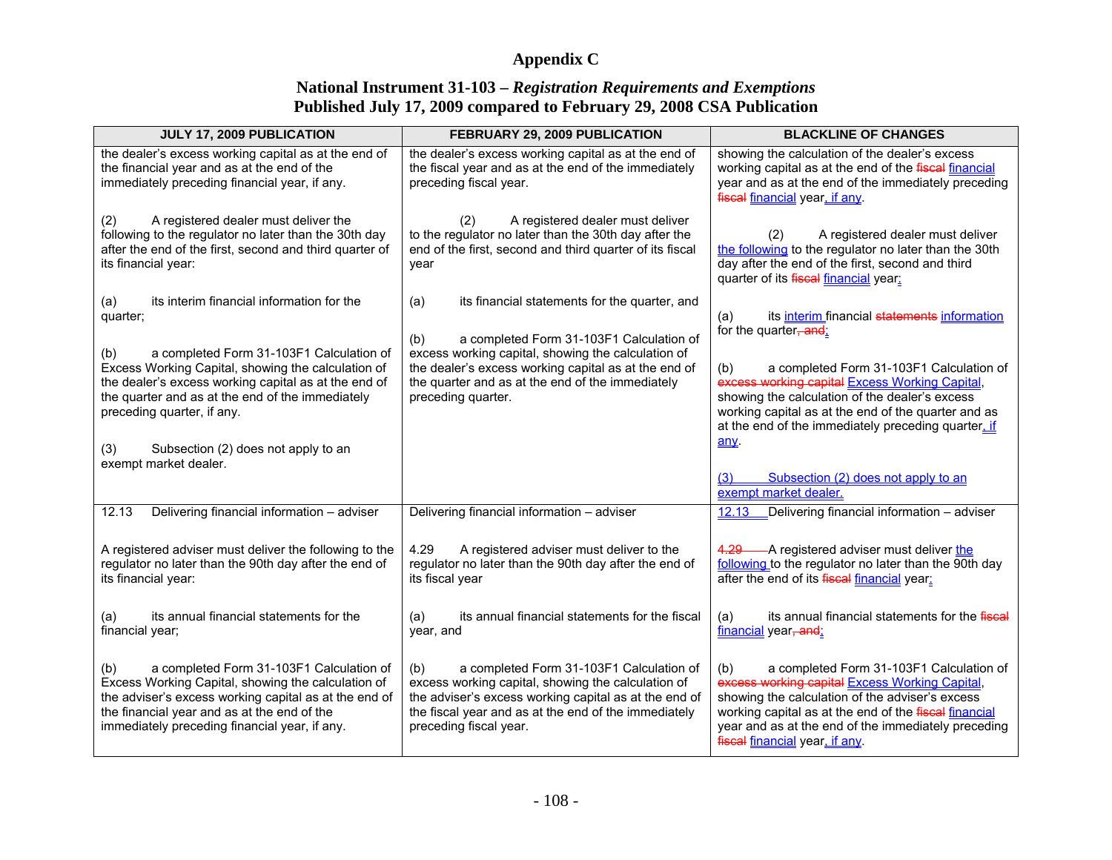| JULY 17, 2009 PUBLICATION                                                                                                                                                                                                                                      | FEBRUARY 29, 2009 PUBLICATION                                                                                                                                                                                                                    | <b>BLACKLINE OF CHANGES</b>                                                                                                                                                                                                                                                                            |
|----------------------------------------------------------------------------------------------------------------------------------------------------------------------------------------------------------------------------------------------------------------|--------------------------------------------------------------------------------------------------------------------------------------------------------------------------------------------------------------------------------------------------|--------------------------------------------------------------------------------------------------------------------------------------------------------------------------------------------------------------------------------------------------------------------------------------------------------|
| the dealer's excess working capital as at the end of<br>the financial year and as at the end of the<br>immediately preceding financial year, if any.                                                                                                           | the dealer's excess working capital as at the end of<br>the fiscal year and as at the end of the immediately<br>preceding fiscal year.                                                                                                           | showing the calculation of the dealer's excess<br>working capital as at the end of the <b>fiscal financial</b><br>year and as at the end of the immediately preceding<br>fiscal financial year, if any.                                                                                                |
| A registered dealer must deliver the<br>(2)<br>following to the regulator no later than the 30th day<br>after the end of the first, second and third quarter of<br>its financial year:                                                                         | A registered dealer must deliver<br>(2)<br>to the regulator no later than the 30th day after the<br>end of the first, second and third quarter of its fiscal<br>year                                                                             | A registered dealer must deliver<br>(2)<br>the following to the regulator no later than the 30th<br>day after the end of the first, second and third<br>quarter of its fiscal financial year:                                                                                                          |
| its interim financial information for the<br>(a)<br>quarter;                                                                                                                                                                                                   | its financial statements for the quarter, and<br>(a)<br>a completed Form 31-103F1 Calculation of<br>(b)                                                                                                                                          | its interim financial statements information<br>(a)<br>for the quarter, and;                                                                                                                                                                                                                           |
| a completed Form 31-103F1 Calculation of<br>(b)<br>Excess Working Capital, showing the calculation of<br>the dealer's excess working capital as at the end of<br>the quarter and as at the end of the immediately<br>preceding quarter, if any.                | excess working capital, showing the calculation of<br>the dealer's excess working capital as at the end of<br>the quarter and as at the end of the immediately<br>preceding quarter.                                                             | (b)<br>a completed Form 31-103F1 Calculation of<br>excess working capital Excess Working Capital,<br>showing the calculation of the dealer's excess<br>working capital as at the end of the quarter and as<br>at the end of the immediately preceding quarter. if                                      |
| (3)<br>Subsection (2) does not apply to an<br>exempt market dealer.                                                                                                                                                                                            |                                                                                                                                                                                                                                                  | any.<br>Subsection (2) does not apply to an<br>(3)<br>exempt market dealer.                                                                                                                                                                                                                            |
| 12.13<br>Delivering financial information - adviser                                                                                                                                                                                                            | Delivering financial information - adviser                                                                                                                                                                                                       | 12.13<br>Delivering financial information - adviser                                                                                                                                                                                                                                                    |
| A registered adviser must deliver the following to the<br>regulator no later than the 90th day after the end of<br>its financial year:                                                                                                                         | 4.29<br>A registered adviser must deliver to the<br>regulator no later than the 90th day after the end of<br>its fiscal year                                                                                                                     | 4.29 - A registered adviser must deliver the<br>following to the regulator no later than the 90th day<br>after the end of its fiscal financial year:                                                                                                                                                   |
| its annual financial statements for the<br>(a)<br>financial year;                                                                                                                                                                                              | its annual financial statements for the fiscal<br>(a)<br>year, and                                                                                                                                                                               | its annual financial statements for the <i>fiscal</i><br>(a)<br>financial year, and;                                                                                                                                                                                                                   |
| a completed Form 31-103F1 Calculation of<br>(b)<br>Excess Working Capital, showing the calculation of<br>the adviser's excess working capital as at the end of<br>the financial year and as at the end of the<br>immediately preceding financial year, if any. | a completed Form 31-103F1 Calculation of<br>(b)<br>excess working capital, showing the calculation of<br>the adviser's excess working capital as at the end of<br>the fiscal year and as at the end of the immediately<br>preceding fiscal year. | (b)<br>a completed Form 31-103F1 Calculation of<br>excess working capital Excess Working Capital,<br>showing the calculation of the adviser's excess<br>working capital as at the end of the fiscal financial<br>year and as at the end of the immediately preceding<br>fiscal financial year, if any. |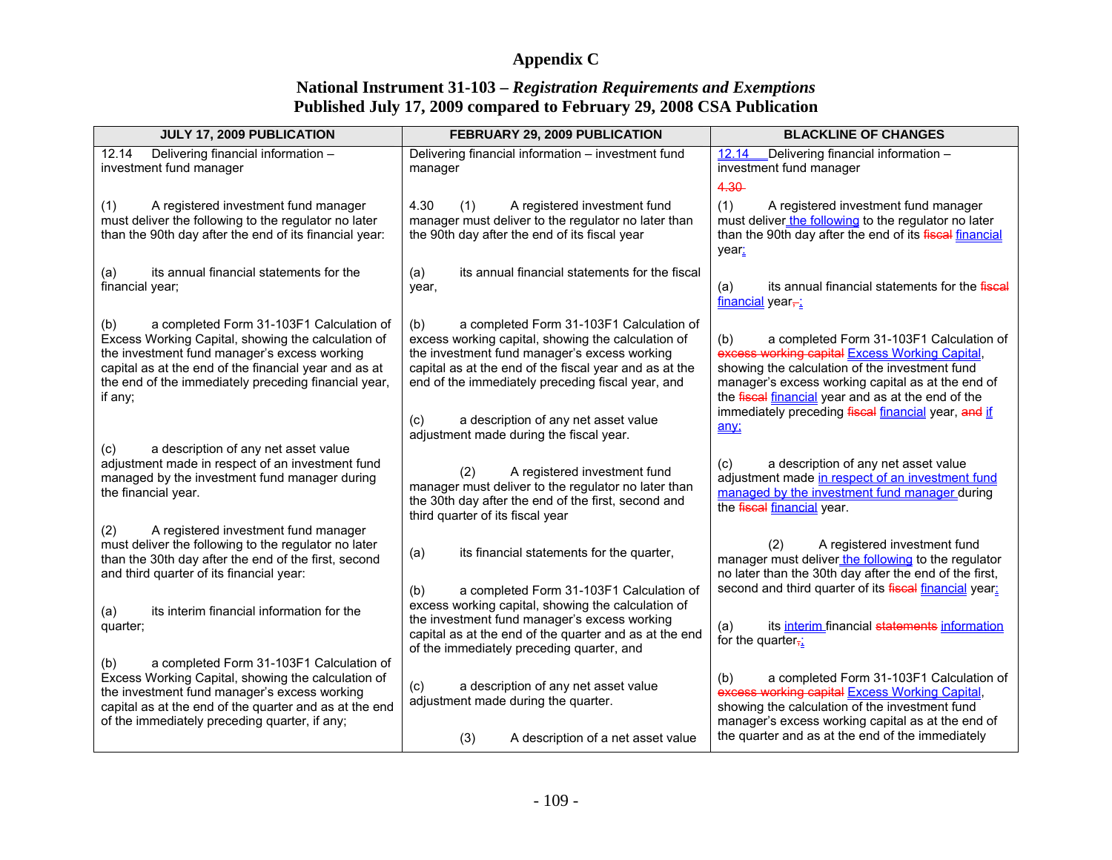| JULY 17, 2009 PUBLICATION                                                                                                                                                                                                                                                         | <b>FEBRUARY 29, 2009 PUBLICATION</b>                                                                                                                                                                                                                                 | <b>BLACKLINE OF CHANGES</b>                                                                                                                                                                                                                                           |
|-----------------------------------------------------------------------------------------------------------------------------------------------------------------------------------------------------------------------------------------------------------------------------------|----------------------------------------------------------------------------------------------------------------------------------------------------------------------------------------------------------------------------------------------------------------------|-----------------------------------------------------------------------------------------------------------------------------------------------------------------------------------------------------------------------------------------------------------------------|
| 12.14<br>Delivering financial information -<br>investment fund manager                                                                                                                                                                                                            | Delivering financial information - investment fund<br>manager                                                                                                                                                                                                        | Delivering financial information -<br>12.14<br>investment fund manager                                                                                                                                                                                                |
|                                                                                                                                                                                                                                                                                   |                                                                                                                                                                                                                                                                      | $4.30 -$                                                                                                                                                                                                                                                              |
| A registered investment fund manager<br>(1)<br>must deliver the following to the regulator no later<br>than the 90th day after the end of its financial year:                                                                                                                     | 4.30<br>A registered investment fund<br>(1)<br>manager must deliver to the regulator no later than<br>the 90th day after the end of its fiscal year                                                                                                                  | (1)<br>A registered investment fund manager<br>must deliver the following to the regulator no later<br>than the 90th day after the end of its fiscal financial<br>year:                                                                                               |
| its annual financial statements for the<br>(a)<br>financial year;                                                                                                                                                                                                                 | its annual financial statements for the fiscal<br>(a)<br>year,                                                                                                                                                                                                       | its annual financial statements for the fiscal<br>(a)<br>financial year $\div$ ;                                                                                                                                                                                      |
| a completed Form 31-103F1 Calculation of<br>(b)<br>Excess Working Capital, showing the calculation of<br>the investment fund manager's excess working<br>capital as at the end of the financial year and as at<br>the end of the immediately preceding financial year,<br>if any; | a completed Form 31-103F1 Calculation of<br>(b)<br>excess working capital, showing the calculation of<br>the investment fund manager's excess working<br>capital as at the end of the fiscal year and as at the<br>end of the immediately preceding fiscal year, and | a completed Form 31-103F1 Calculation of<br>(b)<br>excess working capital Excess Working Capital,<br>showing the calculation of the investment fund<br>manager's excess working capital as at the end of<br>the <b>fiscal</b> financial year and as at the end of the |
| a description of any net asset value                                                                                                                                                                                                                                              | a description of any net asset value<br>(c)<br>adjustment made during the fiscal year.                                                                                                                                                                               | immediately preceding fiscal financial year, and if<br>any;                                                                                                                                                                                                           |
| (c)<br>adjustment made in respect of an investment fund<br>managed by the investment fund manager during<br>the financial year.                                                                                                                                                   | A registered investment fund<br>(2)<br>manager must deliver to the regulator no later than<br>the 30th day after the end of the first, second and<br>third quarter of its fiscal year                                                                                | a description of any net asset value<br>(c)<br>adjustment made in respect of an investment fund<br>managed by the investment fund manager during<br>the <b>fiscal</b> financial year.                                                                                 |
| A registered investment fund manager<br>(2)<br>must deliver the following to the regulator no later<br>than the 30th day after the end of the first, second<br>and third quarter of its financial year:                                                                           | its financial statements for the quarter,<br>(a)                                                                                                                                                                                                                     | A registered investment fund<br>(2)<br>manager must deliver the following to the regulator<br>no later than the 30th day after the end of the first,                                                                                                                  |
| its interim financial information for the<br>(a)<br>quarter;                                                                                                                                                                                                                      | a completed Form 31-103F1 Calculation of<br>(b)<br>excess working capital, showing the calculation of<br>the investment fund manager's excess working<br>capital as at the end of the quarter and as at the end<br>of the immediately preceding quarter, and         | second and third quarter of its fiscal financial year:<br>its interim financial statements information<br>(a)<br>for the quarter <sub><math>\vec{r}</math></sub>                                                                                                      |
| a completed Form 31-103F1 Calculation of<br>(b)<br>Excess Working Capital, showing the calculation of<br>the investment fund manager's excess working<br>capital as at the end of the quarter and as at the end<br>of the immediately preceding quarter, if any;                  | a description of any net asset value<br>(c)<br>adjustment made during the quarter.                                                                                                                                                                                   | a completed Form 31-103F1 Calculation of<br>(b)<br>excess working capital Excess Working Capital,<br>showing the calculation of the investment fund<br>manager's excess working capital as at the end of                                                              |
|                                                                                                                                                                                                                                                                                   | (3)<br>A description of a net asset value                                                                                                                                                                                                                            | the quarter and as at the end of the immediately                                                                                                                                                                                                                      |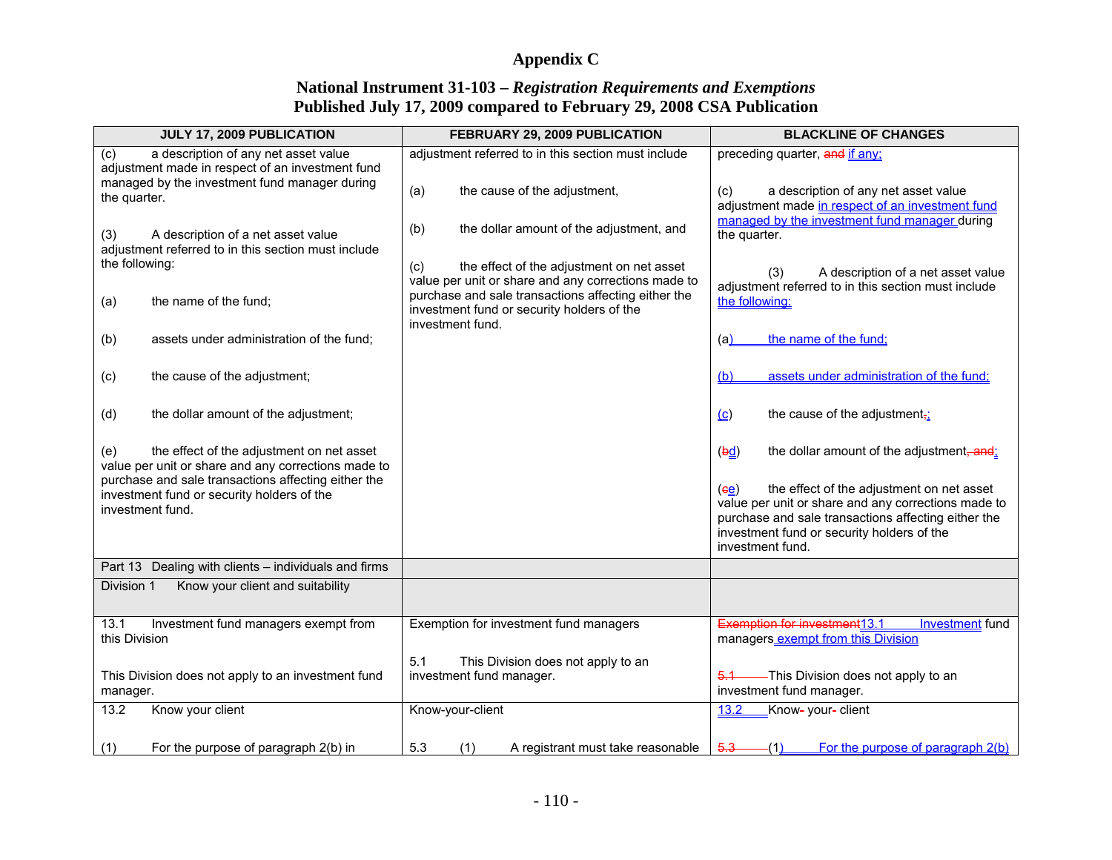| JULY 17, 2009 PUBLICATION                                                                               | FEBRUARY 29, 2009 PUBLICATION                                                                                         | <b>BLACKLINE OF CHANGES</b>                                                                              |
|---------------------------------------------------------------------------------------------------------|-----------------------------------------------------------------------------------------------------------------------|----------------------------------------------------------------------------------------------------------|
| a description of any net asset value<br>(c)<br>adjustment made in respect of an investment fund         | adjustment referred to in this section must include                                                                   | preceding quarter, and if any;                                                                           |
| managed by the investment fund manager during<br>the quarter.                                           | the cause of the adjustment,<br>(a)                                                                                   | a description of any net asset value<br>(c)<br>adjustment made in respect of an investment fund          |
| A description of a net asset value<br>(3)<br>adjustment referred to in this section must include        | the dollar amount of the adjustment, and<br>(b)                                                                       | managed by the investment fund manager during<br>the quarter.                                            |
| the following:                                                                                          | the effect of the adjustment on net asset<br>(c)<br>value per unit or share and any corrections made to               | A description of a net asset value<br>(3)<br>adjustment referred to in this section must include         |
| the name of the fund;<br>(a)                                                                            | purchase and sale transactions affecting either the<br>investment fund or security holders of the<br>investment fund. | the following:                                                                                           |
| assets under administration of the fund;<br>(b)                                                         |                                                                                                                       | the name of the fund;<br>(a <u>)</u>                                                                     |
| the cause of the adjustment;<br>(c)                                                                     |                                                                                                                       | assets under administration of the fund;<br>(b)                                                          |
| the dollar amount of the adjustment;<br>(d)                                                             |                                                                                                                       | the cause of the adjustment,<br>(c)                                                                      |
| the effect of the adjustment on net asset<br>(e)<br>value per unit or share and any corrections made to |                                                                                                                       | the dollar amount of the adjustment, and;<br>$(\underline{bd})$                                          |
| purchase and sale transactions affecting either the<br>investment fund or security holders of the       |                                                                                                                       | the effect of the adjustment on net asset<br>(ee)<br>value per unit or share and any corrections made to |
| investment fund.                                                                                        |                                                                                                                       | purchase and sale transactions affecting either the<br>investment fund or security holders of the        |
|                                                                                                         |                                                                                                                       | investment fund.                                                                                         |
| Part 13 Dealing with clients - individuals and firms                                                    |                                                                                                                       |                                                                                                          |
| Division 1<br>Know your client and suitability                                                          |                                                                                                                       |                                                                                                          |
| Investment fund managers exempt from<br>13.1<br>this Division                                           | Exemption for investment fund managers                                                                                | Exemption for investment13.1<br><b>Investment</b> fund<br>managers exempt from this Division             |
| This Division does not apply to an investment fund<br>manager.                                          | 5.1<br>This Division does not apply to an<br>investment fund manager.                                                 | -This Division does not apply to an<br>5.1<br>investment fund manager.                                   |
| 13.2<br>Know your client                                                                                | Know-your-client                                                                                                      | Know- your- client<br>13.2                                                                               |
| For the purpose of paragraph 2(b) in<br>(1)                                                             | 5.3<br>(1)<br>A registrant must take reasonable                                                                       | 5.3<br>For the purpose of paragraph 2(b)<br>$-$ (1)                                                      |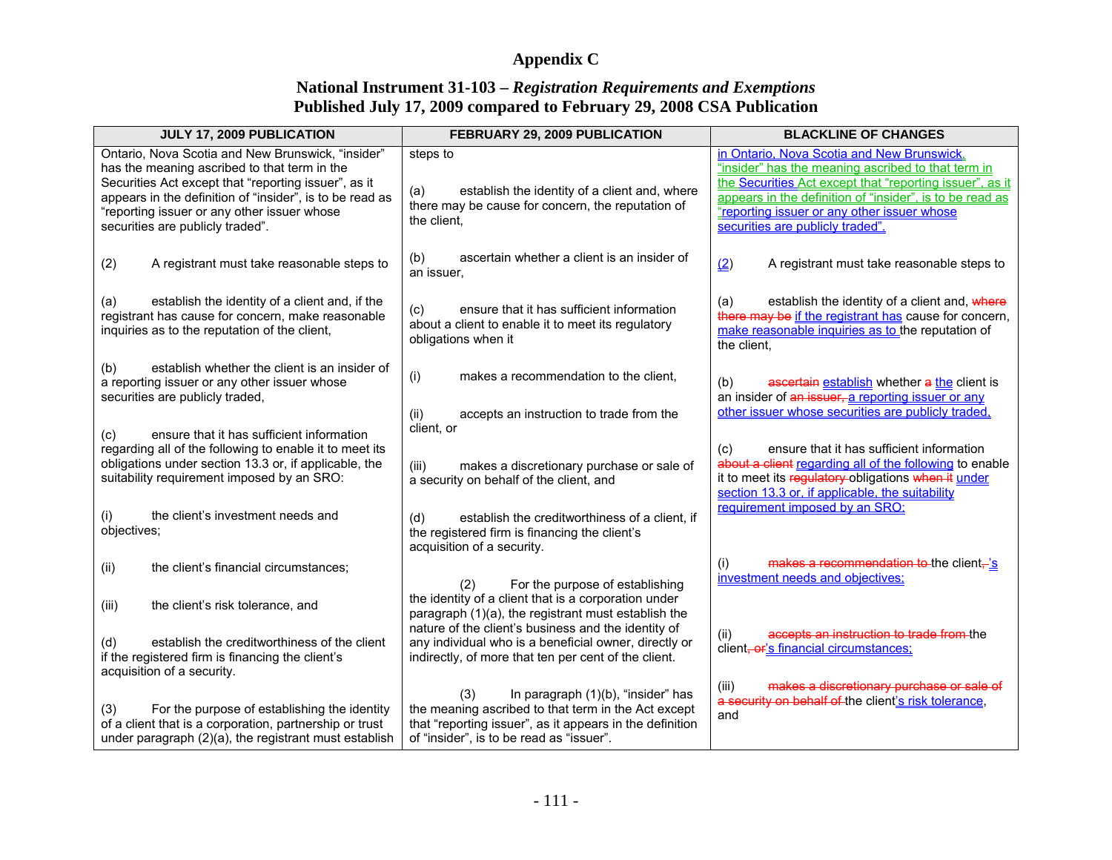| JULY 17, 2009 PUBLICATION                                                                                                                                                                                                                                                                                | <b>FEBRUARY 29, 2009 PUBLICATION</b>                                                                                                                                                                     | <b>BLACKLINE OF CHANGES</b>                                                                                                                                                                                                                                                                                 |
|----------------------------------------------------------------------------------------------------------------------------------------------------------------------------------------------------------------------------------------------------------------------------------------------------------|----------------------------------------------------------------------------------------------------------------------------------------------------------------------------------------------------------|-------------------------------------------------------------------------------------------------------------------------------------------------------------------------------------------------------------------------------------------------------------------------------------------------------------|
| Ontario, Nova Scotia and New Brunswick, "insider"<br>has the meaning ascribed to that term in the<br>Securities Act except that "reporting issuer", as it<br>appears in the definition of "insider", is to be read as<br>"reporting issuer or any other issuer whose<br>securities are publicly traded". | steps to<br>establish the identity of a client and, where<br>(a)<br>there may be cause for concern, the reputation of<br>the client.                                                                     | in Ontario, Nova Scotia and New Brunswick,<br>"insider" has the meaning ascribed to that term in<br>the Securities Act except that "reporting issuer", as it<br>appears in the definition of "insider", is to be read as<br>"reporting issuer or any other issuer whose<br>securities are publicly traded". |
| A registrant must take reasonable steps to<br>(2)                                                                                                                                                                                                                                                        | ascertain whether a client is an insider of<br>(b)<br>an issuer.                                                                                                                                         | (2)<br>A registrant must take reasonable steps to                                                                                                                                                                                                                                                           |
| establish the identity of a client and, if the<br>(a)<br>registrant has cause for concern, make reasonable<br>inquiries as to the reputation of the client,                                                                                                                                              | ensure that it has sufficient information<br>(c)<br>about a client to enable it to meet its regulatory<br>obligations when it                                                                            | establish the identity of a client and, where<br>(a)<br>there may be if the registrant has cause for concern,<br>make reasonable inquiries as to the reputation of<br>the client.                                                                                                                           |
| establish whether the client is an insider of<br>(b)<br>a reporting issuer or any other issuer whose<br>securities are publicly traded,                                                                                                                                                                  | (i)<br>makes a recommendation to the client,                                                                                                                                                             | ascertain establish whether a the client is<br>(b)<br>an insider of an issuer, a reporting issuer or any<br>other issuer whose securities are publicly traded,                                                                                                                                              |
| ensure that it has sufficient information<br>(c)<br>regarding all of the following to enable it to meet its<br>obligations under section 13.3 or, if applicable, the<br>suitability requirement imposed by an SRO:                                                                                       | (ii)<br>accepts an instruction to trade from the<br>client, or<br>(iii)<br>makes a discretionary purchase or sale of<br>a security on behalf of the client, and                                          | ensure that it has sufficient information<br>(c)<br>about a client regarding all of the following to enable<br>it to meet its regulatory obligations when it under<br>section 13.3 or, if applicable, the suitability                                                                                       |
| (i)<br>the client's investment needs and<br>objectives;                                                                                                                                                                                                                                                  | establish the creditworthiness of a client, if<br>(d)<br>the registered firm is financing the client's<br>acquisition of a security.                                                                     | requirement imposed by an SRO:                                                                                                                                                                                                                                                                              |
| the client's financial circumstances;<br>(ii)                                                                                                                                                                                                                                                            | For the purpose of establishing<br>(2)                                                                                                                                                                   | makes a recommendation to the client-'s<br>(i)<br>investment needs and objectives;                                                                                                                                                                                                                          |
| the client's risk tolerance, and<br>(iii)                                                                                                                                                                                                                                                                | the identity of a client that is a corporation under<br>paragraph (1)(a), the registrant must establish the<br>nature of the client's business and the identity of                                       |                                                                                                                                                                                                                                                                                                             |
| establish the creditworthiness of the client<br>(d)<br>if the registered firm is financing the client's<br>acquisition of a security.                                                                                                                                                                    | any individual who is a beneficial owner, directly or<br>indirectly, of more that ten per cent of the client.                                                                                            | accepts an instruction to trade from the<br>(ii)<br>client, or's financial circumstances;                                                                                                                                                                                                                   |
| (3)<br>For the purpose of establishing the identity<br>of a client that is a corporation, partnership or trust<br>under paragraph (2)(a), the registrant must establish                                                                                                                                  | In paragraph (1)(b), "insider" has<br>(3)<br>the meaning ascribed to that term in the Act except<br>that "reporting issuer", as it appears in the definition<br>of "insider", is to be read as "issuer". | makes a discretionary purchase or sale of<br>(iii)<br>a security on behalf of the client's risk tolerance,<br>and                                                                                                                                                                                           |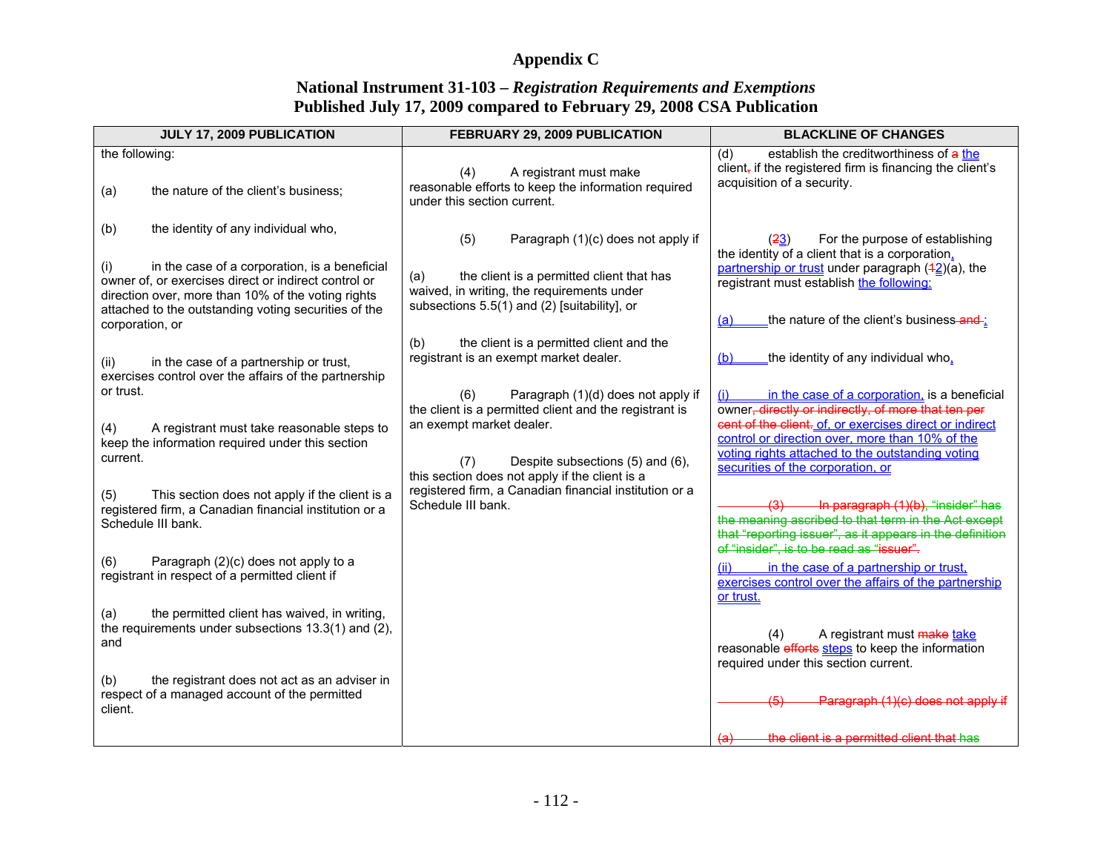| JULY 17, 2009 PUBLICATION                                                                                                                                                                                                                                                                                                                                                                                                                                                                                                                                                                                                                                                                                                                                                                                                                                                                               | <b>FEBRUARY 29, 2009 PUBLICATION</b>                                                                                                                                                                                                                                                                                                                                                                                                                                                                                                                                                                     | <b>BLACKLINE OF CHANGES</b>                                                                                                                                                                                                                                                                                                                                                                                                                                                                                                                                                                                                                                                                                                                                                                                                                                                                                                                                                                                     |
|---------------------------------------------------------------------------------------------------------------------------------------------------------------------------------------------------------------------------------------------------------------------------------------------------------------------------------------------------------------------------------------------------------------------------------------------------------------------------------------------------------------------------------------------------------------------------------------------------------------------------------------------------------------------------------------------------------------------------------------------------------------------------------------------------------------------------------------------------------------------------------------------------------|----------------------------------------------------------------------------------------------------------------------------------------------------------------------------------------------------------------------------------------------------------------------------------------------------------------------------------------------------------------------------------------------------------------------------------------------------------------------------------------------------------------------------------------------------------------------------------------------------------|-----------------------------------------------------------------------------------------------------------------------------------------------------------------------------------------------------------------------------------------------------------------------------------------------------------------------------------------------------------------------------------------------------------------------------------------------------------------------------------------------------------------------------------------------------------------------------------------------------------------------------------------------------------------------------------------------------------------------------------------------------------------------------------------------------------------------------------------------------------------------------------------------------------------------------------------------------------------------------------------------------------------|
| the following:<br>the nature of the client's business;<br>(a)                                                                                                                                                                                                                                                                                                                                                                                                                                                                                                                                                                                                                                                                                                                                                                                                                                           | A registrant must make<br>(4)<br>reasonable efforts to keep the information required<br>under this section current.                                                                                                                                                                                                                                                                                                                                                                                                                                                                                      | establish the creditworthiness of a the<br>(d)<br>client, if the registered firm is financing the client's<br>acquisition of a security.                                                                                                                                                                                                                                                                                                                                                                                                                                                                                                                                                                                                                                                                                                                                                                                                                                                                        |
| the identity of any individual who,<br>(b)<br>in the case of a corporation, is a beneficial<br>(i)<br>owner of, or exercises direct or indirect control or<br>direction over, more than 10% of the voting rights<br>attached to the outstanding voting securities of the<br>corporation, or<br>in the case of a partnership or trust,<br>(ii)<br>exercises control over the affairs of the partnership<br>or trust.<br>A registrant must take reasonable steps to<br>(4)<br>keep the information required under this section<br>current.<br>This section does not apply if the client is a<br>(5)<br>registered firm, a Canadian financial institution or a<br>Schedule III bank.<br>(6)<br>Paragraph (2)(c) does not apply to a<br>registrant in respect of a permitted client if<br>the permitted client has waived, in writing,<br>(a)<br>the requirements under subsections 13.3(1) and (2),<br>and | (5)<br>Paragraph (1)(c) does not apply if<br>the client is a permitted client that has<br>(a)<br>waived, in writing, the requirements under<br>subsections 5.5(1) and (2) [suitability], or<br>the client is a permitted client and the<br>(b)<br>registrant is an exempt market dealer.<br>Paragraph (1)(d) does not apply if<br>(6)<br>the client is a permitted client and the registrant is<br>an exempt market dealer.<br>Despite subsections (5) and (6),<br>(7)<br>this section does not apply if the client is a<br>registered firm, a Canadian financial institution or a<br>Schedule III bank. | For the purpose of establishing<br>(23)<br>the identity of a client that is a corporation.<br>partnership or trust under paragraph (42)(a), the<br>registrant must establish the following:<br>the nature of the client's business-and-;<br><u>(a)</u><br>the identity of any individual who.<br><u>(b)</u><br>in the case of a corporation, is a beneficial<br><u>(i)</u><br>owner <del>, directly or indirectly, of more that ten per</del><br>cent of the client. of, or exercises direct or indirect<br>control or direction over, more than 10% of the<br>voting rights attached to the outstanding voting<br>securities of the corporation, or<br>In paragraph (1)(b), "insider" has<br>the meaning ascribed to that term in the Act except<br>that "reporting issuer", as it appears in the definition<br>of "insider", is to be read as "issuer".<br>in the case of a partnership or trust,<br>exercises control over the affairs of the partnership<br>or trust.<br>A registrant must make take<br>(4) |
| (b)<br>the registrant does not act as an adviser in<br>respect of a managed account of the permitted<br>client.                                                                                                                                                                                                                                                                                                                                                                                                                                                                                                                                                                                                                                                                                                                                                                                         |                                                                                                                                                                                                                                                                                                                                                                                                                                                                                                                                                                                                          | reasonable efforts steps to keep the information<br>required under this section current.<br>Paragraph (1)(c) does not apply if<br><del>(5)</del><br>the client is a permitted client that has<br><del>(a)</del>                                                                                                                                                                                                                                                                                                                                                                                                                                                                                                                                                                                                                                                                                                                                                                                                 |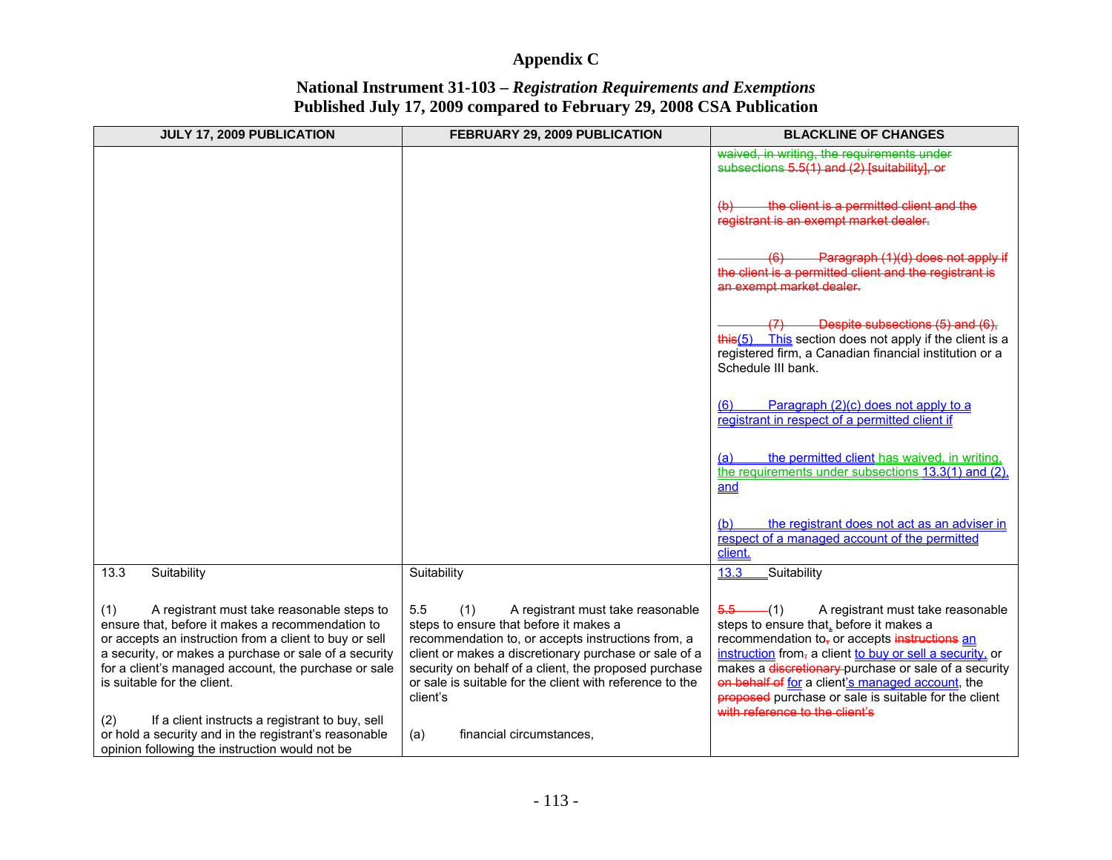| JULY 17, 2009 PUBLICATION                                                                                                                                                                                                                                                                                                                                                 | FEBRUARY 29, 2009 PUBLICATION                                                                                                                                                                                                                                                                                                             | <b>BLACKLINE OF CHANGES</b>                                                                                                                                                                                                                                                                                                                                                                                  |
|---------------------------------------------------------------------------------------------------------------------------------------------------------------------------------------------------------------------------------------------------------------------------------------------------------------------------------------------------------------------------|-------------------------------------------------------------------------------------------------------------------------------------------------------------------------------------------------------------------------------------------------------------------------------------------------------------------------------------------|--------------------------------------------------------------------------------------------------------------------------------------------------------------------------------------------------------------------------------------------------------------------------------------------------------------------------------------------------------------------------------------------------------------|
|                                                                                                                                                                                                                                                                                                                                                                           |                                                                                                                                                                                                                                                                                                                                           | waived, in writing, the requirements under<br>subsections 5.5(1) and (2) [suitability], or                                                                                                                                                                                                                                                                                                                   |
|                                                                                                                                                                                                                                                                                                                                                                           |                                                                                                                                                                                                                                                                                                                                           | the client is a permitted client and the<br>registrant is an exempt market dealer.                                                                                                                                                                                                                                                                                                                           |
|                                                                                                                                                                                                                                                                                                                                                                           |                                                                                                                                                                                                                                                                                                                                           | Paragraph (1)(d) does not apply if<br>the client is a permitted client and the registrant is<br>an exempt market dealer.                                                                                                                                                                                                                                                                                     |
|                                                                                                                                                                                                                                                                                                                                                                           |                                                                                                                                                                                                                                                                                                                                           | Despite subsections (5) and (6),<br>$\frac{\text{this}(5)}{\text{this}}$ This section does not apply if the client is a<br>registered firm, a Canadian financial institution or a<br>Schedule III bank.                                                                                                                                                                                                      |
|                                                                                                                                                                                                                                                                                                                                                                           |                                                                                                                                                                                                                                                                                                                                           | Paragraph (2)(c) does not apply to a<br>(6)<br>registrant in respect of a permitted client if                                                                                                                                                                                                                                                                                                                |
|                                                                                                                                                                                                                                                                                                                                                                           |                                                                                                                                                                                                                                                                                                                                           | the permitted client has waived, in writing,<br>(a)<br>the requirements under subsections $13.3(1)$ and $(2)$ ,<br>and                                                                                                                                                                                                                                                                                       |
|                                                                                                                                                                                                                                                                                                                                                                           |                                                                                                                                                                                                                                                                                                                                           | the registrant does not act as an adviser in<br>(b)<br>respect of a managed account of the permitted<br>client.                                                                                                                                                                                                                                                                                              |
| 13.3<br>Suitability                                                                                                                                                                                                                                                                                                                                                       | Suitability                                                                                                                                                                                                                                                                                                                               | Suitability<br>13.3                                                                                                                                                                                                                                                                                                                                                                                          |
| A registrant must take reasonable steps to<br>(1)<br>ensure that, before it makes a recommendation to<br>or accepts an instruction from a client to buy or sell<br>a security, or makes a purchase or sale of a security<br>for a client's managed account, the purchase or sale<br>is suitable for the client.<br>(2)<br>If a client instructs a registrant to buy, sell | 5.5<br>A registrant must take reasonable<br>(1)<br>steps to ensure that before it makes a<br>recommendation to, or accepts instructions from, a<br>client or makes a discretionary purchase or sale of a<br>security on behalf of a client, the proposed purchase<br>or sale is suitable for the client with reference to the<br>client's | $6.5$ (1)<br>A registrant must take reasonable<br>steps to ensure that, before it makes a<br>recommendation to, or accepts instructions an<br>instruction from, a client to buy or sell a security, or<br>makes a discretionary purchase or sale of a security<br>on behalf of for a client's managed account, the<br>proposed purchase or sale is suitable for the client<br>with reference to the client's |
| or hold a security and in the registrant's reasonable<br>opinion following the instruction would not be                                                                                                                                                                                                                                                                   | (a)<br>financial circumstances.                                                                                                                                                                                                                                                                                                           |                                                                                                                                                                                                                                                                                                                                                                                                              |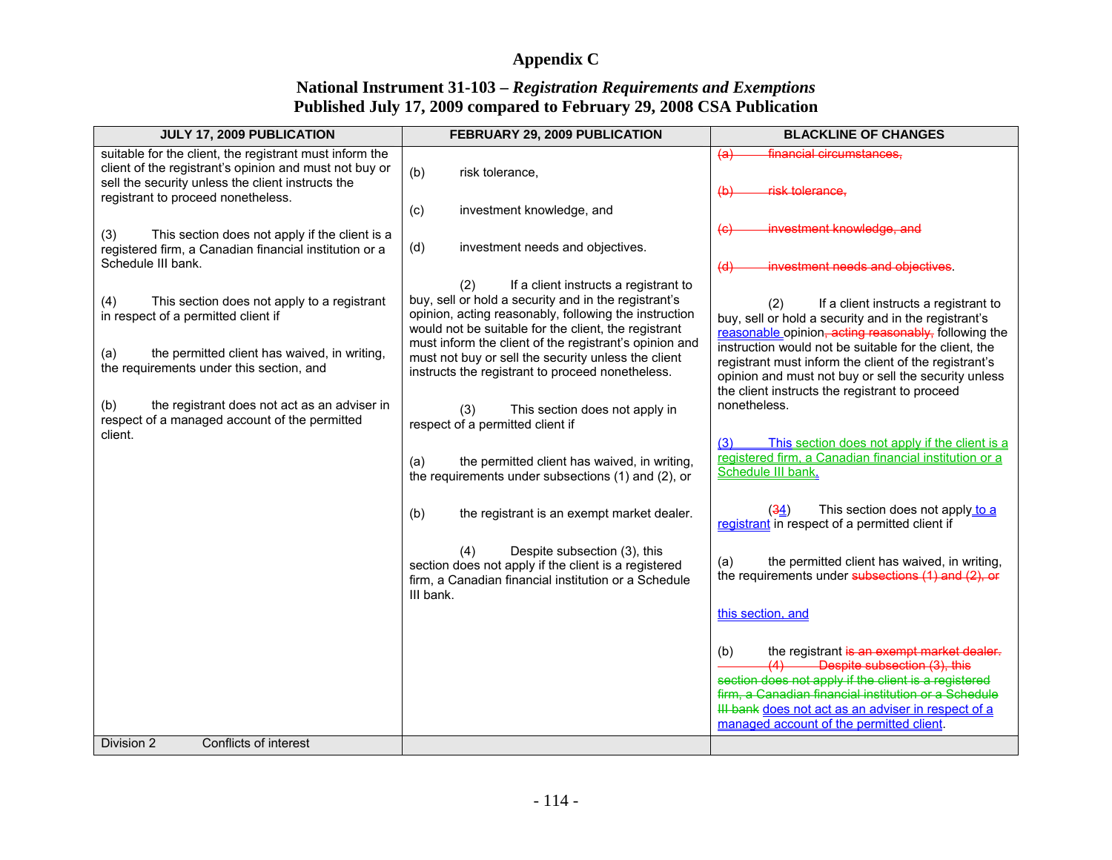| JULY 17, 2009 PUBLICATION                                                                                                                                                                                                                                                                            | <b>FEBRUARY 29, 2009 PUBLICATION</b>                                                                                                                                                                                                                                                                                                                                                                                                | <b>BLACKLINE OF CHANGES</b>                                                                                                                                                                                                                                                                                                                                                                              |
|------------------------------------------------------------------------------------------------------------------------------------------------------------------------------------------------------------------------------------------------------------------------------------------------------|-------------------------------------------------------------------------------------------------------------------------------------------------------------------------------------------------------------------------------------------------------------------------------------------------------------------------------------------------------------------------------------------------------------------------------------|----------------------------------------------------------------------------------------------------------------------------------------------------------------------------------------------------------------------------------------------------------------------------------------------------------------------------------------------------------------------------------------------------------|
| suitable for the client, the registrant must inform the<br>client of the registrant's opinion and must not buy or<br>sell the security unless the client instructs the<br>registrant to proceed nonetheless.                                                                                         | (b)<br>risk tolerance,<br>investment knowledge, and<br>(c)                                                                                                                                                                                                                                                                                                                                                                          | financial circumstances.<br>$\left( a\right)$<br>risk tolerance.                                                                                                                                                                                                                                                                                                                                         |
| (3)<br>This section does not apply if the client is a<br>registered firm, a Canadian financial institution or a<br>Schedule III bank.                                                                                                                                                                | (d)<br>investment needs and objectives.                                                                                                                                                                                                                                                                                                                                                                                             | investment knowledge, and<br>$\left(\Theta\right)$<br>investment needs and objectives.<br>(d)                                                                                                                                                                                                                                                                                                            |
| (4)<br>This section does not apply to a registrant<br>in respect of a permitted client if<br>the permitted client has waived, in writing,<br>(a)<br>the requirements under this section, and<br>the registrant does not act as an adviser in<br>(b)<br>respect of a managed account of the permitted | If a client instructs a registrant to<br>(2)<br>buy, sell or hold a security and in the registrant's<br>opinion, acting reasonably, following the instruction<br>would not be suitable for the client, the registrant<br>must inform the client of the registrant's opinion and<br>must not buy or sell the security unless the client<br>instructs the registrant to proceed nonetheless.<br>This section does not apply in<br>(3) | If a client instructs a registrant to<br>(2)<br>buy, sell or hold a security and in the registrant's<br>reasonable opinion, acting reasonably, following the<br>instruction would not be suitable for the client, the<br>registrant must inform the client of the registrant's<br>opinion and must not buy or sell the security unless<br>the client instructs the registrant to proceed<br>nonetheless. |
| client.                                                                                                                                                                                                                                                                                              | respect of a permitted client if<br>the permitted client has waived, in writing,<br>(a)<br>the requirements under subsections (1) and (2), or                                                                                                                                                                                                                                                                                       | This section does not apply if the client is a<br>(3)<br>registered firm, a Canadian financial institution or a<br>Schedule III bank.                                                                                                                                                                                                                                                                    |
|                                                                                                                                                                                                                                                                                                      | (b)<br>the registrant is an exempt market dealer.                                                                                                                                                                                                                                                                                                                                                                                   | This section does not apply to a<br>(34)<br>registrant in respect of a permitted client if                                                                                                                                                                                                                                                                                                               |
|                                                                                                                                                                                                                                                                                                      | Despite subsection (3), this<br>(4)<br>section does not apply if the client is a registered<br>firm, a Canadian financial institution or a Schedule<br>III bank.                                                                                                                                                                                                                                                                    | the permitted client has waived, in writing,<br>(a)<br>the requirements under subsections (1) and (2), or<br>this section, and                                                                                                                                                                                                                                                                           |
|                                                                                                                                                                                                                                                                                                      |                                                                                                                                                                                                                                                                                                                                                                                                                                     | the registrant is an exempt market dealer.<br>(b)<br>(4) Despite subsection (3), this                                                                                                                                                                                                                                                                                                                    |
|                                                                                                                                                                                                                                                                                                      |                                                                                                                                                                                                                                                                                                                                                                                                                                     | section does not apply if the client is a registered<br>firm, a Canadian financial institution or a Schedule<br>III bank does not act as an adviser in respect of a<br>managed account of the permitted client.                                                                                                                                                                                          |
| Conflicts of interest<br>Division 2                                                                                                                                                                                                                                                                  |                                                                                                                                                                                                                                                                                                                                                                                                                                     |                                                                                                                                                                                                                                                                                                                                                                                                          |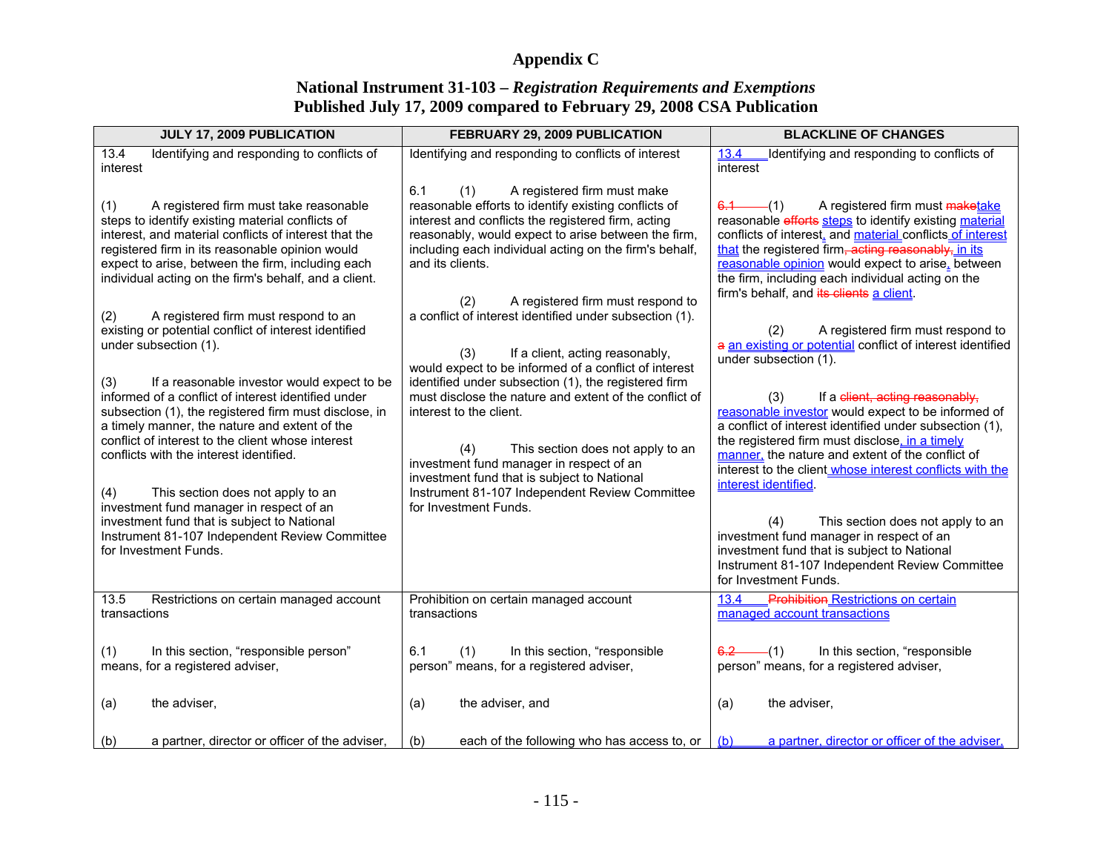| JULY 17, 2009 PUBLICATION                                                                                                                                                                                                                                                                                                                                                                                                                                                                                                             | <b>FEBRUARY 29, 2009 PUBLICATION</b>                                                                                                                                                                                                                                                                                                                                                                                                          | <b>BLACKLINE OF CHANGES</b>                                                                                                                                                                                                                                                                                                                                                                                                                                                                                                                                         |
|---------------------------------------------------------------------------------------------------------------------------------------------------------------------------------------------------------------------------------------------------------------------------------------------------------------------------------------------------------------------------------------------------------------------------------------------------------------------------------------------------------------------------------------|-----------------------------------------------------------------------------------------------------------------------------------------------------------------------------------------------------------------------------------------------------------------------------------------------------------------------------------------------------------------------------------------------------------------------------------------------|---------------------------------------------------------------------------------------------------------------------------------------------------------------------------------------------------------------------------------------------------------------------------------------------------------------------------------------------------------------------------------------------------------------------------------------------------------------------------------------------------------------------------------------------------------------------|
| 13.4<br>Identifying and responding to conflicts of<br>interest                                                                                                                                                                                                                                                                                                                                                                                                                                                                        | Identifying and responding to conflicts of interest                                                                                                                                                                                                                                                                                                                                                                                           | Identifying and responding to conflicts of<br>13.4<br>interest                                                                                                                                                                                                                                                                                                                                                                                                                                                                                                      |
| A registered firm must take reasonable<br>(1)<br>steps to identify existing material conflicts of<br>interest, and material conflicts of interest that the<br>registered firm in its reasonable opinion would<br>expect to arise, between the firm, including each<br>individual acting on the firm's behalf, and a client.<br>(2)<br>A registered firm must respond to an<br>existing or potential conflict of interest identified<br>under subsection (1).                                                                          | 6.1<br>A registered firm must make<br>(1)<br>reasonable efforts to identify existing conflicts of<br>interest and conflicts the registered firm, acting<br>reasonably, would expect to arise between the firm,<br>including each individual acting on the firm's behalf,<br>and its clients.<br>A registered firm must respond to<br>(2)<br>a conflict of interest identified under subsection (1).<br>If a client, acting reasonably,<br>(3) | A registered firm must maketake<br>$6.1$ (1)<br>reasonable efforts steps to identify existing material<br>conflicts of interest, and material conflicts of interest<br>that the registered firm, acting reasonably, in its<br>reasonable opinion would expect to arise, between<br>the firm, including each individual acting on the<br>firm's behalf, and its clients a client.<br>A registered firm must respond to<br>(2)<br>a an existing or potential conflict of interest identified<br>under subsection (1).                                                 |
| (3)<br>If a reasonable investor would expect to be<br>informed of a conflict of interest identified under<br>subsection (1), the registered firm must disclose, in<br>a timely manner, the nature and extent of the<br>conflict of interest to the client whose interest<br>conflicts with the interest identified.<br>(4)<br>This section does not apply to an<br>investment fund manager in respect of an<br>investment fund that is subject to National<br>Instrument 81-107 Independent Review Committee<br>for Investment Funds. | would expect to be informed of a conflict of interest<br>identified under subsection (1), the registered firm<br>must disclose the nature and extent of the conflict of<br>interest to the client.<br>This section does not apply to an<br>(4)<br>investment fund manager in respect of an<br>investment fund that is subject to National<br>Instrument 81-107 Independent Review Committee<br>for Investment Funds.                          | If a client, acting reasonably,<br>(3)<br>reasonable investor would expect to be informed of<br>a conflict of interest identified under subsection (1),<br>the registered firm must disclose, in a timely<br>manner, the nature and extent of the conflict of<br>interest to the client whose interest conflicts with the<br>interest identified.<br>This section does not apply to an<br>(4)<br>investment fund manager in respect of an<br>investment fund that is subject to National<br>Instrument 81-107 Independent Review Committee<br>for Investment Funds. |
| 13.5<br>Restrictions on certain managed account<br>transactions                                                                                                                                                                                                                                                                                                                                                                                                                                                                       | Prohibition on certain managed account<br>transactions                                                                                                                                                                                                                                                                                                                                                                                        | <b>Prohibition Restrictions on certain</b><br>13.4<br>managed account transactions                                                                                                                                                                                                                                                                                                                                                                                                                                                                                  |
| In this section, "responsible person"<br>(1)<br>means, for a registered adviser,                                                                                                                                                                                                                                                                                                                                                                                                                                                      | 6.1<br>In this section, "responsible<br>(1)<br>person" means, for a registered adviser,                                                                                                                                                                                                                                                                                                                                                       | In this section, "responsible<br>6.2<br>$-$ (1)<br>person" means, for a registered adviser,                                                                                                                                                                                                                                                                                                                                                                                                                                                                         |
| (a)<br>the adviser,                                                                                                                                                                                                                                                                                                                                                                                                                                                                                                                   | the adviser, and<br>(a)                                                                                                                                                                                                                                                                                                                                                                                                                       | the adviser,<br>(a)                                                                                                                                                                                                                                                                                                                                                                                                                                                                                                                                                 |
| a partner, director or officer of the adviser,<br>(b)                                                                                                                                                                                                                                                                                                                                                                                                                                                                                 | each of the following who has access to, or<br>(b)                                                                                                                                                                                                                                                                                                                                                                                            | a partner, director or officer of the adviser,<br><u>(b)</u>                                                                                                                                                                                                                                                                                                                                                                                                                                                                                                        |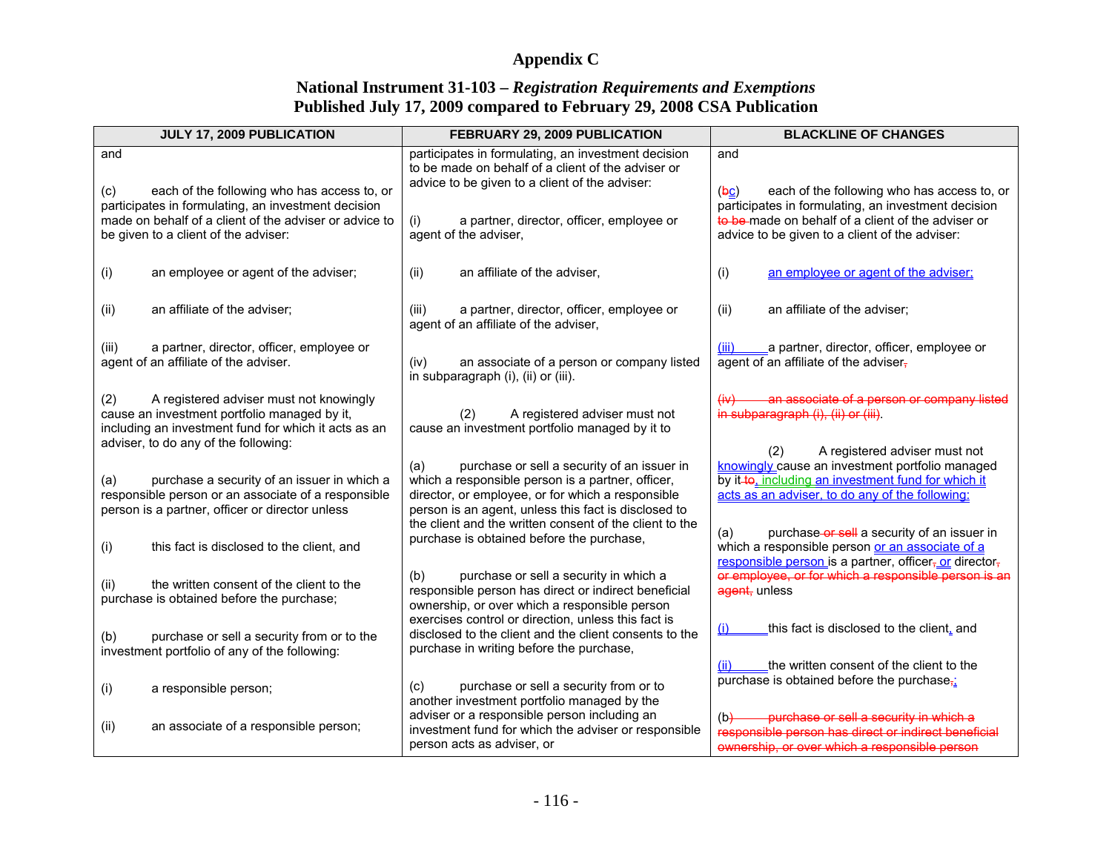| JULY 17, 2009 PUBLICATION                                                                                                                                                                      | FEBRUARY 29, 2009 PUBLICATION                                                                                                                                                                                                                                                   | <b>BLACKLINE OF CHANGES</b>                                                                                                                                                                       |
|------------------------------------------------------------------------------------------------------------------------------------------------------------------------------------------------|---------------------------------------------------------------------------------------------------------------------------------------------------------------------------------------------------------------------------------------------------------------------------------|---------------------------------------------------------------------------------------------------------------------------------------------------------------------------------------------------|
| and<br>each of the following who has access to, or<br>(c)<br>participates in formulating, an investment decision                                                                               | participates in formulating, an investment decision<br>to be made on behalf of a client of the adviser or<br>advice to be given to a client of the adviser:                                                                                                                     | and<br>each of the following who has access to, or<br>(bc)<br>participates in formulating, an investment decision                                                                                 |
| made on behalf of a client of the adviser or advice to<br>be given to a client of the adviser:                                                                                                 | a partner, director, officer, employee or<br>(i)<br>agent of the adviser,                                                                                                                                                                                                       | to be made on behalf of a client of the adviser or<br>advice to be given to a client of the adviser:                                                                                              |
| (i)<br>an employee or agent of the adviser;                                                                                                                                                    | an affiliate of the adviser.<br>(ii)                                                                                                                                                                                                                                            | (i)<br>an employee or agent of the adviser;                                                                                                                                                       |
| an affiliate of the adviser;<br>(ii)                                                                                                                                                           | a partner, director, officer, employee or<br>(iii)<br>agent of an affiliate of the adviser,                                                                                                                                                                                     | an affiliate of the adviser;<br>(ii)                                                                                                                                                              |
| a partner, director, officer, employee or<br>(iii)<br>agent of an affiliate of the adviser.                                                                                                    | an associate of a person or company listed<br>(iv)<br>in subparagraph (i), (ii) or (iii).                                                                                                                                                                                       | a partner, director, officer, employee or<br>(III)<br>agent of an affiliate of the adviser-                                                                                                       |
| A registered adviser must not knowingly<br>(2)<br>cause an investment portfolio managed by it,<br>including an investment fund for which it acts as an<br>adviser, to do any of the following: | A registered adviser must not<br>(2)<br>cause an investment portfolio managed by it to                                                                                                                                                                                          | an associate of a person or company listed<br>$f(\mathbf{W})$<br>in subparagraph (i), (ii) or (iii).                                                                                              |
| purchase a security of an issuer in which a<br>(a)<br>responsible person or an associate of a responsible<br>person is a partner, officer or director unless                                   | purchase or sell a security of an issuer in<br>(a)<br>which a responsible person is a partner, officer,<br>director, or employee, or for which a responsible<br>person is an agent, unless this fact is disclosed to<br>the client and the written consent of the client to the | A registered adviser must not<br>(2)<br>knowingly cause an investment portfolio managed<br>by it-to, including an investment fund for which it<br>acts as an adviser, to do any of the following: |
| this fact is disclosed to the client, and<br>(i)                                                                                                                                               | purchase is obtained before the purchase,                                                                                                                                                                                                                                       | purchase-or-sell a security of an issuer in<br>(a)<br>which a responsible person or an associate of a<br>responsible person is a partner, officer, or director,                                   |
| the written consent of the client to the<br>(ii)<br>purchase is obtained before the purchase;                                                                                                  | purchase or sell a security in which a<br>(b)<br>responsible person has direct or indirect beneficial<br>ownership, or over which a responsible person<br>exercises control or direction, unless this fact is                                                                   | or employee, or for which a responsible person is an<br>agent, unless                                                                                                                             |
| purchase or sell a security from or to the<br>(b)<br>investment portfolio of any of the following:                                                                                             | disclosed to the client and the client consents to the<br>purchase in writing before the purchase,                                                                                                                                                                              | this fact is disclosed to the client, and<br>$\omega$                                                                                                                                             |
| a responsible person;<br>(i)                                                                                                                                                                   | purchase or sell a security from or to<br>(c)<br>another investment portfolio managed by the                                                                                                                                                                                    | the written consent of the client to the<br>(ii)<br>purchase is obtained before the purchase;                                                                                                     |
| an associate of a responsible person;<br>(ii)                                                                                                                                                  | adviser or a responsible person including an<br>investment fund for which the adviser or responsible<br>person acts as adviser, or                                                                                                                                              | <b>purchase or sell a security in which a</b><br>(b)<br>responsible person has direct or indirect beneficial<br>ewnership, or over which a responsible person                                     |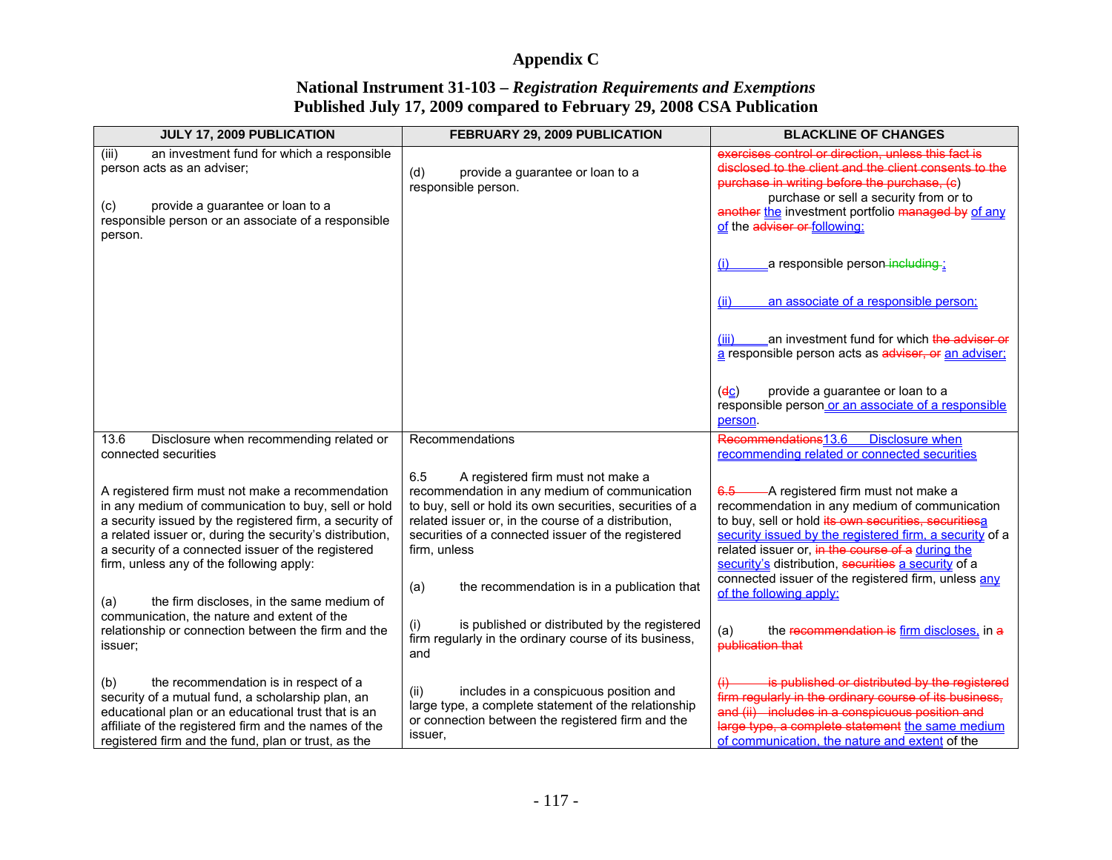| JULY 17, 2009 PUBLICATION                                                                                                                                                                                                                                                                                                        | <b>FEBRUARY 29, 2009 PUBLICATION</b>                                                                                                                                                                                                                                               | <b>BLACKLINE OF CHANGES</b>                                                                                                                                                                                                                                                                                                                                                   |
|----------------------------------------------------------------------------------------------------------------------------------------------------------------------------------------------------------------------------------------------------------------------------------------------------------------------------------|------------------------------------------------------------------------------------------------------------------------------------------------------------------------------------------------------------------------------------------------------------------------------------|-------------------------------------------------------------------------------------------------------------------------------------------------------------------------------------------------------------------------------------------------------------------------------------------------------------------------------------------------------------------------------|
| an investment fund for which a responsible<br>(iii)<br>person acts as an adviser;<br>provide a guarantee or loan to a<br>(c)<br>responsible person or an associate of a responsible<br>person.                                                                                                                                   | (d)<br>provide a guarantee or loan to a<br>responsible person.                                                                                                                                                                                                                     | exercises control or direction, unless this fact is<br>disclosed to the client and the client consents to the<br>purchase in writing before the purchase, (e)<br>purchase or sell a security from or to<br>another the investment portfolio managed by of any<br>of the adviser or following:                                                                                 |
|                                                                                                                                                                                                                                                                                                                                  |                                                                                                                                                                                                                                                                                    | a responsible person <del>-including ;</del>                                                                                                                                                                                                                                                                                                                                  |
|                                                                                                                                                                                                                                                                                                                                  |                                                                                                                                                                                                                                                                                    | an associate of a responsible person;<br><u>(ii)</u>                                                                                                                                                                                                                                                                                                                          |
|                                                                                                                                                                                                                                                                                                                                  |                                                                                                                                                                                                                                                                                    | an investment fund for which the adviser or<br>(iii)<br>a responsible person acts as adviser, or an adviser;                                                                                                                                                                                                                                                                  |
|                                                                                                                                                                                                                                                                                                                                  |                                                                                                                                                                                                                                                                                    | provide a guarantee or loan to a<br>(dC)<br>responsible person or an associate of a responsible<br>person.                                                                                                                                                                                                                                                                    |
| Disclosure when recommending related or<br>13.6<br>connected securities                                                                                                                                                                                                                                                          | Recommendations                                                                                                                                                                                                                                                                    | Recommendations13.6<br><b>Disclosure when</b><br>recommending related or connected securities                                                                                                                                                                                                                                                                                 |
| A registered firm must not make a recommendation<br>in any medium of communication to buy, sell or hold<br>a security issued by the registered firm, a security of<br>a related issuer or, during the security's distribution,<br>a security of a connected issuer of the registered<br>firm, unless any of the following apply: | 6.5<br>A registered firm must not make a<br>recommendation in any medium of communication<br>to buy, sell or hold its own securities, securities of a<br>related issuer or, in the course of a distribution,<br>securities of a connected issuer of the registered<br>firm, unless | 6.5 - A registered firm must not make a<br>recommendation in any medium of communication<br>to buy, sell or hold its own securities, securitiesa<br>security issued by the registered firm, a security of a<br>related issuer or, in the course of a during the<br>security's distribution, securities a security of a<br>connected issuer of the registered firm, unless any |
| the firm discloses, in the same medium of<br>(a)<br>communication, the nature and extent of the<br>relationship or connection between the firm and the<br>issuer;                                                                                                                                                                | the recommendation is in a publication that<br>(a)<br>is published or distributed by the registered<br>(i)<br>firm regularly in the ordinary course of its business,<br>and                                                                                                        | of the following apply:<br>(a)<br>the recommendation is firm discloses, in a<br>publication that                                                                                                                                                                                                                                                                              |
| (b)<br>the recommendation is in respect of a<br>security of a mutual fund, a scholarship plan, an<br>educational plan or an educational trust that is an<br>affiliate of the registered firm and the names of the<br>registered firm and the fund, plan or trust, as the                                                         | (ii)<br>includes in a conspicuous position and<br>large type, a complete statement of the relationship<br>or connection between the registered firm and the<br>issuer,                                                                                                             | is published or distributed by the registered<br>firm regularly in the ordinary course of its business,<br>and (ii) includes in a conspicuous position and<br>large type, a complete statement the same medium<br>of communication, the nature and extent of the                                                                                                              |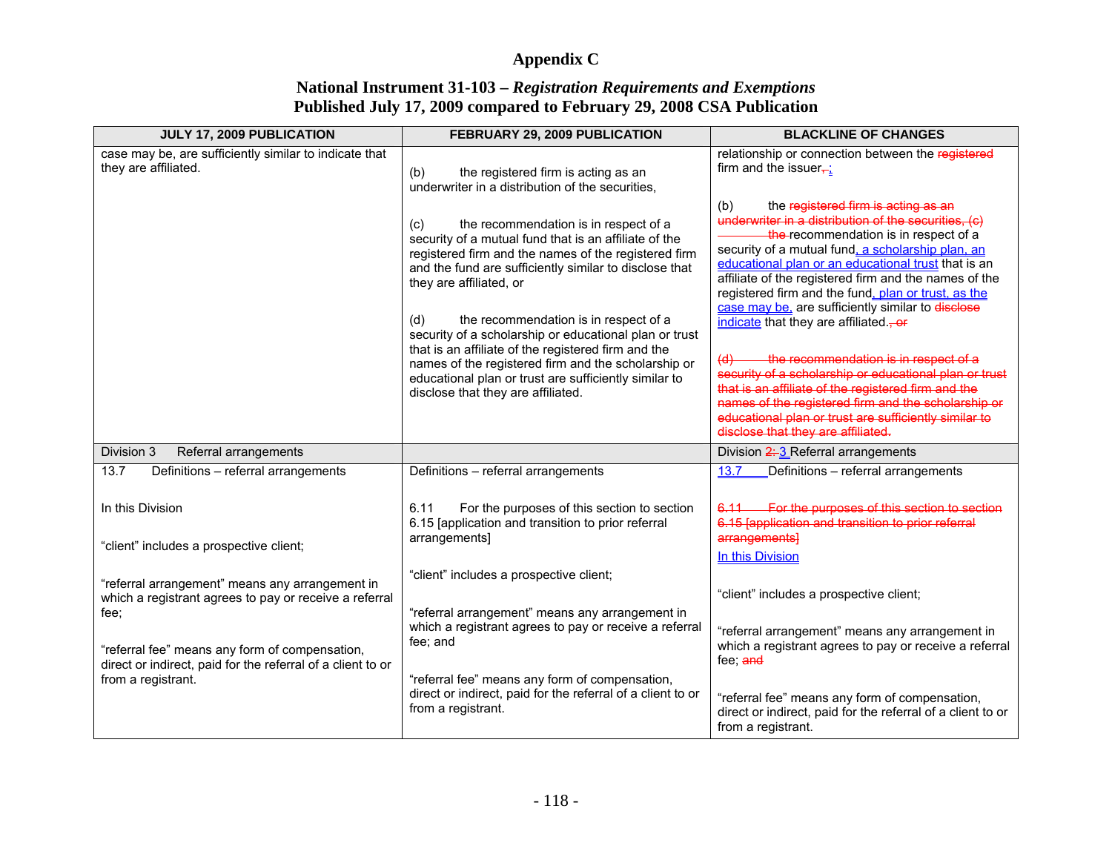| JULY 17, 2009 PUBLICATION                                                                                         | <b>FEBRUARY 29, 2009 PUBLICATION</b>                                                                                                                                                                                                                                                                                | <b>BLACKLINE OF CHANGES</b>                                                                                                                                                                                                                                                                                                                                                                                                  |
|-------------------------------------------------------------------------------------------------------------------|---------------------------------------------------------------------------------------------------------------------------------------------------------------------------------------------------------------------------------------------------------------------------------------------------------------------|------------------------------------------------------------------------------------------------------------------------------------------------------------------------------------------------------------------------------------------------------------------------------------------------------------------------------------------------------------------------------------------------------------------------------|
| case may be, are sufficiently similar to indicate that<br>they are affiliated.                                    | (b)<br>the registered firm is acting as an<br>underwriter in a distribution of the securities,                                                                                                                                                                                                                      | relationship or connection between the registered<br>firm and the issuer $\frac{1}{x+1}$                                                                                                                                                                                                                                                                                                                                     |
|                                                                                                                   | the recommendation is in respect of a<br>(c)<br>security of a mutual fund that is an affiliate of the<br>registered firm and the names of the registered firm<br>and the fund are sufficiently similar to disclose that<br>they are affiliated, or                                                                  | the registered firm is acting as an<br>(b)<br>underwriter in a distribution of the securities. (c)<br>the recommendation is in respect of a<br>security of a mutual fund, a scholarship plan, an<br>educational plan or an educational trust that is an<br>affiliate of the registered firm and the names of the<br>registered firm and the fund, plan or trust, as the<br>case may be, are sufficiently similar to disclose |
|                                                                                                                   | the recommendation is in respect of a<br>(d)<br>security of a scholarship or educational plan or trust<br>that is an affiliate of the registered firm and the<br>names of the registered firm and the scholarship or<br>educational plan or trust are sufficiently similar to<br>disclose that they are affiliated. | indicate that they are affiliated. $\frac{1}{10}$<br>the recommendation is in respect of a<br>(d)<br>security of a scholarship or educational plan or trust<br>that is an affiliate of the registered firm and the<br>names of the registered firm and the scholarship or<br>educational plan or trust are sufficiently similar to<br>disclose that they are affiliated.                                                     |
| Division 3<br>Referral arrangements                                                                               |                                                                                                                                                                                                                                                                                                                     | Division 2:3 Referral arrangements                                                                                                                                                                                                                                                                                                                                                                                           |
| 13.7<br>Definitions - referral arrangements                                                                       | Definitions - referral arrangements                                                                                                                                                                                                                                                                                 | Definitions - referral arrangements<br>13.7                                                                                                                                                                                                                                                                                                                                                                                  |
| In this Division                                                                                                  | For the purposes of this section to section<br>6.11<br>6.15 [application and transition to prior referral<br>arrangements]                                                                                                                                                                                          | 6.11 For the purposes of this section to section<br>6.15 [application and transition to prior referral<br>arrangements]                                                                                                                                                                                                                                                                                                      |
| "client" includes a prospective client;                                                                           |                                                                                                                                                                                                                                                                                                                     | In this Division                                                                                                                                                                                                                                                                                                                                                                                                             |
| "referral arrangement" means any arrangement in<br>which a registrant agrees to pay or receive a referral<br>fee: | "client" includes a prospective client;<br>"referral arrangement" means any arrangement in                                                                                                                                                                                                                          | "client" includes a prospective client;                                                                                                                                                                                                                                                                                                                                                                                      |
| "referral fee" means any form of compensation,<br>direct or indirect, paid for the referral of a client to or     | which a registrant agrees to pay or receive a referral<br>fee; and                                                                                                                                                                                                                                                  | "referral arrangement" means any arrangement in<br>which a registrant agrees to pay or receive a referral<br>fee; and                                                                                                                                                                                                                                                                                                        |
| from a registrant.                                                                                                | "referral fee" means any form of compensation,<br>direct or indirect, paid for the referral of a client to or<br>from a registrant.                                                                                                                                                                                 | "referral fee" means any form of compensation,<br>direct or indirect, paid for the referral of a client to or<br>from a registrant.                                                                                                                                                                                                                                                                                          |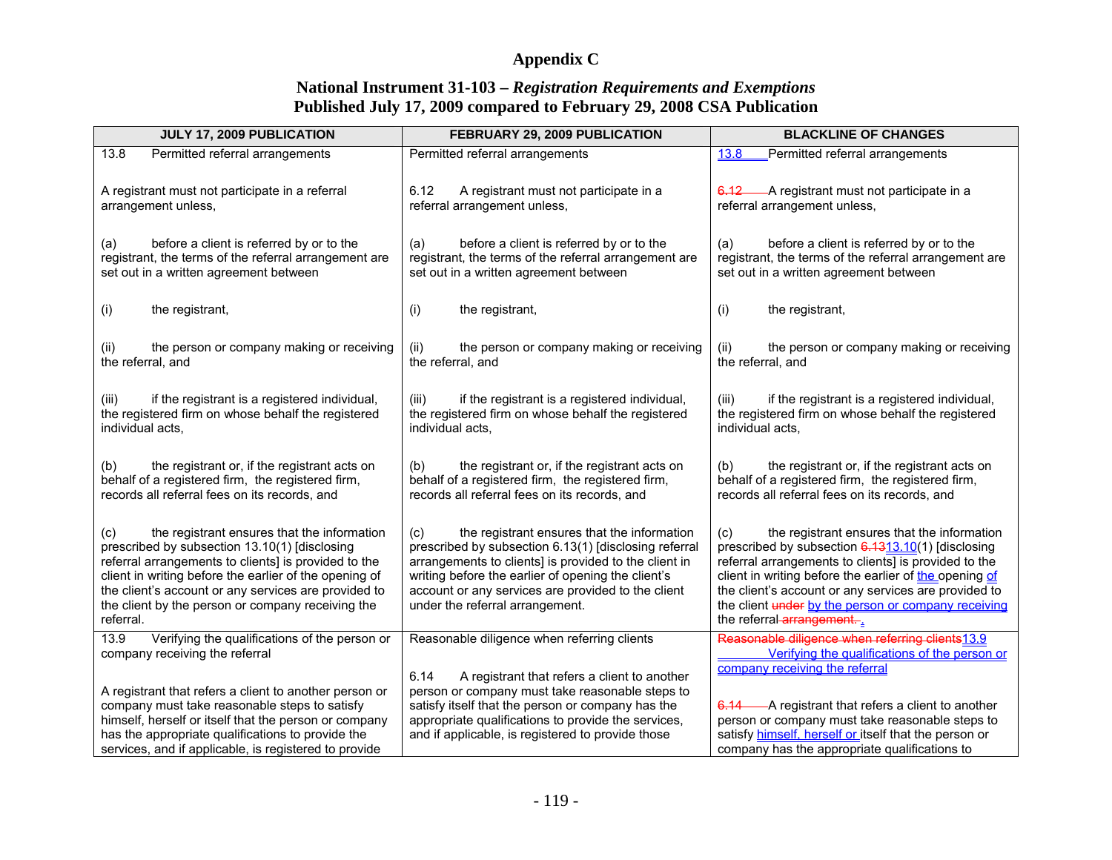| JULY 17, 2009 PUBLICATION                                                                                                                                                                                                                                                                                                                       | FEBRUARY 29, 2009 PUBLICATION                                                                                                                                                                                                                                                                                       | <b>BLACKLINE OF CHANGES</b>                                                                                                                                                                                                                                                                                                                                           |
|-------------------------------------------------------------------------------------------------------------------------------------------------------------------------------------------------------------------------------------------------------------------------------------------------------------------------------------------------|---------------------------------------------------------------------------------------------------------------------------------------------------------------------------------------------------------------------------------------------------------------------------------------------------------------------|-----------------------------------------------------------------------------------------------------------------------------------------------------------------------------------------------------------------------------------------------------------------------------------------------------------------------------------------------------------------------|
| 13.8<br>Permitted referral arrangements                                                                                                                                                                                                                                                                                                         | Permitted referral arrangements                                                                                                                                                                                                                                                                                     | <u>13.8</u><br>Permitted referral arrangements                                                                                                                                                                                                                                                                                                                        |
| A registrant must not participate in a referral<br>arrangement unless,                                                                                                                                                                                                                                                                          | 6.12<br>A registrant must not participate in a<br>referral arrangement unless,                                                                                                                                                                                                                                      | 6.12 - A registrant must not participate in a<br>referral arrangement unless,                                                                                                                                                                                                                                                                                         |
| before a client is referred by or to the<br>(a)<br>registrant, the terms of the referral arrangement are<br>set out in a written agreement between                                                                                                                                                                                              | before a client is referred by or to the<br>(a)<br>registrant, the terms of the referral arrangement are<br>set out in a written agreement between                                                                                                                                                                  | before a client is referred by or to the<br>(a)<br>registrant, the terms of the referral arrangement are<br>set out in a written agreement between                                                                                                                                                                                                                    |
| (i)<br>the registrant,                                                                                                                                                                                                                                                                                                                          | the registrant,<br>(i)                                                                                                                                                                                                                                                                                              | (i)<br>the registrant,                                                                                                                                                                                                                                                                                                                                                |
| the person or company making or receiving<br>(ii)<br>the referral, and                                                                                                                                                                                                                                                                          | the person or company making or receiving<br>(ii)<br>the referral, and                                                                                                                                                                                                                                              | the person or company making or receiving<br>(ii)<br>the referral, and                                                                                                                                                                                                                                                                                                |
| if the registrant is a registered individual,<br>(iii)<br>the registered firm on whose behalf the registered<br>individual acts,                                                                                                                                                                                                                | if the registrant is a registered individual,<br>(iii)<br>the registered firm on whose behalf the registered<br>individual acts.                                                                                                                                                                                    | if the registrant is a registered individual,<br>(iii)<br>the registered firm on whose behalf the registered<br>individual acts,                                                                                                                                                                                                                                      |
| the registrant or, if the registrant acts on<br>(b)<br>behalf of a registered firm, the registered firm,<br>records all referral fees on its records, and                                                                                                                                                                                       | the registrant or, if the registrant acts on<br>(b)<br>behalf of a registered firm, the registered firm,<br>records all referral fees on its records, and                                                                                                                                                           | the registrant or, if the registrant acts on<br>(b)<br>behalf of a registered firm, the registered firm,<br>records all referral fees on its records, and                                                                                                                                                                                                             |
| the registrant ensures that the information<br>(c)<br>prescribed by subsection 13.10(1) [disclosing<br>referral arrangements to clients] is provided to the<br>client in writing before the earlier of the opening of<br>the client's account or any services are provided to<br>the client by the person or company receiving the<br>referral. | the registrant ensures that the information<br>(c)<br>prescribed by subsection 6.13(1) [disclosing referral<br>arrangements to clients] is provided to the client in<br>writing before the earlier of opening the client's<br>account or any services are provided to the client<br>under the referral arrangement. | the registrant ensures that the information<br>(c)<br>prescribed by subsection 6.1313.10(1) [disclosing<br>referral arrangements to clients] is provided to the<br>client in writing before the earlier of the opening of<br>the client's account or any services are provided to<br>the client under by the person or company receiving<br>the referral-arrangement. |
| 13.9<br>Verifying the qualifications of the person or<br>company receiving the referral                                                                                                                                                                                                                                                         | Reasonable diligence when referring clients                                                                                                                                                                                                                                                                         | Reasonable diligence when referring clients 13.9<br>Verifying the qualifications of the person or                                                                                                                                                                                                                                                                     |
| A registrant that refers a client to another person or<br>company must take reasonable steps to satisfy<br>himself, herself or itself that the person or company<br>has the appropriate qualifications to provide the<br>services, and if applicable, is registered to provide                                                                  | 6.14<br>A registrant that refers a client to another<br>person or company must take reasonable steps to<br>satisfy itself that the person or company has the<br>appropriate qualifications to provide the services,<br>and if applicable, is registered to provide those                                            | company receiving the referral<br>6.14 A registrant that refers a client to another<br>person or company must take reasonable steps to<br>satisfy himself, herself or itself that the person or<br>company has the appropriate qualifications to                                                                                                                      |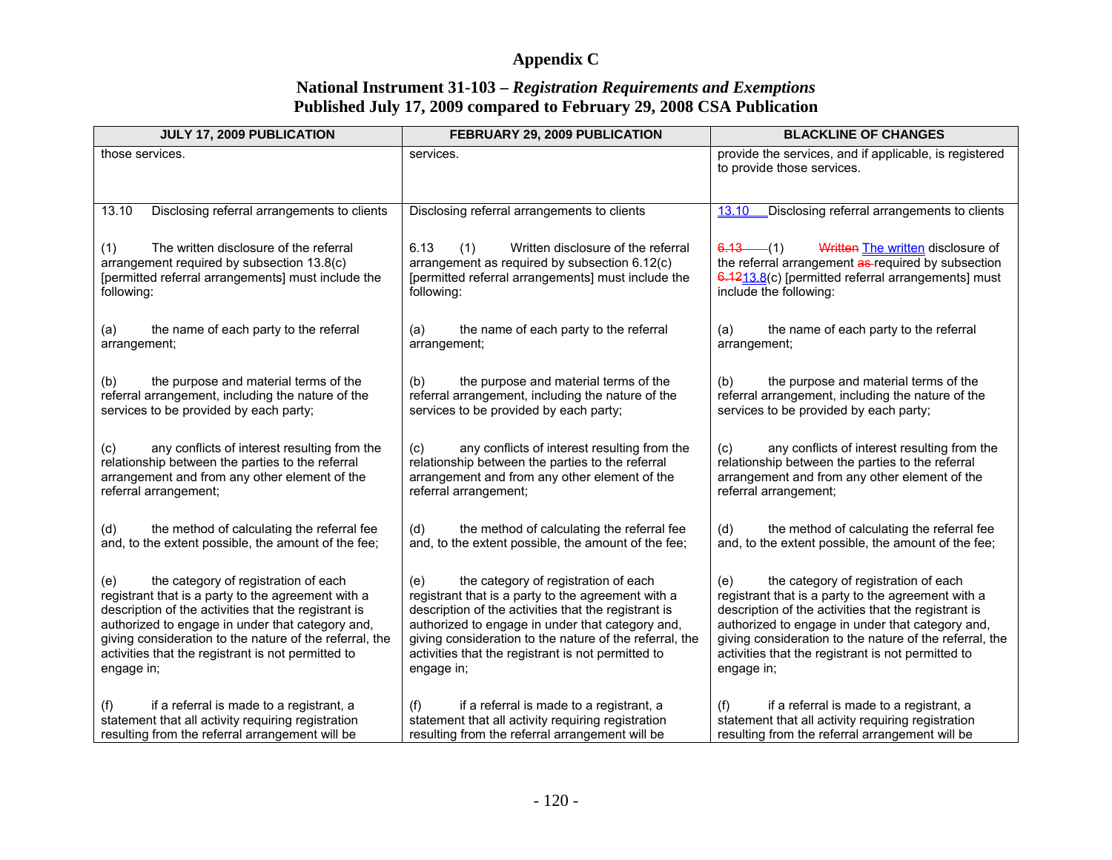| JULY 17, 2009 PUBLICATION                                                                                                                                       | <b>FEBRUARY 29, 2009 PUBLICATION</b>                                                                                                                                   | <b>BLACKLINE OF CHANGES</b>                                                                                                                                                           |
|-----------------------------------------------------------------------------------------------------------------------------------------------------------------|------------------------------------------------------------------------------------------------------------------------------------------------------------------------|---------------------------------------------------------------------------------------------------------------------------------------------------------------------------------------|
| those services.                                                                                                                                                 | services.                                                                                                                                                              | provide the services, and if applicable, is registered<br>to provide those services.                                                                                                  |
| 13.10<br>Disclosing referral arrangements to clients                                                                                                            | Disclosing referral arrangements to clients                                                                                                                            | 13.10<br>Disclosing referral arrangements to clients                                                                                                                                  |
| The written disclosure of the referral<br>(1)<br>arrangement required by subsection 13.8(c)<br>[permitted referral arrangements] must include the<br>following: | 6.13<br>Written disclosure of the referral<br>(1)<br>arrangement as required by subsection 6.12(c)<br>[permitted referral arrangements] must include the<br>following: | $6.13$ (1)<br>Written The written disclosure of<br>the referral arrangement as required by subsection<br>6.1213.8(c) [permitted referral arrangements] must<br>include the following: |
| the name of each party to the referral                                                                                                                          | the name of each party to the referral                                                                                                                                 | (a)                                                                                                                                                                                   |
| (a)                                                                                                                                                             | (a)                                                                                                                                                                    | the name of each party to the referral                                                                                                                                                |
| arrangement;                                                                                                                                                    | arrangement;                                                                                                                                                           | arrangement;                                                                                                                                                                          |
| the purpose and material terms of the                                                                                                                           | the purpose and material terms of the                                                                                                                                  | the purpose and material terms of the                                                                                                                                                 |
| (b)                                                                                                                                                             | (b)                                                                                                                                                                    | (b)                                                                                                                                                                                   |
| referral arrangement, including the nature of the                                                                                                               | referral arrangement, including the nature of the                                                                                                                      | referral arrangement, including the nature of the                                                                                                                                     |
| services to be provided by each party;                                                                                                                          | services to be provided by each party;                                                                                                                                 | services to be provided by each party;                                                                                                                                                |
| any conflicts of interest resulting from the                                                                                                                    | any conflicts of interest resulting from the                                                                                                                           | any conflicts of interest resulting from the                                                                                                                                          |
| (c)                                                                                                                                                             | (c)                                                                                                                                                                    | (c)                                                                                                                                                                                   |
| relationship between the parties to the referral                                                                                                                | relationship between the parties to the referral                                                                                                                       | relationship between the parties to the referral                                                                                                                                      |
| arrangement and from any other element of the                                                                                                                   | arrangement and from any other element of the                                                                                                                          | arrangement and from any other element of the                                                                                                                                         |
| referral arrangement;                                                                                                                                           | referral arrangement;                                                                                                                                                  | referral arrangement;                                                                                                                                                                 |
| the method of calculating the referral fee                                                                                                                      | the method of calculating the referral fee                                                                                                                             | (d)                                                                                                                                                                                   |
| (d)                                                                                                                                                             | (d)                                                                                                                                                                    | the method of calculating the referral fee                                                                                                                                            |
| and, to the extent possible, the amount of the fee;                                                                                                             | and, to the extent possible, the amount of the fee;                                                                                                                    | and, to the extent possible, the amount of the fee;                                                                                                                                   |
| the category of registration of each                                                                                                                            | the category of registration of each                                                                                                                                   | the category of registration of each                                                                                                                                                  |
| (e)                                                                                                                                                             | (e)                                                                                                                                                                    | (e)                                                                                                                                                                                   |
| registrant that is a party to the agreement with a                                                                                                              | registrant that is a party to the agreement with a                                                                                                                     | registrant that is a party to the agreement with a                                                                                                                                    |
| description of the activities that the registrant is                                                                                                            | description of the activities that the registrant is                                                                                                                   | description of the activities that the registrant is                                                                                                                                  |
| authorized to engage in under that category and,                                                                                                                | authorized to engage in under that category and,                                                                                                                       | authorized to engage in under that category and,                                                                                                                                      |
| giving consideration to the nature of the referral, the                                                                                                         | giving consideration to the nature of the referral, the                                                                                                                | giving consideration to the nature of the referral, the                                                                                                                               |
| activities that the registrant is not permitted to                                                                                                              | activities that the registrant is not permitted to                                                                                                                     | activities that the registrant is not permitted to                                                                                                                                    |
| engage in;                                                                                                                                                      | engage in;                                                                                                                                                             | engage in;                                                                                                                                                                            |
| if a referral is made to a registrant, a                                                                                                                        | if a referral is made to a registrant, a                                                                                                                               | if a referral is made to a registrant, a                                                                                                                                              |
| (f)                                                                                                                                                             | (f)                                                                                                                                                                    | (f)                                                                                                                                                                                   |
| statement that all activity requiring registration                                                                                                              | statement that all activity requiring registration                                                                                                                     | statement that all activity requiring registration                                                                                                                                    |
| resulting from the referral arrangement will be                                                                                                                 | resulting from the referral arrangement will be                                                                                                                        | resulting from the referral arrangement will be                                                                                                                                       |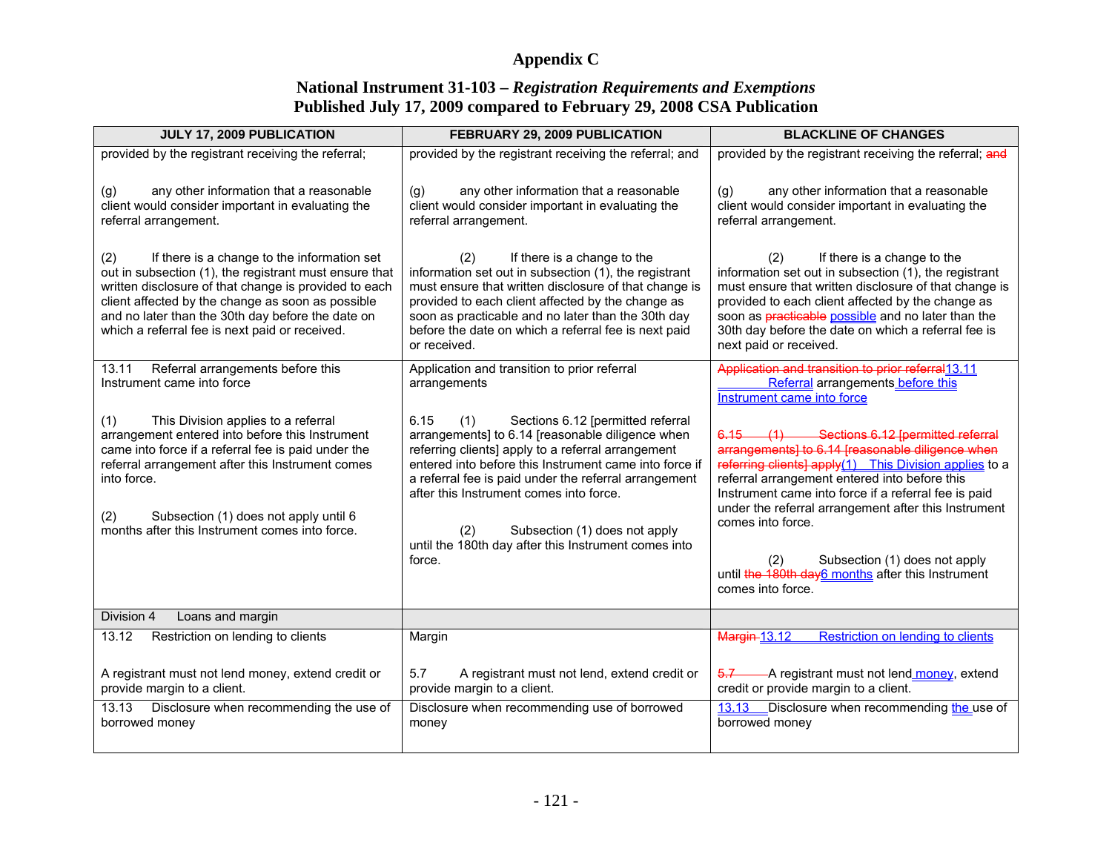| JULY 17, 2009 PUBLICATION                                                                                                                                                                                                                                                                                                         | FEBRUARY 29, 2009 PUBLICATION                                                                                                                                                                                                                                                                                                           | <b>BLACKLINE OF CHANGES</b>                                                                                                                                                                                                                                                                                                                      |
|-----------------------------------------------------------------------------------------------------------------------------------------------------------------------------------------------------------------------------------------------------------------------------------------------------------------------------------|-----------------------------------------------------------------------------------------------------------------------------------------------------------------------------------------------------------------------------------------------------------------------------------------------------------------------------------------|--------------------------------------------------------------------------------------------------------------------------------------------------------------------------------------------------------------------------------------------------------------------------------------------------------------------------------------------------|
| provided by the registrant receiving the referral;                                                                                                                                                                                                                                                                                | provided by the registrant receiving the referral; and                                                                                                                                                                                                                                                                                  | provided by the registrant receiving the referral; and                                                                                                                                                                                                                                                                                           |
| any other information that a reasonable<br>(g)<br>client would consider important in evaluating the<br>referral arrangement.                                                                                                                                                                                                      | any other information that a reasonable<br>(g)<br>client would consider important in evaluating the<br>referral arrangement.                                                                                                                                                                                                            | any other information that a reasonable<br>(g)<br>client would consider important in evaluating the<br>referral arrangement.                                                                                                                                                                                                                     |
| If there is a change to the information set<br>(2)<br>out in subsection (1), the registrant must ensure that<br>written disclosure of that change is provided to each<br>client affected by the change as soon as possible<br>and no later than the 30th day before the date on<br>which a referral fee is next paid or received. | If there is a change to the<br>(2)<br>information set out in subsection (1), the registrant<br>must ensure that written disclosure of that change is<br>provided to each client affected by the change as<br>soon as practicable and no later than the 30th day<br>before the date on which a referral fee is next paid<br>or received. | If there is a change to the<br>(2)<br>information set out in subsection (1), the registrant<br>must ensure that written disclosure of that change is<br>provided to each client affected by the change as<br>soon as practicable possible and no later than the<br>30th day before the date on which a referral fee is<br>next paid or received. |
| 13.11<br>Referral arrangements before this<br>Instrument came into force                                                                                                                                                                                                                                                          | Application and transition to prior referral<br>arrangements                                                                                                                                                                                                                                                                            | Application and transition to prior referral13.11<br>Referral arrangements before this<br>Instrument came into force                                                                                                                                                                                                                             |
| (1)<br>This Division applies to a referral<br>arrangement entered into before this Instrument<br>came into force if a referral fee is paid under the<br>referral arrangement after this Instrument comes<br>into force.                                                                                                           | 6.15<br>Sections 6.12 [permitted referral<br>(1)<br>arrangements] to 6.14 [reasonable diligence when<br>referring clients] apply to a referral arrangement<br>entered into before this Instrument came into force if<br>a referral fee is paid under the referral arrangement<br>after this Instrument comes into force.                | Sections 6.12 [permitted referral<br>$6.15 -$<br>(1)<br>arrangements1 to 6.14 Treasonable diligence when<br>referring clients] apply(1) This Division applies to a<br>referral arrangement entered into before this<br>Instrument came into force if a referral fee is paid<br>under the referral arrangement after this Instrument              |
| Subsection (1) does not apply until 6<br>(2)<br>months after this Instrument comes into force.                                                                                                                                                                                                                                    | Subsection (1) does not apply<br>(2)<br>until the 180th day after this Instrument comes into<br>force.                                                                                                                                                                                                                                  | comes into force.<br>Subsection (1) does not apply<br>(2)<br>until the 180th day6 months after this Instrument<br>comes into force.                                                                                                                                                                                                              |
| Division 4<br>Loans and margin                                                                                                                                                                                                                                                                                                    |                                                                                                                                                                                                                                                                                                                                         |                                                                                                                                                                                                                                                                                                                                                  |
| 13.12<br>Restriction on lending to clients<br>A registrant must not lend money, extend credit or<br>provide margin to a client.                                                                                                                                                                                                   | Margin<br>A registrant must not lend, extend credit or<br>5.7<br>provide margin to a client.                                                                                                                                                                                                                                            | <b>Margin-13.12</b><br>Restriction on lending to clients<br>5.7 - A registrant must not lend money, extend<br>credit or provide margin to a client.                                                                                                                                                                                              |
| Disclosure when recommending the use of<br>13.13<br>borrowed money                                                                                                                                                                                                                                                                | Disclosure when recommending use of borrowed<br>money                                                                                                                                                                                                                                                                                   | Disclosure when recommending the use of<br>13.13<br>borrowed money                                                                                                                                                                                                                                                                               |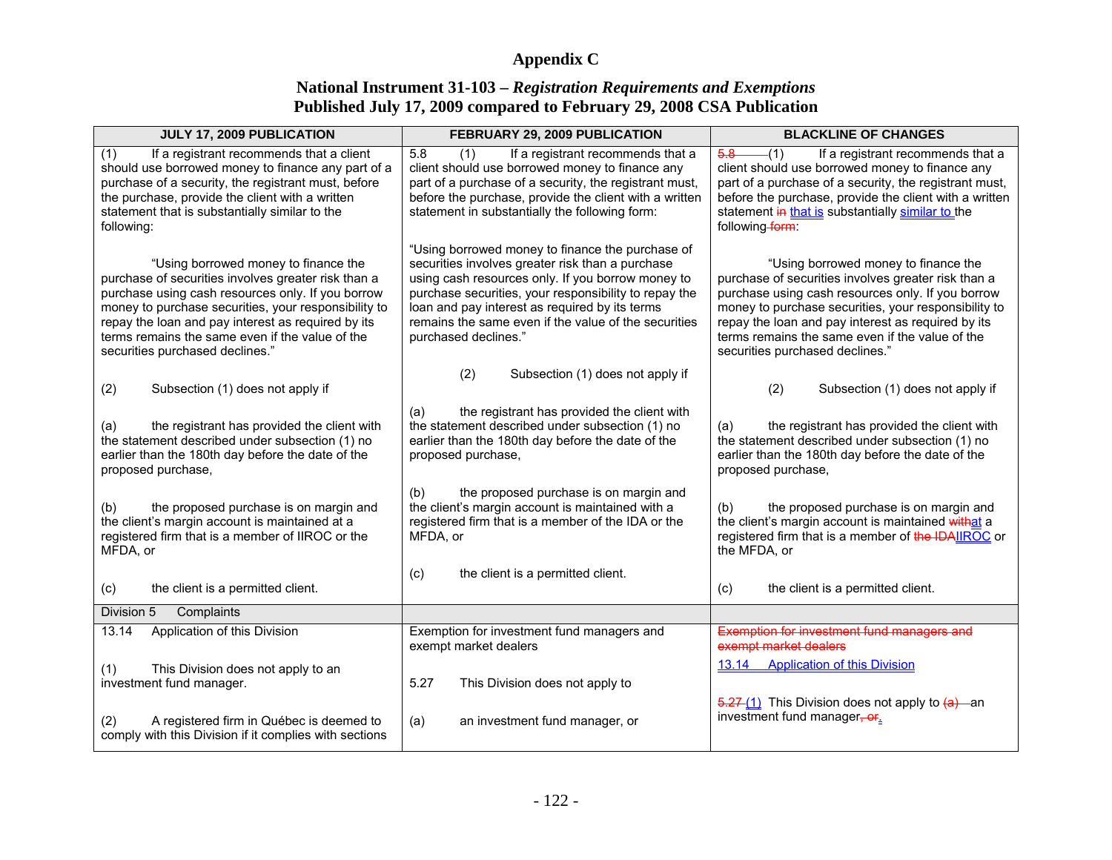| JULY 17, 2009 PUBLICATION                                                                                                                                                                                                                                                       | <b>FEBRUARY 29, 2009 PUBLICATION</b>                                                                                                                                                                                                                                     | <b>BLACKLINE OF CHANGES</b>                                                                                                                                                                                                                                                                            |
|---------------------------------------------------------------------------------------------------------------------------------------------------------------------------------------------------------------------------------------------------------------------------------|--------------------------------------------------------------------------------------------------------------------------------------------------------------------------------------------------------------------------------------------------------------------------|--------------------------------------------------------------------------------------------------------------------------------------------------------------------------------------------------------------------------------------------------------------------------------------------------------|
| If a registrant recommends that a client<br>(1)<br>should use borrowed money to finance any part of a<br>purchase of a security, the registrant must, before<br>the purchase, provide the client with a written<br>statement that is substantially similar to the<br>following: | 5.8<br>If a registrant recommends that a<br>(1)<br>client should use borrowed money to finance any<br>part of a purchase of a security, the registrant must,<br>before the purchase, provide the client with a written<br>statement in substantially the following form: | $5.8 -$<br>$- (1)$<br>If a registrant recommends that a<br>client should use borrowed money to finance any<br>part of a purchase of a security, the registrant must,<br>before the purchase, provide the client with a written<br>statement in that is substantially similar to the<br>following-form: |
| "Using borrowed money to finance the                                                                                                                                                                                                                                            | "Using borrowed money to finance the purchase of                                                                                                                                                                                                                         | "Using borrowed money to finance the                                                                                                                                                                                                                                                                   |
| purchase of securities involves greater risk than a                                                                                                                                                                                                                             | securities involves greater risk than a purchase                                                                                                                                                                                                                         | purchase of securities involves greater risk than a                                                                                                                                                                                                                                                    |
| purchase using cash resources only. If you borrow                                                                                                                                                                                                                               | using cash resources only. If you borrow money to                                                                                                                                                                                                                        | purchase using cash resources only. If you borrow                                                                                                                                                                                                                                                      |
| money to purchase securities, your responsibility to                                                                                                                                                                                                                            | purchase securities, your responsibility to repay the                                                                                                                                                                                                                    | money to purchase securities, your responsibility to                                                                                                                                                                                                                                                   |
| repay the loan and pay interest as required by its                                                                                                                                                                                                                              | loan and pay interest as required by its terms                                                                                                                                                                                                                           | repay the loan and pay interest as required by its                                                                                                                                                                                                                                                     |
| terms remains the same even if the value of the                                                                                                                                                                                                                                 | remains the same even if the value of the securities                                                                                                                                                                                                                     | terms remains the same even if the value of the                                                                                                                                                                                                                                                        |
| securities purchased declines."                                                                                                                                                                                                                                                 | purchased declines."                                                                                                                                                                                                                                                     | securities purchased declines."                                                                                                                                                                                                                                                                        |
| (2)                                                                                                                                                                                                                                                                             | (2)                                                                                                                                                                                                                                                                      | (2)                                                                                                                                                                                                                                                                                                    |
| Subsection (1) does not apply if                                                                                                                                                                                                                                                | Subsection (1) does not apply if                                                                                                                                                                                                                                         | Subsection (1) does not apply if                                                                                                                                                                                                                                                                       |
| the registrant has provided the client with                                                                                                                                                                                                                                     | the registrant has provided the client with                                                                                                                                                                                                                              | the registrant has provided the client with                                                                                                                                                                                                                                                            |
| (a)                                                                                                                                                                                                                                                                             | (a)                                                                                                                                                                                                                                                                      | (a)                                                                                                                                                                                                                                                                                                    |
| the statement described under subsection (1) no                                                                                                                                                                                                                                 | the statement described under subsection (1) no                                                                                                                                                                                                                          | the statement described under subsection (1) no                                                                                                                                                                                                                                                        |
| earlier than the 180th day before the date of the                                                                                                                                                                                                                               | earlier than the 180th day before the date of the                                                                                                                                                                                                                        | earlier than the 180th day before the date of the                                                                                                                                                                                                                                                      |
| proposed purchase,                                                                                                                                                                                                                                                              | proposed purchase,                                                                                                                                                                                                                                                       | proposed purchase,                                                                                                                                                                                                                                                                                     |
| the proposed purchase is on margin and                                                                                                                                                                                                                                          | the proposed purchase is on margin and                                                                                                                                                                                                                                   | the proposed purchase is on margin and                                                                                                                                                                                                                                                                 |
| (b)                                                                                                                                                                                                                                                                             | (b)                                                                                                                                                                                                                                                                      | (b)                                                                                                                                                                                                                                                                                                    |
| the client's margin account is maintained at a                                                                                                                                                                                                                                  | the client's margin account is maintained with a                                                                                                                                                                                                                         | the client's margin account is maintained withat a                                                                                                                                                                                                                                                     |
| registered firm that is a member of IIROC or the                                                                                                                                                                                                                                | registered firm that is a member of the IDA or the                                                                                                                                                                                                                       | registered firm that is a member of the IDAIIROC or                                                                                                                                                                                                                                                    |
| MFDA, or                                                                                                                                                                                                                                                                        | MFDA, or                                                                                                                                                                                                                                                                 | the MFDA, or                                                                                                                                                                                                                                                                                           |
| the client is a permitted client.                                                                                                                                                                                                                                               | the client is a permitted client.                                                                                                                                                                                                                                        | the client is a permitted client.                                                                                                                                                                                                                                                                      |
| (c)                                                                                                                                                                                                                                                                             | (c)                                                                                                                                                                                                                                                                      | (c)                                                                                                                                                                                                                                                                                                    |
| Division 5<br>Complaints                                                                                                                                                                                                                                                        |                                                                                                                                                                                                                                                                          |                                                                                                                                                                                                                                                                                                        |
| 13.14                                                                                                                                                                                                                                                                           | Exemption for investment fund managers and                                                                                                                                                                                                                               | <b>Exemption for investment fund managers and</b>                                                                                                                                                                                                                                                      |
| Application of this Division                                                                                                                                                                                                                                                    | exempt market dealers                                                                                                                                                                                                                                                    | exempt market dealers                                                                                                                                                                                                                                                                                  |
| This Division does not apply to an<br>(1)<br>investment fund manager.                                                                                                                                                                                                           | 5.27<br>This Division does not apply to                                                                                                                                                                                                                                  | 13.14 Application of this Division                                                                                                                                                                                                                                                                     |
| A registered firm in Québec is deemed to<br>(2)<br>comply with this Division if it complies with sections                                                                                                                                                                       | an investment fund manager, or<br>(a)                                                                                                                                                                                                                                    | $\frac{5.27(1)}{2}$ This Division does not apply to $\left(\frac{a}{2}\right)$ an<br>investment fund manager, or.                                                                                                                                                                                      |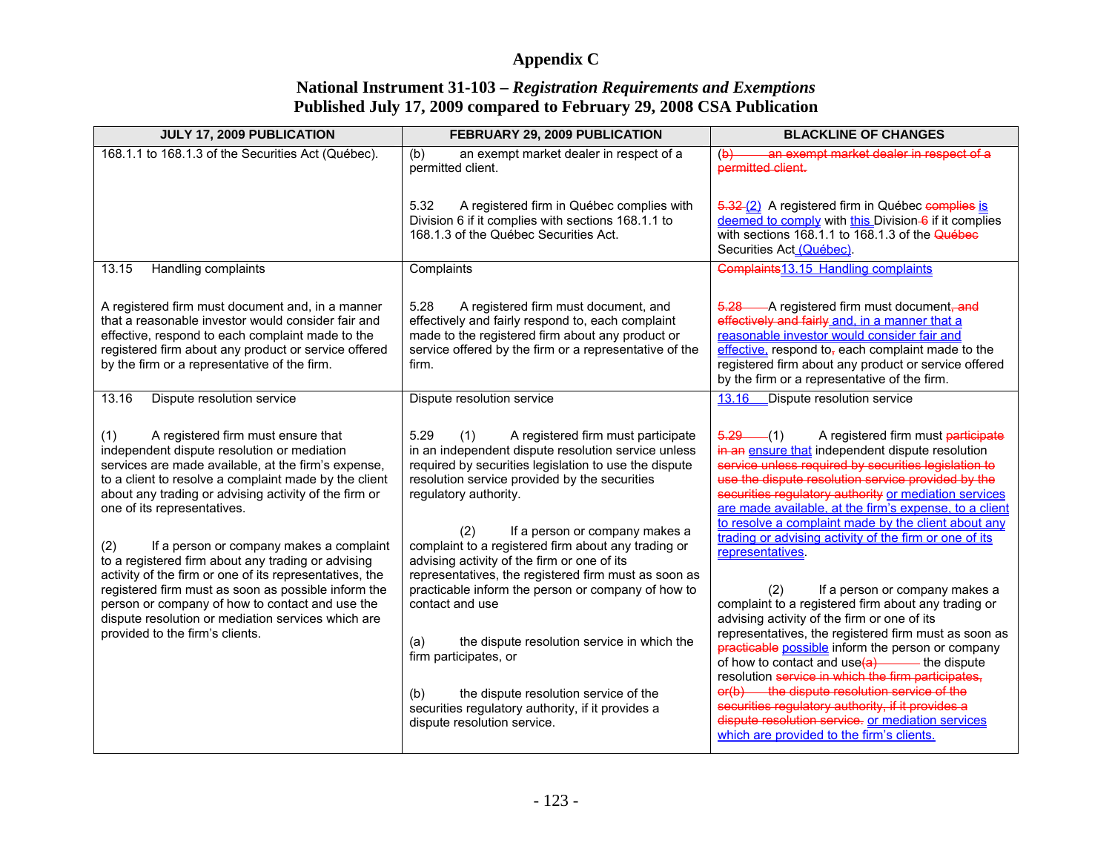| JULY 17, 2009 PUBLICATION                                                                                                                                                                                                                                                                                                                                                                                                                                                                                                                                                                                                                                               | <b>FEBRUARY 29, 2009 PUBLICATION</b>                                                                                                                                                                                                                                                                                                                                                                                                                                                                                                                                                                                                                                                                                                           | <b>BLACKLINE OF CHANGES</b>                                                                                                                                                                                                                                                                                                                                                                                                                                                                                                                                                                                                                                                                                                                                                                                                                                                                                                                                                                                                                        |
|-------------------------------------------------------------------------------------------------------------------------------------------------------------------------------------------------------------------------------------------------------------------------------------------------------------------------------------------------------------------------------------------------------------------------------------------------------------------------------------------------------------------------------------------------------------------------------------------------------------------------------------------------------------------------|------------------------------------------------------------------------------------------------------------------------------------------------------------------------------------------------------------------------------------------------------------------------------------------------------------------------------------------------------------------------------------------------------------------------------------------------------------------------------------------------------------------------------------------------------------------------------------------------------------------------------------------------------------------------------------------------------------------------------------------------|----------------------------------------------------------------------------------------------------------------------------------------------------------------------------------------------------------------------------------------------------------------------------------------------------------------------------------------------------------------------------------------------------------------------------------------------------------------------------------------------------------------------------------------------------------------------------------------------------------------------------------------------------------------------------------------------------------------------------------------------------------------------------------------------------------------------------------------------------------------------------------------------------------------------------------------------------------------------------------------------------------------------------------------------------|
| 168.1.1 to 168.1.3 of the Securities Act (Québec).                                                                                                                                                                                                                                                                                                                                                                                                                                                                                                                                                                                                                      | an exempt market dealer in respect of a<br>(b)<br>permitted client.                                                                                                                                                                                                                                                                                                                                                                                                                                                                                                                                                                                                                                                                            | an exempt market dealer in respect of a<br>$\Theta$<br>permitted client.                                                                                                                                                                                                                                                                                                                                                                                                                                                                                                                                                                                                                                                                                                                                                                                                                                                                                                                                                                           |
|                                                                                                                                                                                                                                                                                                                                                                                                                                                                                                                                                                                                                                                                         | 5.32<br>A registered firm in Québec complies with<br>Division 6 if it complies with sections 168.1.1 to<br>168.1.3 of the Québec Securities Act.                                                                                                                                                                                                                                                                                                                                                                                                                                                                                                                                                                                               | 5.32 (2) A registered firm in Québec complies is<br>deemed to comply with this Division-6 if it complies<br>with sections 168.1.1 to 168.1.3 of the Québec<br>Securities Act (Québec).                                                                                                                                                                                                                                                                                                                                                                                                                                                                                                                                                                                                                                                                                                                                                                                                                                                             |
| 13.15<br>Handling complaints                                                                                                                                                                                                                                                                                                                                                                                                                                                                                                                                                                                                                                            | Complaints                                                                                                                                                                                                                                                                                                                                                                                                                                                                                                                                                                                                                                                                                                                                     | Complaints 13.15 Handling complaints                                                                                                                                                                                                                                                                                                                                                                                                                                                                                                                                                                                                                                                                                                                                                                                                                                                                                                                                                                                                               |
| A registered firm must document and, in a manner<br>that a reasonable investor would consider fair and<br>effective, respond to each complaint made to the<br>registered firm about any product or service offered<br>by the firm or a representative of the firm.                                                                                                                                                                                                                                                                                                                                                                                                      | A registered firm must document, and<br>5.28<br>effectively and fairly respond to, each complaint<br>made to the registered firm about any product or<br>service offered by the firm or a representative of the<br>firm.                                                                                                                                                                                                                                                                                                                                                                                                                                                                                                                       | 5.28 - A registered firm must document, and<br>effectively and fairly and, in a manner that a<br>reasonable investor would consider fair and<br>effective, respond to, each complaint made to the<br>registered firm about any product or service offered<br>by the firm or a representative of the firm.                                                                                                                                                                                                                                                                                                                                                                                                                                                                                                                                                                                                                                                                                                                                          |
| 13.16<br>Dispute resolution service                                                                                                                                                                                                                                                                                                                                                                                                                                                                                                                                                                                                                                     | Dispute resolution service                                                                                                                                                                                                                                                                                                                                                                                                                                                                                                                                                                                                                                                                                                                     | 13.16<br>Dispute resolution service                                                                                                                                                                                                                                                                                                                                                                                                                                                                                                                                                                                                                                                                                                                                                                                                                                                                                                                                                                                                                |
| (1)<br>A registered firm must ensure that<br>independent dispute resolution or mediation<br>services are made available, at the firm's expense,<br>to a client to resolve a complaint made by the client<br>about any trading or advising activity of the firm or<br>one of its representatives.<br>If a person or company makes a complaint<br>(2)<br>to a registered firm about any trading or advising<br>activity of the firm or one of its representatives, the<br>registered firm must as soon as possible inform the<br>person or company of how to contact and use the<br>dispute resolution or mediation services which are<br>provided to the firm's clients. | 5.29<br>A registered firm must participate<br>(1)<br>in an independent dispute resolution service unless<br>required by securities legislation to use the dispute<br>resolution service provided by the securities<br>regulatory authority.<br>If a person or company makes a<br>(2)<br>complaint to a registered firm about any trading or<br>advising activity of the firm or one of its<br>representatives, the registered firm must as soon as<br>practicable inform the person or company of how to<br>contact and use<br>the dispute resolution service in which the<br>(a)<br>firm participates, or<br>the dispute resolution service of the<br>(b)<br>securities regulatory authority, if it provides a<br>dispute resolution service. | $5.29$ (1)<br>A registered firm must participate<br>in an ensure that independent dispute resolution<br>service unless required by securities legislation to<br>use the dispute resolution service provided by the<br>securities regulatory authority or mediation services<br>are made available, at the firm's expense, to a client<br>to resolve a complaint made by the client about any<br>trading or advising activity of the firm or one of its<br>representatives.<br>If a person or company makes a<br>(2)<br>complaint to a registered firm about any trading or<br>advising activity of the firm or one of its<br>representatives, the registered firm must as soon as<br>practicable possible inform the person or company<br>of how to contact and $use(a)$ - the dispute<br>resolution service in which the firm participates,<br>or(b) the dispute resolution service of the<br>securities regulatory authority, if it provides a<br>dispute resolution service. or mediation services<br>which are provided to the firm's clients. |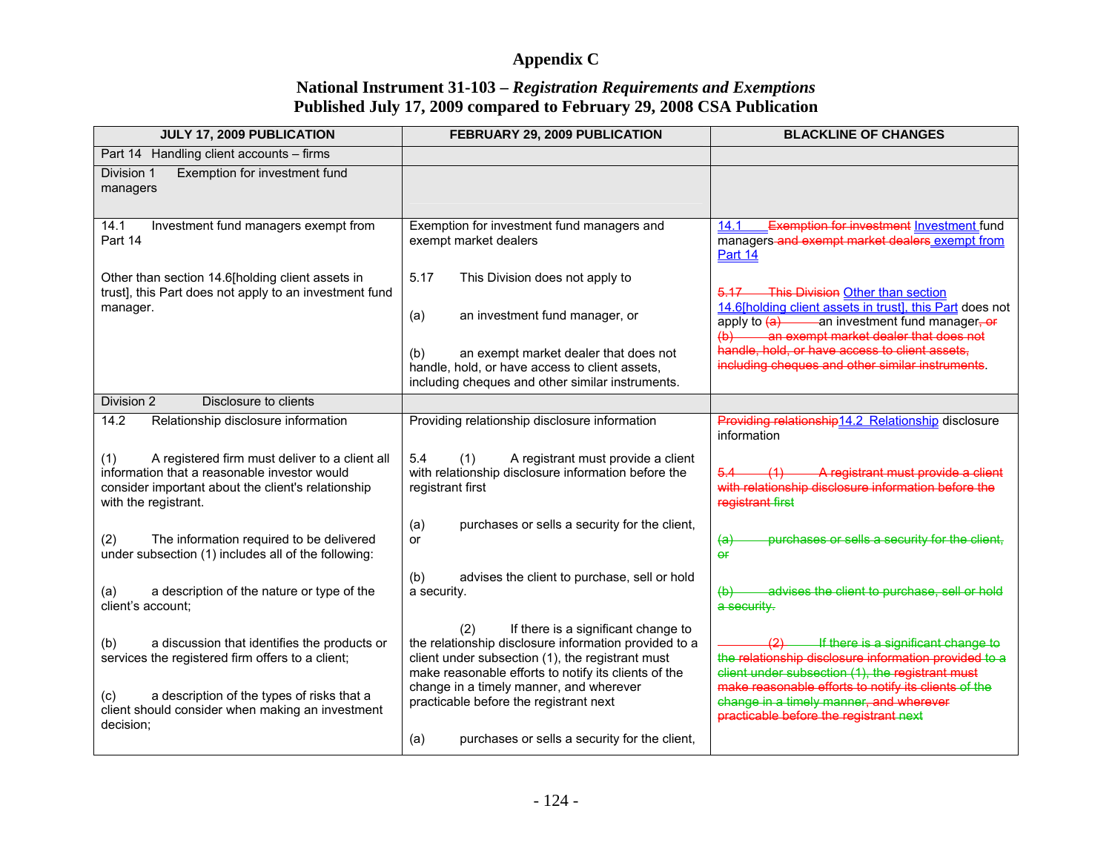| JULY 17, 2009 PUBLICATION                                                                                                                                                           | FEBRUARY 29, 2009 PUBLICATION                                                                                                                                                                                                                                                                        | <b>BLACKLINE OF CHANGES</b>                                                                                                                                                                                                                         |
|-------------------------------------------------------------------------------------------------------------------------------------------------------------------------------------|------------------------------------------------------------------------------------------------------------------------------------------------------------------------------------------------------------------------------------------------------------------------------------------------------|-----------------------------------------------------------------------------------------------------------------------------------------------------------------------------------------------------------------------------------------------------|
| Part 14 Handling client accounts - firms                                                                                                                                            |                                                                                                                                                                                                                                                                                                      |                                                                                                                                                                                                                                                     |
| Exemption for investment fund<br>Division 1<br>managers                                                                                                                             |                                                                                                                                                                                                                                                                                                      |                                                                                                                                                                                                                                                     |
| 14.1<br>Investment fund managers exempt from<br>Part 14                                                                                                                             | Exemption for investment fund managers and<br>exempt market dealers                                                                                                                                                                                                                                  | <b>Exemption for investment Investment fund</b><br>14.1<br>managers-and exempt market dealers exempt from<br><b>Part 14</b>                                                                                                                         |
| Other than section 14.6[holding client assets in<br>trust], this Part does not apply to an investment fund<br>manager.                                                              | 5.17<br>This Division does not apply to<br>(a)<br>an investment fund manager, or                                                                                                                                                                                                                     | 5.17 This Division Other than section<br>14.6[holding client assets in trust], this Part does not<br>apply to $(a)$ an investment fund manager, or<br>an exempt market dealer that does not<br>$\leftrightarrow$                                    |
|                                                                                                                                                                                     | an exempt market dealer that does not<br>(b)<br>handle, hold, or have access to client assets,<br>including cheques and other similar instruments.                                                                                                                                                   | handle, hold, or have access to client assets,<br>including cheques and other similar instruments.                                                                                                                                                  |
| Division 2<br>Disclosure to clients                                                                                                                                                 |                                                                                                                                                                                                                                                                                                      |                                                                                                                                                                                                                                                     |
| 14.2<br>Relationship disclosure information                                                                                                                                         | Providing relationship disclosure information                                                                                                                                                                                                                                                        | Providing relationship14.2 Relationship disclosure<br>information                                                                                                                                                                                   |
| A registered firm must deliver to a client all<br>(1)<br>information that a reasonable investor would<br>consider important about the client's relationship<br>with the registrant. | 5.4<br>A registrant must provide a client<br>(1)<br>with relationship disclosure information before the<br>registrant first                                                                                                                                                                          | A registrant must provide a client<br><del>(1)</del><br>with relationship disclosure information before the<br>registrant first                                                                                                                     |
| The information required to be delivered<br>(2)<br>under subsection (1) includes all of the following:                                                                              | purchases or sells a security for the client,<br>(a)<br>or                                                                                                                                                                                                                                           | purchases or sells a security for the client,<br>$\left( a\right)$<br>er                                                                                                                                                                            |
| a description of the nature or type of the<br>(a)<br>client's account;                                                                                                              | (b)<br>advises the client to purchase, sell or hold<br>a security.                                                                                                                                                                                                                                   | advises the client to purchase, sell or hold<br>$\leftrightarrow$<br>a security.                                                                                                                                                                    |
| a discussion that identifies the products or<br>(b)<br>services the registered firm offers to a client;<br>a description of the types of risks that a<br>(c)                        | If there is a significant change to<br>(2)<br>the relationship disclosure information provided to a<br>client under subsection (1), the registrant must<br>make reasonable efforts to notify its clients of the<br>change in a timely manner, and wherever<br>practicable before the registrant next | If there is a significant change to<br>the relationship disclosure information provided to a<br>client under subsection (1), the registrant must<br>make reasonable efforts to notify its clients of the<br>change in a timely manner, and wherever |
| client should consider when making an investment<br>decision;                                                                                                                       | (a)<br>purchases or sells a security for the client,                                                                                                                                                                                                                                                 | practicable before the registrant next                                                                                                                                                                                                              |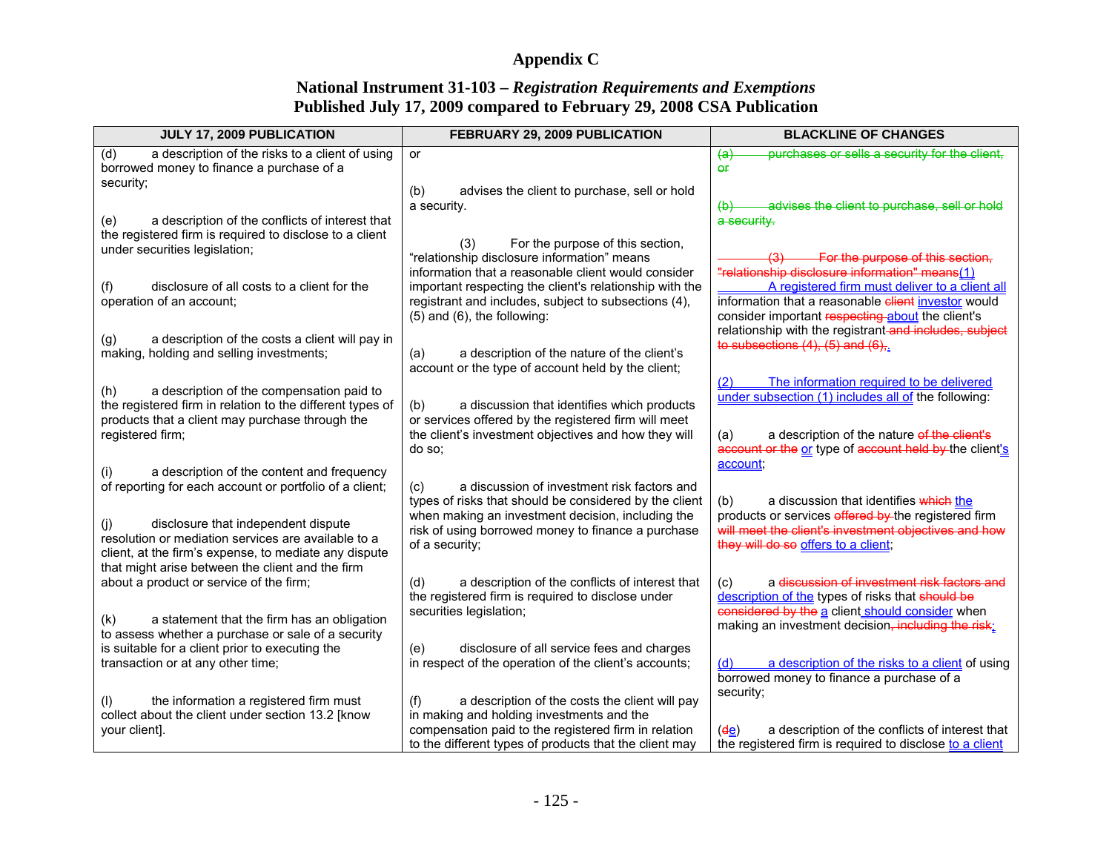| JULY 17, 2009 PUBLICATION                                                                                                                                                                                      | FEBRUARY 29, 2009 PUBLICATION                                                                                                                                                                                        | <b>BLACKLINE OF CHANGES</b>                                                                                                                                                                                            |
|----------------------------------------------------------------------------------------------------------------------------------------------------------------------------------------------------------------|----------------------------------------------------------------------------------------------------------------------------------------------------------------------------------------------------------------------|------------------------------------------------------------------------------------------------------------------------------------------------------------------------------------------------------------------------|
| a description of the risks to a client of using<br>(d)<br>borrowed money to finance a purchase of a                                                                                                            | <b>or</b>                                                                                                                                                                                                            | purchases or sells a security for the client,<br>$\overline{a}$<br>$\overline{e}$                                                                                                                                      |
| security;                                                                                                                                                                                                      | advises the client to purchase, sell or hold<br>(b)<br>a security.                                                                                                                                                   | advises the client to purchase, sell or hold<br>$\leftrightarrow$                                                                                                                                                      |
| a description of the conflicts of interest that<br>(e)<br>the registered firm is required to disclose to a client<br>under securities legislation;                                                             | For the purpose of this section,<br>(3)<br>"relationship disclosure information" means<br>information that a reasonable client would consider                                                                        | a security.<br>For the purpose of this section,<br>"relationship disclosure information" means(1)                                                                                                                      |
| disclosure of all costs to a client for the<br>(f)<br>operation of an account;                                                                                                                                 | important respecting the client's relationship with the<br>registrant and includes, subject to subsections (4),<br>$(5)$ and $(6)$ , the following:                                                                  | A registered firm must deliver to a client all<br>information that a reasonable client investor would<br>consider important respecting about the client's<br>relationship with the registrant-and includes, subject    |
| a description of the costs a client will pay in<br>(g)<br>making, holding and selling investments;                                                                                                             | a description of the nature of the client's<br>(a)<br>account or the type of account held by the client;                                                                                                             | to subsections $(4)$ , $(5)$ and $(6)$ ,.                                                                                                                                                                              |
| a description of the compensation paid to<br>(h)<br>the registered firm in relation to the different types of<br>products that a client may purchase through the<br>registered firm;                           | (b)<br>a discussion that identifies which products<br>or services offered by the registered firm will meet<br>the client's investment objectives and how they will<br>do so:                                         | The information required to be delivered<br>(2)<br>under subsection (1) includes all of the following:<br>a description of the nature of the client's<br>(a)<br>account or the or type of account held by the client's |
| a description of the content and frequency<br>(i)<br>of reporting for each account or portfolio of a client;                                                                                                   | a discussion of investment risk factors and<br>(c)                                                                                                                                                                   | account;                                                                                                                                                                                                               |
| disclosure that independent dispute<br>(j)<br>resolution or mediation services are available to a<br>client, at the firm's expense, to mediate any dispute<br>that might arise between the client and the firm | types of risks that should be considered by the client<br>when making an investment decision, including the<br>risk of using borrowed money to finance a purchase<br>of a security;                                  | (b)<br>a discussion that identifies which the<br>products or services offered by the registered firm<br>will meet the client's investment objectives and how<br>they will do so offers to a client;                    |
| about a product or service of the firm;<br>a statement that the firm has an obligation<br>(k)                                                                                                                  | a description of the conflicts of interest that<br>(d)<br>the registered firm is required to disclose under<br>securities legislation;                                                                               | a discussion of investment risk factors and<br>(c)<br>description of the types of risks that should be<br>considered by the a client should consider when<br>making an investment decision, including the risk:        |
| to assess whether a purchase or sale of a security<br>is suitable for a client prior to executing the<br>transaction or at any other time;                                                                     | disclosure of all service fees and charges<br>(e)<br>in respect of the operation of the client's accounts;                                                                                                           | a description of the risks to a client of using<br>(d)<br>borrowed money to finance a purchase of a                                                                                                                    |
| the information a registered firm must<br>(1)<br>collect about the client under section 13.2 [know<br>your client].                                                                                            | (f)<br>a description of the costs the client will pay<br>in making and holding investments and the<br>compensation paid to the registered firm in relation<br>to the different types of products that the client may | security:<br>a description of the conflicts of interest that<br>(de)<br>the registered firm is required to disclose to a client                                                                                        |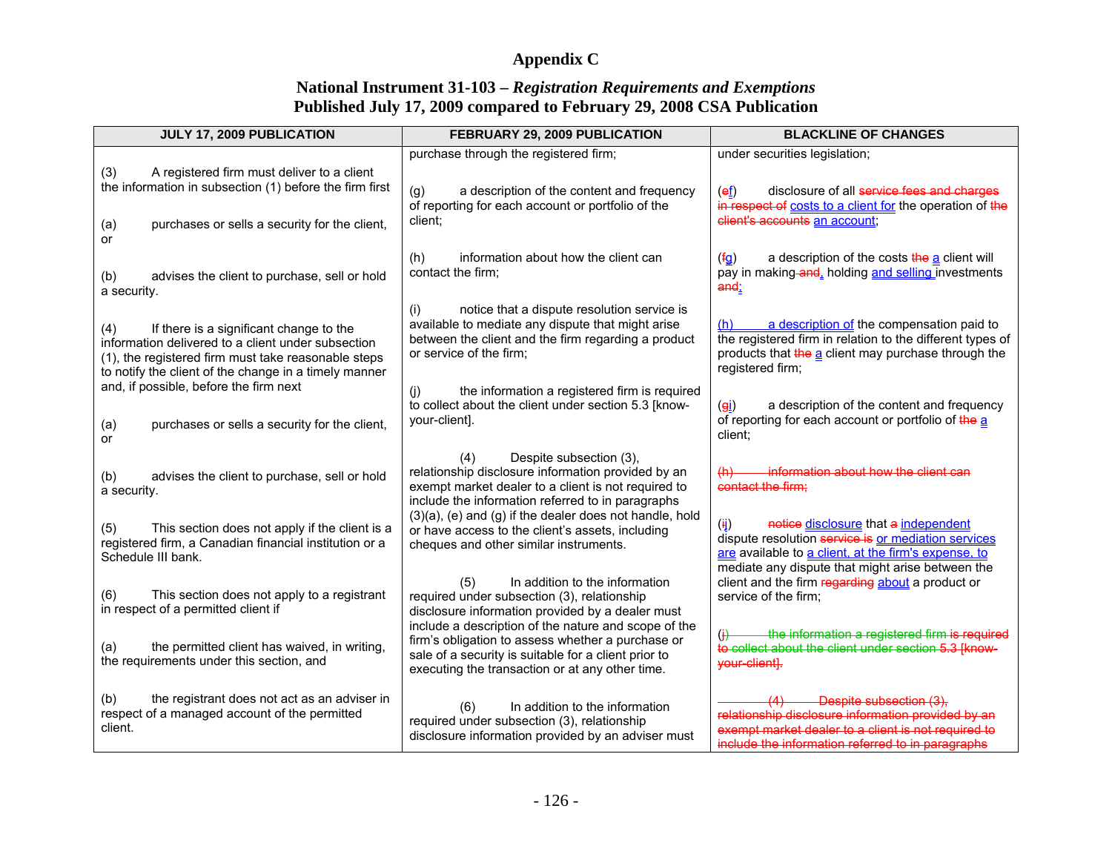| JULY 17, 2009 PUBLICATION                                                                                                                                                                                            | <b>FEBRUARY 29, 2009 PUBLICATION</b>                                                                                                                                                             | <b>BLACKLINE OF CHANGES</b>                                                                                                                                                                                                      |
|----------------------------------------------------------------------------------------------------------------------------------------------------------------------------------------------------------------------|--------------------------------------------------------------------------------------------------------------------------------------------------------------------------------------------------|----------------------------------------------------------------------------------------------------------------------------------------------------------------------------------------------------------------------------------|
| (3)<br>A registered firm must deliver to a client<br>the information in subsection (1) before the firm first                                                                                                         | purchase through the registered firm;<br>a description of the content and frequency<br>(g)                                                                                                       | under securities legislation;<br>disclosure of all service fees and charges<br>(ef)                                                                                                                                              |
| purchases or sells a security for the client,<br>(a)<br>or                                                                                                                                                           | of reporting for each account or portfolio of the<br>client;                                                                                                                                     | in respect of costs to a client for the operation of the<br>client's accounts an account;                                                                                                                                        |
| advises the client to purchase, sell or hold<br>(b)<br>a security.                                                                                                                                                   | information about how the client can<br>(h)<br>contact the firm;                                                                                                                                 | a description of the costs the a client will<br>(fq)<br>pay in making-and, holding and selling investments<br>and:                                                                                                               |
| If there is a significant change to the<br>(4)<br>information delivered to a client under subsection<br>(1), the registered firm must take reasonable steps<br>to notify the client of the change in a timely manner | notice that a dispute resolution service is<br>(i)<br>available to mediate any dispute that might arise<br>between the client and the firm regarding a product<br>or service of the firm;        | a description of the compensation paid to<br>(h)<br>the registered firm in relation to the different types of<br>products that the a client may purchase through the<br>registered firm;                                         |
| and, if possible, before the firm next<br>purchases or sells a security for the client,<br>(a)<br>or                                                                                                                 | (i)<br>the information a registered firm is required<br>to collect about the client under section 5.3 [know-<br>your-client].                                                                    | a description of the content and frequency<br>$\frac{q_i}{q_i}$<br>of reporting for each account or portfolio of the a<br>client;                                                                                                |
| advises the client to purchase, sell or hold<br>(b)<br>a security.                                                                                                                                                   | Despite subsection (3),<br>(4)<br>relationship disclosure information provided by an<br>exempt market dealer to a client is not required to<br>include the information referred to in paragraphs | information about how the client can<br><del>(h)</del><br>contact the firm;                                                                                                                                                      |
| This section does not apply if the client is a<br>(5)<br>registered firm, a Canadian financial institution or a<br>Schedule III bank.                                                                                | (3)(a), (e) and (g) if the dealer does not handle, hold<br>or have access to the client's assets, including<br>cheques and other similar instruments.                                            | notice disclosure that a independent<br>$(\ddot{\mathbf{i}})$<br>dispute resolution service is or mediation services<br>are available to a client, at the firm's expense, to<br>mediate any dispute that might arise between the |
| This section does not apply to a registrant<br>(6)<br>in respect of a permitted client if                                                                                                                            | In addition to the information<br>(5)<br>required under subsection (3), relationship<br>disclosure information provided by a dealer must<br>include a description of the nature and scope of the | client and the firm regarding about a product or<br>service of the firm;                                                                                                                                                         |
| the permitted client has waived, in writing,<br>(a)<br>the requirements under this section, and                                                                                                                      | firm's obligation to assess whether a purchase or<br>sale of a security is suitable for a client prior to<br>executing the transaction or at any other time.                                     | the information a registered firm is required<br>(i) —<br>to collect about the client under section 5.3 [know-<br>your client).                                                                                                  |
| (b)<br>the registrant does not act as an adviser in<br>respect of a managed account of the permitted<br>client.                                                                                                      | In addition to the information<br>(6)<br>required under subsection (3), relationship<br>disclosure information provided by an adviser must                                                       | Despite subsection (3),<br>(4)<br>relationship disclosure information provided by an<br>exempt market dealer to a client is not required to<br>include the information referred to in paragraphs                                 |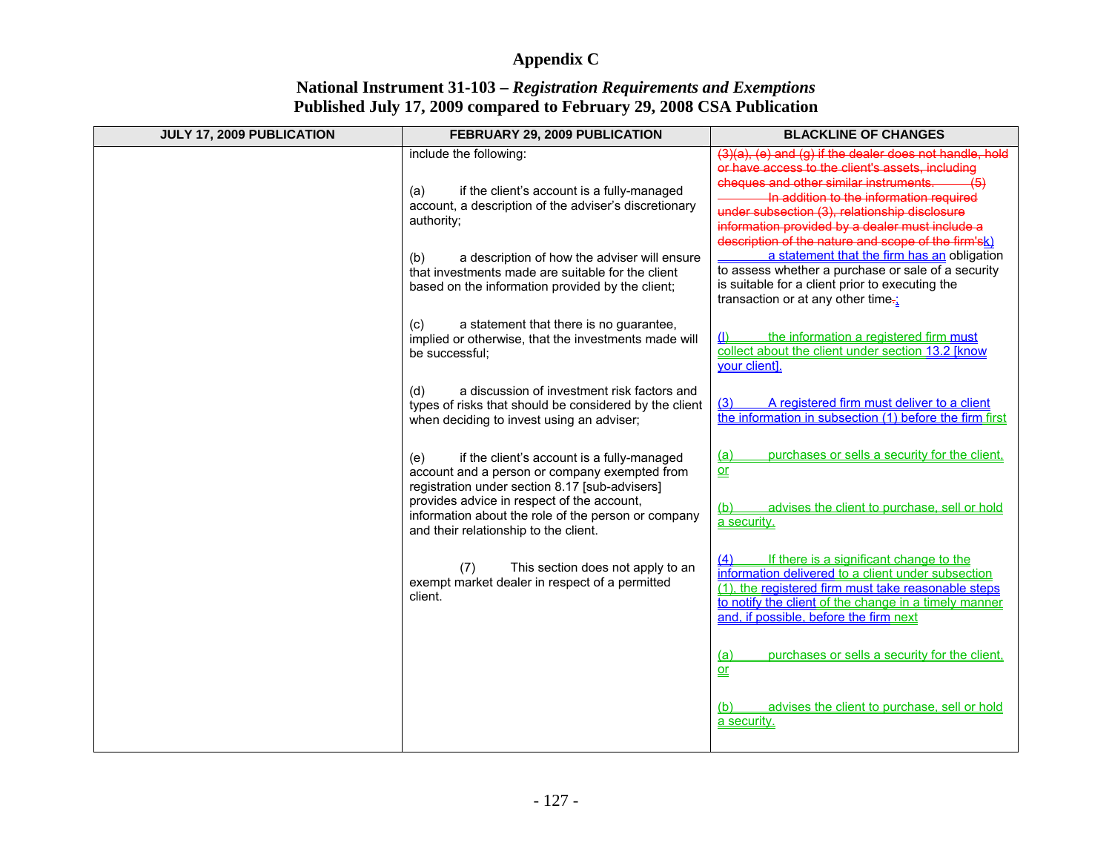| JULY 17, 2009 PUBLICATION | FEBRUARY 29, 2009 PUBLICATION                                                                                                                                                                                                                                                                      | <b>BLACKLINE OF CHANGES</b>                                                                                                                                                                                                                                                                                                                                                      |
|---------------------------|----------------------------------------------------------------------------------------------------------------------------------------------------------------------------------------------------------------------------------------------------------------------------------------------------|----------------------------------------------------------------------------------------------------------------------------------------------------------------------------------------------------------------------------------------------------------------------------------------------------------------------------------------------------------------------------------|
|                           | include the following:<br>if the client's account is a fully-managed<br>(a)<br>account, a description of the adviser's discretionary<br>authority;                                                                                                                                                 | $(3)(a)$ , (e) and (q) if the dealer does not handle, hold<br>or have access to the client's assets, including<br>cheques and other similar instruments.<br>$\overline{5}$<br>In addition to the information required<br>under subsection (3), relationship disclosure<br>information provided by a dealer must include a<br>description of the nature and scope of the firm'sk) |
|                           | a description of how the adviser will ensure<br>(b)<br>that investments made are suitable for the client<br>based on the information provided by the client;                                                                                                                                       | a statement that the firm has an obligation<br>to assess whether a purchase or sale of a security<br>is suitable for a client prior to executing the<br>transaction or at any other time-;                                                                                                                                                                                       |
|                           | a statement that there is no guarantee,<br>(c)<br>implied or otherwise, that the investments made will<br>be successful;                                                                                                                                                                           | the information a registered firm must<br>ΔЕ<br>collect about the client under section 13.2 [know<br>your client].                                                                                                                                                                                                                                                               |
|                           | a discussion of investment risk factors and<br>(d)<br>types of risks that should be considered by the client<br>when deciding to invest using an adviser;                                                                                                                                          | A registered firm must deliver to a client<br>(3)<br>the information in subsection (1) before the firm first                                                                                                                                                                                                                                                                     |
|                           | if the client's account is a fully-managed<br>(e)<br>account and a person or company exempted from<br>registration under section 8.17 [sub-advisers]<br>provides advice in respect of the account,<br>information about the role of the person or company<br>and their relationship to the client. | purchases or sells a security for the client,<br>(a)<br>$or$<br>advises the client to purchase, sell or hold<br>(b)<br>a security.                                                                                                                                                                                                                                               |
|                           | This section does not apply to an<br>(7)<br>exempt market dealer in respect of a permitted<br>client.                                                                                                                                                                                              | If there is a significant change to the<br>(4)<br>information delivered to a client under subsection<br>(1), the registered firm must take reasonable steps<br>to notify the client of the change in a timely manner<br>and, if possible, before the firm next                                                                                                                   |
|                           |                                                                                                                                                                                                                                                                                                    | purchases or sells a security for the client,<br>(a)<br>$\alpha$                                                                                                                                                                                                                                                                                                                 |
|                           |                                                                                                                                                                                                                                                                                                    | advises the client to purchase, sell or hold<br>(b)<br>a security.                                                                                                                                                                                                                                                                                                               |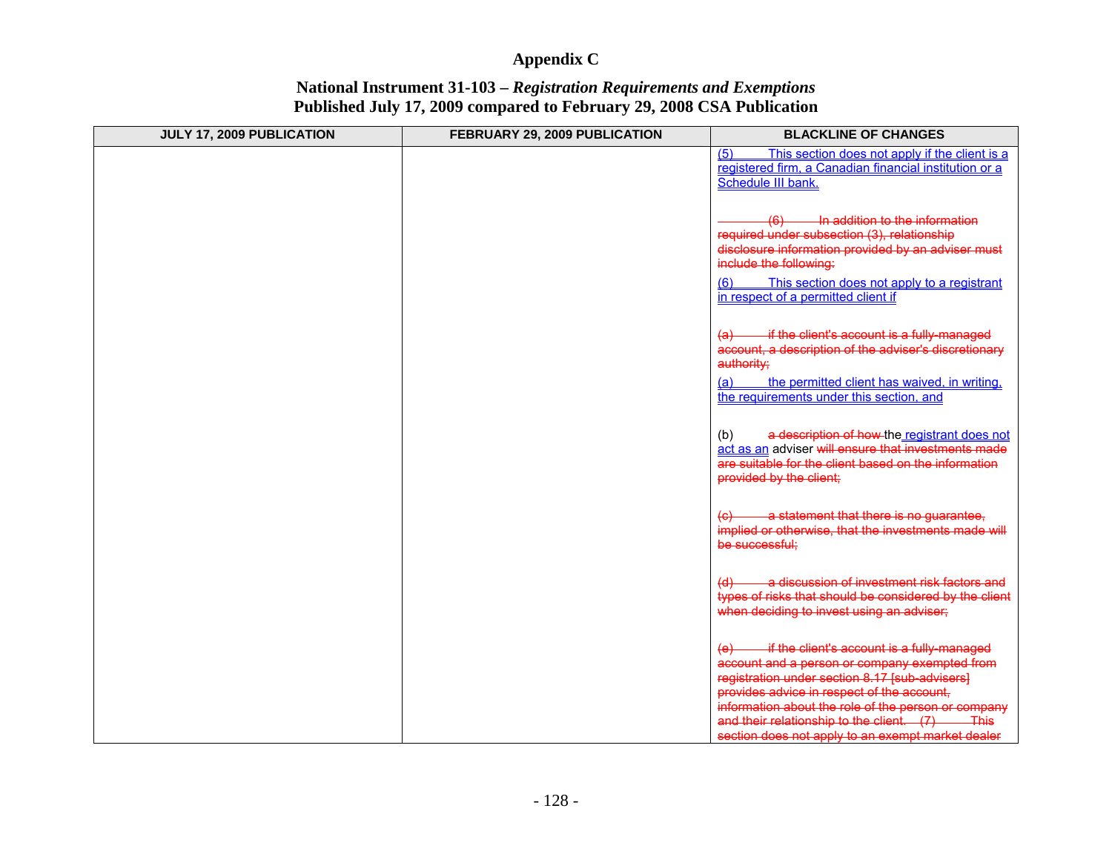| JULY 17, 2009 PUBLICATION | <b>FEBRUARY 29, 2009 PUBLICATION</b> | <b>BLACKLINE OF CHANGES</b>                                                                                                                                                                                                                                                                                                                               |
|---------------------------|--------------------------------------|-----------------------------------------------------------------------------------------------------------------------------------------------------------------------------------------------------------------------------------------------------------------------------------------------------------------------------------------------------------|
|                           |                                      | This section does not apply if the client is a<br>(5)<br>registered firm, a Canadian financial institution or a<br>Schedule III bank.                                                                                                                                                                                                                     |
|                           |                                      | In addition to the information<br>(6) In addition to the informated under subsection (3), relationship<br>disclosure information provided by an adviser must<br>include the following:<br>(6) This section does not apply to a registrant<br>in respect of a permitted client if                                                                          |
|                           |                                      | if the client's account is a fully managed<br>account, a description of the adviser's discretionary<br>authority;<br>the permitted client has waived, in writing,<br>(a)<br>the requirements under this section, and                                                                                                                                      |
|                           |                                      | a description of how the registrant does not<br>(b)<br>act as an adviser will ensure that investments made<br>are suitable for the client based on the information<br>provided by the client;                                                                                                                                                             |
|                           |                                      | a statement that there is no guarantee,<br>implied or otherwise, that the investments made will<br>be successful:                                                                                                                                                                                                                                         |
|                           |                                      | a discussion of investment risk factors and<br>types of risks that should be considered by the client<br>when deciding to invest using an adviser;                                                                                                                                                                                                        |
|                           |                                      | if the client's account is a fully-managed<br>account and a person or company exempted from<br>registration under section 8.17 [sub advisers]<br>provides advice in respect of the account.<br>information about the role of the person or company<br>and their relationship to the client. (7) This<br>section does not apply to an exempt market dealer |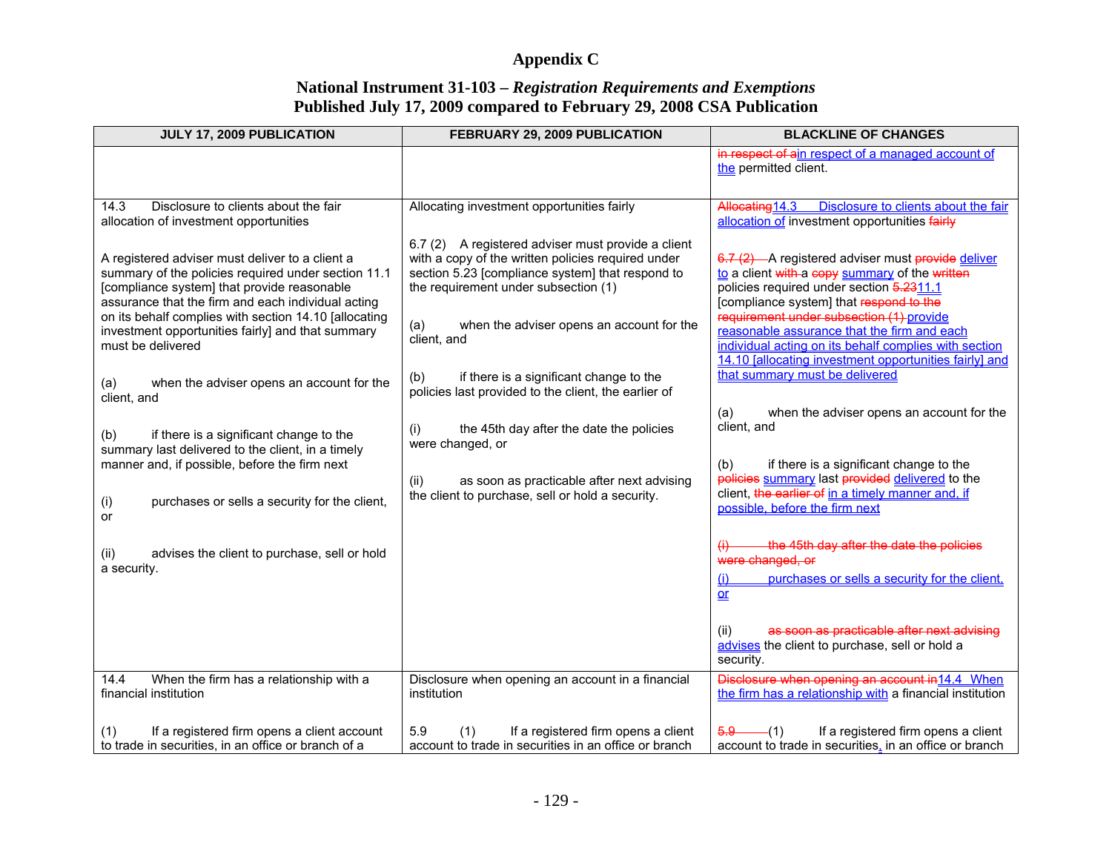| JULY 17, 2009 PUBLICATION                                                                                                                                                                                                                                                                                                                      | <b>FEBRUARY 29, 2009 PUBLICATION</b>                                                                                                                                                                                                                                    | <b>BLACKLINE OF CHANGES</b>                                                                                                                                                                                                                                                                                                                                                                              |
|------------------------------------------------------------------------------------------------------------------------------------------------------------------------------------------------------------------------------------------------------------------------------------------------------------------------------------------------|-------------------------------------------------------------------------------------------------------------------------------------------------------------------------------------------------------------------------------------------------------------------------|----------------------------------------------------------------------------------------------------------------------------------------------------------------------------------------------------------------------------------------------------------------------------------------------------------------------------------------------------------------------------------------------------------|
|                                                                                                                                                                                                                                                                                                                                                |                                                                                                                                                                                                                                                                         | in respect of ain respect of a managed account of<br>the permitted client.                                                                                                                                                                                                                                                                                                                               |
| 14.3<br>Disclosure to clients about the fair<br>allocation of investment opportunities                                                                                                                                                                                                                                                         | Allocating investment opportunities fairly                                                                                                                                                                                                                              | Disclosure to clients about the fair<br>Allocating 14.3<br>allocation of investment opportunities fairly                                                                                                                                                                                                                                                                                                 |
| A registered adviser must deliver to a client a<br>summary of the policies required under section 11.1<br>[compliance system] that provide reasonable<br>assurance that the firm and each individual acting<br>on its behalf complies with section 14.10 [allocating<br>investment opportunities fairly] and that summary<br>must be delivered | 6.7 (2) A registered adviser must provide a client<br>with a copy of the written policies required under<br>section 5.23 [compliance system] that respond to<br>the requirement under subsection (1)<br>(a)<br>when the adviser opens an account for the<br>client, and | 6.7 (2) A registered adviser must provide deliver<br>to a client with a copy summary of the written<br>policies required under section 5.2311.1<br>[compliance system] that respond to the<br>requirement under subsection (1) provide<br>reasonable assurance that the firm and each<br>individual acting on its behalf complies with section<br>14.10 [allocating investment opportunities fairly] and |
| (a)<br>when the adviser opens an account for the<br>client, and                                                                                                                                                                                                                                                                                | if there is a significant change to the<br>(b)<br>policies last provided to the client, the earlier of                                                                                                                                                                  | that summary must be delivered                                                                                                                                                                                                                                                                                                                                                                           |
| if there is a significant change to the<br>(b)<br>summary last delivered to the client, in a timely<br>manner and, if possible, before the firm next<br>purchases or sells a security for the client,<br>(i)                                                                                                                                   | the 45th day after the date the policies<br>(i)<br>were changed, or<br>as soon as practicable after next advising<br>(ii)<br>the client to purchase, sell or hold a security.                                                                                           | when the adviser opens an account for the<br>(a)<br>client, and<br>if there is a significant change to the<br>(b)<br>policies summary last provided delivered to the<br>client, the earlier of in a timely manner and, if<br>possible, before the firm next                                                                                                                                              |
| or<br>advises the client to purchase, sell or hold<br>(ii)<br>a security.                                                                                                                                                                                                                                                                      |                                                                                                                                                                                                                                                                         | the 45th day after the date the policies<br>$\theta$<br>were changed, or<br>purchases or sells a security for the client,<br>(⊔)<br>$\alpha$<br>as soon as practicable after next advising                                                                                                                                                                                                               |
|                                                                                                                                                                                                                                                                                                                                                |                                                                                                                                                                                                                                                                         | (ii)<br>advises the client to purchase, sell or hold a<br>security.                                                                                                                                                                                                                                                                                                                                      |
| When the firm has a relationship with a<br>14.4<br>financial institution                                                                                                                                                                                                                                                                       | Disclosure when opening an account in a financial<br>institution                                                                                                                                                                                                        | Disclosure when opening an account in 14.4 When<br>the firm has a relationship with a financial institution                                                                                                                                                                                                                                                                                              |
| If a registered firm opens a client account<br>(1)<br>to trade in securities, in an office or branch of a                                                                                                                                                                                                                                      | 5.9<br>If a registered firm opens a client<br>(1)<br>account to trade in securities in an office or branch                                                                                                                                                              | $5.9 -$<br>$- (1)$<br>If a registered firm opens a client<br>account to trade in securities, in an office or branch                                                                                                                                                                                                                                                                                      |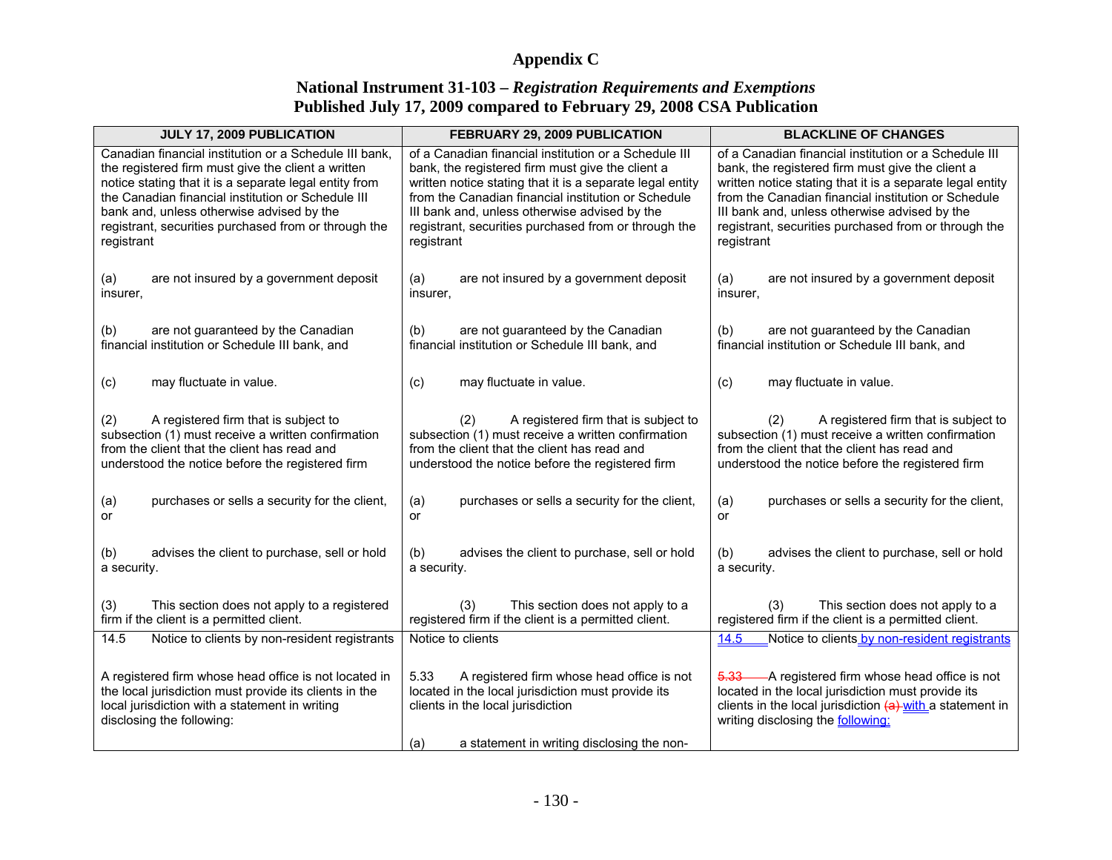| JULY 17, 2009 PUBLICATION                              | FEBRUARY 29, 2009 PUBLICATION                             | <b>BLACKLINE OF CHANGES</b>                               |
|--------------------------------------------------------|-----------------------------------------------------------|-----------------------------------------------------------|
| Canadian financial institution or a Schedule III bank, | of a Canadian financial institution or a Schedule III     | of a Canadian financial institution or a Schedule III     |
| the registered firm must give the client a written     | bank, the registered firm must give the client a          | bank, the registered firm must give the client a          |
| notice stating that it is a separate legal entity from | written notice stating that it is a separate legal entity | written notice stating that it is a separate legal entity |
| the Canadian financial institution or Schedule III     | from the Canadian financial institution or Schedule       | from the Canadian financial institution or Schedule       |
| bank and, unless otherwise advised by the              | III bank and, unless otherwise advised by the             | III bank and, unless otherwise advised by the             |
| registrant, securities purchased from or through the   | registrant, securities purchased from or through the      | registrant, securities purchased from or through the      |
| registrant                                             | registrant                                                | registrant                                                |
| are not insured by a government deposit                | are not insured by a government deposit                   | (a)                                                       |
| (a)                                                    | (a)                                                       | are not insured by a government deposit                   |
| insurer,                                               | insurer.                                                  | insurer.                                                  |
| are not guaranteed by the Canadian                     | are not guaranteed by the Canadian                        | are not guaranteed by the Canadian                        |
| (b)                                                    | (b)                                                       | (b)                                                       |
| financial institution or Schedule III bank, and        | financial institution or Schedule III bank, and           | financial institution or Schedule III bank, and           |
| (c)                                                    | may fluctuate in value.                                   | may fluctuate in value.                                   |
| may fluctuate in value.                                | (c)                                                       | (c)                                                       |
| A registered firm that is subject to                   | A registered firm that is subject to                      | A registered firm that is subject to                      |
| (2)                                                    | (2)                                                       | (2)                                                       |
| subsection (1) must receive a written confirmation     | subsection (1) must receive a written confirmation        | subsection (1) must receive a written confirmation        |
| from the client that the client has read and           | from the client that the client has read and              | from the client that the client has read and              |
| understood the notice before the registered firm       | understood the notice before the registered firm          | understood the notice before the registered firm          |
| purchases or sells a security for the client,          | purchases or sells a security for the client,             | (a)                                                       |
| (a)                                                    | (a)                                                       | purchases or sells a security for the client,             |
| or                                                     | or                                                        | or                                                        |
| advises the client to purchase, sell or hold           | advises the client to purchase, sell or hold              | (b)                                                       |
| (b)                                                    | (b)                                                       | advises the client to purchase, sell or hold              |
| a security.                                            | a security.                                               | a security.                                               |
| This section does not apply to a registered            | This section does not apply to a                          | This section does not apply to a                          |
| (3)                                                    | (3)                                                       | (3)                                                       |
| firm if the client is a permitted client.              | registered firm if the client is a permitted client.      | registered firm if the client is a permitted client.      |
| 14.5<br>Notice to clients by non-resident registrants  | Notice to clients                                         | 14.5<br>Notice to clients by non-resident registrants     |
| A registered firm whose head office is not located in  | 5.33                                                      | 5.33 A registered firm whose head office is not           |
| the local jurisdiction must provide its clients in the | A registered firm whose head office is not                | located in the local jurisdiction must provide its        |
| local jurisdiction with a statement in writing         | located in the local jurisdiction must provide its        | clients in the local jurisdiction (a) with a statement in |
| disclosing the following:                              | clients in the local jurisdiction                         | writing disclosing the following:                         |
|                                                        | a statement in writing disclosing the non-<br>(a)         |                                                           |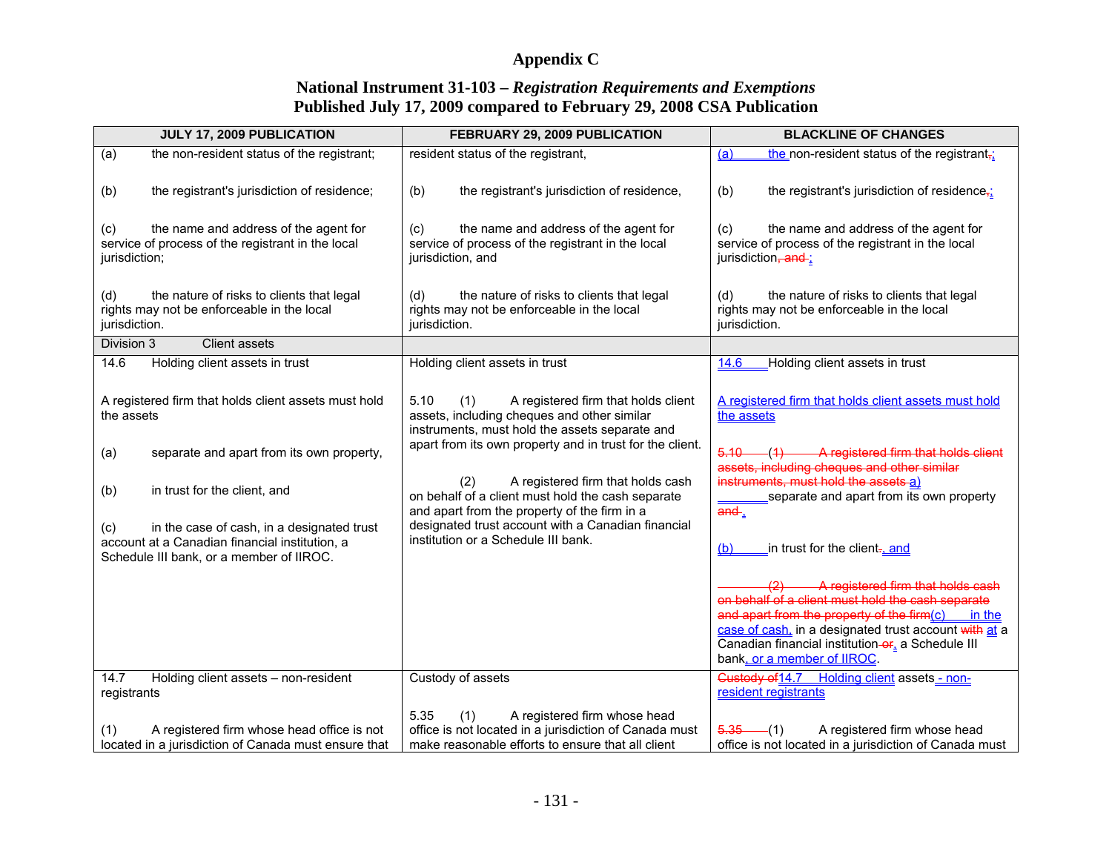| JULY 17, 2009 PUBLICATION                                                                                                                                                                                                                                                                                        | <b>FEBRUARY 29, 2009 PUBLICATION</b>                                                                                                                                                                                                                                                                                                                                                                                                                          | <b>BLACKLINE OF CHANGES</b>                                                                                                                                                                                                                                                                                      |
|------------------------------------------------------------------------------------------------------------------------------------------------------------------------------------------------------------------------------------------------------------------------------------------------------------------|---------------------------------------------------------------------------------------------------------------------------------------------------------------------------------------------------------------------------------------------------------------------------------------------------------------------------------------------------------------------------------------------------------------------------------------------------------------|------------------------------------------------------------------------------------------------------------------------------------------------------------------------------------------------------------------------------------------------------------------------------------------------------------------|
| the non-resident status of the registrant;<br>(a)                                                                                                                                                                                                                                                                | resident status of the registrant,                                                                                                                                                                                                                                                                                                                                                                                                                            | the non-resident status of the registrant <sub><math>\frac{1}{2}</math></sub><br><u>(a)</u>                                                                                                                                                                                                                      |
| (b)<br>the registrant's jurisdiction of residence;                                                                                                                                                                                                                                                               | (b)<br>the registrant's jurisdiction of residence,                                                                                                                                                                                                                                                                                                                                                                                                            | (b)<br>the registrant's jurisdiction of residence,;                                                                                                                                                                                                                                                              |
| the name and address of the agent for<br>(c)<br>service of process of the registrant in the local<br>jurisdiction;                                                                                                                                                                                               | the name and address of the agent for<br>(c)<br>service of process of the registrant in the local<br>jurisdiction, and                                                                                                                                                                                                                                                                                                                                        | the name and address of the agent for<br>(c)<br>service of process of the registrant in the local<br>jurisdiction, and                                                                                                                                                                                           |
| the nature of risks to clients that legal<br>(d)<br>rights may not be enforceable in the local<br>jurisdiction.                                                                                                                                                                                                  | the nature of risks to clients that legal<br>(d)<br>rights may not be enforceable in the local<br>jurisdiction.                                                                                                                                                                                                                                                                                                                                               | the nature of risks to clients that legal<br>(d)<br>rights may not be enforceable in the local<br>jurisdiction.                                                                                                                                                                                                  |
| Division 3<br>Client assets                                                                                                                                                                                                                                                                                      |                                                                                                                                                                                                                                                                                                                                                                                                                                                               |                                                                                                                                                                                                                                                                                                                  |
| 14.6<br>Holding client assets in trust                                                                                                                                                                                                                                                                           | Holding client assets in trust                                                                                                                                                                                                                                                                                                                                                                                                                                | Holding client assets in trust<br>14.6                                                                                                                                                                                                                                                                           |
| A registered firm that holds client assets must hold<br>the assets<br>separate and apart from its own property,<br>(a)<br>in trust for the client, and<br>(b)<br>in the case of cash, in a designated trust<br>(c)<br>account at a Canadian financial institution, a<br>Schedule III bank, or a member of IIROC. | 5.10<br>(1)<br>A registered firm that holds client<br>assets, including cheques and other similar<br>instruments, must hold the assets separate and<br>apart from its own property and in trust for the client.<br>A registered firm that holds cash<br>(2)<br>on behalf of a client must hold the cash separate<br>and apart from the property of the firm in a<br>designated trust account with a Canadian financial<br>institution or a Schedule III bank. | A registered firm that holds client assets must hold<br>the assets<br>A registered firm that holds client<br>5.10<br>$-(4)$<br>assets, including cheques and other similar<br>instruments, must hold the assets a)<br>separate and apart from its own property<br>$and+$<br>in trust for the client-, and<br>(b) |
|                                                                                                                                                                                                                                                                                                                  |                                                                                                                                                                                                                                                                                                                                                                                                                                                               | - A registered firm that holds cash<br>on behalf of a client must hold the cash separate<br>and apart from the property of the firm(c)<br>in the<br>case of cash, in a designated trust account with at a<br>Canadian financial institution-or, a Schedule III<br>bank, or a member of IIROC.                    |
| 14.7<br>Holding client assets - non-resident<br>registrants                                                                                                                                                                                                                                                      | Custody of assets                                                                                                                                                                                                                                                                                                                                                                                                                                             | Custody of 14.7 Holding client assets - non-<br>resident registrants                                                                                                                                                                                                                                             |
| A registered firm whose head office is not<br>(1)<br>located in a jurisdiction of Canada must ensure that                                                                                                                                                                                                        | 5.35<br>(1)<br>A registered firm whose head<br>office is not located in a jurisdiction of Canada must<br>make reasonable efforts to ensure that all client                                                                                                                                                                                                                                                                                                    | A registered firm whose head<br>$5.35 -$<br>$- (1)$<br>office is not located in a jurisdiction of Canada must                                                                                                                                                                                                    |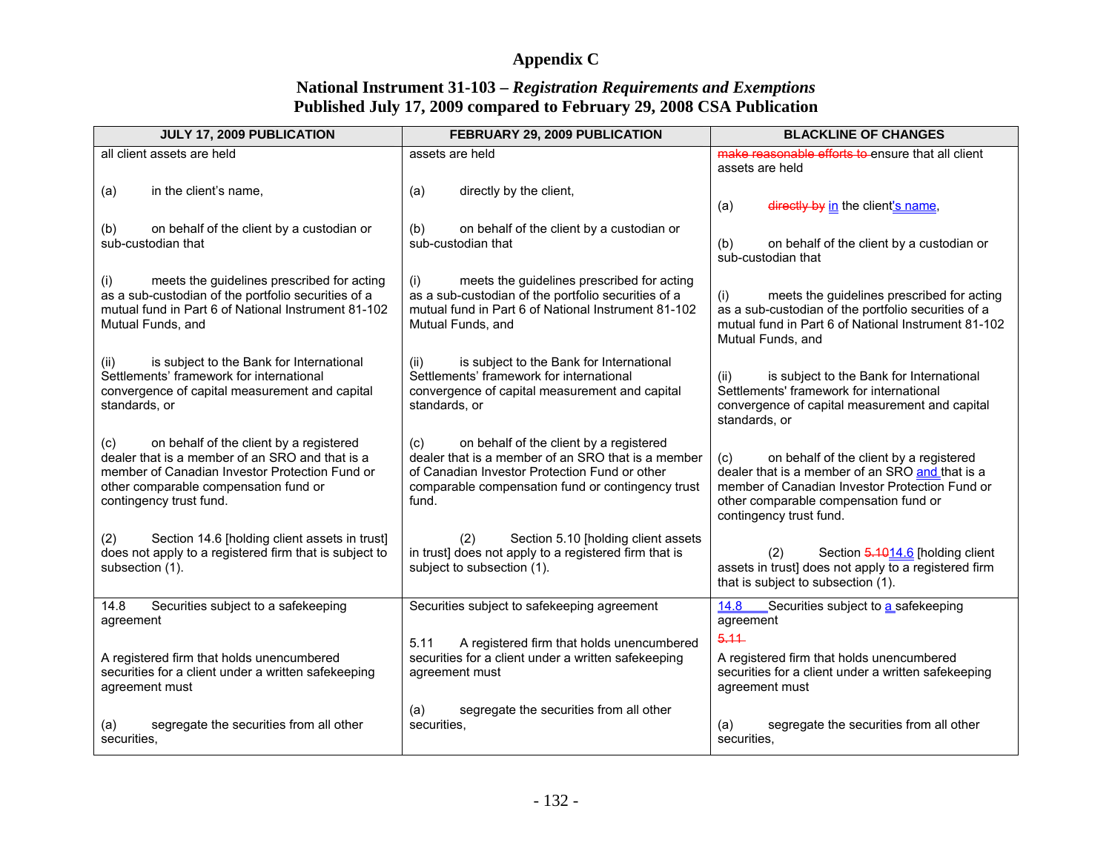| JULY 17, 2009 PUBLICATION                                                                                          | <b>FEBRUARY 29, 2009 PUBLICATION</b>                                                                                       | <b>BLACKLINE OF CHANGES</b>                                                                                                |
|--------------------------------------------------------------------------------------------------------------------|----------------------------------------------------------------------------------------------------------------------------|----------------------------------------------------------------------------------------------------------------------------|
| all client assets are held                                                                                         | assets are held                                                                                                            | make reasonable efforts to ensure that all client<br>assets are held                                                       |
| in the client's name.                                                                                              | directly by the client,                                                                                                    | directly by in the client's name,                                                                                          |
| (a)                                                                                                                | (a)                                                                                                                        | (a)                                                                                                                        |
| on behalf of the client by a custodian or                                                                          | on behalf of the client by a custodian or                                                                                  | on behalf of the client by a custodian or                                                                                  |
| (b)                                                                                                                | (b)                                                                                                                        | (b)                                                                                                                        |
| sub-custodian that                                                                                                 | sub-custodian that                                                                                                         | sub-custodian that                                                                                                         |
| meets the guidelines prescribed for acting                                                                         | meets the guidelines prescribed for acting                                                                                 | meets the guidelines prescribed for acting                                                                                 |
| (i)                                                                                                                | (i)                                                                                                                        | (i)                                                                                                                        |
| as a sub-custodian of the portfolio securities of a                                                                | as a sub-custodian of the portfolio securities of a                                                                        | as a sub-custodian of the portfolio securities of a                                                                        |
| mutual fund in Part 6 of National Instrument 81-102                                                                | mutual fund in Part 6 of National Instrument 81-102                                                                        | mutual fund in Part 6 of National Instrument 81-102                                                                        |
| Mutual Funds, and                                                                                                  | Mutual Funds, and                                                                                                          | Mutual Funds, and                                                                                                          |
| is subject to the Bank for International                                                                           | is subject to the Bank for International                                                                                   | is subject to the Bank for International                                                                                   |
| (ii)                                                                                                               | (ii)                                                                                                                       | (ii)                                                                                                                       |
| Settlements' framework for international                                                                           | Settlements' framework for international                                                                                   | Settlements' framework for international                                                                                   |
| convergence of capital measurement and capital                                                                     | convergence of capital measurement and capital                                                                             | convergence of capital measurement and capital                                                                             |
| standards, or                                                                                                      | standards, or                                                                                                              | standards, or                                                                                                              |
| on behalf of the client by a registered                                                                            | on behalf of the client by a registered                                                                                    | on behalf of the client by a registered                                                                                    |
| (c)                                                                                                                | (c)                                                                                                                        | (c)                                                                                                                        |
| dealer that is a member of an SRO and that is a                                                                    | dealer that is a member of an SRO that is a member                                                                         | dealer that is a member of an SRO and that is a                                                                            |
| member of Canadian Investor Protection Fund or                                                                     | of Canadian Investor Protection Fund or other                                                                              | member of Canadian Investor Protection Fund or                                                                             |
| other comparable compensation fund or                                                                              | comparable compensation fund or contingency trust                                                                          | other comparable compensation fund or                                                                                      |
| contingency trust fund.                                                                                            | fund.                                                                                                                      | contingency trust fund.                                                                                                    |
| (2)                                                                                                                | Section 5.10 [holding client assets                                                                                        | Section 5.1014.6 [holding client                                                                                           |
| Section 14.6 [holding client assets in trust]                                                                      | (2)                                                                                                                        | (2)                                                                                                                        |
| does not apply to a registered firm that is subject to                                                             | in trust] does not apply to a registered firm that is                                                                      | assets in trust] does not apply to a registered firm                                                                       |
| subsection (1).                                                                                                    | subject to subsection (1).                                                                                                 | that is subject to subsection (1).                                                                                         |
| Securities subject to a safekeeping<br>14.8<br>agreement                                                           | Securities subject to safekeeping agreement                                                                                | Securities subject to a safekeeping<br>14.8<br>agreement                                                                   |
| A registered firm that holds unencumbered<br>securities for a client under a written safekeeping<br>agreement must | 5.11<br>A registered firm that holds unencumbered<br>securities for a client under a written safekeeping<br>agreement must | 5.11<br>A registered firm that holds unencumbered<br>securities for a client under a written safekeeping<br>agreement must |
| segregate the securities from all other                                                                            | segregate the securities from all other                                                                                    | segregate the securities from all other                                                                                    |
| (a)                                                                                                                | (a)                                                                                                                        | (a)                                                                                                                        |
| securities,                                                                                                        | securities.                                                                                                                | securities,                                                                                                                |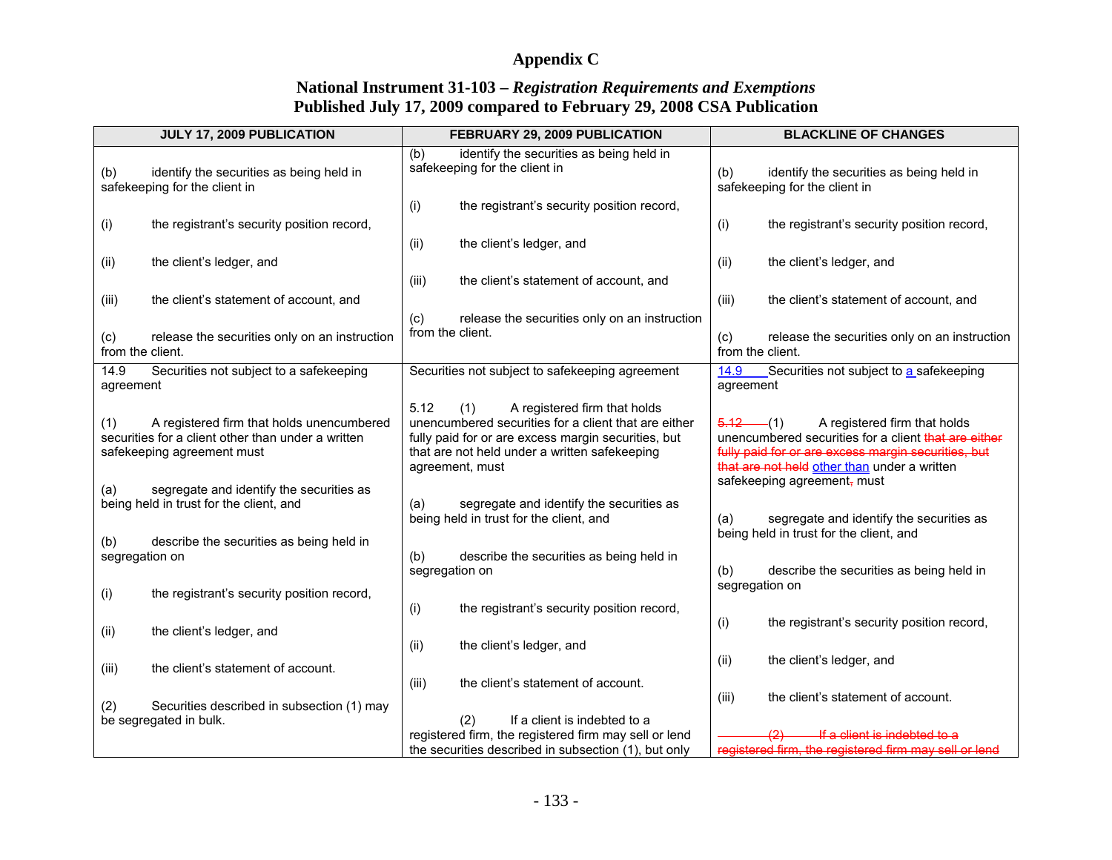| JULY 17, 2009 PUBLICATION                                                                                                            | FEBRUARY 29, 2009 PUBLICATION                                                                                                                                                                                                  | <b>BLACKLINE OF CHANGES</b>                                                                                                                                                                                                                   |
|--------------------------------------------------------------------------------------------------------------------------------------|--------------------------------------------------------------------------------------------------------------------------------------------------------------------------------------------------------------------------------|-----------------------------------------------------------------------------------------------------------------------------------------------------------------------------------------------------------------------------------------------|
| (b)<br>identify the securities as being held in<br>safekeeping for the client in                                                     | identify the securities as being held in<br>(b)<br>safekeeping for the client in                                                                                                                                               | (b)<br>identify the securities as being held in<br>safekeeping for the client in                                                                                                                                                              |
|                                                                                                                                      | (i)<br>the registrant's security position record,                                                                                                                                                                              |                                                                                                                                                                                                                                               |
| the registrant's security position record,<br>(i)                                                                                    |                                                                                                                                                                                                                                | the registrant's security position record,<br>(i)                                                                                                                                                                                             |
|                                                                                                                                      | (ii)<br>the client's ledger, and                                                                                                                                                                                               |                                                                                                                                                                                                                                               |
| the client's ledger, and<br>(ii)                                                                                                     |                                                                                                                                                                                                                                | (ii)<br>the client's ledger, and                                                                                                                                                                                                              |
|                                                                                                                                      | (iii)<br>the client's statement of account, and                                                                                                                                                                                |                                                                                                                                                                                                                                               |
| the client's statement of account, and<br>(iii)                                                                                      |                                                                                                                                                                                                                                | the client's statement of account, and<br>(iii)                                                                                                                                                                                               |
| release the securities only on an instruction<br>(c)<br>from the client.                                                             | release the securities only on an instruction<br>(c)<br>from the client.                                                                                                                                                       | (c)<br>release the securities only on an instruction<br>from the client.                                                                                                                                                                      |
| Securities not subject to a safekeeping<br>14.9<br>agreement                                                                         | Securities not subject to safekeeping agreement                                                                                                                                                                                | 14.9<br>Securities not subject to a safekeeping<br>agreement                                                                                                                                                                                  |
| (1)<br>A registered firm that holds unencumbered<br>securities for a client other than under a written<br>safekeeping agreement must | 5.12<br>A registered firm that holds<br>(1)<br>unencumbered securities for a client that are either<br>fully paid for or are excess margin securities, but<br>that are not held under a written safekeeping<br>agreement, must | 5.12<br>$- (1)$<br>A registered firm that holds<br>unencumbered securities for a client that are either<br>fully paid for or are excess margin securities, but<br>that are not held other than under a written<br>safekeeping agreement, must |
| segregate and identify the securities as<br>(a)<br>being held in trust for the client, and                                           | segregate and identify the securities as<br>(a)<br>being held in trust for the client, and                                                                                                                                     | segregate and identify the securities as<br>(a)<br>being held in trust for the client, and                                                                                                                                                    |
| describe the securities as being held in<br>(b)                                                                                      |                                                                                                                                                                                                                                |                                                                                                                                                                                                                                               |
| segregation on                                                                                                                       | describe the securities as being held in<br>(b)<br>segregation on                                                                                                                                                              | describe the securities as being held in<br>(b)<br>segregation on                                                                                                                                                                             |
| the registrant's security position record,<br>(i)                                                                                    | the registrant's security position record,                                                                                                                                                                                     |                                                                                                                                                                                                                                               |
| the client's ledger, and<br>(ii)                                                                                                     | (i)                                                                                                                                                                                                                            | the registrant's security position record,<br>(i)                                                                                                                                                                                             |
|                                                                                                                                      | the client's ledger, and<br>(ii)                                                                                                                                                                                               | the client's ledger, and<br>(ii)                                                                                                                                                                                                              |
| the client's statement of account.<br>(iii)                                                                                          |                                                                                                                                                                                                                                |                                                                                                                                                                                                                                               |
| Securities described in subsection (1) may<br>(2)                                                                                    | (iii)<br>the client's statement of account.                                                                                                                                                                                    | (iii)<br>the client's statement of account.                                                                                                                                                                                                   |
| be segregated in bulk.                                                                                                               | If a client is indebted to a<br>(2)                                                                                                                                                                                            | If a client is indebted to a                                                                                                                                                                                                                  |
|                                                                                                                                      | registered firm, the registered firm may sell or lend<br>the securities described in subsection (1), but only                                                                                                                  | <u>(2)</u><br>registered firm, the registered firm may sell or lend                                                                                                                                                                           |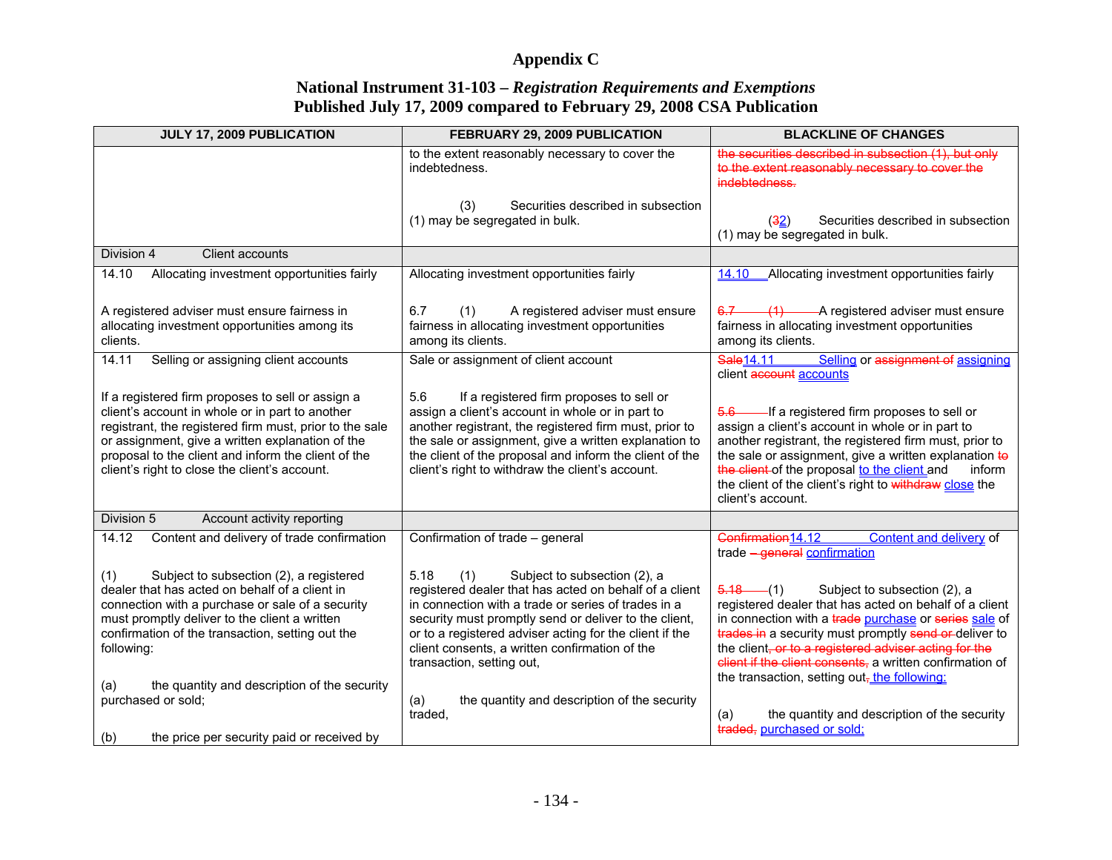| JULY 17, 2009 PUBLICATION                                                                                                                                                                                                                                                                                                   | <b>FEBRUARY 29, 2009 PUBLICATION</b>                                                                                                                                                                                                                                                                                                                            | <b>BLACKLINE OF CHANGES</b>                                                                                                                                                                                                                                                                                                                                                                 |
|-----------------------------------------------------------------------------------------------------------------------------------------------------------------------------------------------------------------------------------------------------------------------------------------------------------------------------|-----------------------------------------------------------------------------------------------------------------------------------------------------------------------------------------------------------------------------------------------------------------------------------------------------------------------------------------------------------------|---------------------------------------------------------------------------------------------------------------------------------------------------------------------------------------------------------------------------------------------------------------------------------------------------------------------------------------------------------------------------------------------|
|                                                                                                                                                                                                                                                                                                                             | to the extent reasonably necessary to cover the<br>indebtedness.                                                                                                                                                                                                                                                                                                | the securities described in subsection (1), but only<br>to the extent reasonably necessary to cover the<br>indebtedness.                                                                                                                                                                                                                                                                    |
|                                                                                                                                                                                                                                                                                                                             | Securities described in subsection<br>(3)<br>(1) may be segregated in bulk.                                                                                                                                                                                                                                                                                     | Securities described in subsection<br>(32)<br>(1) may be segregated in bulk.                                                                                                                                                                                                                                                                                                                |
| Division 4<br>Client accounts                                                                                                                                                                                                                                                                                               |                                                                                                                                                                                                                                                                                                                                                                 |                                                                                                                                                                                                                                                                                                                                                                                             |
| 14.10<br>Allocating investment opportunities fairly                                                                                                                                                                                                                                                                         | Allocating investment opportunities fairly                                                                                                                                                                                                                                                                                                                      | Allocating investment opportunities fairly<br>14.10                                                                                                                                                                                                                                                                                                                                         |
| A registered adviser must ensure fairness in<br>allocating investment opportunities among its<br>clients.                                                                                                                                                                                                                   | 6.7<br>A registered adviser must ensure<br>(1)<br>fairness in allocating investment opportunities<br>among its clients.                                                                                                                                                                                                                                         | 6.7 (1) A registered adviser must ensure<br>fairness in allocating investment opportunities<br>among its clients.                                                                                                                                                                                                                                                                           |
| 14.11<br>Selling or assigning client accounts                                                                                                                                                                                                                                                                               | Sale or assignment of client account                                                                                                                                                                                                                                                                                                                            | Sale <sub>14.11</sub><br>Selling or assignment of assigning<br>client accounts                                                                                                                                                                                                                                                                                                              |
| If a registered firm proposes to sell or assign a<br>client's account in whole or in part to another<br>registrant, the registered firm must, prior to the sale<br>or assignment, give a written explanation of the<br>proposal to the client and inform the client of the<br>client's right to close the client's account. | 5.6<br>If a registered firm proposes to sell or<br>assign a client's account in whole or in part to<br>another registrant, the registered firm must, prior to<br>the sale or assignment, give a written explanation to<br>the client of the proposal and inform the client of the<br>client's right to withdraw the client's account.                           | assign a client's account in whole or in part to<br>another registrant, the registered firm must, prior to<br>the sale or assignment, give a written explanation to<br>the client of the proposal to the client and<br>inform<br>the client of the client's right to withdraw close the<br>client's account.                                                                                |
| Division 5<br>Account activity reporting                                                                                                                                                                                                                                                                                    |                                                                                                                                                                                                                                                                                                                                                                 |                                                                                                                                                                                                                                                                                                                                                                                             |
| 14.12<br>Content and delivery of trade confirmation                                                                                                                                                                                                                                                                         | Confirmation of trade - general                                                                                                                                                                                                                                                                                                                                 | Confirmation 14.12<br>Content and delivery of<br>trade - general confirmation                                                                                                                                                                                                                                                                                                               |
| Subject to subsection (2), a registered<br>(1)<br>dealer that has acted on behalf of a client in<br>connection with a purchase or sale of a security<br>must promptly deliver to the client a written<br>confirmation of the transaction, setting out the<br>following:                                                     | 5.18<br>(1)<br>Subject to subsection (2), a<br>registered dealer that has acted on behalf of a client<br>in connection with a trade or series of trades in a<br>security must promptly send or deliver to the client,<br>or to a registered adviser acting for the client if the<br>client consents, a written confirmation of the<br>transaction, setting out, | $5.18$ (1)<br>Subject to subsection (2), a<br>registered dealer that has acted on behalf of a client<br>in connection with a trade purchase or series sale of<br>trades in a security must promptly send or deliver to<br>the client, or to a registered adviser acting for the<br>client if the client consents, a written confirmation of<br>the transaction, setting out, the following: |
| the quantity and description of the security<br>(a)<br>purchased or sold;<br>the price per security paid or received by<br>(b)                                                                                                                                                                                              | the quantity and description of the security<br>(a)<br>traded,                                                                                                                                                                                                                                                                                                  | (a)<br>the quantity and description of the security<br>traded, purchased or sold;                                                                                                                                                                                                                                                                                                           |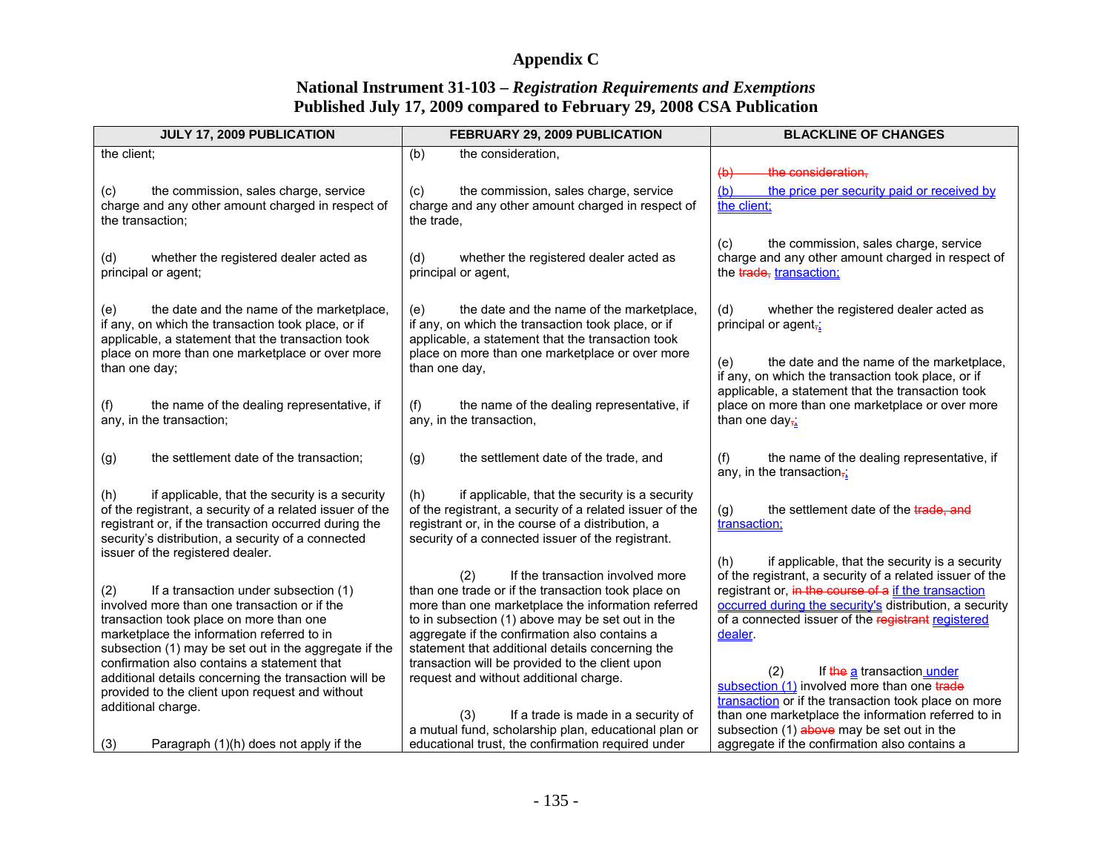| JULY 17, 2009 PUBLICATION                                                                                                                                                  | FEBRUARY 29, 2009 PUBLICATION                                                                                                                                          | <b>BLACKLINE OF CHANGES</b>                                                                                                                                 |
|----------------------------------------------------------------------------------------------------------------------------------------------------------------------------|------------------------------------------------------------------------------------------------------------------------------------------------------------------------|-------------------------------------------------------------------------------------------------------------------------------------------------------------|
| the client;                                                                                                                                                                | (b)<br>the consideration,                                                                                                                                              |                                                                                                                                                             |
|                                                                                                                                                                            |                                                                                                                                                                        | the consideration.<br>$\Theta$                                                                                                                              |
| the commission, sales charge, service<br>(c)<br>charge and any other amount charged in respect of<br>the transaction:                                                      | the commission, sales charge, service<br>(c)<br>charge and any other amount charged in respect of<br>the trade.                                                        | the price per security paid or received by<br>(b)<br>the client:                                                                                            |
| whether the registered dealer acted as<br>(d)<br>principal or agent;                                                                                                       | whether the registered dealer acted as<br>(d)<br>principal or agent,                                                                                                   | the commission, sales charge, service<br>(c)<br>charge and any other amount charged in respect of<br>the trade, transaction;                                |
| the date and the name of the marketplace,<br>(e)<br>if any, on which the transaction took place, or if<br>applicable, a statement that the transaction took                | the date and the name of the marketplace,<br>(e)<br>if any, on which the transaction took place, or if<br>applicable, a statement that the transaction took            | whether the registered dealer acted as<br>(d)<br>principal or agent <sub>7</sub> :                                                                          |
| place on more than one marketplace or over more<br>than one day;                                                                                                           | place on more than one marketplace or over more<br>than one day,                                                                                                       | the date and the name of the marketplace,<br>(e)<br>if any, on which the transaction took place, or if<br>applicable, a statement that the transaction took |
| (f)<br>the name of the dealing representative, if<br>any, in the transaction;                                                                                              | the name of the dealing representative, if<br>(f)<br>any, in the transaction,                                                                                          | place on more than one marketplace or over more<br>than one day <sub><math>\vec{x}</math></sub>                                                             |
| the settlement date of the transaction;<br>(g)                                                                                                                             | the settlement date of the trade, and<br>(g)                                                                                                                           | the name of the dealing representative, if<br>(f)<br>any, in the transaction $\frac{1}{k}$                                                                  |
| if applicable, that the security is a security<br>(h)<br>of the registrant, a security of a related issuer of the<br>registrant or, if the transaction occurred during the | if applicable, that the security is a security<br>(h)<br>of the registrant, a security of a related issuer of the<br>registrant or, in the course of a distribution, a | the settlement date of the trade, and<br>(g)<br>transaction;                                                                                                |
| security's distribution, a security of a connected                                                                                                                         | security of a connected issuer of the registrant.                                                                                                                      |                                                                                                                                                             |
| issuer of the registered dealer.                                                                                                                                           |                                                                                                                                                                        | (h)<br>if applicable, that the security is a security                                                                                                       |
|                                                                                                                                                                            | If the transaction involved more<br>(2)                                                                                                                                | of the registrant, a security of a related issuer of the                                                                                                    |
| If a transaction under subsection (1)<br>(2)                                                                                                                               | than one trade or if the transaction took place on                                                                                                                     | registrant or, in the course of a if the transaction                                                                                                        |
| involved more than one transaction or if the                                                                                                                               | more than one marketplace the information referred                                                                                                                     | occurred during the security's distribution, a security                                                                                                     |
| transaction took place on more than one<br>marketplace the information referred to in                                                                                      | to in subsection (1) above may be set out in the<br>aggregate if the confirmation also contains a                                                                      | of a connected issuer of the registrant registered<br>dealer.                                                                                               |
| subsection (1) may be set out in the aggregate if the                                                                                                                      | statement that additional details concerning the                                                                                                                       |                                                                                                                                                             |
| confirmation also contains a statement that                                                                                                                                | transaction will be provided to the client upon                                                                                                                        |                                                                                                                                                             |
| additional details concerning the transaction will be                                                                                                                      | request and without additional charge.                                                                                                                                 | If the a transaction under<br>(2)<br>subsection $(1)$ involved more than one trade                                                                          |
| provided to the client upon request and without                                                                                                                            |                                                                                                                                                                        | transaction or if the transaction took place on more                                                                                                        |
| additional charge.                                                                                                                                                         | If a trade is made in a security of<br>(3)                                                                                                                             | than one marketplace the information referred to in                                                                                                         |
|                                                                                                                                                                            | a mutual fund, scholarship plan, educational plan or                                                                                                                   | subsection (1) above may be set out in the                                                                                                                  |
| (3)<br>Paragraph (1)(h) does not apply if the                                                                                                                              | educational trust, the confirmation required under                                                                                                                     | aggregate if the confirmation also contains a                                                                                                               |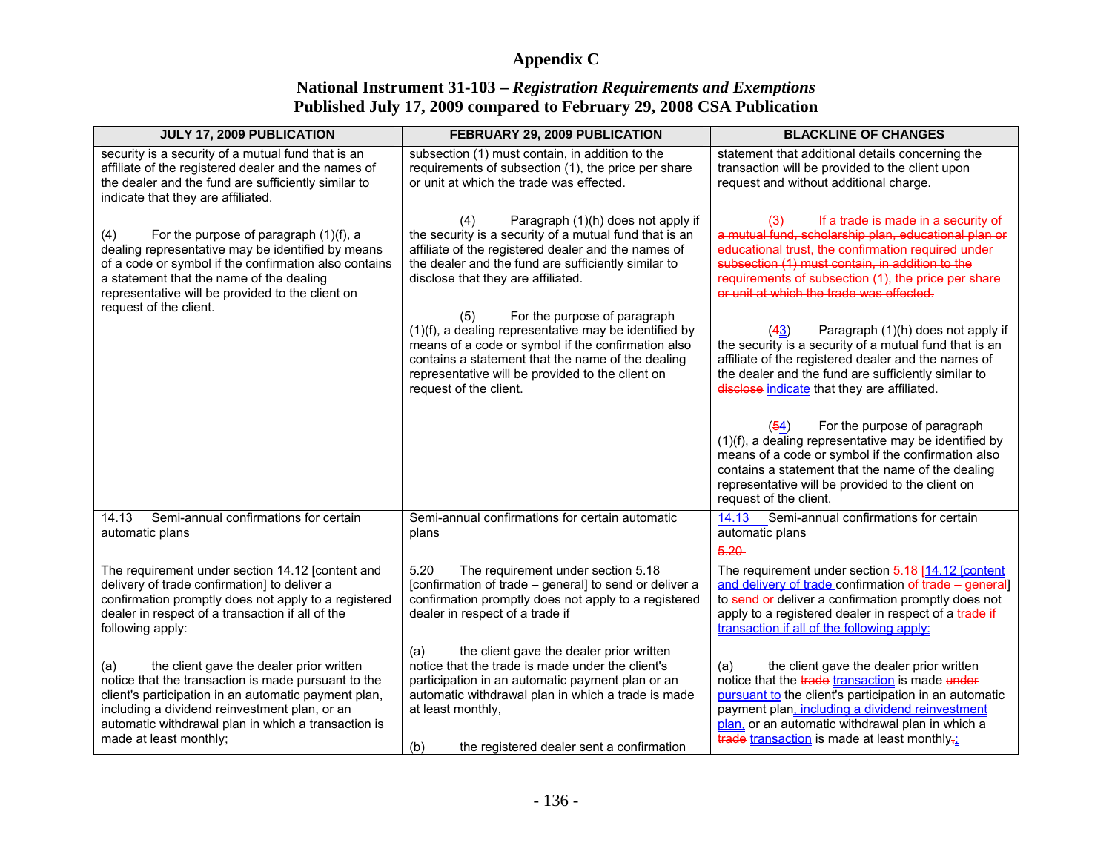| JULY 17, 2009 PUBLICATION                                                                                                                                                                                                                                                                        | <b>FEBRUARY 29, 2009 PUBLICATION</b>                                                                                                                                                                                                                                                   | <b>BLACKLINE OF CHANGES</b>                                                                                                                                                                                                                                                                                                      |
|--------------------------------------------------------------------------------------------------------------------------------------------------------------------------------------------------------------------------------------------------------------------------------------------------|----------------------------------------------------------------------------------------------------------------------------------------------------------------------------------------------------------------------------------------------------------------------------------------|----------------------------------------------------------------------------------------------------------------------------------------------------------------------------------------------------------------------------------------------------------------------------------------------------------------------------------|
| security is a security of a mutual fund that is an<br>affiliate of the registered dealer and the names of<br>the dealer and the fund are sufficiently similar to<br>indicate that they are affiliated.                                                                                           | subsection (1) must contain, in addition to the<br>requirements of subsection (1), the price per share<br>or unit at which the trade was effected.                                                                                                                                     | statement that additional details concerning the<br>transaction will be provided to the client upon<br>request and without additional charge.                                                                                                                                                                                    |
| (4)<br>For the purpose of paragraph $(1)(f)$ , a<br>dealing representative may be identified by means<br>of a code or symbol if the confirmation also contains<br>a statement that the name of the dealing<br>representative will be provided to the client on<br>request of the client.         | Paragraph (1)(h) does not apply if<br>(4)<br>the security is a security of a mutual fund that is an<br>affiliate of the registered dealer and the names of<br>the dealer and the fund are sufficiently similar to<br>disclose that they are affiliated.                                | If a trade is made in a security of<br>a mutual fund, scholarship plan, educational plan or<br>educational trust, the confirmation required under<br>subsection (1) must contain, in addition to the<br>requirements of subsection (1), the price per share<br>or unit at which the trade was effected.                          |
|                                                                                                                                                                                                                                                                                                  | For the purpose of paragraph<br>(5)<br>(1)(f), a dealing representative may be identified by<br>means of a code or symbol if the confirmation also<br>contains a statement that the name of the dealing<br>representative will be provided to the client on<br>request of the client.  | (43)<br>Paragraph (1)(h) does not apply if<br>the security is a security of a mutual fund that is an<br>affiliate of the registered dealer and the names of<br>the dealer and the fund are sufficiently similar to<br>disclose indicate that they are affiliated.                                                                |
|                                                                                                                                                                                                                                                                                                  |                                                                                                                                                                                                                                                                                        | For the purpose of paragraph<br>(54)<br>(1)(f), a dealing representative may be identified by<br>means of a code or symbol if the confirmation also<br>contains a statement that the name of the dealing<br>representative will be provided to the client on<br>request of the client.                                           |
| Semi-annual confirmations for certain<br>14.13<br>automatic plans                                                                                                                                                                                                                                | Semi-annual confirmations for certain automatic<br>plans                                                                                                                                                                                                                               | 14.13 Semi-annual confirmations for certain<br>automatic plans<br>$5.20 -$                                                                                                                                                                                                                                                       |
| The requirement under section 14.12 [content and<br>delivery of trade confirmation] to deliver a<br>confirmation promptly does not apply to a registered<br>dealer in respect of a transaction if all of the<br>following apply:                                                                 | 5.20<br>The requirement under section 5.18<br>[confirmation of trade - general] to send or deliver a<br>confirmation promptly does not apply to a registered<br>dealer in respect of a trade if                                                                                        | The requirement under section 5.18 [14.12 [content<br>and delivery of trade confirmation of trade general]<br>to send or deliver a confirmation promptly does not<br>apply to a registered dealer in respect of a trade if<br>transaction if all of the following apply:                                                         |
| the client gave the dealer prior written<br>(a)<br>notice that the transaction is made pursuant to the<br>client's participation in an automatic payment plan,<br>including a dividend reinvestment plan, or an<br>automatic withdrawal plan in which a transaction is<br>made at least monthly; | the client gave the dealer prior written<br>(a)<br>notice that the trade is made under the client's<br>participation in an automatic payment plan or an<br>automatic withdrawal plan in which a trade is made<br>at least monthly,<br>(b)<br>the registered dealer sent a confirmation | the client gave the dealer prior written<br>(a)<br>notice that the trade transaction is made under<br>pursuant to the client's participation in an automatic<br>payment plan, including a dividend reinvestment<br>plan, or an automatic withdrawal plan in which a<br>trade transaction is made at least monthly <sub>7</sub> ; |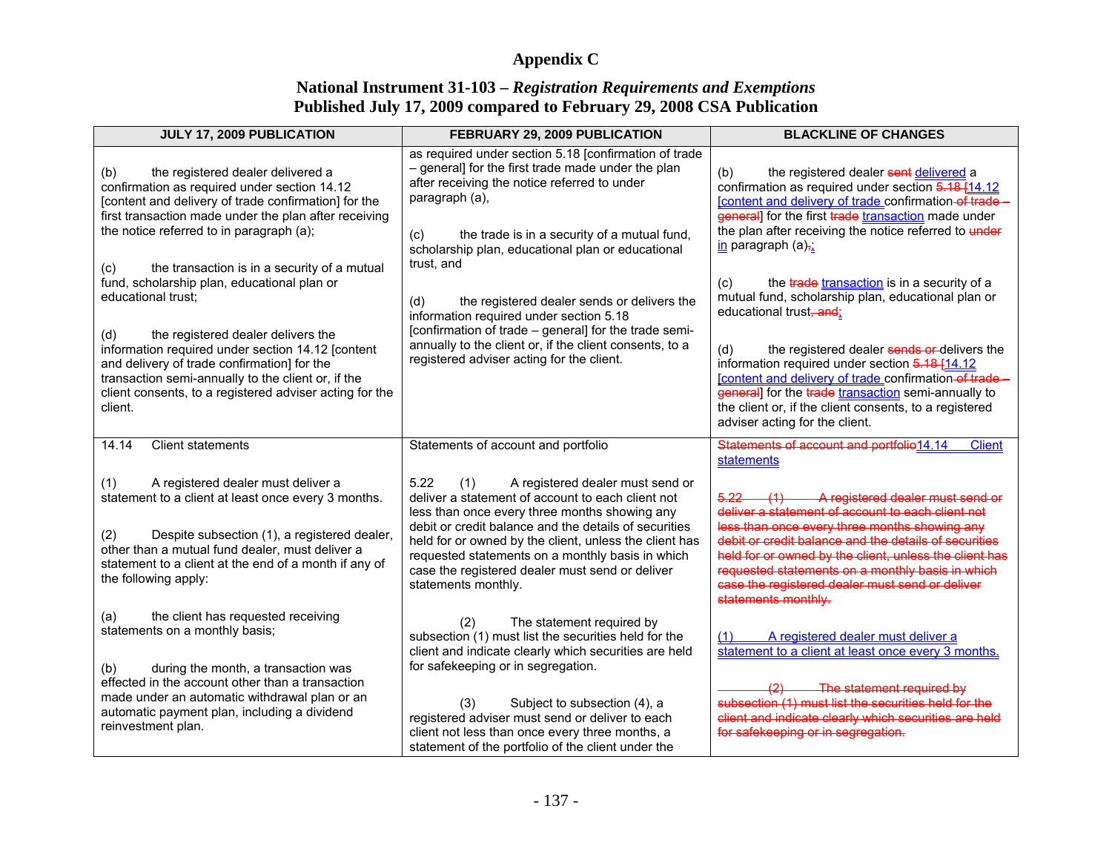| JULY 17, 2009 PUBLICATION                                                                                                                                                                                                                                                                                                                                                         | FEBRUARY 29, 2009 PUBLICATION                                                                                                                                                                                                                                                                                                                                                                          | <b>BLACKLINE OF CHANGES</b>                                                                                                                                                                                                                                                                                                                                                                                                                                                       |
|-----------------------------------------------------------------------------------------------------------------------------------------------------------------------------------------------------------------------------------------------------------------------------------------------------------------------------------------------------------------------------------|--------------------------------------------------------------------------------------------------------------------------------------------------------------------------------------------------------------------------------------------------------------------------------------------------------------------------------------------------------------------------------------------------------|-----------------------------------------------------------------------------------------------------------------------------------------------------------------------------------------------------------------------------------------------------------------------------------------------------------------------------------------------------------------------------------------------------------------------------------------------------------------------------------|
| the registered dealer delivered a<br>(b)<br>confirmation as required under section 14.12<br>[content and delivery of trade confirmation] for the<br>first transaction made under the plan after receiving<br>the notice referred to in paragraph (a);<br>the transaction is in a security of a mutual<br>(c)<br>fund, scholarship plan, educational plan or<br>educational trust; | as required under section 5.18 [confirmation of trade<br>- general] for the first trade made under the plan<br>after receiving the notice referred to under<br>paragraph (a),<br>the trade is in a security of a mutual fund,<br>(c)<br>scholarship plan, educational plan or educational<br>trust, and<br>the registered dealer sends or delivers the<br>(d)                                          | (b)<br>the registered dealer sent delivered a<br>confirmation as required under section 5.18 [14.12<br>[content and delivery of trade confirmation-of trade-<br>general] for the first trade transaction made under<br>the plan after receiving the notice referred to under<br>$\frac{\text{in}}{\text{in}}$ paragraph (a) <sub>7</sub> :<br>the trade transaction is in a security of a<br>(c)<br>mutual fund, scholarship plan, educational plan or<br>educational trust, and; |
| the registered dealer delivers the<br>(d)<br>information required under section 14.12 [content<br>and delivery of trade confirmation] for the<br>transaction semi-annually to the client or, if the<br>client consents, to a registered adviser acting for the<br>client.                                                                                                         | information required under section 5.18<br>[confirmation of trade - general] for the trade semi-<br>annually to the client or, if the client consents, to a<br>registered adviser acting for the client.                                                                                                                                                                                               | (d)<br>the registered dealer sends or delivers the<br>information required under section 5.18 [14.12<br>[content and delivery of trade confirmation-of trade-<br>general] for the trade transaction semi-annually to<br>the client or, if the client consents, to a registered<br>adviser acting for the client.                                                                                                                                                                  |
| 14.14<br><b>Client statements</b>                                                                                                                                                                                                                                                                                                                                                 | Statements of account and portfolio                                                                                                                                                                                                                                                                                                                                                                    | Statements of account and portfolio14.14<br><b>Client</b><br>statements                                                                                                                                                                                                                                                                                                                                                                                                           |
| A registered dealer must deliver a<br>(1)<br>statement to a client at least once every 3 months.<br>Despite subsection (1), a registered dealer,<br>(2)<br>other than a mutual fund dealer, must deliver a<br>statement to a client at the end of a month if any of<br>the following apply:                                                                                       | 5.22<br>(1)<br>A registered dealer must send or<br>deliver a statement of account to each client not<br>less than once every three months showing any<br>debit or credit balance and the details of securities<br>held for or owned by the client, unless the client has<br>requested statements on a monthly basis in which<br>case the registered dealer must send or deliver<br>statements monthly. | $5.22 -$<br>A registered dealer must send or<br>(1)<br>deliver a statement of account to each client not<br>less than once every three months showing any<br>debit or credit balance and the details of securities<br>held for or owned by the client, unless the client has<br>requested statements on a monthly basis in which<br>case the registered dealer must send or deliver<br>statements monthly.                                                                        |
| the client has requested receiving<br>(a)<br>statements on a monthly basis;<br>during the month, a transaction was<br>(b)<br>effected in the account other than a transaction<br>made under an automatic withdrawal plan or an<br>automatic payment plan, including a dividend<br>reinvestment plan.                                                                              | The statement required by<br>(2)<br>subsection (1) must list the securities held for the<br>client and indicate clearly which securities are held<br>for safekeeping or in segregation.<br>Subject to subsection (4), a<br>(3)<br>registered adviser must send or deliver to each<br>client not less than once every three months, a<br>statement of the portfolio of the client under the             | (1) A registered dealer must deliver a<br>statement to a client at least once every 3 months.<br>The statement required by<br>(2)<br>subsection (1) must list the securities held for the<br>client and indicate clearly which securities are held<br>for safekeeping or in segregation.                                                                                                                                                                                          |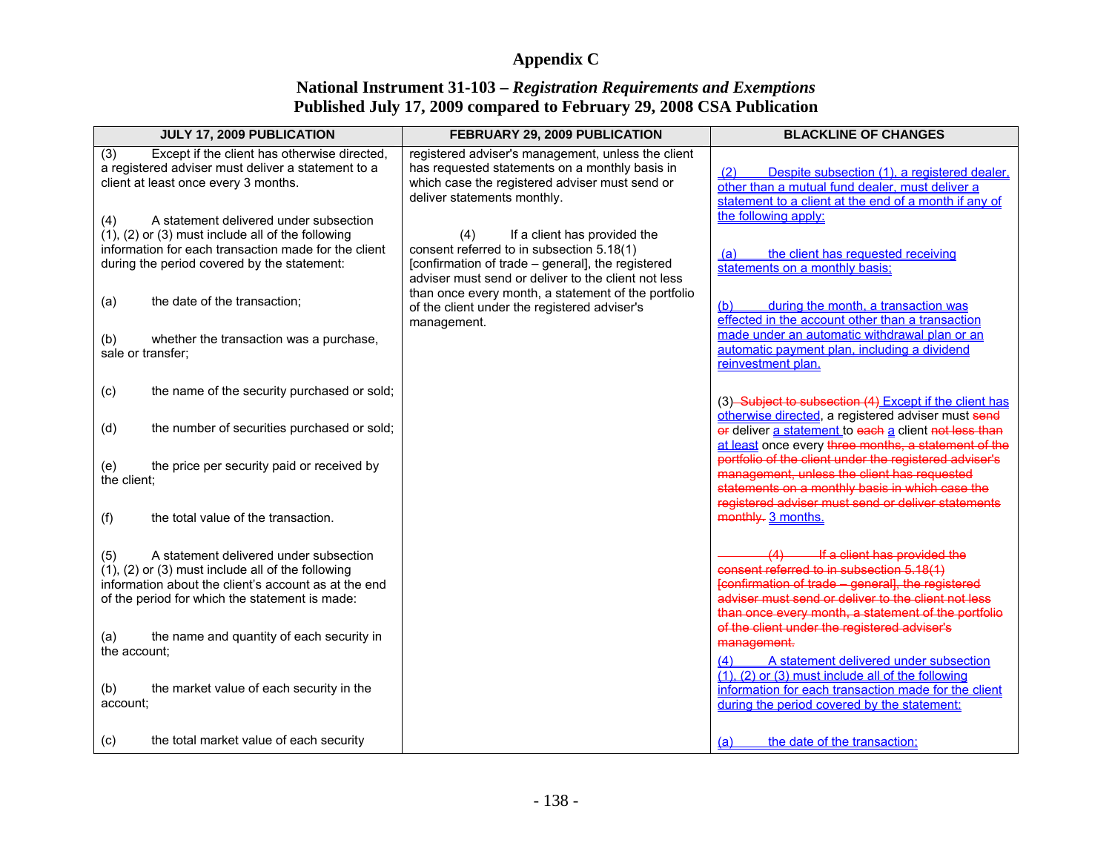| JULY 17, 2009 PUBLICATION                                                                                                                                                                                           | FEBRUARY 29, 2009 PUBLICATION                                                                                                                                                                | <b>BLACKLINE OF CHANGES</b>                                                                                                                                                                                                                |
|---------------------------------------------------------------------------------------------------------------------------------------------------------------------------------------------------------------------|----------------------------------------------------------------------------------------------------------------------------------------------------------------------------------------------|--------------------------------------------------------------------------------------------------------------------------------------------------------------------------------------------------------------------------------------------|
| (3)<br>Except if the client has otherwise directed,<br>a registered adviser must deliver a statement to a<br>client at least once every 3 months.                                                                   | registered adviser's management, unless the client<br>has requested statements on a monthly basis in<br>which case the registered adviser must send or<br>deliver statements monthly.        | (2)<br>Despite subsection (1), a registered dealer,<br>other than a mutual fund dealer, must deliver a<br>statement to a client at the end of a month if any of                                                                            |
| A statement delivered under subsection<br>(4)<br>$(1)$ , $(2)$ or $(3)$ must include all of the following<br>information for each transaction made for the client<br>during the period covered by the statement:    | If a client has provided the<br>(4)<br>consent referred to in subsection 5.18(1)<br>[confirmation of trade - general], the registered<br>adviser must send or deliver to the client not less | the following apply:<br>the client has requested receiving<br>(a)<br>statements on a monthly basis;                                                                                                                                        |
| the date of the transaction;<br>(a)                                                                                                                                                                                 | than once every month, a statement of the portfolio<br>of the client under the registered adviser's<br>management.                                                                           | during the month, a transaction was<br>(b)<br>effected in the account other than a transaction                                                                                                                                             |
| whether the transaction was a purchase,<br>(b)<br>sale or transfer;                                                                                                                                                 |                                                                                                                                                                                              | made under an automatic withdrawal plan or an<br>automatic payment plan, including a dividend<br>reinvestment plan.                                                                                                                        |
| the name of the security purchased or sold;<br>(c)                                                                                                                                                                  |                                                                                                                                                                                              | (3) Subject to subsection (4) Except if the client has<br>otherwise directed, a registered adviser must send                                                                                                                               |
| the number of securities purchased or sold;<br>(d)                                                                                                                                                                  |                                                                                                                                                                                              | er deliver a statement to each a client not less than<br>at least once every three months, a statement of the                                                                                                                              |
| the price per security paid or received by<br>(e)<br>the client;                                                                                                                                                    |                                                                                                                                                                                              | portfolio of the client under the registered adviser's<br>management, unless the client has requested<br>statements on a monthly basis in which case the<br>registered adviser must send or deliver statements                             |
| (f)<br>the total value of the transaction.                                                                                                                                                                          |                                                                                                                                                                                              | monthly. 3 months.                                                                                                                                                                                                                         |
| A statement delivered under subsection<br>(5)<br>$(1)$ , $(2)$ or $(3)$ must include all of the following<br>information about the client's account as at the end<br>of the period for which the statement is made: |                                                                                                                                                                                              | If a client has provided the<br>consent referred to in subsection 5.18(1)<br>[confirmation of trade general], the registered<br>adviser must send or deliver to the client not less<br>than once every month, a statement of the portfolio |
| the name and quantity of each security in<br>(a)<br>the account:                                                                                                                                                    |                                                                                                                                                                                              | of the client under the registered adviser's<br>management.                                                                                                                                                                                |
| the market value of each security in the<br>(b)<br>account:                                                                                                                                                         |                                                                                                                                                                                              | (4) A statement delivered under subsection<br>$(1)$ , $(2)$ or $(3)$ must include all of the following<br>information for each transaction made for the client<br>during the period covered by the statement:                              |
| the total market value of each security<br>(c)                                                                                                                                                                      |                                                                                                                                                                                              | the date of the transaction;<br><u>(a)</u>                                                                                                                                                                                                 |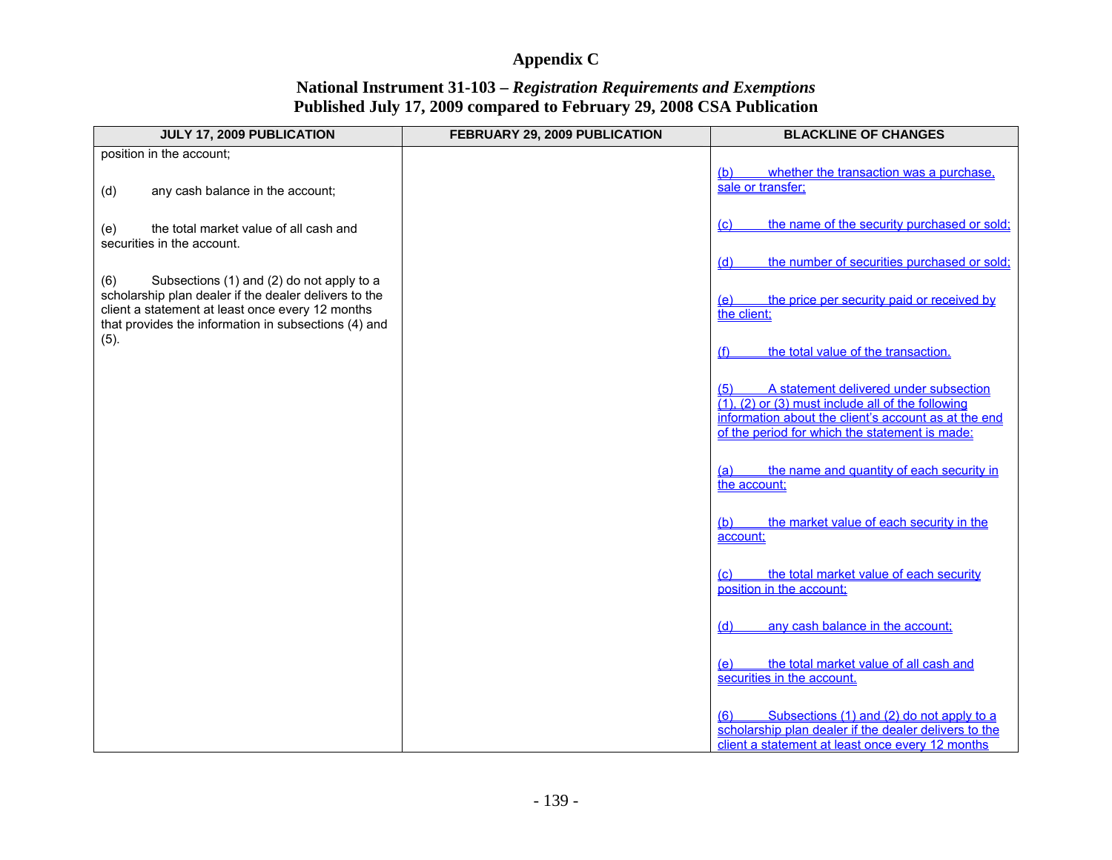| JULY 17, 2009 PUBLICATION                                                                                 | FEBRUARY 29, 2009 PUBLICATION | <b>BLACKLINE OF CHANGES</b>                                                                                      |
|-----------------------------------------------------------------------------------------------------------|-------------------------------|------------------------------------------------------------------------------------------------------------------|
| position in the account;                                                                                  |                               |                                                                                                                  |
|                                                                                                           |                               | whether the transaction was a purchase.<br>(b)<br>sale or transfer;                                              |
| any cash balance in the account;<br>(d)                                                                   |                               |                                                                                                                  |
| the total market value of all cash and<br>(e)                                                             |                               | the name of the security purchased or sold;<br>$\mathsf{(c)}$                                                    |
| securities in the account.                                                                                |                               |                                                                                                                  |
|                                                                                                           |                               | the number of securities purchased or sold;<br><u>(d)</u>                                                        |
| Subsections (1) and (2) do not apply to a<br>(6)<br>scholarship plan dealer if the dealer delivers to the |                               | the price per security paid or received by<br>(e)                                                                |
| client a statement at least once every 12 months<br>that provides the information in subsections (4) and  |                               | the client:                                                                                                      |
| (5).                                                                                                      |                               | the total value of the transaction.<br>(f)                                                                       |
|                                                                                                           |                               |                                                                                                                  |
|                                                                                                           |                               | A statement delivered under subsection<br><u>(5)</u>                                                             |
|                                                                                                           |                               | $(1)$ , $(2)$ or $(3)$ must include all of the following<br>information about the client's account as at the end |
|                                                                                                           |                               | of the period for which the statement is made:                                                                   |
|                                                                                                           |                               | the name and quantity of each security in                                                                        |
|                                                                                                           |                               | <u>(a)</u><br>the account;                                                                                       |
|                                                                                                           |                               |                                                                                                                  |
|                                                                                                           |                               | the market value of each security in the<br>(b)<br>account;                                                      |
|                                                                                                           |                               |                                                                                                                  |
|                                                                                                           |                               | the total market value of each security<br><u>(c)</u><br>position in the account;                                |
|                                                                                                           |                               |                                                                                                                  |
|                                                                                                           |                               | any cash balance in the account;<br><u>(d)</u>                                                                   |
|                                                                                                           |                               |                                                                                                                  |
|                                                                                                           |                               | the total market value of all cash and<br>(e)<br>securities in the account.                                      |
|                                                                                                           |                               |                                                                                                                  |
|                                                                                                           |                               | Subsections (1) and (2) do not apply to a<br>(6)                                                                 |
|                                                                                                           |                               | scholarship plan dealer if the dealer delivers to the<br>client a statement at least once every 12 months        |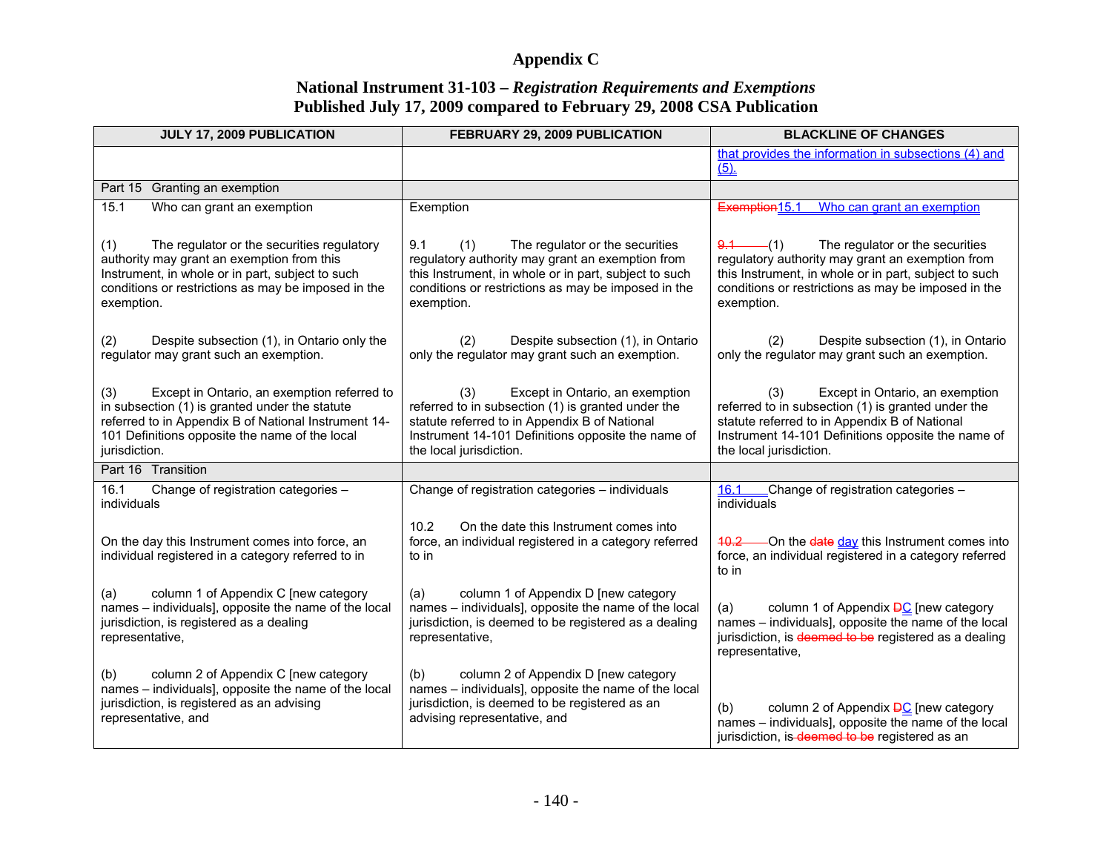| JULY 17, 2009 PUBLICATION                                                                                                                                                                                                       | <b>FEBRUARY 29, 2009 PUBLICATION</b>                                                                                                                                                                                            | <b>BLACKLINE OF CHANGES</b>                                                                                                                                                                                                    |
|---------------------------------------------------------------------------------------------------------------------------------------------------------------------------------------------------------------------------------|---------------------------------------------------------------------------------------------------------------------------------------------------------------------------------------------------------------------------------|--------------------------------------------------------------------------------------------------------------------------------------------------------------------------------------------------------------------------------|
|                                                                                                                                                                                                                                 |                                                                                                                                                                                                                                 | that provides the information in subsections (4) and<br>$(5)$ .                                                                                                                                                                |
| Part 15 Granting an exemption                                                                                                                                                                                                   |                                                                                                                                                                                                                                 |                                                                                                                                                                                                                                |
| 15.1<br>Who can grant an exemption                                                                                                                                                                                              | Exemption                                                                                                                                                                                                                       | Exemption 15.1<br>Who can grant an exemption                                                                                                                                                                                   |
| The regulator or the securities regulatory<br>(1)<br>authority may grant an exemption from this<br>Instrument, in whole or in part, subject to such<br>conditions or restrictions as may be imposed in the<br>exemption.        | The regulator or the securities<br>9.1<br>(1)<br>regulatory authority may grant an exemption from<br>this Instrument, in whole or in part, subject to such<br>conditions or restrictions as may be imposed in the<br>exemption. | The regulator or the securities<br>$9.1$ (1)<br>regulatory authority may grant an exemption from<br>this Instrument, in whole or in part, subject to such<br>conditions or restrictions as may be imposed in the<br>exemption. |
| Despite subsection (1), in Ontario only the<br>(2)<br>regulator may grant such an exemption.                                                                                                                                    | Despite subsection (1), in Ontario<br>(2)<br>only the regulator may grant such an exemption.                                                                                                                                    | Despite subsection (1), in Ontario<br>(2)<br>only the regulator may grant such an exemption.                                                                                                                                   |
| Except in Ontario, an exemption referred to<br>(3)<br>in subsection (1) is granted under the statute<br>referred to in Appendix B of National Instrument 14-<br>101 Definitions opposite the name of the local<br>jurisdiction. | Except in Ontario, an exemption<br>(3)<br>referred to in subsection (1) is granted under the<br>statute referred to in Appendix B of National<br>Instrument 14-101 Definitions opposite the name of<br>the local jurisdiction.  | Except in Ontario, an exemption<br>(3)<br>referred to in subsection (1) is granted under the<br>statute referred to in Appendix B of National<br>Instrument 14-101 Definitions opposite the name of<br>the local jurisdiction. |
| Part 16 Transition                                                                                                                                                                                                              |                                                                                                                                                                                                                                 |                                                                                                                                                                                                                                |
| Change of registration categories -<br>16.1<br>individuals                                                                                                                                                                      | Change of registration categories - individuals                                                                                                                                                                                 | Change of registration categories -<br>16.1<br>individuals                                                                                                                                                                     |
| On the day this Instrument comes into force, an<br>individual registered in a category referred to in                                                                                                                           | 10.2<br>On the date this Instrument comes into<br>force, an individual registered in a category referred<br>to in                                                                                                               | 40.2<br>-On the date day this Instrument comes into<br>force, an individual registered in a category referred<br>to in                                                                                                         |
| column 1 of Appendix C [new category<br>(a)<br>names - individuals], opposite the name of the local<br>jurisdiction, is registered as a dealing<br>representative,                                                              | column 1 of Appendix D [new category<br>(a)<br>names - individuals], opposite the name of the local<br>jurisdiction, is deemed to be registered as a dealing<br>representative,                                                 | column 1 of Appendix <b>DC</b> [new category<br>(a)<br>names - individuals], opposite the name of the local<br>jurisdiction, is deemed to be registered as a dealing<br>representative,                                        |
| column 2 of Appendix C [new category<br>(b)<br>names - individuals], opposite the name of the local<br>jurisdiction, is registered as an advising<br>representative, and                                                        | column 2 of Appendix D [new category<br>(b)<br>names - individuals], opposite the name of the local<br>jurisdiction, is deemed to be registered as an<br>advising representative, and                                           | column 2 of Appendix DC [new category<br>(b)<br>names - individuals], opposite the name of the local<br>jurisdiction, is-deemed to be registered as an                                                                         |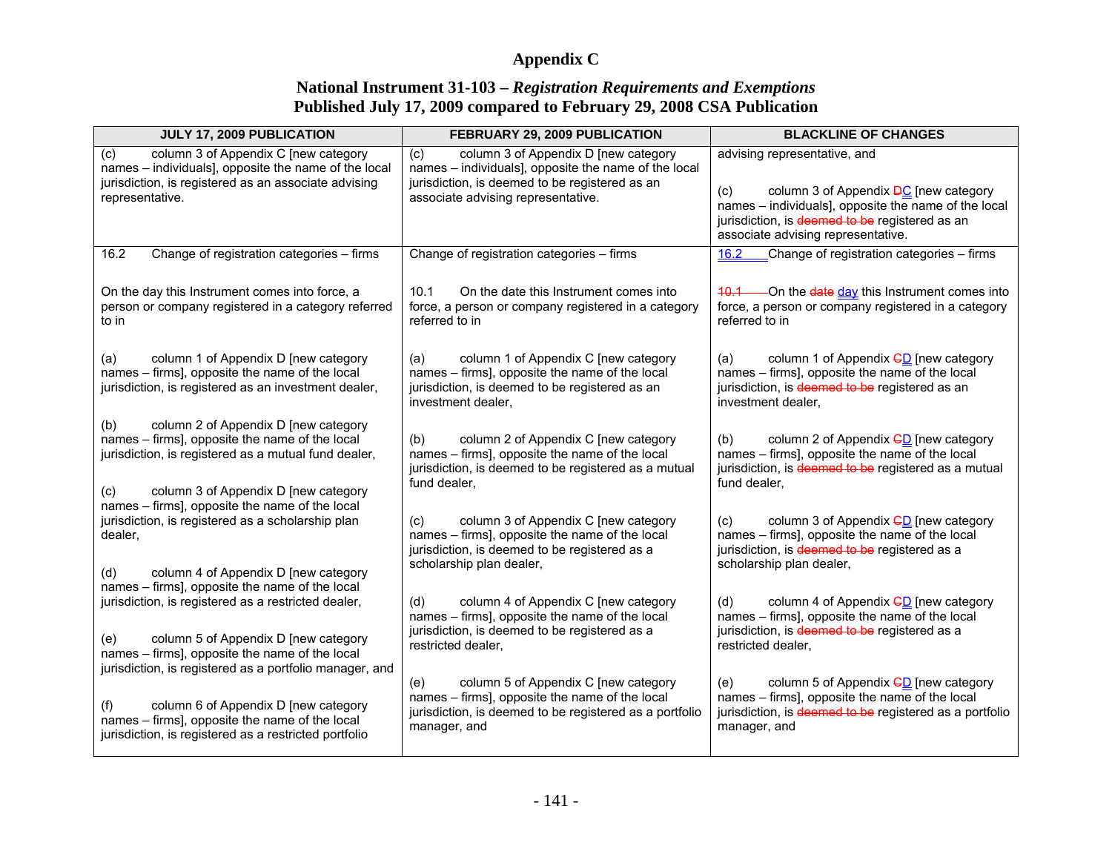| JULY 17, 2009 PUBLICATION                                                                                                                                                                            | FEBRUARY 29, 2009 PUBLICATION                                                                                                                                                               | <b>BLACKLINE OF CHANGES</b>                                                                                                                                                                                                               |
|------------------------------------------------------------------------------------------------------------------------------------------------------------------------------------------------------|---------------------------------------------------------------------------------------------------------------------------------------------------------------------------------------------|-------------------------------------------------------------------------------------------------------------------------------------------------------------------------------------------------------------------------------------------|
| column 3 of Appendix C [new category<br>(c)<br>names - individuals], opposite the name of the local<br>jurisdiction, is registered as an associate advising<br>representative.                       | column 3 of Appendix D [new category<br>(c)<br>names - individuals], opposite the name of the local<br>jurisdiction, is deemed to be registered as an<br>associate advising representative. | advising representative, and<br>column 3 of Appendix $\overline{BC}$ [new category<br>(c)<br>names - individuals], opposite the name of the local<br>jurisdiction, is deemed to be registered as an<br>associate advising representative. |
| 16.2<br>Change of registration categories - firms                                                                                                                                                    | Change of registration categories - firms                                                                                                                                                   | Change of registration categories - firms<br>16.2                                                                                                                                                                                         |
| On the day this Instrument comes into force, a<br>person or company registered in a category referred<br>to in                                                                                       | 10.1<br>On the date this Instrument comes into<br>force, a person or company registered in a category<br>referred to in                                                                     | 10.1 - On the date day this Instrument comes into<br>force, a person or company registered in a category<br>referred to in                                                                                                                |
| column 1 of Appendix D [new category<br>(a)<br>names - firms], opposite the name of the local<br>jurisdiction, is registered as an investment dealer,                                                | column 1 of Appendix C [new category<br>(a)<br>names - firms], opposite the name of the local<br>jurisdiction, is deemed to be registered as an<br>investment dealer,                       | column 1 of Appendix $\bigoplus$ [new category<br>(a)<br>names - firms], opposite the name of the local<br>jurisdiction, is deemed to be registered as an<br>investment dealer,                                                           |
| column 2 of Appendix D [new category<br>(b)<br>names - firms], opposite the name of the local<br>jurisdiction, is registered as a mutual fund dealer,<br>column 3 of Appendix D [new category<br>(c) | column 2 of Appendix C [new category<br>(b)<br>names - firms], opposite the name of the local<br>jurisdiction, is deemed to be registered as a mutual<br>fund dealer,                       | column 2 of Appendix GD [new category<br>(b)<br>names - firms], opposite the name of the local<br>jurisdiction, is deemed to be registered as a mutual<br>fund dealer.                                                                    |
| names - firms], opposite the name of the local<br>jurisdiction, is registered as a scholarship plan<br>dealer,<br>column 4 of Appendix D [new category<br>(d)                                        | (c)<br>column 3 of Appendix C [new category<br>names - firms], opposite the name of the local<br>jurisdiction, is deemed to be registered as a<br>scholarship plan dealer,                  | column 3 of Appendix $\bigoplus$ [new category<br>(c)<br>names - firms], opposite the name of the local<br>jurisdiction, is deemed to be registered as a<br>scholarship plan dealer,                                                      |
| names - firms], opposite the name of the local<br>jurisdiction, is registered as a restricted dealer,                                                                                                | column 4 of Appendix C [new category<br>(d)<br>names - firms], opposite the name of the local                                                                                               | column 4 of Appendix $GD$ [new category<br>(d)<br>names - firms], opposite the name of the local                                                                                                                                          |
| (e)<br>column 5 of Appendix D [new category<br>names - firms], opposite the name of the local<br>jurisdiction, is registered as a portfolio manager, and                                             | jurisdiction, is deemed to be registered as a<br>restricted dealer,                                                                                                                         | jurisdiction, is deemed to be registered as a<br>restricted dealer,                                                                                                                                                                       |
| (f)<br>column 6 of Appendix D [new category<br>names - firms], opposite the name of the local<br>jurisdiction, is registered as a restricted portfolio                                               | column 5 of Appendix C [new category<br>(e)<br>names - firms], opposite the name of the local<br>jurisdiction, is deemed to be registered as a portfolio<br>manager, and                    | column 5 of Appendix $\bigoplus$ [new category<br>(e)<br>names - firms], opposite the name of the local<br>jurisdiction, is deemed to be registered as a portfolio<br>manager, and                                                        |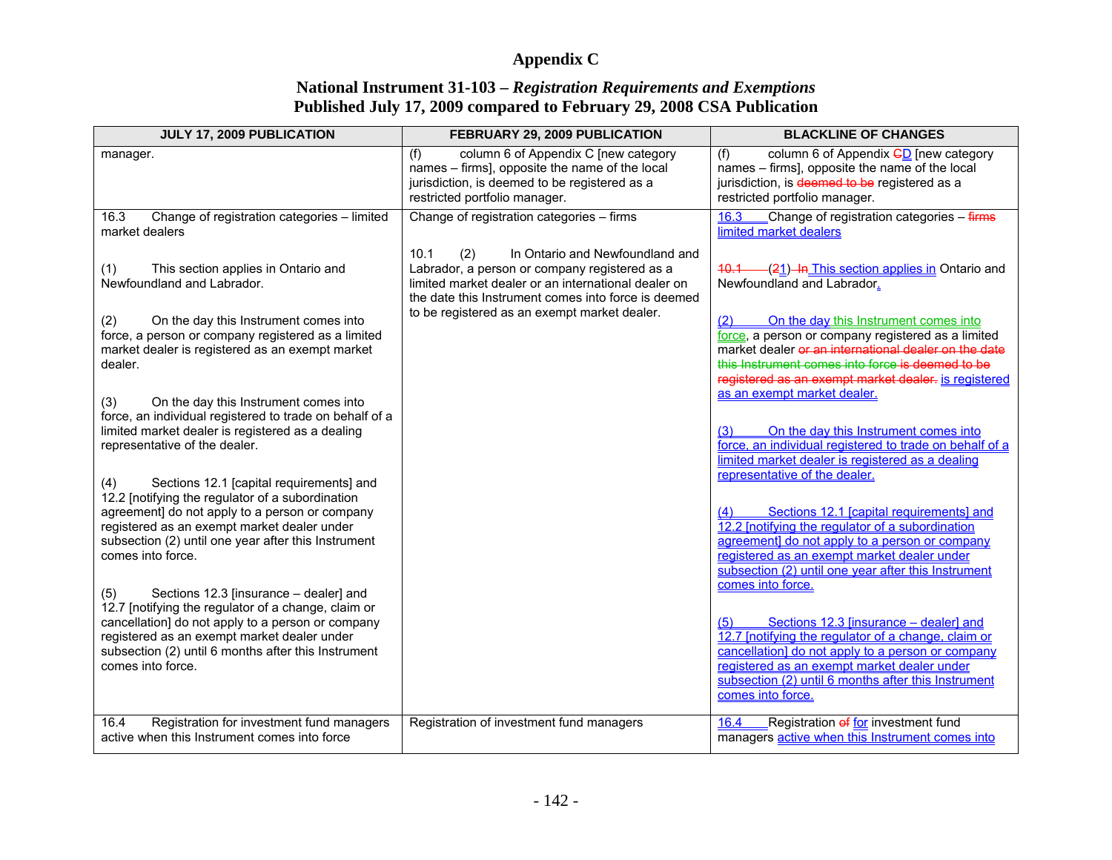| JULY 17, 2009 PUBLICATION                                                                                                                                                                                                                                                            | <b>FEBRUARY 29, 2009 PUBLICATION</b>                                                                                                                                                                          | <b>BLACKLINE OF CHANGES</b>                                                                                                                                                                                                                                                                               |
|--------------------------------------------------------------------------------------------------------------------------------------------------------------------------------------------------------------------------------------------------------------------------------------|---------------------------------------------------------------------------------------------------------------------------------------------------------------------------------------------------------------|-----------------------------------------------------------------------------------------------------------------------------------------------------------------------------------------------------------------------------------------------------------------------------------------------------------|
| manager.                                                                                                                                                                                                                                                                             | column 6 of Appendix C [new category<br>(f)<br>names - firms], opposite the name of the local<br>jurisdiction, is deemed to be registered as a<br>restricted portfolio manager.                               | column 6 of Appendix CD [new category<br>(f)<br>names - firms], opposite the name of the local<br>jurisdiction, is deemed to be registered as a<br>restricted portfolio manager.                                                                                                                          |
| 16.3<br>Change of registration categories - limited<br>market dealers                                                                                                                                                                                                                | Change of registration categories - firms                                                                                                                                                                     | Change of registration categories - firms<br>16.3<br>limited market dealers                                                                                                                                                                                                                               |
| (1)<br>This section applies in Ontario and<br>Newfoundland and Labrador.                                                                                                                                                                                                             | 10.1<br>In Ontario and Newfoundland and<br>(2)<br>Labrador, a person or company registered as a<br>limited market dealer or an international dealer on<br>the date this Instrument comes into force is deemed | 10.1 - (21) In This section applies in Ontario and<br>Newfoundland and Labrador.                                                                                                                                                                                                                          |
| On the day this Instrument comes into<br>(2)<br>force, a person or company registered as a limited<br>market dealer is registered as an exempt market<br>dealer.                                                                                                                     | to be registered as an exempt market dealer.                                                                                                                                                                  | On the day this Instrument comes into<br>(2)<br>force, a person or company registered as a limited<br>market dealer or an international dealer on the date<br>this Instrument comes into force is deemed to be<br>registered as an exempt market dealer. is registered                                    |
| (3)<br>On the day this Instrument comes into<br>force, an individual registered to trade on behalf of a<br>limited market dealer is registered as a dealing<br>representative of the dealer.                                                                                         |                                                                                                                                                                                                               | as an exempt market dealer.<br>On the day this Instrument comes into<br>(3)<br>force, an individual registered to trade on behalf of a<br>limited market dealer is registered as a dealing                                                                                                                |
| (4)<br>Sections 12.1 [capital requirements] and<br>12.2 [notifying the regulator of a subordination<br>agreement] do not apply to a person or company<br>registered as an exempt market dealer under<br>subsection (2) until one year after this Instrument<br>comes into force.     |                                                                                                                                                                                                               | representative of the dealer.<br>Sections 12.1 [capital requirements] and<br>(4)<br>12.2 [notifying the regulator of a subordination<br>agreement] do not apply to a person or company<br>registered as an exempt market dealer under<br>subsection (2) until one year after this Instrument              |
| Sections 12.3 [insurance - dealer] and<br>(5)<br>12.7 [notifying the regulator of a change, claim or<br>cancellation] do not apply to a person or company<br>registered as an exempt market dealer under<br>subsection (2) until 6 months after this Instrument<br>comes into force. |                                                                                                                                                                                                               | comes into force.<br>Sections 12.3 [insurance – dealer] and<br>(5)<br>12.7 Inotifying the regulator of a change, claim or<br>cancellation] do not apply to a person or company<br>registered as an exempt market dealer under<br>subsection (2) until 6 months after this Instrument<br>comes into force. |
| Registration for investment fund managers<br>16.4<br>active when this Instrument comes into force                                                                                                                                                                                    | Registration of investment fund managers                                                                                                                                                                      | Registration of for investment fund<br>16.4<br>managers active when this Instrument comes into                                                                                                                                                                                                            |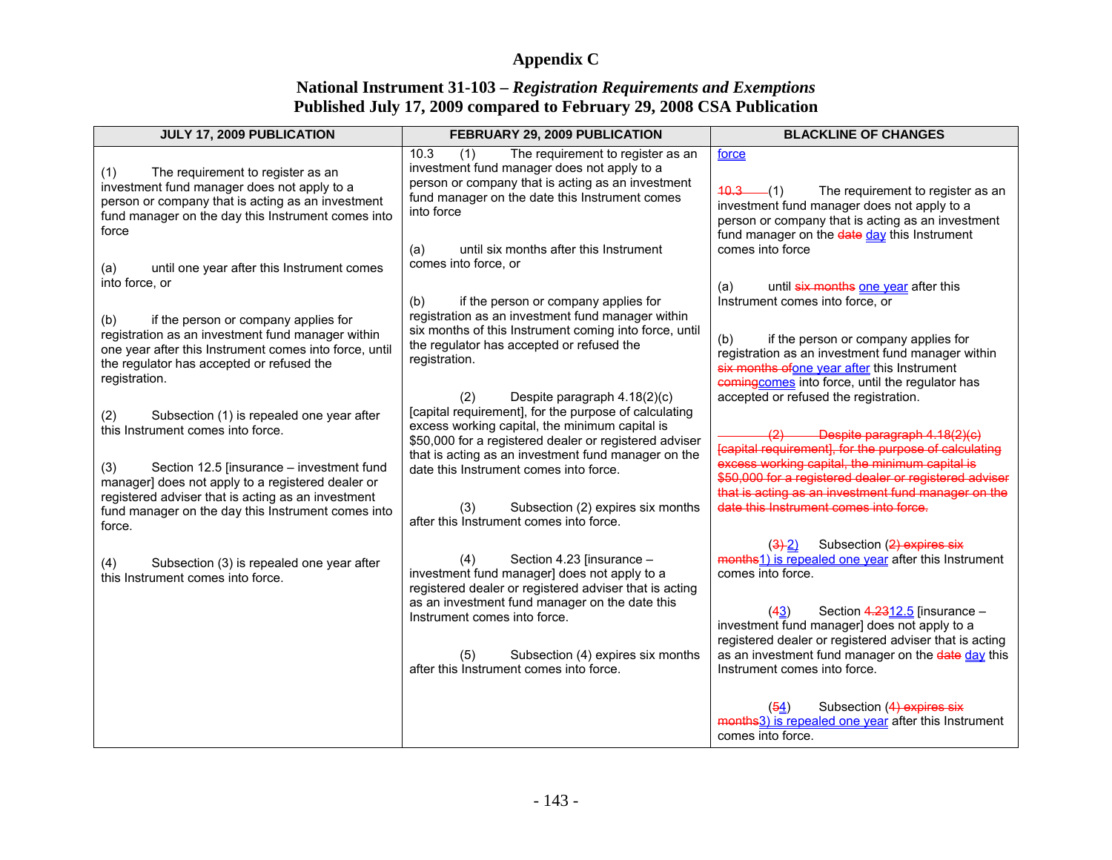| JULY 17, 2009 PUBLICATION                                                                                                                                                                                                   | <b>FEBRUARY 29, 2009 PUBLICATION</b>                                                                                                                                                                                                                            | <b>BLACKLINE OF CHANGES</b>                                                                                                                                                                                                               |
|-----------------------------------------------------------------------------------------------------------------------------------------------------------------------------------------------------------------------------|-----------------------------------------------------------------------------------------------------------------------------------------------------------------------------------------------------------------------------------------------------------------|-------------------------------------------------------------------------------------------------------------------------------------------------------------------------------------------------------------------------------------------|
| (1)<br>The requirement to register as an<br>investment fund manager does not apply to a<br>person or company that is acting as an investment<br>fund manager on the day this Instrument comes into<br>force                 | 10.3<br>The requirement to register as an<br>(1)<br>investment fund manager does not apply to a<br>person or company that is acting as an investment<br>fund manager on the date this Instrument comes<br>into force                                            | force<br>$40.3$ (1)<br>The requirement to register as an<br>investment fund manager does not apply to a<br>person or company that is acting as an investment<br>fund manager on the date day this Instrument                              |
| until one year after this Instrument comes<br>(a)<br>into force, or                                                                                                                                                         | until six months after this Instrument<br>(a)<br>comes into force, or                                                                                                                                                                                           | comes into force<br>until six months one year after this<br>(a)                                                                                                                                                                           |
| if the person or company applies for<br>(b)<br>registration as an investment fund manager within<br>one year after this Instrument comes into force, until<br>the regulator has accepted or refused the<br>registration.    | (b)<br>if the person or company applies for<br>registration as an investment fund manager within<br>six months of this Instrument coming into force, until<br>the regulator has accepted or refused the<br>registration.                                        | Instrument comes into force, or<br>(b)<br>if the person or company applies for<br>registration as an investment fund manager within<br>six months of one year after this Instrument                                                       |
| Subsection (1) is repealed one year after<br>(2)<br>this Instrument comes into force.                                                                                                                                       | Despite paragraph 4.18(2)(c)<br>(2)<br>[capital requirement], for the purpose of calculating<br>excess working capital, the minimum capital is<br>\$50,000 for a registered dealer or registered adviser<br>that is acting as an investment fund manager on the | comingcomes into force, until the regulator has<br>accepted or refused the registration.<br>Despite paragraph 4.18(2)(c)<br><b>Capital requirement], for the purpose of calculating</b><br>excess working capital, the minimum capital is |
| Section 12.5 [insurance - investment fund<br>(3)<br>manager] does not apply to a registered dealer or<br>registered adviser that is acting as an investment<br>fund manager on the day this Instrument comes into<br>force. | date this Instrument comes into force.<br>Subsection (2) expires six months<br>(3)<br>after this Instrument comes into force.                                                                                                                                   | \$50,000 for a registered dealer or registered adviser<br>that is acting as an investment fund manager on the<br>date this Instrument comes into force.                                                                                   |
| Subsection (3) is repealed one year after<br>(4)<br>this Instrument comes into force.                                                                                                                                       | Section 4.23 [insurance -<br>(4)<br>investment fund manager] does not apply to a<br>registered dealer or registered adviser that is acting<br>as an investment fund manager on the date this<br>Instrument comes into force.                                    | Subsection (2) expires six<br>$(3) - 2$<br>months1) is repealed one year after this Instrument<br>comes into force.<br>Section 4.2312.5 [insurance -<br>(43)<br>investment fund manager] does not apply to a                              |
|                                                                                                                                                                                                                             | Subsection (4) expires six months<br>(5)<br>after this Instrument comes into force.                                                                                                                                                                             | registered dealer or registered adviser that is acting<br>as an investment fund manager on the date day this<br>Instrument comes into force.                                                                                              |
|                                                                                                                                                                                                                             |                                                                                                                                                                                                                                                                 | Subsection (4) expires six<br>(54)<br>months3) is repealed one year after this Instrument<br>comes into force.                                                                                                                            |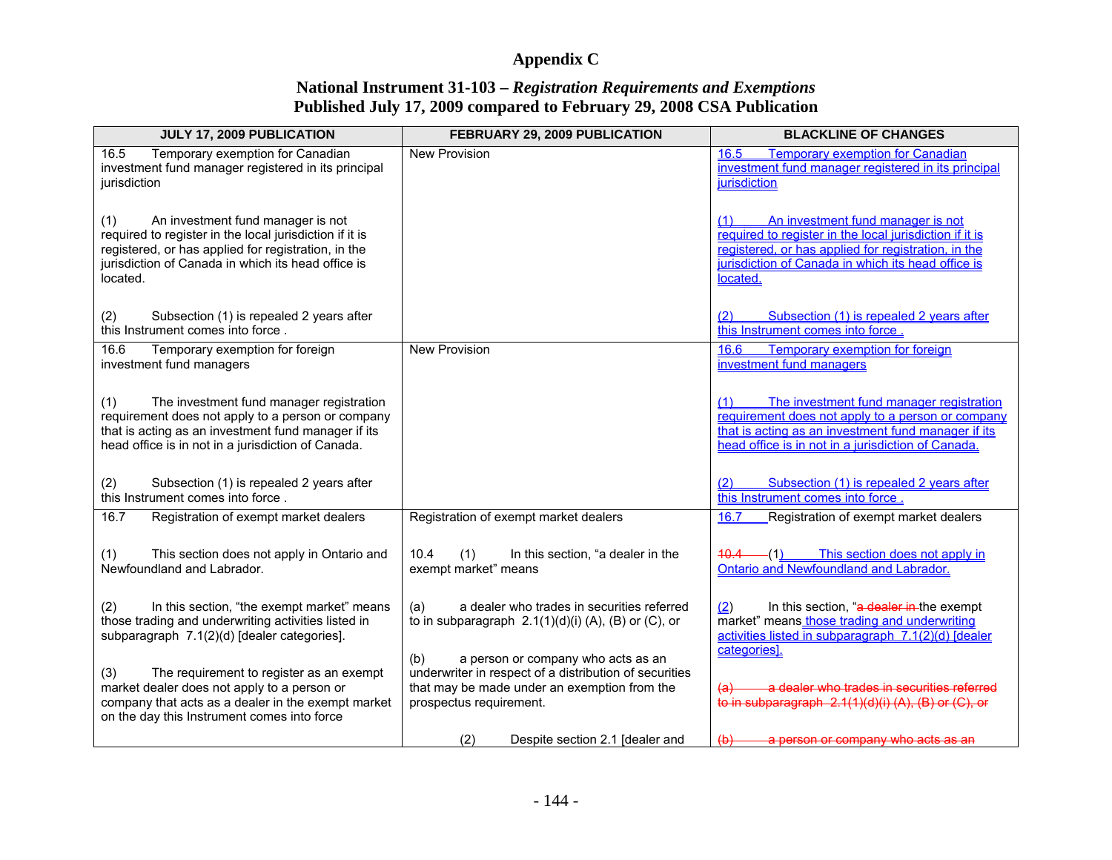| JULY 17, 2009 PUBLICATION                                                                                                                                                                                                    | <b>FEBRUARY 29, 2009 PUBLICATION</b>                                                                                                                                           | <b>BLACKLINE OF CHANGES</b>                                                                                                                                                                                                  |
|------------------------------------------------------------------------------------------------------------------------------------------------------------------------------------------------------------------------------|--------------------------------------------------------------------------------------------------------------------------------------------------------------------------------|------------------------------------------------------------------------------------------------------------------------------------------------------------------------------------------------------------------------------|
| Temporary exemption for Canadian<br>16.5<br>investment fund manager registered in its principal<br>jurisdiction                                                                                                              | <b>New Provision</b>                                                                                                                                                           | <b>Temporary exemption for Canadian</b><br>16.5<br>investment fund manager registered in its principal<br><i>iurisdiction</i>                                                                                                |
| An investment fund manager is not<br>(1)<br>required to register in the local jurisdiction if it is<br>registered, or has applied for registration, in the<br>jurisdiction of Canada in which its head office is<br>located. |                                                                                                                                                                                | An investment fund manager is not<br>(1)<br>required to register in the local jurisdiction if it is<br>registered, or has applied for registration, in the<br>jurisdiction of Canada in which its head office is<br>located. |
| (2)<br>Subsection (1) is repealed 2 years after<br>this Instrument comes into force.                                                                                                                                         |                                                                                                                                                                                | Subsection (1) is repealed 2 years after<br>(2)<br>this Instrument comes into force.                                                                                                                                         |
| 16.6<br>Temporary exemption for foreign<br>investment fund managers                                                                                                                                                          | <b>New Provision</b>                                                                                                                                                           | <b>Temporary exemption for foreign</b><br>16.6<br>investment fund managers                                                                                                                                                   |
| (1)<br>The investment fund manager registration<br>requirement does not apply to a person or company<br>that is acting as an investment fund manager if its<br>head office is in not in a jurisdiction of Canada.            |                                                                                                                                                                                | The investment fund manager registration<br>(1)<br>requirement does not apply to a person or company<br>that is acting as an investment fund manager if its<br>head office is in not in a jurisdiction of Canada.            |
| Subsection (1) is repealed 2 years after<br>(2)<br>this Instrument comes into force.                                                                                                                                         |                                                                                                                                                                                | Subsection (1) is repealed 2 years after<br>(2)<br>this Instrument comes into force.                                                                                                                                         |
| 16.7<br>Registration of exempt market dealers                                                                                                                                                                                | Registration of exempt market dealers                                                                                                                                          | 16.7<br>Registration of exempt market dealers                                                                                                                                                                                |
| This section does not apply in Ontario and<br>(1)<br>Newfoundland and Labrador.                                                                                                                                              | 10.4<br>In this section, "a dealer in the<br>(1)<br>exempt market" means                                                                                                       | 10.4<br>This section does not apply in<br>$-$ (1)<br>Ontario and Newfoundland and Labrador.                                                                                                                                  |
| In this section, "the exempt market" means<br>(2)<br>those trading and underwriting activities listed in<br>subparagraph 7.1(2)(d) [dealer categories].                                                                      | a dealer who trades in securities referred<br>(a)<br>to in subparagraph $2.1(1)(d)(i)$ (A), (B) or (C), or                                                                     | In this section, "a dealer in the exempt<br>(2)<br>market" means those trading and underwriting<br>activities listed in subparagraph 7.1(2)(d) [dealer<br>categories].                                                       |
| The requirement to register as an exempt<br>(3)<br>market dealer does not apply to a person or<br>company that acts as a dealer in the exempt market<br>on the day this Instrument comes into force                          | a person or company who acts as an<br>(b)<br>underwriter in respect of a distribution of securities<br>that may be made under an exemption from the<br>prospectus requirement. | a dealer who trades in securities referred<br>$\overline{a}$<br>to in subparagraph 2.1(1)(d)(i) (A), (B) or (C), or                                                                                                          |
|                                                                                                                                                                                                                              | (2)<br>Despite section 2.1 [dealer and                                                                                                                                         | a person or company who acts as an<br>(b)                                                                                                                                                                                    |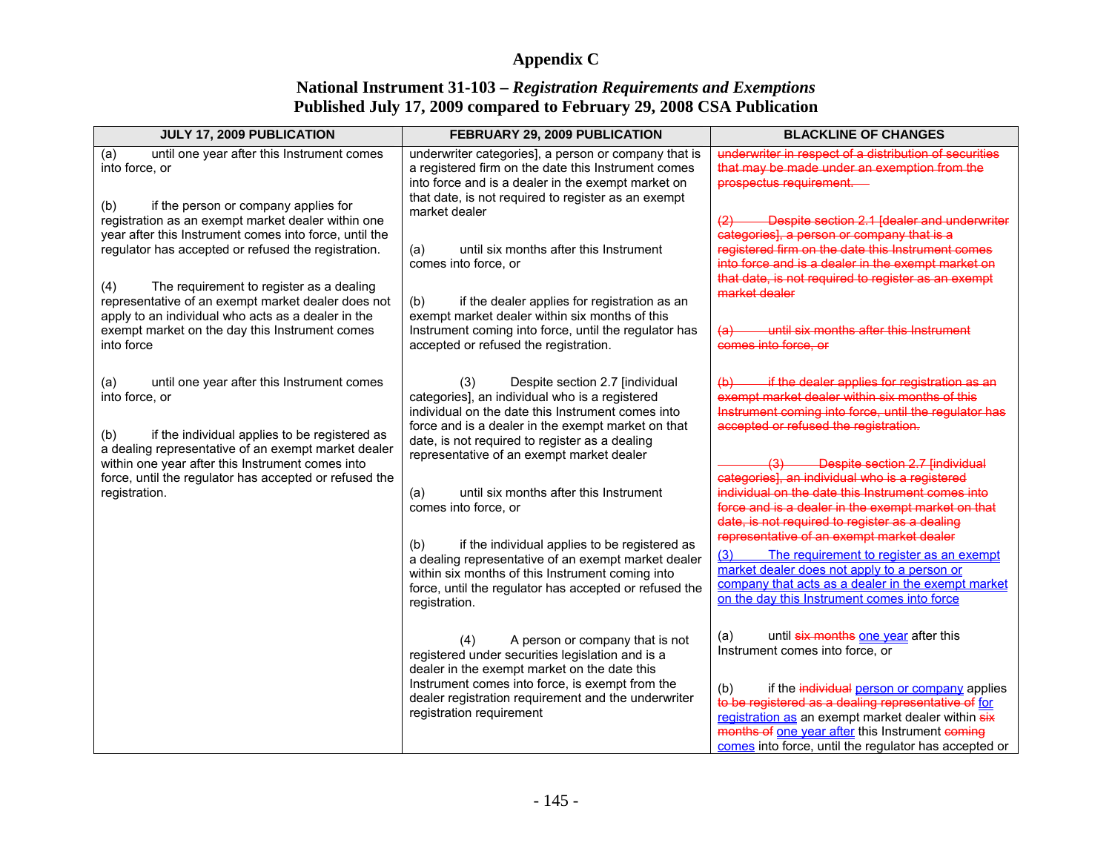| JULY 17, 2009 PUBLICATION                                                                                                                                           | FEBRUARY 29, 2009 PUBLICATION                                                                                                                                                                                                              | <b>BLACKLINE OF CHANGES</b>                                                                                                                                                                                                                                                 |
|---------------------------------------------------------------------------------------------------------------------------------------------------------------------|--------------------------------------------------------------------------------------------------------------------------------------------------------------------------------------------------------------------------------------------|-----------------------------------------------------------------------------------------------------------------------------------------------------------------------------------------------------------------------------------------------------------------------------|
| until one year after this Instrument comes<br>(a)<br>into force, or<br>if the person or company applies for<br>(b)                                                  | underwriter categories], a person or company that is<br>a registered firm on the date this Instrument comes<br>into force and is a dealer in the exempt market on<br>that date, is not required to register as an exempt<br>market dealer  | underwriter in respect of a distribution of securities<br>that may be made under an exemption from the<br>prospectus requirement.                                                                                                                                           |
| registration as an exempt market dealer within one<br>year after this Instrument comes into force, until the<br>regulator has accepted or refused the registration. | until six months after this Instrument<br>(a)<br>comes into force, or                                                                                                                                                                      | Despite section 2.1 [dealer and underwriter<br>(2)<br>categories], a person or company that is a<br>registered firm on the date this Instrument comes<br>into force and is a dealer in the exempt market on                                                                 |
| (4)<br>The requirement to register as a dealing<br>representative of an exempt market dealer does not<br>apply to an individual who acts as a dealer in the         | if the dealer applies for registration as an<br>(b)<br>exempt market dealer within six months of this                                                                                                                                      | that date, is not required to register as an exempt<br>market dealer<br>until six months after this Instrument                                                                                                                                                              |
| exempt market on the day this Instrument comes<br>into force<br>until one year after this Instrument comes<br>(a)                                                   | Instrument coming into force, until the regulator has<br>accepted or refused the registration.<br>Despite section 2.7 [individual<br>(3)                                                                                                   | <del>(a)</del><br>comes into force, or<br>if the dealer applies for registration as an<br><del>(b)</del>                                                                                                                                                                    |
| into force, or<br>(b)<br>if the individual applies to be registered as                                                                                              | categories], an individual who is a registered<br>individual on the date this Instrument comes into<br>force and is a dealer in the exempt market on that                                                                                  | exempt market dealer within six months of this<br>Instrument coming into force, until the regulator has<br>accepted or refused the registration.                                                                                                                            |
| a dealing representative of an exempt market dealer<br>within one year after this Instrument comes into<br>force, until the regulator has accepted or refused the   | date, is not required to register as a dealing<br>representative of an exempt market dealer                                                                                                                                                | Despite section 2.7 [individual<br>categories], an individual who is a registered                                                                                                                                                                                           |
| registration.                                                                                                                                                       | until six months after this Instrument<br>(a)<br>comes into force, or                                                                                                                                                                      | individual on the date this Instrument comes into<br>force and is a dealer in the exempt market on that<br>date, is not required to register as a dealing<br>representative of an exempt market dealer                                                                      |
|                                                                                                                                                                     | if the individual applies to be registered as<br>(b)<br>a dealing representative of an exempt market dealer<br>within six months of this Instrument coming into<br>force, until the regulator has accepted or refused the<br>registration. | (3)<br>The requirement to register as an exempt<br>market dealer does not apply to a person or<br>company that acts as a dealer in the exempt market<br>on the day this Instrument comes into force                                                                         |
|                                                                                                                                                                     | A person or company that is not<br>(4)<br>registered under securities legislation and is a<br>dealer in the exempt market on the date this                                                                                                 | until six months one year after this<br>(a)<br>Instrument comes into force, or                                                                                                                                                                                              |
|                                                                                                                                                                     | Instrument comes into force, is exempt from the<br>dealer registration requirement and the underwriter<br>registration requirement                                                                                                         | if the individual person or company applies<br>(b)<br>to be registered as a dealing representative of for<br>registration as an exempt market dealer within six<br>months of one year after this Instrument coming<br>comes into force, until the regulator has accepted or |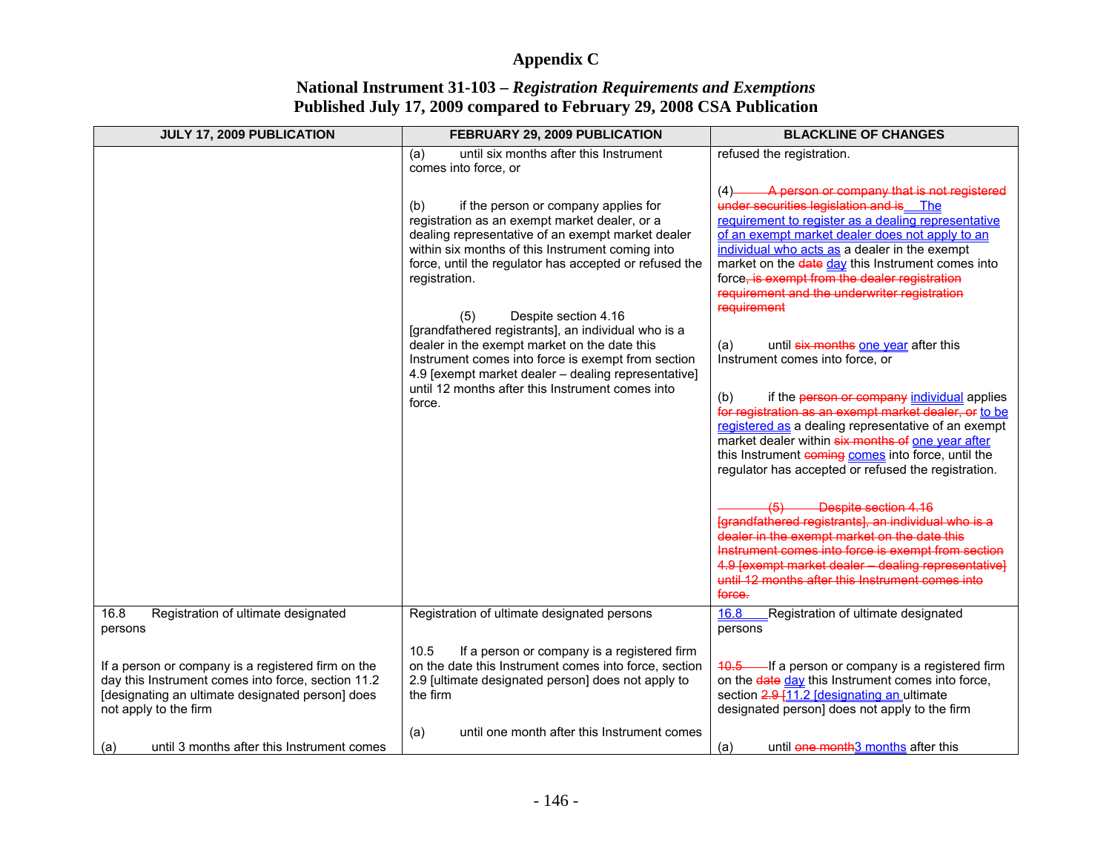| JULY 17, 2009 PUBLICATION                                                                                                                                                             | <b>FEBRUARY 29, 2009 PUBLICATION</b>                                                                                                                                                                                                                                                                            | <b>BLACKLINE OF CHANGES</b>                                                                                                                                                                                                                                                                                                                                                                                                   |
|---------------------------------------------------------------------------------------------------------------------------------------------------------------------------------------|-----------------------------------------------------------------------------------------------------------------------------------------------------------------------------------------------------------------------------------------------------------------------------------------------------------------|-------------------------------------------------------------------------------------------------------------------------------------------------------------------------------------------------------------------------------------------------------------------------------------------------------------------------------------------------------------------------------------------------------------------------------|
|                                                                                                                                                                                       | until six months after this Instrument<br>(a)<br>comes into force, or                                                                                                                                                                                                                                           | refused the registration.                                                                                                                                                                                                                                                                                                                                                                                                     |
|                                                                                                                                                                                       | if the person or company applies for<br>(b)<br>registration as an exempt market dealer, or a<br>dealing representative of an exempt market dealer<br>within six months of this Instrument coming into<br>force, until the regulator has accepted or refused the<br>registration.<br>Despite section 4.16<br>(5) | A person or company that is not registered<br>(4)-<br>under securities legislation and is The<br>requirement to register as a dealing representative<br>of an exempt market dealer does not apply to an<br>individual who acts as a dealer in the exempt<br>market on the date day this Instrument comes into<br>force, is exempt from the dealer registration<br>requirement and the underwriter registration<br>requirement |
|                                                                                                                                                                                       | [grandfathered registrants], an individual who is a<br>dealer in the exempt market on the date this<br>Instrument comes into force is exempt from section<br>4.9 [exempt market dealer - dealing representative]<br>until 12 months after this Instrument comes into                                            | until six months one year after this<br>(a)<br>Instrument comes into force, or                                                                                                                                                                                                                                                                                                                                                |
|                                                                                                                                                                                       | force.                                                                                                                                                                                                                                                                                                          | (b)<br>if the person or company individual applies<br>for registration as an exempt market dealer, or to be<br>registered as a dealing representative of an exempt<br>market dealer within six months of one year after<br>this Instrument coming comes into force, until the<br>regulator has accepted or refused the registration.                                                                                          |
|                                                                                                                                                                                       |                                                                                                                                                                                                                                                                                                                 | Despite section 4.16<br>[grandfathered registrants], an individual who is a<br>dealer in the exempt market on the date this<br>Instrument comes into force is exempt from section<br>4.9 [exempt market dealer dealing representative]<br>until 12 months after this Instrument comes into<br>force.                                                                                                                          |
| 16.8<br>Registration of ultimate designated<br>persons                                                                                                                                | Registration of ultimate designated persons                                                                                                                                                                                                                                                                     | 16.8<br>Registration of ultimate designated<br>persons                                                                                                                                                                                                                                                                                                                                                                        |
| If a person or company is a registered firm on the<br>day this Instrument comes into force, section 11.2<br>[designating an ultimate designated person] does<br>not apply to the firm | 10.5<br>If a person or company is a registered firm<br>on the date this Instrument comes into force, section<br>2.9 Jultimate designated person] does not apply to<br>the firm                                                                                                                                  | 40.5 - If a person or company is a registered firm<br>on the date day this Instrument comes into force,<br>section 2.9 [11.2 [designating an ultimate<br>designated person] does not apply to the firm                                                                                                                                                                                                                        |
| until 3 months after this Instrument comes<br>(a)                                                                                                                                     | until one month after this Instrument comes<br>(a)                                                                                                                                                                                                                                                              | until one month3 months after this<br>(a)                                                                                                                                                                                                                                                                                                                                                                                     |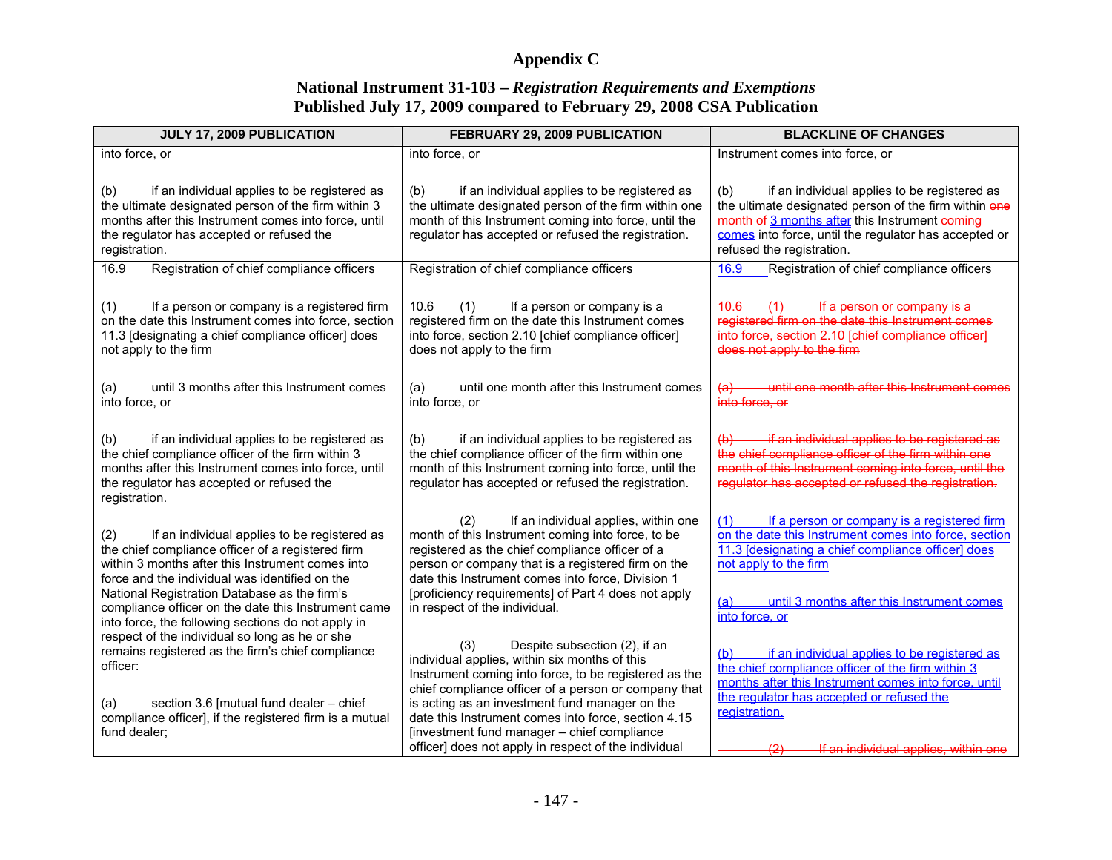| JULY 17, 2009 PUBLICATION                                                                                                                                                                                                                                      | FEBRUARY 29, 2009 PUBLICATION                                                                                                                                                                                                                                                                                                                                                  | <b>BLACKLINE OF CHANGES</b>                                                                                                                                                                                                                          |
|----------------------------------------------------------------------------------------------------------------------------------------------------------------------------------------------------------------------------------------------------------------|--------------------------------------------------------------------------------------------------------------------------------------------------------------------------------------------------------------------------------------------------------------------------------------------------------------------------------------------------------------------------------|------------------------------------------------------------------------------------------------------------------------------------------------------------------------------------------------------------------------------------------------------|
| into force, or                                                                                                                                                                                                                                                 | into force, or                                                                                                                                                                                                                                                                                                                                                                 | Instrument comes into force, or                                                                                                                                                                                                                      |
| if an individual applies to be registered as<br>(b)<br>the ultimate designated person of the firm within 3<br>months after this Instrument comes into force, until<br>the regulator has accepted or refused the<br>registration.                               | if an individual applies to be registered as<br>(b)<br>the ultimate designated person of the firm within one<br>month of this Instrument coming into force, until the<br>regulator has accepted or refused the registration.                                                                                                                                                   | if an individual applies to be registered as<br>(b)<br>the ultimate designated person of the firm within one<br>month of 3 months after this Instrument coming<br>comes into force, until the regulator has accepted or<br>refused the registration. |
| 16.9<br>Registration of chief compliance officers                                                                                                                                                                                                              | Registration of chief compliance officers                                                                                                                                                                                                                                                                                                                                      | Registration of chief compliance officers<br>16.9                                                                                                                                                                                                    |
| (1)<br>If a person or company is a registered firm<br>on the date this Instrument comes into force, section<br>11.3 [designating a chief compliance officer] does<br>not apply to the firm                                                                     | 10.6<br>If a person or company is a<br>(1)<br>registered firm on the date this Instrument comes<br>into force, section 2.10 [chief compliance officer]<br>does not apply to the firm                                                                                                                                                                                           | 10.6<br>If a person or company is a<br>$^{(1)}$<br>registered firm on the date this Instrument comes<br>into force, section 2.10 [chief compliance officer]<br>does not apply to the firm                                                            |
| until 3 months after this Instrument comes<br>(a)<br>into force, or                                                                                                                                                                                            | until one month after this Instrument comes<br>(a)<br>into force, or                                                                                                                                                                                                                                                                                                           | until one month after this Instrument comes<br><del>(a)</del><br>into force, or                                                                                                                                                                      |
| if an individual applies to be registered as<br>(b)<br>the chief compliance officer of the firm within 3<br>months after this Instrument comes into force, until<br>the regulator has accepted or refused the<br>registration.                                 | if an individual applies to be registered as<br>(b)<br>the chief compliance officer of the firm within one<br>month of this Instrument coming into force, until the<br>regulator has accepted or refused the registration.                                                                                                                                                     | if an individual applies to be registered as<br><del>(b)</del><br>the chief compliance officer of the firm within one<br>month of this Instrument coming into force, until the<br>regulator has accepted or refused the registration.                |
| If an individual applies to be registered as<br>(2)<br>the chief compliance officer of a registered firm<br>within 3 months after this Instrument comes into<br>force and the individual was identified on the<br>National Registration Database as the firm's | If an individual applies, within one<br>(2)<br>month of this Instrument coming into force, to be<br>registered as the chief compliance officer of a<br>person or company that is a registered firm on the<br>date this Instrument comes into force, Division 1<br>[proficiency requirements] of Part 4 does not apply                                                          | (1)<br>If a person or company is a registered firm<br>on the date this Instrument comes into force, section<br>11.3 [designating a chief compliance officer] does<br>not apply to the firm<br>until 3 months after this Instrument comes<br>(a)      |
| compliance officer on the date this Instrument came<br>into force, the following sections do not apply in<br>respect of the individual so long as he or she<br>remains registered as the firm's chief compliance                                               | in respect of the individual.<br>Despite subsection (2), if an<br>(3)                                                                                                                                                                                                                                                                                                          | into force, or<br>if an individual applies to be registered as<br><u>(b)</u>                                                                                                                                                                         |
| officer:<br>section 3.6 [mutual fund dealer - chief<br>(a)<br>compliance officer], if the registered firm is a mutual<br>fund dealer;                                                                                                                          | individual applies, within six months of this<br>Instrument coming into force, to be registered as the<br>chief compliance officer of a person or company that<br>is acting as an investment fund manager on the<br>date this Instrument comes into force, section 4.15<br>[investment fund manager - chief compliance<br>officer] does not apply in respect of the individual | the chief compliance officer of the firm within 3<br>months after this Instrument comes into force, until<br>the regulator has accepted or refused the<br>registration.<br>If an individual applies, within one                                      |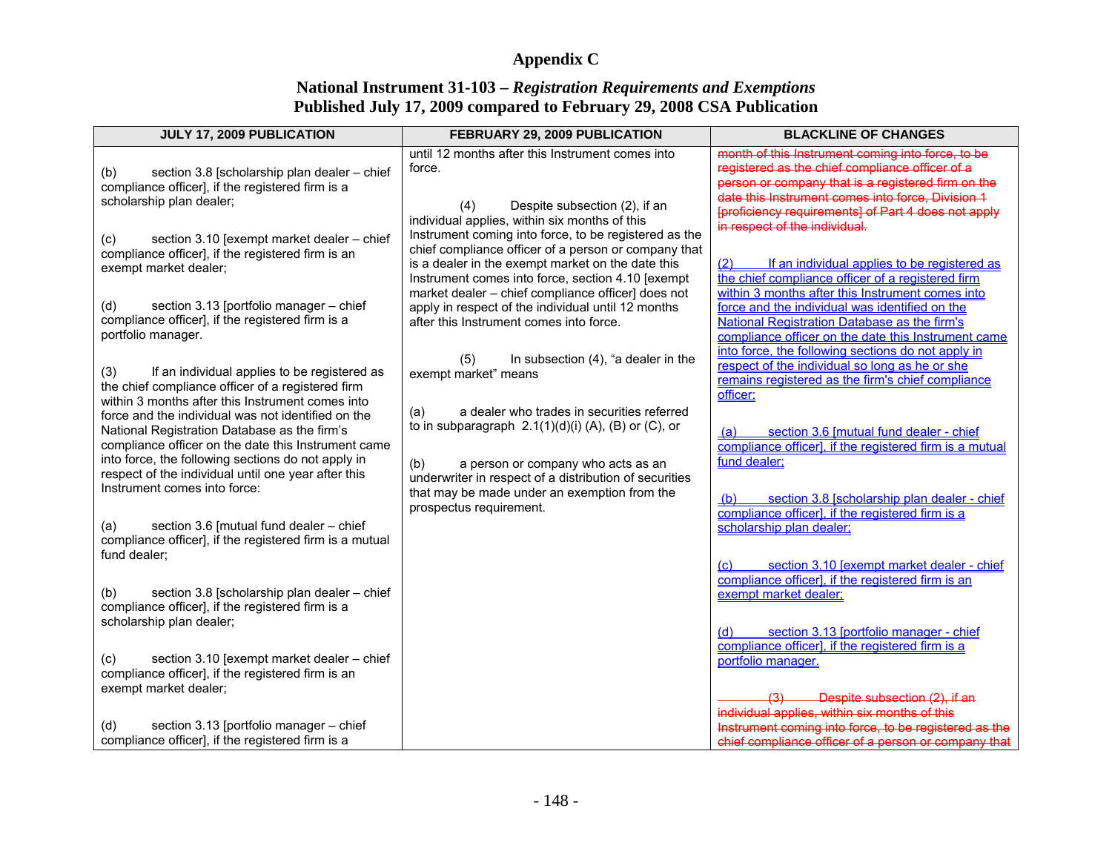| JULY 17, 2009 PUBLICATION                                                                                                                                                                                                                                          | <b>FEBRUARY 29, 2009 PUBLICATION</b>                                                                                                                                                                                                                                           | <b>BLACKLINE OF CHANGES</b>                                                                                                                                                                                                                                                                                    |
|--------------------------------------------------------------------------------------------------------------------------------------------------------------------------------------------------------------------------------------------------------------------|--------------------------------------------------------------------------------------------------------------------------------------------------------------------------------------------------------------------------------------------------------------------------------|----------------------------------------------------------------------------------------------------------------------------------------------------------------------------------------------------------------------------------------------------------------------------------------------------------------|
| section 3.8 [scholarship plan dealer - chief<br>(b)<br>compliance officer], if the registered firm is a<br>scholarship plan dealer;                                                                                                                                | until 12 months after this Instrument comes into<br>force.<br>Despite subsection (2), if an<br>(4)<br>individual applies, within six months of this                                                                                                                            | month of this Instrument coming into force, to be<br>registered as the chief compliance officer of a<br>person or company that is a registered firm on the<br>date this Instrument comes into force. Division 1<br><b>[proficiency requirements] of Part 4 does not apply</b><br>in respect of the individual. |
| section 3.10 [exempt market dealer - chief<br>(c)<br>compliance officer], if the registered firm is an<br>exempt market dealer;                                                                                                                                    | Instrument coming into force, to be registered as the<br>chief compliance officer of a person or company that<br>is a dealer in the exempt market on the date this<br>Instrument comes into force, section 4.10 [exempt]<br>market dealer - chief compliance officer] does not | If an individual applies to be registered as<br>(2)<br>the chief compliance officer of a registered firm<br>within 3 months after this Instrument comes into                                                                                                                                                   |
| section 3.13 [portfolio manager - chief<br>(d)<br>compliance officer], if the registered firm is a<br>portfolio manager.                                                                                                                                           | apply in respect of the individual until 12 months<br>after this Instrument comes into force.<br>In subsection (4), "a dealer in the                                                                                                                                           | force and the individual was identified on the<br>National Registration Database as the firm's<br>compliance officer on the date this Instrument came<br>into force, the following sections do not apply in                                                                                                    |
| If an individual applies to be registered as<br>(3)<br>the chief compliance officer of a registered firm<br>within 3 months after this Instrument comes into<br>force and the individual was not identified on the<br>National Registration Database as the firm's | (5)<br>exempt market" means<br>a dealer who trades in securities referred<br>(a)<br>to in subparagraph $2.1(1)(d)(i)$ (A), (B) or (C), or                                                                                                                                      | respect of the individual so long as he or she<br>remains registered as the firm's chief compliance<br>officer:<br>section 3.6 [mutual fund dealer - chief<br>(a)                                                                                                                                              |
| compliance officer on the date this Instrument came<br>into force, the following sections do not apply in<br>respect of the individual until one year after this<br>Instrument comes into force:                                                                   | (b)<br>a person or company who acts as an<br>underwriter in respect of a distribution of securities<br>that may be made under an exemption from the<br>prospectus requirement.                                                                                                 | compliance officer], if the registered firm is a mutual<br>fund dealer;<br>section 3.8 [scholarship plan dealer - chief<br>(b)<br>compliance officer], if the registered firm is a                                                                                                                             |
| section 3.6 [mutual fund dealer - chief<br>(a)<br>compliance officer], if the registered firm is a mutual<br>fund dealer;                                                                                                                                          |                                                                                                                                                                                                                                                                                | scholarship plan dealer;<br>section 3.10 [exempt market dealer - chief<br>(C)<br>compliance officer], if the registered firm is an                                                                                                                                                                             |
| section 3.8 [scholarship plan dealer – chief<br>(b)<br>compliance officer], if the registered firm is a<br>scholarship plan dealer;                                                                                                                                |                                                                                                                                                                                                                                                                                | exempt market dealer:<br>section 3.13 [portfolio manager - chief<br>(d)<br>compliance officer], if the registered firm is a                                                                                                                                                                                    |
| section 3.10 [exempt market dealer - chief<br>(c)<br>compliance officer], if the registered firm is an<br>exempt market dealer;                                                                                                                                    |                                                                                                                                                                                                                                                                                | portfolio manager.<br>Despite subsection (2), if an<br>individual applies, within six months of this                                                                                                                                                                                                           |
| section 3.13 [portfolio manager - chief<br>(d)<br>compliance officer], if the registered firm is a                                                                                                                                                                 |                                                                                                                                                                                                                                                                                | Instrument coming into force, to be registered as the<br>chief compliance officer of a person or company that                                                                                                                                                                                                  |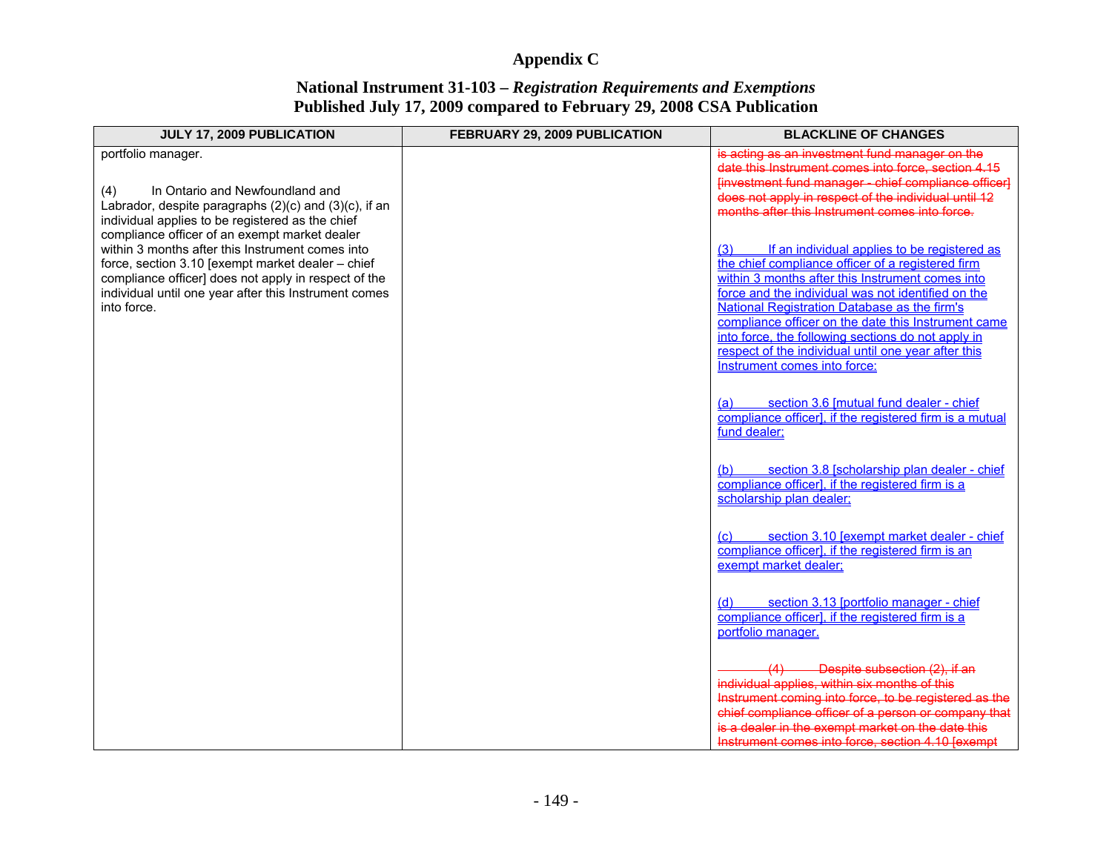| JULY 17, 2009 PUBLICATION                                                                                                                                                                                                                                                                                                                                                                                                                                                | <b>FEBRUARY 29, 2009 PUBLICATION</b> | <b>BLACKLINE OF CHANGES</b>                                                                                                                                                                                                                                                                                                                                                                                                                                                                                                                                                                                                                                                                                                                                                                                                                                                                                                                                                                                                                                                                                                                                                                                                                                                                                                                                                                                                                                                                                                                                  |
|--------------------------------------------------------------------------------------------------------------------------------------------------------------------------------------------------------------------------------------------------------------------------------------------------------------------------------------------------------------------------------------------------------------------------------------------------------------------------|--------------------------------------|--------------------------------------------------------------------------------------------------------------------------------------------------------------------------------------------------------------------------------------------------------------------------------------------------------------------------------------------------------------------------------------------------------------------------------------------------------------------------------------------------------------------------------------------------------------------------------------------------------------------------------------------------------------------------------------------------------------------------------------------------------------------------------------------------------------------------------------------------------------------------------------------------------------------------------------------------------------------------------------------------------------------------------------------------------------------------------------------------------------------------------------------------------------------------------------------------------------------------------------------------------------------------------------------------------------------------------------------------------------------------------------------------------------------------------------------------------------------------------------------------------------------------------------------------------------|
| portfolio manager.<br>In Ontario and Newfoundland and<br>(4)<br>Labrador, despite paragraphs $(2)(c)$ and $(3)(c)$ , if an<br>individual applies to be registered as the chief<br>compliance officer of an exempt market dealer<br>within 3 months after this Instrument comes into<br>force, section 3.10 [exempt market dealer - chief<br>compliance officer] does not apply in respect of the<br>individual until one year after this Instrument comes<br>into force. |                                      | is acting as an investment fund manager on the<br>date this Instrument comes into force, section 4.15<br><b>Finvestment fund manager - chief compliance officerl</b><br>does not apply in respect of the individual until 12<br>months after this Instrument comes into force.<br>(3)<br>If an individual applies to be registered as<br>the chief compliance officer of a registered firm<br>within 3 months after this Instrument comes into<br>force and the individual was not identified on the<br><b>National Registration Database as the firm's</b><br>compliance officer on the date this Instrument came<br>into force, the following sections do not apply in<br>respect of the individual until one year after this<br>Instrument comes into force:<br>section 3.6 [mutual fund dealer - chief<br>(a)<br>compliance officer], if the registered firm is a mutual<br>fund dealer;<br>section 3.8 [scholarship plan dealer - chief<br>(b)<br>compliance officer], if the registered firm is a<br>scholarship plan dealer;<br>section 3.10 [exempt market dealer - chief<br>(C) —<br>compliance officer], if the registered firm is an<br>exempt market dealer;<br>section 3.13 [portfolio manager - chief<br>(d)<br>compliance officer], if the registered firm is a<br>portfolio manager.<br>Despite subsection (2), if an<br>individual applies, within six months of this<br>Instrument coming into force, to be registered as the<br>chief compliance officer of a person or company that<br>is a dealer in the exempt market on the date this |
|                                                                                                                                                                                                                                                                                                                                                                                                                                                                          |                                      | Instrument comes into force, section 4.10 [exempt                                                                                                                                                                                                                                                                                                                                                                                                                                                                                                                                                                                                                                                                                                                                                                                                                                                                                                                                                                                                                                                                                                                                                                                                                                                                                                                                                                                                                                                                                                            |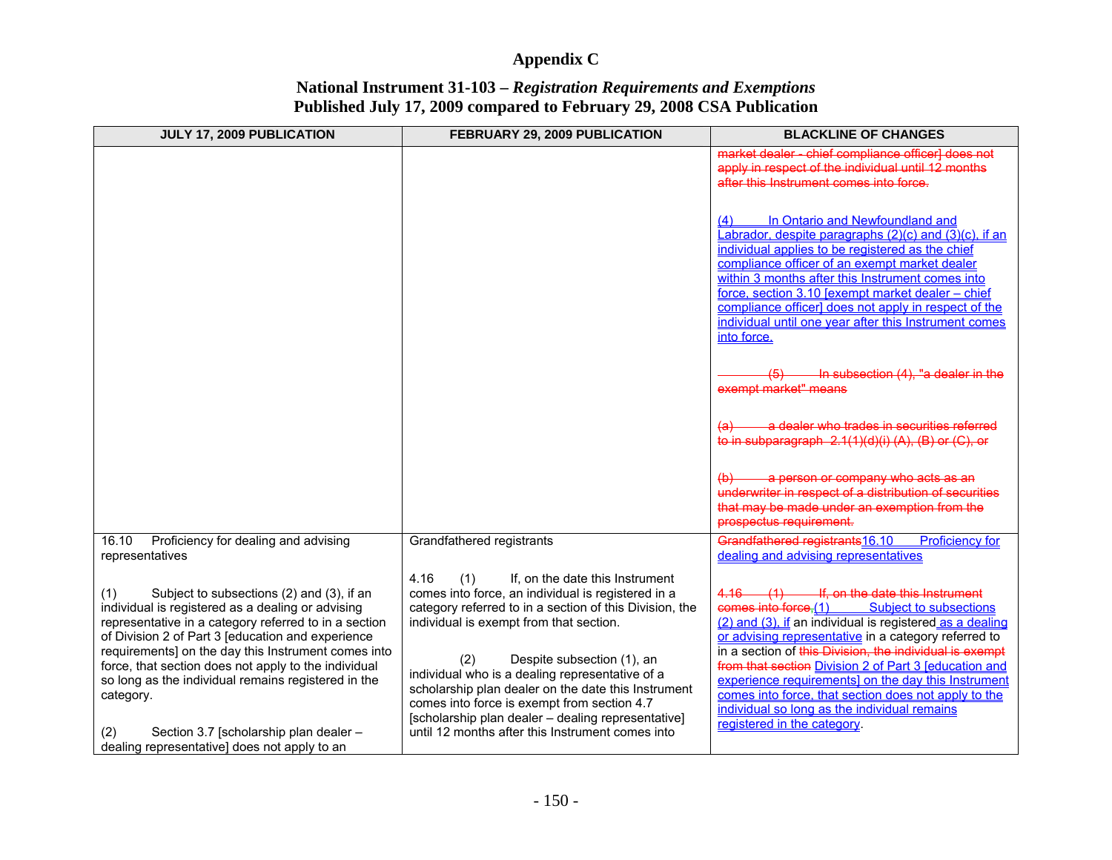| JULY 17, 2009 PUBLICATION                                                                                                                                                                                                                                                                                                                                                                                                                                                                               | <b>FEBRUARY 29, 2009 PUBLICATION</b>                                                                                                                                                                                                                                                                                                                                                                                                                                                                               | <b>BLACKLINE OF CHANGES</b>                                                                                                                                                                                                                                                                                                                                                                                                                                                                                                    |
|---------------------------------------------------------------------------------------------------------------------------------------------------------------------------------------------------------------------------------------------------------------------------------------------------------------------------------------------------------------------------------------------------------------------------------------------------------------------------------------------------------|--------------------------------------------------------------------------------------------------------------------------------------------------------------------------------------------------------------------------------------------------------------------------------------------------------------------------------------------------------------------------------------------------------------------------------------------------------------------------------------------------------------------|--------------------------------------------------------------------------------------------------------------------------------------------------------------------------------------------------------------------------------------------------------------------------------------------------------------------------------------------------------------------------------------------------------------------------------------------------------------------------------------------------------------------------------|
|                                                                                                                                                                                                                                                                                                                                                                                                                                                                                                         |                                                                                                                                                                                                                                                                                                                                                                                                                                                                                                                    | market dealer - chief compliance officer] does not<br>apply in respect of the individual until 12 months<br>after this Instrument comes into force.                                                                                                                                                                                                                                                                                                                                                                            |
|                                                                                                                                                                                                                                                                                                                                                                                                                                                                                                         |                                                                                                                                                                                                                                                                                                                                                                                                                                                                                                                    | In Ontario and Newfoundland and<br>(4)<br>Labrador, despite paragraphs (2)(c) and (3)(c), if an<br>individual applies to be registered as the chief<br>compliance officer of an exempt market dealer<br>within 3 months after this Instrument comes into<br>force, section 3.10 [exempt market dealer - chief<br>compliance officer] does not apply in respect of the<br>individual until one year after this Instrument comes<br>into force.                                                                                  |
|                                                                                                                                                                                                                                                                                                                                                                                                                                                                                                         |                                                                                                                                                                                                                                                                                                                                                                                                                                                                                                                    | In subsection (4), "a dealer in the<br>exempt market" means                                                                                                                                                                                                                                                                                                                                                                                                                                                                    |
|                                                                                                                                                                                                                                                                                                                                                                                                                                                                                                         |                                                                                                                                                                                                                                                                                                                                                                                                                                                                                                                    | a dealer who trades in securities referred<br>to in subparagraph 2.1(1)(d)(i) (A), (B) or (C), or                                                                                                                                                                                                                                                                                                                                                                                                                              |
|                                                                                                                                                                                                                                                                                                                                                                                                                                                                                                         |                                                                                                                                                                                                                                                                                                                                                                                                                                                                                                                    | a person or company who acts as an<br>underwriter in respect of a distribution of securities<br>that may be made under an exemption from the<br>prospectus requirement.                                                                                                                                                                                                                                                                                                                                                        |
| Proficiency for dealing and advising<br>16.10<br>representatives                                                                                                                                                                                                                                                                                                                                                                                                                                        | Grandfathered registrants                                                                                                                                                                                                                                                                                                                                                                                                                                                                                          | Grandfathered registrants16.10<br><b>Proficiency for</b><br>dealing and advising representatives                                                                                                                                                                                                                                                                                                                                                                                                                               |
| Subject to subsections (2) and (3), if an<br>(1)<br>individual is registered as a dealing or advising<br>representative in a category referred to in a section<br>of Division 2 of Part 3 [education and experience<br>requirements] on the day this Instrument comes into<br>force, that section does not apply to the individual<br>so long as the individual remains registered in the<br>category.<br>(2)<br>Section 3.7 [scholarship plan dealer -<br>dealing representative] does not apply to an | 4.16<br>If, on the date this Instrument<br>(1)<br>comes into force, an individual is registered in a<br>category referred to in a section of this Division, the<br>individual is exempt from that section.<br>Despite subsection (1), an<br>(2)<br>individual who is a dealing representative of a<br>scholarship plan dealer on the date this Instrument<br>comes into force is exempt from section 4.7<br>[scholarship plan dealer - dealing representative]<br>until 12 months after this Instrument comes into | 4.16 (1) If, on the date this Instrument<br>comes into force, (1) Subject to subsections<br>(2) and (3), if an individual is registered as a dealing<br>or advising representative in a category referred to<br>in a section of this Division, the individual is exempt<br>from that section Division 2 of Part 3 [education and<br>experience requirements] on the day this Instrument<br>comes into force, that section does not apply to the<br>individual so long as the individual remains<br>registered in the category. |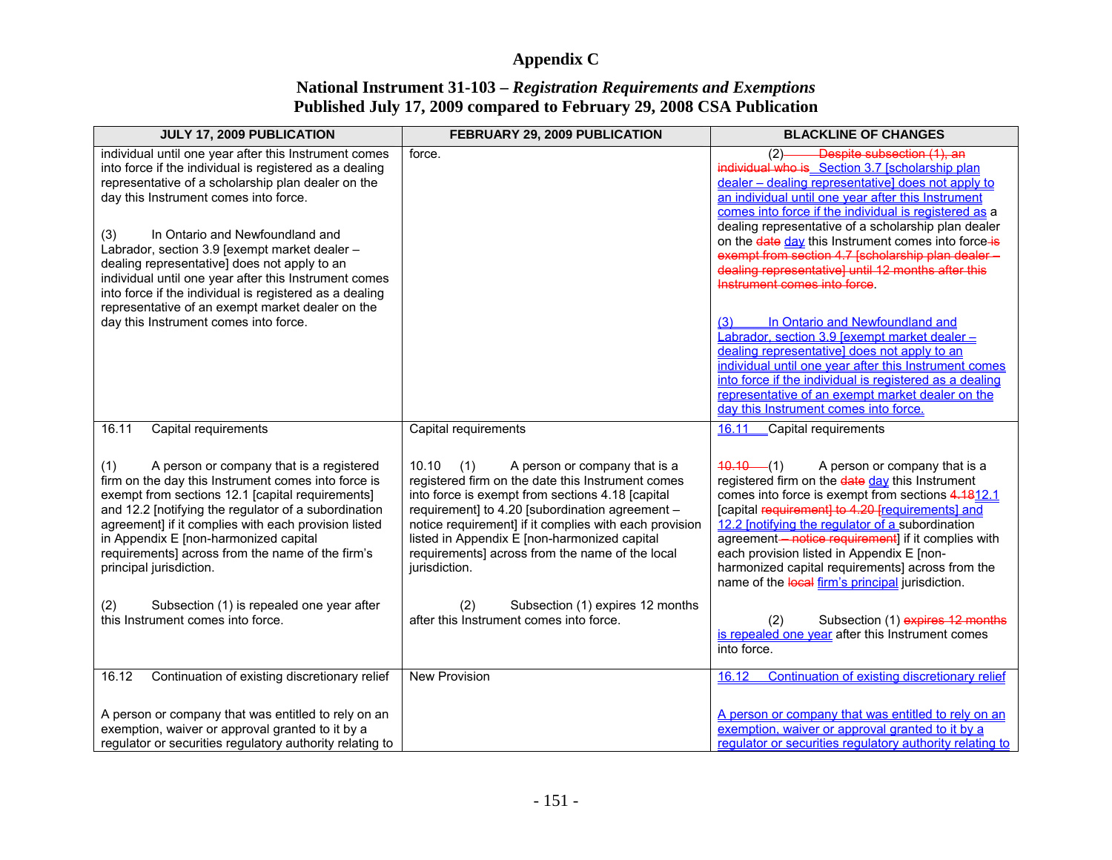| JULY 17, 2009 PUBLICATION                                                                                                                                                                                                                                                                                                                                                                                                           | <b>FEBRUARY 29, 2009 PUBLICATION</b>                                                                                                                                                                                                                                                                                                                                                                             | <b>BLACKLINE OF CHANGES</b>                                                                                                                                                                                                                                                                                                                                                                                                                                                                                                                                              |
|-------------------------------------------------------------------------------------------------------------------------------------------------------------------------------------------------------------------------------------------------------------------------------------------------------------------------------------------------------------------------------------------------------------------------------------|------------------------------------------------------------------------------------------------------------------------------------------------------------------------------------------------------------------------------------------------------------------------------------------------------------------------------------------------------------------------------------------------------------------|--------------------------------------------------------------------------------------------------------------------------------------------------------------------------------------------------------------------------------------------------------------------------------------------------------------------------------------------------------------------------------------------------------------------------------------------------------------------------------------------------------------------------------------------------------------------------|
| individual until one year after this Instrument comes<br>into force if the individual is registered as a dealing<br>representative of a scholarship plan dealer on the<br>day this Instrument comes into force.                                                                                                                                                                                                                     | force.                                                                                                                                                                                                                                                                                                                                                                                                           | Despite subsection (1), an<br>(2)<br>individual who is Section 3.7 [scholarship plan<br>dealer - dealing representative] does not apply to<br>an individual until one year after this Instrument<br>comes into force if the individual is registered as a                                                                                                                                                                                                                                                                                                                |
| (3)<br>In Ontario and Newfoundland and<br>Labrador, section 3.9 [exempt market dealer -<br>dealing representative] does not apply to an<br>individual until one year after this Instrument comes<br>into force if the individual is registered as a dealing<br>representative of an exempt market dealer on the<br>day this Instrument comes into force.                                                                            |                                                                                                                                                                                                                                                                                                                                                                                                                  | dealing representative of a scholarship plan dealer<br>on the date day this Instrument comes into force-is<br>exempt from section 4.7 [scholarship plan dealer-<br>dealing representative] until 12 months after this<br>Instrument comes into force.<br>In Ontario and Newfoundland and<br>(3)<br>Labrador, section 3.9 [exempt market dealer -<br>dealing representative] does not apply to an<br>individual until one year after this Instrument comes<br>into force if the individual is registered as a dealing<br>representative of an exempt market dealer on the |
|                                                                                                                                                                                                                                                                                                                                                                                                                                     |                                                                                                                                                                                                                                                                                                                                                                                                                  | day this Instrument comes into force.                                                                                                                                                                                                                                                                                                                                                                                                                                                                                                                                    |
| 16.11<br>Capital requirements<br>(1)<br>A person or company that is a registered<br>firm on the day this Instrument comes into force is<br>exempt from sections 12.1 [capital requirements]<br>and 12.2 [notifying the regulator of a subordination<br>agreement] if it complies with each provision listed<br>in Appendix E [non-harmonized capital<br>requirements] across from the name of the firm's<br>principal jurisdiction. | Capital requirements<br>10.10<br>A person or company that is a<br>(1)<br>registered firm on the date this Instrument comes<br>into force is exempt from sections 4.18 [capital<br>requirement] to 4.20 [subordination agreement -<br>notice requirement] if it complies with each provision<br>listed in Appendix E [non-harmonized capital]<br>requirements] across from the name of the local<br>jurisdiction. | Capital requirements<br>16.11<br>$40.10$ (1)<br>A person or company that is a<br>registered firm on the date day this Instrument<br>comes into force is exempt from sections 4.1812.1<br>[capital requirement] to 4.20 [requirements] and<br>12.2 Inotifying the regulator of a subordination<br>agreement-notice requirement] if it complies with<br>each provision listed in Appendix E [non-<br>harmonized capital requirements] across from the                                                                                                                      |
| Subsection (1) is repealed one year after<br>(2)<br>this Instrument comes into force.                                                                                                                                                                                                                                                                                                                                               | Subsection (1) expires 12 months<br>(2)<br>after this Instrument comes into force.                                                                                                                                                                                                                                                                                                                               | name of the local firm's principal jurisdiction.<br>Subsection (1) expires 12 months<br>(2)<br>is repealed one year after this Instrument comes<br>into force.                                                                                                                                                                                                                                                                                                                                                                                                           |
| Continuation of existing discretionary relief<br>16.12                                                                                                                                                                                                                                                                                                                                                                              | <b>New Provision</b>                                                                                                                                                                                                                                                                                                                                                                                             | Continuation of existing discretionary relief<br>16.12                                                                                                                                                                                                                                                                                                                                                                                                                                                                                                                   |
| A person or company that was entitled to rely on an<br>exemption, waiver or approval granted to it by a<br>regulator or securities regulatory authority relating to                                                                                                                                                                                                                                                                 |                                                                                                                                                                                                                                                                                                                                                                                                                  | A person or company that was entitled to rely on an<br>exemption, waiver or approval granted to it by a<br>regulator or securities regulatory authority relating to                                                                                                                                                                                                                                                                                                                                                                                                      |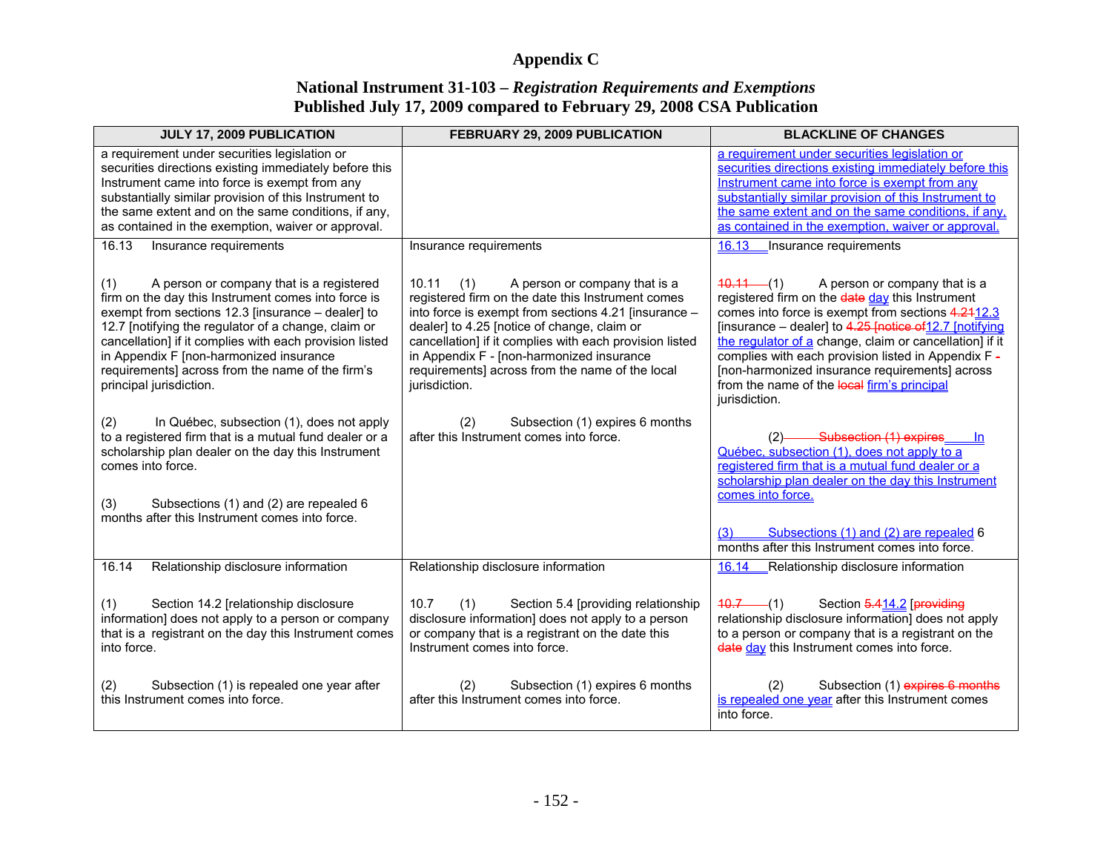| JULY 17, 2009 PUBLICATION                                                                                                                                                                                                                                                                                                                                                                               | <b>FEBRUARY 29, 2009 PUBLICATION</b>                                                                                                                                                                                                                                                                                                                                                  | <b>BLACKLINE OF CHANGES</b>                                                                                                                                                                                                                                                                                                                                                                                                                          |
|---------------------------------------------------------------------------------------------------------------------------------------------------------------------------------------------------------------------------------------------------------------------------------------------------------------------------------------------------------------------------------------------------------|---------------------------------------------------------------------------------------------------------------------------------------------------------------------------------------------------------------------------------------------------------------------------------------------------------------------------------------------------------------------------------------|------------------------------------------------------------------------------------------------------------------------------------------------------------------------------------------------------------------------------------------------------------------------------------------------------------------------------------------------------------------------------------------------------------------------------------------------------|
| a requirement under securities legislation or<br>securities directions existing immediately before this<br>Instrument came into force is exempt from any<br>substantially similar provision of this Instrument to<br>the same extent and on the same conditions, if any,<br>as contained in the exemption, waiver or approval.                                                                          |                                                                                                                                                                                                                                                                                                                                                                                       | a requirement under securities legislation or<br>securities directions existing immediately before this<br>Instrument came into force is exempt from any<br>substantially similar provision of this Instrument to<br>the same extent and on the same conditions, if any,<br>as contained in the exemption, waiver or approval.                                                                                                                       |
| 16.13<br>Insurance requirements                                                                                                                                                                                                                                                                                                                                                                         | Insurance requirements                                                                                                                                                                                                                                                                                                                                                                | 16.13<br>Insurance requirements                                                                                                                                                                                                                                                                                                                                                                                                                      |
| A person or company that is a registered<br>(1)<br>firm on the day this Instrument comes into force is<br>exempt from sections 12.3 [insurance - dealer] to<br>12.7 [notifying the regulator of a change, claim or<br>cancellation] if it complies with each provision listed<br>in Appendix F [non-harmonized insurance<br>requirements] across from the name of the firm's<br>principal jurisdiction. | 10.11<br>A person or company that is a<br>(1)<br>registered firm on the date this Instrument comes<br>into force is exempt from sections 4.21 [insurance -<br>dealer] to 4.25 [notice of change, claim or<br>cancellation] if it complies with each provision listed<br>in Appendix F - [non-harmonized insurance<br>requirements] across from the name of the local<br>jurisdiction. | $40.11$ (1)<br>A person or company that is a<br>registered firm on the date day this Instrument<br>comes into force is exempt from sections 4.2412.3<br>[insurance - dealer] to 4.25 [notice of 12.7 [notifying]<br>the regulator of a change, claim or cancellation] if it<br>complies with each provision listed in Appendix F -<br>[non-harmonized insurance requirements] across<br>from the name of the local firm's principal<br>jurisdiction. |
| (2)<br>In Québec, subsection (1), does not apply<br>to a registered firm that is a mutual fund dealer or a<br>scholarship plan dealer on the day this Instrument<br>comes into force.<br>(3)<br>Subsections (1) and (2) are repealed 6<br>months after this Instrument comes into force.                                                                                                                | Subsection (1) expires 6 months<br>(2)<br>after this Instrument comes into force.                                                                                                                                                                                                                                                                                                     | Subsection (1) expires<br><u>In</u><br>(2)<br>Québec, subsection (1), does not apply to a<br>registered firm that is a mutual fund dealer or a<br>scholarship plan dealer on the day this Instrument<br>comes into force.<br>Subsections (1) and (2) are repealed 6<br>(3)                                                                                                                                                                           |
|                                                                                                                                                                                                                                                                                                                                                                                                         |                                                                                                                                                                                                                                                                                                                                                                                       | months after this Instrument comes into force.                                                                                                                                                                                                                                                                                                                                                                                                       |
| 16.14<br>Relationship disclosure information                                                                                                                                                                                                                                                                                                                                                            | Relationship disclosure information                                                                                                                                                                                                                                                                                                                                                   | 16.14<br>Relationship disclosure information                                                                                                                                                                                                                                                                                                                                                                                                         |
| Section 14.2 [relationship disclosure<br>(1)<br>information] does not apply to a person or company<br>that is a registrant on the day this Instrument comes<br>into force.                                                                                                                                                                                                                              | Section 5.4 [providing relationship<br>10.7<br>(1)<br>disclosure information] does not apply to a person<br>or company that is a registrant on the date this<br>Instrument comes into force.                                                                                                                                                                                          | $40.7$ (1)<br>Section 5.414.2 [providing<br>relationship disclosure information] does not apply<br>to a person or company that is a registrant on the<br>date day this Instrument comes into force.                                                                                                                                                                                                                                                  |
| Subsection (1) is repealed one year after<br>(2)<br>this Instrument comes into force.                                                                                                                                                                                                                                                                                                                   | Subsection (1) expires 6 months<br>(2)<br>after this Instrument comes into force.                                                                                                                                                                                                                                                                                                     | Subsection (1) expires 6 months<br>(2)<br>is repealed one year after this Instrument comes<br>into force.                                                                                                                                                                                                                                                                                                                                            |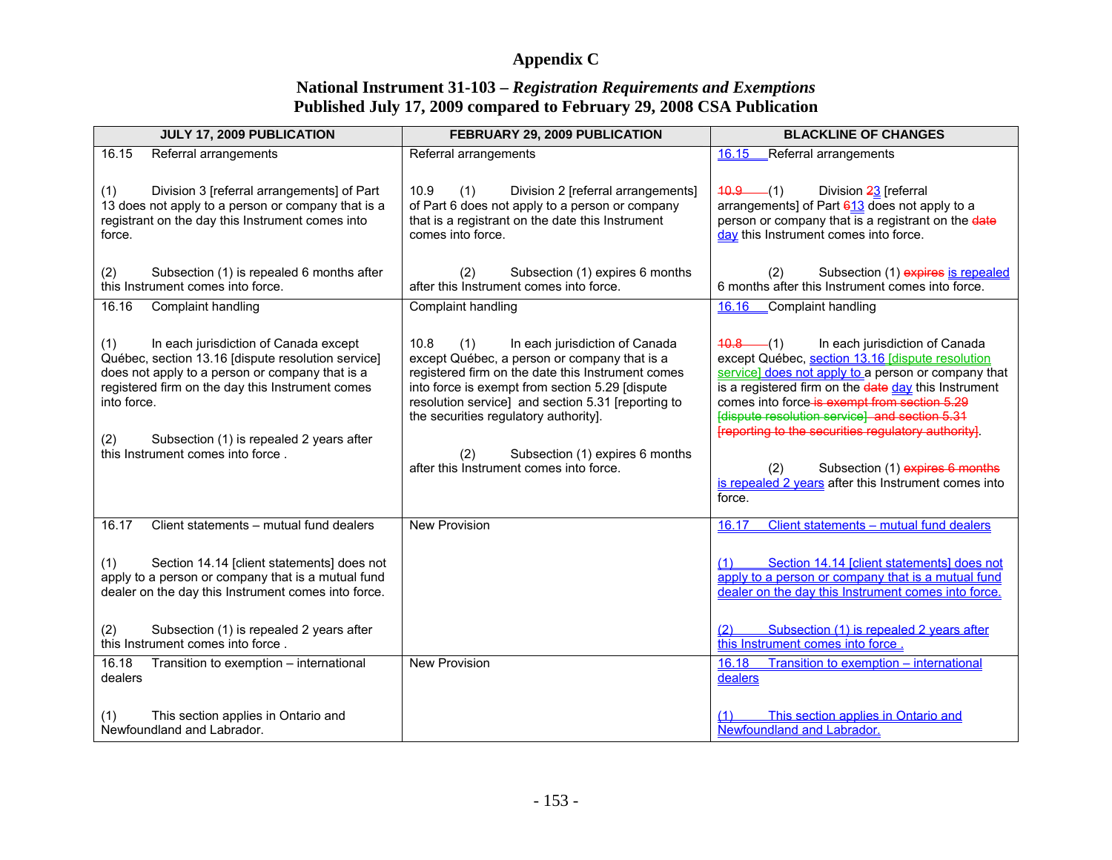| JULY 17, 2009 PUBLICATION                                                                                                                                                                                                                                                                                        | <b>FEBRUARY 29, 2009 PUBLICATION</b>                                                                                                                                                                                                                                                                                                                                                      | <b>BLACKLINE OF CHANGES</b>                                                                                                                                                                                                                                                                                                                                                                                                                                                         |
|------------------------------------------------------------------------------------------------------------------------------------------------------------------------------------------------------------------------------------------------------------------------------------------------------------------|-------------------------------------------------------------------------------------------------------------------------------------------------------------------------------------------------------------------------------------------------------------------------------------------------------------------------------------------------------------------------------------------|-------------------------------------------------------------------------------------------------------------------------------------------------------------------------------------------------------------------------------------------------------------------------------------------------------------------------------------------------------------------------------------------------------------------------------------------------------------------------------------|
| 16.15<br>Referral arrangements                                                                                                                                                                                                                                                                                   | Referral arrangements                                                                                                                                                                                                                                                                                                                                                                     | 16.15<br>Referral arrangements                                                                                                                                                                                                                                                                                                                                                                                                                                                      |
| Division 3 [referral arrangements] of Part<br>(1)<br>13 does not apply to a person or company that is a<br>registrant on the day this Instrument comes into<br>force.                                                                                                                                            | 10.9<br>(1)<br>Division 2 [referral arrangements]<br>of Part 6 does not apply to a person or company<br>that is a registrant on the date this Instrument<br>comes into force.                                                                                                                                                                                                             | $10.9$ (1)<br>Division 23 [referral<br>arrangements] of Part 613 does not apply to a<br>person or company that is a registrant on the date<br>day this Instrument comes into force.                                                                                                                                                                                                                                                                                                 |
| Subsection (1) is repealed 6 months after<br>(2)<br>this Instrument comes into force.                                                                                                                                                                                                                            | Subsection (1) expires 6 months<br>(2)<br>after this Instrument comes into force.                                                                                                                                                                                                                                                                                                         | Subsection (1) expires is repealed<br>(2)<br>6 months after this Instrument comes into force.                                                                                                                                                                                                                                                                                                                                                                                       |
| 16.16<br>Complaint handling                                                                                                                                                                                                                                                                                      | Complaint handling                                                                                                                                                                                                                                                                                                                                                                        | 16.16<br>Complaint handling                                                                                                                                                                                                                                                                                                                                                                                                                                                         |
| In each jurisdiction of Canada except<br>(1)<br>Québec, section 13.16 [dispute resolution service]<br>does not apply to a person or company that is a<br>registered firm on the day this Instrument comes<br>into force.<br>Subsection (1) is repealed 2 years after<br>(2)<br>this Instrument comes into force. | 10.8<br>(1)<br>In each jurisdiction of Canada<br>except Québec, a person or company that is a<br>registered firm on the date this Instrument comes<br>into force is exempt from section 5.29 [dispute<br>resolution service] and section 5.31 [reporting to<br>the securities regulatory authority].<br>Subsection (1) expires 6 months<br>(2)<br>after this Instrument comes into force. | $10.8$ (1)<br>In each jurisdiction of Canada<br>except Québec, section 13.16 [dispute resolution<br>service] does not apply to a person or company that<br>is a registered firm on the date day this Instrument<br>comes into force is exempt from section 5.29<br>[dispute resolution service] and section 5.31<br>Freporting to the securities regulatory authority].<br>Subsection (1) expires 6 months<br>(2)<br>is repealed 2 years after this Instrument comes into<br>force. |
| 16.17<br>Client statements - mutual fund dealers                                                                                                                                                                                                                                                                 | <b>New Provision</b>                                                                                                                                                                                                                                                                                                                                                                      | Client statements - mutual fund dealers<br>16.17                                                                                                                                                                                                                                                                                                                                                                                                                                    |
| Section 14.14 [client statements] does not<br>(1)<br>apply to a person or company that is a mutual fund<br>dealer on the day this Instrument comes into force.                                                                                                                                                   |                                                                                                                                                                                                                                                                                                                                                                                           | Section 14.14 [client statements] does not<br>(1)<br>apply to a person or company that is a mutual fund<br>dealer on the day this Instrument comes into force.                                                                                                                                                                                                                                                                                                                      |
| (2)<br>Subsection (1) is repealed 2 years after<br>this Instrument comes into force.                                                                                                                                                                                                                             |                                                                                                                                                                                                                                                                                                                                                                                           | Subsection (1) is repealed 2 years after<br>(2)<br>this Instrument comes into force.                                                                                                                                                                                                                                                                                                                                                                                                |
| 16.18<br>Transition to exemption - international<br>dealers                                                                                                                                                                                                                                                      | <b>New Provision</b>                                                                                                                                                                                                                                                                                                                                                                      | 16.18<br>Transition to exemption - international<br>dealers                                                                                                                                                                                                                                                                                                                                                                                                                         |
| This section applies in Ontario and<br>(1)<br>Newfoundland and Labrador.                                                                                                                                                                                                                                         |                                                                                                                                                                                                                                                                                                                                                                                           | This section applies in Ontario and<br>(1)<br>Newfoundland and Labrador.                                                                                                                                                                                                                                                                                                                                                                                                            |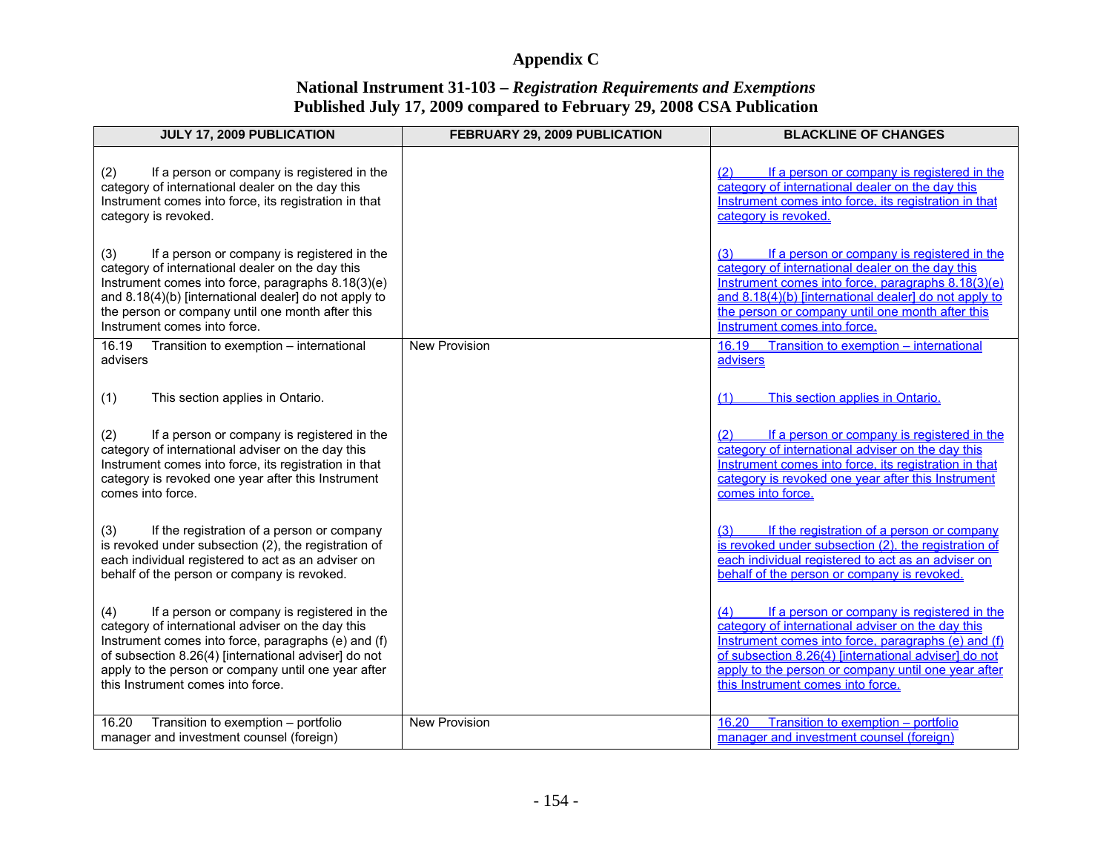| JULY 17, 2009 PUBLICATION                                                                                                                                                                                                                                                                                          | <b>FEBRUARY 29, 2009 PUBLICATION</b> | <b>BLACKLINE OF CHANGES</b>                                                                                                                                                                                                                                                                                        |
|--------------------------------------------------------------------------------------------------------------------------------------------------------------------------------------------------------------------------------------------------------------------------------------------------------------------|--------------------------------------|--------------------------------------------------------------------------------------------------------------------------------------------------------------------------------------------------------------------------------------------------------------------------------------------------------------------|
| (2)<br>If a person or company is registered in the<br>category of international dealer on the day this<br>Instrument comes into force, its registration in that<br>category is revoked.                                                                                                                            |                                      | If a person or company is registered in the<br>(2)<br>category of international dealer on the day this<br>Instrument comes into force, its registration in that<br>category is revoked.                                                                                                                            |
| (3)<br>If a person or company is registered in the<br>category of international dealer on the day this<br>Instrument comes into force, paragraphs 8.18(3)(e)<br>and 8.18(4)(b) [international dealer] do not apply to<br>the person or company until one month after this<br>Instrument comes into force.          |                                      | If a person or company is registered in the<br>(3)<br>category of international dealer on the day this<br>Instrument comes into force, paragraphs 8.18(3)(e)<br>and 8.18(4)(b) [international dealer] do not apply to<br>the person or company until one month after this<br>Instrument comes into force.          |
| 16.19<br>Transition to exemption - international<br>advisers                                                                                                                                                                                                                                                       | <b>New Provision</b>                 | 16.19<br>Transition to exemption - international<br>advisers                                                                                                                                                                                                                                                       |
| This section applies in Ontario.<br>(1)<br>If a person or company is registered in the<br>(2)<br>category of international adviser on the day this<br>Instrument comes into force, its registration in that<br>category is revoked one year after this Instrument<br>comes into force.                             |                                      | This section applies in Ontario.<br>(1)<br>If a person or company is registered in the<br>(2)<br>category of international adviser on the day this<br>Instrument comes into force, its registration in that<br>category is revoked one year after this Instrument<br>comes into force.                             |
| (3)<br>If the registration of a person or company<br>is revoked under subsection (2), the registration of<br>each individual registered to act as an adviser on<br>behalf of the person or company is revoked.                                                                                                     |                                      | If the registration of a person or company<br>(3)<br>is revoked under subsection (2), the registration of<br>each individual registered to act as an adviser on<br>behalf of the person or company is revoked.                                                                                                     |
| (4)<br>If a person or company is registered in the<br>category of international adviser on the day this<br>Instrument comes into force, paragraphs (e) and (f)<br>of subsection 8.26(4) [international adviser] do not<br>apply to the person or company until one year after<br>this Instrument comes into force. |                                      | If a person or company is registered in the<br>(4)<br>category of international adviser on the day this<br>Instrument comes into force, paragraphs (e) and (f)<br>of subsection 8.26(4) [international adviser] do not<br>apply to the person or company until one year after<br>this Instrument comes into force. |
| Transition to exemption - portfolio<br>16.20<br>manager and investment counsel (foreign)                                                                                                                                                                                                                           | <b>New Provision</b>                 | Transition to exemption - portfolio<br>16.20<br>manager and investment counsel (foreign)                                                                                                                                                                                                                           |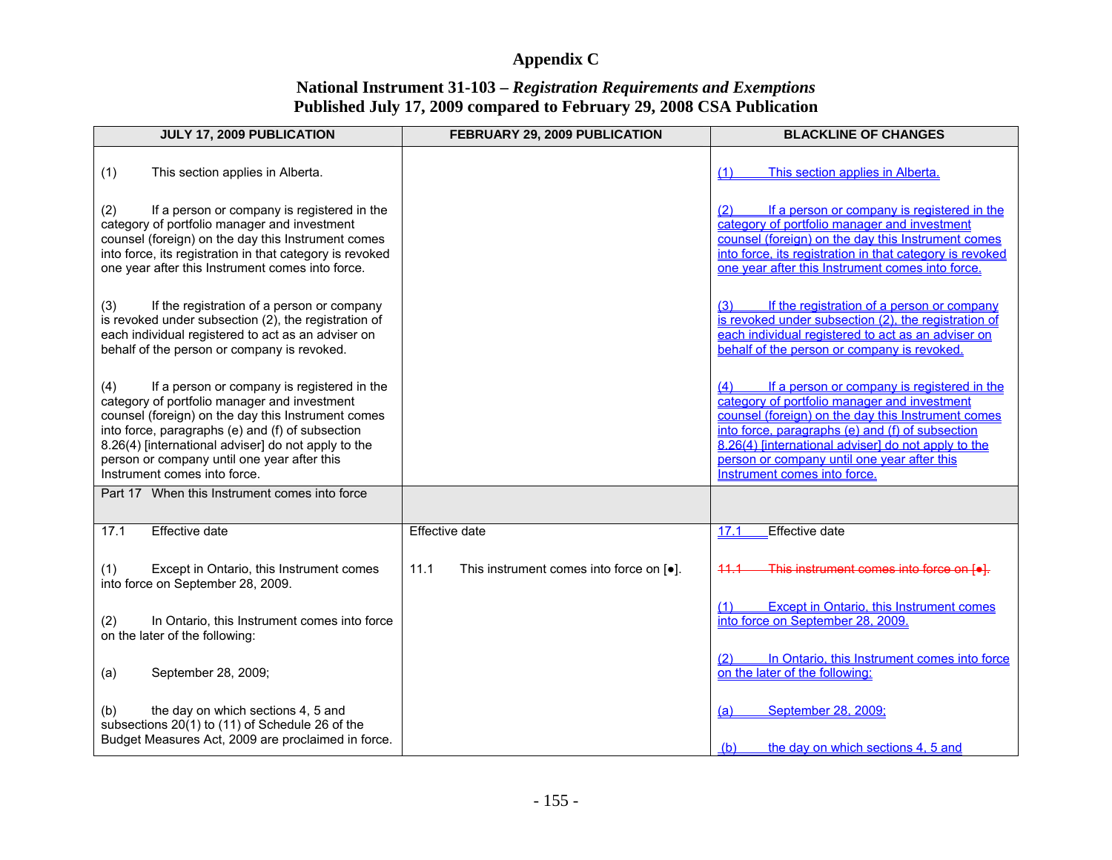| JULY 17, 2009 PUBLICATION                                                                                                                                                                                                                                                                                                                          | FEBRUARY 29, 2009 PUBLICATION                    | <b>BLACKLINE OF CHANGES</b>                                                                                                                                                                                                                                                                                                                        |
|----------------------------------------------------------------------------------------------------------------------------------------------------------------------------------------------------------------------------------------------------------------------------------------------------------------------------------------------------|--------------------------------------------------|----------------------------------------------------------------------------------------------------------------------------------------------------------------------------------------------------------------------------------------------------------------------------------------------------------------------------------------------------|
| (1)<br>This section applies in Alberta.                                                                                                                                                                                                                                                                                                            |                                                  | This section applies in Alberta.<br>(1)                                                                                                                                                                                                                                                                                                            |
| (2)<br>If a person or company is registered in the<br>category of portfolio manager and investment<br>counsel (foreign) on the day this Instrument comes<br>into force, its registration in that category is revoked<br>one year after this Instrument comes into force.                                                                           |                                                  | If a person or company is registered in the<br>(2)<br>category of portfolio manager and investment<br>counsel (foreign) on the day this Instrument comes<br>into force, its registration in that category is revoked<br>one year after this Instrument comes into force.                                                                           |
| (3)<br>If the registration of a person or company<br>is revoked under subsection (2), the registration of<br>each individual registered to act as an adviser on<br>behalf of the person or company is revoked.                                                                                                                                     |                                                  | If the registration of a person or company<br>(3)<br>is revoked under subsection (2), the registration of<br>each individual registered to act as an adviser on<br>behalf of the person or company is revoked.                                                                                                                                     |
| (4)<br>If a person or company is registered in the<br>category of portfolio manager and investment<br>counsel (foreign) on the day this Instrument comes<br>into force, paragraphs (e) and (f) of subsection<br>8.26(4) [international adviser] do not apply to the<br>person or company until one year after this<br>Instrument comes into force. |                                                  | If a person or company is registered in the<br>(4)<br>category of portfolio manager and investment<br>counsel (foreign) on the day this Instrument comes<br>into force, paragraphs (e) and (f) of subsection<br>8.26(4) [international adviser] do not apply to the<br>person or company until one year after this<br>Instrument comes into force. |
| Part 17 When this Instrument comes into force                                                                                                                                                                                                                                                                                                      |                                                  |                                                                                                                                                                                                                                                                                                                                                    |
| Effective date<br>17.1                                                                                                                                                                                                                                                                                                                             | Effective date                                   | Effective date<br>17.1                                                                                                                                                                                                                                                                                                                             |
| (1)<br>Except in Ontario, this Instrument comes<br>into force on September 28, 2009.                                                                                                                                                                                                                                                               | 11.1<br>This instrument comes into force on [•]. | This instrument comes into force on [.].<br>44.4                                                                                                                                                                                                                                                                                                   |
| (2)<br>In Ontario, this Instrument comes into force<br>on the later of the following:                                                                                                                                                                                                                                                              |                                                  | <b>Except in Ontario, this Instrument comes</b><br>(1)<br>into force on September 28, 2009.                                                                                                                                                                                                                                                        |
| September 28, 2009;<br>(a)                                                                                                                                                                                                                                                                                                                         |                                                  | (2)<br>In Ontario, this Instrument comes into force<br>on the later of the following:                                                                                                                                                                                                                                                              |
| the day on which sections 4, 5 and<br>(b)<br>subsections 20(1) to (11) of Schedule 26 of the<br>Budget Measures Act, 2009 are proclaimed in force.                                                                                                                                                                                                 |                                                  | September 28, 2009;<br>(a)<br>the day on which sections 4, 5 and<br>(b)                                                                                                                                                                                                                                                                            |